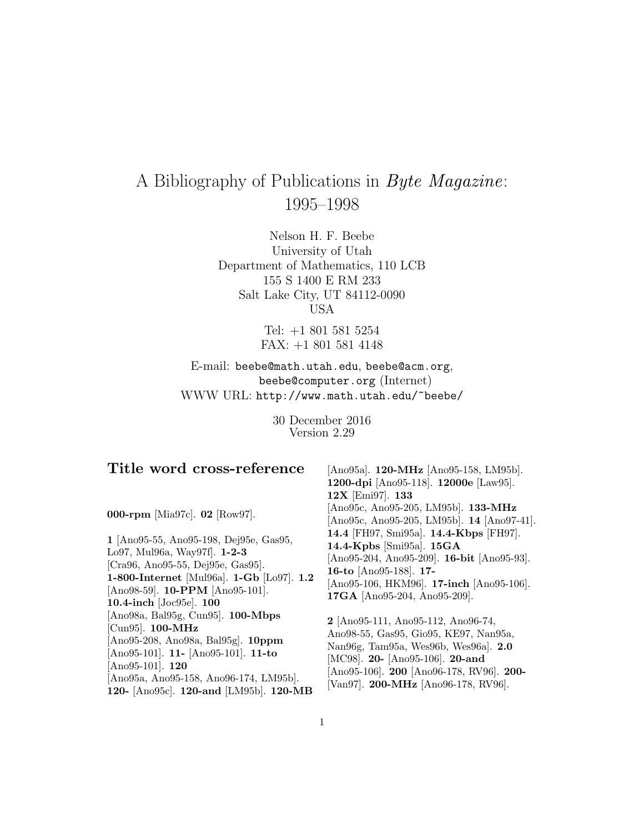# A Bibliography of Publications in Byte Magazine: 1995–1998

Nelson H. F. Beebe University of Utah Department of Mathematics, 110 LCB 155 S 1400 E RM 233 Salt Lake City, UT 84112-0090 USA

> Tel: +1 801 581 5254 FAX: +1 801 581 4148

E-mail: beebe@math.utah.edu, beebe@acm.org, beebe@computer.org (Internet) WWW URL: http://www.math.utah.edu/~beebe/

> 30 December 2016 Version 2.29

| Title word cross-reference                                                                                                                                                                                                                                                      | [Ano95a]. 120-MHz [Ano95-158, LM95b].                                                                                                                                                                                                     |
|---------------------------------------------------------------------------------------------------------------------------------------------------------------------------------------------------------------------------------------------------------------------------------|-------------------------------------------------------------------------------------------------------------------------------------------------------------------------------------------------------------------------------------------|
|                                                                                                                                                                                                                                                                                 | 1200-dpi [Ano95-118]. 12000e [Law95].                                                                                                                                                                                                     |
|                                                                                                                                                                                                                                                                                 | 12X [Emi97]. 133                                                                                                                                                                                                                          |
| 000-rpm [Mia97c]. 02 [Row97].                                                                                                                                                                                                                                                   | [Ano95c, Ano95-205, LM95b]. 133-MHz<br>[Ano95c, Ano95-205, LM95b]. 14 [Ano97-41].                                                                                                                                                         |
| 1 Ano 95-55, Ano 95-198, Dej 95e, Gas 95,<br>Lo97, Mul96a, Way97f. 1-2-3<br>[Cra96, Ano95-55, Dej95e, Gas95].<br>1-800-Internet [Mul96a]. 1-Gb [Lo97]. 1.2<br>[Ano98-59]. <b>10-PPM</b> [Ano95-101].                                                                            | 14.4 [FH97, Smi95a]. 14.4-Kbps [FH97].<br>14.4-Kpbs [Smi95a]. 15GA<br>[Ano95-204, Ano95-209]. 16-bit [Ano95-93].<br>16-to [Ano95-188]. 17-<br>[Ano95-106, HKM96]. $17$ -inch [Ano95-106].<br>17GA [Ano95-204, Ano95-209].                 |
| 10.4-inch [Joc95e]. 100<br>$[Ano98a, Bal95g, Cun95]$ . 100-Mbps<br>[Cun95]. $100-MHz$<br>$[Ano95-208, Ano98a, Bal95g].$ 10ppm<br>[Ano95-101]. 11- [Ano95-101]. 11-to<br>$[Ano95-101]$ . 120<br>[Ano95a, Ano95-158, Ano96-174, LM95b].<br>120- [Ano95c]. 120-and [LM95b]. 120-MB | 2 [Ano95-111, Ano95-112, Ano96-74,<br>Ano98-55, Gas95, Gio95, KE97, Nan95a,<br>Nan96g, Tam95a, Wes96b, Wes96a]. 2.0<br>[MC98]. 20- [Ano95-106]. 20-and<br>[Ano95-106]. 200 [Ano96-178, RV96]. 200-<br>[Van97]. 200-MHz [Ano96-178, RV96]. |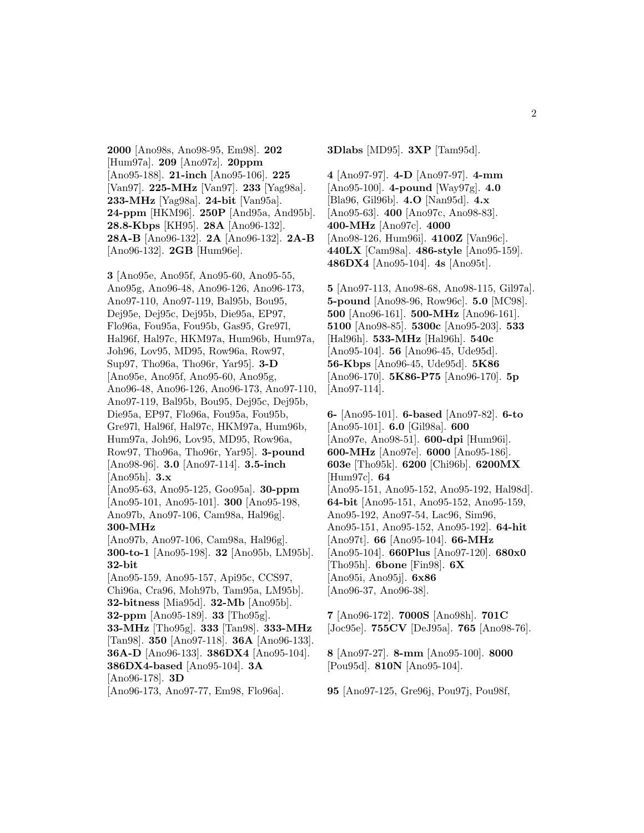**2000** [Ano98s, Ano98-95, Em98]. **202** [Hum97a]. **209** [Ano97z]. **20ppm** [Ano95-188]. **21-inch** [Ano95-106]. **225** [Van97]. **225-MHz** [Van97]. **233** [Yag98a]. **233-MHz** [Yag98a]. **24-bit** [Van95a]. **24-ppm** [HKM96]. **250P** [And95a, And95b]. **28.8-Kbps** [KH95]. **28A** [Ano96-132]. **28A-B** [Ano96-132]. **2A** [Ano96-132]. **2A-B** [Ano96-132]. **2GB** [Hum96e].

**3** [Ano95e, Ano95f, Ano95-60, Ano95-55, Ano95g, Ano96-48, Ano96-126, Ano96-173, Ano97-110, Ano97-119, Bal95b, Bou95, Dej95e, Dej95c, Dej95b, Die95a, EP97, Flo96a, Fou95a, Fou95b, Gas95, Gre97l, Hal96f, Hal97c, HKM97a, Hum96b, Hum97a, Joh96, Lov95, MD95, Row96a, Row97, Sup97, Tho96a, Tho96r, Yar95]. **3-D** [Ano95e, Ano95f, Ano95-60, Ano95g, Ano96-48, Ano96-126, Ano96-173, Ano97-110, Ano97-119, Bal95b, Bou95, Dej95c, Dej95b, Die95a, EP97, Flo96a, Fou95a, Fou95b, Gre97l, Hal96f, Hal97c, HKM97a, Hum96b, Hum97a, Joh96, Lov95, MD95, Row96a, Row97, Tho96a, Tho96r, Yar95]. **3-pound** [Ano98-96]. **3.0** [Ano97-114]. **3.5-inch** [Ano95h]. **3.x** [Ano95-63, Ano95-125, Goo95a]. **30-ppm** [Ano95-101, Ano95-101]. **300** [Ano95-198, Ano97b, Ano97-106, Cam98a, Hal96g]. **300-MHz** [Ano97b, Ano97-106, Cam98a, Hal96g]. **300-to-1** [Ano95-198]. **32** [Ano95b, LM95b]. **32-bit** [Ano95-159, Ano95-157, Api95c, CCS97, Chi96a, Cra96, Moh97b, Tam95a, LM95b]. **32-bitness** [Mia95d]. **32-Mb** [Ano95b]. **32-ppm** [Ano95-189]. **33** [Tho95g]. **33-MHz** [Tho95g]. **333** [Tan98]. **333-MHz** [Tan98]. **350** [Ano97-118]. **36A** [Ano96-133]. **36A-D** [Ano96-133]. **386DX4** [Ano95-104]. **386DX4-based** [Ano95-104]. **3A** [Ano96-178]. **3D** [Ano96-173, Ano97-77, Em98, Flo96a].

**3Dlabs** [MD95]. **3XP** [Tam95d].

**4** [Ano97-97]. **4-D** [Ano97-97]. **4-mm** [Ano95-100]. **4-pound** [Way97g]. **4.0** [Bla96, Gil96b]. **4.O** [Nan95d]. **4.x** [Ano95-63]. **400** [Ano97c, Ano98-83]. **400-MHz** [Ano97c]. **4000** [Ano98-126, Hum96i]. **4100Z** [Van96c]. **440LX** [Cam98a]. **486-style** [Ano95-159]. **486DX4** [Ano95-104]. **4s** [Ano95t].

**5** [Ano97-113, Ano98-68, Ano98-115, Gil97a]. **5-pound** [Ano98-96, Row96c]. **5.0** [MC98]. **500** [Ano96-161]. **500-MHz** [Ano96-161]. **5100** [Ano98-85]. **5300c** [Ano95-203]. **533** [Hal96h]. **533-MHz** [Hal96h]. **540c** [Ano95-104]. **56** [Ano96-45, Ude95d]. **56-Kbps** [Ano96-45, Ude95d]. **5K86** [Ano96-170]. **5K86-P75** [Ano96-170]. **5p** [Ano97-114].

**6-** [Ano95-101]. **6-based** [Ano97-82]. **6-to** [Ano95-101]. **6.0** [Gil98a]. **600** [Ano97e, Ano98-51]. **600-dpi** [Hum96i]. **600-MHz** [Ano97e]. **6000** [Ano95-186]. **603e** [Tho95k]. **6200** [Chi96b]. **6200MX** [Hum97c]. **64** [Ano95-151, Ano95-152, Ano95-192, Hal98d]. **64-bit** [Ano95-151, Ano95-152, Ano95-159, Ano95-192, Ano97-54, Lac96, Sim96, Ano95-151, Ano95-152, Ano95-192]. **64-hit** [Ano97t]. **66** [Ano95-104]. **66-MHz** [Ano95-104]. **660Plus** [Ano97-120]. **680x0** [Tho95h]. **6bone** [Fin98]. **6X** [Ano95i, Ano95j]. **6x86** [Ano96-37, Ano96-38].

**7** [Ano96-172]. **7000S** [Ano98h]. **701C** [Joc95e]. **755CV** [DeJ95a]. **765** [Ano98-76].

**8** [Ano97-27]. **8-mm** [Ano95-100]. **8000** [Pou95d]. **810N** [Ano95-104].

**95** [Ano97-125, Gre96j, Pou97j, Pou98f,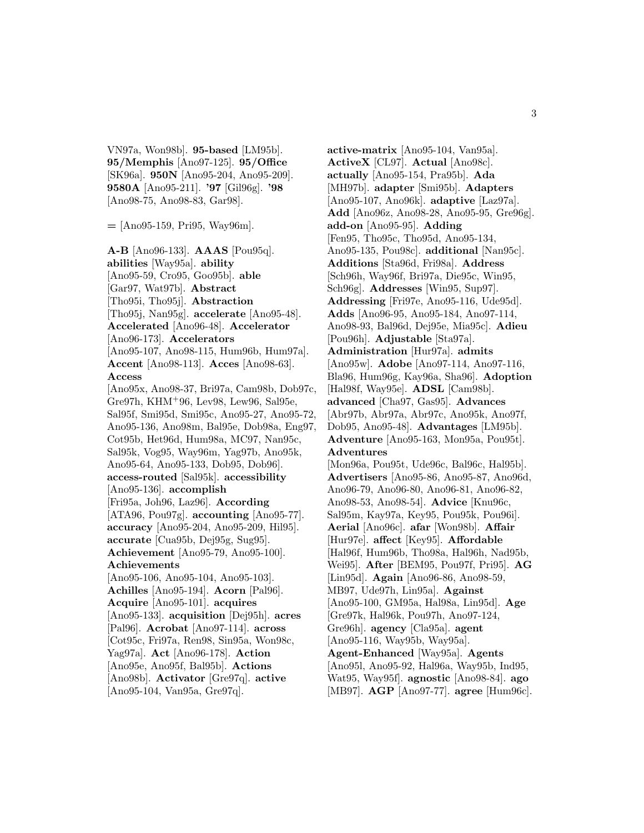VN97a, Won98b]. **95-based** [LM95b]. **95/Memphis** [Ano97-125]. **95/Office** [SK96a]. **950N** [Ano95-204, Ano95-209]. **9580A** [Ano95-211]. **'97** [Gil96g]. **'98** [Ano98-75, Ano98-83, Gar98].

**=** [Ano95-159, Pri95, Way96m].

**A-B** [Ano96-133]. **AAAS** [Pou95q]. **abilities** [Way95a]. **ability** [Ano95-59, Cro95, Goo95b]. **able** [Gar97, Wat97b]. **Abstract** [Tho95i, Tho95j]. **Abstraction** [Tho95j, Nan95g]. **accelerate** [Ano95-48]. **Accelerated** [Ano96-48]. **Accelerator** [Ano96-173]. **Accelerators** [Ano95-107, Ano98-115, Hum96b, Hum97a]. **Accent** [Ano98-113]. **Acces** [Ano98-63]. **Access** [Ano95x, Ano98-37, Bri97a, Cam98b, Dob97c, Gre97h, KHM<sup>+</sup>96, Lev98, Lew96, Sal95e, Sal95f, Smi95d, Smi95c, Ano95-27, Ano95-72, Ano95-136, Ano98m, Bal95e, Dob98a, Eng97, Cot95b, Het96d, Hum98a, MC97, Nan95c, Sal95k, Vog95, Way96m, Yag97b, Ano95k, Ano95-64, Ano95-133, Dob95, Dob96]. **access-routed** [Sal95k]. **accessibility** [Ano95-136]. **accomplish** [Fri95a, Joh96, Laz96]. **According** [ATA96, Pou97g]. **accounting** [Ano95-77]. **accuracy** [Ano95-204, Ano95-209, Hil95]. **accurate** [Cua95b, Dej95g, Sug95]. **Achievement** [Ano95-79, Ano95-100]. **Achievements** [Ano95-106, Ano95-104, Ano95-103]. **Achilles** [Ano95-194]. **Acorn** [Pal96]. **Acquire** [Ano95-101]. **acquires** [Ano95-133]. **acquisition** [Dej95h]. **acres** [Pal96]. **Acrobat** [Ano97-114]. **across** [Cot95c, Fri97a, Ren98, Sin95a, Won98c, Yag97a]. **Act** [Ano96-178]. **Action** [Ano95e, Ano95f, Bal95b]. **Actions**

[Ano98b]. **Activator** [Gre97q]. **active** [Ano95-104, Van95a, Gre97q].

**active-matrix** [Ano95-104, Van95a]. **ActiveX** [CL97]. **Actual** [Ano98c]. **actually** [Ano95-154, Pra95b]. **Ada** [MH97b]. **adapter** [Smi95b]. **Adapters** [Ano95-107, Ano96k]. **adaptive** [Laz97a]. **Add** [Ano96z, Ano98-28, Ano95-95, Gre96g]. **add-on** [Ano95-95]. **Adding** [Fen95, Tho95c, Tho95d, Ano95-134, Ano95-135, Pou98c]. **additional** [Nan95c]. **Additions** [Sta96d, Fri98a]. **Address** [Sch96h, Way96f, Bri97a, Die95c, Win95, Sch96g]. **Addresses** [Win95, Sup97]. **Addressing** [Fri97e, Ano95-116, Ude95d]. **Adds** [Ano96-95, Ano95-184, Ano97-114, Ano98-93, Bal96d, Dej95e, Mia95c]. **Adieu** [Pou96h]. **Adjustable** [Sta97a]. **Administration** [Hur97a]. **admits** [Ano95w]. **Adobe** [Ano97-114, Ano97-116, Bla96, Hum96g, Kay96a, Sha96]. **Adoption** [Hal98f, Way95e]. **ADSL** [Cam98b]. **advanced** [Cha97, Gas95]. **Advances** [Abr97b, Abr97a, Abr97c, Ano95k, Ano97f, Dob95, Ano95-48]. **Advantages** [LM95b]. **Adventure** [Ano95-163, Mon95a, Pou95t]. **Adventures** [Mon96a, Pou95t, Ude96c, Bal96c, Hal95b]. **Advertisers** [Ano95-86, Ano95-87, Ano96d, Ano96-79, Ano96-80, Ano96-81, Ano96-82, Ano98-53, Ano98-54]. **Advice** [Knu96c, Sal95m, Kay97a, Key95, Pou95k, Pou96i]. **Aerial** [Ano96c]. **afar** [Won98b]. **Affair** [Hur97e]. **affect** [Key95]. **Affordable** [Hal96f, Hum96b, Tho98a, Hal96h, Nad95b, Wei95]. **After** [BEM95, Pou97f, Pri95]. **AG** [Lin95d]. **Again** [Ano96-86, Ano98-59, MB97, Ude97h, Lin95a]. **Against** [Ano95-100, GM95a, Hal98a, Lin95d]. **Age** [Gre97k, Hal96k, Pou97h, Ano97-124, Gre96h]. **agency** [Cla95a]. **agent** [Ano95-116, Way95b, Way95a]. **Agent-Enhanced** [Way95a]. **Agents** [Ano95l, Ano95-92, Hal96a, Way95b, Ind95, Wat95, Way95f]. **agnostic** [Ano98-84]. **ago** [MB97]. **AGP** [Ano97-77]. **agree** [Hum96c].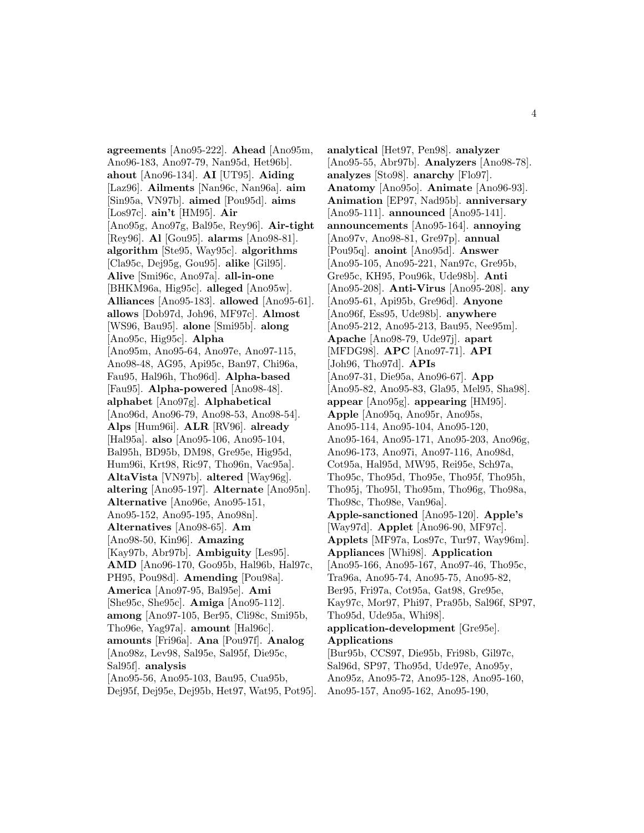**agreements** [Ano95-222]. **Ahead** [Ano95m, Ano96-183, Ano97-79, Nan95d, Het96b]. **ahout** [Ano96-134]. **AI** [UT95]. **Aiding** [Laz96]. **Ailments** [Nan96c, Nan96a]. **aim** [Sin95a, VN97b]. **aimed** [Pou95d]. **aims** [Los97c]. **ain't** [HM95]. **Air** [Ano95g, Ano97g, Bal95e, Rey96]. **Air-tight** [Rey96]. **Al** [Gou95]. **alarms** [Ano98-81]. **algorithm** [Ste95, Way95c]. **algorithms** [Cla95c, Dej95g, Gou95]. **alike** [Gil95]. **Alive** [Smi96c, Ano97a]. **all-in-one** [BHKM96a, Hig95c]. **alleged** [Ano95w]. **Alliances** [Ano95-183]. **allowed** [Ano95-61]. **allows** [Dob97d, Joh96, MF97c]. **Almost** [WS96, Bau95]. **alone** [Smi95b]. **along** [Ano95c, Hig95c]. **Alpha** [Ano95m, Ano95-64, Ano97e, Ano97-115, Ano98-48, AG95, Api95c, Ban97, Chi96a, Fau95, Hal96h, Tho96d]. **Alpha-based** [Fau95]. **Alpha-powered** [Ano98-48]. **alphabet** [Ano97g]. **Alphabetical** [Ano96d, Ano96-79, Ano98-53, Ano98-54]. **Alps** [Hum96i]. **ALR** [RV96]. **already** [Hal95a]. **also** [Ano95-106, Ano95-104, Bal95h, BD95b, DM98, Gre95e, Hig95d, Hum96i, Krt98, Ric97, Tho96n, Vac95a]. **AltaVista** [VN97b]. **altered** [Way96g]. **altering** [Ano95-197]. **Alternate** [Ano95n]. **Alternative** [Ano96e, Ano95-151, Ano95-152, Ano95-195, Ano98n]. **Alternatives** [Ano98-65]. **Am** [Ano98-50, Kin96]. **Amazing** [Kay97b, Abr97b]. **Ambiguity** [Les95]. **AMD** [Ano96-170, Goo95b, Hal96b, Hal97c, PH95, Pou98d]. **Amending** [Pou98a]. **America** [Ano97-95, Bal95e]. **Ami** [She95c, She95c]. **Amiga** [Ano95-112]. **among** [Ano97-105, Ber95, Cli98c, Smi95b, Tho96e, Yag97a]. **amount** [Hal96c]. **amounts** [Fri96a]. **Ana** [Pou97f]. **Analog** [Ano98z, Lev98, Sal95e, Sal95f, Die95c, Sal95f]. **analysis** [Ano95-56, Ano95-103, Bau95, Cua95b, Dej95f, Dej95e, Dej95b, Het97, Wat95, Pot95].

**analytical** [Het97, Pen98]. **analyzer** [Ano95-55, Abr97b]. **Analyzers** [Ano98-78]. **analyzes** [Sto98]. **anarchy** [Flo97]. **Anatomy** [Ano95o]. **Animate** [Ano96-93]. **Animation** [EP97, Nad95b]. **anniversary** [Ano95-111]. **announced** [Ano95-141]. **announcements** [Ano95-164]. **annoying** [Ano97v, Ano98-81, Gre97p]. **annual** [Pou95q]. **anoint** [Ano95d]. **Answer** [Ano95-105, Ano95-221, Nan97c, Gre95b, Gre95c, KH95, Pou96k, Ude98b]. **Anti** [Ano95-208]. **Anti-Virus** [Ano95-208]. **any** [Ano95-61, Api95b, Gre96d]. **Anyone** [Ano96f, Ess95, Ude98b]. **anywhere** [Ano95-212, Ano95-213, Bau95, Nee95m]. **Apache** [Ano98-79, Ude97j]. **apart** [MFDG98]. **APC** [Ano97-71]. **API** [Joh96, Tho97d]. **APIs** [Ano97-31, Die95a, Ano96-67]. **App** [Ano95-82, Ano95-83, Gla95, Mel95, Sha98]. **appear** [Ano95g]. **appearing** [HM95]. **Apple** [Ano95q, Ano95r, Ano95s, Ano95-114, Ano95-104, Ano95-120, Ano95-164, Ano95-171, Ano95-203, Ano96g, Ano96-173, Ano97i, Ano97-116, Ano98d, Cot95a, Hal95d, MW95, Rei95e, Sch97a, Tho95c, Tho95d, Tho95e, Tho95f, Tho95h, Tho95j, Tho95l, Tho95m, Tho96g, Tho98a, Tho98c, Tho98e, Van96a]. **Apple-sanctioned** [Ano95-120]. **Apple's** [Way97d]. **Applet** [Ano96-90, MF97c]. **Applets** [MF97a, Los97c, Tur97, Way96m]. **Appliances** [Whi98]. **Application** [Ano95-166, Ano95-167, Ano97-46, Tho95c, Tra96a, Ano95-74, Ano95-75, Ano95-82, Ber95, Fri97a, Cot95a, Gat98, Gre95e, Kay97c, Mor97, Phi97, Pra95b, Sal96f, SP97, Tho95d, Ude95a, Whi98]. **application-development** [Gre95e]. **Applications** [Bur95b, CCS97, Die95b, Fri98b, Gil97c, Sal96d, SP97, Tho95d, Ude97e, Ano95y, Ano95z, Ano95-72, Ano95-128, Ano95-160,

Ano95-157, Ano95-162, Ano95-190,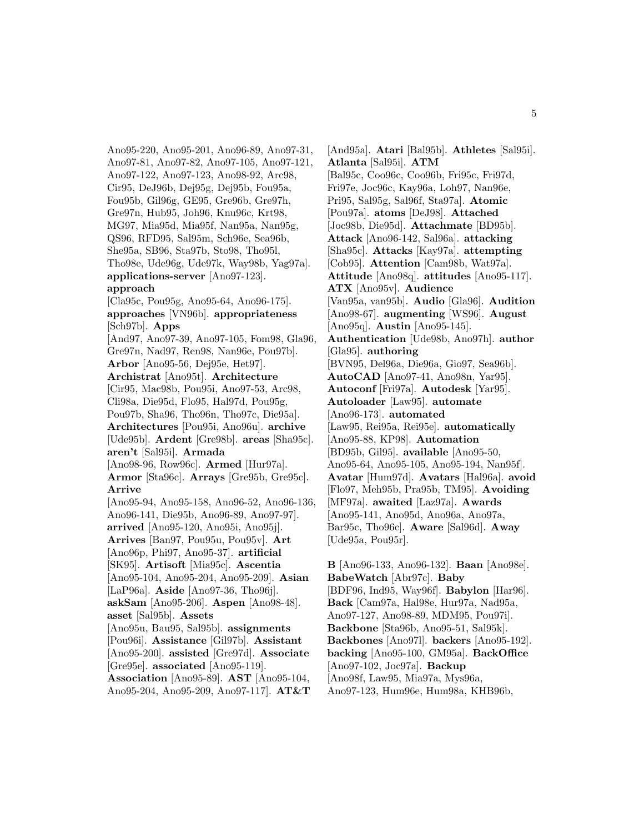Ano95-220, Ano95-201, Ano96-89, Ano97-31, Ano97-81, Ano97-82, Ano97-105, Ano97-121, Ano97-122, Ano97-123, Ano98-92, Arc98, Cir95, DeJ96b, Dej95g, Dej95b, Fou95a, Fou95b, Gil96g, GE95, Gre96b, Gre97h, Gre97n, Hub95, Joh96, Knu96c, Krt98, MG97, Mia95d, Mia95f, Nan95a, Nan95g, QS96, RFD95, Sal95m, Sch96e, Sea96b, She95a, SB96, Sta97b, Sto98, Tho95l, Tho98e, Ude96g, Ude97k, Way98b, Yag97a]. **applications-server** [Ano97-123].

# **approach**

[Cla95c, Pou95g, Ano95-64, Ano96-175]. **approaches** [VN96b]. **appropriateness** [Sch97b]. **Apps** [And97, Ano97-39, Ano97-105, Fom98, Gla96, Gre97n, Nad97, Ren98, Nan96e, Pou97b]. **Arbor** [Ano95-56, Dej95e, Het97]. **Archistrat** [Ano95t]. **Architecture** [Cir95, Mac98b, Pou95i, Ano97-53, Arc98, Cli98a, Die95d, Flo95, Hal97d, Pou95g, Pou97b, Sha96, Tho96n, Tho97c, Die95a]. **Architectures** [Pou95i, Ano96u]. **archive** [Ude95b]. **Ardent** [Gre98b]. **areas** [Sha95c]. **aren't** [Sal95i]. **Armada** [Ano98-96, Row96c]. **Armed** [Hur97a]. **Armor** [Sta96c]. **Arrays** [Gre95b, Gre95c]. **Arrive** [Ano95-94, Ano95-158, Ano96-52, Ano96-136, Ano96-141, Die95b, Ano96-89, Ano97-97]. **arrived** [Ano95-120, Ano95i, Ano95j]. **Arrives** [Ban97, Pou95u, Pou95v]. **Art** [Ano96p, Phi97, Ano95-37]. **artificial** [SK95]. **Artisoft** [Mia95c]. **Ascentia** [Ano95-104, Ano95-204, Ano95-209]. **Asian** [LaP96a]. **Aside** [Ano97-36, Tho96j]. **askSam** [Ano95-206]. **Aspen** [Ano98-48]. **asset** [Sal95b]. **Assets** [Ano95u, Bau95, Sal95b]. **assignments** [Pou96i]. **Assistance** [Gil97b]. **Assistant** [Ano95-200]. **assisted** [Gre97d]. **Associate** [Gre95e]. **associated** [Ano95-119]. **Association** [Ano95-89]. **AST** [Ano95-104, Ano95-204, Ano95-209, Ano97-117]. **AT&T**

[And95a]. **Atari** [Bal95b]. **Athletes** [Sal95i]. **Atlanta** [Sal95i]. **ATM** [Bal95c, Coo96c, Coo96b, Fri95c, Fri97d, Fri97e, Joc96c, Kay96a, Loh97, Nan96e, Pri95, Sal95g, Sal96f, Sta97a]. **Atomic** [Pou97a]. **atoms** [DeJ98]. **Attached** [Joc98b, Die95d]. **Attachmate** [BD95b]. **Attack** [Ano96-142, Sal96a]. **attacking** [Sha95c]. **Attacks** [Kay97a]. **attempting** [Cob95]. **Attention** [Cam98b, Wat97a]. **Attitude** [Ano98q]. **attitudes** [Ano95-117]. **ATX** [Ano95v]. **Audience** [Van95a, van95b]. **Audio** [Gla96]. **Audition** [Ano98-67]. **augmenting** [WS96]. **August** [Ano95q]. **Austin** [Ano95-145]. **Authentication** [Ude98b, Ano97h]. **author** [Gla95]. **authoring** [BVN95, Del96a, Die96a, Gio97, Sea96b]. **AutoCAD** [Ano97-41, Ano98n, Yar95]. **Autoconf** [Fri97a]. **Autodesk** [Yar95]. **Autoloader** [Law95]. **automate** [Ano96-173]. **automated** [Law95, Rei95a, Rei95e]. **automatically** [Ano95-88, KP98]. **Automation** [BD95b, Gil95]. **available** [Ano95-50, Ano95-64, Ano95-105, Ano95-194, Nan95f]. **Avatar** [Hum97d]. **Avatars** [Hal96a]. **avoid** [Flo97, Meh95b, Pra95b, TM95]. **Avoiding** [MF97a]. **awaited** [Laz97a]. **Awards** [Ano95-141, Ano95d, Ano96a, Ano97a, Bar95c, Tho96c]. **Aware** [Sal96d]. **Away** [Ude95a, Pou95r].

**B** [Ano96-133, Ano96-132]. **Baan** [Ano98e]. **BabeWatch** [Abr97c]. **Baby** [BDF96, Ind95, Way96f]. **Babylon** [Har96]. **Back** [Cam97a, Hal98e, Hur97a, Nad95a, Ano97-127, Ano98-89, MDM95, Pou97i]. **Backbone** [Sta96b, Ano95-51, Sal95k]. **Backbones** [Ano97l]. **backers** [Ano95-192]. **backing** [Ano95-100, GM95a]. **BackOffice** [Ano97-102, Joc97a]. **Backup** [Ano98f, Law95, Mia97a, Mys96a, Ano97-123, Hum96e, Hum98a, KHB96b,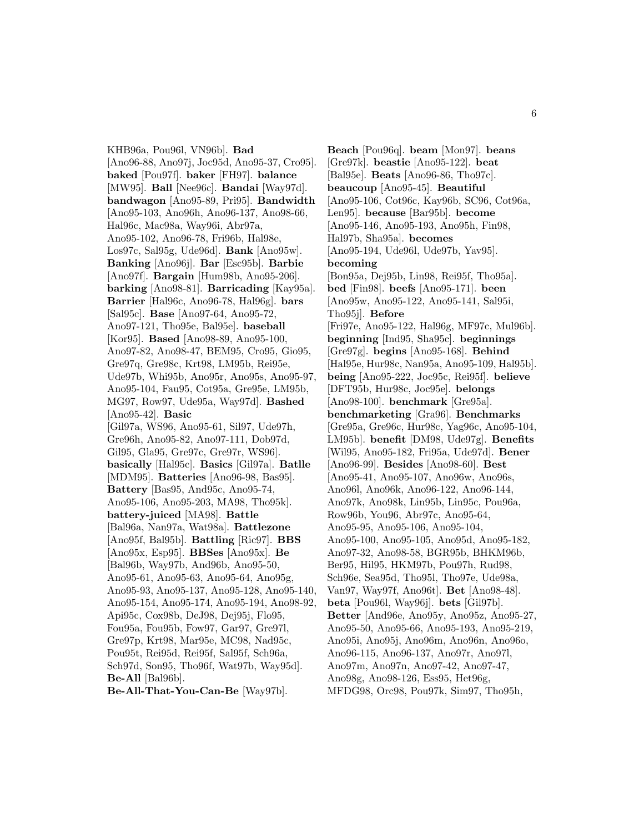KHB96a, Pou96l, VN96b]. **Bad** [Ano96-88, Ano97j, Joc95d, Ano95-37, Cro95]. **baked** [Pou97f]. **baker** [FH97]. **balance** [MW95]. **Ball** [Nee96c]. **Bandai** [Way97d]. **bandwagon** [Ano95-89, Pri95]. **Bandwidth** [Ano95-103, Ano96h, Ano96-137, Ano98-66, Hal96c, Mac98a, Way96i, Abr97a, Ano95-102, Ano96-78, Fri96b, Hal98e, Los97c, Sal95g, Ude96d]. **Bank** [Ano95w]. **Banking** [Ano96j]. **Bar** [Esc95b]. **Barbie** [Ano97f]. **Bargain** [Hum98b, Ano95-206]. **barking** [Ano98-81]. **Barricading** [Kay95a]. **Barrier** [Hal96c, Ano96-78, Hal96g]. **bars** [Sal95c]. **Base** [Ano97-64, Ano95-72, Ano97-121, Tho95e, Bal95e]. **baseball** [Kor95]. **Based** [Ano98-89, Ano95-100, Ano97-82, Ano98-47, BEM95, Cro95, Gio95, Gre97q, Gre98c, Krt98, LM95b, Rei95e, Ude97b, Whi95b, Ano95r, Ano95s, Ano95-97, Ano95-104, Fau95, Cot95a, Gre95e, LM95b, MG97, Row97, Ude95a, Way97d]. **Bashed** [Ano95-42]. **Basic** [Gil97a, WS96, Ano95-61, Sil97, Ude97h, Gre96h, Ano95-82, Ano97-111, Dob97d, Gil95, Gla95, Gre97c, Gre97r, WS96]. **basically** [Hal95c]. **Basics** [Gil97a]. **Batlle** [MDM95]. **Batteries** [Ano96-98, Bas95]. **Battery** [Bas95, And95c, Ano95-74, Ano95-106, Ano95-203, MA98, Tho95k]. **battery-juiced** [MA98]. **Battle** [Bal96a, Nan97a, Wat98a]. **Battlezone** [Ano95f, Bal95b]. **Battling** [Ric97]. **BBS** [Ano95x, Esp95]. **BBSes** [Ano95x]. **Be** [Bal96b, Way97b, And96b, Ano95-50, Ano95-61, Ano95-63, Ano95-64, Ano95g, Ano95-93, Ano95-137, Ano95-128, Ano95-140, Ano95-154, Ano95-174, Ano95-194, Ano98-92, Api95c, Cox98b, DeJ98, Dej95j, Flo95, Fou95a, Fou95b, Fow97, Gar97, Gre97l, Gre97p, Krt98, Mar95e, MC98, Nad95c, Pou95t, Rei95d, Rei95f, Sal95f, Sch96a, Sch97d, Son95, Tho96f, Wat97b, Way95d]. **Be-All** [Bal96b]. **Be-All-That-You-Can-Be** [Way97b].

**Beach** [Pou96q]. **beam** [Mon97]. **beans** [Gre97k]. **beastie** [Ano95-122]. **beat** [Bal95e]. **Beats** [Ano96-86, Tho97c]. **beaucoup** [Ano95-45]. **Beautiful** [Ano95-106, Cot96c, Kay96b, SC96, Cot96a, Len95]. **because** [Bar95b]. **become** [Ano95-146, Ano95-193, Ano95h, Fin98, Hal97b, Sha95a]. **becomes** [Ano95-194, Ude96l, Ude97b, Yav95]. **becoming** [Bon95a, Dej95b, Lin98, Rei95f, Tho95a]. **bed** [Fin98]. **beefs** [Ano95-171]. **been** [Ano95w, Ano95-122, Ano95-141, Sal95i, Tho95j]. **Before** [Fri97e, Ano95-122, Hal96g, MF97c, Mul96b]. **beginning** [Ind95, Sha95c]. **beginnings** [Gre97g]. **begins** [Ano95-168]. **Behind** [Hal95e, Hur98c, Nan95a, Ano95-109, Hal95b]. **being** [Ano95-222, Joc95c, Rei95f]. **believe** [DFT95b, Hur98c, Joc95e]. **belongs** [Ano98-100]. **benchmark** [Gre95a]. **benchmarketing** [Gra96]. **Benchmarks** [Gre95a, Gre96c, Hur98c, Yag96c, Ano95-104, LM95b]. **benefit** [DM98, Ude97g]. **Benefits** [Wil95, Ano95-182, Fri95a, Ude97d]. **Bener** [Ano96-99]. **Besides** [Ano98-60]. **Best** [Ano95-41, Ano95-107, Ano96w, Ano96s, Ano96l, Ano96k, Ano96-122, Ano96-144, Ano97k, Ano98k, Lin95b, Lin95c, Pou96a, Row96b, You96, Abr97c, Ano95-64, Ano95-95, Ano95-106, Ano95-104, Ano95-100, Ano95-105, Ano95d, Ano95-182, Ano97-32, Ano98-58, BGR95b, BHKM96b, Ber95, Hil95, HKM97b, Pou97h, Rud98, Sch96e, Sea95d, Tho95l, Tho97e, Ude98a, Van97, Way97f, Ano96t]. **Bet** [Ano98-48]. **beta** [Pou96l, Way96j]. **bets** [Gil97b]. **Better** [And96e, Ano95y, Ano95z, Ano95-27, Ano95-50, Ano95-66, Ano95-193, Ano95-219, Ano95i, Ano95j, Ano96m, Ano96n, Ano96o, Ano96-115, Ano96-137, Ano97r, Ano97l, Ano97m, Ano97n, Ano97-42, Ano97-47, Ano98g, Ano98-126, Ess95, Het96g, MFDG98, Orc98, Pou97k, Sim97, Tho95h,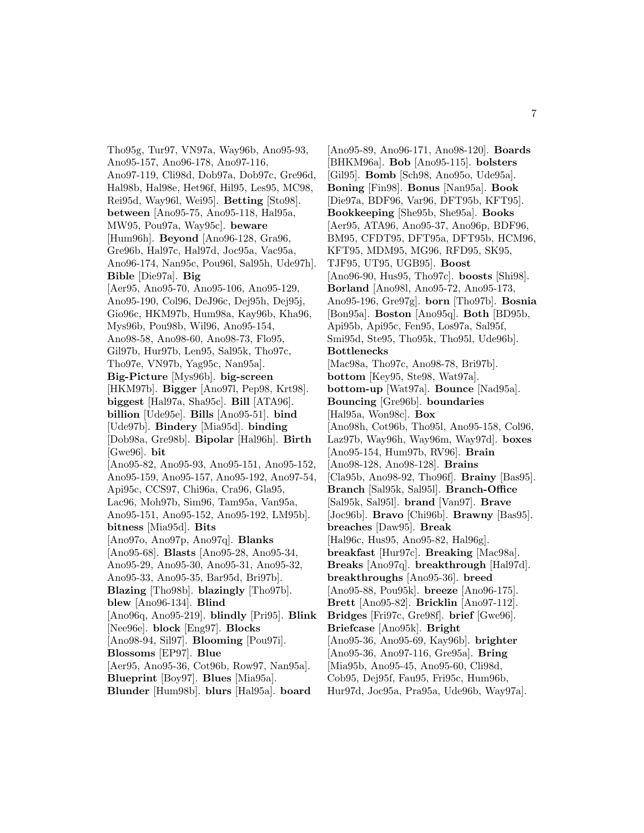Tho95g, Tur97, VN97a, Way96b, Ano95-93, Ano95-157, Ano96-178, Ano97-116, Ano97-119, Cli98d, Dob97a, Dob97c, Gre96d, Hal98b, Hal98e, Het96f, Hil95, Les95, MC98, Rei95d, Way96l, Wei95]. **Betting** [Sto98]. **between** [Ano95-75, Ano95-118, Hal95a, MW95, Pou97a, Way95c]. **beware** [Hum96h]. **Beyond** [Ano96-128, Gra96, Gre96b, Hal97c, Hal97d, Joc95a, Vac95a, Ano96-174, Nan95c, Pou96l, Sal95h, Ude97h]. **Bible** [Die97a]. **Big** [Aer95, Ano95-70, Ano95-106, Ano95-129, Ano95-190, Col96, DeJ96c, Dej95h, Dej95j, Gio96c, HKM97b, Hum98a, Kay96b, Kha96, Mys96b, Pou98b, Wil96, Ano95-154, Ano98-58, Ano98-60, Ano98-73, Flo95, Gil97b, Hur97b, Len95, Sal95k, Tho97c, Tho97e, VN97b, Yag95c, Nan95a]. **Big-Picture** [Mys96b]. **big-screen** [HKM97b]. **Bigger** [Ano97l, Pep98, Krt98]. **biggest** [Hal97a, Sha95c]. **Bill** [ATA96]. **billion** [Ude95e]. **Bills** [Ano95-51]. **bind** [Ude97b]. **Bindery** [Mia95d]. **binding** [Dob98a, Gre98b]. **Bipolar** [Hal96h]. **Birth** [Gwe96]. **bit** [Ano95-82, Ano95-93, Ano95-151, Ano95-152, Ano95-159, Ano95-157, Ano95-192, Ano97-54, Api95c, CCS97, Chi96a, Cra96, Gla95, Lac96, Moh97b, Sim96, Tam95a, Van95a, Ano95-151, Ano95-152, Ano95-192, LM95b]. **bitness** [Mia95d]. **Bits** [Ano97o, Ano97p, Ano97q]. **Blanks** [Ano95-68]. **Blasts** [Ano95-28, Ano95-34, Ano95-29, Ano95-30, Ano95-31, Ano95-32, Ano95-33, Ano95-35, Bar95d, Bri97b]. **Blazing** [Tho98b]. **blazingly** [Tho97b]. **blew** [Ano96-134]. **Blind** [Ano96q, Ano95-219]. **blindly** [Pri95]. **Blink** [Nee96e]. **block** [Eng97]. **Blocks** [Ano98-94, Sil97]. **Blooming** [Pou97i]. **Blossoms** [EP97]. **Blue** [Aer95, Ano95-36, Cot96b, Row97, Nan95a]. **Blueprint** [Boy97]. **Blues** [Mia95a]. **Blunder** [Hum98b]. **blurs** [Hal95a]. **board**

[Ano95-89, Ano96-171, Ano98-120]. **Boards** [BHKM96a]. **Bob** [Ano95-115]. **bolsters** [Gil95]. **Bomb** [Sch98, Ano95o, Ude95a]. **Boning** [Fin98]. **Bonus** [Nan95a]. **Book** [Die97a, BDF96, Var96, DFT95b, KFT95]. **Bookkeeping** [She95b, She95a]. **Books** [Aer95, ATA96, Ano95-37, Ano96p, BDF96, BM95, CFDT95, DFT95a, DFT95b, HCM96, KFT95, MDM95, MG96, RFD95, SK95, TJF95, UT95, UGB95]. **Boost** [Ano96-90, Hus95, Tho97c]. **boosts** [Shi98]. **Borland** [Ano98l, Ano95-72, Ano95-173, Ano95-196, Gre97g]. **born** [Tho97b]. **Bosnia** [Bon95a]. **Boston** [Ano95q]. **Both** [BD95b, Api95b, Api95c, Fen95, Los97a, Sal95f, Smi95d, Ste95, Tho95k, Tho95l, Ude96b]. **Bottlenecks** [Mac98a, Tho97c, Ano98-78, Bri97b]. **bottom** [Key95, Ste98, Wat97a]. **bottom-up** [Wat97a]. **Bounce** [Nad95a]. **Bouncing** [Gre96b]. **boundaries** [Hal95a, Won98c]. **Box** [Ano98h, Cot96b, Tho95l, Ano95-158, Col96, Laz97b, Way96h, Way96m, Way97d]. **boxes** [Ano95-154, Hum97b, RV96]. **Brain** [Ano98-128, Ano98-128]. **Brains** [Cla95b, Ano98-92, Tho96f]. **Brainy** [Bas95]. **Branch** [Sal95k, Sal95l]. **Branch-Office** [Sal95k, Sal95l]. **brand** [Van97]. **Brave** [Joc96b]. **Bravo** [Chi96b]. **Brawny** [Bas95]. **breaches** [Daw95]. **Break** [Hal96c, Hus95, Ano95-82, Hal96g]. **breakfast** [Hur97c]. **Breaking** [Mac98a]. **Breaks** [Ano97q]. **breakthrough** [Hal97d]. **breakthroughs** [Ano95-36]. **breed** [Ano95-88, Pou95k]. **breeze** [Ano96-175]. **Brett** [Ano95-82]. **Bricklin** [Ano97-112]. **Bridges** [Fri97c, Gre98f]. **brief** [Gwe96]. **Briefcase** [Ano95k]. **Bright** [Ano95-36, Ano95-69, Kay96b]. **brighter** [Ano95-36, Ano97-116, Gre95a]. **Bring** [Mia95b, Ano95-45, Ano95-60, Cli98d, Cob95, Dej95f, Fau95, Fri95c, Hum96b, Hur97d, Joc95a, Pra95a, Ude96b, Way97a].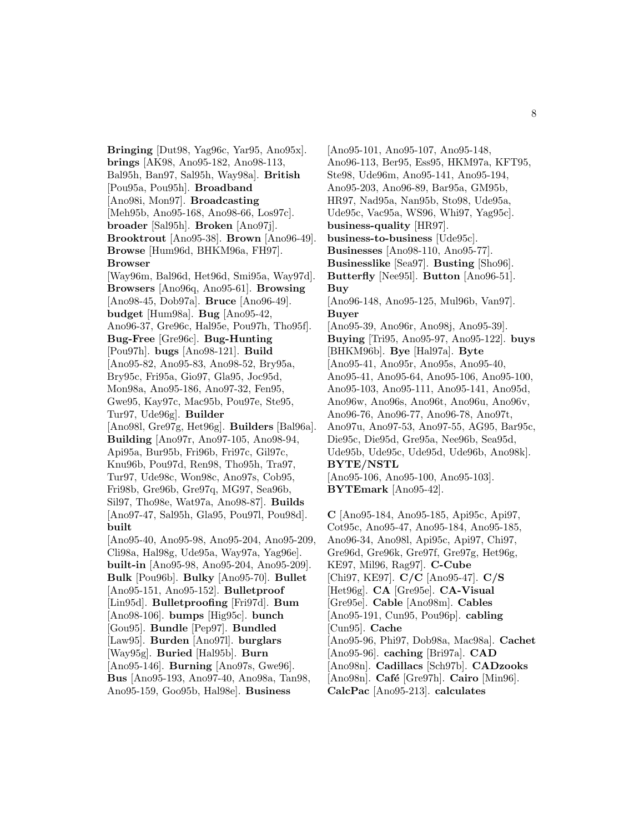**Bringing** [Dut98, Yag96c, Yar95, Ano95x]. **brings** [AK98, Ano95-182, Ano98-113, Bal95h, Ban97, Sal95h, Way98a]. **British** [Pou95a, Pou95h]. **Broadband** [Ano98i, Mon97]. **Broadcasting** [Meh95b, Ano95-168, Ano98-66, Los97c]. **broader** [Sal95h]. **Broken** [Ano97j]. **Brooktrout** [Ano95-38]. **Brown** [Ano96-49]. **Browse** [Hum96d, BHKM96a, FH97]. **Browser** [Way96m, Bal96d, Het96d, Smi95a, Way97d]. **Browsers** [Ano96q, Ano95-61]. **Browsing** [Ano98-45, Dob97a]. **Bruce** [Ano96-49]. **budget** [Hum98a]. **Bug** [Ano95-42, Ano96-37, Gre96c, Hal95e, Pou97h, Tho95f]. **Bug-Free** [Gre96c]. **Bug-Hunting** [Pou97h]. **bugs** [Ano98-121]. **Build** [Ano95-82, Ano95-83, Ano98-52, Bry95a, Bry95c, Fri95a, Gio97, Gla95, Joc95d, Mon98a, Ano95-186, Ano97-32, Fen95, Gwe95, Kay97c, Mac95b, Pou97e, Ste95, Tur97, Ude96g]. **Builder** [Ano98l, Gre97g, Het96g]. **Builders** [Bal96a]. **Building** [Ano97r, Ano97-105, Ano98-94, Api95a, Bur95b, Fri96b, Fri97c, Gil97c, Knu96b, Pou97d, Ren98, Tho95h, Tra97, Tur97, Ude98c, Won98c, Ano97s, Cob95, Fri98b, Gre96b, Gre97q, MG97, Sea96b, Sil97, Tho98e, Wat97a, Ano98-87]. **Builds** [Ano97-47, Sal95h, Gla95, Pou97l, Pou98d]. **built** [Ano95-40, Ano95-98, Ano95-204, Ano95-209, Cli98a, Hal98g, Ude95a, Way97a, Yag96e]. **built-in** [Ano95-98, Ano95-204, Ano95-209]. **Bulk** [Pou96b]. **Bulky** [Ano95-70]. **Bullet** [Ano95-151, Ano95-152]. **Bulletproof** [Lin95d]. **Bulletproofing** [Fri97d]. **Bum** [Ano98-106]. **bumps** [Hig95c]. **bunch** [Gou95]. **Bundle** [Pep97]. **Bundled** [Law95]. **Burden** [Ano97l]. **burglars** [Way95g]. **Buried** [Hal95b]. **Burn** [Ano95-146]. **Burning** [Ano97s, Gwe96]. **Bus** [Ano95-193, Ano97-40, Ano98a, Tan98, Ano95-159, Goo95b, Hal98e]. **Business**

[Ano95-101, Ano95-107, Ano95-148, Ano96-113, Ber95, Ess95, HKM97a, KFT95, Ste98, Ude96m, Ano95-141, Ano95-194, Ano95-203, Ano96-89, Bar95a, GM95b, HR97, Nad95a, Nan95b, Sto98, Ude95a, Ude95c, Vac95a, WS96, Whi97, Yag95c]. **business-quality** [HR97]. **business-to-business** [Ude95c]. **Businesses** [Ano98-110, Ano95-77]. **Businesslike** [Sea97]. **Busting** [Sho96]. **Butterfly** [Nee95l]. **Button** [Ano96-51]. **Buy** [Ano96-148, Ano95-125, Mul96b, Van97]. **Buyer** [Ano95-39, Ano96r, Ano98j, Ano95-39]. **Buying** [Tri95, Ano95-97, Ano95-122]. **buys** [BHKM96b]. **Bye** [Hal97a]. **Byte** [Ano95-41, Ano95r, Ano95s, Ano95-40, Ano95-41, Ano95-64, Ano95-106, Ano95-100, Ano95-103, Ano95-111, Ano95-141, Ano95d, Ano96w, Ano96s, Ano96t, Ano96u, Ano96v, Ano96-76, Ano96-77, Ano96-78, Ano97t, Ano97u, Ano97-53, Ano97-55, AG95, Bar95c, Die95c, Die95d, Gre95a, Nee96b, Sea95d, Ude95b, Ude95c, Ude95d, Ude96b, Ano98k]. **BYTE/NSTL** [Ano95-106, Ano95-100, Ano95-103]. **BYTEmark** [Ano95-42]. **C** [Ano95-184, Ano95-185, Api95c, Api97,

Cot95c, Ano95-47, Ano95-184, Ano95-185, Ano96-34, Ano98l, Api95c, Api97, Chi97, Gre96d, Gre96k, Gre97f, Gre97g, Het96g, KE97, Mil96, Rag97]. **C-Cube** [Chi97, KE97]. **C/C** [Ano95-47]. **C/S** [Het96g]. **CA** [Gre95e]. **CA-Visual** [Gre95e]. **Cable** [Ano98m]. **Cables** [Ano95-191, Cun95, Pou96p]. **cabling** [Cun95]. **Cache** [Ano95-96, Phi97, Dob98a, Mac98a]. **Cachet** [Ano95-96]. **caching** [Bri97a]. **CAD** [Ano98n]. **Cadillacs** [Sch97b]. **CADzooks** [Ano98n]. **Caf´e** [Gre97h]. **Cairo** [Min96]. **CalcPac** [Ano95-213]. **calculates**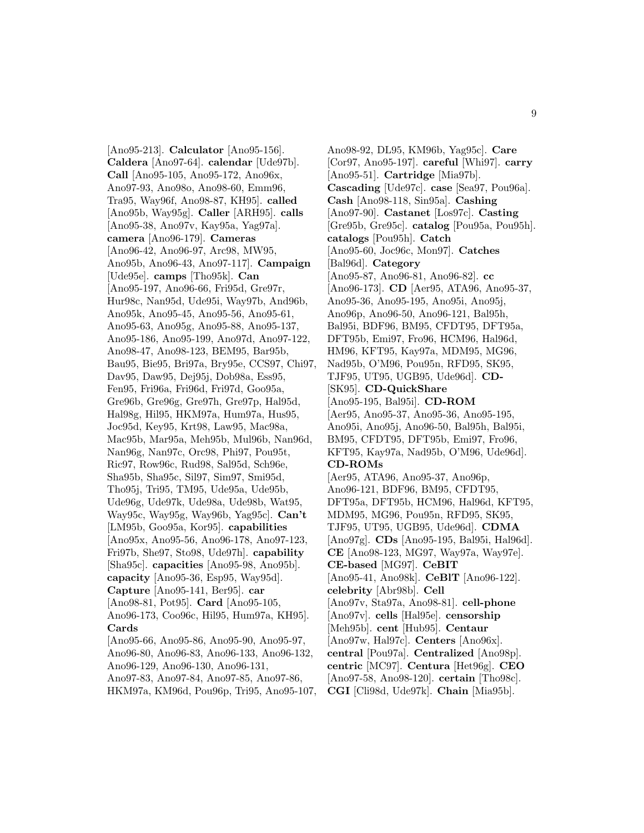[Ano95-213]. **Calculator** [Ano95-156]. **Caldera** [Ano97-64]. **calendar** [Ude97b]. **Call** [Ano95-105, Ano95-172, Ano96x, Ano97-93, Ano98o, Ano98-60, Emm96, Tra95, Way96f, Ano98-87, KH95]. **called** [Ano95b, Way95g]. **Caller** [ARH95]. **calls** [Ano95-38, Ano97v, Kay95a, Yag97a]. **camera** [Ano96-179]. **Cameras** [Ano96-42, Ano96-97, Arc98, MW95, Ano95b, Ano96-43, Ano97-117]. **Campaign** [Ude95e]. **camps** [Tho95k]. **Can** [Ano95-197, Ano96-66, Fri95d, Gre97r, Hur98c, Nan95d, Ude95i, Way97b, And96b, Ano95k, Ano95-45, Ano95-56, Ano95-61, Ano95-63, Ano95g, Ano95-88, Ano95-137, Ano95-186, Ano95-199, Ano97d, Ano97-122, Ano98-47, Ano98-123, BEM95, Bar95b, Bau95, Bie95, Bri97a, Bry95e, CCS97, Chi97, Dav95, Daw95, Dej95j, Dob98a, Ess95, Fen95, Fri96a, Fri96d, Fri97d, Goo95a, Gre96b, Gre96g, Gre97h, Gre97p, Hal95d, Hal98g, Hil95, HKM97a, Hum97a, Hus95, Joc95d, Key95, Krt98, Law95, Mac98a, Mac95b, Mar95a, Meh95b, Mul96b, Nan96d, Nan96g, Nan97c, Orc98, Phi97, Pou95t, Ric97, Row96c, Rud98, Sal95d, Sch96e, Sha95b, Sha95c, Sil97, Sim97, Smi95d, Tho95j, Tri95, TM95, Ude95a, Ude95b, Ude96g, Ude97k, Ude98a, Ude98b, Wat95, Way95c, Way95g, Way96b, Yag95c]. **Can't** [LM95b, Goo95a, Kor95]. **capabilities** [Ano95x, Ano95-56, Ano96-178, Ano97-123, Fri97b, She97, Sto98, Ude97h]. **capability** [Sha95c]. **capacities** [Ano95-98, Ano95b]. **capacity** [Ano95-36, Esp95, Way95d]. **Capture** [Ano95-141, Ber95]. **car** [Ano98-81, Pot95]. **Card** [Ano95-105, Ano96-173, Coo96c, Hil95, Hum97a, KH95]. **Cards** [Ano95-66, Ano95-86, Ano95-90, Ano95-97, Ano96-80, Ano96-83, Ano96-133, Ano96-132, Ano96-129, Ano96-130, Ano96-131, Ano97-83, Ano97-84, Ano97-85, Ano97-86, HKM97a, KM96d, Pou96p, Tri95, Ano95-107,

Ano98-92, DL95, KM96b, Yag95c]. **Care** [Cor97, Ano95-197]. **careful** [Whi97]. **carry** [Ano95-51]. **Cartridge** [Mia97b]. **Cascading** [Ude97c]. **case** [Sea97, Pou96a]. **Cash** [Ano98-118, Sin95a]. **Cashing** [Ano97-90]. **Castanet** [Los97c]. **Casting** [Gre95b, Gre95c]. **catalog** [Pou95a, Pou95h]. **catalogs** [Pou95h]. **Catch** [Ano95-60, Joc96c, Mon97]. **Catches** [Bal96d]. **Category** [Ano95-87, Ano96-81, Ano96-82]. **cc** [Ano96-173]. **CD** [Aer95, ATA96, Ano95-37, Ano95-36, Ano95-195, Ano95i, Ano95j, Ano96p, Ano96-50, Ano96-121, Bal95h, Bal95i, BDF96, BM95, CFDT95, DFT95a, DFT95b, Emi97, Fro96, HCM96, Hal96d, HM96, KFT95, Kay97a, MDM95, MG96, Nad95b, O'M96, Pou95n, RFD95, SK95, TJF95, UT95, UGB95, Ude96d]. **CD-** [SK95]. **CD-QuickShare** [Ano95-195, Bal95i]. **CD-ROM** [Aer95, Ano95-37, Ano95-36, Ano95-195, Ano95i, Ano95j, Ano96-50, Bal95h, Bal95i, BM95, CFDT95, DFT95b, Emi97, Fro96, KFT95, Kay97a, Nad95b, O'M96, Ude96d]. **CD-ROMs** [Aer95, ATA96, Ano95-37, Ano96p, Ano96-121, BDF96, BM95, CFDT95, DFT95a, DFT95b, HCM96, Hal96d, KFT95, MDM95, MG96, Pou95n, RFD95, SK95, TJF95, UT95, UGB95, Ude96d]. **CDMA** [Ano97g]. **CDs** [Ano95-195, Bal95i, Hal96d]. **CE** [Ano98-123, MG97, Way97a, Way97e]. **CE-based** [MG97]. **CeBIT** [Ano95-41, Ano98k]. **CeBlT** [Ano96-122]. **celebrity** [Abr98b]. **Cell** [Ano97v, Sta97a, Ano98-81]. **cell-phone** [Ano97v]. **cells** [Hal95e]. **censorship** [Meh95b]. **cent** [Hub95]. **Centaur** [Ano97w, Hal97c]. **Centers** [Ano96x]. **central** [Pou97a]. **Centralized** [Ano98p]. **centric** [MC97]. **Centura** [Het96g]. **CEO** [Ano97-58, Ano98-120]. **certain** [Tho98c]. **CGI** [Cli98d, Ude97k]. **Chain** [Mia95b].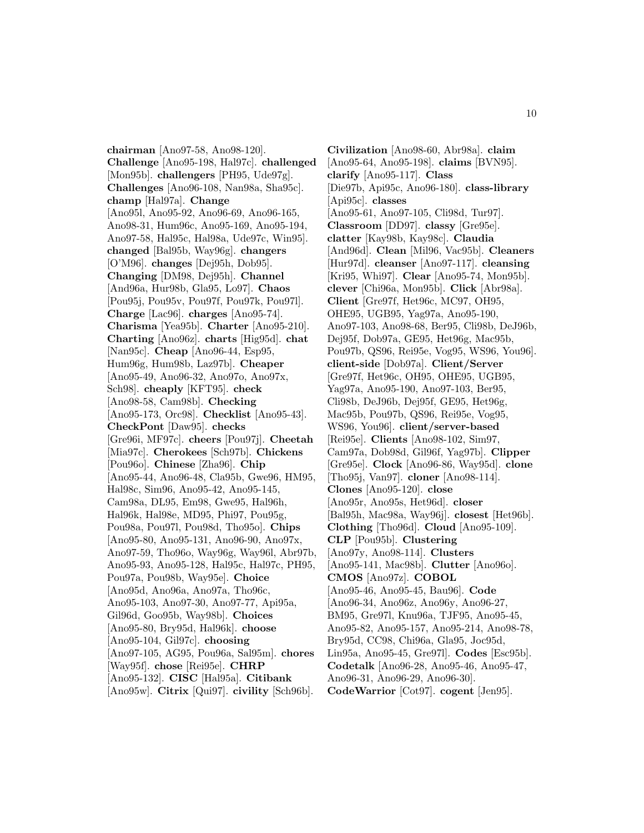**chairman** [Ano97-58, Ano98-120]. **Challenge** [Ano95-198, Hal97c]. **challenged** [Mon95b]. **challengers** [PH95, Ude97g]. **Challenges** [Ano96-108, Nan98a, Sha95c]. **champ** [Hal97a]. **Change** [Ano95l, Ano95-92, Ano96-69, Ano96-165, Ano98-31, Hum96c, Ano95-169, Ano95-194, Ano97-58, Hal95c, Hal98a, Ude97c, Win95]. **changed** [Bal95b, Way96g]. **changers** [O'M96]. **changes** [Dej95h, Dob95]. **Changing** [DM98, Dej95h]. **Channel** [And96a, Hur98b, Gla95, Lo97]. **Chaos** [Pou95j, Pou95v, Pou97f, Pou97k, Pou97l]. **Charge** [Lac96]. **charges** [Ano95-74]. **Charisma** [Yea95b]. **Charter** [Ano95-210]. **Charting** [Ano96z]. **charts** [Hig95d]. **chat** [Nan95c]. **Cheap** [Ano96-44, Esp95, Hum96g, Hum98b, Laz97b]. **Cheaper** [Ano95-49, Ano96-32, Ano97o, Ano97x, Sch98]. **cheaply** [KFT95]. **check** [Ano98-58, Cam98b]. **Checking** [Ano95-173, Orc98]. **Checklist** [Ano95-43]. **CheckPont** [Daw95]. **checks** [Gre96i, MF97c]. **cheers** [Pou97j]. **Cheetah** [Mia97c]. **Cherokees** [Sch97b]. **Chickens** [Pou96o]. **Chinese** [Zha96]. **Chip** [Ano95-44, Ano96-48, Cla95b, Gwe96, HM95, Hal98c, Sim96, Ano95-42, Ano95-145, Cam98a, DL95, Em98, Gwe95, Hal96h, Hal96k, Hal98e, MD95, Phi97, Pou95g, Pou98a, Pou97l, Pou98d, Tho95o]. **Chips** [Ano95-80, Ano95-131, Ano96-90, Ano97x, Ano97-59, Tho96o, Way96g, Way96l, Abr97b, Ano95-93, Ano95-128, Hal95c, Hal97c, PH95, Pou97a, Pou98b, Way95e]. **Choice** [Ano95d, Ano96a, Ano97a, Tho96c, Ano95-103, Ano97-30, Ano97-77, Api95a, Gil96d, Goo95b, Way98b]. **Choices** [Ano95-80, Bry95d, Hal96k]. **choose** [Ano95-104, Gil97c]. **choosing** [Ano97-105, AG95, Pou96a, Sal95m]. **chores** [Way95f]. **chose** [Rei95e]. **CHRP** [Ano95-132]. **CISC** [Hal95a]. **Citibank** [Ano95w]. **Citrix** [Qui97]. **civility** [Sch96b].

**Civilization** [Ano98-60, Abr98a]. **claim** [Ano95-64, Ano95-198]. **claims** [BVN95]. **clarify** [Ano95-117]. **Class** [Die97b, Api95c, Ano96-180]. **class-library** [Api95c]. **classes** [Ano95-61, Ano97-105, Cli98d, Tur97]. **Classroom** [DD97]. **classy** [Gre95e]. **clatter** [Kay98b, Kay98c]. **Claudia** [And96d]. **Clean** [Mil96, Vac95b]. **Cleaners** [Hur97d]. **cleanser** [Ano97-117]. **cleansing** [Kri95, Whi97]. **Clear** [Ano95-74, Mon95b]. **clever** [Chi96a, Mon95b]. **Click** [Abr98a]. **Client** [Gre97f, Het96c, MC97, OH95, OHE95, UGB95, Yag97a, Ano95-190, Ano97-103, Ano98-68, Ber95, Cli98b, DeJ96b, Dej95f, Dob97a, GE95, Het96g, Mac95b, Pou97b, QS96, Rei95e, Vog95, WS96, You96]. **client-side** [Dob97a]. **Client/Server** [Gre97f, Het96c, OH95, OHE95, UGB95, Yag97a, Ano95-190, Ano97-103, Ber95, Cli98b, DeJ96b, Dej95f, GE95, Het96g, Mac95b, Pou97b, QS96, Rei95e, Vog95, WS96, You96]. **client/server-based** [Rei95e]. **Clients** [Ano98-102, Sim97, Cam97a, Dob98d, Gil96f, Yag97b]. **Clipper** [Gre95e]. **Clock** [Ano96-86, Way95d]. **clone** [Tho95j, Van97]. **cloner** [Ano98-114]. **Clones** [Ano95-120]. **close** [Ano95r, Ano95s, Het96d]. **closer** [Bal95h, Mac98a, Way96j]. **closest** [Het96b]. **Clothing** [Tho96d]. **Cloud** [Ano95-109]. **CLP** [Pou95b]. **Clustering** [Ano97y, Ano98-114]. **Clusters** [Ano95-141, Mac98b]. **Clutter** [Ano96o]. **CMOS** [Ano97z]. **COBOL** [Ano95-46, Ano95-45, Bau96]. **Code** [Ano96-34, Ano96z, Ano96y, Ano96-27, BM95, Gre97l, Knu96a, TJF95, Ano95-45, Ano95-82, Ano95-157, Ano95-214, Ano98-78, Bry95d, CC98, Chi96a, Gla95, Joc95d, Lin95a, Ano95-45, Gre97l]. **Codes** [Esc95b]. **Codetalk** [Ano96-28, Ano95-46, Ano95-47, Ano96-31, Ano96-29, Ano96-30]. **CodeWarrior** [Cot97]. **cogent** [Jen95].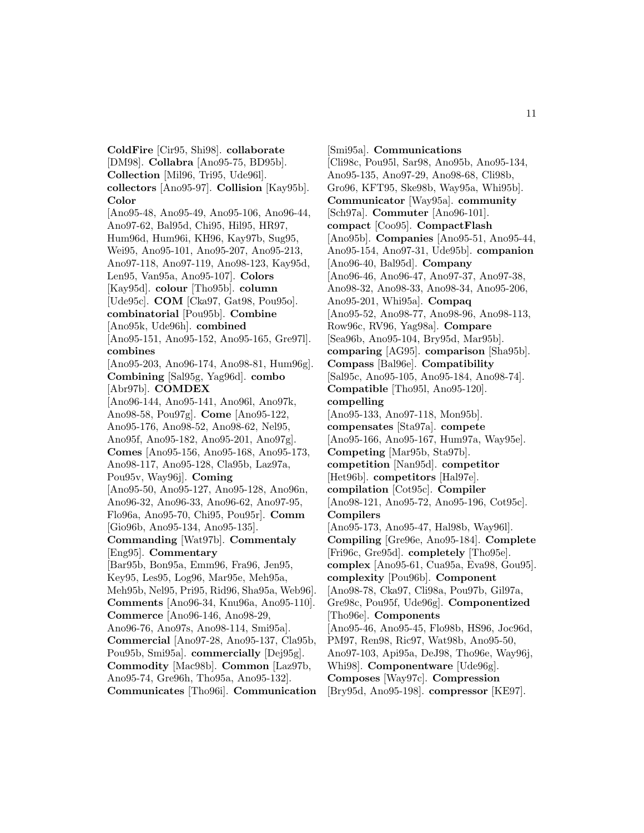**ColdFire** [Cir95, Shi98]. **collaborate** [DM98]. **Collabra** [Ano95-75, BD95b]. **Collection** [Mil96, Tri95, Ude96l]. **collectors** [Ano95-97]. **Collision** [Kay95b]. **Color** [Ano95-48, Ano95-49, Ano95-106, Ano96-44, Ano97-62, Bal95d, Chi95, Hil95, HR97, Hum96d, Hum96i, KH96, Kay97b, Sug95, Wei95, Ano95-101, Ano95-207, Ano95-213, Ano97-118, Ano97-119, Ano98-123, Kay95d, Len95, Van95a, Ano95-107]. **Colors** [Kay95d]. **colour** [Tho95b]. **column** [Ude95c]. **COM** [Cka97, Gat98, Pou95o]. **combinatorial** [Pou95b]. **Combine** [Ano95k, Ude96h]. **combined** [Ano95-151, Ano95-152, Ano95-165, Gre97l]. **combines** [Ano95-203, Ano96-174, Ano98-81, Hum96g]. **Combining** [Sal95g, Yag96d]. **combo** [Abr97b]. **COMDEX** [Ano96-144, Ano95-141, Ano96l, Ano97k, Ano98-58, Pou97g]. **Come** [Ano95-122, Ano95-176, Ano98-52, Ano98-62, Nel95, Ano95f, Ano95-182, Ano95-201, Ano97g]. **Comes** [Ano95-156, Ano95-168, Ano95-173, Ano98-117, Ano95-128, Cla95b, Laz97a, Pou95v, Way96j]. **Coming** [Ano95-50, Ano95-127, Ano95-128, Ano96n, Ano96-32, Ano96-33, Ano96-62, Ano97-95, Flo96a, Ano95-70, Chi95, Pou95r]. **Comm** [Gio96b, Ano95-134, Ano95-135]. **Commanding** [Wat97b]. **Commentaly** [Eng95]. **Commentary** [Bar95b, Bon95a, Emm96, Fra96, Jen95, Key95, Les95, Log96, Mar95e, Meh95a, Meh95b, Nel95, Pri95, Rid96, Sha95a, Web96]. **Comments** [Ano96-34, Knu96a, Ano95-110]. **Commerce** [Ano96-146, Ano98-29, Ano96-76, Ano97s, Ano98-114, Smi95a]. **Commercial** [Ano97-28, Ano95-137, Cla95b, Pou95b, Smi95a]. **commercially** [Dej95g]. **Commodity** [Mac98b]. **Common** [Laz97b, Ano95-74, Gre96h, Tho95a, Ano95-132]. **Communicates** [Tho96i]. **Communication**

[Smi95a]. **Communications** [Cli98c, Pou95l, Sar98, Ano95b, Ano95-134, Ano95-135, Ano97-29, Ano98-68, Cli98b, Gro96, KFT95, Ske98b, Way95a, Whi95b]. **Communicator** [Way95a]. **community** [Sch97a]. **Commuter** [Ano96-101]. **compact** [Coo95]. **CompactFlash** [Ano95b]. **Companies** [Ano95-51, Ano95-44, Ano95-154, Ano97-31, Ude95b]. **companion** [Ano96-40, Bal95d]. **Company** [Ano96-46, Ano96-47, Ano97-37, Ano97-38, Ano98-32, Ano98-33, Ano98-34, Ano95-206, Ano95-201, Whi95a]. **Compaq** [Ano95-52, Ano98-77, Ano98-96, Ano98-113, Row96c, RV96, Yag98a]. **Compare** [Sea96b, Ano95-104, Bry95d, Mar95b]. **comparing** [AG95]. **comparison** [Sha95b]. **Compass** [Bal96e]. **Compatibility** [Sal95c, Ano95-105, Ano95-184, Ano98-74]. **Compatible** [Tho95l, Ano95-120]. **compelling** [Ano95-133, Ano97-118, Mon95b]. **compensates** [Sta97a]. **compete** [Ano95-166, Ano95-167, Hum97a, Way95e]. **Competing** [Mar95b, Sta97b]. **competition** [Nan95d]. **competitor** [Het96b]. **competitors** [Hal97e]. **compilation** [Cot95c]. **Compiler** [Ano98-121, Ano95-72, Ano95-196, Cot95c]. **Compilers** [Ano95-173, Ano95-47, Hal98b, Way96l]. **Compiling** [Gre96e, Ano95-184]. **Complete** [Fri96c, Gre95d]. **completely** [Tho95e]. **complex** [Ano95-61, Cua95a, Eva98, Gou95]. **complexity** [Pou96b]. **Component** [Ano98-78, Cka97, Cli98a, Pou97b, Gil97a, Gre98c, Pou95f, Ude96g]. **Componentized** [Tho96e]. **Components** [Ano95-46, Ano95-45, Flo98b, HS96, Joc96d, PM97, Ren98, Ric97, Wat98b, Ano95-50, Ano97-103, Api95a, DeJ98, Tho96e, Way96j, Whi98]. **Componentware** [Ude96g]. **Composes** [Way97c]. **Compression** [Bry95d, Ano95-198]. **compressor** [KE97].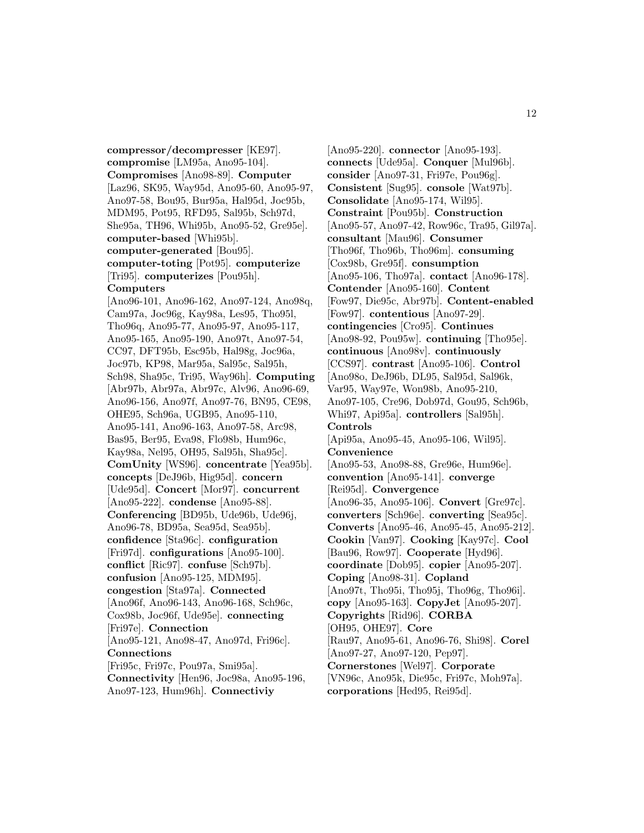**compressor/decompresser** [KE97]. **compromise** [LM95a, Ano95-104]. **Compromises** [Ano98-89]. **Computer** [Laz96, SK95, Way95d, Ano95-60, Ano95-97, Ano97-58, Bou95, Bur95a, Hal95d, Joc95b, MDM95, Pot95, RFD95, Sal95b, Sch97d, She95a, TH96, Whi95b, Ano95-52, Gre95e]. **computer-based** [Whi95b]. **computer-generated** [Bou95]. **computer-toting** [Pot95]. **computerize** [Tri95]. **computerizes** [Pou95h]. **Computers**

[Ano96-101, Ano96-162, Ano97-124, Ano98q, Cam97a, Joc96g, Kay98a, Les95, Tho95l, Tho96q, Ano95-77, Ano95-97, Ano95-117, Ano95-165, Ano95-190, Ano97t, Ano97-54, CC97, DFT95b, Esc95b, Hal98g, Joc96a, Joc97b, KP98, Mar95a, Sal95c, Sal95h, Sch98, Sha95c, Tri95, Way96h]. **Computing** [Abr97b, Abr97a, Abr97c, Alv96, Ano96-69, Ano96-156, Ano97f, Ano97-76, BN95, CE98, OHE95, Sch96a, UGB95, Ano95-110, Ano95-141, Ano96-163, Ano97-58, Arc98, Bas95, Ber95, Eva98, Flo98b, Hum96c, Kay98a, Nel95, OH95, Sal95h, Sha95c]. **ComUnity** [WS96]. **concentrate** [Yea95b]. **concepts** [DeJ96b, Hig95d]. **concern** [Ude95d]. **Concert** [Mor97]. **concurrent** [Ano95-222]. **condense** [Ano95-88]. **Conferencing** [BD95b, Ude96b, Ude96j, Ano96-78, BD95a, Sea95d, Sea95b]. **confidence** [Sta96c]. **configuration** [Fri97d]. **configurations** [Ano95-100]. **conflict** [Ric97]. **confuse** [Sch97b]. **confusion** [Ano95-125, MDM95]. **congestion** [Sta97a]. **Connected** [Ano96f, Ano96-143, Ano96-168, Sch96c, Cox98b, Joc96f, Ude95e]. **connecting** [Fri97e]. **Connection** [Ano95-121, Ano98-47, Ano97d, Fri96c]. **Connections** [Fri95c, Fri97c, Pou97a, Smi95a]. **Connectivity** [Hen96, Joc98a, Ano95-196,

Ano97-123, Hum96h]. **Connectiviy**

[Ano95-220]. **connector** [Ano95-193]. **connects** [Ude95a]. **Conquer** [Mul96b]. **consider** [Ano97-31, Fri97e, Pou96g]. **Consistent** [Sug95]. **console** [Wat97b]. **Consolidate** [Ano95-174, Wil95]. **Constraint** [Pou95b]. **Construction** [Ano95-57, Ano97-42, Row96c, Tra95, Gil97a]. **consultant** [Mau96]. **Consumer** [Tho96f, Tho96b, Tho96m]. **consuming** [Cox98b, Gre95f]. **consumption** [Ano95-106, Tho97a]. **contact** [Ano96-178]. **Contender** [Ano95-160]. **Content** [Fow97, Die95c, Abr97b]. **Content-enabled** [Fow97]. **contentious** [Ano97-29]. **contingencies** [Cro95]. **Continues** [Ano98-92, Pou95w]. **continuing** [Tho95e]. **continuous** [Ano98v]. **continuously** [CCS97]. **contrast** [Ano95-106]. **Control** [Ano98o, DeJ96b, DL95, Sal95d, Sal96k, Var95, Way97e, Won98b, Ano95-210, Ano97-105, Cre96, Dob97d, Gou95, Sch96b, Whi97, Api95a]. **controllers** [Sal95h]. **Controls** [Api95a, Ano95-45, Ano95-106, Wil95]. **Convenience** [Ano95-53, Ano98-88, Gre96e, Hum96e]. **convention** [Ano95-141]. **converge** [Rei95d]. **Convergence** [Ano96-35, Ano95-106]. **Convert** [Gre97c]. **converters** [Sch96e]. **converting** [Sea95c]. **Converts** [Ano95-46, Ano95-45, Ano95-212]. **Cookin** [Van97]. **Cooking** [Kay97c]. **Cool** [Bau96, Row97]. **Cooperate** [Hyd96]. **coordinate** [Dob95]. **copier** [Ano95-207]. **Coping** [Ano98-31]. **Copland** [Ano97t, Tho95i, Tho95j, Tho96g, Tho96i]. **copy** [Ano95-163]. **CopyJet** [Ano95-207]. **Copyrights** [Rid96]. **CORBA** [OH95, OHE97]. **Core** [Rau97, Ano95-61, Ano96-76, Shi98]. **Corel** [Ano97-27, Ano97-120, Pep97]. **Cornerstones** [Wel97]. **Corporate** [VN96c, Ano95k, Die95c, Fri97c, Moh97a].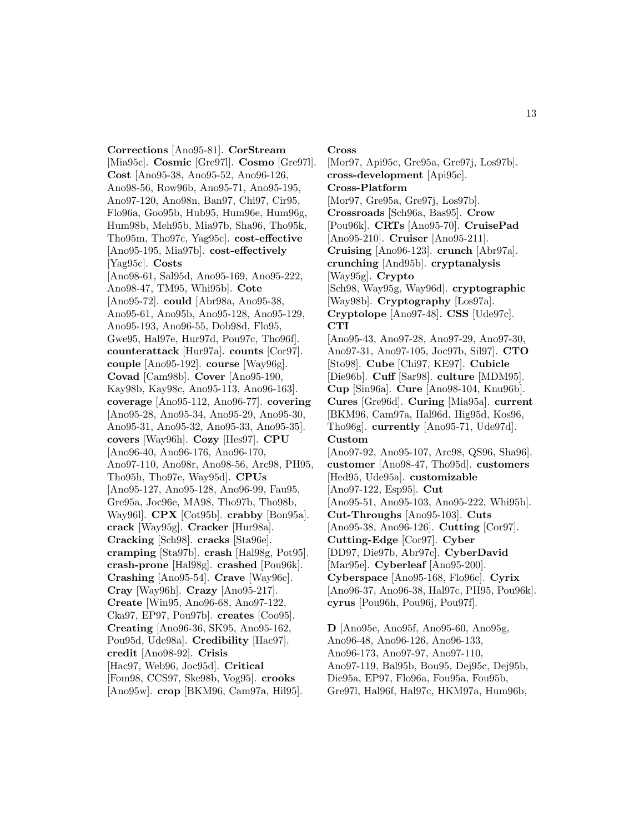**Corrections** [Ano95-81]. **CorStream** [Mia95c]. **Cosmic** [Gre97l]. **Cosmo** [Gre97l]. **Cost** [Ano95-38, Ano95-52, Ano96-126, Ano98-56, Row96b, Ano95-71, Ano95-195, Ano97-120, Ano98n, Ban97, Chi97, Cir95, Flo96a, Goo95b, Hub95, Hum96e, Hum96g, Hum98b, Meh95b, Mia97b, Sha96, Tho95k, Tho95m, Tho97c, Yag95c]. **cost-effective** [Ano95-195, Mia97b]. **cost-effectively** [Yag95c]. **Costs** [Ano98-61, Sal95d, Ano95-169, Ano95-222, Ano98-47, TM95, Whi95b]. **Cote** [Ano95-72]. **could** [Abr98a, Ano95-38, Ano95-61, Ano95b, Ano95-128, Ano95-129, Ano95-193, Ano96-55, Dob98d, Flo95, Gwe95, Hal97e, Hur97d, Pou97c, Tho96f]. **counterattack** [Hur97a]. **counts** [Cor97]. **couple** [Ano95-192]. **course** [Way96g]. **Covad** [Cam98b]. **Cover** [Ano95-190, Kay98b, Kay98c, Ano95-113, Ano96-163]. **coverage** [Ano95-112, Ano96-77]. **covering** [Ano95-28, Ano95-34, Ano95-29, Ano95-30, Ano95-31, Ano95-32, Ano95-33, Ano95-35]. **covers** [Way96h]. **Cozy** [Hes97]. **CPU** [Ano96-40, Ano96-176, Ano96-170, Ano97-110, Ano98r, Ano98-56, Arc98, PH95, Tho95h, Tho97e, Way95d]. **CPUs** [Ano95-127, Ano95-128, Ano96-99, Fau95, Gre95a, Joc96e, MA98, Tho97b, Tho98b, Way96l]. **CPX** [Cot95b]. **crabby** [Bon95a]. **crack** [Way95g]. **Cracker** [Hur98a]. **Cracking** [Sch98]. **cracks** [Sta96e]. **cramping** [Sta97b]. **crash** [Hal98g, Pot95]. **crash-prone** [Hal98g]. **crashed** [Pou96k]. **Crashing** [Ano95-54]. **Crave** [Way96c]. **Cray** [Way96h]. **Crazy** [Ano95-217]. **Create** [Win95, Ano96-68, Ano97-122, Cka97, EP97, Pou97b]. **creates** [Coo95]. **Creating** [Ano96-36, SK95, Ano95-162, Pou95d, Ude98a]. **Credibility** [Hac97]. **credit** [Ano98-92]. **Crisis** [Hac97, Web96, Joc95d]. **Critical** [Fom98, CCS97, Ske98b, Vog95]. **crooks** [Ano95w]. **crop** [BKM96, Cam97a, Hil95].

### **Cross**

[Mor97, Api95c, Gre95a, Gre97j, Los97b]. **cross-development** [Api95c]. **Cross-Platform** [Mor97, Gre95a, Gre97j, Los97b]. **Crossroads** [Sch96a, Bas95]. **Crow** [Pou96k]. **CRTs** [Ano95-70]. **CruisePad** [Ano95-210]. **Cruiser** [Ano95-211]. **Cruising** [Ano96-123]. **crunch** [Abr97a]. **crunching** [And95b]. **cryptanalysis** [Way95g]. **Crypto** [Sch98, Way95g, Way96d]. **cryptographic** [Way98b]. **Cryptography** [Los97a]. **Cryptolope** [Ano97-48]. **CSS** [Ude97c]. **CTI** [Ano95-43, Ano97-28, Ano97-29, Ano97-30, Ano97-31, Ano97-105, Joc97b, Sil97]. **CTO** [Sto98]. **Cube** [Chi97, KE97]. **Cubicle** [Die96b]. **Cuff** [Sar98]. **culture** [MDM95]. **Cup** [Sin96a]. **Cure** [Ano98-104, Knu96b]. **Cures** [Gre96d]. **Curing** [Mia95a]. **current** [BKM96, Cam97a, Hal96d, Hig95d, Kos96, Tho96g]. **currently** [Ano95-71, Ude97d]. **Custom** [Ano97-92, Ano95-107, Arc98, QS96, Sha96]. **customer** [Ano98-47, Tho95d]. **customers** [Hed95, Ude95a]. **customizable** [Ano97-122, Esp95]. **Cut** [Ano95-51, Ano95-103, Ano95-222, Whi95b]. **Cut-Throughs** [Ano95-103]. **Cuts** [Ano95-38, Ano96-126]. **Cutting** [Cor97]. **Cutting-Edge** [Cor97]. **Cyber** [DD97, Die97b, Abr97c]. **CyberDavid** [Mar95e]. **Cyberleaf** [Ano95-200]. **Cyberspace** [Ano95-168, Flo96c]. **Cyrix** [Ano96-37, Ano96-38, Hal97c, PH95, Pou96k]. **cyrus** [Pou96h, Pou96j, Pou97f].

**D** [Ano95e, Ano95f, Ano95-60, Ano95g, Ano96-48, Ano96-126, Ano96-133, Ano96-173, Ano97-97, Ano97-110, Ano97-119, Bal95b, Bou95, Dej95c, Dej95b, Die95a, EP97, Flo96a, Fou95a, Fou95b, Gre97l, Hal96f, Hal97c, HKM97a, Hum96b,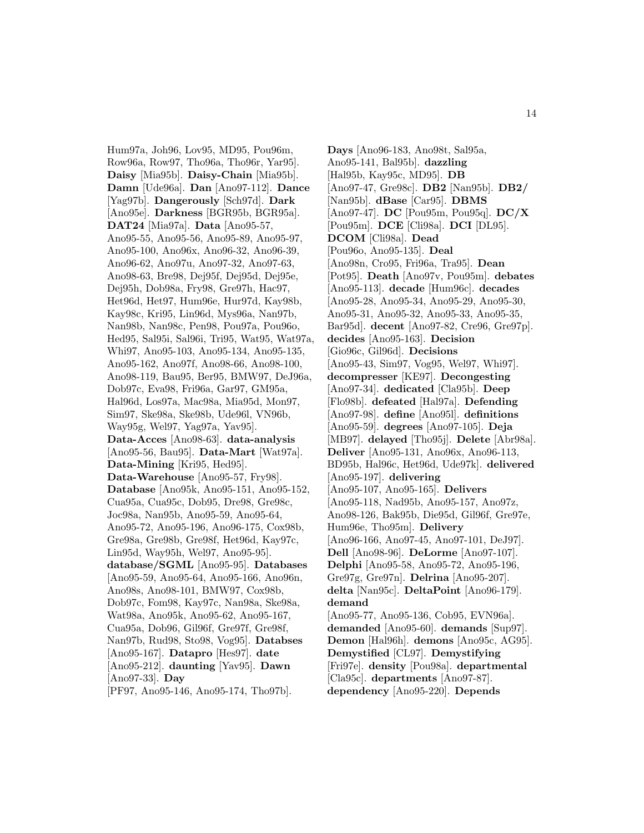Hum97a, Joh96, Lov95, MD95, Pou96m, Row96a, Row97, Tho96a, Tho96r, Yar95]. **Daisy** [Mia95b]. **Daisy-Chain** [Mia95b]. **Damn** [Ude96a]. **Dan** [Ano97-112]. **Dance** [Yag97b]. **Dangerously** [Sch97d]. **Dark** [Ano95e]. **Darkness** [BGR95b, BGR95a]. **DAT24** [Mia97a]. **Data** [Ano95-57, Ano95-55, Ano95-56, Ano95-89, Ano95-97, Ano95-100, Ano96x, Ano96-32, Ano96-39, Ano96-62, Ano97u, Ano97-32, Ano97-63, Ano98-63, Bre98, Dej95f, Dej95d, Dej95e, Dej95h, Dob98a, Fry98, Gre97h, Hac97, Het96d, Het97, Hum96e, Hur97d, Kay98b, Kay98c, Kri95, Lin96d, Mys96a, Nan97b, Nan98b, Nan98c, Pen98, Pou97a, Pou96o, Hed95, Sal95i, Sal96i, Tri95, Wat95, Wat97a, Whi97, Ano95-103, Ano95-134, Ano95-135, Ano95-162, Ano97f, Ano98-66, Ano98-100, Ano98-119, Bau95, Ber95, BMW97, DeJ96a, Dob97c, Eva98, Fri96a, Gar97, GM95a, Hal96d, Los97a, Mac98a, Mia95d, Mon97, Sim97, Ske98a, Ske98b, Ude96l, VN96b, Way95g, Wel97, Yag97a, Yav95]. **Data-Acces** [Ano98-63]. **data-analysis** [Ano95-56, Bau95]. **Data-Mart** [Wat97a]. **Data-Mining** [Kri95, Hed95]. **Data-Warehouse** [Ano95-57, Fry98]. **Database** [Ano95k, Ano95-151, Ano95-152, Cua95a, Cua95c, Dob95, Dre98, Gre98c, Joc98a, Nan95b, Ano95-59, Ano95-64, Ano95-72, Ano95-196, Ano96-175, Cox98b, Gre98a, Gre98b, Gre98f, Het96d, Kay97c, Lin95d, Way95h, Wel97, Ano95-95]. **database/SGML** [Ano95-95]. **Databases** [Ano95-59, Ano95-64, Ano95-166, Ano96n, Ano98s, Ano98-101, BMW97, Cox98b, Dob97c, Fom98, Kay97c, Nan98a, Ske98a, Wat98a, Ano95k, Ano95-62, Ano95-167, Cua95a, Dob96, Gil96f, Gre97f, Gre98f, Nan97b, Rud98, Sto98, Vog95]. **Databses** [Ano95-167]. **Datapro** [Hes97]. **date** [Ano95-212]. **daunting** [Yav95]. **Dawn** [Ano97-33]. **Day**

[PF97, Ano95-146, Ano95-174, Tho97b].

**Days** [Ano96-183, Ano98t, Sal95a, Ano95-141, Bal95b]. **dazzling** [Hal95b, Kay95c, MD95]. **DB** [Ano97-47, Gre98c]. **DB2** [Nan95b]. **DB2/** [Nan95b]. **dBase** [Car95]. **DBMS** [Ano97-47]. **DC** [Pou95m, Pou95q]. **DC/X** [Pou95m]. **DCE** [Cli98a]. **DCI** [DL95]. **DCOM** [Cli98a]. **Dead** [Pou96o, Ano95-135]. **Deal** [Ano98n, Cro95, Fri96a, Tra95]. **Dean** [Pot95]. **Death** [Ano97v, Pou95m]. **debates** [Ano95-113]. **decade** [Hum96c]. **decades** [Ano95-28, Ano95-34, Ano95-29, Ano95-30, Ano95-31, Ano95-32, Ano95-33, Ano95-35, Bar95d]. **decent** [Ano97-82, Cre96, Gre97p]. **decides** [Ano95-163]. **Decision** [Gio96c, Gil96d]. **Decisions** [Ano95-43, Sim97, Vog95, Wel97, Whi97]. **decompresser** [KE97]. **Decongesting** [Ano97-34]. **dedicated** [Cla95b]. **Deep** [Flo98b]. **defeated** [Hal97a]. **Defending** [Ano97-98]. **define** [Ano95l]. **definitions** [Ano95-59]. **degrees** [Ano97-105]. **Deja** [MB97]. **delayed** [Tho95j]. **Delete** [Abr98a]. **Deliver** [Ano95-131, Ano96x, Ano96-113, BD95b, Hal96c, Het96d, Ude97k]. **delivered** [Ano95-197]. **delivering** [Ano95-107, Ano95-165]. **Delivers** [Ano95-118, Nad95b, Ano95-157, Ano97z, Ano98-126, Bak95b, Die95d, Gil96f, Gre97e, Hum96e, Tho95m]. **Delivery** [Ano96-166, Ano97-45, Ano97-101, DeJ97]. **Dell** [Ano98-96]. **DeLorme** [Ano97-107]. **Delphi** [Ano95-58, Ano95-72, Ano95-196, Gre97g, Gre97n]. **Delrina** [Ano95-207]. **delta** [Nan95c]. **DeltaPoint** [Ano96-179]. **demand** [Ano95-77, Ano95-136, Cob95, EVN96a]. **demanded** [Ano95-60]. **demands** [Sup97]. **Demon** [Hal96h]. **demons** [Ano95c, AG95]. **Demystified** [CL97]. **Demystifying** [Fri97e]. **density** [Pou98a]. **departmental** [Cla95c]. **departments** [Ano97-87]. **dependency** [Ano95-220]. **Depends**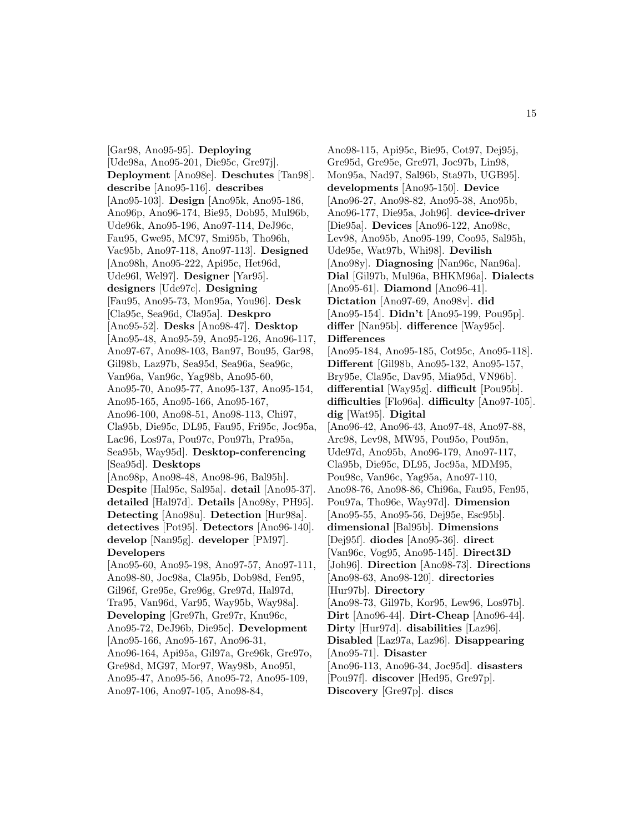[Gar98, Ano95-95]. **Deploying** [Ude98a, Ano95-201, Die95c, Gre97j]. **Deployment** [Ano98e]. **Deschutes** [Tan98]. **describe** [Ano95-116]. **describes** [Ano95-103]. **Design** [Ano95k, Ano95-186, Ano96p, Ano96-174, Bie95, Dob95, Mul96b, Ude96k, Ano95-196, Ano97-114, DeJ96c, Fau95, Gwe95, MC97, Smi95b, Tho96h, Vac95b, Ano97-118, Ano97-113]. **Designed** [Ano98h, Ano95-222, Api95c, Het96d, Ude96l, Wel97]. **Designer** [Yar95]. **designers** [Ude97c]. **Designing** [Fau95, Ano95-73, Mon95a, You96]. **Desk** [Cla95c, Sea96d, Cla95a]. **Deskpro** [Ano95-52]. **Desks** [Ano98-47]. **Desktop** [Ano95-48, Ano95-59, Ano95-126, Ano96-117, Ano97-67, Ano98-103, Ban97, Bou95, Gar98, Gil98b, Laz97b, Sea95d, Sea96a, Sea96c, Van96a, Van96c, Yag98b, Ano95-60, Ano95-70, Ano95-77, Ano95-137, Ano95-154, Ano95-165, Ano95-166, Ano95-167, Ano96-100, Ano98-51, Ano98-113, Chi97, Cla95b, Die95c, DL95, Fau95, Fri95c, Joc95a, Lac96, Los97a, Pou97c, Pou97h, Pra95a, Sea95b, Way95d]. **Desktop-conferencing** [Sea95d]. **Desktops** [Ano98p, Ano98-48, Ano98-96, Bal95h]. **Despite** [Hal95c, Sal95a]. **detail** [Ano95-37]. **detailed** [Hal97d]. **Details** [Ano98y, PH95]. **Detecting** [Ano98u]. **Detection** [Hur98a]. **detectives** [Pot95]. **Detectors** [Ano96-140]. **develop** [Nan95g]. **developer** [PM97]. **Developers** [Ano95-60, Ano95-198, Ano97-57, Ano97-111, Ano98-80, Joc98a, Cla95b, Dob98d, Fen95, Gil96f, Gre95e, Gre96g, Gre97d, Hal97d, Tra95, Van96d, Var95, Way95b, Way98a]. **Developing** [Gre97h, Gre97r, Knu96c, Ano95-72, DeJ96b, Die95c]. **Development** [Ano95-166, Ano95-167, Ano96-31, Ano96-164, Api95a, Gil97a, Gre96k, Gre97o, Gre98d, MG97, Mor97, Way98b, Ano95l, Ano95-47, Ano95-56, Ano95-72, Ano95-109, Ano97-106, Ano97-105, Ano98-84,

Ano98-115, Api95c, Bie95, Cot97, Dej95j, Gre95d, Gre95e, Gre97l, Joc97b, Lin98, Mon95a, Nad97, Sal96b, Sta97b, UGB95]. **developments** [Ano95-150]. **Device** [Ano96-27, Ano98-82, Ano95-38, Ano95b, Ano96-177, Die95a, Joh96]. **device-driver** [Die95a]. **Devices** [Ano96-122, Ano98c, Lev98, Ano95b, Ano95-199, Coo95, Sal95h, Ude95e, Wat97b, Whi98]. **Devilish** [Ano98y]. **Diagnosing** [Nan96c, Nan96a]. **Dial** [Gil97b, Mul96a, BHKM96a]. **Dialects** [Ano95-61]. **Diamond** [Ano96-41]. **Dictation** [Ano97-69, Ano98v]. **did** [Ano95-154]. **Didn't** [Ano95-199, Pou95p]. **differ** [Nan95b]. **difference** [Way95c]. **Differences** [Ano95-184, Ano95-185, Cot95c, Ano95-118]. **Different** [Gil98b, Ano95-132, Ano95-157, Bry95e, Cla95c, Dav95, Mia95d, VN96b]. **differential** [Way95g]. **difficult** [Pou95b]. **difficulties** [Flo96a]. **difficulty** [Ano97-105]. **dig** [Wat95]. **Digital** [Ano96-42, Ano96-43, Ano97-48, Ano97-88, Arc98, Lev98, MW95, Pou95o, Pou95n, Ude97d, Ano95b, Ano96-179, Ano97-117, Cla95b, Die95c, DL95, Joc95a, MDM95, Pou98c, Van96c, Yag95a, Ano97-110, Ano98-76, Ano98-86, Chi96a, Fau95, Fen95, Pou97a, Tho96e, Way97d]. **Dimension** [Ano95-55, Ano95-56, Dej95e, Esc95b]. **dimensional** [Bal95b]. **Dimensions** [Dej95f]. **diodes** [Ano95-36]. **direct** [Van96c, Vog95, Ano95-145]. **Direct3D** [Joh96]. **Direction** [Ano98-73]. **Directions** [Ano98-63, Ano98-120]. **directories** [Hur97b]. **Directory** [Ano98-73, Gil97b, Kor95, Lew96, Los97b]. **Dirt** [Ano96-44]. **Dirt-Cheap** [Ano96-44]. **Dirty** [Hur97d]. **disabilities** [Laz96]. **Disabled** [Laz97a, Laz96]. **Disappearing** [Ano95-71]. **Disaster** [Ano96-113, Ano96-34, Joc95d]. **disasters** [Pou97f]. **discover** [Hed95, Gre97p]. **Discovery** [Gre97p]. **discs**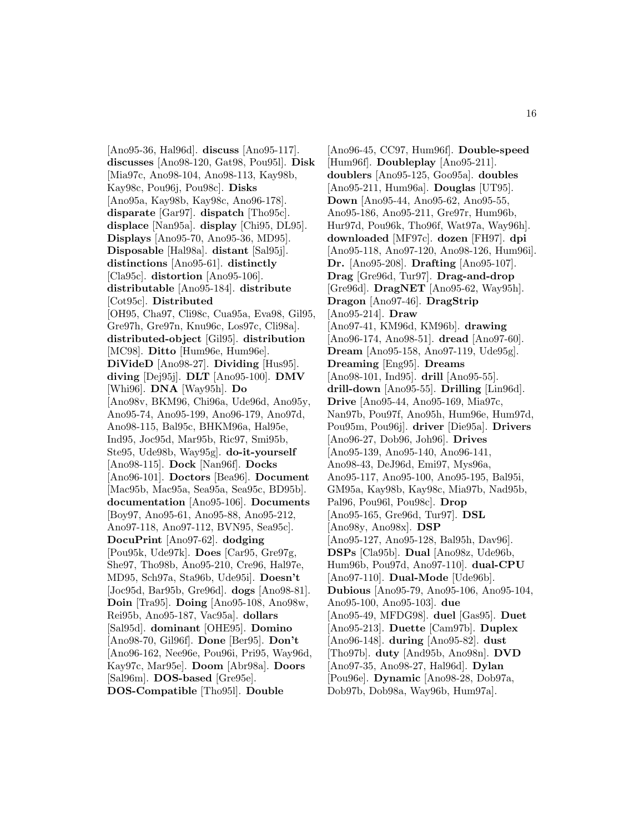[Ano95-36, Hal96d]. **discuss** [Ano95-117]. **discusses** [Ano98-120, Gat98, Pou95l]. **Disk** [Mia97c, Ano98-104, Ano98-113, Kay98b, Kay98c, Pou96j, Pou98c]. **Disks** [Ano95a, Kay98b, Kay98c, Ano96-178]. **disparate** [Gar97]. **dispatch** [Tho95c]. **displace** [Nan95a]. **display** [Chi95, DL95]. **Displays** [Ano95-70, Ano95-36, MD95]. **Disposable** [Hal98a]. **distant** [Sal95j]. **distinctions** [Ano95-61]. **distinctly** [Cla95c]. **distortion** [Ano95-106]. **distributable** [Ano95-184]. **distribute** [Cot95c]. **Distributed** [OH95, Cha97, Cli98c, Cua95a, Eva98, Gil95, Gre97h, Gre97n, Knu96c, Los97c, Cli98a]. **distributed-object** [Gil95]. **distribution** [MC98]. **Ditto** [Hum96e, Hum96e]. **DiVideD** [Ano98-27]. **Dividing** [Hus95]. **diving** [Dej95j]. **DLT** [Ano95-100]. **DMV** [Whi96]. **DNA** [Way95h]. **Do** [Ano98v, BKM96, Chi96a, Ude96d, Ano95y, Ano95-74, Ano95-199, Ano96-179, Ano97d, Ano98-115, Bal95c, BHKM96a, Hal95e, Ind95, Joc95d, Mar95b, Ric97, Smi95b, Ste95, Ude98b, Way95g]. **do-it-yourself** [Ano98-115]. **Dock** [Nan96f]. **Docks** [Ano96-101]. **Doctors** [Bea96]. **Document** [Mac95b, Mac95a, Sea95a, Sea95c, BD95b]. **documentation** [Ano95-106]. **Documents** [Boy97, Ano95-61, Ano95-88, Ano95-212, Ano97-118, Ano97-112, BVN95, Sea95c]. **DocuPrint** [Ano97-62]. **dodging** [Pou95k, Ude97k]. **Does** [Car95, Gre97g, She97, Tho98b, Ano95-210, Cre96, Hal97e, MD95, Sch97a, Sta96b, Ude95i]. **Doesn't** [Joc95d, Bar95b, Gre96d]. **dogs** [Ano98-81]. **Doin** [Tra95]. **Doing** [Ano95-108, Ano98w, Rei95b, Ano95-187, Vac95a]. **dollars** [Sal95d]. **dominant** [OHE95]. **Domino** [Ano98-70, Gil96f]. **Done** [Ber95]. **Don't** [Ano96-162, Nee96e, Pou96i, Pri95, Way96d, Kay97c, Mar95e]. **Doom** [Abr98a]. **Doors** [Sal96m]. **DOS-based** [Gre95e]. **DOS-Compatible** [Tho95l]. **Double**

[Ano96-45, CC97, Hum96f]. **Double-speed** [Hum96f]. **Doubleplay** [Ano95-211]. **doublers** [Ano95-125, Goo95a]. **doubles** [Ano95-211, Hum96a]. **Douglas** [UT95]. **Down** [Ano95-44, Ano95-62, Ano95-55, Ano95-186, Ano95-211, Gre97r, Hum96b, Hur97d, Pou96k, Tho96f, Wat97a, Way96h]. **downloaded** [MF97c]. **dozen** [FH97]. **dpi** [Ano95-118, Ano97-120, Ano98-126, Hum96i]. **Dr.** [Ano95-208]. **Drafting** [Ano95-107]. **Drag** [Gre96d, Tur97]. **Drag-and-drop** [Gre96d]. **DragNET** [Ano95-62, Way95h]. **Dragon** [Ano97-46]. **DragStrip** [Ano95-214]. **Draw** [Ano97-41, KM96d, KM96b]. **drawing** [Ano96-174, Ano98-51]. **dread** [Ano97-60]. **Dream** [Ano95-158, Ano97-119, Ude95g]. **Dreaming** [Eng95]. **Dreams** [Ano98-101, Ind95]. **drill** [Ano95-55]. **drill-down** [Ano95-55]. **Drilling** [Lin96d]. **Drive** [Ano95-44, Ano95-169, Mia97c, Nan97b, Pou97f, Ano95h, Hum96e, Hum97d, Pou95m, Pou96j]. **driver** [Die95a]. **Drivers** [Ano96-27, Dob96, Joh96]. **Drives** [Ano95-139, Ano95-140, Ano96-141, Ano98-43, DeJ96d, Emi97, Mys96a, Ano95-117, Ano95-100, Ano95-195, Bal95i, GM95a, Kay98b, Kay98c, Mia97b, Nad95b, Pal96, Pou96l, Pou98c]. **Drop** [Ano95-165, Gre96d, Tur97]. **DSL** [Ano98y, Ano98x]. **DSP** [Ano95-127, Ano95-128, Bal95h, Dav96]. **DSPs** [Cla95b]. **Dual** [Ano98z, Ude96b, Hum96b, Pou97d, Ano97-110]. **dual-CPU** [Ano97-110]. **Dual-Mode** [Ude96b]. **Dubious** [Ano95-79, Ano95-106, Ano95-104, Ano95-100, Ano95-103]. **due** [Ano95-49, MFDG98]. **duel** [Gas95]. **Duet** [Ano95-213]. **Duette** [Cam97b]. **Duplex** [Ano96-148]. **during** [Ano95-82]. **dust** [Tho97b]. **duty** [And95b, Ano98n]. **DVD** [Ano97-35, Ano98-27, Hal96d]. **Dylan** [Pou96e]. **Dynamic** [Ano98-28, Dob97a, Dob97b, Dob98a, Way96b, Hum97a].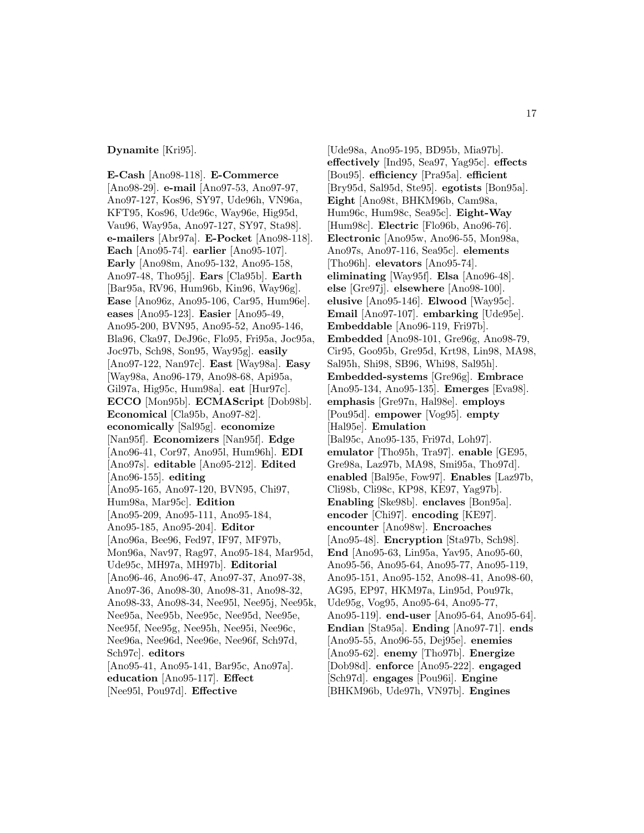#### **Dynamite** [Kri95].

**E-Cash** [Ano98-118]. **E-Commerce** [Ano98-29]. **e-mail** [Ano97-53, Ano97-97, Ano97-127, Kos96, SY97, Ude96h, VN96a, KFT95, Kos96, Ude96c, Way96e, Hig95d, Vau96, Way95a, Ano97-127, SY97, Sta98]. **e-mailers** [Abr97a]. **E-Pocket** [Ano98-118]. **Each** [Ano95-74]. **earlier** [Ano95-107]. **Early** [Ano98m, Ano95-132, Ano95-158, Ano97-48, Tho95j]. **Ears** [Cla95b]. **Earth** [Bar95a, RV96, Hum96b, Kin96, Way96g]. **Ease** [Ano96z, Ano95-106, Car95, Hum96e]. **eases** [Ano95-123]. **Easier** [Ano95-49, Ano95-200, BVN95, Ano95-52, Ano95-146, Bla96, Cka97, DeJ96c, Flo95, Fri95a, Joc95a, Joc97b, Sch98, Son95, Way95g]. **easily** [Ano97-122, Nan97c]. **East** [Way98a]. **Easy** [Way98a, Ano96-179, Ano98-68, Api95a, Gil97a, Hig95c, Hum98a]. **eat** [Hur97c]. **ECCO** [Mon95b]. **ECMAScript** [Dob98b]. **Economical** [Cla95b, Ano97-82]. **economically** [Sal95g]. **economize** [Nan95f]. **Economizers** [Nan95f]. **Edge** [Ano96-41, Cor97, Ano95l, Hum96h]. **EDI** [Ano97s]. **editable** [Ano95-212]. **Edited** [Ano96-155]. **editing** [Ano95-165, Ano97-120, BVN95, Chi97, Hum98a, Mar95c]. **Edition** [Ano95-209, Ano95-111, Ano95-184, Ano95-185, Ano95-204]. **Editor** [Ano96a, Bee96, Fed97, IF97, MF97b, Mon96a, Nav97, Rag97, Ano95-184, Mar95d, Ude95c, MH97a, MH97b]. **Editorial** [Ano96-46, Ano96-47, Ano97-37, Ano97-38, Ano97-36, Ano98-30, Ano98-31, Ano98-32, Ano98-33, Ano98-34, Nee95l, Nee95j, Nee95k, Nee95a, Nee95b, Nee95c, Nee95d, Nee95e, Nee95f, Nee95g, Nee95h, Nee95i, Nee96c, Nee96a, Nee96d, Nee96e, Nee96f, Sch97d, Sch97c]. **editors** [Ano95-41, Ano95-141, Bar95c, Ano97a]. **education** [Ano95-117]. **Effect**

[Nee95l, Pou97d]. **Effective**

[Ude98a, Ano95-195, BD95b, Mia97b]. **effectively** [Ind95, Sea97, Yag95c]. **effects** [Bou95]. **efficiency** [Pra95a]. **efficient** [Bry95d, Sal95d, Ste95]. **egotists** [Bon95a]. **Eight** [Ano98t, BHKM96b, Cam98a, Hum96c, Hum98c, Sea95c]. **Eight-Way** [Hum98c]. **Electric** [Flo96b, Ano96-76]. **Electronic** [Ano95w, Ano96-55, Mon98a, Ano97s, Ano97-116, Sea95c]. **elements** [Tho96h]. **elevators** [Ano95-74]. **eliminating** [Way95f]. **Elsa** [Ano96-48]. **else** [Gre97j]. **elsewhere** [Ano98-100]. **elusive** [Ano95-146]. **Elwood** [Way95c]. **Email** [Ano97-107]. **embarking** [Ude95e]. **Embeddable** [Ano96-119, Fri97b]. **Embedded** [Ano98-101, Gre96g, Ano98-79, Cir95, Goo95b, Gre95d, Krt98, Lin98, MA98, Sal95h, Shi98, SB96, Whi98, Sal95h]. **Embedded-systems** [Gre96g]. **Embrace** [Ano95-134, Ano95-135]. **Emerges** [Eva98]. **emphasis** [Gre97n, Hal98e]. **employs** [Pou95d]. **empower** [Vog95]. **empty** [Hal95e]. **Emulation** [Bal95c, Ano95-135, Fri97d, Loh97]. **emulator** [Tho95h, Tra97]. **enable** [GE95, Gre98a, Laz97b, MA98, Smi95a, Tho97d]. **enabled** [Bal95e, Fow97]. **Enables** [Laz97b, Cli98b, Cli98c, KP98, KE97, Yag97b]. **Enabling** [Ske98b]. **enclaves** [Bon95a]. **encoder** [Chi97]. **encoding** [KE97]. **encounter** [Ano98w]. **Encroaches** [Ano95-48]. **Encryption** [Sta97b, Sch98]. **End** [Ano95-63, Lin95a, Yav95, Ano95-60, Ano95-56, Ano95-64, Ano95-77, Ano95-119, Ano95-151, Ano95-152, Ano98-41, Ano98-60, AG95, EP97, HKM97a, Lin95d, Pou97k, Ude95g, Vog95, Ano95-64, Ano95-77, Ano95-119]. **end-user** [Ano95-64, Ano95-64]. **Endian** [Sta95a]. **Ending** [Ano97-71]. **ends** [Ano95-55, Ano96-55, Dej95e]. **enemies** [Ano95-62]. **enemy** [Tho97b]. **Energize** [Dob98d]. **enforce** [Ano95-222]. **engaged** [Sch97d]. **engages** [Pou96i]. **Engine** [BHKM96b, Ude97h, VN97b]. **Engines**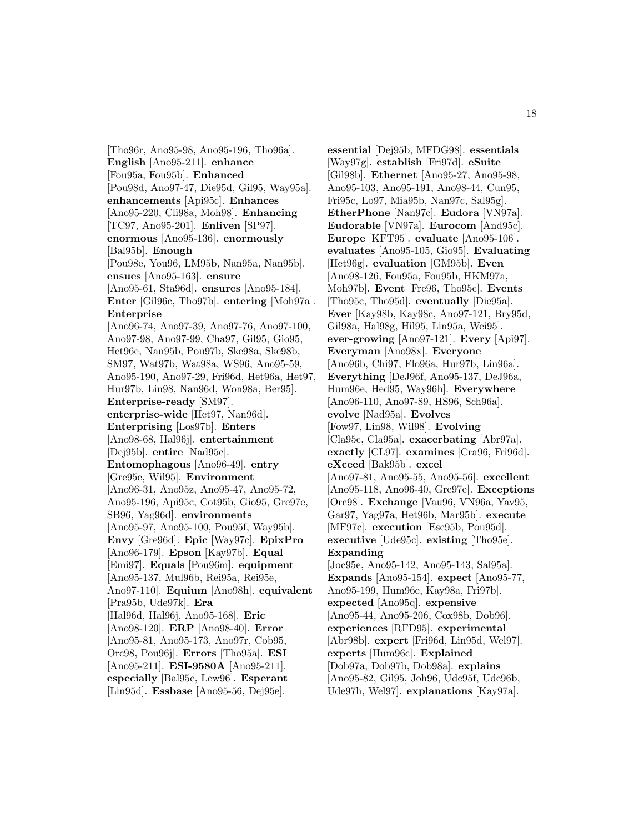[Tho96r, Ano95-98, Ano95-196, Tho96a]. **English** [Ano95-211]. **enhance** [Fou95a, Fou95b]. **Enhanced** [Pou98d, Ano97-47, Die95d, Gil95, Way95a]. **enhancements** [Api95c]. **Enhances** [Ano95-220, Cli98a, Moh98]. **Enhancing** [TC97, Ano95-201]. **Enliven** [SP97]. **enormous** [Ano95-136]. **enormously** [Bal95b]. **Enough** [Pou98e, You96, LM95b, Nan95a, Nan95b]. **ensues** [Ano95-163]. **ensure** [Ano95-61, Sta96d]. **ensures** [Ano95-184]. **Enter** [Gil96c, Tho97b]. **entering** [Moh97a]. **Enterprise** [Ano96-74, Ano97-39, Ano97-76, Ano97-100, Ano97-98, Ano97-99, Cha97, Gil95, Gio95, Het96e, Nan95b, Pou97b, Ske98a, Ske98b, SM97, Wat97b, Wat98a, WS96, Ano95-59, Ano95-190, Ano97-29, Fri96d, Het96a, Het97, Hur97b, Lin98, Nan96d, Won98a, Ber95]. **Enterprise-ready** [SM97]. **enterprise-wide** [Het97, Nan96d]. **Enterprising** [Los97b]. **Enters** [Ano98-68, Hal96j]. **entertainment** [Dej95b]. **entire** [Nad95c]. **Entomophagous** [Ano96-49]. **entry** [Gre95e, Wil95]. **Environment** [Ano96-31, Ano95z, Ano95-47, Ano95-72, Ano95-196, Api95c, Cot95b, Gio95, Gre97e, SB96, Yag96d]. **environments** [Ano95-97, Ano95-100, Pou95f, Way95b]. **Envy** [Gre96d]. **Epic** [Way97c]. **EpixPro** [Ano96-179]. **Epson** [Kay97b]. **Equal** [Emi97]. **Equals** [Pou96m]. **equipment** [Ano95-137, Mul96b, Rei95a, Rei95e, Ano97-110]. **Equium** [Ano98h]. **equivalent** [Pra95b, Ude97k]. **Era** [Hal96d, Hal96j, Ano95-168]. **Eric** [Ano98-120]. **ERP** [Ano98-40]. **Error** [Ano95-81, Ano95-173, Ano97r, Cob95, Orc98, Pou96j]. **Errors** [Tho95a]. **ESI** [Ano95-211]. **ESI-9580A** [Ano95-211]. **especially** [Bal95c, Lew96]. **Esperant** [Lin95d]. **Essbase** [Ano95-56, Dej95e].

**essential** [Dej95b, MFDG98]. **essentials** [Way97g]. **establish** [Fri97d]. **eSuite** [Gil98b]. **Ethernet** [Ano95-27, Ano95-98, Ano95-103, Ano95-191, Ano98-44, Cun95, Fri95c, Lo97, Mia95b, Nan97c, Sal95g]. **EtherPhone** [Nan97c]. **Eudora** [VN97a]. **Eudorable** [VN97a]. **Eurocom** [And95c]. **Europe** [KFT95]. **evaluate** [Ano95-106]. **evaluates** [Ano95-105, Gio95]. **Evaluating** [Het96g]. **evaluation** [GM95b]. **Even** [Ano98-126, Fou95a, Fou95b, HKM97a, Moh97b]. **Event** [Fre96, Tho95c]. **Events** [Tho95c, Tho95d]. **eventually** [Die95a]. **Ever** [Kay98b, Kay98c, Ano97-121, Bry95d, Gil98a, Hal98g, Hil95, Lin95a, Wei95]. **ever-growing** [Ano97-121]. **Every** [Api97]. **Everyman** [Ano98x]. **Everyone** [Ano96b, Chi97, Flo96a, Hur97b, Lin96a]. **Everything** [DeJ96f, Ano95-137, DeJ96a, Hum96e, Hed95, Way96h]. **Everywhere** [Ano96-110, Ano97-89, HS96, Sch96a]. **evolve** [Nad95a]. **Evolves** [Fow97, Lin98, Wil98]. **Evolving** [Cla95c, Cla95a]. **exacerbating** [Abr97a]. **exactly** [CL97]. **examines** [Cra96, Fri96d]. **eXceed** [Bak95b]. **excel** [Ano97-81, Ano95-55, Ano95-56]. **excellent** [Ano95-118, Ano96-40, Gre97e]. **Exceptions** [Orc98]. **Exchange** [Vau96, VN96a, Yav95, Gar97, Yag97a, Het96b, Mar95b]. **execute** [MF97c]. **execution** [Esc95b, Pou95d]. **executive** [Ude95c]. **existing** [Tho95e]. **Expanding** [Joc95e, Ano95-142, Ano95-143, Sal95a]. **Expands** [Ano95-154]. **expect** [Ano95-77, Ano95-199, Hum96e, Kay98a, Fri97b]. **expected** [Ano95q]. **expensive** [Ano95-44, Ano95-206, Cox98b, Dob96]. **experiences** [RFD95]. **experimental** [Abr98b]. **expert** [Fri96d, Lin95d, Wel97]. **experts** [Hum96c]. **Explained** [Dob97a, Dob97b, Dob98a]. **explains** [Ano95-82, Gil95, Joh96, Ude95f, Ude96b, Ude97h, Wel97]. **explanations** [Kay97a].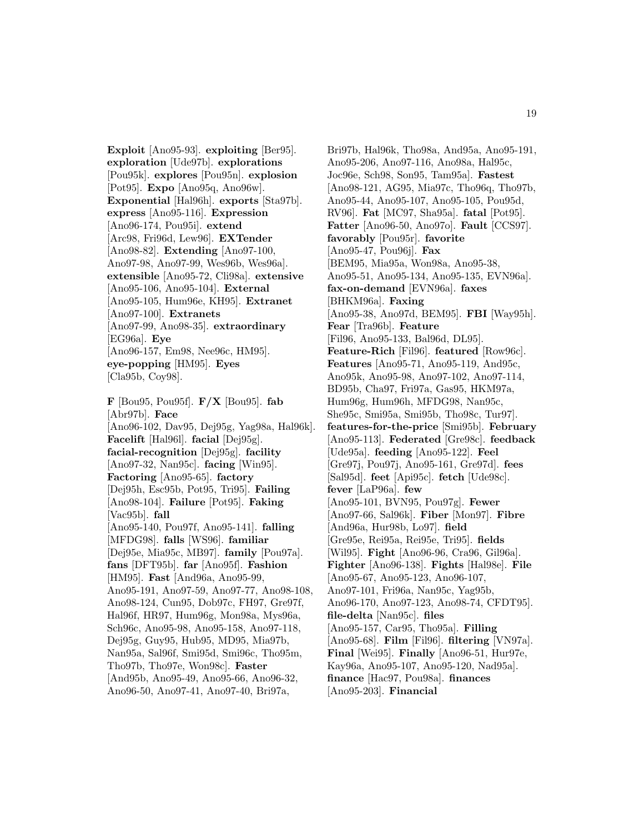**Exploit** [Ano95-93]. **exploiting** [Ber95]. **exploration** [Ude97b]. **explorations** [Pou95k]. **explores** [Pou95n]. **explosion** [Pot95]. **Expo** [Ano95q, Ano96w]. **Exponential** [Hal96h]. **exports** [Sta97b]. **express** [Ano95-116]. **Expression** [Ano96-174, Pou95i]. **extend** [Arc98, Fri96d, Lew96]. **EXTender** [Ano98-82]. **Extending** [Ano97-100, Ano97-98, Ano97-99, Wes96b, Wes96a]. **extensible** [Ano95-72, Cli98a]. **extensive** [Ano95-106, Ano95-104]. **External** [Ano95-105, Hum96e, KH95]. **Extranet** [Ano97-100]. **Extranets** [Ano97-99, Ano98-35]. **extraordinary** [EG96a]. **Eye** [Ano96-157, Em98, Nee96c, HM95]. **eye-popping** [HM95]. **Eyes** [Cla95b, Coy98].

**F** [Bou95, Pou95f]. **F/X** [Bou95]. **fab** [Abr97b]. **Face** [Ano96-102, Dav95, Dej95g, Yag98a, Hal96k]. **Facelift** [Hal96l]. **facial** [Dej95g]. **facial-recognition** [Dej95g]. **facility** [Ano97-32, Nan95c]. **facing** [Win95]. **Factoring** [Ano95-65]. **factory** [Dej95h, Esc95b, Pot95, Tri95]. **Failing** [Ano98-104]. **Failure** [Pot95]. **Faking** [Vac95b]. **fall** [Ano95-140, Pou97f, Ano95-141]. **falling** [MFDG98]. **falls** [WS96]. **familiar** [Dej95e, Mia95c, MB97]. **family** [Pou97a]. **fans** [DFT95b]. **far** [Ano95f]. **Fashion** [HM95]. **Fast** [And96a, Ano95-99, Ano95-191, Ano97-59, Ano97-77, Ano98-108, Ano98-124, Cun95, Dob97c, FH97, Gre97f, Hal96f, HR97, Hum96g, Mon98a, Mys96a, Sch96c, Ano95-98, Ano95-158, Ano97-118, Dej95g, Guy95, Hub95, MD95, Mia97b, Nan95a, Sal96f, Smi95d, Smi96c, Tho95m, Tho97b, Tho97e, Won98c]. **Faster** [And95b, Ano95-49, Ano95-66, Ano96-32, Ano96-50, Ano97-41, Ano97-40, Bri97a,

Bri97b, Hal96k, Tho98a, And95a, Ano95-191, Ano95-206, Ano97-116, Ano98a, Hal95c, Joc96e, Sch98, Son95, Tam95a]. **Fastest** [Ano98-121, AG95, Mia97c, Tho96q, Tho97b, Ano95-44, Ano95-107, Ano95-105, Pou95d, RV96]. **Fat** [MC97, Sha95a]. **fatal** [Pot95]. **Fatter** [Ano96-50, Ano97o]. **Fault** [CCS97]. **favorably** [Pou95r]. **favorite** [Ano95-47, Pou96j]. **Fax** [BEM95, Mia95a, Won98a, Ano95-38, Ano95-51, Ano95-134, Ano95-135, EVN96a]. **fax-on-demand** [EVN96a]. **faxes** [BHKM96a]. **Faxing** [Ano95-38, Ano97d, BEM95]. **FBI** [Way95h]. **Fear** [Tra96b]. **Feature** [Fil96, Ano95-133, Bal96d, DL95]. **Feature-Rich** [Fil96]. **featured** [Row96c]. **Features** [Ano95-71, Ano95-119, And95c, Ano95k, Ano95-98, Ano97-102, Ano97-114, BD95b, Cha97, Fri97a, Gas95, HKM97a, Hum96g, Hum96h, MFDG98, Nan95c, She95c, Smi95a, Smi95b, Tho98c, Tur97]. **features-for-the-price** [Smi95b]. **February** [Ano95-113]. **Federated** [Gre98c]. **feedback** [Ude95a]. **feeding** [Ano95-122]. **Feel** [Gre97j, Pou97j, Ano95-161, Gre97d]. **fees** [Sal95d]. **feet** [Api95c]. **fetch** [Ude98c]. **fever** [LaP96a]. **few** [Ano95-101, BVN95, Pou97g]. **Fewer** [Ano97-66, Sal96k]. **Fiber** [Mon97]. **Fibre** [And96a, Hur98b, Lo97]. **field** [Gre95e, Rei95a, Rei95e, Tri95]. **fields** [Wil95]. **Fight** [Ano96-96, Cra96, Gil96a]. **Fighter** [Ano96-138]. **Fights** [Hal98e]. **File** [Ano95-67, Ano95-123, Ano96-107, Ano97-101, Fri96a, Nan95c, Yag95b, Ano96-170, Ano97-123, Ano98-74, CFDT95]. **file-delta** [Nan95c]. **files** [Ano95-157, Car95, Tho95a]. **Filling** [Ano95-68]. **Film** [Fil96]. **filtering** [VN97a]. **Final** [Wei95]. **Finally** [Ano96-51, Hur97e, Kay96a, Ano95-107, Ano95-120, Nad95a]. **finance** [Hac97, Pou98a]. **finances** [Ano95-203]. **Financial**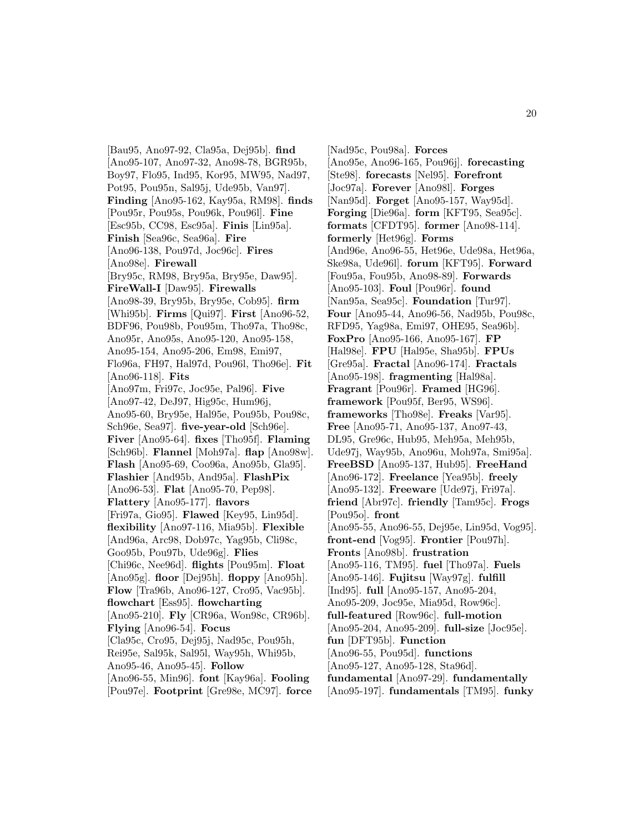[Bau95, Ano97-92, Cla95a, Dej95b]. **find** [Ano95-107, Ano97-32, Ano98-78, BGR95b, Boy97, Flo95, Ind95, Kor95, MW95, Nad97, Pot95, Pou95n, Sal95j, Ude95b, Van97]. **Finding** [Ano95-162, Kay95a, RM98]. **finds** [Pou95r, Pou95s, Pou96k, Pou96l]. **Fine** [Esc95b, CC98, Esc95a]. **Finis** [Lin95a]. **Finish** [Sea96c, Sea96a]. **Fire** [Ano96-138, Pou97d, Joc96c]. **Fires** [Ano98e]. **Firewall** [Bry95c, RM98, Bry95a, Bry95e, Daw95]. **FireWall-I** [Daw95]. **Firewalls** [Ano98-39, Bry95b, Bry95e, Cob95]. **firm** [Whi95b]. **Firms** [Qui97]. **First** [Ano96-52, BDF96, Pou98b, Pou95m, Tho97a, Tho98c, Ano95r, Ano95s, Ano95-120, Ano95-158, Ano95-154, Ano95-206, Em98, Emi97, Flo96a, FH97, Hal97d, Pou96l, Tho96e]. **Fit** [Ano96-118]. **Fits** [Ano97m, Fri97c, Joc95e, Pal96]. **Five** [Ano97-42, DeJ97, Hig95c, Hum96j, Ano95-60, Bry95e, Hal95e, Pou95b, Pou98c, Sch96e, Sea97]. **five-year-old** [Sch96e]. **Fiver** [Ano95-64]. **fixes** [Tho95f]. **Flaming** [Sch96b]. **Flannel** [Moh97a]. **flap** [Ano98w]. **Flash** [Ano95-69, Coo96a, Ano95b, Gla95]. **Flashier** [And95b, And95a]. **FlashPix** [Ano96-53]. **Flat** [Ano95-70, Pep98]. **Flattery** [Ano95-177]. **flavors** [Fri97a, Gio95]. **Flawed** [Key95, Lin95d]. **flexibility** [Ano97-116, Mia95b]. **Flexible** [And96a, Arc98, Dob97c, Yag95b, Cli98c, Goo95b, Pou97b, Ude96g]. **Flies** [Chi96c, Nee96d]. **flights** [Pou95m]. **Float** [Ano95g]. **floor** [Dej95h]. **floppy** [Ano95h]. **Flow** [Tra96b, Ano96-127, Cro95, Vac95b]. **flowchart** [Ess95]. **flowcharting** [Ano95-210]. **Fly** [CR96a, Won98c, CR96b]. **Flying** [Ano96-54]. **Focus** [Cla95c, Cro95, Dej95j, Nad95c, Pou95h, Rei95e, Sal95k, Sal95l, Way95h, Whi95b, Ano95-46, Ano95-45]. **Follow** [Ano96-55, Min96]. **font** [Kay96a]. **Fooling** [Pou97e]. **Footprint** [Gre98e, MC97]. **force**

[Nad95c, Pou98a]. **Forces** [Ano95e, Ano96-165, Pou96j]. **forecasting** [Ste98]. **forecasts** [Nel95]. **Forefront** [Joc97a]. **Forever** [Ano98l]. **Forges** [Nan95d]. **Forget** [Ano95-157, Way95d]. **Forging** [Die96a]. **form** [KFT95, Sea95c]. **formats** [CFDT95]. **former** [Ano98-114]. **formerly** [Het96g]. **Forms** [And96e, Ano96-55, Het96e, Ude98a, Het96a, Ske98a, Ude96l]. **forum** [KFT95]. **Forward** [Fou95a, Fou95b, Ano98-89]. **Forwards** [Ano95-103]. **Foul** [Pou96r]. **found** [Nan95a, Sea95c]. **Foundation** [Tur97]. **Four** [Ano95-44, Ano96-56, Nad95b, Pou98c, RFD95, Yag98a, Emi97, OHE95, Sea96b]. **FoxPro** [Ano95-166, Ano95-167]. **FP** [Hal98e]. **FPU** [Hal95e, Sha95b]. **FPUs** [Gre95a]. **Fractal** [Ano96-174]. **Fractals** [Ano95-198]. **fragmenting** [Hal98a]. **Fragrant** [Pou96r]. **Framed** [HG96]. **framework** [Pou95f, Ber95, WS96]. **frameworks** [Tho98e]. **Freaks** [Var95]. **Free** [Ano95-71, Ano95-137, Ano97-43, DL95, Gre96c, Hub95, Meh95a, Meh95b, Ude97j, Way95b, Ano96u, Moh97a, Smi95a]. **FreeBSD** [Ano95-137, Hub95]. **FreeHand** [Ano96-172]. **Freelance** [Yea95b]. **freely** [Ano95-132]. **Freeware** [Ude97j, Fri97a]. **friend** [Abr97c]. **friendly** [Tam95c]. **Frogs** [Pou95o]. **front** [Ano95-55, Ano96-55, Dej95e, Lin95d, Vog95]. **front-end** [Vog95]. **Frontier** [Pou97h]. **Fronts** [Ano98b]. **frustration** [Ano95-116, TM95]. **fuel** [Tho97a]. **Fuels** [Ano95-146]. **Fujitsu** [Way97g]. **fulfill** [Ind95]. **full** [Ano95-157, Ano95-204, Ano95-209, Joc95e, Mia95d, Row96c]. **full-featured** [Row96c]. **full-motion** [Ano95-204, Ano95-209]. **full-size** [Joc95e]. **fun** [DFT95b]. **Function** [Ano96-55, Pou95d]. **functions** [Ano95-127, Ano95-128, Sta96d]. **fundamental** [Ano97-29]. **fundamentally** [Ano95-197]. **fundamentals** [TM95]. **funky**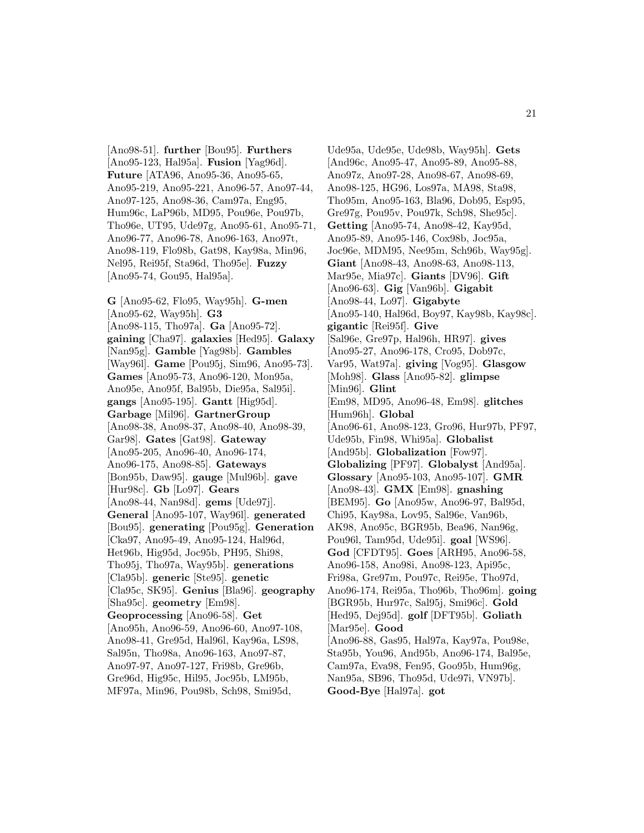[Ano98-51]. **further** [Bou95]. **Furthers** [Ano95-123, Hal95a]. **Fusion** [Yag96d]. **Future** [ATA96, Ano95-36, Ano95-65, Ano95-219, Ano95-221, Ano96-57, Ano97-44, Ano97-125, Ano98-36, Cam97a, Eng95, Hum96c, LaP96b, MD95, Pou96e, Pou97b, Tho96e, UT95, Ude97g, Ano95-61, Ano95-71, Ano96-77, Ano96-78, Ano96-163, Ano97t, Ano98-119, Flo98b, Gat98, Kay98a, Min96, Nel95, Rei95f, Sta96d, Tho95e]. **Fuzzy** [Ano95-74, Gou95, Hal95a].

**G** [Ano95-62, Flo95, Way95h]. **G-men** [Ano95-62, Way95h]. **G3** [Ano98-115, Tho97a]. **Ga** [Ano95-72]. **gaining** [Cha97]. **galaxies** [Hed95]. **Galaxy** [Nan95g]. **Gamble** [Yag98b]. **Gambles** [Way96l]. **Game** [Pou95j, Sim96, Ano95-73]. **Games** [Ano95-73, Ano96-120, Mon95a, Ano95e, Ano95f, Bal95b, Die95a, Sal95i]. **gangs** [Ano95-195]. **Gantt** [Hig95d]. **Garbage** [Mil96]. **GartnerGroup** [Ano98-38, Ano98-37, Ano98-40, Ano98-39, Gar98]. **Gates** [Gat98]. **Gateway** [Ano95-205, Ano96-40, Ano96-174, Ano96-175, Ano98-85]. **Gateways** [Bon95b, Daw95]. **gauge** [Mul96b]. **gave** [Hur98c]. **Gb** [Lo97]. **Gears** [Ano98-44, Nan98d]. **gems** [Ude97j]. **General** [Ano95-107, Way96l]. **generated** [Bou95]. **generating** [Pou95g]. **Generation** [Cka97, Ano95-49, Ano95-124, Hal96d, Het96b, Hig95d, Joc95b, PH95, Shi98, Tho95j, Tho97a, Way95b]. **generations** [Cla95b]. **generic** [Ste95]. **genetic** [Cla95c, SK95]. **Genius** [Bla96]. **geography** [Sha95c]. **geometry** [Em98]. **Geoprocessing** [Ano96-58]. **Get** [Ano95h, Ano96-59, Ano96-60, Ano97-108, Ano98-41, Gre95d, Hal96l, Kay96a, LS98, Sal95n, Tho98a, Ano96-163, Ano97-87, Ano97-97, Ano97-127, Fri98b, Gre96b, Gre96d, Hig95c, Hil95, Joc95b, LM95b, MF97a, Min96, Pou98b, Sch98, Smi95d,

Ude95a, Ude95e, Ude98b, Way95h]. **Gets** [And96c, Ano95-47, Ano95-89, Ano95-88, Ano97z, Ano97-28, Ano98-67, Ano98-69, Ano98-125, HG96, Los97a, MA98, Sta98, Tho95m, Ano95-163, Bla96, Dob95, Esp95, Gre97g, Pou95v, Pou97k, Sch98, She95c]. **Getting** [Ano95-74, Ano98-42, Kay95d, Ano95-89, Ano95-146, Cox98b, Joc95a, Joc96e, MDM95, Nee95m, Sch96b, Way95g]. **Giant** [Ano98-43, Ano98-63, Ano98-113, Mar95e, Mia97c]. **Giants** [DV96]. **Gift** [Ano96-63]. **Gig** [Van96b]. **Gigabit** [Ano98-44, Lo97]. **Gigabyte** [Ano95-140, Hal96d, Boy97, Kay98b, Kay98c]. **gigantic** [Rei95f]. **Give** [Sal96e, Gre97p, Hal96h, HR97]. **gives** [Ano95-27, Ano96-178, Cro95, Dob97c, Var95, Wat97a]. **giving** [Vog95]. **Glasgow** [Moh98]. **Glass** [Ano95-82]. **glimpse** [Min96]. **Glint** [Em98, MD95, Ano96-48, Em98]. **glitches** [Hum96h]. **Global** [Ano96-61, Ano98-123, Gro96, Hur97b, PF97, Ude95b, Fin98, Whi95a]. **Globalist** [And95b]. **Globalization** [Fow97]. **Globalizing** [PF97]. **Globalyst** [And95a]. **Glossary** [Ano95-103, Ano95-107]. **GMR** [Ano98-43]. **GMX** [Em98]. **gnashing** [BEM95]. **Go** [Ano95w, Ano96-97, Bal95d, Chi95, Kay98a, Lov95, Sal96e, Van96b, AK98, Ano95c, BGR95b, Bea96, Nan96g, Pou96l, Tam95d, Ude95i]. **goal** [WS96]. **God** [CFDT95]. **Goes** [ARH95, Ano96-58, Ano96-158, Ano98i, Ano98-123, Api95c, Fri98a, Gre97m, Pou97c, Rei95e, Tho97d, Ano96-174, Rei95a, Tho96b, Tho96m]. **going** [BGR95b, Hur97c, Sal95j, Smi96c]. **Gold** [Hed95, Dej95d]. **golf** [DFT95b]. **Goliath** [Mar95e]. **Good** [Ano96-88, Gas95, Hal97a, Kay97a, Pou98e, Sta95b, You96, And95b, Ano96-174, Bal95e, Cam97a, Eva98, Fen95, Goo95b, Hum96g, Nan95a, SB96, Tho95d, Ude97i, VN97b]. **Good-Bye** [Hal97a]. **got**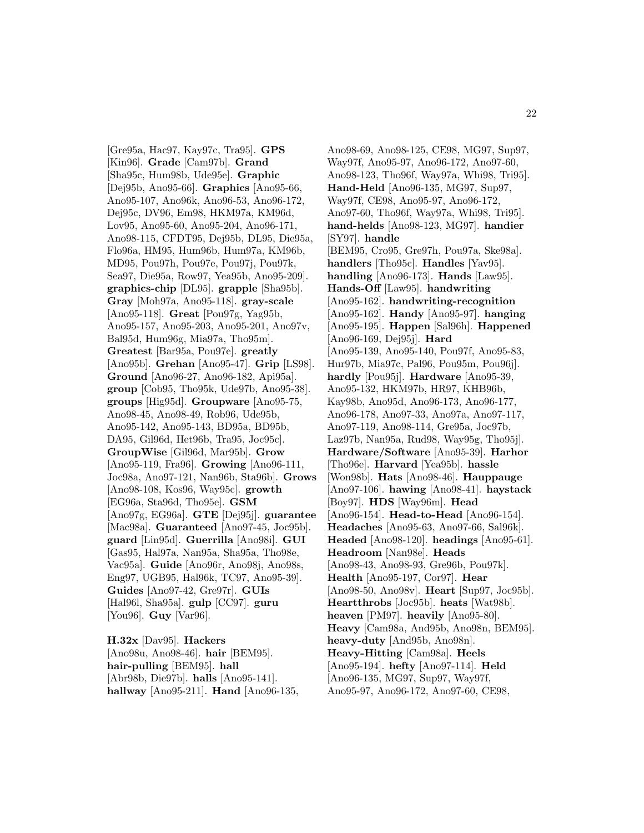[Gre95a, Hac97, Kay97c, Tra95]. **GPS** [Kin96]. **Grade** [Cam97b]. **Grand** [Sha95c, Hum98b, Ude95e]. **Graphic** [Dej95b, Ano95-66]. **Graphics** [Ano95-66, Ano95-107, Ano96k, Ano96-53, Ano96-172, Dej95c, DV96, Em98, HKM97a, KM96d, Lov95, Ano95-60, Ano95-204, Ano96-171, Ano98-115, CFDT95, Dej95b, DL95, Die95a, Flo96a, HM95, Hum96b, Hum97a, KM96b, MD95, Pou97h, Pou97e, Pou97j, Pou97k, Sea97, Die95a, Row97, Yea95b, Ano95-209]. **graphics-chip** [DL95]. **grapple** [Sha95b]. **Gray** [Moh97a, Ano95-118]. **gray-scale** [Ano95-118]. **Great** [Pou97g, Yag95b, Ano95-157, Ano95-203, Ano95-201, Ano97v, Bal95d, Hum96g, Mia97a, Tho95m]. **Greatest** [Bar95a, Pou97e]. **greatly** [Ano95b]. **Grehan** [Ano95-47]. **Grip** [LS98]. **Ground** [Ano96-27, Ano96-182, Api95a]. **group** [Cob95, Tho95k, Ude97b, Ano95-38]. **groups** [Hig95d]. **Groupware** [Ano95-75, Ano98-45, Ano98-49, Rob96, Ude95b, Ano95-142, Ano95-143, BD95a, BD95b, DA95, Gil96d, Het96b, Tra95, Joc95c]. **GroupWise** [Gil96d, Mar95b]. **Grow** [Ano95-119, Fra96]. **Growing** [Ano96-111, Joc98a, Ano97-121, Nan96b, Sta96b]. **Grows** [Ano98-108, Kos96, Way95c]. **growth** [EG96a, Sta96d, Tho95e]. **GSM** [Ano97g, EG96a]. **GTE** [Dej95j]. **guarantee** [Mac98a]. **Guaranteed** [Ano97-45, Joc95b]. **guard** [Lin95d]. **Guerrilla** [Ano98i]. **GUI** [Gas95, Hal97a, Nan95a, Sha95a, Tho98e, Vac95a]. **Guide** [Ano96r, Ano98j, Ano98s, Eng97, UGB95, Hal96k, TC97, Ano95-39]. **Guides** [Ano97-42, Gre97r]. **GUIs** [Hal96l, Sha95a]. **gulp** [CC97]. **guru** [You96]. **Guy** [Var96].

**H.32x** [Dav95]. **Hackers** [Ano98u, Ano98-46]. **hair** [BEM95]. **hair-pulling** [BEM95]. **hall** [Abr98b, Die97b]. **halls** [Ano95-141]. **hallway** [Ano95-211]. **Hand** [Ano96-135,

Ano98-69, Ano98-125, CE98, MG97, Sup97, Way97f, Ano95-97, Ano96-172, Ano97-60, Ano98-123, Tho96f, Way97a, Whi98, Tri95]. **Hand-Held** [Ano96-135, MG97, Sup97, Way97f, CE98, Ano95-97, Ano96-172, Ano97-60, Tho96f, Way97a, Whi98, Tri95]. **hand-helds** [Ano98-123, MG97]. **handier** [SY97]. **handle** [BEM95, Cro95, Gre97h, Pou97a, Ske98a]. **handlers** [Tho95c]. **Handles** [Yav95]. **handling** [Ano96-173]. **Hands** [Law95]. **Hands-Off** [Law95]. **handwriting** [Ano95-162]. **handwriting-recognition** [Ano95-162]. **Handy** [Ano95-97]. **hanging** [Ano95-195]. **Happen** [Sal96h]. **Happened** [Ano96-169, Dej95j]. **Hard** [Ano95-139, Ano95-140, Pou97f, Ano95-83, Hur97b, Mia97c, Pal96, Pou95m, Pou96j]. **hardly** [Pou95j]. **Hardware** [Ano95-39, Ano95-132, HKM97b, HR97, KHB96b, Kay98b, Ano95d, Ano96-173, Ano96-177, Ano96-178, Ano97-33, Ano97a, Ano97-117, Ano97-119, Ano98-114, Gre95a, Joc97b, Laz97b, Nan95a, Rud98, Way95g, Tho95j]. **Hardware/Software** [Ano95-39]. **Harhor** [Tho96e]. **Harvard** [Yea95b]. **hassle** [Won98b]. **Hats** [Ano98-46]. **Hauppauge** [Ano97-106]. **hawing** [Ano98-41]. **haystack** [Boy97]. **HDS** [Way96m]. **Head** [Ano96-154]. **Head-to-Head** [Ano96-154]. **Headaches** [Ano95-63, Ano97-66, Sal96k]. **Headed** [Ano98-120]. **headings** [Ano95-61]. **Headroom** [Nan98e]. **Heads** [Ano98-43, Ano98-93, Gre96b, Pou97k]. **Health** [Ano95-197, Cor97]. **Hear** [Ano98-50, Ano98v]. **Heart** [Sup97, Joc95b]. **Heartthrobs** [Joc95b]. **heats** [Wat98b]. **heaven** [PM97]. **heavily** [Ano95-80]. **Heavy** [Cam98a, And95b, Ano98n, BEM95]. **heavy-duty** [And95b, Ano98n]. **Heavy-Hitting** [Cam98a]. **Heels** [Ano95-194]. **hefty** [Ano97-114]. **Held** [Ano96-135, MG97, Sup97, Way97f, Ano95-97, Ano96-172, Ano97-60, CE98,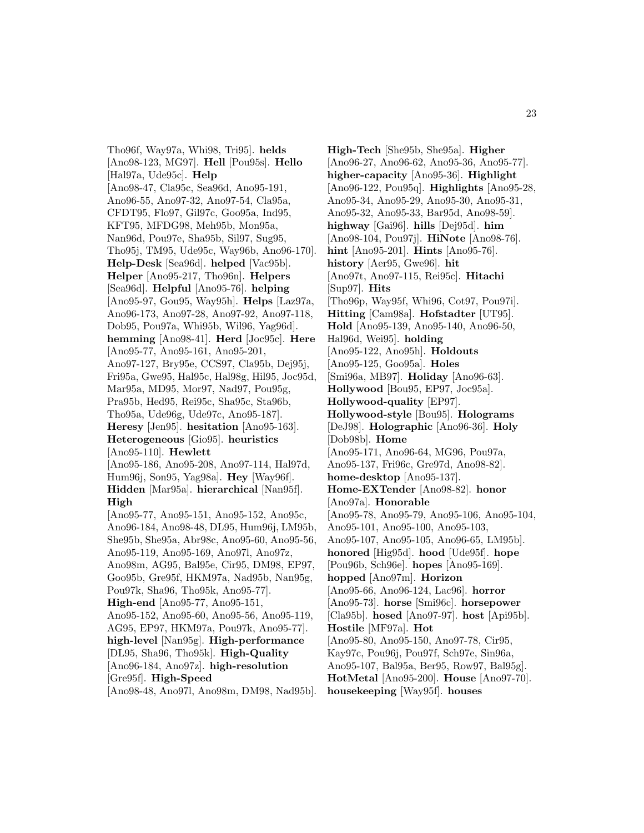Tho96f, Way97a, Whi98, Tri95]. **helds** [Ano98-123, MG97]. **Hell** [Pou95s]. **Hello** [Hal97a, Ude95c]. **Help** [Ano98-47, Cla95c, Sea96d, Ano95-191, Ano96-55, Ano97-32, Ano97-54, Cla95a, CFDT95, Flo97, Gil97c, Goo95a, Ind95, KFT95, MFDG98, Meh95b, Mon95a, Nan96d, Pou97e, Sha95b, Sil97, Sug95, Tho95j, TM95, Ude95c, Way96b, Ano96-170]. **Help-Desk** [Sea96d]. **helped** [Vac95b]. **Helper** [Ano95-217, Tho96n]. **Helpers** [Sea96d]. **Helpful** [Ano95-76]. **helping** [Ano95-97, Gou95, Way95h]. **Helps** [Laz97a, Ano96-173, Ano97-28, Ano97-92, Ano97-118, Dob95, Pou97a, Whi95b, Wil96, Yag96d]. **hemming** [Ano98-41]. **Herd** [Joc95c]. **Here** [Ano95-77, Ano95-161, Ano95-201, Ano97-127, Bry95e, CCS97, Cla95b, Dej95j, Fri95a, Gwe95, Hal95c, Hal98g, Hil95, Joc95d, Mar95a, MD95, Mor97, Nad97, Pou95g, Pra95b, Hed95, Rei95c, Sha95c, Sta96b, Tho95a, Ude96g, Ude97c, Ano95-187]. **Heresy** [Jen95]. **hesitation** [Ano95-163]. **Heterogeneous** [Gio95]. **heuristics** [Ano95-110]. **Hewlett** [Ano95-186, Ano95-208, Ano97-114, Hal97d, Hum96j, Son95, Yag98a]. **Hey** [Way96f]. **Hidden** [Mar95a]. **hierarchical** [Nan95f]. **High** [Ano95-77, Ano95-151, Ano95-152, Ano95c, Ano96-184, Ano98-48, DL95, Hum96j, LM95b, She95b, She95a, Abr98c, Ano95-60, Ano95-56, Ano95-119, Ano95-169, Ano97l, Ano97z, Ano98m, AG95, Bal95e, Cir95, DM98, EP97, Goo95b, Gre95f, HKM97a, Nad95b, Nan95g, Pou97k, Sha96, Tho95k, Ano95-77]. **High-end** [Ano95-77, Ano95-151, Ano95-152, Ano95-60, Ano95-56, Ano95-119, AG95, EP97, HKM97a, Pou97k, Ano95-77]. **high-level** [Nan95g]. **High-performance** [DL95, Sha96, Tho95k]. **High-Quality** [Ano96-184, Ano97z]. **high-resolution** [Gre95f]. **High-Speed** [Ano98-48, Ano97l, Ano98m, DM98, Nad95b].

**High-Tech** [She95b, She95a]. **Higher** [Ano96-27, Ano96-62, Ano95-36, Ano95-77]. **higher-capacity** [Ano95-36]. **Highlight** [Ano96-122, Pou95q]. **Highlights** [Ano95-28, Ano95-34, Ano95-29, Ano95-30, Ano95-31, Ano95-32, Ano95-33, Bar95d, Ano98-59]. **highway** [Gai96]. **hills** [Dej95d]. **him** [Ano98-104, Pou97j]. **HiNote** [Ano98-76]. **hint** [Ano95-201]. **Hints** [Ano95-76]. **history** [Aer95, Gwe96]. **hit** [Ano97t, Ano97-115, Rei95c]. **Hitachi** [Sup97]. **Hits** [Tho96p, Way95f, Whi96, Cot97, Pou97i]. **Hitting** [Cam98a]. **Hofstadter** [UT95]. **Hold** [Ano95-139, Ano95-140, Ano96-50, Hal96d, Wei95]. **holding** [Ano95-122, Ano95h]. **Holdouts** [Ano95-125, Goo95a]. **Holes** [Smi96a, MB97]. **Holiday** [Ano96-63]. **Hollywood** [Bou95, EP97, Joc95a]. **Hollywood-quality** [EP97]. **Hollywood-style** [Bou95]. **Holograms** [DeJ98]. **Holographic** [Ano96-36]. **Holy** [Dob98b]. **Home** [Ano95-171, Ano96-64, MG96, Pou97a, Ano95-137, Fri96c, Gre97d, Ano98-82]. **home-desktop** [Ano95-137]. **Home-EXTender** [Ano98-82]. **honor** [Ano97a]. **Honorable** [Ano95-78, Ano95-79, Ano95-106, Ano95-104, Ano95-101, Ano95-100, Ano95-103, Ano95-107, Ano95-105, Ano96-65, LM95b]. **honored** [Hig95d]. **hood** [Ude95f]. **hope** [Pou96b, Sch96e]. **hopes** [Ano95-169]. **hopped** [Ano97m]. **Horizon** [Ano95-66, Ano96-124, Lac96]. **horror** [Ano95-73]. **horse** [Smi96c]. **horsepower** [Cla95b]. **hosed** [Ano97-97]. **host** [Api95b]. **Hostile** [MF97a]. **Hot** [Ano95-80, Ano95-150, Ano97-78, Cir95, Kay97c, Pou96j, Pou97f, Sch97e, Sin96a, Ano95-107, Bal95a, Ber95, Row97, Bal95g]. **HotMetal** [Ano95-200]. **House** [Ano97-70]. **housekeeping** [Way95f]. **houses**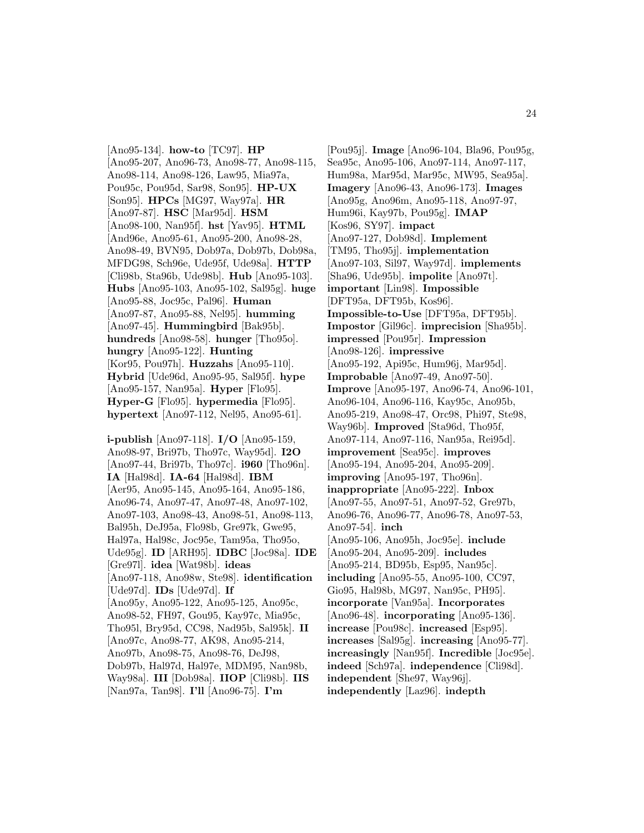[Ano95-134]. **how-to** [TC97]. **HP** [Ano95-207, Ano96-73, Ano98-77, Ano98-115, Ano98-114, Ano98-126, Law95, Mia97a, Pou95c, Pou95d, Sar98, Son95]. **HP-UX** [Son95]. **HPCs** [MG97, Way97a]. **HR** [Ano97-87]. **HSC** [Mar95d]. **HSM** [Ano98-100, Nan95f]. **hst** [Yav95]. **HTML** [And96e, Ano95-61, Ano95-200, Ano98-28, Ano98-49, BVN95, Dob97a, Dob97b, Dob98a, MFDG98, Sch96e, Ude95f, Ude98a]. **HTTP** [Cli98b, Sta96b, Ude98b]. **Hub** [Ano95-103]. **Hubs** [Ano95-103, Ano95-102, Sal95g]. **huge** [Ano95-88, Joc95c, Pal96]. **Human** [Ano97-87, Ano95-88, Nel95]. **humming** [Ano97-45]. **Hummingbird** [Bak95b]. **hundreds** [Ano98-58]. **hunger** [Tho95o]. **hungry** [Ano95-122]. **Hunting** [Kor95, Pou97h]. **Huzzahs** [Ano95-110]. **Hybrid** [Ude96d, Ano95-95, Sal95f]. **hype** [Ano95-157, Nan95a]. **Hyper** [Flo95]. **Hyper-G** [Flo95]. **hypermedia** [Flo95]. **hypertext** [Ano97-112, Nel95, Ano95-61].

**i-publish** [Ano97-118]. **I/O** [Ano95-159, Ano98-97, Bri97b, Tho97c, Way95d]. **I2O** [Ano97-44, Bri97b, Tho97c]. **i960** [Tho96n]. **IA** [Hal98d]. **IA-64** [Hal98d]. **IBM** [Aer95, Ano95-145, Ano95-164, Ano95-186, Ano96-74, Ano97-47, Ano97-48, Ano97-102, Ano97-103, Ano98-43, Ano98-51, Ano98-113, Bal95h, DeJ95a, Flo98b, Gre97k, Gwe95, Hal97a, Hal98c, Joc95e, Tam95a, Tho95o, Ude95g]. **ID** [ARH95]. **IDBC** [Joc98a]. **IDE** [Gre97l]. **idea** [Wat98b]. **ideas** [Ano97-118, Ano98w, Ste98]. **identification** [Ude97d]. **IDs** [Ude97d]. **If** [Ano95y, Ano95-122, Ano95-125, Ano95c, Ano98-52, FH97, Gou95, Kay97c, Mia95c, Tho95l, Bry95d, CC98, Nad95b, Sal95k]. **II** [Ano97c, Ano98-77, AK98, Ano95-214, Ano97b, Ano98-75, Ano98-76, DeJ98, Dob97b, Hal97d, Hal97e, MDM95, Nan98b, Way98a]. **III** [Dob98a]. **IIOP** [Cli98b]. **IIS** [Nan97a, Tan98]. **I'll** [Ano96-75]. **I'm**

[Pou95j]. **Image** [Ano96-104, Bla96, Pou95g, Sea95c, Ano95-106, Ano97-114, Ano97-117, Hum98a, Mar95d, Mar95c, MW95, Sea95a]. **Imagery** [Ano96-43, Ano96-173]. **Images** [Ano95g, Ano96m, Ano95-118, Ano97-97, Hum96i, Kay97b, Pou95g]. **IMAP** [Kos96, SY97]. **impact** [Ano97-127, Dob98d]. **Implement** [TM95, Tho95j]. **implementation** [Ano97-103, Sil97, Way97d]. **implements** [Sha96, Ude95b]. **impolite** [Ano97t]. **important** [Lin98]. **Impossible** [DFT95a, DFT95b, Kos96]. **Impossible-to-Use** [DFT95a, DFT95b]. **Impostor** [Gil96c]. **imprecision** [Sha95b]. **impressed** [Pou95r]. **Impression** [Ano98-126]. **impressive** [Ano95-192, Api95c, Hum96j, Mar95d]. **Improbable** [Ano97-49, Ano97-50]. **Improve** [Ano95-197, Ano96-74, Ano96-101, Ano96-104, Ano96-116, Kay95c, Ano95b, Ano95-219, Ano98-47, Orc98, Phi97, Ste98, Way96b]. **Improved** [Sta96d, Tho95f, Ano97-114, Ano97-116, Nan95a, Rei95d]. **improvement** [Sea95c]. **improves** [Ano95-194, Ano95-204, Ano95-209]. **improving** [Ano95-197, Tho96n]. **inappropriate** [Ano95-222]. **Inbox** [Ano97-55, Ano97-51, Ano97-52, Gre97b, Ano96-76, Ano96-77, Ano96-78, Ano97-53, Ano97-54]. **inch** [Ano95-106, Ano95h, Joc95e]. **include** [Ano95-204, Ano95-209]. **includes** [Ano95-214, BD95b, Esp95, Nan95c]. **including** [Ano95-55, Ano95-100, CC97, Gio95, Hal98b, MG97, Nan95c, PH95]. **incorporate** [Van95a]. **Incorporates** [Ano96-48]. **incorporating** [Ano95-136]. **increase** [Pou98c]. **increased** [Esp95]. **increases** [Sal95g]. **increasing** [Ano95-77]. **increasingly** [Nan95f]. **Incredible** [Joc95e]. **indeed** [Sch97a]. **independence** [Cli98d]. **independent** [She97, Way96j]. **independently** [Laz96]. **indepth**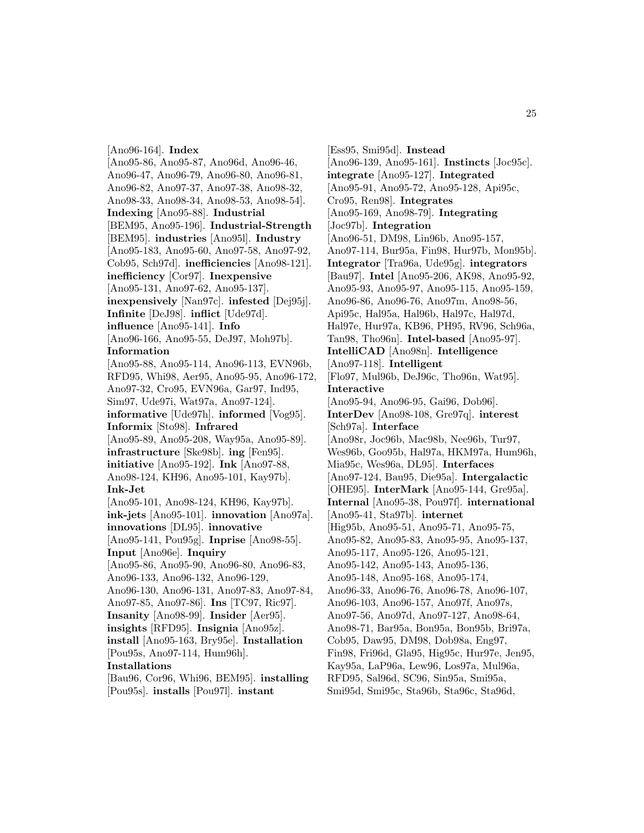[Ano96-164]. **Index** [Ano95-86, Ano95-87, Ano96d, Ano96-46, Ano96-47, Ano96-79, Ano96-80, Ano96-81, Ano96-82, Ano97-37, Ano97-38, Ano98-32, Ano98-33, Ano98-34, Ano98-53, Ano98-54]. **Indexing** [Ano95-88]. **Industrial** [BEM95, Ano95-196]. **Industrial-Strength** [BEM95]. **industries** [Ano95l]. **Industry** [Ano95-183, Ano95-60, Ano97-58, Ano97-92, Cob95, Sch97d]. **inefficiencies** [Ano98-121]. **inefficiency** [Cor97]. **Inexpensive** [Ano95-131, Ano97-62, Ano95-137]. **inexpensively** [Nan97c]. **infested** [Dej95j]. **Infinite** [DeJ98]. **inflict** [Ude97d]. **influence** [Ano95-141]. **Info** [Ano96-166, Ano95-55, DeJ97, Moh97b]. **Information** [Ano95-88, Ano95-114, Ano96-113, EVN96b, RFD95, Whi98, Aer95, Ano95-95, Ano96-172, Ano97-32, Cro95, EVN96a, Gar97, Ind95, Sim97, Ude97i, Wat97a, Ano97-124]. **informative** [Ude97h]. **informed** [Vog95]. **Informix** [Sto98]. **Infrared** [Ano95-89, Ano95-208, Way95a, Ano95-89]. **infrastructure** [Ske98b]. **ing** [Fen95]. **initiative** [Ano95-192]. **Ink** [Ano97-88, Ano98-124, KH96, Ano95-101, Kay97b]. **Ink-Jet** [Ano95-101, Ano98-124, KH96, Kay97b]. **ink-jets** [Ano95-101]. **innovation** [Ano97a]. **innovations** [DL95]. **innovative** [Ano95-141, Pou95g]. **Inprise** [Ano98-55]. **Input** [Ano96e]. **Inquiry** [Ano95-86, Ano95-90, Ano96-80, Ano96-83, Ano96-133, Ano96-132, Ano96-129, Ano96-130, Ano96-131, Ano97-83, Ano97-84, Ano97-85, Ano97-86]. **Ins** [TC97, Ric97]. **Insanity** [Ano98-99]. **Insider** [Aer95]. **insights** [RFD95]. **Insignia** [Ano95z]. **install** [Ano95-163, Bry95e]. **Installation** [Pou95s, Ano97-114, Hum96h]. **Installations** [Bau96, Cor96, Whi96, BEM95]. **installing** [Pou95s]. **installs** [Pou97l]. **instant**

[Ess95, Smi95d]. **Instead** [Ano96-139, Ano95-161]. **Instincts** [Joc95c]. **integrate** [Ano95-127]. **Integrated** [Ano95-91, Ano95-72, Ano95-128, Api95c, Cro95, Ren98]. **Integrates** [Ano95-169, Ano98-79]. **Integrating** [Joc97b]. **Integration** [Ano96-51, DM98, Lin96b, Ano95-157, Ano97-114, Bur95a, Fin98, Hur97b, Mon95b]. **Integrator** [Tra96a, Ude95g]. **integrators** [Bau97]. **Intel** [Ano95-206, AK98, Ano95-92, Ano95-93, Ano95-97, Ano95-115, Ano95-159, Ano96-86, Ano96-76, Ano97m, Ano98-56, Api95c, Hal95a, Hal96b, Hal97c, Hal97d, Hal97e, Hur97a, KB96, PH95, RV96, Sch96a, Tan98, Tho96n]. **Intel-based** [Ano95-97]. **IntelliCAD** [Ano98n]. **Intelligence** [Ano97-118]. **Intelligent** [Flo97, Mul96b, DeJ96c, Tho96n, Wat95]. **Interactive** [Ano95-94, Ano96-95, Gai96, Dob96]. **InterDev** [Ano98-108, Gre97q]. **interest** [Sch97a]. **Interface** [Ano98r, Joc96b, Mac98b, Nee96b, Tur97, Wes96b, Goo95b, Hal97a, HKM97a, Hum96h, Mia95c, Wes96a, DL95]. **Interfaces** [Ano97-124, Bau95, Die95a]. **Intergalactic** [OHE95]. **InterMark** [Ano95-144, Gre95a]. **Internal** [Ano95-38, Pou97f]. **international** [Ano95-41, Sta97b]. **internet** [Hig95b, Ano95-51, Ano95-71, Ano95-75, Ano95-82, Ano95-83, Ano95-95, Ano95-137, Ano95-117, Ano95-126, Ano95-121, Ano95-142, Ano95-143, Ano95-136, Ano95-148, Ano95-168, Ano95-174, Ano96-33, Ano96-76, Ano96-78, Ano96-107, Ano96-103, Ano96-157, Ano97f, Ano97s, Ano97-56, Ano97d, Ano97-127, Ano98-64, Ano98-71, Bar95a, Bon95a, Bon95b, Bri97a, Cob95, Daw95, DM98, Dob98a, Eng97, Fin98, Fri96d, Gla95, Hig95c, Hur97e, Jen95, Kay95a, LaP96a, Lew96, Los97a, Mul96a, RFD95, Sal96d, SC96, Sin95a, Smi95a, Smi95d, Smi95c, Sta96b, Sta96c, Sta96d,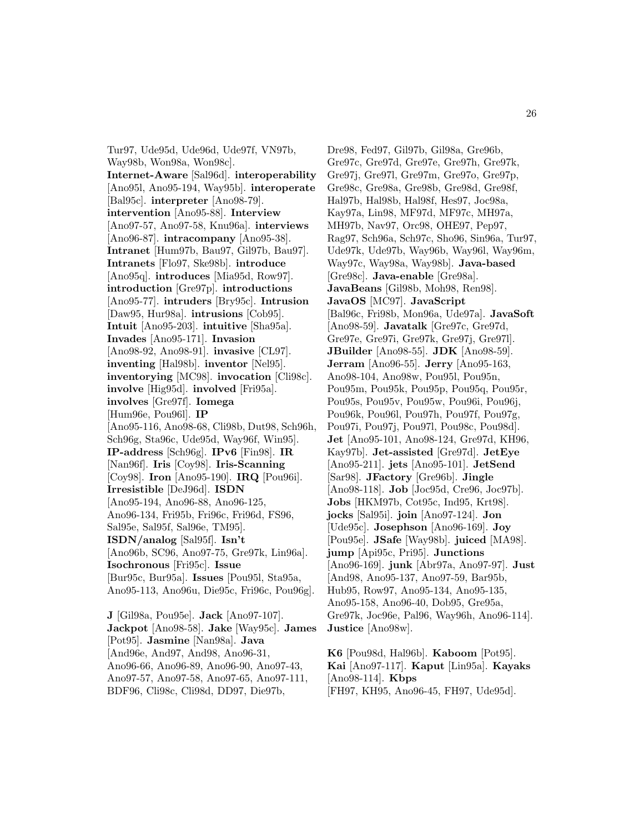Tur97, Ude95d, Ude96d, Ude97f, VN97b, Way98b, Won98a, Won98c]. **Internet-Aware** [Sal96d]. **interoperability** [Ano95l, Ano95-194, Way95b]. **interoperate** [Bal95c]. **interpreter** [Ano98-79]. **intervention** [Ano95-88]. **Interview** [Ano97-57, Ano97-58, Knu96a]. **interviews** [Ano96-87]. **intracompany** [Ano95-38]. **Intranet** [Hum97b, Bau97, Gil97b, Bau97]. **Intranets** [Flo97, Ske98b]. **introduce** [Ano95q]. **introduces** [Mia95d, Row97]. **introduction** [Gre97p]. **introductions** [Ano95-77]. **intruders** [Bry95c]. **Intrusion** [Daw95, Hur98a]. **intrusions** [Cob95]. **Intuit** [Ano95-203]. **intuitive** [Sha95a]. **Invades** [Ano95-171]. **Invasion** [Ano98-92, Ano98-91]. **invasive** [CL97]. **inventing** [Hal98b]. **inventor** [Nel95]. **inventorying** [MC98]. **invocation** [Cli98c]. **involve** [Hig95d]. **involved** [Fri95a]. **involves** [Gre97f]. **Iomega** [Hum96e, Pou96l]. **IP** [Ano95-116, Ano98-68, Cli98b, Dut98, Sch96h, Sch96g, Sta96c, Ude95d, Way96f, Win95]. **IP-address** [Sch96g]. **IPv6** [Fin98]. **IR** [Nan96f]. **Iris** [Coy98]. **Iris-Scanning** [Coy98]. **Iron** [Ano95-190]. **IRQ** [Pou96i]. **Irresistible** [DeJ96d]. **ISDN** [Ano95-194, Ano96-88, Ano96-125, Ano96-134, Fri95b, Fri96c, Fri96d, FS96, Sal95e, Sal95f, Sal96e, TM95]. **ISDN/analog** [Sal95f]. **Isn't** [Ano96b, SC96, Ano97-75, Gre97k, Lin96a]. **Isochronous** [Fri95c]. **Issue** [Bur95c, Bur95a]. **Issues** [Pou95l, Sta95a, Ano95-113, Ano96u, Die95c, Fri96c, Pou96g]. **J** [Gil98a, Pou95e]. **Jack** [Ano97-107].

**Jackpot** [Ano98-58]. **Jake** [Way95c]. **James** [Pot95]. **Jasmine** [Nan98a]. **Java** [And96e, And97, And98, Ano96-31, Ano96-66, Ano96-89, Ano96-90, Ano97-43, Ano97-57, Ano97-58, Ano97-65, Ano97-111, BDF96, Cli98c, Cli98d, DD97, Die97b,

Dre98, Fed97, Gil97b, Gil98a, Gre96b, Gre97c, Gre97d, Gre97e, Gre97h, Gre97k, Gre97j, Gre97l, Gre97m, Gre97o, Gre97p, Gre98c, Gre98a, Gre98b, Gre98d, Gre98f, Hal97b, Hal98b, Hal98f, Hes97, Joc98a, Kay97a, Lin98, MF97d, MF97c, MH97a, MH97b, Nav97, Orc98, OHE97, Pep97, Rag97, Sch96a, Sch97c, Sho96, Sin96a, Tur97, Ude97k, Ude97b, Way96b, Way96l, Way96m, Way97c, Way98a, Way98b]. **Java-based** [Gre98c]. **Java-enable** [Gre98a]. **JavaBeans** [Gil98b, Moh98, Ren98]. **JavaOS** [MC97]. **JavaScript** [Bal96c, Fri98b, Mon96a, Ude97a]. **JavaSoft** [Ano98-59]. **Javatalk** [Gre97c, Gre97d, Gre97e, Gre97i, Gre97k, Gre97j, Gre97l]. **JBuilder** [Ano98-55]. **JDK** [Ano98-59]. **Jerram** [Ano96-55]. **Jerry** [Ano95-163, Ano98-104, Ano98w, Pou95l, Pou95n, Pou95m, Pou95k, Pou95p, Pou95q, Pou95r, Pou95s, Pou95v, Pou95w, Pou96i, Pou96j, Pou96k, Pou96l, Pou97h, Pou97f, Pou97g, Pou97i, Pou97j, Pou97l, Pou98c, Pou98d]. **Jet** [Ano95-101, Ano98-124, Gre97d, KH96, Kay97b]. **Jet-assisted** [Gre97d]. **JetEye** [Ano95-211]. **jets** [Ano95-101]. **JetSend** [Sar98]. **JFactory** [Gre96b]. **Jingle** [Ano98-118]. **Job** [Joc95d, Cre96, Joc97b]. **Jobs** [HKM97b, Cot95c, Ind95, Krt98]. **jocks** [Sal95i]. **join** [Ano97-124]. **Jon** [Ude95c]. **Josephson** [Ano96-169]. **Joy** [Pou95e]. **JSafe** [Way98b]. **juiced** [MA98]. **jump** [Api95c, Pri95]. **Junctions** [Ano96-169]. **junk** [Abr97a, Ano97-97]. **Just** [And98, Ano95-137, Ano97-59, Bar95b, Hub95, Row97, Ano95-134, Ano95-135, Ano95-158, Ano96-40, Dob95, Gre95a, Gre97k, Joc96e, Pal96, Way96h, Ano96-114]. **Justice** [Ano98w].

**K6** [Pou98d, Hal96b]. **Kaboom** [Pot95]. **Kai** [Ano97-117]. **Kaput** [Lin95a]. **Kayaks** [Ano98-114]. **Kbps** [FH97, KH95, Ano96-45, FH97, Ude95d].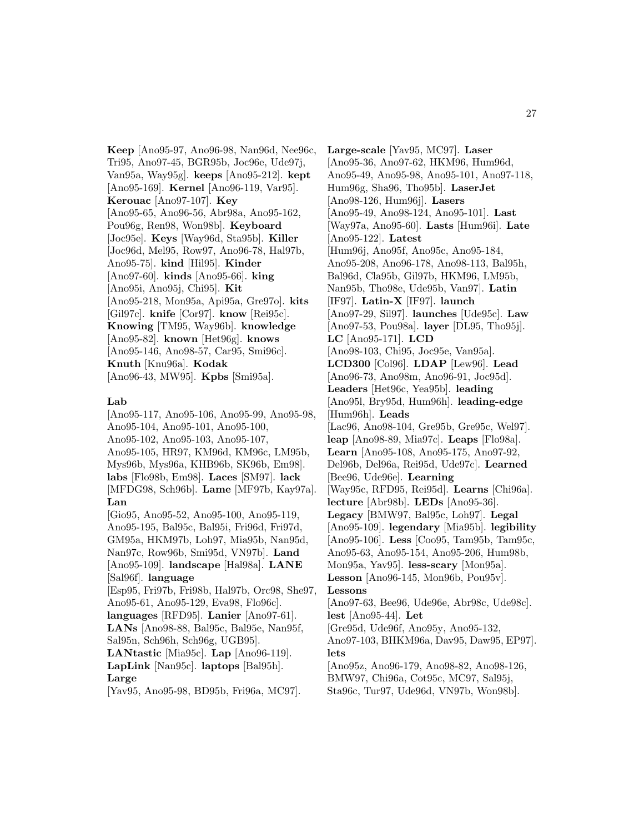**Keep** [Ano95-97, Ano96-98, Nan96d, Nee96c, Tri95, Ano97-45, BGR95b, Joc96e, Ude97j, Van95a, Way95g]. **keeps** [Ano95-212]. **kept** [Ano95-169]. **Kernel** [Ano96-119, Var95]. **Kerouac** [Ano97-107]. **Key** [Ano95-65, Ano96-56, Abr98a, Ano95-162, Pou96g, Ren98, Won98b]. **Keyboard** [Joc95e]. **Keys** [Way96d, Sta95b]. **Killer** [Joc96d, Mel95, Row97, Ano96-78, Hal97b, Ano95-75]. **kind** [Hil95]. **Kinder** [Ano97-60]. **kinds** [Ano95-66]. **king** [Ano95i, Ano95j, Chi95]. **Kit** [Ano95-218, Mon95a, Api95a, Gre97o]. **kits** [Gil97c]. **knife** [Cor97]. **know** [Rei95c]. **Knowing** [TM95, Way96b]. **knowledge** [Ano95-82]. **known** [Het96g]. **knows** [Ano95-146, Ano98-57, Car95, Smi96c]. **Knuth** [Knu96a]. **Kodak** [Ano96-43, MW95]. **Kpbs** [Smi95a].

#### **Lab**

[Ano95-117, Ano95-106, Ano95-99, Ano95-98, Ano95-104, Ano95-101, Ano95-100, Ano95-102, Ano95-103, Ano95-107, Ano95-105, HR97, KM96d, KM96c, LM95b, Mys96b, Mys96a, KHB96b, SK96b, Em98]. **labs** [Flo98b, Em98]. **Laces** [SM97]. **lack** [MFDG98, Sch96b]. **Lame** [MF97b, Kay97a]. **Lan** [Gio95, Ano95-52, Ano95-100, Ano95-119, Ano95-195, Bal95c, Bal95i, Fri96d, Fri97d, GM95a, HKM97b, Loh97, Mia95b, Nan95d, Nan97c, Row96b, Smi95d, VN97b]. **Land** [Ano95-109]. **landscape** [Hal98a]. **LANE** [Sal96f]. **language** [Esp95, Fri97b, Fri98b, Hal97b, Orc98, She97, Ano95-61, Ano95-129, Eva98, Flo96c]. **languages** [RFD95]. **Lanier** [Ano97-61]. **LANs** [Ano98-88, Bal95c, Bal95e, Nan95f, Sal95n, Sch96h, Sch96g, UGB95]. **LANtastic** [Mia95c]. **Lap** [Ano96-119]. **LapLink** [Nan95c]. **laptops** [Bal95h]. **Large**

[Yav95, Ano95-98, BD95b, Fri96a, MC97].

**Large-scale** [Yav95, MC97]. **Laser** [Ano95-36, Ano97-62, HKM96, Hum96d, Ano95-49, Ano95-98, Ano95-101, Ano97-118, Hum96g, Sha96, Tho95b]. **LaserJet** [Ano98-126, Hum96j]. **Lasers** [Ano95-49, Ano98-124, Ano95-101]. **Last** [Way97a, Ano95-60]. **Lasts** [Hum96i]. **Late** [Ano95-122]. **Latest** [Hum96j, Ano95f, Ano95c, Ano95-184, Ano95-208, Ano96-178, Ano98-113, Bal95h, Bal96d, Cla95b, Gil97b, HKM96, LM95b, Nan95b, Tho98e, Ude95b, Van97]. **Latin** [IF97]. **Latin-X** [IF97]. **launch** [Ano97-29, Sil97]. **launches** [Ude95c]. **Law** [Ano97-53, Pou98a]. **layer** [DL95, Tho95j]. **LC** [Ano95-171]. **LCD** [Ano98-103, Chi95, Joc95e, Van95a]. **LCD300** [Col96]. **LDAP** [Lew96]. **Lead** [Ano96-73, Ano98m, Ano96-91, Joc95d]. **Leaders** [Het96c, Yea95b]. **leading** [Ano95l, Bry95d, Hum96h]. **leading-edge** [Hum96h]. **Leads** [Lac96, Ano98-104, Gre95b, Gre95c, Wel97]. **leap** [Ano98-89, Mia97c]. **Leaps** [Flo98a]. **Learn** [Ano95-108, Ano95-175, Ano97-92, Del96b, Del96a, Rei95d, Ude97c]. **Learned** [Bee96, Ude96e]. **Learning** [Way95c, RFD95, Rei95d]. **Learns** [Chi96a]. **lecture** [Abr98b]. **LEDs** [Ano95-36]. **Legacy** [BMW97, Bal95c, Loh97]. **Legal** [Ano95-109]. **legendary** [Mia95b]. **legibility** [Ano95-106]. **Less** [Coo95, Tam95b, Tam95c, Ano95-63, Ano95-154, Ano95-206, Hum98b, Mon95a, Yav95]. **less-scary** [Mon95a]. **Lesson** [Ano96-145, Mon96b, Pou95v]. **Lessons** [Ano97-63, Bee96, Ude96e, Abr98c, Ude98c]. **lest** [Ano95-44]. **Let** [Gre95d, Ude96f, Ano95y, Ano95-132, Ano97-103, BHKM96a, Dav95, Daw95, EP97]. **lets** [Ano95z, Ano96-179, Ano98-82, Ano98-126, BMW97, Chi96a, Cot95c, MC97, Sal95j, Sta96c, Tur97, Ude96d, VN97b, Won98b].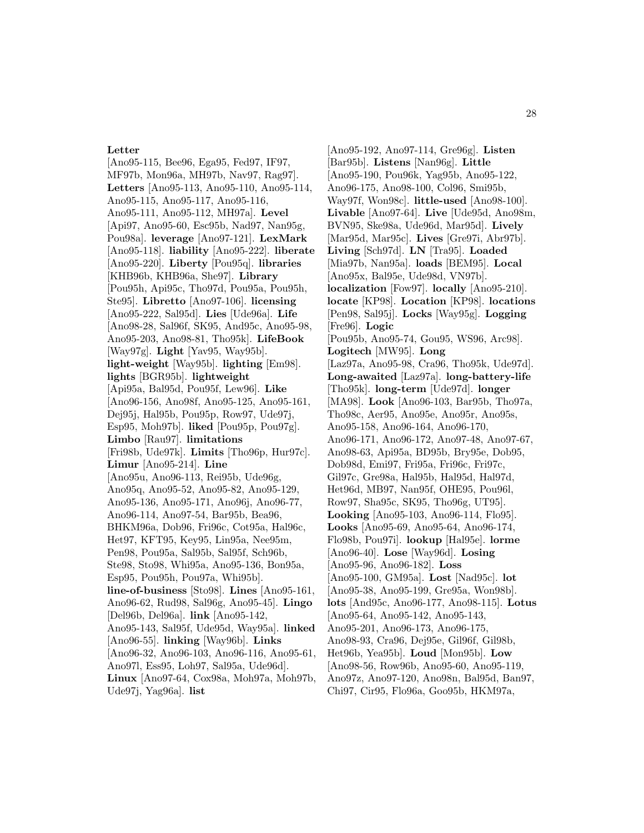# **Letter**

[Ano95-115, Bee96, Ega95, Fed97, IF97, MF97b, Mon96a, MH97b, Nav97, Rag97]. **Letters** [Ano95-113, Ano95-110, Ano95-114, Ano95-115, Ano95-117, Ano95-116, Ano95-111, Ano95-112, MH97a]. **Level** [Api97, Ano95-60, Esc95b, Nad97, Nan95g, Pou98a]. **leverage** [Ano97-121]. **LexMark** [Ano95-118]. **liability** [Ano95-222]. **liberate** [Ano95-220]. **Liberty** [Pou95q]. **libraries** [KHB96b, KHB96a, She97]. **Library** [Pou95h, Api95c, Tho97d, Pou95a, Pou95h, Ste95]. **Libretto** [Ano97-106]. **licensing** [Ano95-222, Sal95d]. **Lies** [Ude96a]. **Life** [Ano98-28, Sal96f, SK95, And95c, Ano95-98, Ano95-203, Ano98-81, Tho95k]. **LifeBook** [Way97g]. **Light** [Yav95, Way95b]. **light-weight** [Way95b]. **lighting** [Em98]. **lights** [BGR95b]. **lightweight** [Api95a, Bal95d, Pou95f, Lew96]. **Like** [Ano96-156, Ano98f, Ano95-125, Ano95-161, Dej95j, Hal95b, Pou95p, Row97, Ude97j, Esp95, Moh97b]. **liked** [Pou95p, Pou97g]. **Limbo** [Rau97]. **limitations** [Fri98b, Ude97k]. **Limits** [Tho96p, Hur97c]. **Limur** [Ano95-214]. **Line** [Ano95u, Ano96-113, Rei95b, Ude96g, Ano95q, Ano95-52, Ano95-82, Ano95-129, Ano95-136, Ano95-171, Ano96j, Ano96-77, Ano96-114, Ano97-54, Bar95b, Bea96, BHKM96a, Dob96, Fri96c, Cot95a, Hal96c, Het97, KFT95, Key95, Lin95a, Nee95m, Pen98, Pou95a, Sal95b, Sal95f, Sch96b, Ste98, Sto98, Whi95a, Ano95-136, Bon95a, Esp95, Pou95h, Pou97a, Whi95b]. **line-of-business** [Sto98]. **Lines** [Ano95-161, Ano96-62, Rud98, Sal96g, Ano95-45]. **Lingo** [Del96b, Del96a]. **link** [Ano95-142, Ano95-143, Sal95f, Ude95d, Way95a]. **linked** [Ano96-55]. **linking** [Way96b]. **Links** [Ano96-32, Ano96-103, Ano96-116, Ano95-61, Ano97l, Ess95, Loh97, Sal95a, Ude96d]. **Linux** [Ano97-64, Cox98a, Moh97a, Moh97b, Ude97j, Yag96a]. **list**

[Ano95-192, Ano97-114, Gre96g]. **Listen** [Bar95b]. **Listens** [Nan96g]. **Little** [Ano95-190, Pou96k, Yag95b, Ano95-122, Ano96-175, Ano98-100, Col96, Smi95b, Way97f, Won98c]. **little-used** [Ano98-100]. **Livable** [Ano97-64]. **Live** [Ude95d, Ano98m, BVN95, Ske98a, Ude96d, Mar95d]. **Lively** [Mar95d, Mar95c]. **Lives** [Gre97i, Abr97b]. **Living** [Sch97d]. **LN** [Tra95]. **Loaded** [Mia97b, Nan95a]. **loads** [BEM95]. **Local** [Ano95x, Bal95e, Ude98d, VN97b]. **localization** [Fow97]. **locally** [Ano95-210]. **locate** [KP98]. **Location** [KP98]. **locations** [Pen98, Sal95j]. **Locks** [Way95g]. **Logging** [Fre96]. **Logic** [Pou95b, Ano95-74, Gou95, WS96, Arc98]. **Logitech** [MW95]. **Long** [Laz97a, Ano95-98, Cra96, Tho95k, Ude97d]. **Long-awaited** [Laz97a]. **long-battery-life** [Tho95k]. **long-term** [Ude97d]. **longer** [MA98]. **Look** [Ano96-103, Bar95b, Tho97a, Tho98c, Aer95, Ano95e, Ano95r, Ano95s, Ano95-158, Ano96-164, Ano96-170, Ano96-171, Ano96-172, Ano97-48, Ano97-67, Ano98-63, Api95a, BD95b, Bry95e, Dob95, Dob98d, Emi97, Fri95a, Fri96c, Fri97c, Gil97c, Gre98a, Hal95b, Hal95d, Hal97d, Het96d, MB97, Nan95f, OHE95, Pou96l, Row97, Sha95c, SK95, Tho96g, UT95]. **Looking** [Ano95-103, Ano96-114, Flo95]. **Looks** [Ano95-69, Ano95-64, Ano96-174, Flo98b, Pou97i]. **lookup** [Hal95e]. **lorme** [Ano96-40]. **Lose** [Way96d]. **Losing** [Ano95-96, Ano96-182]. **Loss** [Ano95-100, GM95a]. **Lost** [Nad95c]. **lot** [Ano95-38, Ano95-199, Gre95a, Won98b]. **lots** [And95c, Ano96-177, Ano98-115]. **Lotus** [Ano95-64, Ano95-142, Ano95-143, Ano95-201, Ano96-173, Ano96-175, Ano98-93, Cra96, Dej95e, Gil96f, Gil98b, Het96b, Yea95b]. **Loud** [Mon95b]. **Low** [Ano98-56, Row96b, Ano95-60, Ano95-119, Ano97z, Ano97-120, Ano98n, Bal95d, Ban97, Chi97, Cir95, Flo96a, Goo95b, HKM97a,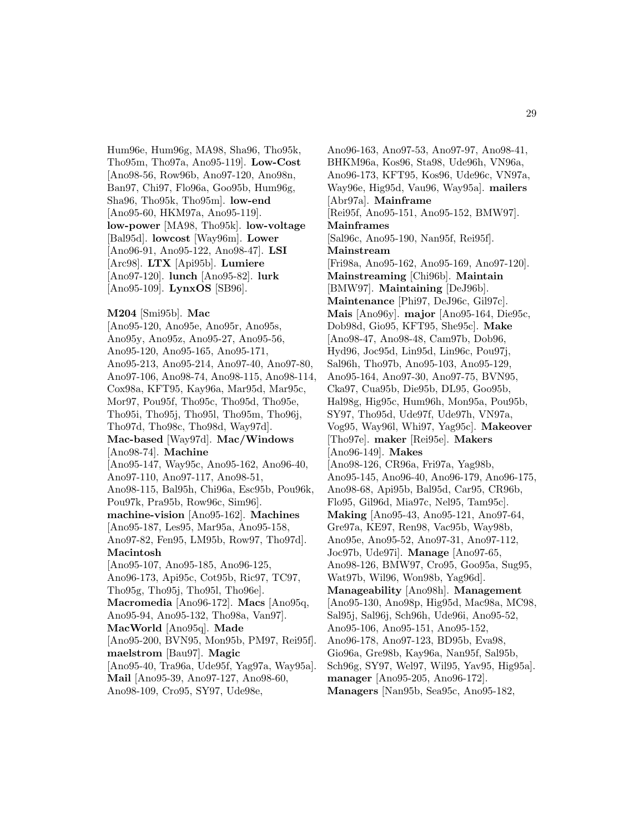Hum96e, Hum96g, MA98, Sha96, Tho95k, Tho95m, Tho97a, Ano95-119]. **Low-Cost** [Ano98-56, Row96b, Ano97-120, Ano98n, Ban97, Chi97, Flo96a, Goo95b, Hum96g, Sha96, Tho95k, Tho95m]. **low-end** [Ano95-60, HKM97a, Ano95-119]. **low-power** [MA98, Tho95k]. **low-voltage** [Bal95d]. **lowcost** [Way96m]. **Lower** [Ano96-91, Ano95-122, Ano98-47]. **LSI** [Arc98]. **LTX** [Api95b]. **Lumiere** [Ano97-120]. **lunch** [Ano95-82]. **lurk** [Ano95-109]. **LynxOS** [SB96].

# **M204** [Smi95b]. **Mac**

[Ano95-120, Ano95e, Ano95r, Ano95s, Ano95y, Ano95z, Ano95-27, Ano95-56, Ano95-120, Ano95-165, Ano95-171, Ano95-213, Ano95-214, Ano97-40, Ano97-80, Ano97-106, Ano98-74, Ano98-115, Ano98-114, Cox98a, KFT95, Kay96a, Mar95d, Mar95c, Mor97, Pou95f, Tho95c, Tho95d, Tho95e, Tho95i, Tho95j, Tho95l, Tho95m, Tho96j, Tho97d, Tho98c, Tho98d, Way97d]. **Mac-based** [Way97d]. **Mac/Windows** [Ano98-74]. **Machine** [Ano95-147, Way95c, Ano95-162, Ano96-40, Ano97-110, Ano97-117, Ano98-51, Ano98-115, Bal95h, Chi96a, Esc95b, Pou96k, Pou97k, Pra95b, Row96c, Sim96]. **machine-vision** [Ano95-162]. **Machines** [Ano95-187, Les95, Mar95a, Ano95-158, Ano97-82, Fen95, LM95b, Row97, Tho97d]. **Macintosh** [Ano95-107, Ano95-185, Ano96-125, Ano96-173, Api95c, Cot95b, Ric97, TC97, Tho95g, Tho95j, Tho95l, Tho96e]. **Macromedia** [Ano96-172]. **Macs** [Ano95q, Ano95-94, Ano95-132, Tho98a, Van97]. **MacWorld** [Ano95q]. **Made** [Ano95-200, BVN95, Mon95b, PM97, Rei95f]. **maelstrom** [Bau97]. **Magic** [Ano95-40, Tra96a, Ude95f, Yag97a, Way95a]. **Mail** [Ano95-39, Ano97-127, Ano98-60, Ano98-109, Cro95, SY97, Ude98e,

Ano96-163, Ano97-53, Ano97-97, Ano98-41, BHKM96a, Kos96, Sta98, Ude96h, VN96a, Ano96-173, KFT95, Kos96, Ude96c, VN97a, Way96e, Hig95d, Vau96, Way95a]. **mailers** [Abr97a]. **Mainframe** [Rei95f, Ano95-151, Ano95-152, BMW97]. **Mainframes** [Sal96c, Ano95-190, Nan95f, Rei95f]. **Mainstream** [Fri98a, Ano95-162, Ano95-169, Ano97-120]. **Mainstreaming** [Chi96b]. **Maintain** [BMW97]. **Maintaining** [DeJ96b]. **Maintenance** [Phi97, DeJ96c, Gil97c]. **Mais** [Ano96y]. **major** [Ano95-164, Die95c, Dob98d, Gio95, KFT95, She95c]. **Make** [Ano98-47, Ano98-48, Cam97b, Dob96, Hyd96, Joc95d, Lin95d, Lin96c, Pou97j, Sal96h, Tho97b, Ano95-103, Ano95-129, Ano95-164, Ano97-30, Ano97-75, BVN95, Cka97, Cua95b, Die95b, DL95, Goo95b, Hal98g, Hig95c, Hum96h, Mon95a, Pou95b, SY97, Tho95d, Ude97f, Ude97h, VN97a, Vog95, Way96l, Whi97, Yag95c]. **Makeover** [Tho97e]. **maker** [Rei95e]. **Makers** [Ano96-149]. **Makes** [Ano98-126, CR96a, Fri97a, Yag98b, Ano95-145, Ano96-40, Ano96-179, Ano96-175, Ano98-68, Api95b, Bal95d, Car95, CR96b, Flo95, Gil96d, Mia97c, Nel95, Tam95c]. **Making** [Ano95-43, Ano95-121, Ano97-64, Gre97a, KE97, Ren98, Vac95b, Way98b, Ano95e, Ano95-52, Ano97-31, Ano97-112, Joc97b, Ude97i]. **Manage** [Ano97-65, Ano98-126, BMW97, Cro95, Goo95a, Sug95, Wat97b, Wil96, Won98b, Yag96d]. **Manageability** [Ano98h]. **Management** [Ano95-130, Ano98p, Hig95d, Mac98a, MC98, Sal95j, Sal96j, Sch96h, Ude96i, Ano95-52, Ano95-106, Ano95-151, Ano95-152, Ano96-178, Ano97-123, BD95b, Eva98, Gio96a, Gre98b, Kay96a, Nan95f, Sal95b, Sch96g, SY97, Wel97, Wil95, Yav95, Hig95a]. **manager** [Ano95-205, Ano96-172]. **Managers** [Nan95b, Sea95c, Ano95-182,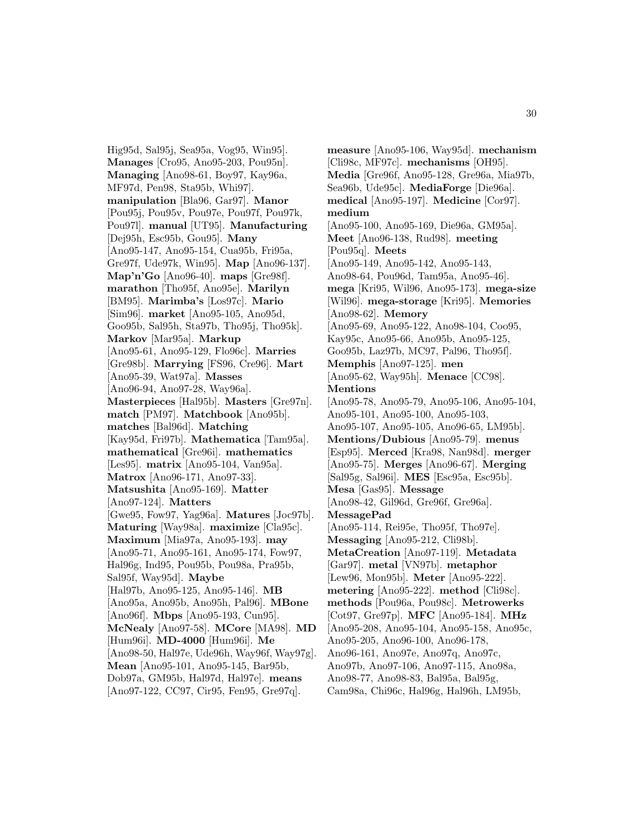Hig95d, Sal95j, Sea95a, Vog95, Win95]. **Manages** [Cro95, Ano95-203, Pou95n]. **Managing** [Ano98-61, Boy97, Kay96a, MF97d, Pen98, Sta95b, Whi97]. **manipulation** [Bla96, Gar97]. **Manor** [Pou95j, Pou95v, Pou97e, Pou97f, Pou97k, Pou97l]. **manual** [UT95]. **Manufacturing** [Dej95h, Esc95b, Gou95]. **Many** [Ano95-147, Ano95-154, Cua95b, Fri95a, Gre97f, Ude97k, Win95]. **Map** [Ano96-137]. **Map'n'Go** [Ano96-40]. **maps** [Gre98f]. **marathon** [Tho95f, Ano95e]. **Marilyn** [BM95]. **Marimba's** [Los97c]. **Mario** [Sim96]. **market** [Ano95-105, Ano95d, Goo95b, Sal95h, Sta97b, Tho95j, Tho95k]. **Markov** [Mar95a]. **Markup** [Ano95-61, Ano95-129, Flo96c]. **Marries** [Gre98b]. **Marrying** [FS96, Cre96]. **Mart** [Ano95-39, Wat97a]. **Masses** [Ano96-94, Ano97-28, Way96a]. **Masterpieces** [Hal95b]. **Masters** [Gre97n]. **match** [PM97]. **Matchbook** [Ano95b]. **matches** [Bal96d]. **Matching** [Kay95d, Fri97b]. **Mathematica** [Tam95a]. **mathematical** [Gre96i]. **mathematics** [Les95]. **matrix** [Ano95-104, Van95a]. **Matrox** [Ano96-171, Ano97-33]. **Matsushita** [Ano95-169]. **Matter** [Ano97-124]. **Matters** [Gwe95, Fow97, Yag96a]. **Matures** [Joc97b]. **Maturing** [Way98a]. **maximize** [Cla95c]. **Maximum** [Mia97a, Ano95-193]. **may** [Ano95-71, Ano95-161, Ano95-174, Fow97, Hal96g, Ind95, Pou95b, Pou98a, Pra95b, Sal95f, Way95d]. **Maybe** [Hal97b, Ano95-125, Ano95-146]. **MB** [Ano95a, Ano95b, Ano95h, Pal96]. **MBone** [Ano96f]. **Mbps** [Ano95-193, Cun95]. **McNealy** [Ano97-58]. **MCore** [MA98]. **MD** [Hum96i]. **MD-4000** [Hum96i]. **Me** [Ano98-50, Hal97e, Ude96h, Way96f, Way97g]. **Mean** [Ano95-101, Ano95-145, Bar95b, Dob97a, GM95b, Hal97d, Hal97e]. **means** [Ano97-122, CC97, Cir95, Fen95, Gre97q].

**measure** [Ano95-106, Way95d]. **mechanism** [Cli98c, MF97c]. **mechanisms** [OH95]. **Media** [Gre96f, Ano95-128, Gre96a, Mia97b, Sea96b, Ude95c]. **MediaForge** [Die96a]. **medical** [Ano95-197]. **Medicine** [Cor97]. **medium** [Ano95-100, Ano95-169, Die96a, GM95a]. **Meet** [Ano96-138, Rud98]. **meeting** [Pou95q]. **Meets** [Ano95-149, Ano95-142, Ano95-143, Ano98-64, Pou96d, Tam95a, Ano95-46]. **mega** [Kri95, Wil96, Ano95-173]. **mega-size** [Wil96]. **mega-storage** [Kri95]. **Memories** [Ano98-62]. **Memory** [Ano95-69, Ano95-122, Ano98-104, Coo95, Kay95c, Ano95-66, Ano95b, Ano95-125, Goo95b, Laz97b, MC97, Pal96, Tho95f]. **Memphis** [Ano97-125]. **men** [Ano95-62, Way95h]. **Menace** [CC98]. **Mentions** [Ano95-78, Ano95-79, Ano95-106, Ano95-104, Ano95-101, Ano95-100, Ano95-103, Ano95-107, Ano95-105, Ano96-65, LM95b]. **Mentions/Dubious** [Ano95-79]. **menus** [Esp95]. **Merced** [Kra98, Nan98d]. **merger** [Ano95-75]. **Merges** [Ano96-67]. **Merging** [Sal95g, Sal96i]. **MES** [Esc95a, Esc95b]. **Mesa** [Gas95]. **Message** [Ano98-42, Gil96d, Gre96f, Gre96a]. **MessagePad** [Ano95-114, Rei95e, Tho95f, Tho97e]. **Messaging** [Ano95-212, Cli98b]. **MetaCreation** [Ano97-119]. **Metadata** [Gar97]. **metal** [VN97b]. **metaphor** [Lew96, Mon95b]. **Meter** [Ano95-222]. **metering** [Ano95-222]. **method** [Cli98c]. **methods** [Pou96a, Pou98c]. **Metrowerks** [Cot97, Gre97p]. **MFC** [Ano95-184]. **MHz** [Ano95-208, Ano95-104, Ano95-158, Ano95c, Ano95-205, Ano96-100, Ano96-178, Ano96-161, Ano97e, Ano97q, Ano97c, Ano97b, Ano97-106, Ano97-115, Ano98a, Ano98-77, Ano98-83, Bal95a, Bal95g, Cam98a, Chi96c, Hal96g, Hal96h, LM95b,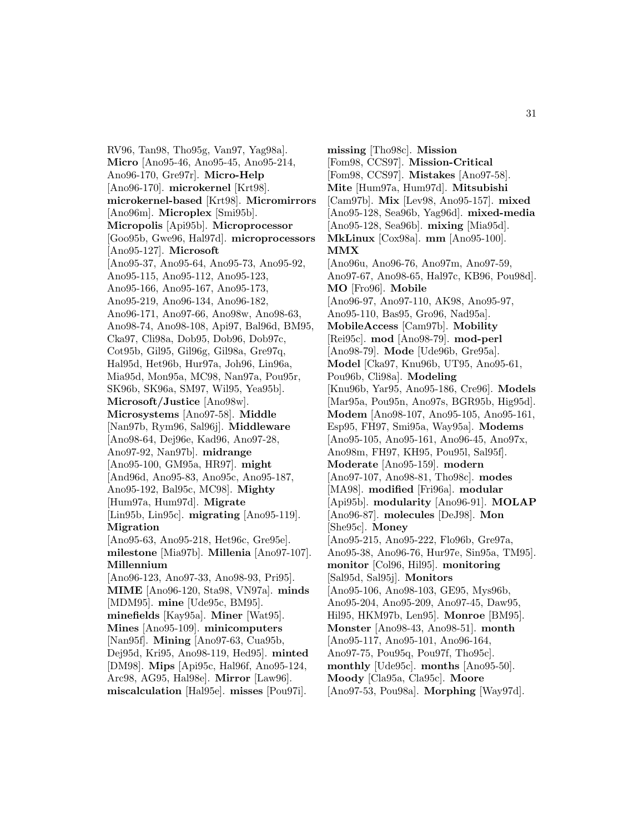RV96, Tan98, Tho95g, Van97, Yag98a]. **Micro** [Ano95-46, Ano95-45, Ano95-214, Ano96-170, Gre97r]. **Micro-Help** [Ano96-170]. **microkernel** [Krt98]. **microkernel-based** [Krt98]. **Micromirrors** [Ano96m]. **Microplex** [Smi95b]. **Micropolis** [Api95b]. **Microprocessor** [Goo95b, Gwe96, Hal97d]. **microprocessors** [Ano95-127]. **Microsoft** [Ano95-37, Ano95-64, Ano95-73, Ano95-92, Ano95-115, Ano95-112, Ano95-123, Ano95-166, Ano95-167, Ano95-173, Ano95-219, Ano96-134, Ano96-182, Ano96-171, Ano97-66, Ano98w, Ano98-63, Ano98-74, Ano98-108, Api97, Bal96d, BM95, Cka97, Cli98a, Dob95, Dob96, Dob97c, Cot95b, Gil95, Gil96g, Gil98a, Gre97q, Hal95d, Het96b, Hur97a, Joh96, Lin96a, Mia95d, Mon95a, MC98, Nan97a, Pou95r, SK96b, SK96a, SM97, Wil95, Yea95b]. **Microsoft/Justice** [Ano98w]. **Microsystems** [Ano97-58]. **Middle** [Nan97b, Rym96, Sal96j]. **Middleware** [Ano98-64, Dej96e, Kad96, Ano97-28, Ano97-92, Nan97b]. **midrange** [Ano95-100, GM95a, HR97]. **might** [And96d, Ano95-83, Ano95c, Ano95-187, Ano95-192, Bal95c, MC98]. **Mighty** [Hum97a, Hum97d]. **Migrate** [Lin95b, Lin95c]. **migrating** [Ano95-119]. **Migration** [Ano95-63, Ano95-218, Het96c, Gre95e]. **milestone** [Mia97b]. **Millenia** [Ano97-107]. **Millennium** [Ano96-123, Ano97-33, Ano98-93, Pri95]. **MIME** [Ano96-120, Sta98, VN97a]. **minds** [MDM95]. **mine** [Ude95c, BM95]. **minefields** [Kay95a]. **Miner** [Wat95]. **Mines** [Ano95-109]. **minicomputers** [Nan95f]. **Mining** [Ano97-63, Cua95b, Dej95d, Kri95, Ano98-119, Hed95]. **minted** [DM98]. **Mips** [Api95c, Hal96f, Ano95-124, Arc98, AG95, Hal98e]. **Mirror** [Law96]. **miscalculation** [Hal95e]. **misses** [Pou97i].

**missing** [Tho98c]. **Mission** [Fom98, CCS97]. **Mission-Critical** [Fom98, CCS97]. **Mistakes** [Ano97-58]. **Mite** [Hum97a, Hum97d]. **Mitsubishi** [Cam97b]. **Mix** [Lev98, Ano95-157]. **mixed** [Ano95-128, Sea96b, Yag96d]. **mixed-media** [Ano95-128, Sea96b]. **mixing** [Mia95d]. **MkLinux** [Cox98a]. **mm** [Ano95-100]. **MMX** [Ano96u, Ano96-76, Ano97m, Ano97-59, Ano97-67, Ano98-65, Hal97c, KB96, Pou98d]. **MO** [Fro96]. **Mobile** [Ano96-97, Ano97-110, AK98, Ano95-97, Ano95-110, Bas95, Gro96, Nad95a]. **MobileAccess** [Cam97b]. **Mobility** [Rei95c]. **mod** [Ano98-79]. **mod-perl** [Ano98-79]. **Mode** [Ude96b, Gre95a]. **Model** [Cka97, Knu96b, UT95, Ano95-61, Pou96b, Cli98a]. **Modeling** [Knu96b, Yar95, Ano95-186, Cre96]. **Models** [Mar95a, Pou95n, Ano97s, BGR95b, Hig95d]. **Modem** [Ano98-107, Ano95-105, Ano95-161, Esp95, FH97, Smi95a, Way95a]. **Modems** [Ano95-105, Ano95-161, Ano96-45, Ano97x, Ano98m, FH97, KH95, Pou95l, Sal95f]. **Moderate** [Ano95-159]. **modern** [Ano97-107, Ano98-81, Tho98c]. **modes** [MA98]. **modified** [Fri96a]. **modular** [Api95b]. **modularity** [Ano96-91]. **MOLAP** [Ano96-87]. **molecules** [DeJ98]. **Mon** [She95c]. **Money** [Ano95-215, Ano95-222, Flo96b, Gre97a, Ano95-38, Ano96-76, Hur97e, Sin95a, TM95]. **monitor** [Col96, Hil95]. **monitoring** [Sal95d, Sal95j]. **Monitors** [Ano95-106, Ano98-103, GE95, Mys96b, Ano95-204, Ano95-209, Ano97-45, Daw95, Hil95, HKM97b, Len95]. **Monroe** [BM95]. **Monster** [Ano98-43, Ano98-51]. **month** [Ano95-117, Ano95-101, Ano96-164, Ano97-75, Pou95q, Pou97f, Tho95c]. **monthly** [Ude95c]. **months** [Ano95-50]. **Moody** [Cla95a, Cla95c]. **Moore** [Ano97-53, Pou98a]. **Morphing** [Way97d].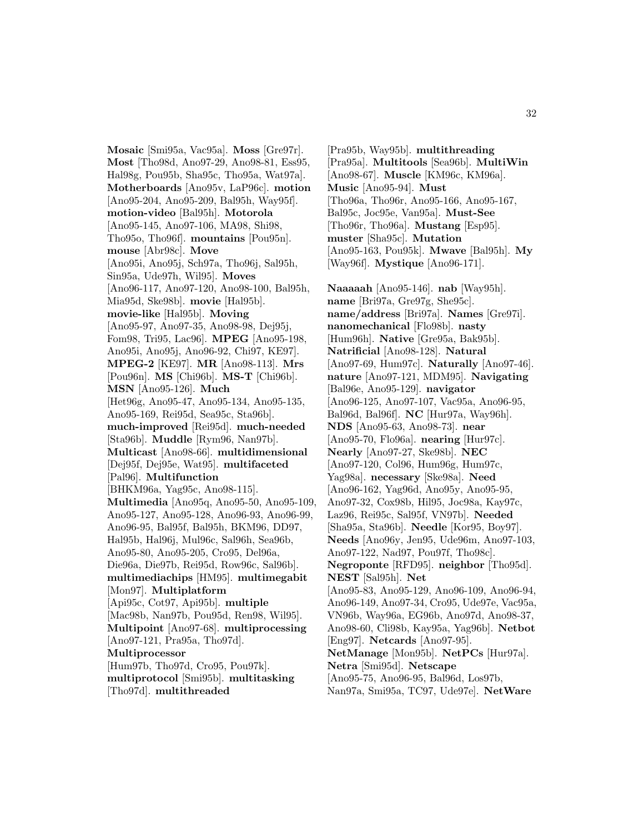**Mosaic** [Smi95a, Vac95a]. **Moss** [Gre97r]. **Most** [Tho98d, Ano97-29, Ano98-81, Ess95, Hal98g, Pou95b, Sha95c, Tho95a, Wat97a]. **Motherboards** [Ano95v, LaP96c]. **motion** [Ano95-204, Ano95-209, Bal95h, Way95f]. **motion-video** [Bal95h]. **Motorola** [Ano95-145, Ano97-106, MA98, Shi98, Tho95o, Tho96f]. **mountains** [Pou95n]. **mouse** [Abr98c]. **Move** [Ano95i, Ano95j, Sch97a, Tho96j, Sal95h, Sin95a, Ude97h, Wil95]. **Moves** [Ano96-117, Ano97-120, Ano98-100, Bal95h, Mia95d, Ske98b]. **movie** [Hal95b]. **movie-like** [Hal95b]. **Moving** [Ano95-97, Ano97-35, Ano98-98, Dej95j, Fom98, Tri95, Lac96]. **MPEG** [Ano95-198, Ano95i, Ano95j, Ano96-92, Chi97, KE97]. **MPEG-2** [KE97]. **MR** [Ano98-113]. **Mrs** [Pou96n]. **MS** [Chi96b]. **MS-T** [Chi96b]. **MSN** [Ano95-126]. **Much** [Het96g, Ano95-47, Ano95-134, Ano95-135, Ano95-169, Rei95d, Sea95c, Sta96b]. **much-improved** [Rei95d]. **much-needed** [Sta96b]. **Muddle** [Rym96, Nan97b]. **Multicast** [Ano98-66]. **multidimensional** [Dej95f, Dej95e, Wat95]. **multifaceted** [Pal96]. **Multifunction** [BHKM96a, Yag95c, Ano98-115]. **Multimedia** [Ano95q, Ano95-50, Ano95-109, Ano95-127, Ano95-128, Ano96-93, Ano96-99, Ano96-95, Bal95f, Bal95h, BKM96, DD97, Hal95b, Hal96j, Mul96c, Sal96h, Sea96b, Ano95-80, Ano95-205, Cro95, Del96a, Die96a, Die97b, Rei95d, Row96c, Sal96b]. **multimediachips** [HM95]. **multimegabit** [Mon97]. **Multiplatform** [Api95c, Cot97, Api95b]. **multiple** [Mac98b, Nan97b, Pou95d, Ren98, Wil95]. **Multipoint** [Ano97-68]. **multiprocessing** [Ano97-121, Pra95a, Tho97d]. **Multiprocessor** [Hum97b, Tho97d, Cro95, Pou97k]. **multiprotocol** [Smi95b]. **multitasking** [Tho97d]. **multithreaded**

[Pra95a]. **Multitools** [Sea96b]. **MultiWin** [Ano98-67]. **Muscle** [KM96c, KM96a]. **Music** [Ano95-94]. **Must** [Tho96a, Tho96r, Ano95-166, Ano95-167, Bal95c, Joc95e, Van95a]. **Must-See** [Tho96r, Tho96a]. **Mustang** [Esp95]. **muster** [Sha95c]. **Mutation** [Ano95-163, Pou95k]. **Mwave** [Bal95h]. **My** [Way96f]. **Mystique** [Ano96-171]. **Naaaaah** [Ano95-146]. **nab** [Way95h]. **name** [Bri97a, Gre97g, She95c]. **name/address** [Bri97a]. **Names** [Gre97i]. **nanomechanical** [Flo98b]. **nasty** [Hum96h]. **Native** [Gre95a, Bak95b]. **Natrificial** [Ano98-128]. **Natural** [Ano97-69, Hum97c]. **Naturally** [Ano97-46]. **nature** [Ano97-121, MDM95]. **Navigating** [Bal96e, Ano95-129]. **navigator** [Ano96-125, Ano97-107, Vac95a, Ano96-95, Bal96d, Bal96f]. **NC** [Hur97a, Way96h]. **NDS** [Ano95-63, Ano98-73]. **near** [Ano95-70, Flo96a]. **nearing** [Hur97c]. **Nearly** [Ano97-27, Ske98b]. **NEC** [Ano97-120, Col96, Hum96g, Hum97c, Yag98a]. **necessary** [Ske98a]. **Need** [Ano96-162, Yag96d, Ano95y, Ano95-95, Ano97-32, Cox98b, Hil95, Joc98a, Kay97c, Laz96, Rei95c, Sal95f, VN97b]. **Needed** [Sha95a, Sta96b]. **Needle** [Kor95, Boy97]. **Needs** [Ano96y, Jen95, Ude96m, Ano97-103, Ano97-122, Nad97, Pou97f, Tho98c]. **Negroponte** [RFD95]. **neighbor** [Tho95d]. **NEST** [Sal95h]. **Net** [Ano95-83, Ano95-129, Ano96-109, Ano96-94, Ano96-149, Ano97-34, Cro95, Ude97e, Vac95a, VN96b, Way96a, EG96b, Ano97d, Ano98-37, Ano98-60, Cli98b, Kay95a, Yag96b]. **Netbot** [Eng97]. **Netcards** [Ano97-95].

[Pra95b, Way95b]. **multithreading**

**NetManage** [Mon95b]. **NetPCs** [Hur97a]. **Netra** [Smi95d]. **Netscape** [Ano95-75, Ano96-95, Bal96d, Los97b,

Nan97a, Smi95a, TC97, Ude97e]. **NetWare**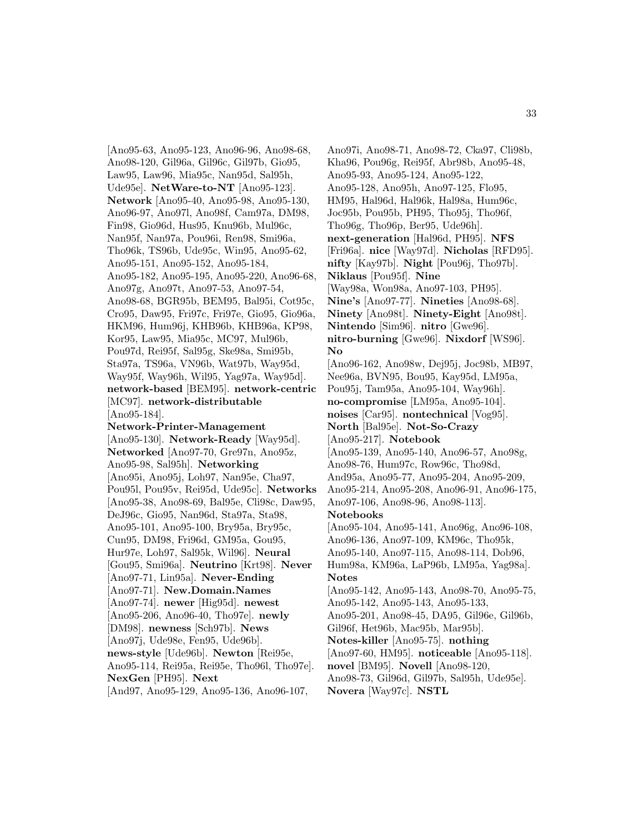[Ano95-63, Ano95-123, Ano96-96, Ano98-68, Ano98-120, Gil96a, Gil96c, Gil97b, Gio95, Law95, Law96, Mia95c, Nan95d, Sal95h, Ude95e]. **NetWare-to-NT** [Ano95-123]. **Network** [Ano95-40, Ano95-98, Ano95-130, Ano96-97, Ano97l, Ano98f, Cam97a, DM98, Fin98, Gio96d, Hus95, Knu96b, Mul96c, Nan95f, Nan97a, Pou96i, Ren98, Smi96a, Tho96k, TS96b, Ude95c, Win95, Ano95-62, Ano95-151, Ano95-152, Ano95-184, Ano95-182, Ano95-195, Ano95-220, Ano96-68, Ano97g, Ano97t, Ano97-53, Ano97-54, Ano98-68, BGR95b, BEM95, Bal95i, Cot95c, Cro95, Daw95, Fri97c, Fri97e, Gio95, Gio96a, HKM96, Hum96j, KHB96b, KHB96a, KP98, Kor95, Law95, Mia95c, MC97, Mul96b, Pou97d, Rei95f, Sal95g, Ske98a, Smi95b, Sta97a, TS96a, VN96b, Wat97b, Way95d, Way95f, Way96h, Wil95, Yag97a, Way95d]. **network-based** [BEM95]. **network-centric** [MC97]. **network-distributable** [Ano95-184]. **Network-Printer-Management** [Ano95-130]. **Network-Ready** [Way95d]. **Networked** [Ano97-70, Gre97n, Ano95z, Ano95-98, Sal95h]. **Networking** [Ano95i, Ano95j, Loh97, Nan95e, Cha97, Pou95l, Pou95v, Rei95d, Ude95c]. **Networks** [Ano95-38, Ano98-69, Bal95e, Cli98c, Daw95, DeJ96c, Gio95, Nan96d, Sta97a, Sta98, Ano95-101, Ano95-100, Bry95a, Bry95c, Cun95, DM98, Fri96d, GM95a, Gou95, Hur97e, Loh97, Sal95k, Wil96]. **Neural** [Gou95, Smi96a]. **Neutrino** [Krt98]. **Never** [Ano97-71, Lin95a]. **Never-Ending** [Ano97-71]. **New.Domain.Names** [Ano97-74]. **newer** [Hig95d]. **newest** [Ano95-206, Ano96-40, Tho97e]. **newly** [DM98]. **newness** [Sch97b]. **News** [Ano97j, Ude98e, Fen95, Ude96b]. **news-style** [Ude96b]. **Newton** [Rei95e, Ano95-114, Rei95a, Rei95e, Tho96l, Tho97e]. **NexGen** [PH95]. **Next**

[And97, Ano95-129, Ano95-136, Ano96-107,

Ano97i, Ano98-71, Ano98-72, Cka97, Cli98b, Kha96, Pou96g, Rei95f, Abr98b, Ano95-48, Ano95-93, Ano95-124, Ano95-122, Ano95-128, Ano95h, Ano97-125, Flo95, HM95, Hal96d, Hal96k, Hal98a, Hum96c, Joc95b, Pou95b, PH95, Tho95j, Tho96f, Tho96g, Tho96p, Ber95, Ude96h]. **next-generation** [Hal96d, PH95]. **NFS** [Fri96a]. **nice** [Way97d]. **Nicholas** [RFD95]. **nifty** [Kay97b]. **Night** [Pou96j, Tho97b]. **Niklaus** [Pou95f]. **Nine** [Way98a, Won98a, Ano97-103, PH95]. **Nine's** [Ano97-77]. **Nineties** [Ano98-68]. **Ninety** [Ano98t]. **Ninety-Eight** [Ano98t]. **Nintendo** [Sim96]. **nitro** [Gwe96]. **nitro-burning** [Gwe96]. **Nixdorf** [WS96]. **No** [Ano96-162, Ano98w, Dej95j, Joc98b, MB97, Nee96a, BVN95, Bou95, Kay95d, LM95a, Pou95j, Tam95a, Ano95-104, Way96h]. **no-compromise** [LM95a, Ano95-104]. **noises** [Car95]. **nontechnical** [Vog95]. **North** [Bal95e]. **Not-So-Crazy** [Ano95-217]. **Notebook** [Ano95-139, Ano95-140, Ano96-57, Ano98g, Ano98-76, Hum97c, Row96c, Tho98d, And95a, Ano95-77, Ano95-204, Ano95-209, Ano95-214, Ano95-208, Ano96-91, Ano96-175, Ano97-106, Ano98-96, Ano98-113]. **Notebooks** [Ano95-104, Ano95-141, Ano96g, Ano96-108, Ano96-136, Ano97-109, KM96c, Tho95k, Ano95-140, Ano97-115, Ano98-114, Dob96, Hum98a, KM96a, LaP96b, LM95a, Yag98a]. **Notes** [Ano95-142, Ano95-143, Ano98-70, Ano95-75, Ano95-142, Ano95-143, Ano95-133, Ano95-201, Ano98-45, DA95, Gil96e, Gil96b, Gil96f, Het96b, Mac95b, Mar95b]. **Notes-killer** [Ano95-75]. **nothing** [Ano97-60, HM95]. **noticeable** [Ano95-118]. **novel** [BM95]. **Novell** [Ano98-120, Ano98-73, Gil96d, Gil97b, Sal95h, Ude95e]. **Novera** [Way97c]. **NSTL**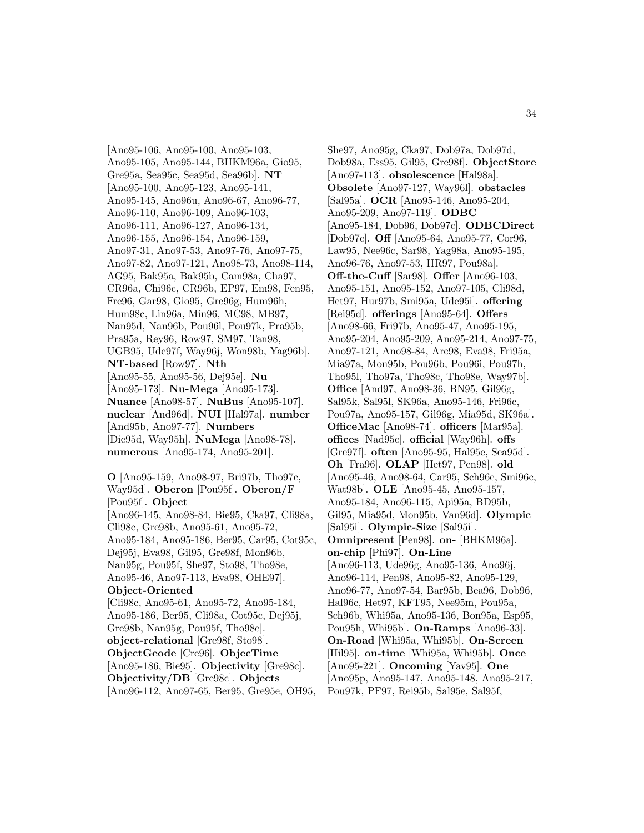[Ano95-106, Ano95-100, Ano95-103, Ano95-105, Ano95-144, BHKM96a, Gio95, Gre95a, Sea95c, Sea95d, Sea96b]. **NT** [Ano95-100, Ano95-123, Ano95-141, Ano95-145, Ano96u, Ano96-67, Ano96-77, Ano96-110, Ano96-109, Ano96-103, Ano96-111, Ano96-127, Ano96-134, Ano96-155, Ano96-154, Ano96-159, Ano97-31, Ano97-53, Ano97-76, Ano97-75, Ano97-82, Ano97-121, Ano98-73, Ano98-114, AG95, Bak95a, Bak95b, Cam98a, Cha97, CR96a, Chi96c, CR96b, EP97, Em98, Fen95, Fre96, Gar98, Gio95, Gre96g, Hum96h, Hum98c, Lin96a, Min96, MC98, MB97, Nan95d, Nan96b, Pou96l, Pou97k, Pra95b, Pra95a, Rey96, Row97, SM97, Tan98, UGB95, Ude97f, Way96j, Won98b, Yag96b]. **NT-based** [Row97]. **Nth** [Ano95-55, Ano95-56, Dej95e]. **Nu** [Ano95-173]. **Nu-Mega** [Ano95-173]. **Nuance** [Ano98-57]. **NuBus** [Ano95-107]. **nuclear** [And96d]. **NUI** [Hal97a]. **number** [And95b, Ano97-77]. **Numbers** [Die95d, Way95h]. **NuMega** [Ano98-78]. **numerous** [Ano95-174, Ano95-201].

**O** [Ano95-159, Ano98-97, Bri97b, Tho97c, Way95d]. **Oberon** [Pou95f]. **Oberon/F** [Pou95f]. **Object** [Ano96-145, Ano98-84, Bie95, Cka97, Cli98a, Cli98c, Gre98b, Ano95-61, Ano95-72, Ano95-184, Ano95-186, Ber95, Car95, Cot95c, Dej95j, Eva98, Gil95, Gre98f, Mon96b, Nan95g, Pou95f, She97, Sto98, Tho98e, Ano95-46, Ano97-113, Eva98, OHE97]. **Object-Oriented** [Cli98c, Ano95-61, Ano95-72, Ano95-184, Ano95-186, Ber95, Cli98a, Cot95c, Dej95j, Gre98b, Nan95g, Pou95f, Tho98e]. **object-relational** [Gre98f, Sto98]. **ObjectGeode** [Cre96]. **ObjecTime** [Ano95-186, Bie95]. **Objectivity** [Gre98c].

**Objectivity/DB** [Gre98c]. **Objects**

[Ano96-112, Ano97-65, Ber95, Gre95e, OH95,

She97, Ano95g, Cka97, Dob97a, Dob97d, Dob98a, Ess95, Gil95, Gre98f]. **ObjectStore** [Ano97-113]. **obsolescence** [Hal98a]. **Obsolete** [Ano97-127, Way96l]. **obstacles** [Sal95a]. **OCR** [Ano95-146, Ano95-204, Ano95-209, Ano97-119]. **ODBC** [Ano95-184, Dob96, Dob97c]. **ODBCDirect** [Dob97c]. **Off** [Ano95-64, Ano95-77, Cor96, Law95, Nee96c, Sar98, Yag98a, Ano95-195, Ano96-76, Ano97-53, HR97, Pou98a]. **Off-the-Cuff** [Sar98]. **Offer** [Ano96-103, Ano95-151, Ano95-152, Ano97-105, Cli98d, Het97, Hur97b, Smi95a, Ude95i]. **offering** [Rei95d]. **offerings** [Ano95-64]. **Offers** [Ano98-66, Fri97b, Ano95-47, Ano95-195, Ano95-204, Ano95-209, Ano95-214, Ano97-75, Ano97-121, Ano98-84, Arc98, Eva98, Fri95a, Mia97a, Mon95b, Pou96b, Pou96i, Pou97h, Tho95l, Tho97a, Tho98c, Tho98e, Way97b]. **Office** [And97, Ano98-36, BN95, Gil96g, Sal95k, Sal95l, SK96a, Ano95-146, Fri96c, Pou97a, Ano95-157, Gil96g, Mia95d, SK96a]. **OfficeMac** [Ano98-74]. **officers** [Mar95a]. **offices** [Nad95c]. **official** [Way96h]. **offs** [Gre97f]. **often** [Ano95-95, Hal95e, Sea95d]. **Oh** [Fra96]. **OLAP** [Het97, Pen98]. **old** [Ano95-46, Ano98-64, Car95, Sch96e, Smi96c, Wat98b]. **OLE** [Ano95-45, Ano95-157, Ano95-184, Ano96-115, Api95a, BD95b, Gil95, Mia95d, Mon95b, Van96d]. **Olympic** [Sal95i]. **Olympic-Size** [Sal95i]. **Omnipresent** [Pen98]. **on-** [BHKM96a]. **on-chip** [Phi97]. **On-Line** [Ano96-113, Ude96g, Ano95-136, Ano96j, Ano96-114, Pen98, Ano95-82, Ano95-129, Ano96-77, Ano97-54, Bar95b, Bea96, Dob96, Hal96c, Het97, KFT95, Nee95m, Pou95a, Sch96b, Whi95a, Ano95-136, Bon95a, Esp95, Pou95h, Whi95b]. **On-Ramps** [Ano96-33]. **On-Road** [Whi95a, Whi95b]. **On-Screen** [Hil95]. **on-time** [Whi95a, Whi95b]. **Once** [Ano95-221]. **Oncoming** [Yav95]. **One** [Ano95p, Ano95-147, Ano95-148, Ano95-217, Pou97k, PF97, Rei95b, Sal95e, Sal95f,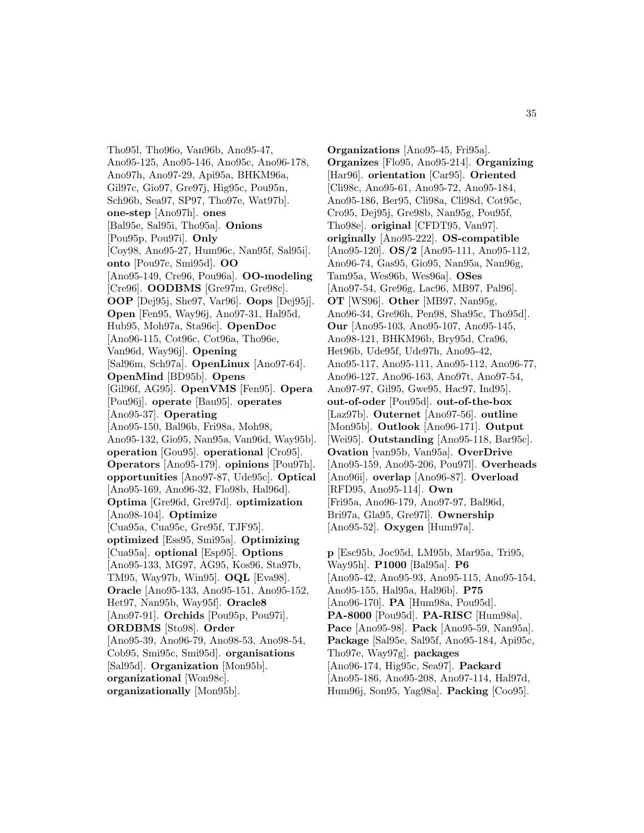Tho95l, Tho96o, Van96b, Ano95-47, Ano95-125, Ano95-146, Ano95c, Ano96-178, Ano97h, Ano97-29, Api95a, BHKM96a, Gil97c, Gio97, Gre97j, Hig95c, Pou95n, Sch96b, Sea97, SP97, Tho97e, Wat97b]. **one-step** [Ano97h]. **ones** [Bal95e, Sal95i, Tho95a]. **Onions** [Pou95p, Pou97i]. **Only** [Coy98, Ano95-27, Hum96c, Nan95f, Sal95i]. **onto** [Pou97c, Smi95d]. **OO** [Ano95-149, Cre96, Pou96a]. **OO-modeling** [Cre96]. **OODBMS** [Gre97m, Gre98c]. **OOP** [Dej95j, She97, Var96]. **Oops** [Dej95j]. **Open** [Fen95, Way96j, Ano97-31, Hal95d, Hub95, Moh97a, Sta96c]. **OpenDoc** [Ano96-115, Cot96c, Cot96a, Tho96e, Van96d, Way96j]. **Opening** [Sal96m, Sch97a]. **OpenLinux** [Ano97-64]. **OpenMind** [BD95b]. **Opens** [Gil96f, AG95]. **OpenVMS** [Fen95]. **Opera** [Pou96j]. **operate** [Bau95]. **operates** [Ano95-37]. **Operating** [Ano95-150, Bal96b, Fri98a, Moh98, Ano95-132, Gio95, Nan95a, Van96d, Way95b]. **operation** [Gou95]. **operational** [Cro95]. **Operators** [Ano95-179]. **opinions** [Pou97h]. **opportunities** [Ano97-87, Ude95c]. **Optical** [Ano95-169, Ano96-32, Flo98b, Hal96d]. **Optima** [Gre96d, Gre97d]. **optimization** [Ano98-104]. **Optimize** [Cua95a, Cua95c, Gre95f, TJF95]. **optimized** [Ess95, Smi95a]. **Optimizing** [Cua95a]. **optional** [Esp95]. **Options** [Ano95-133, MG97, AG95, Kos96, Sta97b, TM95, Way97b, Win95]. **OQL** [Eva98]. **Oracle** [Ano95-133, Ano95-151, Ano95-152, Het97, Nan95b, Way95f]. **Oracle8** [Ano97-91]. **Orchids** [Pou95p, Pou97i]. **ORDBMS** [Sto98]. **Order** [Ano95-39, Ano96-79, Ano98-53, Ano98-54, Cob95, Smi95c, Smi95d]. **organisations** [Sal95d]. **Organization** [Mon95b]. **organizational** [Won98c]. **organizationally** [Mon95b].

**Organizations** [Ano95-45, Fri95a]. **Organizes** [Flo95, Ano95-214]. **Organizing** [Har96]. **orientation** [Car95]. **Oriented** [Cli98c, Ano95-61, Ano95-72, Ano95-184, Ano95-186, Ber95, Cli98a, Cli98d, Cot95c, Cro95, Dej95j, Gre98b, Nan95g, Pou95f, Tho98e]. **original** [CFDT95, Van97]. **originally** [Ano95-222]. **OS-compatible** [Ano95-120]. **OS/2** [Ano95-111, Ano95-112, Ano96-74, Gas95, Gio95, Nan95a, Nan96g, Tam95a, Wes96b, Wes96a]. **OSes** [Ano97-54, Gre96g, Lac96, MB97, Pal96]. **OT** [WS96]. **Other** [MB97, Nan95g, Ano96-34, Gre96h, Pen98, Sha95c, Tho95d]. **Our** [Ano95-103, Ano95-107, Ano95-145, Ano98-121, BHKM96b, Bry95d, Cra96, Het96b, Ude95f, Ude97h, Ano95-42, Ano95-117, Ano95-111, Ano95-112, Ano96-77, Ano96-127, Ano96-163, Ano97t, Ano97-54, Ano97-97, Gil95, Gwe95, Hac97, Ind95]. **out-of-oder** [Pou95d]. **out-of-the-box** [Laz97b]. **Outernet** [Ano97-56]. **outline** [Mon95b]. **Outlook** [Ano96-171]. **Output** [Wei95]. **Outstanding** [Ano95-118, Bar95c]. **Ovation** [van95b, Van95a]. **OverDrive** [Ano95-159, Ano95-206, Pou97l]. **Overheads** [Ano96i]. **overlap** [Ano96-87]. **Overload** [RFD95, Ano95-114]. **Own** [Fri95a, Ano96-179, Ano97-97, Bal96d, Bri97a, Gla95, Gre97l]. **Ownership** [Ano95-52]. **Oxygen** [Hum97a].

**p** [Esc95b, Joc95d, LM95b, Mar95a, Tri95, Way95h]. **P1000** [Bal95a]. **P6** [Ano95-42, Ano95-93, Ano95-115, Ano95-154, Ano95-155, Hal95a, Hal96b]. **P75** [Ano96-170]. **PA** [Hum98a, Pou95d]. **PA-8000** [Pou95d]. **PA-RISC** [Hum98a]. **Pace** [Ano95-98]. **Pack** [Ano95-59, Nan95a]. **Package** [Sal95e, Sal95f, Ano95-184, Api95c, Tho97e, Way97g]. **packages** [Ano96-174, Hig95c, Sea97]. **Packard** [Ano95-186, Ano95-208, Ano97-114, Hal97d, Hum96j, Son95, Yag98a]. **Packing** [Coo95].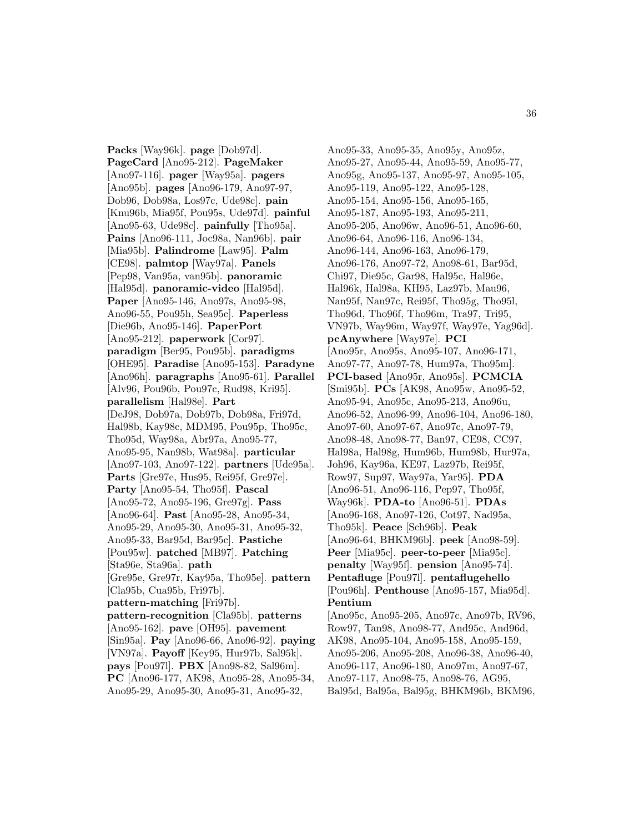**Packs** [Way96k]. **page** [Dob97d]. **PageCard** [Ano95-212]. **PageMaker** [Ano97-116]. **pager** [Way95a]. **pagers** [Ano95b]. **pages** [Ano96-179, Ano97-97, Dob96, Dob98a, Los97c, Ude98c]. **pain** [Knu96b, Mia95f, Pou95s, Ude97d]. **painful** [Ano95-63, Ude98c]. **painfully** [Tho95a]. **Pains** [Ano96-111, Joc98a, Nan96b]. **pair** [Mia95b]. **Palindrome** [Law95]. **Palm** [CE98]. **palmtop** [Way97a]. **Panels** [Pep98, Van95a, van95b]. **panoramic** [Hal95d]. **panoramic-video** [Hal95d]. **Paper** [Ano95-146, Ano97s, Ano95-98, Ano96-55, Pou95h, Sea95c]. **Paperless** [Die96b, Ano95-146]. **PaperPort** [Ano95-212]. **paperwork** [Cor97]. **paradigm** [Ber95, Pou95b]. **paradigms** [OHE95]. **Paradise** [Ano95-153]. **Paradyne** [Ano96h]. **paragraphs** [Ano95-61]. **Parallel** [Alv96, Pou96b, Pou97c, Rud98, Kri95]. **parallelism** [Hal98e]. **Part** [DeJ98, Dob97a, Dob97b, Dob98a, Fri97d, Hal98b, Kay98c, MDM95, Pou95p, Tho95c, Tho95d, Way98a, Abr97a, Ano95-77, Ano95-95, Nan98b, Wat98a]. **particular** [Ano97-103, Ano97-122]. **partners** [Ude95a]. **Parts** [Gre97e, Hus95, Rei95f, Gre97e]. **Party** [Ano95-54, Tho95f]. **Pascal** [Ano95-72, Ano95-196, Gre97g]. **Pass** [Ano96-64]. **Past** [Ano95-28, Ano95-34, Ano95-29, Ano95-30, Ano95-31, Ano95-32, Ano95-33, Bar95d, Bar95c]. **Pastiche** [Pou95w]. **patched** [MB97]. **Patching** [Sta96e, Sta96a]. **path** [Gre95e, Gre97r, Kay95a, Tho95e]. **pattern** [Cla95b, Cua95b, Fri97b]. **pattern-matching** [Fri97b]. **pattern-recognition** [Cla95b]. **patterns** [Ano95-162]. **pave** [OH95]. **pavement** [Sin95a]. **Pay** [Ano96-66, Ano96-92]. **paying** [VN97a]. **Payoff** [Key95, Hur97b, Sal95k]. **pays** [Pou97l]. **PBX** [Ano98-82, Sal96m]. **PC** [Ano96-177, AK98, Ano95-28, Ano95-34, Ano95-29, Ano95-30, Ano95-31, Ano95-32,

Ano95-33, Ano95-35, Ano95y, Ano95z, Ano95-27, Ano95-44, Ano95-59, Ano95-77, Ano95g, Ano95-137, Ano95-97, Ano95-105, Ano95-119, Ano95-122, Ano95-128, Ano95-154, Ano95-156, Ano95-165, Ano95-187, Ano95-193, Ano95-211, Ano95-205, Ano96w, Ano96-51, Ano96-60, Ano96-64, Ano96-116, Ano96-134, Ano96-144, Ano96-163, Ano96-179, Ano96-176, Ano97-72, Ano98-61, Bar95d, Chi97, Die95c, Gar98, Hal95c, Hal96e, Hal96k, Hal98a, KH95, Laz97b, Mau96, Nan95f, Nan97c, Rei95f, Tho95g, Tho95l, Tho96d, Tho96f, Tho96m, Tra97, Tri95, VN97b, Way96m, Way97f, Way97e, Yag96d]. **pcAnywhere** [Way97e]. **PCI** [Ano95r, Ano95s, Ano95-107, Ano96-171, Ano97-77, Ano97-78, Hum97a, Tho95m]. **PCI-based** [Ano95r, Ano95s]. **PCMCIA** [Smi95b]. **PCs** [AK98, Ano95w, Ano95-52, Ano95-94, Ano95c, Ano95-213, Ano96u, Ano96-52, Ano96-99, Ano96-104, Ano96-180, Ano97-60, Ano97-67, Ano97c, Ano97-79, Ano98-48, Ano98-77, Ban97, CE98, CC97, Hal98a, Hal98g, Hum96b, Hum98b, Hur97a, Joh96, Kay96a, KE97, Laz97b, Rei95f, Row97, Sup97, Way97a, Yar95]. **PDA** [Ano96-51, Ano96-116, Pep97, Tho95f, Way96k]. **PDA-to** [Ano96-51]. **PDAs** [Ano96-168, Ano97-126, Cot97, Nad95a, Tho95k]. **Peace** [Sch96b]. **Peak** [Ano96-64, BHKM96b]. **peek** [Ano98-59]. **Peer** [Mia95c]. **peer-to-peer** [Mia95c]. **penalty** [Way95f]. **pension** [Ano95-74]. **Pentafluge** [Pou97l]. **pentaflugehello** [Pou96h]. **Penthouse** [Ano95-157, Mia95d]. **Pentium** [Ano95c, Ano95-205, Ano97c, Ano97b, RV96, Row97, Tan98, Ano98-77, And95c, And96d, AK98, Ano95-104, Ano95-158, Ano95-159, Ano95-206, Ano95-208, Ano96-38, Ano96-40, Ano96-117, Ano96-180, Ano97m, Ano97-67, Ano97-117, Ano98-75, Ano98-76, AG95,

Bal95d, Bal95a, Bal95g, BHKM96b, BKM96,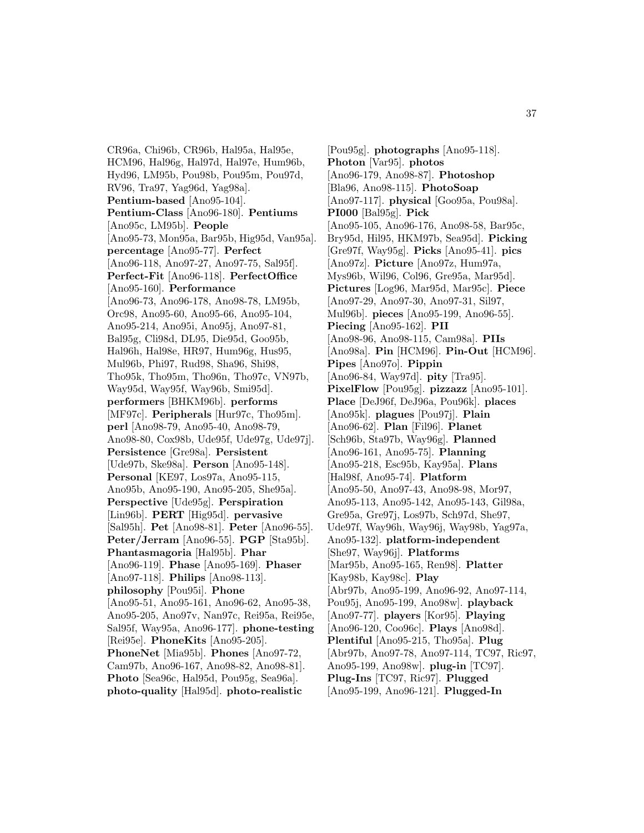CR96a, Chi96b, CR96b, Hal95a, Hal95e, HCM96, Hal96g, Hal97d, Hal97e, Hum96b, Hyd96, LM95b, Pou98b, Pou95m, Pou97d, RV96, Tra97, Yag96d, Yag98a]. **Pentium-based** [Ano95-104]. **Pentium-Class** [Ano96-180]. **Pentiums** [Ano95c, LM95b]. **People** [Ano95-73, Mon95a, Bar95b, Hig95d, Van95a]. **percentage** [Ano95-77]. **Perfect** [Ano96-118, Ano97-27, Ano97-75, Sal95f]. **Perfect-Fit** [Ano96-118]. **PerfectOffice** [Ano95-160]. **Performance** [Ano96-73, Ano96-178, Ano98-78, LM95b, Orc98, Ano95-60, Ano95-66, Ano95-104, Ano95-214, Ano95i, Ano95j, Ano97-81, Bal95g, Cli98d, DL95, Die95d, Goo95b, Hal96h, Hal98e, HR97, Hum96g, Hus95, Mul96b, Phi97, Rud98, Sha96, Shi98, Tho95k, Tho95m, Tho96n, Tho97c, VN97b, Way95d, Way95f, Way96b, Smi95d]. **performers** [BHKM96b]. **performs** [MF97c]. **Peripherals** [Hur97c, Tho95m]. **perl** [Ano98-79, Ano95-40, Ano98-79, Ano98-80, Cox98b, Ude95f, Ude97g, Ude97j]. **Persistence** [Gre98a]. **Persistent** [Ude97b, Ske98a]. **Person** [Ano95-148]. **Personal** [KE97, Los97a, Ano95-115, Ano95b, Ano95-190, Ano95-205, She95a]. **Perspective** [Ude95g]. **Perspiration** [Lin96b]. **PERT** [Hig95d]. **pervasive** [Sal95h]. **Pet** [Ano98-81]. **Peter** [Ano96-55]. **Peter/Jerram** [Ano96-55]. **PGP** [Sta95b]. **Phantasmagoria** [Hal95b]. **Phar** [Ano96-119]. **Phase** [Ano95-169]. **Phaser** [Ano97-118]. **Philips** [Ano98-113]. **philosophy** [Pou95i]. **Phone** [Ano95-51, Ano95-161, Ano96-62, Ano95-38, Ano95-205, Ano97v, Nan97c, Rei95a, Rei95e, Sal95f, Way95a, Ano96-177]. **phone-testing** [Rei95e]. **PhoneKits** [Ano95-205]. **PhoneNet** [Mia95b]. **Phones** [Ano97-72, Cam97b, Ano96-167, Ano98-82, Ano98-81]. **Photo** [Sea96c, Hal95d, Pou95g, Sea96a]. **photo-quality** [Hal95d]. **photo-realistic**

[Pou95g]. **photographs** [Ano95-118]. **Photon** [Var95]. **photos** [Ano96-179, Ano98-87]. **Photoshop** [Bla96, Ano98-115]. **PhotoSoap** [Ano97-117]. **physical** [Goo95a, Pou98a]. **PI000** [Bal95g]. **Pick** [Ano95-105, Ano96-176, Ano98-58, Bar95c, Bry95d, Hil95, HKM97b, Sea95d]. **Picking** [Gre97f, Way95g]. **Picks** [Ano95-41]. **pics** [Ano97z]. **Picture** [Ano97z, Hum97a, Mys96b, Wil96, Col96, Gre95a, Mar95d]. **Pictures** [Log96, Mar95d, Mar95c]. **Piece** [Ano97-29, Ano97-30, Ano97-31, Sil97, Mul96b]. **pieces** [Ano95-199, Ano96-55]. **Piecing** [Ano95-162]. **PII** [Ano98-96, Ano98-115, Cam98a]. **PIIs** [Ano98a]. **Pin** [HCM96]. **Pin-Out** [HCM96]. **Pipes** [Ano97o]. **Pippin** [Ano96-84, Way97d]. **pity** [Tra95]. **PixelFlow** [Pou95g]. **pizzazz** [Ano95-101]. **Place** [DeJ96f, DeJ96a, Pou96k]. **places** [Ano95k]. **plagues** [Pou97j]. **Plain** [Ano96-62]. **Plan** [Fil96]. **Planet** [Sch96b, Sta97b, Way96g]. **Planned** [Ano96-161, Ano95-75]. **Planning** [Ano95-218, Esc95b, Kay95a]. **Plans** [Hal98f, Ano95-74]. **Platform** [Ano95-50, Ano97-43, Ano98-98, Mor97, Ano95-113, Ano95-142, Ano95-143, Gil98a, Gre95a, Gre97j, Los97b, Sch97d, She97, Ude97f, Way96h, Way96j, Way98b, Yag97a, Ano95-132]. **platform-independent** [She97, Way96j]. **Platforms** [Mar95b, Ano95-165, Ren98]. **Platter** [Kay98b, Kay98c]. **Play** [Abr97b, Ano95-199, Ano96-92, Ano97-114, Pou95j, Ano95-199, Ano98w]. **playback** [Ano97-77]. **players** [Kor95]. **Playing** [Ano96-120, Coo96c]. **Plays** [Ano98d]. **Plentiful** [Ano95-215, Tho95a]. **Plug** [Abr97b, Ano97-78, Ano97-114, TC97, Ric97, Ano95-199, Ano98w]. **plug-in** [TC97]. **Plug-Ins** [TC97, Ric97]. **Plugged** [Ano95-199, Ano96-121]. **Plugged-In**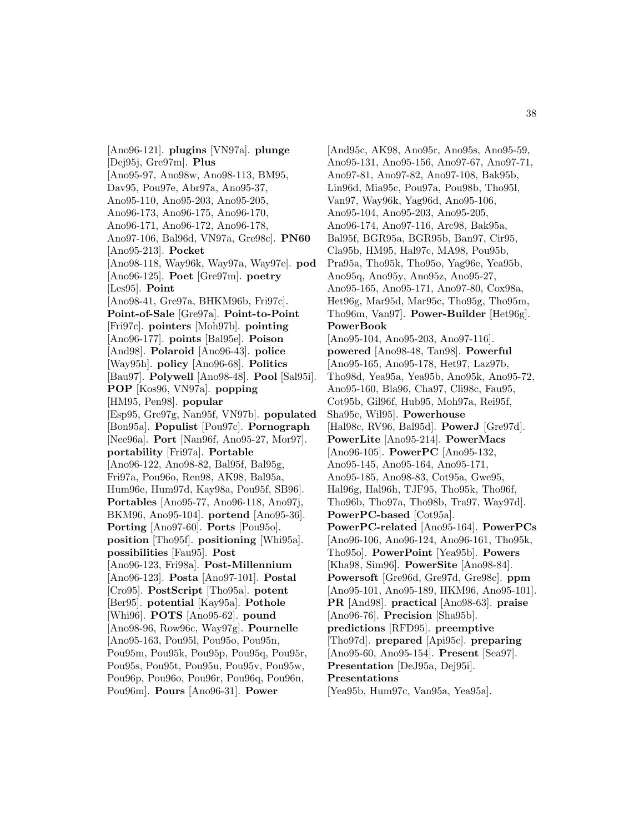[Ano96-121]. **plugins** [VN97a]. **plunge** [Dej95j, Gre97m]. **Plus** [Ano95-97, Ano98w, Ano98-113, BM95, Dav95, Pou97e, Abr97a, Ano95-37, Ano95-110, Ano95-203, Ano95-205, Ano96-173, Ano96-175, Ano96-170, Ano96-171, Ano96-172, Ano96-178, Ano97-106, Bal96d, VN97a, Gre98c]. **PN60** [Ano95-213]. **Pocket** [Ano98-118, Way96k, Way97a, Way97e]. **pod** [Ano96-125]. **Poet** [Gre97m]. **poetry** [Les95]. **Point** [Ano98-41, Gre97a, BHKM96b, Fri97c]. **Point-of-Sale** [Gre97a]. **Point-to-Point** [Fri97c]. **pointers** [Moh97b]. **pointing** [Ano96-177]. **points** [Bal95e]. **Poison** [And98]. **Polaroid** [Ano96-43]. **police** [Way95h]. **policy** [Ano96-68]. **Politics** [Bau97]. **Polywell** [Ano98-48]. **Pool** [Sal95i]. **POP** [Kos96, VN97a]. **popping** [HM95, Pen98]. **popular** [Esp95, Gre97g, Nan95f, VN97b]. **populated** [Bon95a]. **Populist** [Pou97c]. **Pornograph** [Nee96a]. **Port** [Nan96f, Ano95-27, Mor97]. **portability** [Fri97a]. **Portable** [Ano96-122, Ano98-82, Bal95f, Bal95g, Fri97a, Pou96o, Ren98, AK98, Bal95a, Hum96e, Hum97d, Kay98a, Pou95f, SB96]. **Portables** [Ano95-77, Ano96-118, Ano97j, BKM96, Ano95-104]. **portend** [Ano95-36]. **Porting** [Ano97-60]. **Ports** [Pou95o]. **position** [Tho95f]. **positioning** [Whi95a]. **possibilities** [Fau95]. **Post** [Ano96-123, Fri98a]. **Post-Millennium** [Ano96-123]. **Posta** [Ano97-101]. **Postal** [Cro95]. **PostScript** [Tho95a]. **potent** [Ber95]. **potential** [Kay95a]. **Pothole** [Whi96]. **POTS** [Ano95-62]. **pound** [Ano98-96, Row96c, Way97g]. **Pournelle** [Ano95-163, Pou95l, Pou95o, Pou95n, Pou95m, Pou95k, Pou95p, Pou95q, Pou95r, Pou95s, Pou95t, Pou95u, Pou95v, Pou95w, Pou96p, Pou96o, Pou96r, Pou96q, Pou96n, Pou96m]. **Pours** [Ano96-31]. **Power**

[And95c, AK98, Ano95r, Ano95s, Ano95-59, Ano95-131, Ano95-156, Ano97-67, Ano97-71, Ano97-81, Ano97-82, Ano97-108, Bak95b, Lin96d, Mia95c, Pou97a, Pou98b, Tho95l, Van97, Way96k, Yag96d, Ano95-106, Ano95-104, Ano95-203, Ano95-205, Ano96-174, Ano97-116, Arc98, Bak95a, Bal95f, BGR95a, BGR95b, Ban97, Cir95, Cla95b, HM95, Hal97c, MA98, Pou95b, Pra95a, Tho95k, Tho95o, Yag96e, Yea95b, Ano95q, Ano95y, Ano95z, Ano95-27, Ano95-165, Ano95-171, Ano97-80, Cox98a, Het96g, Mar95d, Mar95c, Tho95g, Tho95m, Tho96m, Van97]. **Power-Builder** [Het96g]. **PowerBook** [Ano95-104, Ano95-203, Ano97-116]. **powered** [Ano98-48, Tan98]. **Powerful** [Ano95-165, Ano95-178, Het97, Laz97b, Tho98d, Yea95a, Yea95b, Ano95k, Ano95-72, Ano95-160, Bla96, Cha97, Cli98c, Fau95, Cot95b, Gil96f, Hub95, Moh97a, Rei95f, Sha95c, Wil95]. **Powerhouse** [Hal98c, RV96, Bal95d]. **PowerJ** [Gre97d]. **PowerLite** [Ano95-214]. **PowerMacs** [Ano96-105]. **PowerPC** [Ano95-132, Ano95-145, Ano95-164, Ano95-171, Ano95-185, Ano98-83, Cot95a, Gwe95, Hal96g, Hal96h, TJF95, Tho95k, Tho96f, Tho96b, Tho97a, Tho98b, Tra97, Way97d]. **PowerPC-based** [Cot95a]. **PowerPC-related** [Ano95-164]. **PowerPCs** [Ano96-106, Ano96-124, Ano96-161, Tho95k, Tho95o]. **PowerPoint** [Yea95b]. **Powers** [Kha98, Sim96]. **PowerSite** [Ano98-84]. **Powersoft** [Gre96d, Gre97d, Gre98c]. **ppm** [Ano95-101, Ano95-189, HKM96, Ano95-101]. **PR** [And98]. **practical** [Ano98-63]. **praise** [Ano96-76]. **Precision** [Sha95b]. **predictions** [RFD95]. **preemptive** [Tho97d]. **prepared** [Api95c]. **preparing** [Ano95-60, Ano95-154]. **Present** [Sea97]. **Presentation** [DeJ95a, Dej95i]. **Presentations** [Yea95b, Hum97c, Van95a, Yea95a].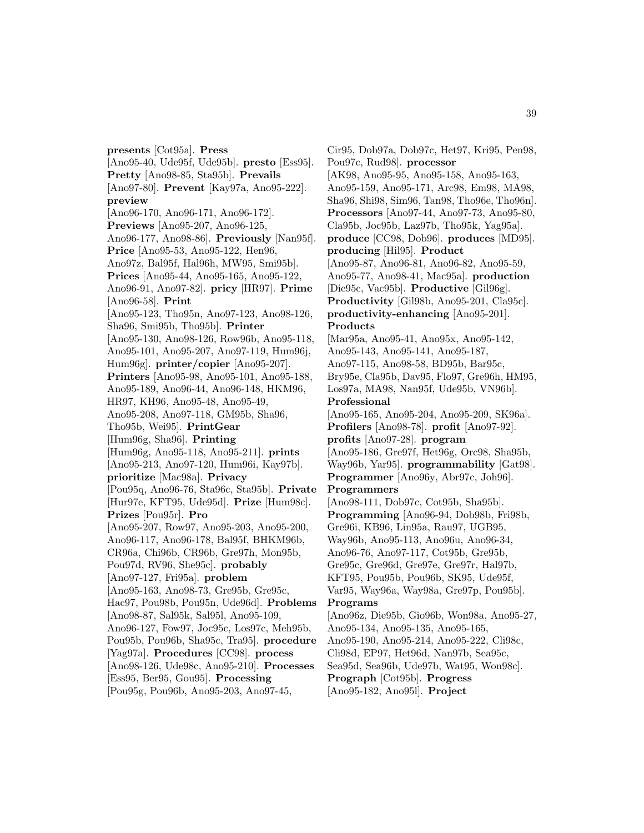**presents** [Cot95a]. **Press** [Ano95-40, Ude95f, Ude95b]. **presto** [Ess95]. **Pretty** [Ano98-85, Sta95b]. **Prevails** [Ano97-80]. **Prevent** [Kay97a, Ano95-222]. **preview** [Ano96-170, Ano96-171, Ano96-172]. **Previews** [Ano95-207, Ano96-125, Ano96-177, Ano98-86]. **Previously** [Nan95f]. **Price** [Ano95-53, Ano95-122, Hen96, Ano97z, Bal95f, Hal96h, MW95, Smi95b]. **Prices** [Ano95-44, Ano95-165, Ano95-122, Ano96-91, Ano97-82]. **pricy** [HR97]. **Prime** [Ano96-58]. **Print** [Ano95-123, Tho95n, Ano97-123, Ano98-126, Sha96, Smi95b, Tho95b]. **Printer** [Ano95-130, Ano98-126, Row96b, Ano95-118, Ano95-101, Ano95-207, Ano97-119, Hum96j, Hum96g]. **printer/copier** [Ano95-207]. **Printers** [Ano95-98, Ano95-101, Ano95-188, Ano95-189, Ano96-44, Ano96-148, HKM96, HR97, KH96, Ano95-48, Ano95-49, Ano95-208, Ano97-118, GM95b, Sha96, Tho95b, Wei95]. **PrintGear** [Hum96g, Sha96]. **Printing** [Hum96g, Ano95-118, Ano95-211]. **prints** [Ano95-213, Ano97-120, Hum96i, Kay97b]. **prioritize** [Mac98a]. **Privacy** [Pou95q, Ano96-76, Sta96c, Sta95b]. **Private** [Hur97e, KFT95, Ude95d]. **Prize** [Hum98c]. **Prizes** [Pou95r]. **Pro** [Ano95-207, Row97, Ano95-203, Ano95-200, Ano96-117, Ano96-178, Bal95f, BHKM96b, CR96a, Chi96b, CR96b, Gre97h, Mon95b, Pou97d, RV96, She95c]. **probably** [Ano97-127, Fri95a]. **problem** [Ano95-163, Ano98-73, Gre95b, Gre95c, Hac97, Pou98b, Pou95n, Ude96d]. **Problems** [Ano98-87, Sal95k, Sal95l, Ano95-109, Ano96-127, Fow97, Joc95c, Los97c, Meh95b, Pou95b, Pou96b, Sha95c, Tra95]. **procedure** [Yag97a]. **Procedures** [CC98]. **process** [Ano98-126, Ude98c, Ano95-210]. **Processes** [Ess95, Ber95, Gou95]. **Processing** [Pou95g, Pou96b, Ano95-203, Ano97-45,

Cir95, Dob97a, Dob97c, Het97, Kri95, Pen98, Pou97c, Rud98]. **processor** [AK98, Ano95-95, Ano95-158, Ano95-163, Ano95-159, Ano95-171, Arc98, Em98, MA98, Sha96, Shi98, Sim96, Tan98, Tho96e, Tho96n]. **Processors** [Ano97-44, Ano97-73, Ano95-80, Cla95b, Joc95b, Laz97b, Tho95k, Yag95a]. **produce** [CC98, Dob96]. **produces** [MD95]. **producing** [Hil95]. **Product** [Ano95-87, Ano96-81, Ano96-82, Ano95-59, Ano95-77, Ano98-41, Mac95a]. **production** [Die95c, Vac95b]. **Productive** [Gil96g]. **Productivity** [Gil98b, Ano95-201, Cla95c]. **productivity-enhancing** [Ano95-201]. **Products** [Mar95a, Ano95-41, Ano95x, Ano95-142, Ano95-143, Ano95-141, Ano95-187, Ano97-115, Ano98-58, BD95b, Bar95c, Bry95e, Cla95b, Dav95, Flo97, Gre96h, HM95, Los97a, MA98, Nan95f, Ude95b, VN96b]. **Professional** [Ano95-165, Ano95-204, Ano95-209, SK96a]. **Profilers** [Ano98-78]. **profit** [Ano97-92]. **profits** [Ano97-28]. **program** [Ano95-186, Gre97f, Het96g, Orc98, Sha95b, Way96b, Yar95]. **programmability** [Gat98]. **Programmer** [Ano96y, Abr97c, Joh96]. **Programmers** [Ano98-111, Dob97c, Cot95b, Sha95b]. **Programming** [Ano96-94, Dob98b, Fri98b, Gre96i, KB96, Lin95a, Rau97, UGB95, Way96b, Ano95-113, Ano96u, Ano96-34, Ano96-76, Ano97-117, Cot95b, Gre95b, Gre95c, Gre96d, Gre97e, Gre97r, Hal97b, KFT95, Pou95b, Pou96b, SK95, Ude95f, Var95, Way96a, Way98a, Gre97p, Pou95b]. **Programs** [Ano96z, Die95b, Gio96b, Won98a, Ano95-27, Ano95-134, Ano95-135, Ano95-165, Ano95-190, Ano95-214, Ano95-222, Cli98c, Cli98d, EP97, Het96d, Nan97b, Sea95c, Sea95d, Sea96b, Ude97b, Wat95, Won98c].

**Prograph** [Cot95b]. **Progress** [Ano95-182, Ano95l]. **Project**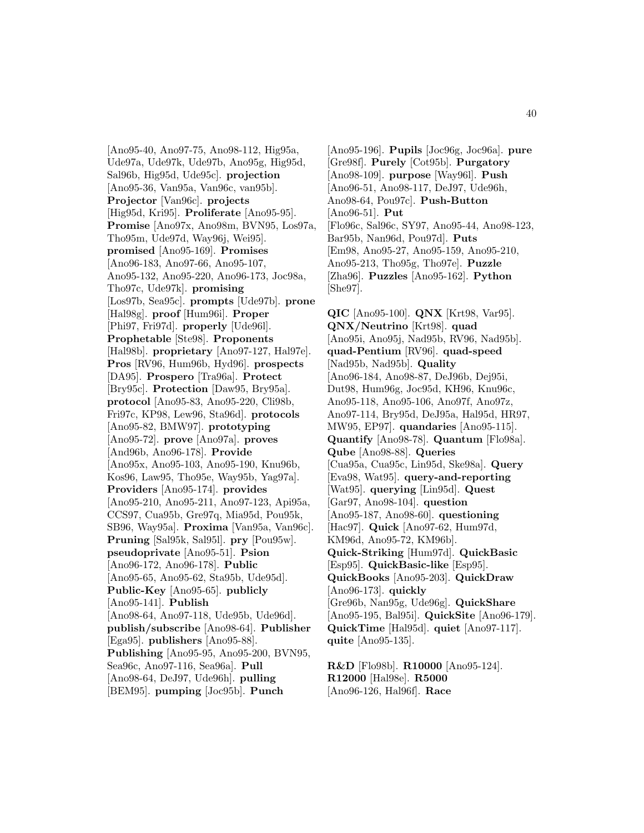[Ano95-40, Ano97-75, Ano98-112, Hig95a, Ude97a, Ude97k, Ude97b, Ano95g, Hig95d, Sal96b, Hig95d, Ude95c]. **projection** [Ano95-36, Van95a, Van96c, van95b]. **Projector** [Van96c]. **projects** [Hig95d, Kri95]. **Proliferate** [Ano95-95]. **Promise** [Ano97x, Ano98m, BVN95, Los97a, Tho95m, Ude97d, Way96j, Wei95]. **promised** [Ano95-169]. **Promises** [Ano96-183, Ano97-66, Ano95-107, Ano95-132, Ano95-220, Ano96-173, Joc98a, Tho97c, Ude97k]. **promising** [Los97b, Sea95c]. **prompts** [Ude97b]. **prone** [Hal98g]. **proof** [Hum96i]. **Proper** [Phi97, Fri97d]. **properly** [Ude96l]. **Prophetable** [Ste98]. **Proponents** [Hal98b]. **proprietary** [Ano97-127, Hal97e]. **Pros** [RV96, Hum96b, Hyd96]. **prospects** [DA95]. **Prospero** [Tra96a]. **Protect** [Bry95c]. **Protection** [Daw95, Bry95a]. **protocol** [Ano95-83, Ano95-220, Cli98b, Fri97c, KP98, Lew96, Sta96d]. **protocols** [Ano95-82, BMW97]. **prototyping** [Ano95-72]. **prove** [Ano97a]. **proves** [And96b, Ano96-178]. **Provide** [Ano95x, Ano95-103, Ano95-190, Knu96b, Kos96, Law95, Tho95e, Way95b, Yag97a]. **Providers** [Ano95-174]. **provides** [Ano95-210, Ano95-211, Ano97-123, Api95a, CCS97, Cua95b, Gre97q, Mia95d, Pou95k, SB96, Way95a]. **Proxima** [Van95a, Van96c]. **Pruning** [Sal95k, Sal95l]. **pry** [Pou95w]. **pseudoprivate** [Ano95-51]. **Psion** [Ano96-172, Ano96-178]. **Public** [Ano95-65, Ano95-62, Sta95b, Ude95d]. **Public-Key** [Ano95-65]. **publicly** [Ano95-141]. **Publish** [Ano98-64, Ano97-118, Ude95b, Ude96d]. **publish/subscribe** [Ano98-64]. **Publisher** [Ega95]. **publishers** [Ano95-88]. **Publishing** [Ano95-95, Ano95-200, BVN95, Sea96c, Ano97-116, Sea96a]. **Pull** [Ano98-64, DeJ97, Ude96h]. **pulling** [BEM95]. **pumping** [Joc95b]. **Punch**

[Ano95-196]. **Pupils** [Joc96g, Joc96a]. **pure** [Gre98f]. **Purely** [Cot95b]. **Purgatory** [Ano98-109]. **purpose** [Way96l]. **Push** [Ano96-51, Ano98-117, DeJ97, Ude96h, Ano98-64, Pou97c]. **Push-Button** [Ano96-51]. **Put** [Flo96c, Sal96c, SY97, Ano95-44, Ano98-123, Bar95b, Nan96d, Pou97d]. **Puts** [Em98, Ano95-27, Ano95-159, Ano95-210, Ano95-213, Tho95g, Tho97e]. **Puzzle** [Zha96]. **Puzzles** [Ano95-162]. **Python** [She97].

**QIC** [Ano95-100]. **QNX** [Krt98, Var95]. **QNX/Neutrino** [Krt98]. **quad** [Ano95i, Ano95j, Nad95b, RV96, Nad95b]. **quad-Pentium** [RV96]. **quad-speed** [Nad95b, Nad95b]. **Quality** [Ano96-184, Ano98-87, DeJ96b, Dej95i, Dut98, Hum96g, Joc95d, KH96, Knu96c, Ano95-118, Ano95-106, Ano97f, Ano97z, Ano97-114, Bry95d, DeJ95a, Hal95d, HR97, MW95, EP97]. **quandaries** [Ano95-115]. **Quantify** [Ano98-78]. **Quantum** [Flo98a]. **Qube** [Ano98-88]. **Queries** [Cua95a, Cua95c, Lin95d, Ske98a]. **Query** [Eva98, Wat95]. **query-and-reporting** [Wat95]. **querying** [Lin95d]. **Quest** [Gar97, Ano98-104]. **question** [Ano95-187, Ano98-60]. **questioning** [Hac97]. **Quick** [Ano97-62, Hum97d, KM96d, Ano95-72, KM96b]. **Quick-Striking** [Hum97d]. **QuickBasic** [Esp95]. **QuickBasic-like** [Esp95]. **QuickBooks** [Ano95-203]. **QuickDraw** [Ano96-173]. **quickly** [Gre96b, Nan95g, Ude96g]. **QuickShare** [Ano95-195, Bal95i]. **QuickSite** [Ano96-179]. **QuickTime** [Hal95d]. **quiet** [Ano97-117]. **quite** [Ano95-135].

**R&D** [Flo98b]. **R10000** [Ano95-124]. **R12000** [Hal98e]. **R5000** [Ano96-126, Hal96f]. **Race**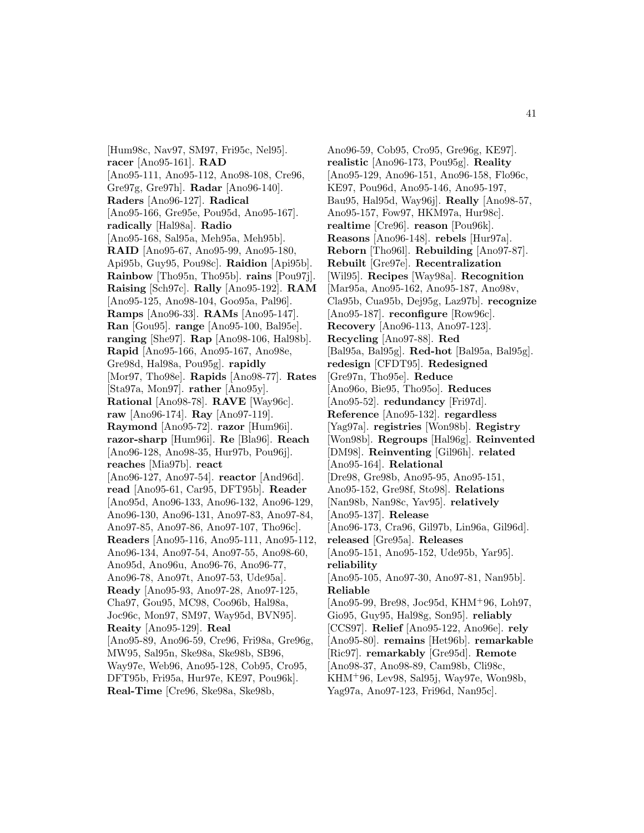[Hum98c, Nav97, SM97, Fri95c, Nel95]. **racer** [Ano95-161]. **RAD** [Ano95-111, Ano95-112, Ano98-108, Cre96, Gre97g, Gre97h]. **Radar** [Ano96-140]. **Raders** [Ano96-127]. **Radical** [Ano95-166, Gre95e, Pou95d, Ano95-167]. **radically** [Hal98a]. **Radio** [Ano95-168, Sal95a, Meh95a, Meh95b]. **RAID** [Ano95-67, Ano95-99, Ano95-180, Api95b, Guy95, Pou98c]. **Raidion** [Api95b]. **Rainbow** [Tho95n, Tho95b]. **rains** [Pou97j]. **Raising** [Sch97c]. **Rally** [Ano95-192]. **RAM** [Ano95-125, Ano98-104, Goo95a, Pal96]. **Ramps** [Ano96-33]. **RAMs** [Ano95-147]. **Ran** [Gou95]. **range** [Ano95-100, Bal95e]. **ranging** [She97]. **Rap** [Ano98-106, Hal98b]. **Rapid** [Ano95-166, Ano95-167, Ano98e, Gre98d, Hal98a, Pou95g]. **rapidly** [Mor97, Tho98e]. **Rapids** [Ano98-77]. **Rates** [Sta97a, Mon97]. **rather** [Ano95y]. **Rational** [Ano98-78]. **RAVE** [Way96c]. **raw** [Ano96-174]. **Ray** [Ano97-119]. **Raymond** [Ano95-72]. **razor** [Hum96i]. **razor-sharp** [Hum96i]. **Re** [Bla96]. **Reach** [Ano96-128, Ano98-35, Hur97b, Pou96j]. **reaches** [Mia97b]. **react** [Ano96-127, Ano97-54]. **reactor** [And96d]. **read** [Ano95-61, Car95, DFT95b]. **Reader** [Ano95d, Ano96-133, Ano96-132, Ano96-129, Ano96-130, Ano96-131, Ano97-83, Ano97-84, Ano97-85, Ano97-86, Ano97-107, Tho96c]. **Readers** [Ano95-116, Ano95-111, Ano95-112, Ano96-134, Ano97-54, Ano97-55, Ano98-60, Ano95d, Ano96u, Ano96-76, Ano96-77, Ano96-78, Ano97t, Ano97-53, Ude95a]. **Ready** [Ano95-93, Ano97-28, Ano97-125, Cha97, Gou95, MC98, Coo96b, Hal98a, Joc96c, Mon97, SM97, Way95d, BVN95]. **Reaity** [Ano95-129]. **Real** [Ano95-89, Ano96-59, Cre96, Fri98a, Gre96g, MW95, Sal95n, Ske98a, Ske98b, SB96, Way97e, Web96, Ano95-128, Cob95, Cro95, DFT95b, Fri95a, Hur97e, KE97, Pou96k]. **Real-Time** [Cre96, Ske98a, Ske98b,

Ano96-59, Cob95, Cro95, Gre96g, KE97]. **realistic** [Ano96-173, Pou95g]. **Reality** [Ano95-129, Ano96-151, Ano96-158, Flo96c, KE97, Pou96d, Ano95-146, Ano95-197, Bau95, Hal95d, Way96j]. **Really** [Ano98-57, Ano95-157, Fow97, HKM97a, Hur98c]. **realtime** [Cre96]. **reason** [Pou96k]. **Reasons** [Ano96-148]. **rebels** [Hur97a]. **Reborn** [Tho96l]. **Rebuilding** [Ano97-87]. **Rebuilt** [Gre97e]. **Recentralization** [Wil95]. **Recipes** [Way98a]. **Recognition** [Mar95a, Ano95-162, Ano95-187, Ano98v, Cla95b, Cua95b, Dej95g, Laz97b]. **recognize** [Ano95-187]. **reconfigure** [Row96c]. **Recovery** [Ano96-113, Ano97-123]. **Recycling** [Ano97-88]. **Red** [Bal95a, Bal95g]. **Red-hot** [Bal95a, Bal95g]. **redesign** [CFDT95]. **Redesigned** [Gre97n, Tho95e]. **Reduce** [Ano96o, Bie95, Tho95o]. **Reduces** [Ano95-52]. **redundancy** [Fri97d]. **Reference** [Ano95-132]. **regardless** [Yag97a]. **registries** [Won98b]. **Registry** [Won98b]. **Regroups** [Hal96g]. **Reinvented** [DM98]. **Reinventing** [Gil96h]. **related** [Ano95-164]. **Relational** [Dre98, Gre98b, Ano95-95, Ano95-151, Ano95-152, Gre98f, Sto98]. **Relations** [Nan98b, Nan98c, Yav95]. **relatively** [Ano95-137]. **Release** [Ano96-173, Cra96, Gil97b, Lin96a, Gil96d]. **released** [Gre95a]. **Releases** [Ano95-151, Ano95-152, Ude95b, Yar95]. **reliability** [Ano95-105, Ano97-30, Ano97-81, Nan95b]. **Reliable** [Ano95-99, Bre98, Joc95d, KHM<sup>+</sup>96, Loh97, Gio95, Guy95, Hal98g, Son95]. **reliably** [CCS97]. **Relief** [Ano95-122, Ano96e]. **rely** [Ano95-80]. **remains** [Het96b]. **remarkable** [Ric97]. **remarkably** [Gre95d]. **Remote** [Ano98-37, Ano98-89, Cam98b, Cli98c, KHM<sup>+</sup>96, Lev98, Sal95j, Way97e, Won98b, Yag97a, Ano97-123, Fri96d, Nan95c].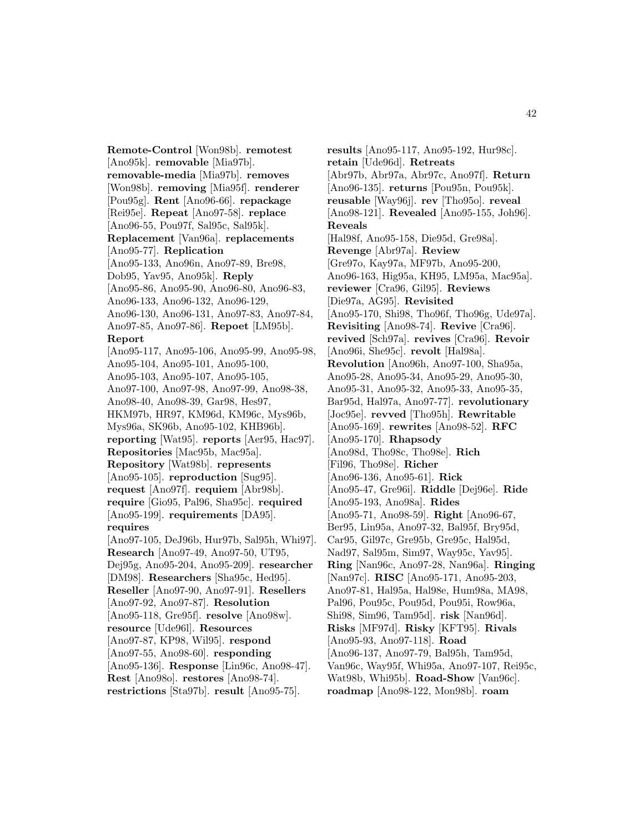**Remote-Control** [Won98b]. **remotest** [Ano95k]. **removable** [Mia97b]. **removable-media** [Mia97b]. **removes** [Won98b]. **removing** [Mia95f]. **renderer** [Pou95g]. **Rent** [Ano96-66]. **repackage** [Rei95e]. **Repeat** [Ano97-58]. **replace** [Ano96-55, Pou97f, Sal95c, Sal95k]. **Replacement** [Van96a]. **replacements** [Ano95-77]. **Replication** [Ano95-133, Ano96n, Ano97-89, Bre98, Dob95, Yav95, Ano95k]. **Reply** [Ano95-86, Ano95-90, Ano96-80, Ano96-83, Ano96-133, Ano96-132, Ano96-129, Ano96-130, Ano96-131, Ano97-83, Ano97-84, Ano97-85, Ano97-86]. **Repoet** [LM95b]. **Report** [Ano95-117, Ano95-106, Ano95-99, Ano95-98, Ano95-104, Ano95-101, Ano95-100, Ano95-103, Ano95-107, Ano95-105, Ano97-100, Ano97-98, Ano97-99, Ano98-38, Ano98-40, Ano98-39, Gar98, Hes97, HKM97b, HR97, KM96d, KM96c, Mys96b, Mys96a, SK96b, Ano95-102, KHB96b]. **reporting** [Wat95]. **reports** [Aer95, Hac97]. **Repositories** [Mac95b, Mac95a]. **Repository** [Wat98b]. **represents** [Ano95-105]. **reproduction** [Sug95]. **request** [Ano97f]. **requiem** [Abr98b]. **require** [Gio95, Pal96, Sha95c]. **required** [Ano95-199]. **requirements** [DA95]. **requires** [Ano97-105, DeJ96b, Hur97b, Sal95h, Whi97]. **Research** [Ano97-49, Ano97-50, UT95, Dej95g, Ano95-204, Ano95-209]. **researcher** [DM98]. **Researchers** [Sha95c, Hed95]. **Reseller** [Ano97-90, Ano97-91]. **Resellers** [Ano97-92, Ano97-87]. **Resolution** [Ano95-118, Gre95f]. **resolve** [Ano98w]. **resource** [Ude96l]. **Resources** [Ano97-87, KP98, Wil95]. **respond** [Ano97-55, Ano98-60]. **responding** [Ano95-136]. **Response** [Lin96c, Ano98-47]. **Rest** [Ano98o]. **restores** [Ano98-74]. **restrictions** [Sta97b]. **result** [Ano95-75].

**results** [Ano95-117, Ano95-192, Hur98c]. **retain** [Ude96d]. **Retreats** [Abr97b, Abr97a, Abr97c, Ano97f]. **Return** [Ano96-135]. **returns** [Pou95n, Pou95k]. **reusable** [Way96j]. **rev** [Tho95o]. **reveal** [Ano98-121]. **Revealed** [Ano95-155, Joh96]. **Reveals** [Hal98f, Ano95-158, Die95d, Gre98a]. **Revenge** [Abr97a]. **Review** [Gre97o, Kay97a, MF97b, Ano95-200, Ano96-163, Hig95a, KH95, LM95a, Mac95a]. **reviewer** [Cra96, Gil95]. **Reviews** [Die97a, AG95]. **Revisited** [Ano95-170, Shi98, Tho96f, Tho96g, Ude97a]. **Revisiting** [Ano98-74]. **Revive** [Cra96]. **revived** [Sch97a]. **revives** [Cra96]. **Revoir** [Ano96i, She95c]. **revolt** [Hal98a]. **Revolution** [Ano96h, Ano97-100, Sha95a, Ano95-28, Ano95-34, Ano95-29, Ano95-30, Ano95-31, Ano95-32, Ano95-33, Ano95-35, Bar95d, Hal97a, Ano97-77]. **revolutionary** [Joc95e]. **revved** [Tho95h]. **Rewritable** [Ano95-169]. **rewrites** [Ano98-52]. **RFC** [Ano95-170]. **Rhapsody** [Ano98d, Tho98c, Tho98e]. **Rich** [Fil96, Tho98e]. **Richer** [Ano96-136, Ano95-61]. **Rick** [Ano95-47, Gre96i]. **Riddle** [Dej96e]. **Ride** [Ano95-193, Ano98a]. **Rides** [Ano95-71, Ano98-59]. **Right** [Ano96-67, Ber95, Lin95a, Ano97-32, Bal95f, Bry95d, Car95, Gil97c, Gre95b, Gre95c, Hal95d, Nad97, Sal95m, Sim97, Way95c, Yav95]. **Ring** [Nan96c, Ano97-28, Nan96a]. **Ringing** [Nan97c]. **RISC** [Ano95-171, Ano95-203, Ano97-81, Hal95a, Hal98e, Hum98a, MA98, Pal96, Pou95c, Pou95d, Pou95i, Row96a, Shi98, Sim96, Tam95d]. **risk** [Nan96d]. **Risks** [MF97d]. **Risky** [KFT95]. **Rivals** [Ano95-93, Ano97-118]. **Road** [Ano96-137, Ano97-79, Bal95h, Tam95d, Van96c, Way95f, Whi95a, Ano97-107, Rei95c, Wat98b, Whi95b]. **Road-Show** [Van96c]. **roadmap** [Ano98-122, Mon98b]. **roam**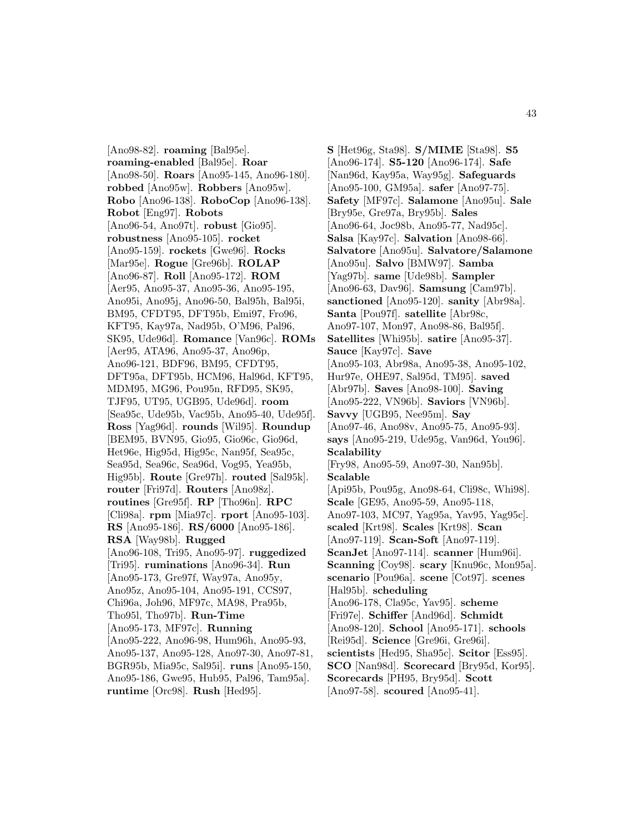[Ano98-82]. **roaming** [Bal95e]. **roaming-enabled** [Bal95e]. **Roar** [Ano98-50]. **Roars** [Ano95-145, Ano96-180]. **robbed** [Ano95w]. **Robbers** [Ano95w]. **Robo** [Ano96-138]. **RoboCop** [Ano96-138]. **Robot** [Eng97]. **Robots** [Ano96-54, Ano97t]. **robust** [Gio95]. **robustness** [Ano95-105]. **rocket** [Ano95-159]. **rockets** [Gwe96]. **Rocks** [Mar95e]. **Rogue** [Gre96b]. **ROLAP** [Ano96-87]. **Roll** [Ano95-172]. **ROM** [Aer95, Ano95-37, Ano95-36, Ano95-195, Ano95i, Ano95j, Ano96-50, Bal95h, Bal95i, BM95, CFDT95, DFT95b, Emi97, Fro96, KFT95, Kay97a, Nad95b, O'M96, Pal96, SK95, Ude96d]. **Romance** [Van96c]. **ROMs** [Aer95, ATA96, Ano95-37, Ano96p, Ano96-121, BDF96, BM95, CFDT95, DFT95a, DFT95b, HCM96, Hal96d, KFT95, MDM95, MG96, Pou95n, RFD95, SK95, TJF95, UT95, UGB95, Ude96d]. **room** [Sea95c, Ude95b, Vac95b, Ano95-40, Ude95f]. **Ross** [Yag96d]. **rounds** [Wil95]. **Roundup** [BEM95, BVN95, Gio95, Gio96c, Gio96d, Het96e, Hig95d, Hig95c, Nan95f, Sea95c, Sea95d, Sea96c, Sea96d, Vog95, Yea95b, Hig95b]. **Route** [Gre97h]. **routed** [Sal95k]. **router** [Fri97d]. **Routers** [Ano98z]. **routines** [Gre95f]. **RP** [Tho96n]. **RPC** [Cli98a]. **rpm** [Mia97c]. **rport** [Ano95-103]. **RS** [Ano95-186]. **RS/6000** [Ano95-186]. **RSA** [Way98b]. **Rugged** [Ano96-108, Tri95, Ano95-97]. **ruggedized** [Tri95]. **ruminations** [Ano96-34]. **Run** [Ano95-173, Gre97f, Way97a, Ano95y, Ano95z, Ano95-104, Ano95-191, CCS97, Chi96a, Joh96, MF97c, MA98, Pra95b, Tho95l, Tho97b]. **Run-Time** [Ano95-173, MF97c]. **Running** [Ano95-222, Ano96-98, Hum96h, Ano95-93, Ano95-137, Ano95-128, Ano97-30, Ano97-81, BGR95b, Mia95c, Sal95i]. **runs** [Ano95-150, Ano95-186, Gwe95, Hub95, Pal96, Tam95a]. **runtime** [Orc98]. **Rush** [Hed95].

**S** [Het96g, Sta98]. **S/MIME** [Sta98]. **S5** [Ano96-174]. **S5-120** [Ano96-174]. **Safe** [Nan96d, Kay95a, Way95g]. **Safeguards** [Ano95-100, GM95a]. **safer** [Ano97-75]. **Safety** [MF97c]. **Salamone** [Ano95u]. **Sale** [Bry95e, Gre97a, Bry95b]. **Sales** [Ano96-64, Joc98b, Ano95-77, Nad95c]. **Salsa** [Kay97c]. **Salvation** [Ano98-66]. **Salvatore** [Ano95u]. **Salvatore/Salamone** [Ano95u]. **Salvo** [BMW97]. **Samba** [Yag97b]. **same** [Ude98b]. **Sampler** [Ano96-63, Dav96]. **Samsung** [Cam97b]. **sanctioned** [Ano95-120]. **sanity** [Abr98a]. **Santa** [Pou97f]. **satellite** [Abr98c, Ano97-107, Mon97, Ano98-86, Bal95f]. **Satellites** [Whi95b]. **satire** [Ano95-37]. **Sauce** [Kay97c]. **Save** [Ano95-103, Abr98a, Ano95-38, Ano95-102, Hur97e, OHE97, Sal95d, TM95]. **saved** [Abr97b]. **Saves** [Ano98-100]. **Saving** [Ano95-222, VN96b]. **Saviors** [VN96b]. **Savvy** [UGB95, Nee95m]. **Say** [Ano97-46, Ano98v, Ano95-75, Ano95-93]. **says** [Ano95-219, Ude95g, Van96d, You96]. **Scalability** [Fry98, Ano95-59, Ano97-30, Nan95b]. **Scalable** [Api95b, Pou95g, Ano98-64, Cli98c, Whi98]. **Scale** [GE95, Ano95-59, Ano95-118, Ano97-103, MC97, Yag95a, Yav95, Yag95c]. **scaled** [Krt98]. **Scales** [Krt98]. **Scan** [Ano97-119]. **Scan-Soft** [Ano97-119]. **ScanJet** [Ano97-114]. **scanner** [Hum96i]. **Scanning** [Coy98]. **scary** [Knu96c, Mon95a]. **scenario** [Pou96a]. **scene** [Cot97]. **scenes** [Hal95b]. **scheduling** [Ano96-178, Cla95c, Yav95]. **scheme** [Fri97e]. **Schiffer** [And96d]. **Schmidt** [Ano98-120]. **School** [Ano95-171]. **schools** [Rei95d]. **Science** [Gre96i, Gre96i]. **scientists** [Hed95, Sha95c]. **Scitor** [Ess95]. **SCO** [Nan98d]. **Scorecard** [Bry95d, Kor95]. **Scorecards** [PH95, Bry95d]. **Scott** [Ano97-58]. **scoured** [Ano95-41].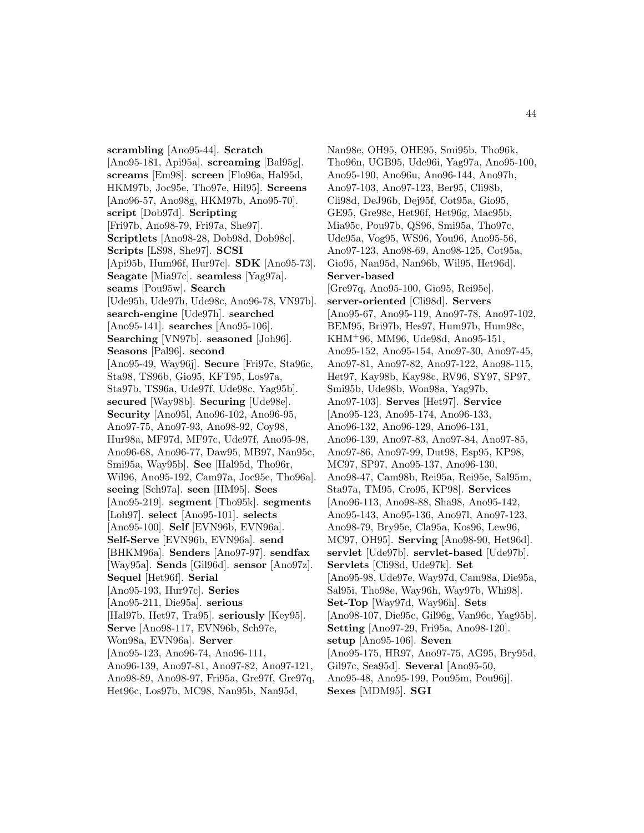**scrambling** [Ano95-44]. **Scratch** [Ano95-181, Api95a]. **screaming** [Bal95g]. **screams** [Em98]. **screen** [Flo96a, Hal95d, HKM97b, Joc95e, Tho97e, Hil95]. **Screens** [Ano96-57, Ano98g, HKM97b, Ano95-70]. **script** [Dob97d]. **Scripting** [Fri97b, Ano98-79, Fri97a, She97]. **Scriptlets** [Ano98-28, Dob98d, Dob98c]. **Scripts** [LS98, She97]. **SCSI** [Api95b, Hum96f, Hur97c]. **SDK** [Ano95-73]. **Seagate** [Mia97c]. **seamless** [Yag97a]. **seams** [Pou95w]. **Search** [Ude95h, Ude97h, Ude98c, Ano96-78, VN97b]. **search-engine** [Ude97h]. **searched** [Ano95-141]. **searches** [Ano95-106]. **Searching** [VN97b]. **seasoned** [Joh96]. **Seasons** [Pal96]. **second** [Ano95-49, Way96j]. **Secure** [Fri97c, Sta96c, Sta98, TS96b, Gio95, KFT95, Los97a, Sta97b, TS96a, Ude97f, Ude98c, Yag95b]. **secured** [Way98b]. **Securing** [Ude98e]. **Security** [Ano95l, Ano96-102, Ano96-95, Ano97-75, Ano97-93, Ano98-92, Coy98, Hur98a, MF97d, MF97c, Ude97f, Ano95-98, Ano96-68, Ano96-77, Daw95, MB97, Nan95c, Smi95a, Way95b]. **See** [Hal95d, Tho96r, Wil96, Ano95-192, Cam97a, Joc95e, Tho96a]. **seeing** [Sch97a]. **seen** [HM95]. **Sees** [Ano95-219]. **segment** [Tho95k]. **segments** [Loh97]. **select** [Ano95-101]. **selects** [Ano95-100]. **Self** [EVN96b, EVN96a]. **Self-Serve** [EVN96b, EVN96a]. **send** [BHKM96a]. **Senders** [Ano97-97]. **sendfax** [Way95a]. **Sends** [Gil96d]. **sensor** [Ano97z]. **Sequel** [Het96f]. **Serial** [Ano95-193, Hur97c]. **Series** [Ano95-211, Die95a]. **serious** [Hal97b, Het97, Tra95]. **seriously** [Key95]. **Serve** [Ano98-117, EVN96b, Sch97e, Won98a, EVN96a]. **Server** [Ano95-123, Ano96-74, Ano96-111, Ano96-139, Ano97-81, Ano97-82, Ano97-121, Ano98-89, Ano98-97, Fri95a, Gre97f, Gre97q, Het96c, Los97b, MC98, Nan95b, Nan95d,

Nan98e, OH95, OHE95, Smi95b, Tho96k, Tho96n, UGB95, Ude96i, Yag97a, Ano95-100, Ano95-190, Ano96u, Ano96-144, Ano97h, Ano97-103, Ano97-123, Ber95, Cli98b, Cli98d, DeJ96b, Dej95f, Cot95a, Gio95, GE95, Gre98c, Het96f, Het96g, Mac95b, Mia95c, Pou97b, QS96, Smi95a, Tho97c, Ude95a, Vog95, WS96, You96, Ano95-56, Ano97-123, Ano98-69, Ano98-125, Cot95a, Gio95, Nan95d, Nan96b, Wil95, Het96d]. **Server-based** [Gre97q, Ano95-100, Gio95, Rei95e]. **server-oriented** [Cli98d]. **Servers** [Ano95-67, Ano95-119, Ano97-78, Ano97-102, BEM95, Bri97b, Hes97, Hum97b, Hum98c, KHM<sup>+</sup>96, MM96, Ude98d, Ano95-151, Ano95-152, Ano95-154, Ano97-30, Ano97-45, Ano97-81, Ano97-82, Ano97-122, Ano98-115, Het97, Kay98b, Kay98c, RV96, SY97, SP97, Smi95b, Ude98b, Won98a, Yag97b, Ano97-103]. **Serves** [Het97]. **Service** [Ano95-123, Ano95-174, Ano96-133, Ano96-132, Ano96-129, Ano96-131, Ano96-139, Ano97-83, Ano97-84, Ano97-85, Ano97-86, Ano97-99, Dut98, Esp95, KP98, MC97, SP97, Ano95-137, Ano96-130, Ano98-47, Cam98b, Rei95a, Rei95e, Sal95m, Sta97a, TM95, Cro95, KP98]. **Services** [Ano96-113, Ano98-88, Sha98, Ano95-142, Ano95-143, Ano95-136, Ano97l, Ano97-123, Ano98-79, Bry95e, Cla95a, Kos96, Lew96, MC97, OH95]. **Serving** [Ano98-90, Het96d]. **servlet** [Ude97b]. **servlet-based** [Ude97b]. **Servlets** [Cli98d, Ude97k]. **Set** [Ano95-98, Ude97e, Way97d, Cam98a, Die95a, Sal95i, Tho98e, Way96h, Way97b, Whi98]. **Set-Top** [Way97d, Way96h]. **Sets** [Ano98-107, Die95c, Gil96g, Van96c, Yag95b]. **Setting** [Ano97-29, Fri95a, Ano98-120]. **setup** [Ano95-106]. **Seven** [Ano95-175, HR97, Ano97-75, AG95, Bry95d, Gil97c, Sea95d]. **Several** [Ano95-50, Ano95-48, Ano95-199, Pou95m, Pou96j]. **Sexes** [MDM95]. **SGI**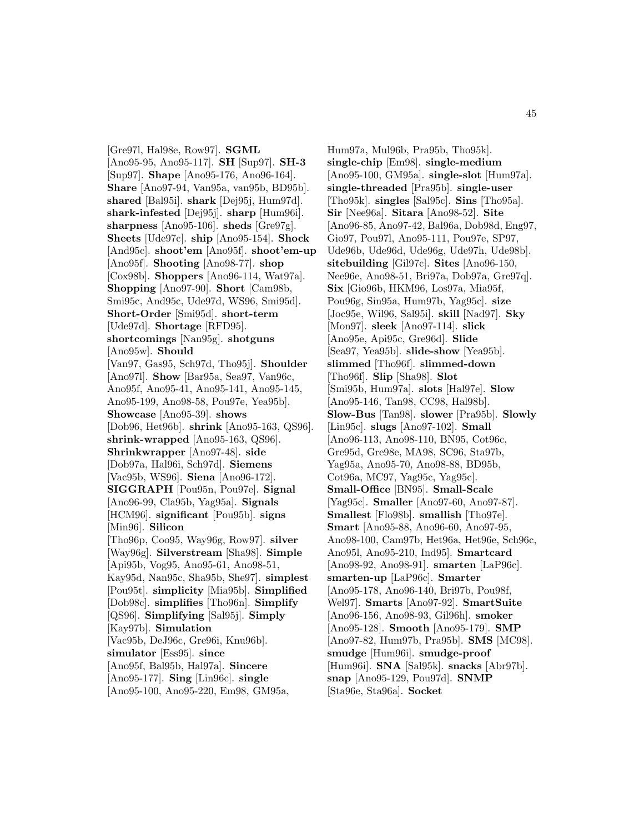[Gre97l, Hal98e, Row97]. **SGML** [Ano95-95, Ano95-117]. **SH** [Sup97]. **SH-3** [Sup97]. **Shape** [Ano95-176, Ano96-164]. **Share** [Ano97-94, Van95a, van95b, BD95b]. **shared** [Bal95i]. **shark** [Dej95j, Hum97d]. **shark-infested** [Dej95j]. **sharp** [Hum96i]. **sharpness** [Ano95-106]. **sheds** [Gre97g]. **Sheets** [Ude97c]. **ship** [Ano95-154]. **Shock** [And95c]. **shoot'em** [Ano95f]. **shoot'em-up** [Ano95f]. **Shooting** [Ano98-77]. **shop** [Cox98b]. **Shoppers** [Ano96-114, Wat97a]. **Shopping** [Ano97-90]. **Short** [Cam98b, Smi95c, And95c, Ude97d, WS96, Smi95d]. **Short-Order** [Smi95d]. **short-term** [Ude97d]. **Shortage** [RFD95]. **shortcomings** [Nan95g]. **shotguns** [Ano95w]. **Should** [Van97, Gas95, Sch97d, Tho95j]. **Shoulder** [Ano97l]. **Show** [Bar95a, Sea97, Van96c, Ano95f, Ano95-41, Ano95-141, Ano95-145, Ano95-199, Ano98-58, Pou97e, Yea95b]. **Showcase** [Ano95-39]. **shows** [Dob96, Het96b]. **shrink** [Ano95-163, QS96]. **shrink-wrapped** [Ano95-163, QS96]. **Shrinkwrapper** [Ano97-48]. **side** [Dob97a, Hal96i, Sch97d]. **Siemens** [Vac95b, WS96]. **Siena** [Ano96-172]. **SIGGRAPH** [Pou95n, Pou97e]. **Signal** [Ano96-99, Cla95b, Yag95a]. **Signals** [HCM96]. **significant** [Pou95b]. **signs** [Min96]. **Silicon** [Tho96p, Coo95, Way96g, Row97]. **silver** [Way96g]. **Silverstream** [Sha98]. **Simple** [Api95b, Vog95, Ano95-61, Ano98-51, Kay95d, Nan95c, Sha95b, She97]. **simplest** [Pou95t]. **simplicity** [Mia95b]. **Simplified** [Dob98c]. **simplifies** [Tho96n]. **Simplify** [QS96]. **Simplifying** [Sal95j]. **Simply** [Kay97b]. **Simulation** [Vac95b, DeJ96c, Gre96i, Knu96b]. **simulator** [Ess95]. **since** [Ano95f, Bal95b, Hal97a]. **Sincere** [Ano95-177]. **Sing** [Lin96c]. **single** [Ano95-100, Ano95-220, Em98, GM95a,

Hum97a, Mul96b, Pra95b, Tho95k]. **single-chip** [Em98]. **single-medium** [Ano95-100, GM95a]. **single-slot** [Hum97a]. **single-threaded** [Pra95b]. **single-user** [Tho95k]. **singles** [Sal95c]. **Sins** [Tho95a]. **Sir** [Nee96a]. **Sitara** [Ano98-52]. **Site** [Ano96-85, Ano97-42, Bal96a, Dob98d, Eng97, Gio97, Pou97l, Ano95-111, Pou97e, SP97, Ude96b, Ude96d, Ude96g, Ude97h, Ude98b]. **sitebuilding** [Gil97c]. **Sites** [Ano96-150, Nee96e, Ano98-51, Bri97a, Dob97a, Gre97q]. **Six** [Gio96b, HKM96, Los97a, Mia95f, Pou96g, Sin95a, Hum97b, Yag95c]. **size** [Joc95e, Wil96, Sal95i]. **skill** [Nad97]. **Sky** [Mon97]. **sleek** [Ano97-114]. **slick** [Ano95e, Api95c, Gre96d]. **Slide** [Sea97, Yea95b]. **slide-show** [Yea95b]. **slimmed** [Tho96f]. **slimmed-down** [Tho96f]. **Slip** [Sha98]. **Slot** [Smi95b, Hum97a]. **slots** [Hal97e]. **Slow** [Ano95-146, Tan98, CC98, Hal98b]. **Slow-Bus** [Tan98]. **slower** [Pra95b]. **Slowly** [Lin95c]. **slugs** [Ano97-102]. **Small** [Ano96-113, Ano98-110, BN95, Cot96c, Gre95d, Gre98e, MA98, SC96, Sta97b, Yag95a, Ano95-70, Ano98-88, BD95b, Cot96a, MC97, Yag95c, Yag95c]. **Small-Office** [BN95]. **Small-Scale** [Yag95c]. **Smaller** [Ano97-60, Ano97-87]. **Smallest** [Flo98b]. **smallish** [Tho97e]. **Smart** [Ano95-88, Ano96-60, Ano97-95, Ano98-100, Cam97b, Het96a, Het96e, Sch96c, Ano95l, Ano95-210, Ind95]. **Smartcard** [Ano98-92, Ano98-91]. **smarten** [LaP96c]. **smarten-up** [LaP96c]. **Smarter** [Ano95-178, Ano96-140, Bri97b, Pou98f, Wel97]. **Smarts** [Ano97-92]. **SmartSuite** [Ano96-156, Ano98-93, Gil96h]. **smoker** [Ano95-128]. **Smooth** [Ano95-179]. **SMP** [Ano97-82, Hum97b, Pra95b]. **SMS** [MC98]. **smudge** [Hum96i]. **smudge-proof** [Hum96i]. **SNA** [Sal95k]. **snacks** [Abr97b]. **snap** [Ano95-129, Pou97d]. **SNMP** [Sta96e, Sta96a]. **Socket**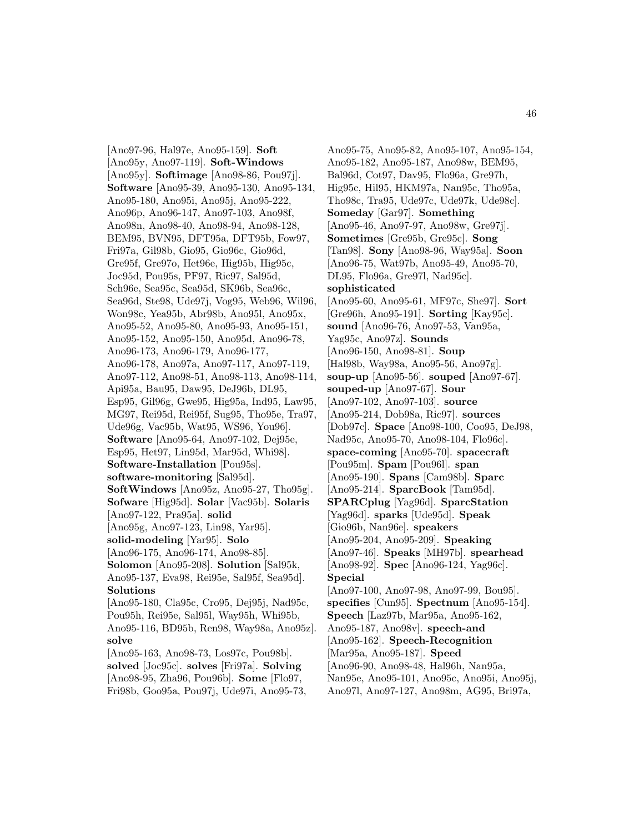[Ano97-96, Hal97e, Ano95-159]. **Soft** [Ano95y, Ano97-119]. **Soft-Windows** [Ano95y]. **Softimage** [Ano98-86, Pou97j]. **Software** [Ano95-39, Ano95-130, Ano95-134, Ano95-180, Ano95i, Ano95j, Ano95-222, Ano96p, Ano96-147, Ano97-103, Ano98f, Ano98n, Ano98-40, Ano98-94, Ano98-128, BEM95, BVN95, DFT95a, DFT95b, Fow97, Fri97a, Gil98b, Gio95, Gio96c, Gio96d, Gre95f, Gre97o, Het96e, Hig95b, Hig95c, Joc95d, Pou95s, PF97, Ric97, Sal95d, Sch96e, Sea95c, Sea95d, SK96b, Sea96c, Sea96d, Ste98, Ude97j, Vog95, Web96, Wil96, Won98c, Yea95b, Abr98b, Ano95l, Ano95x, Ano95-52, Ano95-80, Ano95-93, Ano95-151, Ano95-152, Ano95-150, Ano95d, Ano96-78, Ano96-173, Ano96-179, Ano96-177, Ano96-178, Ano97a, Ano97-117, Ano97-119, Ano97-112, Ano98-51, Ano98-113, Ano98-114, Api95a, Bau95, Daw95, DeJ96b, DL95, Esp95, Gil96g, Gwe95, Hig95a, Ind95, Law95, MG97, Rei95d, Rei95f, Sug95, Tho95e, Tra97, Ude96g, Vac95b, Wat95, WS96, You96]. **Software** [Ano95-64, Ano97-102, Dej95e, Esp95, Het97, Lin95d, Mar95d, Whi98]. **Software-Installation** [Pou95s]. **software-monitoring** [Sal95d]. **SoftWindows** [Ano95z, Ano95-27, Tho95g]. **Sofware** [Hig95d]. **Solar** [Vac95b]. **Solaris** [Ano97-122, Pra95a]. **solid** [Ano95g, Ano97-123, Lin98, Yar95]. **solid-modeling** [Yar95]. **Solo** [Ano96-175, Ano96-174, Ano98-85]. **Solomon** [Ano95-208]. **Solution** [Sal95k, Ano95-137, Eva98, Rei95e, Sal95f, Sea95d]. **Solutions** [Ano95-180, Cla95c, Cro95, Dej95j, Nad95c, Pou95h, Rei95e, Sal95l, Way95h, Whi95b, Ano95-116, BD95b, Ren98, Way98a, Ano95z]. **solve** [Ano95-163, Ano98-73, Los97c, Pou98b]. **solved** [Joc95c]. **solves** [Fri97a]. **Solving** [Ano98-95, Zha96, Pou96b]. **Some** [Flo97, Fri98b, Goo95a, Pou97j, Ude97i, Ano95-73,

Ano95-75, Ano95-82, Ano95-107, Ano95-154, Ano95-182, Ano95-187, Ano98w, BEM95, Bal96d, Cot97, Dav95, Flo96a, Gre97h, Hig95c, Hil95, HKM97a, Nan95c, Tho95a, Tho98c, Tra95, Ude97c, Ude97k, Ude98c]. **Someday** [Gar97]. **Something** [Ano95-46, Ano97-97, Ano98w, Gre97j]. **Sometimes** [Gre95b, Gre95c]. **Song** [Tan98]. **Sony** [Ano98-96, Way95a]. **Soon** [Ano96-75, Wat97b, Ano95-49, Ano95-70, DL95, Flo96a, Gre97l, Nad95c]. **sophisticated** [Ano95-60, Ano95-61, MF97c, She97]. **Sort** [Gre96h, Ano95-191]. **Sorting** [Kay95c]. **sound** [Ano96-76, Ano97-53, Van95a, Yag95c, Ano97z]. **Sounds** [Ano96-150, Ano98-81]. **Soup** [Hal98b, Way98a, Ano95-56, Ano97g]. **soup-up** [Ano95-56]. **souped** [Ano97-67]. **souped-up** [Ano97-67]. **Sour** [Ano97-102, Ano97-103]. **source** [Ano95-214, Dob98a, Ric97]. **sources** [Dob97c]. **Space** [Ano98-100, Coo95, DeJ98, Nad95c, Ano95-70, Ano98-104, Flo96c]. **space-coming** [Ano95-70]. **spacecraft** [Pou95m]. **Spam** [Pou96l]. **span** [Ano95-190]. **Spans** [Cam98b]. **Sparc** [Ano95-214]. **SparcBook** [Tam95d]. **SPARCplug** [Yag96d]. **SparcStation** [Yag96d]. **sparks** [Ude95d]. **Speak** [Gio96b, Nan96e]. **speakers** [Ano95-204, Ano95-209]. **Speaking** [Ano97-46]. **Speaks** [MH97b]. **spearhead** [Ano98-92]. **Spec** [Ano96-124, Yag96c]. **Special** [Ano97-100, Ano97-98, Ano97-99, Bou95]. **specifies** [Cun95]. **Spectnum** [Ano95-154]. **Speech** [Laz97b, Mar95a, Ano95-162, Ano95-187, Ano98v]. **speech-and** [Ano95-162]. **Speech-Recognition** [Mar95a, Ano95-187]. **Speed** [Ano96-90, Ano98-48, Hal96h, Nan95a, Nan95e, Ano95-101, Ano95c, Ano95i, Ano95j, Ano97l, Ano97-127, Ano98m, AG95, Bri97a,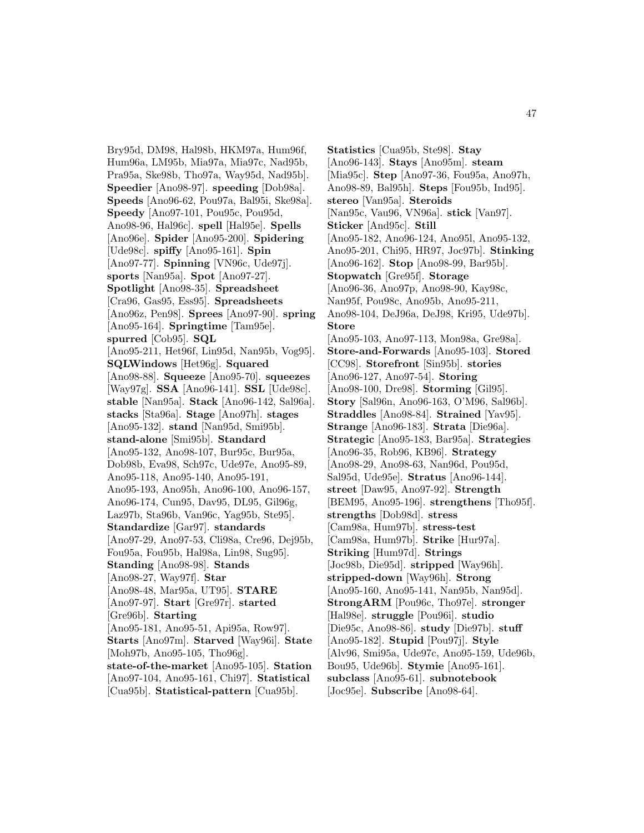Bry95d, DM98, Hal98b, HKM97a, Hum96f, Hum96a, LM95b, Mia97a, Mia97c, Nad95b, Pra95a, Ske98b, Tho97a, Way95d, Nad95b]. **Speedier** [Ano98-97]. **speeding** [Dob98a]. **Speeds** [Ano96-62, Pou97a, Bal95i, Ske98a]. **Speedy** [Ano97-101, Pou95c, Pou95d, Ano98-96, Hal96c]. **spell** [Hal95e]. **Spells** [Ano96e]. **Spider** [Ano95-200]. **Spidering** [Ude98c]. **spiffy** [Ano95-161]. **Spin** [Ano97-77]. **Spinning** [VN96c, Ude97j]. **sports** [Nan95a]. **Spot** [Ano97-27]. **Spotlight** [Ano98-35]. **Spreadsheet** [Cra96, Gas95, Ess95]. **Spreadsheets** [Ano96z, Pen98]. **Sprees** [Ano97-90]. **spring** [Ano95-164]. **Springtime** [Tam95e]. **spurred** [Cob95]. **SQL** [Ano95-211, Het96f, Lin95d, Nan95b, Vog95]. **SQLWindows** [Het96g]. **Squared** [Ano98-88]. **Squeeze** [Ano95-70]. **squeezes** [Way97g]. **SSA** [Ano96-141]. **SSL** [Ude98c]. **stable** [Nan95a]. **Stack** [Ano96-142, Sal96a]. **stacks** [Sta96a]. **Stage** [Ano97h]. **stages** [Ano95-132]. **stand** [Nan95d, Smi95b]. **stand-alone** [Smi95b]. **Standard** [Ano95-132, Ano98-107, Bur95c, Bur95a, Dob98b, Eva98, Sch97c, Ude97e, Ano95-89, Ano95-118, Ano95-140, Ano95-191, Ano95-193, Ano95h, Ano96-100, Ano96-157, Ano96-174, Cun95, Dav95, DL95, Gil96g, Laz97b, Sta96b, Van96c, Yag95b, Ste95]. **Standardize** [Gar97]. **standards** [Ano97-29, Ano97-53, Cli98a, Cre96, Dej95b, Fou95a, Fou95b, Hal98a, Lin98, Sug95]. **Standing** [Ano98-98]. **Stands** [Ano98-27, Way97f]. **Star** [Ano98-48, Mar95a, UT95]. **STARE** [Ano97-97]. **Start** [Gre97r]. **started** [Gre96b]. **Starting** [Ano95-181, Ano95-51, Api95a, Row97]. **Starts** [Ano97m]. **Starved** [Way96i]. **State** [Moh97b, Ano95-105, Tho96g]. **state-of-the-market** [Ano95-105]. **Station** [Ano97-104, Ano95-161, Chi97]. **Statistical** [Cua95b]. **Statistical-pattern** [Cua95b].

**Statistics** [Cua95b, Ste98]. **Stay** [Ano96-143]. **Stays** [Ano95m]. **steam** [Mia95c]. **Step** [Ano97-36, Fou95a, Ano97h, Ano98-89, Bal95h]. **Steps** [Fou95b, Ind95]. **stereo** [Van95a]. **Steroids** [Nan95c, Vau96, VN96a]. **stick** [Van97]. **Sticker** [And95c]. **Still** [Ano95-182, Ano96-124, Ano95l, Ano95-132, Ano95-201, Chi95, HR97, Joc97b]. **Stinking** [Ano96-162]. **Stop** [Ano98-99, Bar95b]. **Stopwatch** [Gre95f]. **Storage** [Ano96-36, Ano97p, Ano98-90, Kay98c, Nan95f, Pou98c, Ano95b, Ano95-211, Ano98-104, DeJ96a, DeJ98, Kri95, Ude97b]. **Store** [Ano95-103, Ano97-113, Mon98a, Gre98a]. **Store-and-Forwards** [Ano95-103]. **Stored** [CC98]. **Storefront** [Sin95b]. **stories** [Ano96-127, Ano97-54]. **Storing** [Ano98-100, Dre98]. **Storming** [Gil95]. **Story** [Sal96n, Ano96-163, O'M96, Sal96b]. **Straddles** [Ano98-84]. **Strained** [Yav95]. **Strange** [Ano96-183]. **Strata** [Die96a]. **Strategic** [Ano95-183, Bar95a]. **Strategies** [Ano96-35, Rob96, KB96]. **Strategy** [Ano98-29, Ano98-63, Nan96d, Pou95d, Sal95d, Ude95e]. **Stratus** [Ano96-144]. **street** [Daw95, Ano97-92]. **Strength** [BEM95, Ano95-196]. **strengthens** [Tho95f]. **strengths** [Dob98d]. **stress** [Cam98a, Hum97b]. **stress-test** [Cam98a, Hum97b]. **Strike** [Hur97a]. **Striking** [Hum97d]. **Strings** [Joc98b, Die95d]. **stripped** [Way96h]. **stripped-down** [Way96h]. **Strong** [Ano95-160, Ano95-141, Nan95b, Nan95d]. **StrongARM** [Pou96c, Tho97e]. **stronger** [Hal98e]. **struggle** [Pou96i]. **studio** [Die95c, Ano98-86]. **study** [Die97b]. **stuff** [Ano95-182]. **Stupid** [Pou97j]. **Style** [Alv96, Smi95a, Ude97c, Ano95-159, Ude96b, Bou95, Ude96b]. **Stymie** [Ano95-161]. **subclass** [Ano95-61]. **subnotebook** [Joc95e]. **Subscribe** [Ano98-64].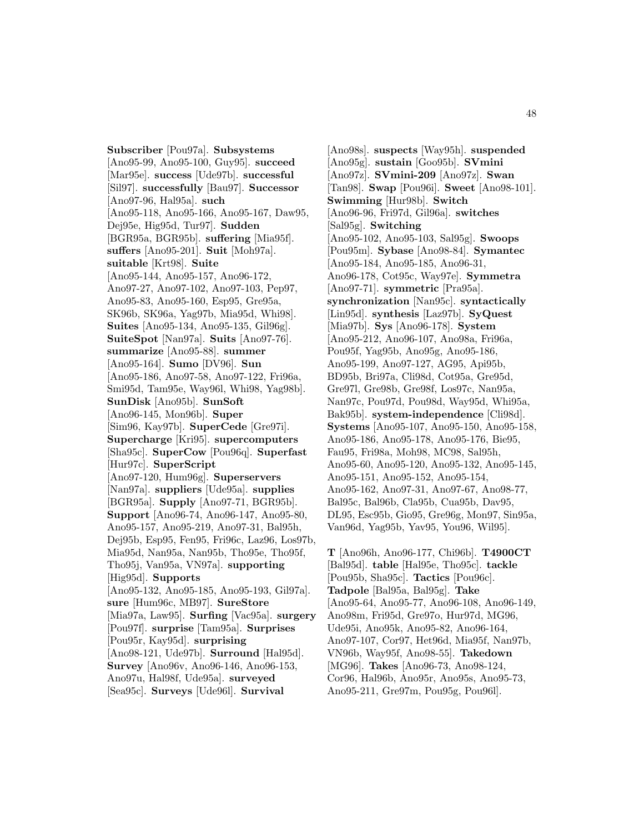**Subscriber** [Pou97a]. **Subsystems** [Ano95-99, Ano95-100, Guy95]. **succeed** [Mar95e]. **success** [Ude97b]. **successful** [Sil97]. **successfully** [Bau97]. **Successor** [Ano97-96, Hal95a]. **such** [Ano95-118, Ano95-166, Ano95-167, Daw95, Dej95e, Hig95d, Tur97]. **Sudden** [BGR95a, BGR95b]. **suffering** [Mia95f]. **suffers** [Ano95-201]. **Suit** [Moh97a]. **suitable** [Krt98]. **Suite** [Ano95-144, Ano95-157, Ano96-172, Ano97-27, Ano97-102, Ano97-103, Pep97, Ano95-83, Ano95-160, Esp95, Gre95a, SK96b, SK96a, Yag97b, Mia95d, Whi98]. **Suites** [Ano95-134, Ano95-135, Gil96g]. **SuiteSpot** [Nan97a]. **Suits** [Ano97-76]. **summarize** [Ano95-88]. **summer** [Ano95-164]. **Sumo** [DV96]. **Sun** [Ano95-186, Ano97-58, Ano97-122, Fri96a, Smi95d, Tam95e, Way96l, Whi98, Yag98b]. **SunDisk** [Ano95b]. **SunSoft** [Ano96-145, Mon96b]. **Super** [Sim96, Kay97b]. **SuperCede** [Gre97i]. **Supercharge** [Kri95]. **supercomputers** [Sha95c]. **SuperCow** [Pou96q]. **Superfast** [Hur97c]. **SuperScript** [Ano97-120, Hum96g]. **Superservers** [Nan97a]. **suppliers** [Ude95a]. **supplies** [BGR95a]. **Supply** [Ano97-71, BGR95b]. **Support** [Ano96-74, Ano96-147, Ano95-80, Ano95-157, Ano95-219, Ano97-31, Bal95h, Dej95b, Esp95, Fen95, Fri96c, Laz96, Los97b, Mia95d, Nan95a, Nan95b, Tho95e, Tho95f, Tho95j, Van95a, VN97a]. **supporting** [Hig95d]. **Supports** [Ano95-132, Ano95-185, Ano95-193, Gil97a]. **sure** [Hum96c, MB97]. **SureStore** [Mia97a, Law95]. **Surfing** [Vac95a]. **surgery** [Pou97f]. **surprise** [Tam95a]. **Surprises** [Pou95r, Kay95d]. **surprising** [Ano98-121, Ude97b]. **Surround** [Hal95d]. **Survey** [Ano96v, Ano96-146, Ano96-153, Ano97u, Hal98f, Ude95a]. **surveyed** [Sea95c]. **Surveys** [Ude96l]. **Survival**

[Ano98s]. **suspects** [Way95h]. **suspended** [Ano95g]. **sustain** [Goo95b]. **SVmini** [Ano97z]. **SVmini-209** [Ano97z]. **Swan** [Tan98]. **Swap** [Pou96i]. **Sweet** [Ano98-101]. **Swimming** [Hur98b]. **Switch** [Ano96-96, Fri97d, Gil96a]. **switches** [Sal95g]. **Switching** [Ano95-102, Ano95-103, Sal95g]. **Swoops** [Pou95m]. **Sybase** [Ano98-84]. **Symantec** [Ano95-184, Ano95-185, Ano96-31, Ano96-178, Cot95c, Way97e]. **Symmetra** [Ano97-71]. **symmetric** [Pra95a]. **synchronization** [Nan95c]. **syntactically** [Lin95d]. **synthesis** [Laz97b]. **SyQuest** [Mia97b]. **Sys** [Ano96-178]. **System** [Ano95-212, Ano96-107, Ano98a, Fri96a, Pou95f, Yag95b, Ano95g, Ano95-186, Ano95-199, Ano97-127, AG95, Api95b, BD95b, Bri97a, Cli98d, Cot95a, Gre95d, Gre97l, Gre98b, Gre98f, Los97c, Nan95a, Nan97c, Pou97d, Pou98d, Way95d, Whi95a, Bak95b]. **system-independence** [Cli98d]. **Systems** [Ano95-107, Ano95-150, Ano95-158, Ano95-186, Ano95-178, Ano95-176, Bie95, Fau95, Fri98a, Moh98, MC98, Sal95h, Ano95-60, Ano95-120, Ano95-132, Ano95-145, Ano95-151, Ano95-152, Ano95-154, Ano95-162, Ano97-31, Ano97-67, Ano98-77, Bal95c, Bal96b, Cla95b, Cua95b, Dav95, DL95, Esc95b, Gio95, Gre96g, Mon97, Sin95a, Van96d, Yag95b, Yav95, You96, Wil95].

**T** [Ano96h, Ano96-177, Chi96b]. **T4900CT** [Bal95d]. **table** [Hal95e, Tho95c]. **tackle** [Pou95b, Sha95c]. **Tactics** [Pou96c]. **Tadpole** [Bal95a, Bal95g]. **Take** [Ano95-64, Ano95-77, Ano96-108, Ano96-149, Ano98m, Fri95d, Gre97o, Hur97d, MG96, Ude95i, Ano95k, Ano95-82, Ano96-164, Ano97-107, Cor97, Het96d, Mia95f, Nan97b, VN96b, Way95f, Ano98-55]. **Takedown** [MG96]. **Takes** [Ano96-73, Ano98-124, Cor96, Hal96b, Ano95r, Ano95s, Ano95-73, Ano95-211, Gre97m, Pou95g, Pou96l].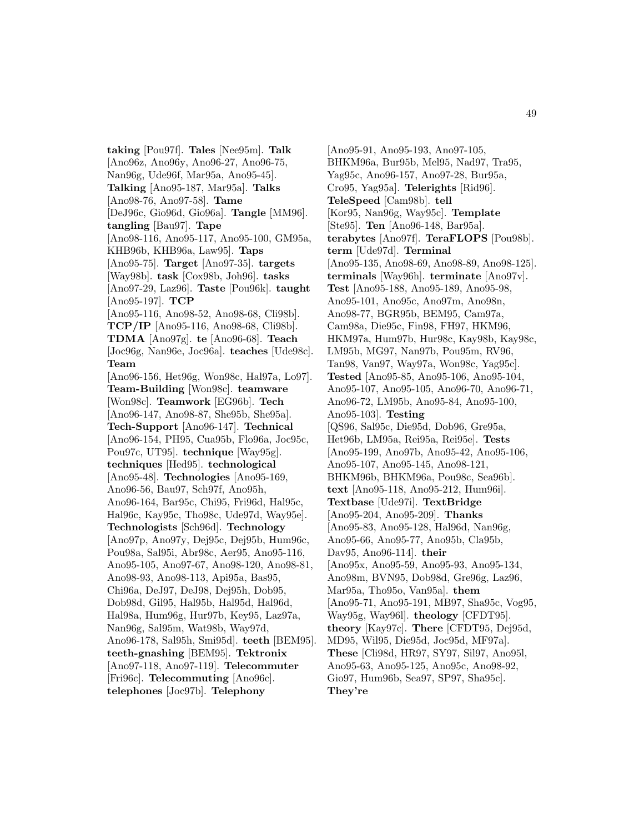**taking** [Pou97f]. **Tales** [Nee95m]. **Talk** [Ano96z, Ano96y, Ano96-27, Ano96-75, Nan96g, Ude96f, Mar95a, Ano95-45]. **Talking** [Ano95-187, Mar95a]. **Talks** [Ano98-76, Ano97-58]. **Tame** [DeJ96c, Gio96d, Gio96a]. **Tangle** [MM96]. **tangling** [Bau97]. **Tape** [Ano98-116, Ano95-117, Ano95-100, GM95a, KHB96b, KHB96a, Law95]. **Taps** [Ano95-75]. **Target** [Ano97-35]. **targets** [Way98b]. **task** [Cox98b, Joh96]. **tasks** [Ano97-29, Laz96]. **Taste** [Pou96k]. **taught** [Ano95-197]. **TCP** [Ano95-116, Ano98-52, Ano98-68, Cli98b]. **TCP/IP** [Ano95-116, Ano98-68, Cli98b]. **TDMA** [Ano97g]. **te** [Ano96-68]. **Teach** [Joc96g, Nan96e, Joc96a]. **teaches** [Ude98c]. **Team** [Ano96-156, Het96g, Won98c, Hal97a, Lo97]. **Team-Building** [Won98c]. **teamware** [Won98c]. **Teamwork** [EG96b]. **Tech** [Ano96-147, Ano98-87, She95b, She95a]. **Tech-Support** [Ano96-147]. **Technical** [Ano96-154, PH95, Cua95b, Flo96a, Joc95c, Pou97c, UT95]. **technique** [Way95g]. **techniques** [Hed95]. **technological** [Ano95-48]. **Technologies** [Ano95-169, Ano96-56, Bau97, Sch97f, Ano95h, Ano96-164, Bar95c, Chi95, Fri96d, Hal95c, Hal96c, Kay95c, Tho98c, Ude97d, Way95e]. **Technologists** [Sch96d]. **Technology** [Ano97p, Ano97y, Dej95c, Dej95b, Hum96c, Pou98a, Sal95i, Abr98c, Aer95, Ano95-116, Ano95-105, Ano97-67, Ano98-120, Ano98-81, Ano98-93, Ano98-113, Api95a, Bas95, Chi96a, DeJ97, DeJ98, Dej95h, Dob95, Dob98d, Gil95, Hal95b, Hal95d, Hal96d, Hal98a, Hum96g, Hur97b, Key95, Laz97a, Nan96g, Sal95m, Wat98b, Way97d, Ano96-178, Sal95h, Smi95d]. **teeth** [BEM95]. **teeth-gnashing** [BEM95]. **Tektronix** [Ano97-118, Ano97-119]. **Telecommuter** [Fri96c]. **Telecommuting** [Ano96c]. **telephones** [Joc97b]. **Telephony**

[Ano95-91, Ano95-193, Ano97-105, BHKM96a, Bur95b, Mel95, Nad97, Tra95, Yag95c, Ano96-157, Ano97-28, Bur95a, Cro95, Yag95a]. **Telerights** [Rid96]. **TeleSpeed** [Cam98b]. **tell** [Kor95, Nan96g, Way95c]. **Template** [Ste95]. **Ten** [Ano96-148, Bar95a]. **terabytes** [Ano97f]. **TeraFLOPS** [Pou98b]. **term** [Ude97d]. **Terminal** [Ano95-135, Ano98-69, Ano98-89, Ano98-125]. **terminals** [Way96h]. **terminate** [Ano97v]. **Test** [Ano95-188, Ano95-189, Ano95-98, Ano95-101, Ano95c, Ano97m, Ano98n, Ano98-77, BGR95b, BEM95, Cam97a, Cam98a, Die95c, Fin98, FH97, HKM96, HKM97a, Hum97b, Hur98c, Kay98b, Kay98c, LM95b, MG97, Nan97b, Pou95m, RV96, Tan98, Van97, Way97a, Won98c, Yag95c]. **Tested** [Ano95-85, Ano95-106, Ano95-104, Ano95-107, Ano95-105, Ano96-70, Ano96-71, Ano96-72, LM95b, Ano95-84, Ano95-100, Ano95-103]. **Testing** [QS96, Sal95c, Die95d, Dob96, Gre95a, Het96b, LM95a, Rei95a, Rei95e]. **Tests** [Ano95-199, Ano97b, Ano95-42, Ano95-106, Ano95-107, Ano95-145, Ano98-121, BHKM96b, BHKM96a, Pou98c, Sea96b]. **text** [Ano95-118, Ano95-212, Hum96i]. **Textbase** [Ude97i]. **TextBridge** [Ano95-204, Ano95-209]. **Thanks** [Ano95-83, Ano95-128, Hal96d, Nan96g, Ano95-66, Ano95-77, Ano95b, Cla95b, Dav95, Ano96-114]. **their** [Ano95x, Ano95-59, Ano95-93, Ano95-134, Ano98m, BVN95, Dob98d, Gre96g, Laz96, Mar95a, Tho95o, Van95a]. **them** [Ano95-71, Ano95-191, MB97, Sha95c, Vog95, Way95g, Way96l]. **theology** [CFDT95]. **theory** [Kay97c]. **There** [CFDT95, Dej95d, MD95, Wil95, Die95d, Joc95d, MF97a]. **These** [Cli98d, HR97, SY97, Sil97, Ano95l, Ano95-63, Ano95-125, Ano95c, Ano98-92, Gio97, Hum96b, Sea97, SP97, Sha95c]. **They're**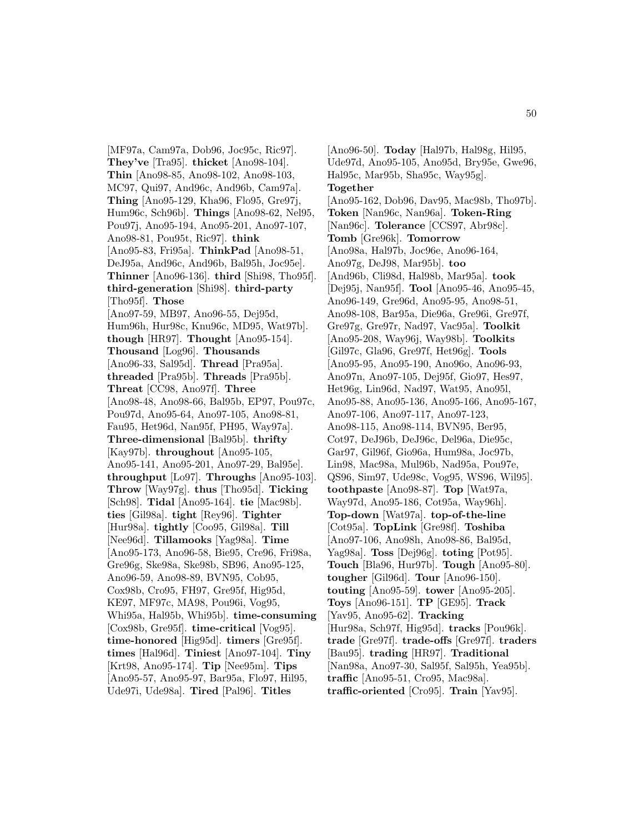[MF97a, Cam97a, Dob96, Joc95c, Ric97]. **They've** [Tra95]. **thicket** [Ano98-104]. **Thin** [Ano98-85, Ano98-102, Ano98-103, MC97, Qui97, And96c, And96b, Cam97a]. **Thing** [Ano95-129, Kha96, Flo95, Gre97j, Hum96c, Sch96b]. **Things** [Ano98-62, Nel95, Pou97j, Ano95-194, Ano95-201, Ano97-107, Ano98-81, Pou95t, Ric97]. **think** [Ano95-83, Fri95a]. **ThinkPad** [Ano98-51, DeJ95a, And96c, And96b, Bal95h, Joc95e]. **Thinner** [Ano96-136]. **third** [Shi98, Tho95f]. **third-generation** [Shi98]. **third-party** [Tho95f]. **Those** [Ano97-59, MB97, Ano96-55, Dej95d, Hum96h, Hur98c, Knu96c, MD95, Wat97b]. **though** [HR97]. **Thought** [Ano95-154]. **Thousand** [Log96]. **Thousands** [Ano96-33, Sal95d]. **Thread** [Pra95a]. **threaded** [Pra95b]. **Threads** [Pra95b]. **Threat** [CC98, Ano97f]. **Three** [Ano98-48, Ano98-66, Bal95b, EP97, Pou97c, Pou97d, Ano95-64, Ano97-105, Ano98-81, Fau95, Het96d, Nan95f, PH95, Way97a]. **Three-dimensional** [Bal95b]. **thrifty** [Kay97b]. **throughout** [Ano95-105, Ano95-141, Ano95-201, Ano97-29, Bal95e]. **throughput** [Lo97]. **Throughs** [Ano95-103]. **Throw** [Way97g]. **thus** [Tho95d]. **Ticking** [Sch98]. **Tidal** [Ano95-164]. **tie** [Mac98b]. **ties** [Gil98a]. **tight** [Rey96]. **Tighter** [Hur98a]. **tightly** [Coo95, Gil98a]. **Till** [Nee96d]. **Tillamooks** [Yag98a]. **Time** [Ano95-173, Ano96-58, Bie95, Cre96, Fri98a, Gre96g, Ske98a, Ske98b, SB96, Ano95-125, Ano96-59, Ano98-89, BVN95, Cob95, Cox98b, Cro95, FH97, Gre95f, Hig95d, KE97, MF97c, MA98, Pou96i, Vog95, Whi95a, Hal95b, Whi95b]. **time-consuming** [Cox98b, Gre95f]. **time-critical** [Vog95]. **time-honored** [Hig95d]. **timers** [Gre95f]. **times** [Hal96d]. **Tiniest** [Ano97-104]. **Tiny** [Krt98, Ano95-174]. **Tip** [Nee95m]. **Tips** [Ano95-57, Ano95-97, Bar95a, Flo97, Hil95, Ude97i, Ude98a]. **Tired** [Pal96]. **Titles**

[Ano96-50]. **Today** [Hal97b, Hal98g, Hil95, Ude97d, Ano95-105, Ano95d, Bry95e, Gwe96, Hal95c, Mar95b, Sha95c, Way95g]. **Together** [Ano95-162, Dob96, Dav95, Mac98b, Tho97b]. **Token** [Nan96c, Nan96a]. **Token-Ring** [Nan96c]. **Tolerance** [CCS97, Abr98c]. **Tomb** [Gre96k]. **Tomorrow** [Ano98a, Hal97b, Joc96e, Ano96-164, Ano97g, DeJ98, Mar95b]. **too** [And96b, Cli98d, Hal98b, Mar95a]. **took** [Dej95j, Nan95f]. **Tool** [Ano95-46, Ano95-45, Ano96-149, Gre96d, Ano95-95, Ano98-51, Ano98-108, Bar95a, Die96a, Gre96i, Gre97f, Gre97g, Gre97r, Nad97, Vac95a]. **Toolkit** [Ano95-208, Way96j, Way98b]. **Toolkits** [Gil97c, Gla96, Gre97f, Het96g]. **Tools** [Ano95-95, Ano95-190, Ano96o, Ano96-93, Ano97n, Ano97-105, Dej95f, Gio97, Hes97, Het96g, Lin96d, Nad97, Wat95, Ano95l, Ano95-88, Ano95-136, Ano95-166, Ano95-167, Ano97-106, Ano97-117, Ano97-123, Ano98-115, Ano98-114, BVN95, Ber95, Cot97, DeJ96b, DeJ96c, Del96a, Die95c, Gar97, Gil96f, Gio96a, Hum98a, Joc97b, Lin98, Mac98a, Mul96b, Nad95a, Pou97e, QS96, Sim97, Ude98c, Vog95, WS96, Wil95]. **toothpaste** [Ano98-87]. **Top** [Wat97a, Way97d, Ano95-186, Cot95a, Way96h]. **Top-down** [Wat97a]. **top-of-the-line** [Cot95a]. **TopLink** [Gre98f]. **Toshiba** [Ano97-106, Ano98h, Ano98-86, Bal95d, Yag98a]. **Toss** [Dej96g]. **toting** [Pot95]. **Touch** [Bla96, Hur97b]. **Tough** [Ano95-80]. **tougher** [Gil96d]. **Tour** [Ano96-150]. **touting** [Ano95-59]. **tower** [Ano95-205]. **Toys** [Ano96-151]. **TP** [GE95]. **Track** [Yav95, Ano95-62]. **Tracking** [Hur98a, Sch97f, Hig95d]. **tracks** [Pou96k]. **trade** [Gre97f]. **trade-offs** [Gre97f]. **traders** [Bau95]. **trading** [HR97]. **Traditional** [Nan98a, Ano97-30, Sal95f, Sal95h, Yea95b]. **traffic** [Ano95-51, Cro95, Mac98a]. **traffic-oriented** [Cro95]. **Train** [Yav95].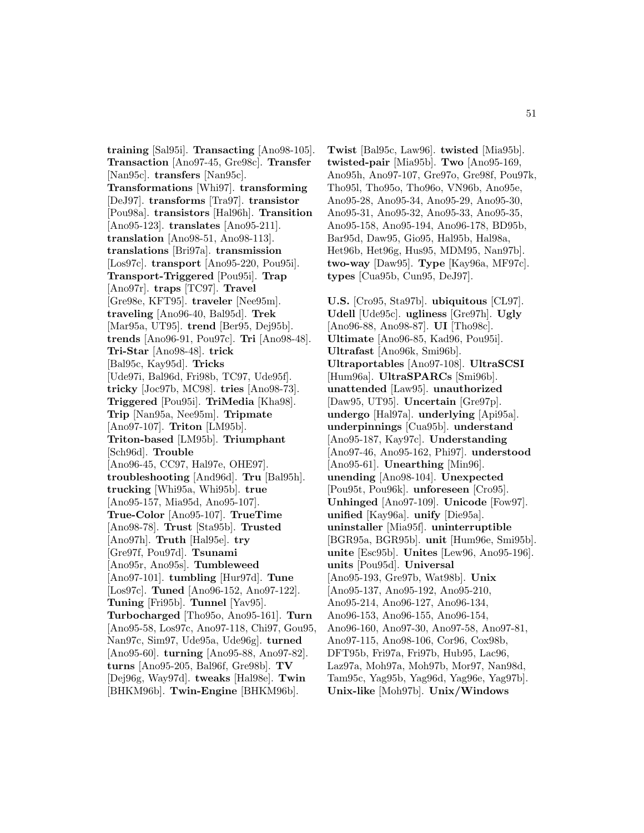**training** [Sal95i]. **Transacting** [Ano98-105]. **Transaction** [Ano97-45, Gre98c]. **Transfer** [Nan95c]. **transfers** [Nan95c]. **Transformations** [Whi97]. **transforming** [DeJ97]. **transforms** [Tra97]. **transistor** [Pou98a]. **transistors** [Hal96h]. **Transition** [Ano95-123]. **translates** [Ano95-211]. **translation** [Ano98-51, Ano98-113]. **translations** [Bri97a]. **transmission** [Los97c]. **transport** [Ano95-220, Pou95i]. **Transport-Triggered** [Pou95i]. **Trap** [Ano97r]. **traps** [TC97]. **Travel** [Gre98e, KFT95]. **traveler** [Nee95m]. **traveling** [Ano96-40, Bal95d]. **Trek** [Mar95a, UT95]. **trend** [Ber95, Dej95b]. **trends** [Ano96-91, Pou97c]. **Tri** [Ano98-48]. **Tri-Star** [Ano98-48]. **trick** [Bal95c, Kay95d]. **Tricks** [Ude97i, Bal96d, Fri98b, TC97, Ude95f]. **tricky** [Joc97b, MC98]. **tries** [Ano98-73]. **Triggered** [Pou95i]. **TriMedia** [Kha98]. **Trip** [Nan95a, Nee95m]. **Tripmate** [Ano97-107]. **Triton** [LM95b]. **Triton-based** [LM95b]. **Triumphant** [Sch96d]. **Trouble** [Ano96-45, CC97, Hal97e, OHE97]. **troubleshooting** [And96d]. **Tru** [Bal95h]. **trucking** [Whi95a, Whi95b]. **true** [Ano95-157, Mia95d, Ano95-107]. **True-Color** [Ano95-107]. **TrueTime** [Ano98-78]. **Trust** [Sta95b]. **Trusted** [Ano97h]. **Truth** [Hal95e]. **try** [Gre97f, Pou97d]. **Tsunami** [Ano95r, Ano95s]. **Tumbleweed** [Ano97-101]. **tumbling** [Hur97d]. **Tune** [Los97c]. **Tuned** [Ano96-152, Ano97-122]. **Tuning** [Fri95b]. **Tunnel** [Yav95]. **Turbocharged** [Tho95o, Ano95-161]. **Turn** [Ano95-58, Los97c, Ano97-118, Chi97, Gou95, Nan97c, Sim97, Ude95a, Ude96g]. **turned** [Ano95-60]. **turning** [Ano95-88, Ano97-82]. **turns** [Ano95-205, Bal96f, Gre98b]. **TV** [Dej96g, Way97d]. **tweaks** [Hal98e]. **Twin** [BHKM96b]. **Twin-Engine** [BHKM96b].

**Twist** [Bal95c, Law96]. **twisted** [Mia95b]. **twisted-pair** [Mia95b]. **Two** [Ano95-169, Ano95h, Ano97-107, Gre97o, Gre98f, Pou97k, Tho95l, Tho95o, Tho96o, VN96b, Ano95e, Ano95-28, Ano95-34, Ano95-29, Ano95-30, Ano95-31, Ano95-32, Ano95-33, Ano95-35, Ano95-158, Ano95-194, Ano96-178, BD95b, Bar95d, Daw95, Gio95, Hal95b, Hal98a, Het96b, Het96g, Hus95, MDM95, Nan97b]. **two-way** [Daw95]. **Type** [Kay96a, MF97c]. **types** [Cua95b, Cun95, DeJ97].

**U.S.** [Cro95, Sta97b]. **ubiquitous** [CL97]. **Udell** [Ude95c]. **ugliness** [Gre97h]. **Ugly** [Ano96-88, Ano98-87]. **UI** [Tho98c]. **Ultimate** [Ano96-85, Kad96, Pou95i]. **Ultrafast** [Ano96k, Smi96b]. **Ultraportables** [Ano97-108]. **UltraSCSI** [Hum96a]. **UltraSPARCs** [Smi96b]. **unattended** [Law95]. **unauthorized** [Daw95, UT95]. **Uncertain** [Gre97p]. **undergo** [Hal97a]. **underlying** [Api95a]. **underpinnings** [Cua95b]. **understand** [Ano95-187, Kay97c]. **Understanding** [Ano97-46, Ano95-162, Phi97]. **understood** [Ano95-61]. **Unearthing** [Min96]. **unending** [Ano98-104]. **Unexpected** [Pou95t, Pou96k]. **unforeseen** [Cro95]. **Unhinged** [Ano97-109]. **Unicode** [Fow97]. **unified** [Kay96a]. **unify** [Die95a]. **uninstaller** [Mia95f]. **uninterruptible** [BGR95a, BGR95b]. **unit** [Hum96e, Smi95b]. **unite** [Esc95b]. **Unites** [Lew96, Ano95-196]. **units** [Pou95d]. **Universal** [Ano95-193, Gre97b, Wat98b]. **Unix** [Ano95-137, Ano95-192, Ano95-210, Ano95-214, Ano96-127, Ano96-134, Ano96-153, Ano96-155, Ano96-154, Ano96-160, Ano97-30, Ano97-58, Ano97-81, Ano97-115, Ano98-106, Cor96, Cox98b, DFT95b, Fri97a, Fri97b, Hub95, Lac96, Laz97a, Moh97a, Moh97b, Mor97, Nan98d, Tam95c, Yag95b, Yag96d, Yag96e, Yag97b]. **Unix-like** [Moh97b]. **Unix/Windows**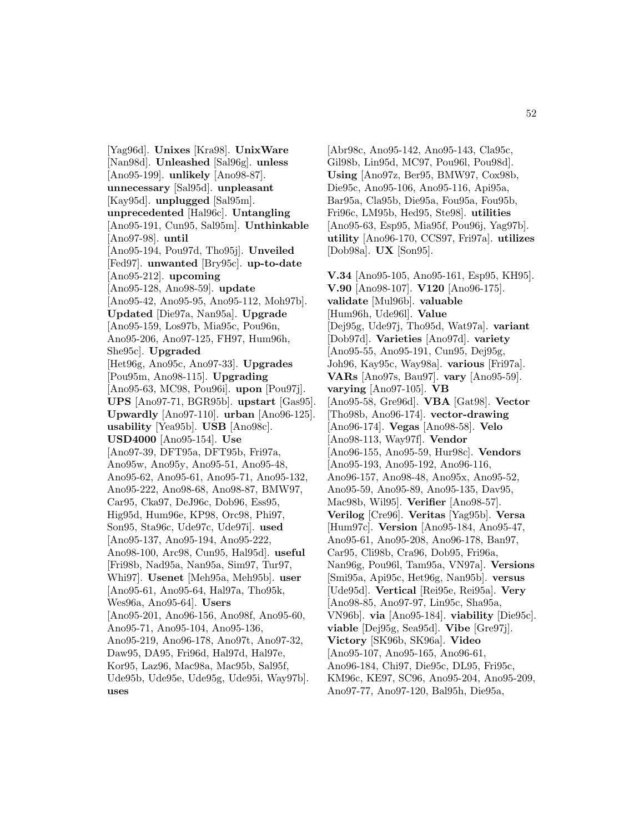[Yag96d]. **Unixes** [Kra98]. **UnixWare** [Nan98d]. **Unleashed** [Sal96g]. **unless** [Ano95-199]. **unlikely** [Ano98-87]. **unnecessary** [Sal95d]. **unpleasant** [Kay95d]. **unplugged** [Sal95m]. **unprecedented** [Hal96c]. **Untangling** [Ano95-191, Cun95, Sal95m]. **Unthinkable** [Ano97-98]. **until** [Ano95-194, Pou97d, Tho95j]. **Unveiled** [Fed97]. **unwanted** [Bry95c]. **up-to-date** [Ano95-212]. **upcoming** [Ano95-128, Ano98-59]. **update** [Ano95-42, Ano95-95, Ano95-112, Moh97b]. **Updated** [Die97a, Nan95a]. **Upgrade** [Ano95-159, Los97b, Mia95c, Pou96n, Ano95-206, Ano97-125, FH97, Hum96h, She95c]. **Upgraded** [Het96g, Ano95c, Ano97-33]. **Upgrades** [Pou95m, Ano98-115]. **Upgrading** [Ano95-63, MC98, Pou96i]. **upon** [Pou97j]. **UPS** [Ano97-71, BGR95b]. **upstart** [Gas95]. **Upwardly** [Ano97-110]. **urban** [Ano96-125]. **usability** [Yea95b]. **USB** [Ano98c]. **USD4000** [Ano95-154]. **Use** [Ano97-39, DFT95a, DFT95b, Fri97a, Ano95w, Ano95y, Ano95-51, Ano95-48, Ano95-62, Ano95-61, Ano95-71, Ano95-132, Ano95-222, Ano98-68, Ano98-87, BMW97, Car95, Cka97, DeJ96c, Dob96, Ess95, Hig95d, Hum96e, KP98, Orc98, Phi97, Son95, Sta96c, Ude97c, Ude97i]. **used** [Ano95-137, Ano95-194, Ano95-222, Ano98-100, Arc98, Cun95, Hal95d]. **useful** [Fri98b, Nad95a, Nan95a, Sim97, Tur97, Whi97]. **Usenet** [Meh95a, Meh95b]. **user** [Ano95-61, Ano95-64, Hal97a, Tho95k, Wes96a, Ano95-64]. **Users** [Ano95-201, Ano96-156, Ano98f, Ano95-60, Ano95-71, Ano95-104, Ano95-136, Ano95-219, Ano96-178, Ano97t, Ano97-32, Daw95, DA95, Fri96d, Hal97d, Hal97e, Kor95, Laz96, Mac98a, Mac95b, Sal95f, Ude95b, Ude95e, Ude95g, Ude95i, Way97b]. **uses**

[Abr98c, Ano95-142, Ano95-143, Cla95c, Gil98b, Lin95d, MC97, Pou96l, Pou98d]. **Using** [Ano97z, Ber95, BMW97, Cox98b, Die95c, Ano95-106, Ano95-116, Api95a, Bar95a, Cla95b, Die95a, Fou95a, Fou95b, Fri96c, LM95b, Hed95, Ste98]. **utilities** [Ano95-63, Esp95, Mia95f, Pou96j, Yag97b]. **utility** [Ano96-170, CCS97, Fri97a]. **utilizes** [Dob98a]. **UX** [Son95].

**V.34** [Ano95-105, Ano95-161, Esp95, KH95]. **V.90** [Ano98-107]. **V120** [Ano96-175]. **validate** [Mul96b]. **valuable** [Hum96h, Ude96l]. **Value** [Dej95g, Ude97j, Tho95d, Wat97a]. **variant** [Dob97d]. **Varieties** [Ano97d]. **variety** [Ano95-55, Ano95-191, Cun95, Dej95g, Joh96, Kay95c, Way98a]. **various** [Fri97a]. **VARs** [Ano97s, Bau97]. **vary** [Ano95-59]. **varying** [Ano97-105]. **VB** [Ano95-58, Gre96d]. **VBA** [Gat98]. **Vector** [Tho98b, Ano96-174]. **vector-drawing** [Ano96-174]. **Vegas** [Ano98-58]. **Velo** [Ano98-113, Way97f]. **Vendor** [Ano96-155, Ano95-59, Hur98c]. **Vendors** [Ano95-193, Ano95-192, Ano96-116, Ano96-157, Ano98-48, Ano95x, Ano95-52, Ano95-59, Ano95-89, Ano95-135, Dav95, Mac98b, Wil95]. **Verifier** [Ano98-57]. **Verilog** [Cre96]. **Veritas** [Yag95b]. **Versa** [Hum97c]. **Version** [Ano95-184, Ano95-47, Ano95-61, Ano95-208, Ano96-178, Ban97, Car95, Cli98b, Cra96, Dob95, Fri96a, Nan96g, Pou96l, Tam95a, VN97a]. **Versions** [Smi95a, Api95c, Het96g, Nan95b]. **versus** [Ude95d]. **Vertical** [Rei95e, Rei95a]. **Very** [Ano98-85, Ano97-97, Lin95c, Sha95a, VN96b]. **via** [Ano95-184]. **viability** [Die95c]. **viable** [Dej95g, Sea95d]. **Vibe** [Gre97j]. **Victory** [SK96b, SK96a]. **Video** [Ano95-107, Ano95-165, Ano96-61, Ano96-184, Chi97, Die95c, DL95, Fri95c, KM96c, KE97, SC96, Ano95-204, Ano95-209, Ano97-77, Ano97-120, Bal95h, Die95a,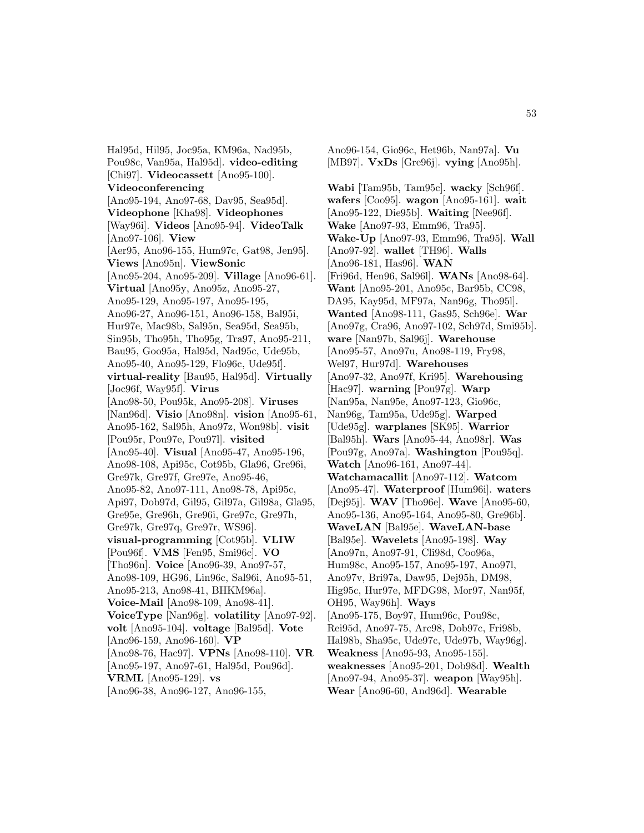Hal95d, Hil95, Joc95a, KM96a, Nad95b, Pou98c, Van95a, Hal95d]. **video-editing** [Chi97]. **Videocassett** [Ano95-100]. **Videoconferencing** [Ano95-194, Ano97-68, Dav95, Sea95d]. **Videophone** [Kha98]. **Videophones** [Way96i]. **Videos** [Ano95-94]. **VideoTalk** [Ano97-106]. **View** [Aer95, Ano96-155, Hum97c, Gat98, Jen95]. **Views** [Ano95n]. **ViewSonic** [Ano95-204, Ano95-209]. **Village** [Ano96-61]. **Virtual** [Ano95y, Ano95z, Ano95-27, Ano95-129, Ano95-197, Ano95-195, Ano96-27, Ano96-151, Ano96-158, Bal95i, Hur97e, Mac98b, Sal95n, Sea95d, Sea95b, Sin95b, Tho95h, Tho95g, Tra97, Ano95-211, Bau95, Goo95a, Hal95d, Nad95c, Ude95b, Ano95-40, Ano95-129, Flo96c, Ude95f]. **virtual-reality** [Bau95, Hal95d]. **Virtually** [Joc96f, Way95f]. **Virus** [Ano98-50, Pou95k, Ano95-208]. **Viruses** [Nan96d]. **Visio** [Ano98n]. **vision** [Ano95-61, Ano95-162, Sal95h, Ano97z, Won98b]. **visit** [Pou95r, Pou97e, Pou97l]. **visited** [Ano95-40]. **Visual** [Ano95-47, Ano95-196, Ano98-108, Api95c, Cot95b, Gla96, Gre96i, Gre97k, Gre97f, Gre97e, Ano95-46, Ano95-82, Ano97-111, Ano98-78, Api95c, Api97, Dob97d, Gil95, Gil97a, Gil98a, Gla95, Gre95e, Gre96h, Gre96i, Gre97c, Gre97h, Gre97k, Gre97q, Gre97r, WS96]. **visual-programming** [Cot95b]. **VLIW** [Pou96f]. **VMS** [Fen95, Smi96c]. **VO** [Tho96n]. **Voice** [Ano96-39, Ano97-57, Ano98-109, HG96, Lin96c, Sal96i, Ano95-51, Ano95-213, Ano98-41, BHKM96a]. **Voice-Mail** [Ano98-109, Ano98-41]. **VoiceType** [Nan96g]. **volatility** [Ano97-92]. **volt** [Ano95-104]. **voltage** [Bal95d]. **Vote** [Ano96-159, Ano96-160]. **VP** [Ano98-76, Hac97]. **VPNs** [Ano98-110]. **VR** [Ano95-197, Ano97-61, Hal95d, Pou96d]. **VRML** [Ano95-129]. **vs** [Ano96-38, Ano96-127, Ano96-155,

Ano96-154, Gio96c, Het96b, Nan97a]. **Vu** [MB97]. **VxDs** [Gre96j]. **vying** [Ano95h].

**Wabi** [Tam95b, Tam95c]. **wacky** [Sch96f]. **wafers** [Coo95]. **wagon** [Ano95-161]. **wait** [Ano95-122, Die95b]. **Waiting** [Nee96f]. **Wake** [Ano97-93, Emm96, Tra95]. **Wake-Up** [Ano97-93, Emm96, Tra95]. **Wall** [Ano97-92]. **wallet** [TH96]. **Walls** [Ano96-181, Has96]. **WAN** [Fri96d, Hen96, Sal96l]. **WANs** [Ano98-64]. **Want** [Ano95-201, Ano95c, Bar95b, CC98, DA95, Kay95d, MF97a, Nan96g, Tho95l]. **Wanted** [Ano98-111, Gas95, Sch96e]. **War** [Ano97g, Cra96, Ano97-102, Sch97d, Smi95b]. **ware** [Nan97b, Sal96j]. **Warehouse** [Ano95-57, Ano97u, Ano98-119, Fry98, Wel97, Hur97d]. **Warehouses** [Ano97-32, Ano97f, Kri95]. **Warehousing** [Hac97]. **warning** [Pou97g]. **Warp** [Nan95a, Nan95e, Ano97-123, Gio96c, Nan96g, Tam95a, Ude95g]. **Warped** [Ude95g]. **warplanes** [SK95]. **Warrior** [Bal95h]. **Wars** [Ano95-44, Ano98r]. **Was** [Pou97g, Ano97a]. **Washington** [Pou95q]. **Watch** [Ano96-161, Ano97-44]. **Watchamacallit** [Ano97-112]. **Watcom** [Ano95-47]. **Waterproof** [Hum96i]. **waters** [Dej95j]. **WAV** [Tho96e]. **Wave** [Ano95-60, Ano95-136, Ano95-164, Ano95-80, Gre96b]. **WaveLAN** [Bal95e]. **WaveLAN-base** [Bal95e]. **Wavelets** [Ano95-198]. **Way** [Ano97n, Ano97-91, Cli98d, Coo96a, Hum98c, Ano95-157, Ano95-197, Ano97l, Ano97v, Bri97a, Daw95, Dej95h, DM98, Hig95c, Hur97e, MFDG98, Mor97, Nan95f, OH95, Way96h]. **Ways** [Ano95-175, Boy97, Hum96c, Pou98c, Rei95d, Ano97-75, Arc98, Dob97c, Fri98b, Hal98b, Sha95c, Ude97c, Ude97b, Way96g]. **Weakness** [Ano95-93, Ano95-155]. **weaknesses** [Ano95-201, Dob98d]. **Wealth** [Ano97-94, Ano95-37]. **weapon** [Way95h]. **Wear** [Ano96-60, And96d]. **Wearable**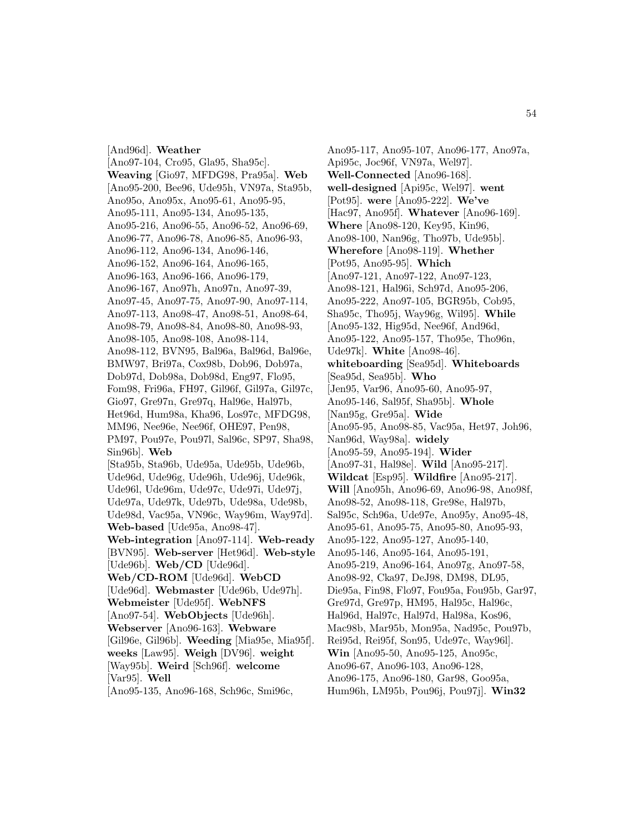[And96d]. **Weather** [Ano97-104, Cro95, Gla95, Sha95c]. **Weaving** [Gio97, MFDG98, Pra95a]. **Web** [Ano95-200, Bee96, Ude95h, VN97a, Sta95b, Ano95o, Ano95x, Ano95-61, Ano95-95, Ano95-111, Ano95-134, Ano95-135, Ano95-216, Ano96-55, Ano96-52, Ano96-69, Ano96-77, Ano96-78, Ano96-85, Ano96-93, Ano96-112, Ano96-134, Ano96-146, Ano96-152, Ano96-164, Ano96-165, Ano96-163, Ano96-166, Ano96-179, Ano96-167, Ano97h, Ano97n, Ano97-39, Ano97-45, Ano97-75, Ano97-90, Ano97-114, Ano97-113, Ano98-47, Ano98-51, Ano98-64, Ano98-79, Ano98-84, Ano98-80, Ano98-93, Ano98-105, Ano98-108, Ano98-114, Ano98-112, BVN95, Bal96a, Bal96d, Bal96e, BMW97, Bri97a, Cox98b, Dob96, Dob97a, Dob97d, Dob98a, Dob98d, Eng97, Flo95, Fom98, Fri96a, FH97, Gil96f, Gil97a, Gil97c, Gio97, Gre97n, Gre97q, Hal96e, Hal97b, Het96d, Hum98a, Kha96, Los97c, MFDG98, MM96, Nee96e, Nee96f, OHE97, Pen98, PM97, Pou97e, Pou97l, Sal96c, SP97, Sha98, Sin96b]. **Web** [Sta95b, Sta96b, Ude95a, Ude95b, Ude96b, Ude96d, Ude96g, Ude96h, Ude96j, Ude96k, Ude96l, Ude96m, Ude97c, Ude97i, Ude97j, Ude97a, Ude97k, Ude97b, Ude98a, Ude98b, Ude98d, Vac95a, VN96c, Way96m, Way97d]. **Web-based** [Ude95a, Ano98-47]. **Web-integration** [Ano97-114]. **Web-ready** [BVN95]. **Web-server** [Het96d]. **Web-style** [Ude96b]. **Web/CD** [Ude96d]. **Web/CD-ROM** [Ude96d]. **WebCD** [Ude96d]. **Webmaster** [Ude96b, Ude97h]. **Webmeister** [Ude95f]. **WebNFS** [Ano97-54]. **WebObjects** [Ude96h]. **Webserver** [Ano96-163]. **Webware** [Gil96e, Gil96b]. **Weeding** [Mia95e, Mia95f]. **weeks** [Law95]. **Weigh** [DV96]. **weight** [Way95b]. **Weird** [Sch96f]. **welcome** [Var95]. **Well**

[Ano95-135, Ano96-168, Sch96c, Smi96c,

Ano95-117, Ano95-107, Ano96-177, Ano97a, Api95c, Joc96f, VN97a, Wel97]. **Well-Connected** [Ano96-168]. **well-designed** [Api95c, Wel97]. **went** [Pot95]. **were** [Ano95-222]. **We've** [Hac97, Ano95f]. **Whatever** [Ano96-169]. **Where** [Ano98-120, Key95, Kin96, Ano98-100, Nan96g, Tho97b, Ude95b]. **Wherefore** [Ano98-119]. **Whether** [Pot95, Ano95-95]. **Which** [Ano97-121, Ano97-122, Ano97-123, Ano98-121, Hal96i, Sch97d, Ano95-206, Ano95-222, Ano97-105, BGR95b, Cob95, Sha95c, Tho95j, Way96g, Wil95]. **While** [Ano95-132, Hig95d, Nee96f, And96d, Ano95-122, Ano95-157, Tho95e, Tho96n, Ude97k]. **White** [Ano98-46]. **whiteboarding** [Sea95d]. **Whiteboards** [Sea95d, Sea95b]. **Who** [Jen95, Var96, Ano95-60, Ano95-97, Ano95-146, Sal95f, Sha95b]. **Whole** [Nan95g, Gre95a]. **Wide** [Ano95-95, Ano98-85, Vac95a, Het97, Joh96, Nan96d, Way98a]. **widely** [Ano95-59, Ano95-194]. **Wider** [Ano97-31, Hal98e]. **Wild** [Ano95-217]. **Wildcat** [Esp95]. **Wildfire** [Ano95-217]. **Will** [Ano95h, Ano96-69, Ano96-98, Ano98f, Ano98-52, Ano98-118, Gre98e, Hal97b, Sal95c, Sch96a, Ude97e, Ano95y, Ano95-48, Ano95-61, Ano95-75, Ano95-80, Ano95-93, Ano95-122, Ano95-127, Ano95-140, Ano95-146, Ano95-164, Ano95-191, Ano95-219, Ano96-164, Ano97g, Ano97-58, Ano98-92, Cka97, DeJ98, DM98, DL95, Die95a, Fin98, Flo97, Fou95a, Fou95b, Gar97, Gre97d, Gre97p, HM95, Hal95c, Hal96c, Hal96d, Hal97c, Hal97d, Hal98a, Kos96, Mac98b, Mar95b, Mon95a, Nad95c, Pou97b, Rei95d, Rei95f, Son95, Ude97c, Way96l]. **Win** [Ano95-50, Ano95-125, Ano95c, Ano96-67, Ano96-103, Ano96-128, Ano96-175, Ano96-180, Gar98, Goo95a, Hum96h, LM95b, Pou96j, Pou97j]. **Win32**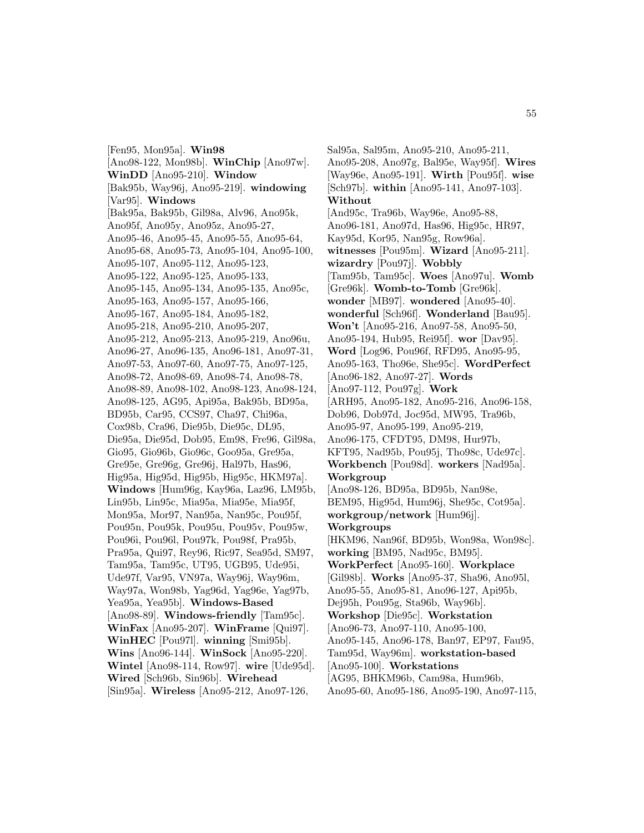[Fen95, Mon95a]. **Win98** [Ano98-122, Mon98b]. **WinChip** [Ano97w]. **WinDD** [Ano95-210]. **Window** [Bak95b, Way96j, Ano95-219]. **windowing** [Var95]. **Windows** [Bak95a, Bak95b, Gil98a, Alv96, Ano95k, Ano95f, Ano95y, Ano95z, Ano95-27, Ano95-46, Ano95-45, Ano95-55, Ano95-64, Ano95-68, Ano95-73, Ano95-104, Ano95-100, Ano95-107, Ano95-112, Ano95-123, Ano95-122, Ano95-125, Ano95-133, Ano95-145, Ano95-134, Ano95-135, Ano95c, Ano95-163, Ano95-157, Ano95-166, Ano95-167, Ano95-184, Ano95-182, Ano95-218, Ano95-210, Ano95-207, Ano95-212, Ano95-213, Ano95-219, Ano96u, Ano96-27, Ano96-135, Ano96-181, Ano97-31, Ano97-53, Ano97-60, Ano97-75, Ano97-125, Ano98-72, Ano98-69, Ano98-74, Ano98-78, Ano98-89, Ano98-102, Ano98-123, Ano98-124, Ano98-125, AG95, Api95a, Bak95b, BD95a, BD95b, Car95, CCS97, Cha97, Chi96a, Cox98b, Cra96, Die95b, Die95c, DL95, Die95a, Die95d, Dob95, Em98, Fre96, Gil98a, Gio95, Gio96b, Gio96c, Goo95a, Gre95a, Gre95e, Gre96g, Gre96j, Hal97b, Has96, Hig95a, Hig95d, Hig95b, Hig95c, HKM97a]. **Windows** [Hum96g, Kay96a, Laz96, LM95b, Lin95b, Lin95c, Mia95a, Mia95e, Mia95f, Mon95a, Mor97, Nan95a, Nan95c, Pou95f, Pou95n, Pou95k, Pou95u, Pou95v, Pou95w, Pou96i, Pou96l, Pou97k, Pou98f, Pra95b, Pra95a, Qui97, Rey96, Ric97, Sea95d, SM97, Tam95a, Tam95c, UT95, UGB95, Ude95i, Ude97f, Var95, VN97a, Way96j, Way96m, Way97a, Won98b, Yag96d, Yag96e, Yag97b, Yea95a, Yea95b]. **Windows-Based** [Ano98-89]. **Windows-friendly** [Tam95c]. **WinFax** [Ano95-207]. **WinFrame** [Qui97]. **WinHEC** [Pou97l]. **winning** [Smi95b]. **Wins** [Ano96-144]. **WinSock** [Ano95-220]. **Wintel** [Ano98-114, Row97]. **wire** [Ude95d]. **Wired** [Sch96b, Sin96b]. **Wirehead** [Sin95a]. **Wireless** [Ano95-212, Ano97-126,

Sal95a, Sal95m, Ano95-210, Ano95-211, Ano95-208, Ano97g, Bal95e, Way95f]. **Wires** [Way96e, Ano95-191]. **Wirth** [Pou95f]. **wise** [Sch97b]. **within** [Ano95-141, Ano97-103]. **Without** [And95c, Tra96b, Way96e, Ano95-88, Ano96-181, Ano97d, Has96, Hig95c, HR97, Kay95d, Kor95, Nan95g, Row96a]. **witnesses** [Pou95m]. **Wizard** [Ano95-211]. **wizardry** [Pou97j]. **Wobbly** [Tam95b, Tam95c]. **Woes** [Ano97u]. **Womb** [Gre96k]. **Womb-to-Tomb** [Gre96k]. **wonder** [MB97]. **wondered** [Ano95-40]. **wonderful** [Sch96f]. **Wonderland** [Bau95]. **Won't** [Ano95-216, Ano97-58, Ano95-50, Ano95-194, Hub95, Rei95f]. **wor** [Dav95]. **Word** [Log96, Pou96f, RFD95, Ano95-95, Ano95-163, Tho96e, She95c]. **WordPerfect** [Ano96-182, Ano97-27]. **Words** [Ano97-112, Pou97g]. **Work** [ARH95, Ano95-182, Ano95-216, Ano96-158, Dob96, Dob97d, Joc95d, MW95, Tra96b, Ano95-97, Ano95-199, Ano95-219, Ano96-175, CFDT95, DM98, Hur97b, KFT95, Nad95b, Pou95j, Tho98c, Ude97c]. **Workbench** [Pou98d]. **workers** [Nad95a]. **Workgroup** [Ano98-126, BD95a, BD95b, Nan98e, BEM95, Hig95d, Hum96j, She95c, Cot95a]. **workgroup/network** [Hum96j]. **Workgroups** [HKM96, Nan96f, BD95b, Won98a, Won98c]. **working** [BM95, Nad95c, BM95]. **WorkPerfect** [Ano95-160]. **Workplace** [Gil98b]. **Works** [Ano95-37, Sha96, Ano95l, Ano95-55, Ano95-81, Ano96-127, Api95b, Dej95h, Pou95g, Sta96b, Way96b]. **Workshop** [Die95c]. **Workstation** [Ano96-73, Ano97-110, Ano95-100, Ano95-145, Ano96-178, Ban97, EP97, Fau95, Tam95d, Way96m]. **workstation-based** [Ano95-100]. **Workstations** [AG95, BHKM96b, Cam98a, Hum96b, Ano95-60, Ano95-186, Ano95-190, Ano97-115,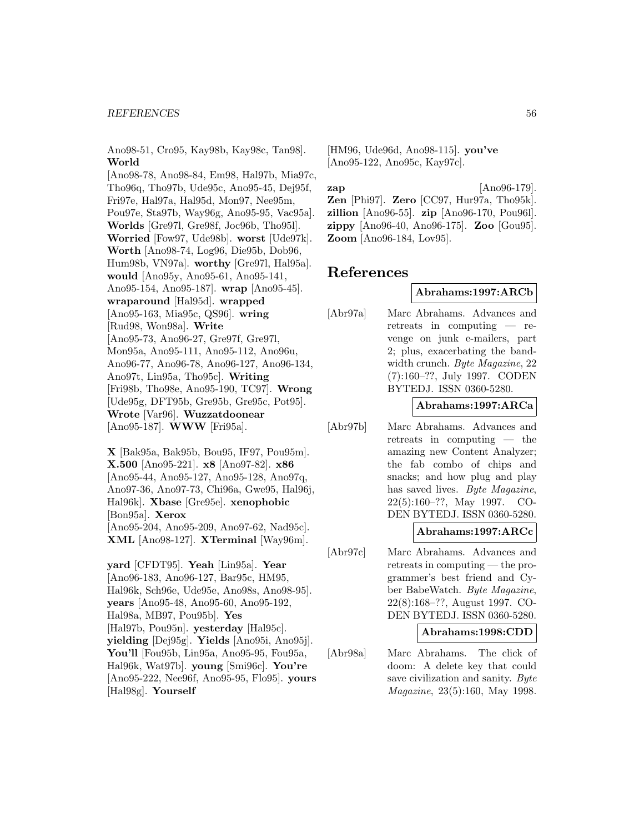#### *REFERENCES* 56

Ano98-51, Cro95, Kay98b, Kay98c, Tan98]. **World**

[Ano98-78, Ano98-84, Em98, Hal97b, Mia97c, Tho96q, Tho97b, Ude95c, Ano95-45, Dej95f, Fri97e, Hal97a, Hal95d, Mon97, Nee95m, Pou97e, Sta97b, Way96g, Ano95-95, Vac95a]. **Worlds** [Gre97l, Gre98f, Joc96b, Tho95l]. **Worried** [Fow97, Ude98b]. **worst** [Ude97k]. **Worth** [Ano98-74, Log96, Die95b, Dob96, Hum98b, VN97a]. **worthy** [Gre97l, Hal95a]. **would** [Ano95y, Ano95-61, Ano95-141, Ano95-154, Ano95-187]. **wrap** [Ano95-45]. **wraparound** [Hal95d]. **wrapped** [Ano95-163, Mia95c, QS96]. **wring** [Rud98, Won98a]. **Write** [Ano95-73, Ano96-27, Gre97f, Gre97l, Mon95a, Ano95-111, Ano95-112, Ano96u, Ano96-77, Ano96-78, Ano96-127, Ano96-134, Ano97t, Lin95a, Tho95c]. **Writing** [Fri98b, Tho98e, Ano95-190, TC97]. **Wrong** [Ude95g, DFT95b, Gre95b, Gre95c, Pot95]. **Wrote** [Var96]. **Wuzzatdoonear** [Ano95-187]. **WWW** [Fri95a].

**X** [Bak95a, Bak95b, Bou95, IF97, Pou95m]. **X.500** [Ano95-221]. **x8** [Ano97-82]. **x86** [Ano95-44, Ano95-127, Ano95-128, Ano97q, Ano97-36, Ano97-73, Chi96a, Gwe95, Hal96j, Hal96k]. **Xbase** [Gre95e]. **xenophobic** [Bon95a]. **Xerox** [Ano95-204, Ano95-209, Ano97-62, Nad95c]. **XML** [Ano98-127]. **XTerminal** [Way96m].

**yard** [CFDT95]. **Yeah** [Lin95a]. **Year** [Ano96-183, Ano96-127, Bar95c, HM95, Hal96k, Sch96e, Ude95e, Ano98s, Ano98-95]. **years** [Ano95-48, Ano95-60, Ano95-192, Hal98a, MB97, Pou95b]. **Yes** [Hal97b, Pou95n]. **yesterday** [Hal95c]. **yielding** [Dej95g]. **Yields** [Ano95i, Ano95j]. **You'll** [Fou95b, Lin95a, Ano95-95, Fou95a, Hal96k, Wat97b]. **young** [Smi96c]. **You're** [Ano95-222, Nee96f, Ano95-95, Flo95]. **yours** [Hal98g]. **Yourself**

[HM96, Ude96d, Ano98-115]. **you've** [Ano95-122, Ano95c, Kay97c].

**zap** [Ano96-179]. **Zen** [Phi97]. **Zero** [CC97, Hur97a, Tho95k]. **zillion** [Ano96-55]. **zip** [Ano96-170, Pou96l]. **zippy** [Ano96-40, Ano96-175]. **Zoo** [Gou95]. **Zoom** [Ano96-184, Lov95].

# **References**

### **Abrahams:1997:ARCb**

[Abr97a] Marc Abrahams. Advances and retreats in computing — revenge on junk e-mailers, part 2; plus, exacerbating the bandwidth crunch. Byte Magazine, 22 (7):160–??, July 1997. CODEN BYTEDJ. ISSN 0360-5280.

### **Abrahams:1997:ARCa**

[Abr97b] Marc Abrahams. Advances and retreats in computing — the amazing new Content Analyzer; the fab combo of chips and snacks; and how plug and play has saved lives. Byte Magazine, 22(5):160–??, May 1997. CO-DEN BYTEDJ. ISSN 0360-5280.

# **Abrahams:1997:ARCc**

[Abr97c] Marc Abrahams. Advances and retreats in computing — the programmer's best friend and Cyber BabeWatch. Byte Magazine, 22(8):168–??, August 1997. CO-DEN BYTEDJ. ISSN 0360-5280.

#### **Abrahams:1998:CDD**

[Abr98a] Marc Abrahams. The click of doom: A delete key that could save civilization and sanity. Byte Magazine, 23(5):160, May 1998.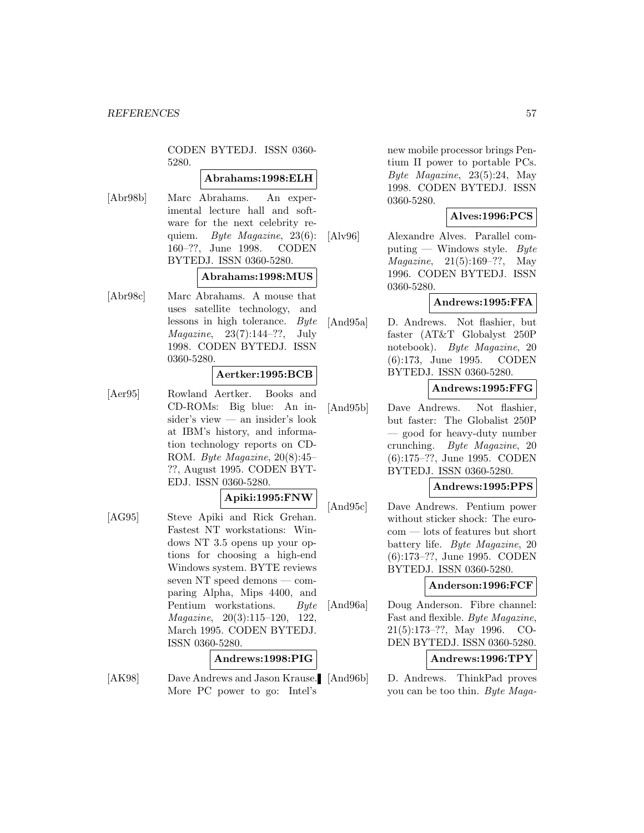CODEN BYTEDJ. ISSN 0360- 5280.

#### **Abrahams:1998:ELH**

[Abr98b] Marc Abrahams. An experimental lecture hall and software for the next celebrity requiem. Byte Magazine, 23(6): 160–??, June 1998. CODEN BYTEDJ. ISSN 0360-5280.

# **Abrahams:1998:MUS**

[Abr98c] Marc Abrahams. A mouse that uses satellite technology, and lessons in high tolerance. Byte Magazine, 23(7):144–??, July 1998. CODEN BYTEDJ. ISSN 0360-5280.

#### **Aertker:1995:BCB**

[Aer95] Rowland Aertker. Books and CD-ROMs: Big blue: An insider's view — an insider's look at IBM's history, and information technology reports on CD-ROM. Byte Magazine, 20(8):45– ??, August 1995. CODEN BYT-EDJ. ISSN 0360-5280.

### **Apiki:1995:FNW**

[AG95] Steve Apiki and Rick Grehan. Fastest NT workstations: Windows NT 3.5 opens up your options for choosing a high-end Windows system. BYTE reviews seven NT speed demons — comparing Alpha, Mips 4400, and Pentium workstations. Byte Magazine, 20(3):115–120, 122, March 1995. CODEN BYTEDJ. ISSN 0360-5280.

#### **Andrews:1998:PIG**

[AK98] Dave Andrews and Jason Krause. [And96b] More PC power to go: Intel's

new mobile processor brings Pentium II power to portable PCs. Byte Magazine, 23(5):24, May 1998. CODEN BYTEDJ. ISSN 0360-5280.

### **Alves:1996:PCS**

[Alv96] Alexandre Alves. Parallel computing — Windows style. Byte Magazine, 21(5):169–??, May 1996. CODEN BYTEDJ. ISSN 0360-5280.

### **Andrews:1995:FFA**

[And95a] D. Andrews. Not flashier, but faster (AT&T Globalyst 250P notebook). Byte Magazine, 20 (6):173, June 1995. CODEN BYTEDJ. ISSN 0360-5280.

# **Andrews:1995:FFG**

[And95b] Dave Andrews. Not flashier, but faster: The Globalist 250P — good for heavy-duty number crunching. Byte Magazine, 20 (6):175–??, June 1995. CODEN BYTEDJ. ISSN 0360-5280.

# **Andrews:1995:PPS**

[And95c] Dave Andrews. Pentium power without sticker shock: The eurocom — lots of features but short battery life. Byte Magazine, 20 (6):173–??, June 1995. CODEN BYTEDJ. ISSN 0360-5280.

### **Anderson:1996:FCF**

[And96a] Doug Anderson. Fibre channel: Fast and flexible. Byte Magazine, 21(5):173–??, May 1996. CO-DEN BYTEDJ. ISSN 0360-5280.

### **Andrews:1996:TPY**

D. Andrews. ThinkPad proves you can be too thin. Byte Maga-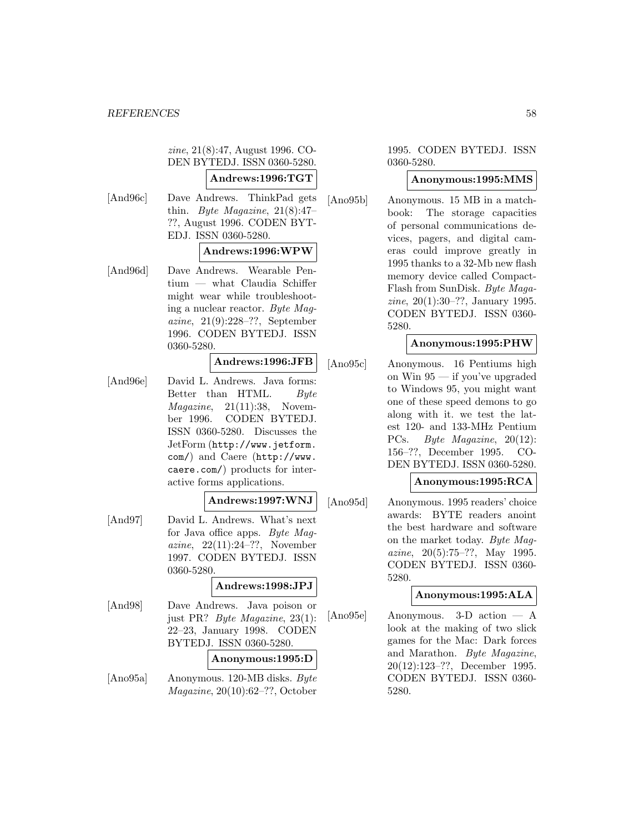zine, 21(8):47, August 1996. CO-DEN BYTEDJ. ISSN 0360-5280. **Andrews:1996:TGT** [And96c] Dave Andrews. ThinkPad gets thin. *Byte Magazine*,  $21(8):47$ ??, August 1996. CODEN BYT-EDJ. ISSN 0360-5280. **Andrews:1996:WPW** [And96d] Dave Andrews. Wearable Pentium — what Claudia Schiffer might wear while troubleshooting a nuclear reactor. Byte Magazine, 21(9):228–??, September 1996. CODEN BYTEDJ. ISSN 0360-5280. **Andrews:1996:JFB** [And96e] David L. Andrews. Java forms: Better than HTML. Byte  $Magazine, 21(11):38, Noven$ ber 1996. CODEN BYTEDJ. ISSN 0360-5280. Discusses the JetForm (http://www.jetform. com/) and Caere (http://www. caere.com/) products for interactive forms applications. **Andrews:1997:WNJ** [And97] David L. Andrews. What's next for Java office apps. Byte Magazine, 22(11):24–??, November 1997. CODEN BYTEDJ. ISSN 0360-5280. **Andrews:1998:JPJ** [And98] Dave Andrews. Java poison or

just PR? Byte Magazine, 23(1): 22–23, January 1998. CODEN BYTEDJ. ISSN 0360-5280.

# **Anonymous:1995:D**

[Ano95a] Anonymous. 120-MB disks. Byte Magazine, 20(10):62–??, October

1995. CODEN BYTEDJ. ISSN 0360-5280.

### **Anonymous:1995:MMS**

[Ano95b] Anonymous. 15 MB in a matchbook: The storage capacities of personal communications devices, pagers, and digital cameras could improve greatly in 1995 thanks to a 32-Mb new flash memory device called Compact-Flash from SunDisk. Byte Magazine, 20(1):30–??, January 1995. CODEN BYTEDJ. ISSN 0360- 5280.

# **Anonymous:1995:PHW**

[Ano95c] Anonymous. 16 Pentiums high on Win 95 — if you've upgraded to Windows 95, you might want one of these speed demons to go along with it. we test the latest 120- and 133-MHz Pentium PCs. Byte Magazine, 20(12): 156–??, December 1995. CO-DEN BYTEDJ. ISSN 0360-5280.

# **Anonymous:1995:RCA**

[Ano95d] Anonymous. 1995 readers' choice awards: BYTE readers anoint the best hardware and software on the market today. Byte Magazine,  $20(5):75-??$ , May 1995. CODEN BYTEDJ. ISSN 0360- 5280.

# **Anonymous:1995:ALA**

[Ano95e] Anonymous. 3-D action — A look at the making of two slick games for the Mac: Dark forces and Marathon. Byte Magazine, 20(12):123–??, December 1995. CODEN BYTEDJ. ISSN 0360- 5280.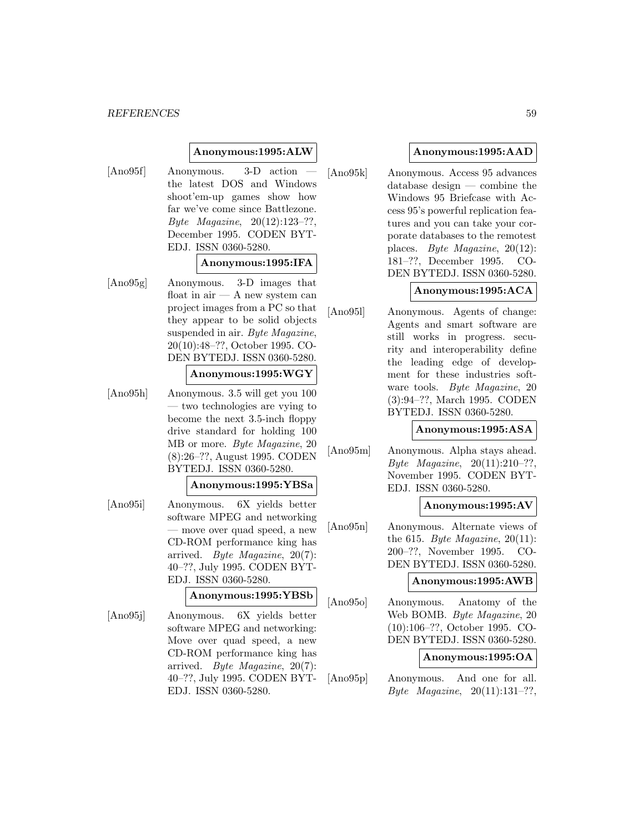#### *REFERENCES* 59

### **Anonymous:1995:ALW**

[Ano95f] Anonymous. 3-D action the latest DOS and Windows shoot'em-up games show how far we've come since Battlezone. Byte Magazine, 20(12):123–??, December 1995. CODEN BYT-EDJ. ISSN 0360-5280.

#### **Anonymous:1995:IFA**

[Ano95g] Anonymous. 3-D images that float in air — A new system can project images from a PC so that they appear to be solid objects suspended in air. Byte Magazine, 20(10):48–??, October 1995. CO-DEN BYTEDJ. ISSN 0360-5280.

### **Anonymous:1995:WGY**

[Ano95h] Anonymous. 3.5 will get you 100 — two technologies are vying to become the next 3.5-inch floppy drive standard for holding 100 MB or more. Byte Magazine, 20 (8):26–??, August 1995. CODEN BYTEDJ. ISSN 0360-5280.

# **Anonymous:1995:YBSa**

[Ano95i] Anonymous. 6X yields better software MPEG and networking — move over quad speed, a new CD-ROM performance king has arrived. Byte Magazine, 20(7): 40–??, July 1995. CODEN BYT-EDJ. ISSN 0360-5280.

#### **Anonymous:1995:YBSb**

[Ano95j] Anonymous. 6X yields better software MPEG and networking: Move over quad speed, a new CD-ROM performance king has arrived. Byte Magazine, 20(7): 40–??, July 1995. CODEN BYT-EDJ. ISSN 0360-5280.

# **Anonymous:1995:AAD**

[Ano95k] Anonymous. Access 95 advances database design — combine the Windows 95 Briefcase with Access 95's powerful replication features and you can take your corporate databases to the remotest places. Byte Magazine, 20(12): 181–??, December 1995. CO-DEN BYTEDJ. ISSN 0360-5280.

### **Anonymous:1995:ACA**

[Ano95l] Anonymous. Agents of change: Agents and smart software are still works in progress. security and interoperability define the leading edge of development for these industries software tools. Byte Magazine, 20 (3):94–??, March 1995. CODEN BYTEDJ. ISSN 0360-5280.

#### **Anonymous:1995:ASA**

[Ano95m] Anonymous. Alpha stays ahead. Byte Magazine, 20(11):210–??, November 1995. CODEN BYT-EDJ. ISSN 0360-5280.

### **Anonymous:1995:AV**

[Ano95n] Anonymous. Alternate views of the 615. Byte Magazine,  $20(11)$ : 200–??, November 1995. CO-DEN BYTEDJ. ISSN 0360-5280.

### **Anonymous:1995:AWB**

[Ano95o] Anonymous. Anatomy of the Web BOMB. Byte Magazine, 20 (10):106–??, October 1995. CO-DEN BYTEDJ. ISSN 0360-5280.

### **Anonymous:1995:OA**

[Ano95p] Anonymous. And one for all. Byte Magazine,  $20(11):131-?$ ?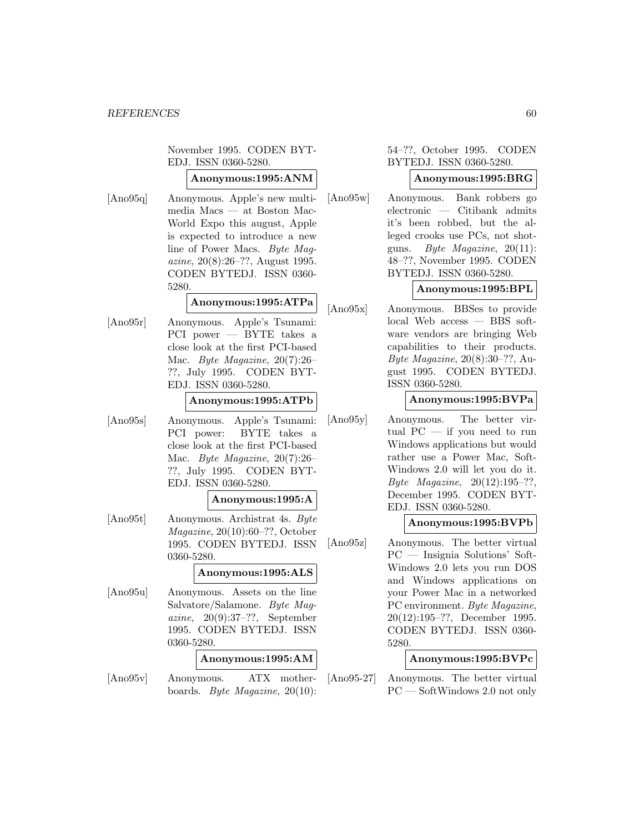November 1995. CODEN BYT-EDJ. ISSN 0360-5280.

# **Anonymous:1995:ANM**

[Ano95q] Anonymous. Apple's new multimedia Macs — at Boston Mac-World Expo this august, Apple is expected to introduce a new line of Power Macs. Byte Magazine, 20(8):26–??, August 1995. CODEN BYTEDJ. ISSN 0360- 5280.

# **Anonymous:1995:ATPa**

[Ano95r] Anonymous. Apple's Tsunami: PCI power — BYTE takes a close look at the first PCI-based Mac. Byte Magazine, 20(7):26– ??, July 1995. CODEN BYT-EDJ. ISSN 0360-5280.

# **Anonymous:1995:ATPb**

[Ano95s] Anonymous. Apple's Tsunami: PCI power: BYTE takes a close look at the first PCI-based Mac. Byte Magazine, 20(7):26– ??, July 1995. CODEN BYT-EDJ. ISSN 0360-5280.

#### **Anonymous:1995:A**

[Ano95t] Anonymous. Archistrat 4s. Byte Magazine, 20(10):60–??, October 1995. CODEN BYTEDJ. ISSN 0360-5280.

# **Anonymous:1995:ALS**

[Ano95u] Anonymous. Assets on the line Salvatore/Salamone. Byte Magazine, 20(9):37–??, September 1995. CODEN BYTEDJ. ISSN 0360-5280.

#### **Anonymous:1995:AM**

[Ano95v] Anonymous. ATX motherboards. Byte Magazine, 20(10):

# 54–??, October 1995. CODEN BYTEDJ. ISSN 0360-5280.

# **Anonymous:1995:BRG**

[Ano95w] Anonymous. Bank robbers go electronic — Citibank admits it's been robbed, but the alleged crooks use PCs, not shotguns. Byte Magazine, 20(11): 48–??, November 1995. CODEN BYTEDJ. ISSN 0360-5280.

# **Anonymous:1995:BPL**

[Ano95x] Anonymous. BBSes to provide local Web access — BBS software vendors are bringing Web capabilities to their products. Byte Magazine, 20(8):30–??, August 1995. CODEN BYTEDJ. ISSN 0360-5280.

# **Anonymous:1995:BVPa**

[Ano95y] Anonymous. The better virtual  $PC - if$  you need to run Windows applications but would rather use a Power Mac, Soft-Windows 2.0 will let you do it. Byte Magazine, 20(12):195–??, December 1995. CODEN BYT-EDJ. ISSN 0360-5280.

# **Anonymous:1995:BVPb**

[Ano95z] Anonymous. The better virtual PC — Insignia Solutions' Soft-Windows 2.0 lets you run DOS and Windows applications on your Power Mac in a networked PC environment. Byte Magazine, 20(12):195–??, December 1995. CODEN BYTEDJ. ISSN 0360- 5280.

# **Anonymous:1995:BVPc**

[Ano95-27] Anonymous. The better virtual PC — SoftWindows 2.0 not only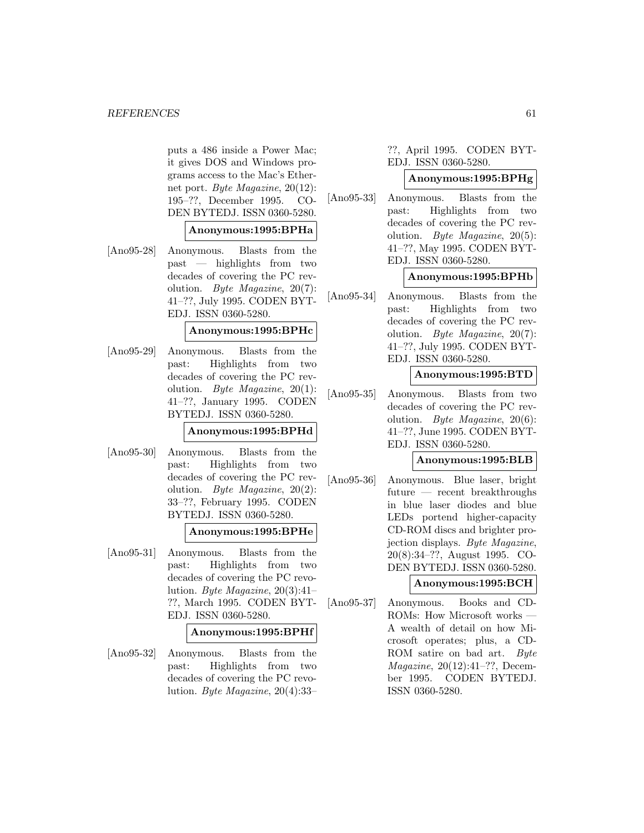#### *REFERENCES* 61

puts a 486 inside a Power Mac; it gives DOS and Windows programs access to the Mac's Ethernet port. Byte Magazine, 20(12): 195–??, December 1995. CO-DEN BYTEDJ. ISSN 0360-5280.

# **Anonymous:1995:BPHa**

[Ano95-28] Anonymous. Blasts from the past — highlights from two decades of covering the PC revolution. Byte Magazine, 20(7): 41–??, July 1995. CODEN BYT-EDJ. ISSN 0360-5280.

# **Anonymous:1995:BPHc**

[Ano95-29] Anonymous. Blasts from the past: Highlights from two decades of covering the PC revolution. Byte Magazine,  $20(1)$ : 41–??, January 1995. CODEN BYTEDJ. ISSN 0360-5280.

**Anonymous:1995:BPHd**

[Ano95-30] Anonymous. Blasts from the past: Highlights from two decades of covering the PC revolution. Byte Magazine, 20(2): 33–??, February 1995. CODEN BYTEDJ. ISSN 0360-5280.

# **Anonymous:1995:BPHe**

[Ano95-31] Anonymous. Blasts from the past: Highlights from two decades of covering the PC revolution. Byte Magazine,  $20(3):41-$ ??, March 1995. CODEN BYT-EDJ. ISSN 0360-5280.

#### **Anonymous:1995:BPHf**

[Ano95-32] Anonymous. Blasts from the past: Highlights from two decades of covering the PC revolution. Byte Magazine, 20(4):33–

??, April 1995. CODEN BYT-EDJ. ISSN 0360-5280.

# **Anonymous:1995:BPHg**

[Ano95-33] Anonymous. Blasts from the past: Highlights from two decades of covering the PC revolution. Byte Magazine, 20(5): 41–??, May 1995. CODEN BYT-EDJ. ISSN 0360-5280.

# **Anonymous:1995:BPHb**

[Ano95-34] Anonymous. Blasts from the past: Highlights from two decades of covering the PC revolution. Byte Magazine, 20(7): 41–??, July 1995. CODEN BYT-EDJ. ISSN 0360-5280.

### **Anonymous:1995:BTD**

[Ano95-35] Anonymous. Blasts from two decades of covering the PC revolution. Byte Magazine, 20(6): 41–??, June 1995. CODEN BYT-EDJ. ISSN 0360-5280.

#### **Anonymous:1995:BLB**

[Ano95-36] Anonymous. Blue laser, bright future — recent breakthroughs in blue laser diodes and blue LEDs portend higher-capacity CD-ROM discs and brighter projection displays. Byte Magazine, 20(8):34–??, August 1995. CO-DEN BYTEDJ. ISSN 0360-5280.

# **Anonymous:1995:BCH**

[Ano95-37] Anonymous. Books and CD-ROMs: How Microsoft works — A wealth of detail on how Microsoft operates; plus, a CD-ROM satire on bad art. Byte Magazine, 20(12):41–??, December 1995. CODEN BYTEDJ. ISSN 0360-5280.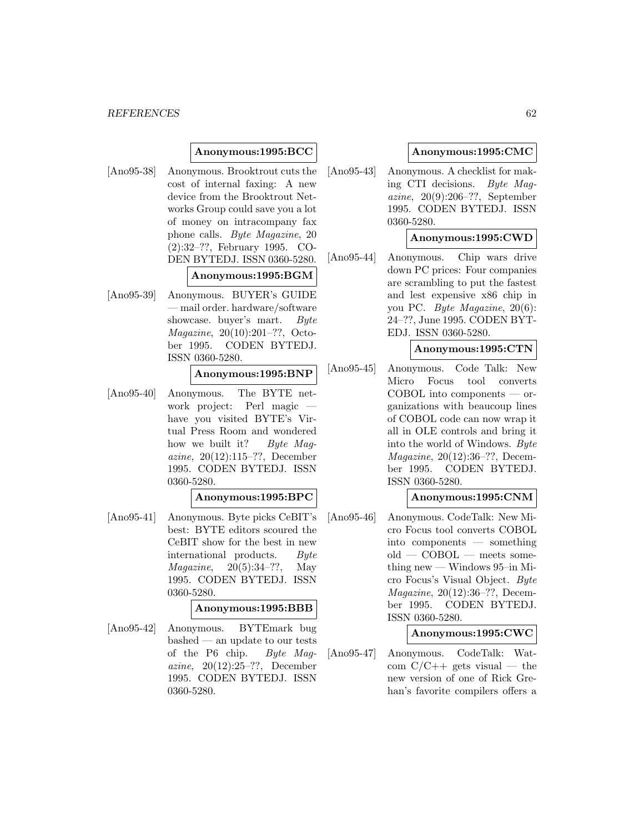# **Anonymous:1995:BCC**

[Ano95-38] Anonymous. Brooktrout cuts the cost of internal faxing: A new device from the Brooktrout Networks Group could save you a lot of money on intracompany fax phone calls. Byte Magazine, 20 (2):32–??, February 1995. CO-DEN BYTEDJ. ISSN 0360-5280.

# **Anonymous:1995:BGM**

[Ano95-39] Anonymous. BUYER's GUIDE — mail order. hardware/software showcase. buyer's mart. Byte Magazine, 20(10):201–??, October 1995. CODEN BYTEDJ. ISSN 0360-5280.

### **Anonymous:1995:BNP**

[Ano95-40] Anonymous. The BYTE network project: Perl magic have you visited BYTE's Virtual Press Room and wondered how we built it? Byte Maqazine, 20(12):115–??, December 1995. CODEN BYTEDJ. ISSN 0360-5280.

### **Anonymous:1995:BPC**

[Ano95-41] Anonymous. Byte picks CeBIT's best: BYTE editors scoured the CeBIT show for the best in new international products. Byte  $Magazine, 20(5):34-??, May$ 1995. CODEN BYTEDJ. ISSN 0360-5280.

# **Anonymous:1995:BBB**

[Ano95-42] Anonymous. BYTEmark bug bashed — an update to our tests of the P6 chip. Byte Magazine, 20(12):25–??, December 1995. CODEN BYTEDJ. ISSN 0360-5280.

# **Anonymous:1995:CMC**

[Ano95-43] Anonymous. A checklist for making CTI decisions. Byte Magazine, 20(9):206–??, September 1995. CODEN BYTEDJ. ISSN 0360-5280.

### **Anonymous:1995:CWD**

[Ano95-44] Anonymous. Chip wars drive down PC prices: Four companies are scrambling to put the fastest and lest expensive x86 chip in you PC. Byte Magazine, 20(6): 24–??, June 1995. CODEN BYT-EDJ. ISSN 0360-5280.

# **Anonymous:1995:CTN**

[Ano95-45] Anonymous. Code Talk: New Micro Focus tool converts COBOL into components — organizations with beaucoup lines of COBOL code can now wrap it all in OLE controls and bring it into the world of Windows. Byte Magazine, 20(12):36–??, December 1995. CODEN BYTEDJ. ISSN 0360-5280.

# **Anonymous:1995:CNM**

[Ano95-46] Anonymous. CodeTalk: New Micro Focus tool converts COBOL into components — something  $old - COBOL - meets some$ thing new — Windows 95–in Micro Focus's Visual Object. Byte Magazine, 20(12):36–??, December 1995. CODEN BYTEDJ. ISSN 0360-5280.

# **Anonymous:1995:CWC**

[Ano95-47] Anonymous. CodeTalk: Watcom  $C/C++$  gets visual — the new version of one of Rick Grehan's favorite compilers offers a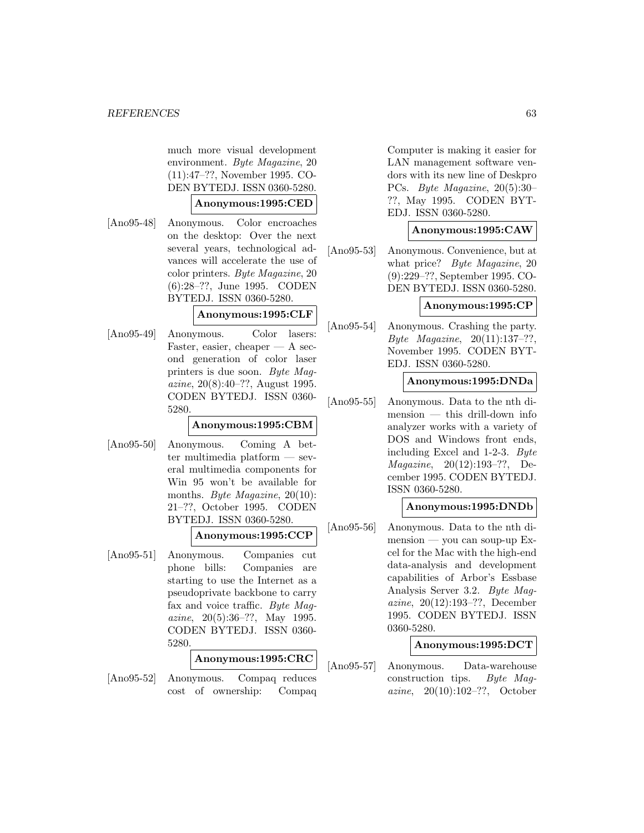much more visual development environment. Byte Magazine, 20 (11):47–??, November 1995. CO-DEN BYTEDJ. ISSN 0360-5280.

### **Anonymous:1995:CED**

[Ano95-48] Anonymous. Color encroaches on the desktop: Over the next several years, technological advances will accelerate the use of color printers. Byte Magazine, 20 (6):28–??, June 1995. CODEN BYTEDJ. ISSN 0360-5280.

# **Anonymous:1995:CLF**

[Ano95-49] Anonymous. Color lasers: Faster, easier, cheaper  $- A$  second generation of color laser printers is due soon. Byte Magazine, 20(8):40–??, August 1995. CODEN BYTEDJ. ISSN 0360- 5280.

# **Anonymous:1995:CBM**

[Ano95-50] Anonymous. Coming A better multimedia platform — several multimedia components for Win 95 won't be available for months. Byte Magazine, 20(10): 21–??, October 1995. CODEN BYTEDJ. ISSN 0360-5280.

# **Anonymous:1995:CCP**

[Ano95-51] Anonymous. Companies cut phone bills: Companies are starting to use the Internet as a pseudoprivate backbone to carry fax and voice traffic. Byte Magazine, 20(5):36–??, May 1995. CODEN BYTEDJ. ISSN 0360- 5280.

### **Anonymous:1995:CRC**

[Ano95-52] Anonymous. Compaq reduces cost of ownership: Compaq

Computer is making it easier for LAN management software vendors with its new line of Deskpro PCs. Byte Magazine, 20(5):30– ??, May 1995. CODEN BYT-EDJ. ISSN 0360-5280.

# **Anonymous:1995:CAW**

[Ano95-53] Anonymous. Convenience, but at what price? *Byte Magazine*, 20 (9):229–??, September 1995. CO-DEN BYTEDJ. ISSN 0360-5280.

### **Anonymous:1995:CP**

[Ano95-54] Anonymous. Crashing the party. Byte Magazine, 20(11):137–??, November 1995. CODEN BYT-EDJ. ISSN 0360-5280.

# **Anonymous:1995:DNDa**

[Ano95-55] Anonymous. Data to the nth dimension — this drill-down info analyzer works with a variety of DOS and Windows front ends, including Excel and 1-2-3. Byte Magazine, 20(12):193–??, December 1995. CODEN BYTEDJ. ISSN 0360-5280.

#### **Anonymous:1995:DNDb**

[Ano95-56] Anonymous. Data to the nth di $m$ ension — you can soup-up Excel for the Mac with the high-end data-analysis and development capabilities of Arbor's Essbase Analysis Server 3.2. Byte Magazine, 20(12):193–??, December 1995. CODEN BYTEDJ. ISSN 0360-5280.

### **Anonymous:1995:DCT**

[Ano95-57] Anonymous. Data-warehouse construction tips. Byte Magazine, 20(10):102–??, October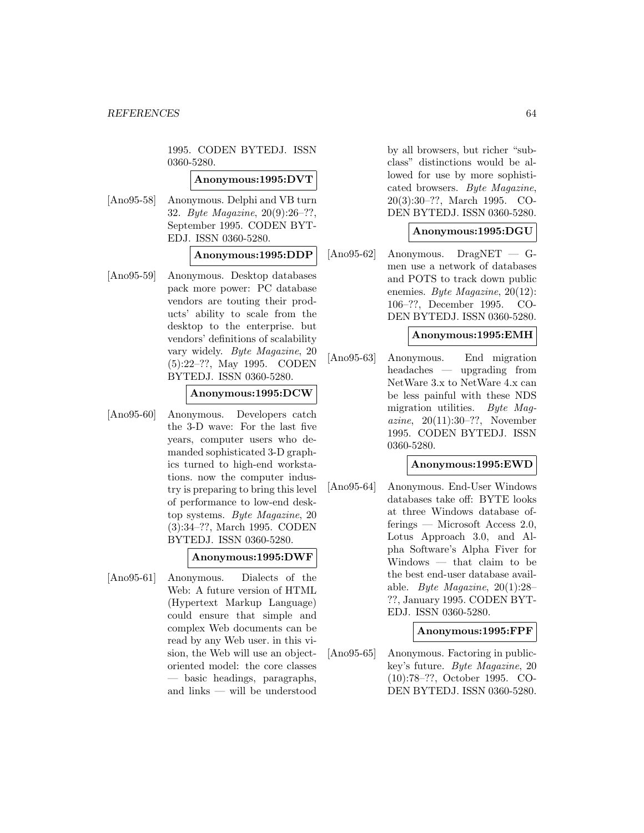1995. CODEN BYTEDJ. ISSN 0360-5280.

### **Anonymous:1995:DVT**

[Ano95-58] Anonymous. Delphi and VB turn 32. Byte Magazine, 20(9):26–??, September 1995. CODEN BYT-EDJ. ISSN 0360-5280.

# **Anonymous:1995:DDP**

[Ano95-59] Anonymous. Desktop databases pack more power: PC database vendors are touting their products' ability to scale from the desktop to the enterprise. but vendors' definitions of scalability vary widely. Byte Magazine, 20 (5):22–??, May 1995. CODEN BYTEDJ. ISSN 0360-5280.

### **Anonymous:1995:DCW**

[Ano95-60] Anonymous. Developers catch the 3-D wave: For the last five years, computer users who demanded sophisticated 3-D graphics turned to high-end workstations. now the computer industry is preparing to bring this level of performance to low-end desktop systems. Byte Magazine, 20 (3):34–??, March 1995. CODEN BYTEDJ. ISSN 0360-5280.

# **Anonymous:1995:DWF**

[Ano95-61] Anonymous. Dialects of the Web: A future version of HTML (Hypertext Markup Language) could ensure that simple and complex Web documents can be read by any Web user. in this vision, the Web will use an objectoriented model: the core classes — basic headings, paragraphs, and links — will be understood

by all browsers, but richer "subclass" distinctions would be allowed for use by more sophisticated browsers. Byte Magazine, 20(3):30–??, March 1995. CO-DEN BYTEDJ. ISSN 0360-5280.

# **Anonymous:1995:DGU**

[Ano95-62] Anonymous. DragNET — Gmen use a network of databases and POTS to track down public enemies. Byte Magazine, 20(12): 106–??, December 1995. CO-DEN BYTEDJ. ISSN 0360-5280.

# **Anonymous:1995:EMH**

[Ano95-63] Anonymous. End migration headaches — upgrading from NetWare 3.x to NetWare 4.x can be less painful with these NDS migration utilities. Byte Magazine, 20(11):30–??, November 1995. CODEN BYTEDJ. ISSN 0360-5280.

# **Anonymous:1995:EWD**

[Ano95-64] Anonymous. End-User Windows databases take off: BYTE looks at three Windows database offerings — Microsoft Access 2.0, Lotus Approach 3.0, and Alpha Software's Alpha Fiver for Windows — that claim to be the best end-user database available. Byte Magazine, 20(1):28– ??, January 1995. CODEN BYT-EDJ. ISSN 0360-5280.

# **Anonymous:1995:FPF**

[Ano95-65] Anonymous. Factoring in publickey's future. Byte Magazine, 20 (10):78–??, October 1995. CO-DEN BYTEDJ. ISSN 0360-5280.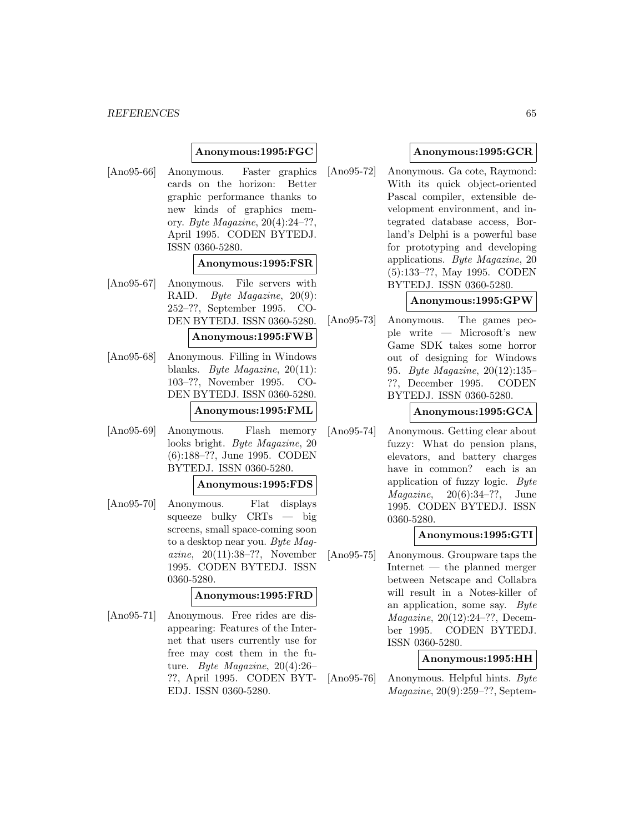#### *REFERENCES* 65

# **Anonymous:1995:FGC**

[Ano95-66] Anonymous. Faster graphics cards on the horizon: Better graphic performance thanks to new kinds of graphics memory. Byte Magazine, 20(4):24–??, April 1995. CODEN BYTEDJ. ISSN 0360-5280.

### **Anonymous:1995:FSR**

[Ano95-67] Anonymous. File servers with RAID. Byte Magazine, 20(9): 252–??, September 1995. CO-DEN BYTEDJ. ISSN 0360-5280.

#### **Anonymous:1995:FWB**

[Ano95-68] Anonymous. Filling in Windows blanks. Byte Magazine, 20(11): 103–??, November 1995. CO-DEN BYTEDJ. ISSN 0360-5280.

# **Anonymous:1995:FML**

[Ano95-69] Anonymous. Flash memory looks bright. Byte Magazine, 20 (6):188–??, June 1995. CODEN BYTEDJ. ISSN 0360-5280.

### **Anonymous:1995:FDS**

[Ano95-70] Anonymous. Flat displays squeeze bulky CRTs — big screens, small space-coming soon to a desktop near you. Byte Magazine, 20(11):38–??, November 1995. CODEN BYTEDJ. ISSN 0360-5280.

# **Anonymous:1995:FRD**

[Ano95-71] Anonymous. Free rides are disappearing: Features of the Internet that users currently use for free may cost them in the future. Byte Magazine, 20(4):26– ??, April 1995. CODEN BYT-EDJ. ISSN 0360-5280.

### **Anonymous:1995:GCR**

[Ano95-72] Anonymous. Ga cote, Raymond: With its quick object-oriented Pascal compiler, extensible development environment, and integrated database access, Borland's Delphi is a powerful base for prototyping and developing applications. Byte Magazine, 20 (5):133–??, May 1995. CODEN BYTEDJ. ISSN 0360-5280.

# **Anonymous:1995:GPW**

[Ano95-73] Anonymous. The games people write — Microsoft's new Game SDK takes some horror out of designing for Windows 95. Byte Magazine, 20(12):135– ??, December 1995. CODEN BYTEDJ. ISSN 0360-5280.

### **Anonymous:1995:GCA**

[Ano95-74] Anonymous. Getting clear about fuzzy: What do pension plans, elevators, and battery charges have in common? each is an application of fuzzy logic. Byte *Magazine*,  $20(6):34-??$ , June 1995. CODEN BYTEDJ. ISSN 0360-5280.

#### **Anonymous:1995:GTI**

[Ano95-75] Anonymous. Groupware taps the Internet — the planned merger between Netscape and Collabra will result in a Notes-killer of an application, some say. Byte Magazine, 20(12):24–??, December 1995. CODEN BYTEDJ. ISSN 0360-5280.

### **Anonymous:1995:HH**

[Ano95-76] Anonymous. Helpful hints. Byte Magazine, 20(9):259–??, Septem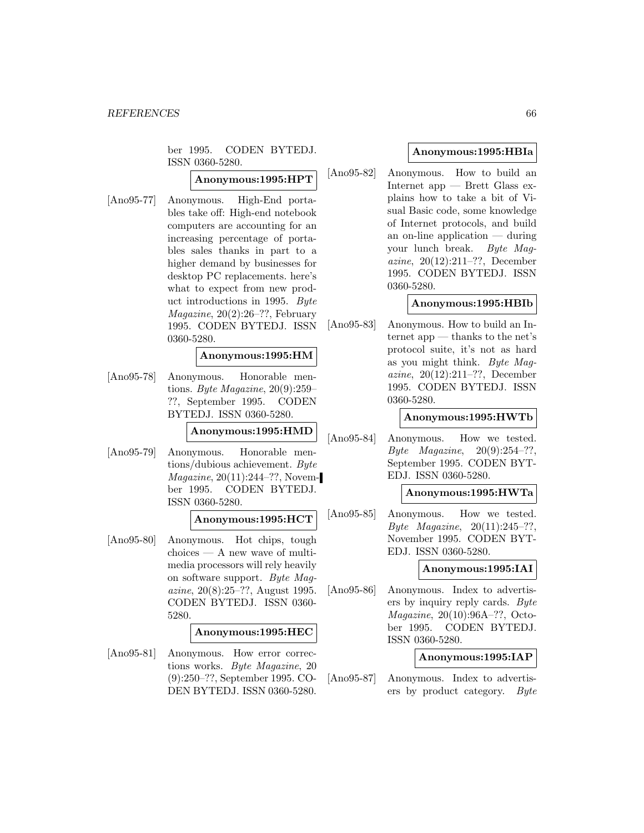ber 1995. CODEN BYTEDJ. ISSN 0360-5280.

# **Anonymous:1995:HPT**

[Ano95-77] Anonymous. High-End portables take off: High-end notebook computers are accounting for an increasing percentage of portables sales thanks in part to a higher demand by businesses for desktop PC replacements. here's what to expect from new product introductions in 1995. Byte Magazine, 20(2):26–??, February 1995. CODEN BYTEDJ. ISSN 0360-5280.

# **Anonymous:1995:HM**

[Ano95-78] Anonymous. Honorable mentions. Byte Magazine, 20(9):259– ??, September 1995. CODEN BYTEDJ. ISSN 0360-5280.

**Anonymous:1995:HMD**

[Ano95-79] Anonymous. Honorable mentions/dubious achievement. Byte Magazine, 20(11):244–??, November 1995. CODEN BYTEDJ. ISSN 0360-5280.

### **Anonymous:1995:HCT**

[Ano95-80] Anonymous. Hot chips, tough choices — A new wave of multimedia processors will rely heavily on software support. Byte Magazine, 20(8):25–??, August 1995. CODEN BYTEDJ. ISSN 0360- 5280.

# **Anonymous:1995:HEC**

[Ano95-81] Anonymous. How error corrections works. Byte Magazine, 20 (9):250–??, September 1995. CO-DEN BYTEDJ. ISSN 0360-5280.

# **Anonymous:1995:HBIa**

[Ano95-82] Anonymous. How to build an Internet app — Brett Glass explains how to take a bit of Visual Basic code, some knowledge of Internet protocols, and build an on-line application — during your lunch break. Byte Magazine, 20(12):211–??, December 1995. CODEN BYTEDJ. ISSN 0360-5280.

# **Anonymous:1995:HBIb**

[Ano95-83] Anonymous. How to build an Internet app — thanks to the net's protocol suite, it's not as hard as you might think. Byte Magazine, 20(12):211–??, December 1995. CODEN BYTEDJ. ISSN 0360-5280.

# **Anonymous:1995:HWTb**

[Ano95-84] Anonymous. How we tested. *Byte Magazine*,  $20(9):254-??,$ September 1995. CODEN BYT-EDJ. ISSN 0360-5280.

### **Anonymous:1995:HWTa**

[Ano95-85] Anonymous. How we tested. Byte Magazine, 20(11):245–??, November 1995. CODEN BYT-EDJ. ISSN 0360-5280.

### **Anonymous:1995:IAI**

[Ano95-86] Anonymous. Index to advertisers by inquiry reply cards. Byte Magazine, 20(10):96A–??, October 1995. CODEN BYTEDJ. ISSN 0360-5280.

### **Anonymous:1995:IAP**

[Ano95-87] Anonymous. Index to advertisers by product category. Byte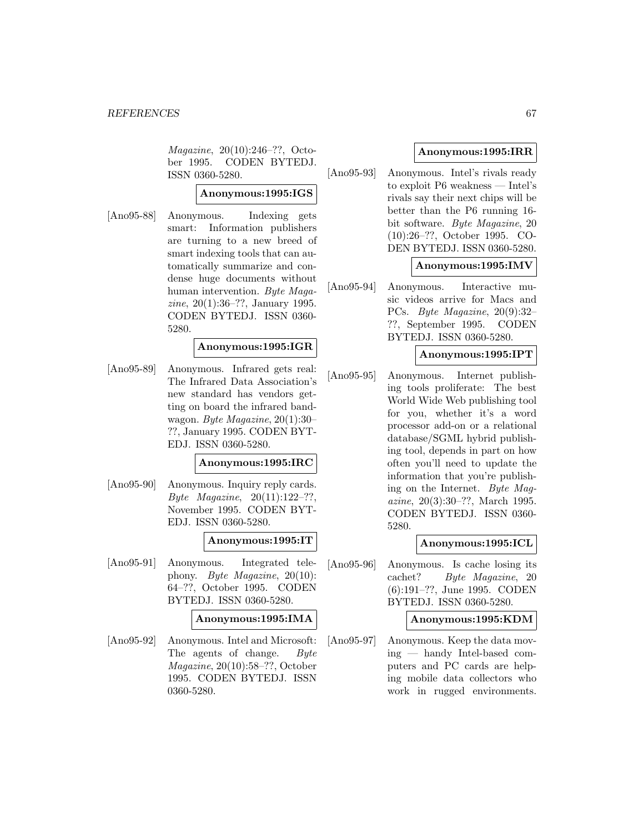Magazine, 20(10):246–??, October 1995. CODEN BYTEDJ. ISSN 0360-5280.

# **Anonymous:1995:IGS**

[Ano95-88] Anonymous. Indexing gets smart: Information publishers are turning to a new breed of smart indexing tools that can automatically summarize and condense huge documents without human intervention. Byte Magazine, 20(1):36–??, January 1995. CODEN BYTEDJ. ISSN 0360- 5280.

# **Anonymous:1995:IGR**

[Ano95-89] Anonymous. Infrared gets real: The Infrared Data Association's new standard has vendors getting on board the infrared bandwagon. Byte Magazine, 20(1):30– ??, January 1995. CODEN BYT-EDJ. ISSN 0360-5280.

# **Anonymous:1995:IRC**

[Ano95-90] Anonymous. Inquiry reply cards. Byte Magazine, 20(11):122–??, November 1995. CODEN BYT-EDJ. ISSN 0360-5280.

# **Anonymous:1995:IT**

[Ano95-91] Anonymous. Integrated telephony. Byte Magazine, 20(10): 64–??, October 1995. CODEN BYTEDJ. ISSN 0360-5280.

#### **Anonymous:1995:IMA**

[Ano95-92] Anonymous. Intel and Microsoft: The agents of change. Byte Magazine, 20(10):58–??, October 1995. CODEN BYTEDJ. ISSN 0360-5280.

# **Anonymous:1995:IRR**

[Ano95-93] Anonymous. Intel's rivals ready to exploit P6 weakness — Intel's rivals say their next chips will be better than the P6 running 16 bit software. Byte Magazine, 20 (10):26–??, October 1995. CO-DEN BYTEDJ. ISSN 0360-5280.

### **Anonymous:1995:IMV**

[Ano95-94] Anonymous. Interactive music videos arrive for Macs and PCs. Byte Magazine, 20(9):32– ??, September 1995. CODEN BYTEDJ. ISSN 0360-5280.

### **Anonymous:1995:IPT**

[Ano95-95] Anonymous. Internet publishing tools proliferate: The best World Wide Web publishing tool for you, whether it's a word processor add-on or a relational database/SGML hybrid publishing tool, depends in part on how often you'll need to update the information that you're publishing on the Internet. Byte Magazine, 20(3):30–??, March 1995. CODEN BYTEDJ. ISSN 0360- 5280.

### **Anonymous:1995:ICL**

[Ano95-96] Anonymous. Is cache losing its cachet? Byte Magazine, 20 (6):191–??, June 1995. CODEN BYTEDJ. ISSN 0360-5280.

### **Anonymous:1995:KDM**

[Ano95-97] Anonymous. Keep the data moving — handy Intel-based computers and PC cards are helping mobile data collectors who work in rugged environments.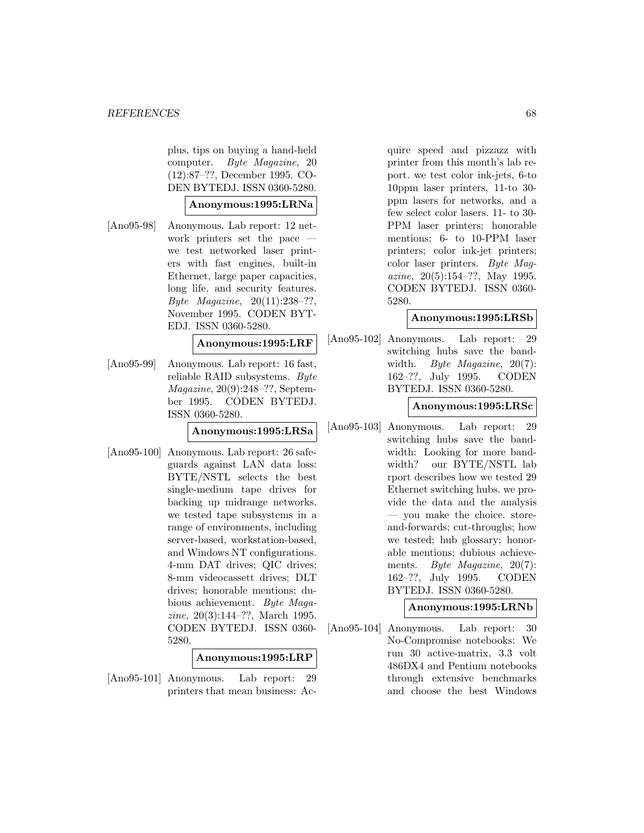plus, tips on buying a hand-held computer. Byte Magazine, 20 (12):87–??, December 1995. CO-DEN BYTEDJ. ISSN 0360-5280.

### **Anonymous:1995:LRNa**

[Ano95-98] Anonymous. Lab report: 12 network printers set the pace we test networked laser printers with fast engines, built-in Ethernet, large paper capacities, long life, and security features. Byte Magazine, 20(11):238–??, November 1995. CODEN BYT-EDJ. ISSN 0360-5280.

**Anonymous:1995:LRF**

[Ano95-99] Anonymous. Lab report: 16 fast, reliable RAID subsystems. Byte Magazine, 20(9):248–??, September 1995. CODEN BYTEDJ. ISSN 0360-5280.

**Anonymous:1995:LRSa**

[Ano95-100] Anonymous. Lab report: 26 safeguards against LAN data loss: BYTE/NSTL selects the best single-medium tape drives for backing up midrange networks. we tested tape subsystems in a range of environments, including server-based, workstation-based, and Windows NT configurations. 4-mm DAT drives; QIC drives; 8-mm videocassett drives; DLT drives; honorable mentions; dubious achievement. Byte Magazine, 20(3):144–??, March 1995. CODEN BYTEDJ. ISSN 0360- 5280.

#### **Anonymous:1995:LRP**

[Ano95-101] Anonymous. Lab report: 29 printers that mean business: Ac-

quire speed and pizzazz with printer from this month's lab report. we test color ink-jets, 6-to 10ppm laser printers, 11-to 30 ppm lasers for networks, and a few select color lasers. 11- to 30- PPM laser printers; honorable mentions; 6- to 10-PPM laser printers; color ink-jet printers; color laser printers. Byte Magazine, 20(5):154–??, May 1995. CODEN BYTEDJ. ISSN 0360- 5280.

# **Anonymous:1995:LRSb**

[Ano95-102] Anonymous. Lab report: 29 switching hubs save the bandwidth. Byte Magazine, 20(7): 162–??, July 1995. CODEN BYTEDJ. ISSN 0360-5280.

### **Anonymous:1995:LRSc**

[Ano95-103] Anonymous. Lab report: 29 switching hubs save the bandwidth: Looking for more bandwidth? our BYTE/NSTL lab rport describes how we tested 29 Ethernet switching hubs. we provide the data and the analysis — you make the choice. storeand-forwards; cut-throughs; how we tested; hub glossary; honorable mentions; dubious achievements. *Byte Magazine*, 20(7): 162–??, July 1995. CODEN BYTEDJ. ISSN 0360-5280.

# **Anonymous:1995:LRNb**

[Ano95-104] Anonymous. Lab report: 30 No-Compromise notebooks: We run 30 active-matrix, 3.3 volt 486DX4 and Pentium notebooks through extensive benchmarks and choose the best Windows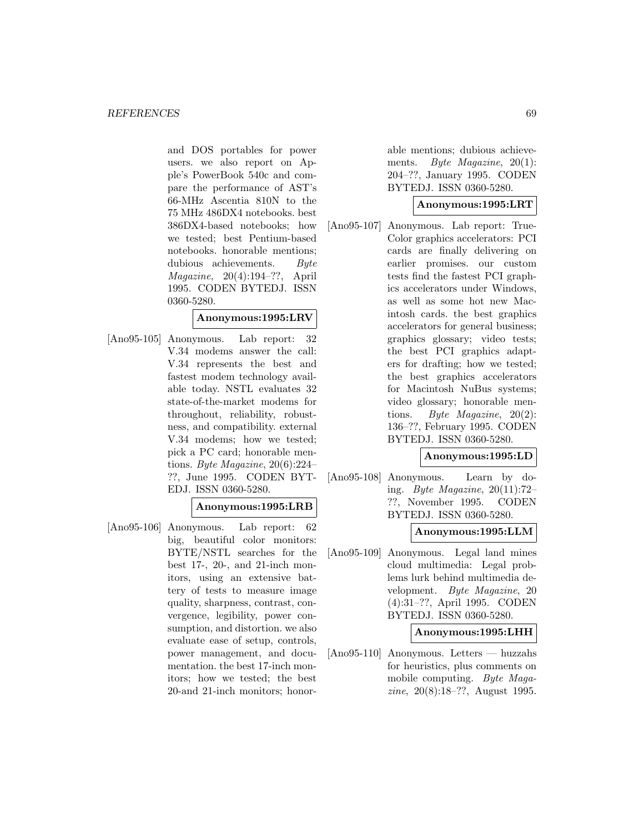and DOS portables for power users. we also report on Apple's PowerBook 540c and compare the performance of AST's 66-MHz Ascentia 810N to the 75 MHz 486DX4 notebooks. best 386DX4-based notebooks; how we tested; best Pentium-based notebooks. honorable mentions; dubious achievements. Byte Magazine, 20(4):194–??, April 1995. CODEN BYTEDJ. ISSN 0360-5280.

### **Anonymous:1995:LRV**

[Ano95-105] Anonymous. Lab report: 32 V.34 modems answer the call: V.34 represents the best and fastest modem technology available today. NSTL evaluates 32 state-of-the-market modems for throughout, reliability, robustness, and compatibility. external V.34 modems; how we tested; pick a PC card; honorable mentions. Byte Magazine, 20(6):224– ??, June 1995. CODEN BYT-EDJ. ISSN 0360-5280.

#### **Anonymous:1995:LRB**

[Ano95-106] Anonymous. Lab report: 62 big, beautiful color monitors: BYTE/NSTL searches for the best 17-, 20-, and 21-inch monitors, using an extensive battery of tests to measure image quality, sharpness, contrast, convergence, legibility, power consumption, and distortion. we also evaluate ease of setup, controls, power management, and documentation. the best 17-inch monitors; how we tested; the best 20-and 21-inch monitors; honor-

able mentions; dubious achievements. Byte Magazine, 20(1): 204–??, January 1995. CODEN BYTEDJ. ISSN 0360-5280.

#### **Anonymous:1995:LRT**

[Ano95-107] Anonymous. Lab report: True-Color graphics accelerators: PCI cards are finally delivering on earlier promises. our custom tests find the fastest PCI graphics accelerators under Windows, as well as some hot new Macintosh cards. the best graphics accelerators for general business; graphics glossary; video tests; the best PCI graphics adapters for drafting; how we tested; the best graphics accelerators for Macintosh NuBus systems; video glossary; honorable mentions. Byte Magazine, 20(2): 136–??, February 1995. CODEN BYTEDJ. ISSN 0360-5280.

#### **Anonymous:1995:LD**

[Ano95-108] Anonymous. Learn by doing. Byte Magazine,  $20(11):72-$ ??, November 1995. CODEN BYTEDJ. ISSN 0360-5280.

### **Anonymous:1995:LLM**

[Ano95-109] Anonymous. Legal land mines cloud multimedia: Legal problems lurk behind multimedia development. Byte Magazine, 20 (4):31–??, April 1995. CODEN BYTEDJ. ISSN 0360-5280.

#### **Anonymous:1995:LHH**

[Ano95-110] Anonymous. Letters — huzzahs for heuristics, plus comments on mobile computing. Byte Magazine, 20(8):18–??, August 1995.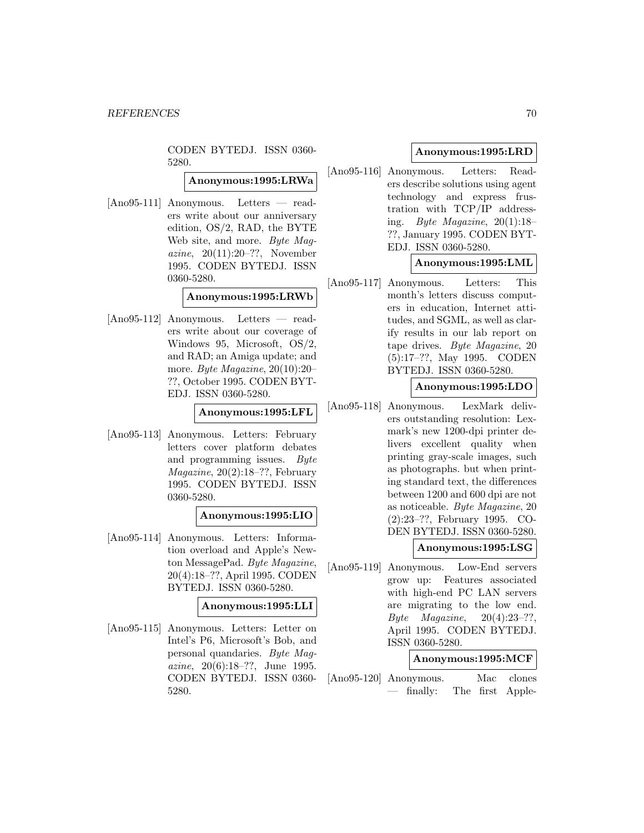CODEN BYTEDJ. ISSN 0360- 5280.

**Anonymous:1995:LRWa**

[Ano95-111] Anonymous. Letters — readers write about our anniversary edition, OS/2, RAD, the BYTE Web site, and more. Byte Magazine, 20(11):20–??, November 1995. CODEN BYTEDJ. ISSN 0360-5280.

### **Anonymous:1995:LRWb**

[Ano95-112] Anonymous. Letters — readers write about our coverage of Windows 95, Microsoft, OS/2, and RAD; an Amiga update; and more. Byte Magazine, 20(10):20– ??, October 1995. CODEN BYT-EDJ. ISSN 0360-5280.

# **Anonymous:1995:LFL**

[Ano95-113] Anonymous. Letters: February letters cover platform debates and programming issues. Byte  $Magazine, 20(2):18-??, February$ 1995. CODEN BYTEDJ. ISSN 0360-5280.

#### **Anonymous:1995:LIO**

[Ano95-114] Anonymous. Letters: Information overload and Apple's Newton MessagePad. Byte Magazine, 20(4):18–??, April 1995. CODEN BYTEDJ. ISSN 0360-5280.

### **Anonymous:1995:LLI**

[Ano95-115] Anonymous. Letters: Letter on Intel's P6, Microsoft's Bob, and personal quandaries. Byte Magazine, 20(6):18–??, June 1995. CODEN BYTEDJ. ISSN 0360- 5280.

# **Anonymous:1995:LRD**

[Ano95-116] Anonymous. Letters: Readers describe solutions using agent technology and express frustration with TCP/IP addressing. Byte Magazine, 20(1):18– ??, January 1995. CODEN BYT-EDJ. ISSN 0360-5280.

# **Anonymous:1995:LML**

[Ano95-117] Anonymous. Letters: This month's letters discuss computers in education, Internet attitudes, and SGML, as well as clarify results in our lab report on tape drives. Byte Magazine, 20 (5):17–??, May 1995. CODEN BYTEDJ. ISSN 0360-5280.

# **Anonymous:1995:LDO**

[Ano95-118] Anonymous. LexMark delivers outstanding resolution: Lexmark's new 1200-dpi printer delivers excellent quality when printing gray-scale images, such as photographs. but when printing standard text, the differences between 1200 and 600 dpi are not as noticeable. Byte Magazine, 20 (2):23–??, February 1995. CO-DEN BYTEDJ. ISSN 0360-5280.

### **Anonymous:1995:LSG**

[Ano95-119] Anonymous. Low-End servers grow up: Features associated with high-end PC LAN servers are migrating to the low end.  $Byte$  *Magazine*,  $20(4):23-??$ , April 1995. CODEN BYTEDJ. ISSN 0360-5280.

# **Anonymous:1995:MCF**

[Ano95-120] Anonymous. Mac clones — finally: The first Apple-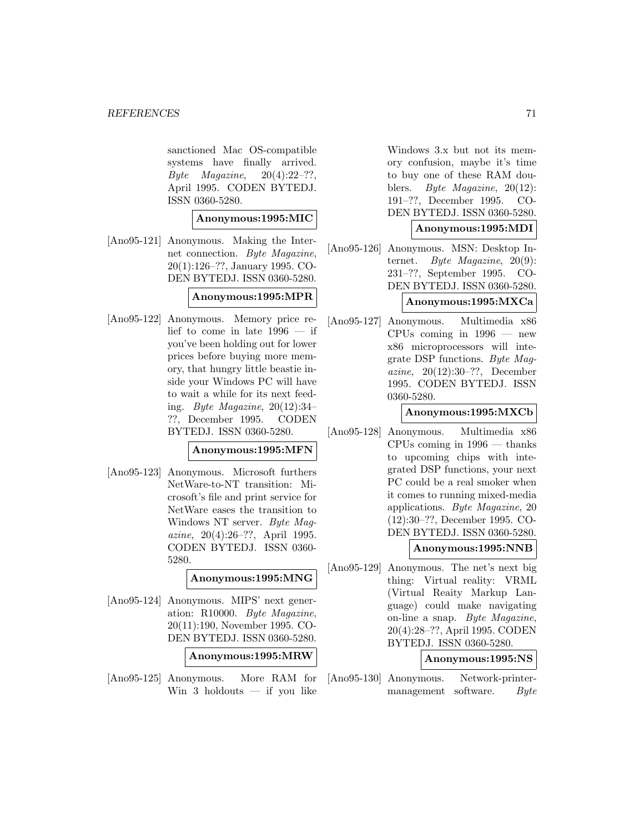sanctioned Mac OS-compatible systems have finally arrived. Byte Magazine,  $20(4):22-??$ , April 1995. CODEN BYTEDJ. ISSN 0360-5280.

#### **Anonymous:1995:MIC**

[Ano95-121] Anonymous. Making the Internet connection. Byte Magazine, 20(1):126–??, January 1995. CO-DEN BYTEDJ. ISSN 0360-5280.

# **Anonymous:1995:MPR**

[Ano95-122] Anonymous. Memory price relief to come in late 1996 — if you've been holding out for lower prices before buying more memory, that hungry little beastie inside your Windows PC will have to wait a while for its next feeding. Byte Magazine,  $20(12):34-$ ??, December 1995. CODEN BYTEDJ. ISSN 0360-5280.

# **Anonymous:1995:MFN**

[Ano95-123] Anonymous. Microsoft furthers NetWare-to-NT transition: Microsoft's file and print service for NetWare eases the transition to Windows NT server. Byte Magazine, 20(4):26–??, April 1995. CODEN BYTEDJ. ISSN 0360- 5280.

**Anonymous:1995:MNG**

[Ano95-124] Anonymous. MIPS' next generation: R10000. Byte Magazine, 20(11):190, November 1995. CO-DEN BYTEDJ. ISSN 0360-5280.

**Anonymous:1995:MRW**

[Ano95-125] Anonymous. More RAM for Win  $3$  holdouts  $-$  if you like

Windows 3.x but not its memory confusion, maybe it's time to buy one of these RAM doublers. Byte Magazine, 20(12): 191–??, December 1995. CO-DEN BYTEDJ. ISSN 0360-5280.

# **Anonymous:1995:MDI**

[Ano95-126] Anonymous. MSN: Desktop Internet. Byte Magazine, 20(9): 231–??, September 1995. CO-DEN BYTEDJ. ISSN 0360-5280.

# **Anonymous:1995:MXCa**

[Ano95-127] Anonymous. Multimedia x86 CPUs coming in 1996 — new x86 microprocessors will integrate DSP functions. Byte Magazine, 20(12):30–??, December 1995. CODEN BYTEDJ. ISSN 0360-5280.

# **Anonymous:1995:MXCb**

[Ano95-128] Anonymous. Multimedia x86 CPUs coming in 1996 — thanks to upcoming chips with integrated DSP functions, your next PC could be a real smoker when it comes to running mixed-media applications. Byte Magazine, 20 (12):30–??, December 1995. CO-DEN BYTEDJ. ISSN 0360-5280.

### **Anonymous:1995:NNB**

[Ano95-129] Anonymous. The net's next big thing: Virtual reality: VRML (Virtual Reaity Markup Language) could make navigating on-line a snap. Byte Magazine, 20(4):28–??, April 1995. CODEN BYTEDJ. ISSN 0360-5280.

### **Anonymous:1995:NS**

[Ano95-130] Anonymous. Network-printermanagement software. Byte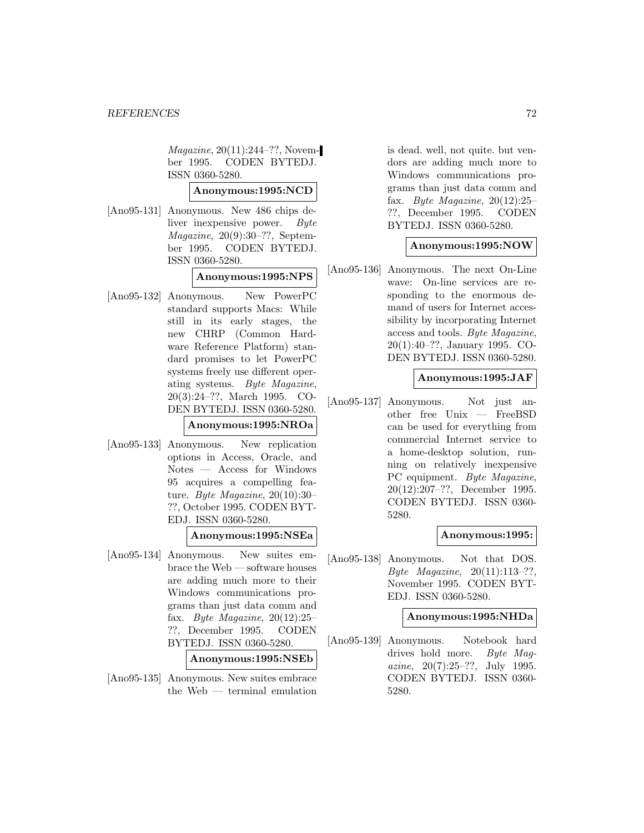Magazine, 20(11):244–??, November 1995. CODEN BYTEDJ. ISSN 0360-5280.

# **Anonymous:1995:NCD**

[Ano95-131] Anonymous. New 486 chips deliver inexpensive power. Byte  $Magazine, 20(9):30-??, Septem$ ber 1995. CODEN BYTEDJ. ISSN 0360-5280.

# **Anonymous:1995:NPS**

[Ano95-132] Anonymous. New PowerPC standard supports Macs: While still in its early stages, the new CHRP (Common Hardware Reference Platform) standard promises to let PowerPC systems freely use different operating systems. Byte Magazine, 20(3):24–??, March 1995. CO-DEN BYTEDJ. ISSN 0360-5280.

### **Anonymous:1995:NROa**

[Ano95-133] Anonymous. New replication options in Access, Oracle, and Notes — Access for Windows 95 acquires a compelling feature. Byte Magazine,  $20(10):30-$ ??, October 1995. CODEN BYT-EDJ. ISSN 0360-5280.

# **Anonymous:1995:NSEa**

[Ano95-134] Anonymous. New suites embrace the Web — software houses are adding much more to their Windows communications programs than just data comm and fax. Byte Magazine,  $20(12):25-$ ??, December 1995. CODEN BYTEDJ. ISSN 0360-5280.

### **Anonymous:1995:NSEb**

[Ano95-135] Anonymous. New suites embrace the Web — terminal emulation is dead. well, not quite. but vendors are adding much more to Windows communications programs than just data comm and fax. Byte Magazine,  $20(12):25$ ??, December 1995. CODEN BYTEDJ. ISSN 0360-5280.

# **Anonymous:1995:NOW**

[Ano95-136] Anonymous. The next On-Line wave: On-line services are responding to the enormous demand of users for Internet accessibility by incorporating Internet access and tools. Byte Magazine, 20(1):40–??, January 1995. CO-DEN BYTEDJ. ISSN 0360-5280.

### **Anonymous:1995:JAF**

[Ano95-137] Anonymous. Not just another free Unix — FreeBSD can be used for everything from commercial Internet service to a home-desktop solution, running on relatively inexpensive PC equipment. Byte Magazine, 20(12):207–??, December 1995. CODEN BYTEDJ. ISSN 0360- 5280.

# **Anonymous:1995:**

[Ano95-138] Anonymous. Not that DOS. Byte Magazine, 20(11):113–??, November 1995. CODEN BYT-EDJ. ISSN 0360-5280.

### **Anonymous:1995:NHDa**

[Ano95-139] Anonymous. Notebook hard drives hold more. Byte Magazine,  $20(7):25-??$ , July 1995. CODEN BYTEDJ. ISSN 0360- 5280.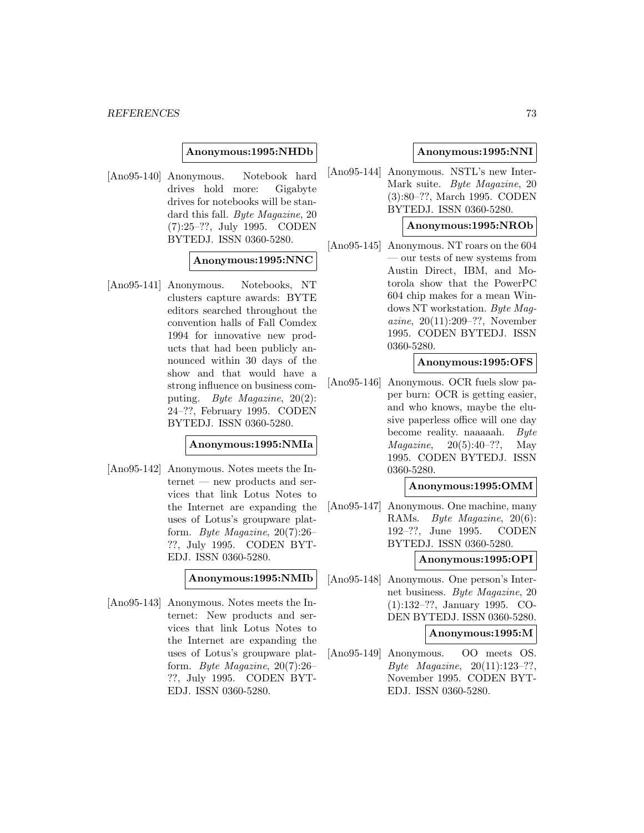### **Anonymous:1995:NHDb**

[Ano95-140] Anonymous. Notebook hard drives hold more: Gigabyte drives for notebooks will be standard this fall. Byte Magazine, 20 (7):25–??, July 1995. CODEN BYTEDJ. ISSN 0360-5280.

# **Anonymous:1995:NNC**

[Ano95-141] Anonymous. Notebooks, NT clusters capture awards: BYTE editors searched throughout the convention halls of Fall Comdex 1994 for innovative new products that had been publicly announced within 30 days of the show and that would have a strong influence on business computing. Byte Magazine, 20(2): 24–??, February 1995. CODEN BYTEDJ. ISSN 0360-5280.

### **Anonymous:1995:NMIa**

[Ano95-142] Anonymous. Notes meets the Internet — new products and services that link Lotus Notes to the Internet are expanding the uses of Lotus's groupware platform. Byte Magazine, 20(7):26– ??, July 1995. CODEN BYT-EDJ. ISSN 0360-5280.

**Anonymous:1995:NMIb**

[Ano95-143] Anonymous. Notes meets the Internet: New products and services that link Lotus Notes to the Internet are expanding the uses of Lotus's groupware platform. Byte Magazine, 20(7):26– ??, July 1995. CODEN BYT-EDJ. ISSN 0360-5280.

## **Anonymous:1995:NNI**

[Ano95-144] Anonymous. NSTL's new Inter-Mark suite. Byte Magazine, 20 (3):80–??, March 1995. CODEN BYTEDJ. ISSN 0360-5280.

# **Anonymous:1995:NROb**

[Ano95-145] Anonymous. NT roars on the 604 — our tests of new systems from Austin Direct, IBM, and Motorola show that the PowerPC 604 chip makes for a mean Windows NT workstation. Bute Maaazine, 20(11):209–??, November 1995. CODEN BYTEDJ. ISSN 0360-5280.

# **Anonymous:1995:OFS**

[Ano95-146] Anonymous. OCR fuels slow paper burn: OCR is getting easier, and who knows, maybe the elusive paperless office will one day become reality. naaaaah. Byte *Magazine*,  $20(5):40-??$ , May 1995. CODEN BYTEDJ. ISSN 0360-5280.

### **Anonymous:1995:OMM**

[Ano95-147] Anonymous. One machine, many RAMs. Byte Magazine, 20(6): 192–??, June 1995. CODEN BYTEDJ. ISSN 0360-5280.

### **Anonymous:1995:OPI**

[Ano95-148] Anonymous. One person's Internet business. Byte Magazine, 20 (1):132–??, January 1995. CO-DEN BYTEDJ. ISSN 0360-5280.

### **Anonymous:1995:M**

[Ano95-149] Anonymous. OO meets OS. Byte Magazine, 20(11):123–??, November 1995. CODEN BYT-EDJ. ISSN 0360-5280.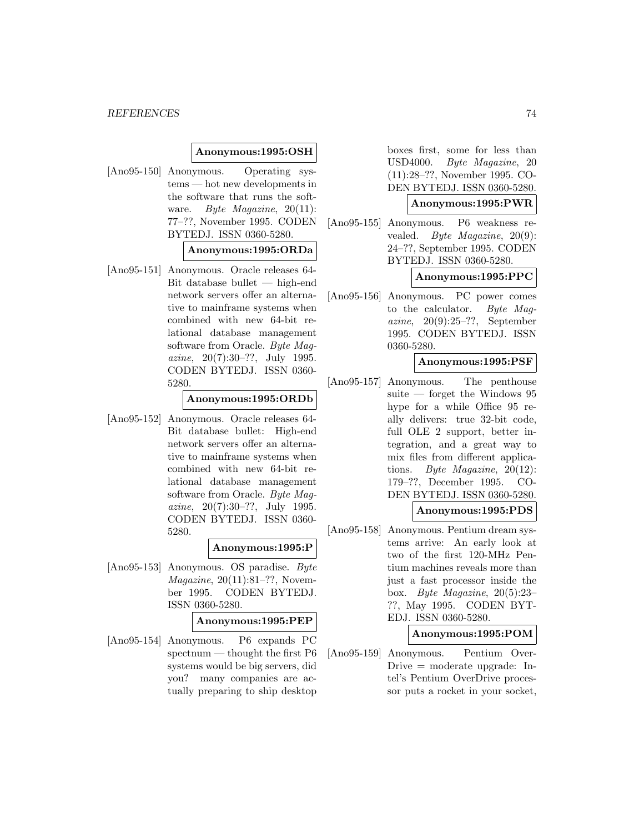## **Anonymous:1995:OSH**

[Ano95-150] Anonymous. Operating systems — hot new developments in the software that runs the software. Byte Magazine, 20(11): 77–??, November 1995. CODEN BYTEDJ. ISSN 0360-5280.

### **Anonymous:1995:ORDa**

[Ano95-151] Anonymous. Oracle releases 64- Bit database bullet — high-end network servers offer an alternative to mainframe systems when combined with new 64-bit relational database management software from Oracle. Byte Magazine, 20(7):30–??, July 1995. CODEN BYTEDJ. ISSN 0360- 5280.

# **Anonymous:1995:ORDb**

[Ano95-152] Anonymous. Oracle releases 64- Bit database bullet: High-end network servers offer an alternative to mainframe systems when combined with new 64-bit relational database management software from Oracle. Byte Magazine,  $20(7):30-??$ , July 1995. CODEN BYTEDJ. ISSN 0360- 5280.

# **Anonymous:1995:P**

[Ano95-153] Anonymous. OS paradise. Byte *Magazine*,  $20(11):81-??$ , November 1995. CODEN BYTEDJ. ISSN 0360-5280.

#### **Anonymous:1995:PEP**

[Ano95-154] Anonymous. P6 expands PC spectnum — thought the first P6 systems would be big servers, did you? many companies are actually preparing to ship desktop

boxes first, some for less than USD4000. Byte Magazine, 20 (11):28–??, November 1995. CO-DEN BYTEDJ. ISSN 0360-5280.

### **Anonymous:1995:PWR**

[Ano95-155] Anonymous. P6 weakness revealed. Byte Magazine, 20(9): 24–??, September 1995. CODEN BYTEDJ. ISSN 0360-5280.

# **Anonymous:1995:PPC**

[Ano95-156] Anonymous. PC power comes to the calculator. Byte Magazine,  $20(9):25-??$ , September 1995. CODEN BYTEDJ. ISSN 0360-5280.

# **Anonymous:1995:PSF**

[Ano95-157] Anonymous. The penthouse suite — forget the Windows 95 hype for a while Office 95 really delivers: true 32-bit code, full OLE 2 support, better integration, and a great way to mix files from different applications. Byte Magazine, 20(12): 179–??, December 1995. CO-DEN BYTEDJ. ISSN 0360-5280.

# **Anonymous:1995:PDS**

[Ano95-158] Anonymous. Pentium dream systems arrive: An early look at two of the first 120-MHz Pentium machines reveals more than just a fast processor inside the box. Byte Magazine, 20(5):23– ??, May 1995. CODEN BYT-EDJ. ISSN 0360-5280.

## **Anonymous:1995:POM**

[Ano95-159] Anonymous. Pentium Over-Drive = moderate upgrade: Intel's Pentium OverDrive processor puts a rocket in your socket,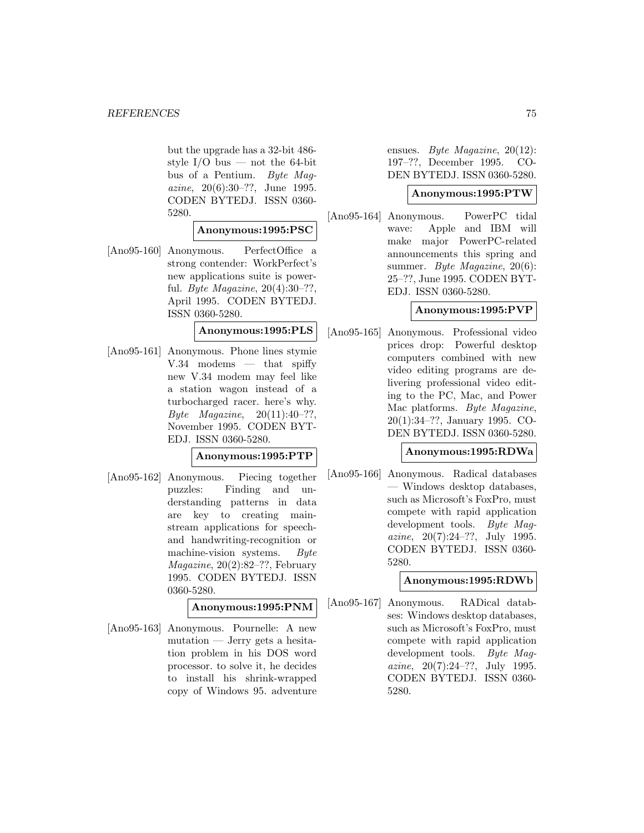but the upgrade has a 32-bit 486 style I/O bus — not the 64-bit bus of a Pentium. Byte Magazine, 20(6):30–??, June 1995. CODEN BYTEDJ. ISSN 0360- 5280.

# **Anonymous:1995:PSC**

[Ano95-160] Anonymous. PerfectOffice a strong contender: WorkPerfect's new applications suite is powerful. Byte Magazine, 20(4):30–??, April 1995. CODEN BYTEDJ. ISSN 0360-5280.

**Anonymous:1995:PLS**

[Ano95-161] Anonymous. Phone lines stymie  $V.34$  modems — that spiffy new V.34 modem may feel like a station wagon instead of a turbocharged racer. here's why. Byte Magazine,  $20(11):40-??$ , November 1995. CODEN BYT-EDJ. ISSN 0360-5280.

# **Anonymous:1995:PTP**

[Ano95-162] Anonymous. Piecing together puzzles: Finding and understanding patterns in data are key to creating mainstream applications for speechand handwriting-recognition or machine-vision systems. Byte Magazine, 20(2):82–??, February 1995. CODEN BYTEDJ. ISSN 0360-5280.

**Anonymous:1995:PNM**

[Ano95-163] Anonymous. Pournelle: A new mutation — Jerry gets a hesitation problem in his DOS word processor. to solve it, he decides to install his shrink-wrapped copy of Windows 95. adventure

ensues. Byte Magazine, 20(12): 197–??, December 1995. CO-DEN BYTEDJ. ISSN 0360-5280.

# **Anonymous:1995:PTW**

[Ano95-164] Anonymous. PowerPC tidal wave: Apple and IBM will make major PowerPC-related announcements this spring and summer. Byte Magazine, 20(6): 25–??, June 1995. CODEN BYT-EDJ. ISSN 0360-5280.

# **Anonymous:1995:PVP**

[Ano95-165] Anonymous. Professional video prices drop: Powerful desktop computers combined with new video editing programs are delivering professional video editing to the PC, Mac, and Power Mac platforms. Byte Magazine, 20(1):34–??, January 1995. CO-DEN BYTEDJ. ISSN 0360-5280.

# **Anonymous:1995:RDWa**

[Ano95-166] Anonymous. Radical databases — Windows desktop databases, such as Microsoft's FoxPro, must compete with rapid application development tools. Byte Magazine, 20(7):24–??, July 1995. CODEN BYTEDJ. ISSN 0360- 5280.

# **Anonymous:1995:RDWb**

[Ano95-167] Anonymous. RADical databses: Windows desktop databases, such as Microsoft's FoxPro, must compete with rapid application development tools. Byte Magazine, 20(7):24–??, July 1995. CODEN BYTEDJ. ISSN 0360- 5280.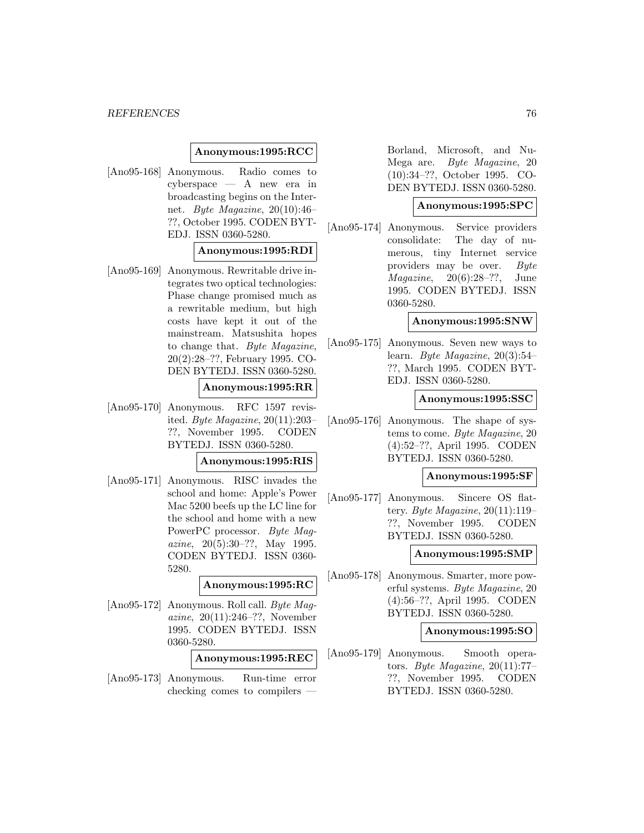### **Anonymous:1995:RCC**

[Ano95-168] Anonymous. Radio comes to cyberspace — A new era in broadcasting begins on the Internet. Byte Magazine, 20(10):46– ??, October 1995. CODEN BYT-EDJ. ISSN 0360-5280.

## **Anonymous:1995:RDI**

[Ano95-169] Anonymous. Rewritable drive integrates two optical technologies: Phase change promised much as a rewritable medium, but high costs have kept it out of the mainstream. Matsushita hopes to change that. Byte Magazine, 20(2):28–??, February 1995. CO-DEN BYTEDJ. ISSN 0360-5280.

# **Anonymous:1995:RR**

[Ano95-170] Anonymous. RFC 1597 revisited. Byte Magazine, 20(11):203– ??, November 1995. CODEN BYTEDJ. ISSN 0360-5280.

### **Anonymous:1995:RIS**

[Ano95-171] Anonymous. RISC invades the school and home: Apple's Power Mac 5200 beefs up the LC line for the school and home with a new PowerPC processor. Byte Magazine, 20(5):30–??, May 1995. CODEN BYTEDJ. ISSN 0360- 5280.

# **Anonymous:1995:RC**

[Ano95-172] Anonymous. Roll call. Byte Magazine, 20(11):246–??, November 1995. CODEN BYTEDJ. ISSN 0360-5280.

## **Anonymous:1995:REC**

[Ano95-173] Anonymous. Run-time error checking comes to compilers —

Borland, Microsoft, and Nu-Mega are. Byte Magazine, 20 (10):34–??, October 1995. CO-DEN BYTEDJ. ISSN 0360-5280.

# **Anonymous:1995:SPC**

[Ano95-174] Anonymous. Service providers consolidate: The day of numerous, tiny Internet service providers may be over. Byte  $Magazine, 20(6):28-??, June$ 1995. CODEN BYTEDJ. ISSN 0360-5280.

#### **Anonymous:1995:SNW**

[Ano95-175] Anonymous. Seven new ways to learn. Byte Magazine, 20(3):54– ??, March 1995. CODEN BYT-EDJ. ISSN 0360-5280.

### **Anonymous:1995:SSC**

[Ano95-176] Anonymous. The shape of systems to come. Byte Magazine, 20 (4):52–??, April 1995. CODEN BYTEDJ. ISSN 0360-5280.

#### **Anonymous:1995:SF**

[Ano95-177] Anonymous. Sincere OS flattery. Byte Magazine,  $20(11):119-$ ??, November 1995. CODEN BYTEDJ. ISSN 0360-5280.

# **Anonymous:1995:SMP**

[Ano95-178] Anonymous. Smarter, more powerful systems. Byte Magazine, 20 (4):56–??, April 1995. CODEN BYTEDJ. ISSN 0360-5280.

#### **Anonymous:1995:SO**

[Ano95-179] Anonymous. Smooth operators. Byte Magazine, 20(11):77– ??, November 1995. CODEN BYTEDJ. ISSN 0360-5280.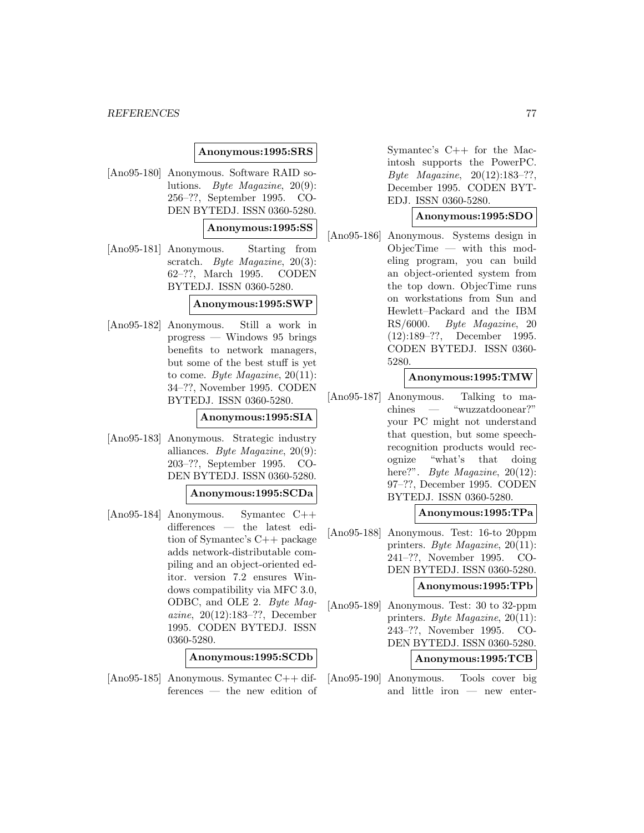## **Anonymous:1995:SRS**

[Ano95-180] Anonymous. Software RAID solutions. Byte Magazine, 20(9): 256–??, September 1995. CO-DEN BYTEDJ. ISSN 0360-5280.

## **Anonymous:1995:SS**

[Ano95-181] Anonymous. Starting from scratch. Byte Magazine, 20(3): 62–??, March 1995. CODEN BYTEDJ. ISSN 0360-5280.

### **Anonymous:1995:SWP**

[Ano95-182] Anonymous. Still a work in progress — Windows 95 brings benefits to network managers, but some of the best stuff is yet to come. Byte Magazine, 20(11): 34–??, November 1995. CODEN BYTEDJ. ISSN 0360-5280.

### **Anonymous:1995:SIA**

[Ano95-183] Anonymous. Strategic industry alliances. Byte Magazine, 20(9): 203–??, September 1995. CO-DEN BYTEDJ. ISSN 0360-5280.

### **Anonymous:1995:SCDa**

[Ano95-184] Anonymous. Symantec C++ differences — the latest edition of Symantec's C++ package adds network-distributable compiling and an object-oriented editor. version 7.2 ensures Windows compatibility via MFC 3.0, ODBC, and OLE 2. Byte Magazine, 20(12):183–??, December 1995. CODEN BYTEDJ. ISSN 0360-5280.

# **Anonymous:1995:SCDb**

[Ano95-185] Anonymous. Symantec C++ differences — the new edition of

Symantec's C++ for the Macintosh supports the PowerPC. Byte Magazine, 20(12):183–??, December 1995. CODEN BYT-EDJ. ISSN 0360-5280.

### **Anonymous:1995:SDO**

[Ano95-186] Anonymous. Systems design in ObjecTime — with this modeling program, you can build an object-oriented system from the top down. ObjecTime runs on workstations from Sun and Hewlett–Packard and the IBM RS/6000. Byte Magazine, 20 (12):189–??, December 1995. CODEN BYTEDJ. ISSN 0360- 5280.

### **Anonymous:1995:TMW**

[Ano95-187] Anonymous. Talking to machines — "wuzzatdoonear?" your PC might not understand that question, but some speechrecognition products would recognize "what's that doing here?". *Byte Magazine*, 20(12): 97–??, December 1995. CODEN BYTEDJ. ISSN 0360-5280.

## **Anonymous:1995:TPa**

[Ano95-188] Anonymous. Test: 16-to 20ppm printers. Byte Magazine, 20(11): 241–??, November 1995. CO-DEN BYTEDJ. ISSN 0360-5280.

# **Anonymous:1995:TPb**

[Ano95-189] Anonymous. Test: 30 to 32-ppm printers. Byte Magazine, 20(11): 243–??, November 1995. CO-DEN BYTEDJ. ISSN 0360-5280.

# **Anonymous:1995:TCB**

[Ano95-190] Anonymous. Tools cover big and little iron — new enter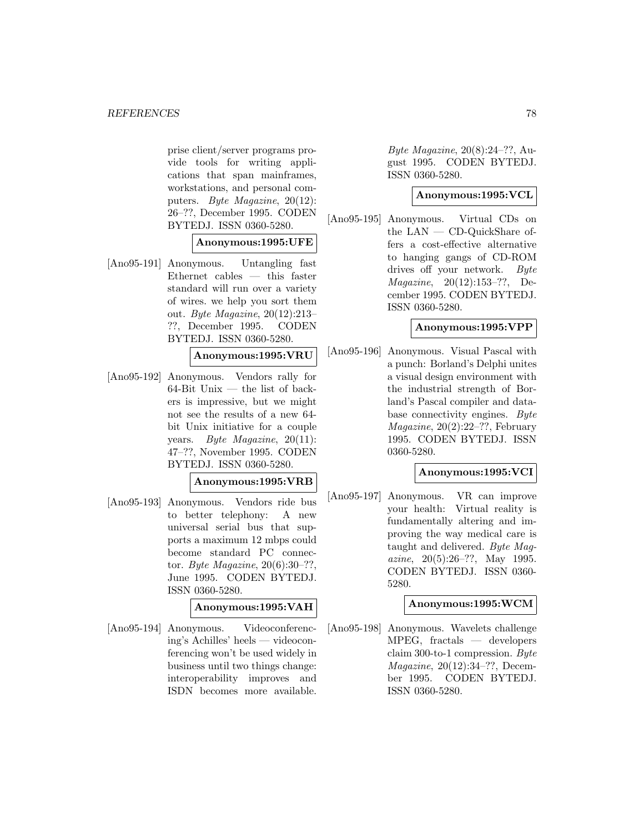prise client/server programs provide tools for writing applications that span mainframes, workstations, and personal computers. Byte Magazine, 20(12): 26–??, December 1995. CODEN BYTEDJ. ISSN 0360-5280.

# **Anonymous:1995:UFE**

[Ano95-191] Anonymous. Untangling fast Ethernet cables — this faster standard will run over a variety of wires. we help you sort them out. Byte Magazine, 20(12):213– ??, December 1995. CODEN BYTEDJ. ISSN 0360-5280.

# **Anonymous:1995:VRU**

[Ano95-192] Anonymous. Vendors rally for 64-Bit Unix — the list of backers is impressive, but we might not see the results of a new 64 bit Unix initiative for a couple years. Byte Magazine, 20(11): 47–??, November 1995. CODEN BYTEDJ. ISSN 0360-5280.

### **Anonymous:1995:VRB**

[Ano95-193] Anonymous. Vendors ride bus to better telephony: A new universal serial bus that supports a maximum 12 mbps could become standard PC connector. Byte Magazine,  $20(6):30-??$ , June 1995. CODEN BYTEDJ. ISSN 0360-5280.

# **Anonymous:1995:VAH**

[Ano95-194] Anonymous. Videoconferencing's Achilles' heels — videoconferencing won't be used widely in business until two things change: interoperability improves and ISDN becomes more available.

Byte Magazine, 20(8):24–??, August 1995. CODEN BYTEDJ. ISSN 0360-5280.

# **Anonymous:1995:VCL**

[Ano95-195] Anonymous. Virtual CDs on the LAN — CD-QuickShare offers a cost-effective alternative to hanging gangs of CD-ROM drives off your network. Byte Magazine, 20(12):153–??, December 1995. CODEN BYTEDJ. ISSN 0360-5280.

# **Anonymous:1995:VPP**

[Ano95-196] Anonymous. Visual Pascal with a punch: Borland's Delphi unites a visual design environment with the industrial strength of Borland's Pascal compiler and database connectivity engines. Byte Magazine, 20(2):22–??, February 1995. CODEN BYTEDJ. ISSN 0360-5280.

# **Anonymous:1995:VCI**

[Ano95-197] Anonymous. VR can improve your health: Virtual reality is fundamentally altering and improving the way medical care is taught and delivered. Byte Magazine, 20(5):26–??, May 1995. CODEN BYTEDJ. ISSN 0360- 5280.

# **Anonymous:1995:WCM**

[Ano95-198] Anonymous. Wavelets challenge MPEG, fractals — developers claim 300-to-1 compression. Byte Magazine, 20(12):34–??, December 1995. CODEN BYTEDJ. ISSN 0360-5280.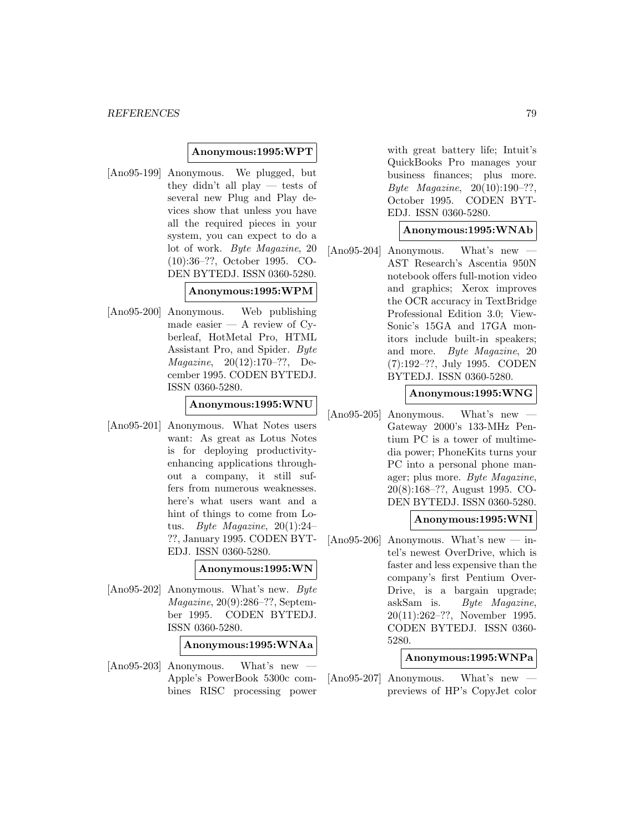# **Anonymous:1995:WPT**

[Ano95-199] Anonymous. We plugged, but they didn't all play — tests of several new Plug and Play devices show that unless you have all the required pieces in your system, you can expect to do a lot of work. Byte Magazine, 20 (10):36–??, October 1995. CO-DEN BYTEDJ. ISSN 0360-5280.

## **Anonymous:1995:WPM**

[Ano95-200] Anonymous. Web publishing made easier  $-$  A review of Cyberleaf, HotMetal Pro, HTML Assistant Pro, and Spider. Byte Magazine, 20(12):170–??, December 1995. CODEN BYTEDJ. ISSN 0360-5280.

# **Anonymous:1995:WNU**

[Ano95-201] Anonymous. What Notes users want: As great as Lotus Notes is for deploying productivityenhancing applications throughout a company, it still suffers from numerous weaknesses. here's what users want and a hint of things to come from Lotus. Byte Magazine, 20(1):24– ??, January 1995. CODEN BYT-EDJ. ISSN 0360-5280.

### **Anonymous:1995:WN**

[Ano95-202] Anonymous. What's new. Byte Magazine, 20(9):286–??, September 1995. CODEN BYTEDJ. ISSN 0360-5280.

# **Anonymous:1995:WNAa**

 $[Ano95-203]$  Anonymous. What's new Apple's PowerBook 5300c combines RISC processing power

with great battery life; Intuit's QuickBooks Pro manages your business finances; plus more. Byte Magazine, 20(10):190–??, October 1995. CODEN BYT-EDJ. ISSN 0360-5280.

# **Anonymous:1995:WNAb**

 $[Ano95-204]$  Anonymous. What's new AST Research's Ascentia 950N notebook offers full-motion video and graphics; Xerox improves the OCR accuracy in TextBridge Professional Edition 3.0; View-Sonic's 15GA and 17GA monitors include built-in speakers; and more. Byte Magazine, 20 (7):192–??, July 1995. CODEN BYTEDJ. ISSN 0360-5280.

## **Anonymous:1995:WNG**

 $[Ano95-205]$  Anonymous. What's new Gateway 2000's 133-MHz Pentium PC is a tower of multimedia power; PhoneKits turns your PC into a personal phone manager; plus more. Byte Magazine, 20(8):168–??, August 1995. CO-DEN BYTEDJ. ISSN 0360-5280.

# **Anonymous:1995:WNI**

[Ano95-206] Anonymous. What's new — intel's newest OverDrive, which is faster and less expensive than the company's first Pentium Over-Drive, is a bargain upgrade; askSam is. Byte Magazine, 20(11):262–??, November 1995. CODEN BYTEDJ. ISSN 0360- 5280.

## **Anonymous:1995:WNPa**

 $[Ano95-207]$  Anonymous. What's new previews of HP's CopyJet color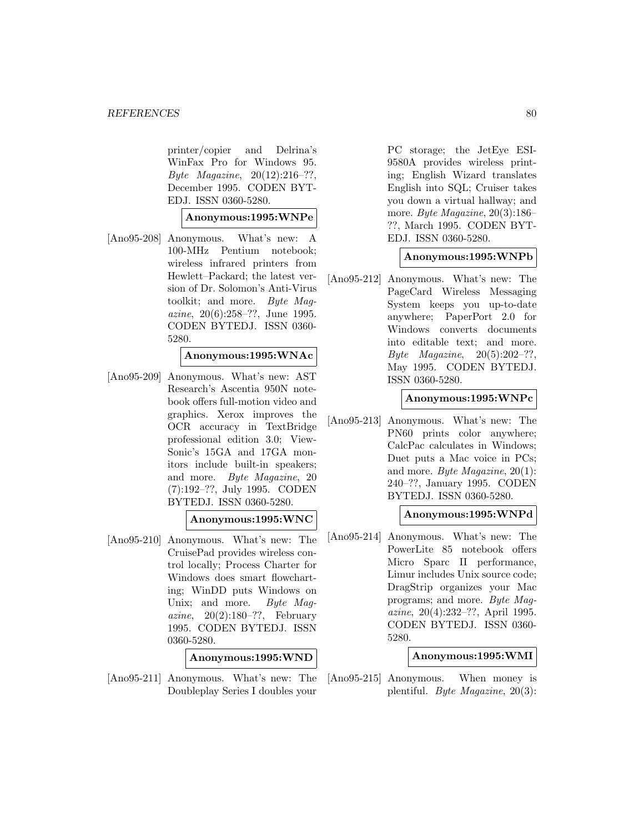printer/copier and Delrina's WinFax Pro for Windows 95. Byte Magazine, 20(12):216–??, December 1995. CODEN BYT-EDJ. ISSN 0360-5280.

### **Anonymous:1995:WNPe**

[Ano95-208] Anonymous. What's new: A 100-MHz Pentium notebook; wireless infrared printers from Hewlett–Packard; the latest version of Dr. Solomon's Anti-Virus toolkit; and more. Byte Magazine, 20(6):258–??, June 1995. CODEN BYTEDJ. ISSN 0360- 5280.

## **Anonymous:1995:WNAc**

[Ano95-209] Anonymous. What's new: AST Research's Ascentia 950N notebook offers full-motion video and graphics. Xerox improves the OCR accuracy in TextBridge professional edition 3.0; View-Sonic's 15GA and 17GA monitors include built-in speakers; and more. Byte Magazine, 20 (7):192–??, July 1995. CODEN BYTEDJ. ISSN 0360-5280.

# **Anonymous:1995:WNC**

[Ano95-210] Anonymous. What's new: The CruisePad provides wireless control locally; Process Charter for Windows does smart flowcharting; WinDD puts Windows on Unix; and more. Byte Magazine,  $20(2):180-??$ , February 1995. CODEN BYTEDJ. ISSN 0360-5280.

**Anonymous:1995:WND**

[Ano95-211] Anonymous. What's new: The Doubleplay Series I doubles your

PC storage; the JetEye ESI-9580A provides wireless printing; English Wizard translates English into SQL; Cruiser takes you down a virtual hallway; and more. Byte Magazine, 20(3):186– ??, March 1995. CODEN BYT-EDJ. ISSN 0360-5280.

## **Anonymous:1995:WNPb**

[Ano95-212] Anonymous. What's new: The PageCard Wireless Messaging System keeps you up-to-date anywhere; PaperPort 2.0 for Windows converts documents into editable text; and more. Byte Magazine,  $20(5):202-??$ , May 1995. CODEN BYTEDJ. ISSN 0360-5280.

## **Anonymous:1995:WNPc**

[Ano95-213] Anonymous. What's new: The PN60 prints color anywhere; CalcPac calculates in Windows; Duet puts a Mac voice in PCs; and more. Byte Magazine, 20(1): 240–??, January 1995. CODEN BYTEDJ. ISSN 0360-5280.

# **Anonymous:1995:WNPd**

[Ano95-214] Anonymous. What's new: The PowerLite 85 notebook offers Micro Sparc II performance, Limur includes Unix source code; DragStrip organizes your Mac programs; and more. Byte Magazine, 20(4):232–??, April 1995. CODEN BYTEDJ. ISSN 0360- 5280.

# **Anonymous:1995:WMI**

[Ano95-215] Anonymous. When money is plentiful. Byte Magazine, 20(3):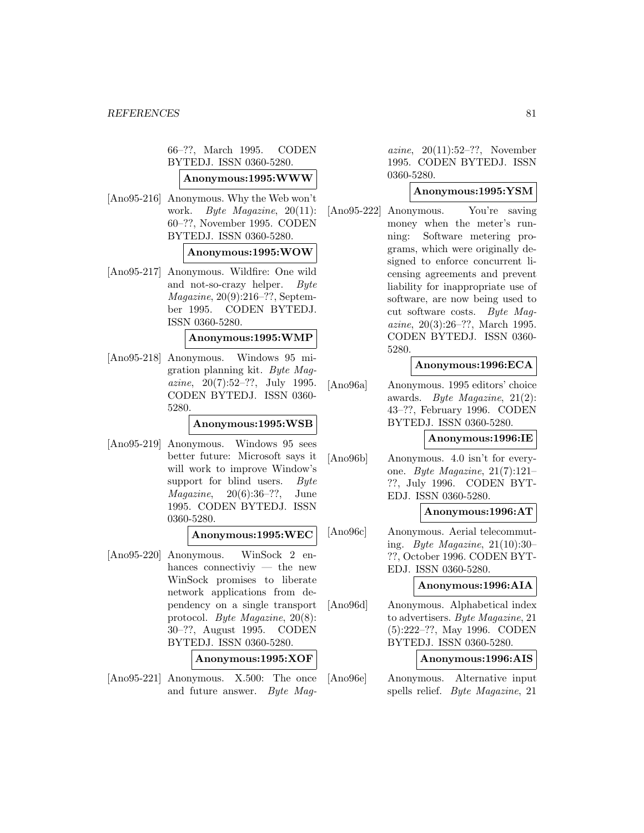66–??, March 1995. CODEN BYTEDJ. ISSN 0360-5280.

# **Anonymous:1995:WWW**

[Ano95-216] Anonymous. Why the Web won't work. *Byte Magazine*, 20(11): 60–??, November 1995. CODEN BYTEDJ. ISSN 0360-5280.

### **Anonymous:1995:WOW**

[Ano95-217] Anonymous. Wildfire: One wild and not-so-crazy helper. Byte Magazine, 20(9):216–??, September 1995. CODEN BYTEDJ. ISSN 0360-5280.

#### **Anonymous:1995:WMP**

[Ano95-218] Anonymous. Windows 95 migration planning kit. Byte Magazine, 20(7):52–??, July 1995. CODEN BYTEDJ. ISSN 0360- 5280.

### **Anonymous:1995:WSB**

[Ano95-219] Anonymous. Windows 95 sees better future: Microsoft says it will work to improve Window's support for blind users. Byte *Magazine*,  $20(6):36-??$ , June 1995. CODEN BYTEDJ. ISSN 0360-5280.

# **Anonymous:1995:WEC**

[Ano95-220] Anonymous. WinSock 2 enhances connectiviy — the new WinSock promises to liberate network applications from dependency on a single transport protocol. Byte Magazine, 20(8): 30–??, August 1995. CODEN BYTEDJ. ISSN 0360-5280.

| Anonymous:1995:XOF |  |  |  |  |  |  |  |
|--------------------|--|--|--|--|--|--|--|
|--------------------|--|--|--|--|--|--|--|

[Ano95-221] Anonymous. X.500: The once and future answer. Byte Mag-

azine, 20(11):52–??, November 1995. CODEN BYTEDJ. ISSN 0360-5280.

# **Anonymous:1995:YSM**

[Ano95-222] Anonymous. You're saving money when the meter's running: Software metering programs, which were originally designed to enforce concurrent licensing agreements and prevent liability for inappropriate use of software, are now being used to cut software costs. Byte Magazine, 20(3):26–??, March 1995. CODEN BYTEDJ. ISSN 0360- 5280.

### **Anonymous:1996:ECA**

[Ano96a] Anonymous. 1995 editors' choice awards. Byte Magazine, 21(2): 43–??, February 1996. CODEN BYTEDJ. ISSN 0360-5280.

## **Anonymous:1996:IE**

[Ano96b] Anonymous. 4.0 isn't for everyone. Byte Magazine, 21(7):121– ??, July 1996. CODEN BYT-EDJ. ISSN 0360-5280.

# **Anonymous:1996:AT**

[Ano96c] Anonymous. Aerial telecommuting. Byte Magazine,  $21(10):30-$ ??, October 1996. CODEN BYT-EDJ. ISSN 0360-5280.

### **Anonymous:1996:AIA**

[Ano96d] Anonymous. Alphabetical index to advertisers. Byte Magazine, 21 (5):222–??, May 1996. CODEN BYTEDJ. ISSN 0360-5280.

### **Anonymous:1996:AIS**

[Ano96e] Anonymous. Alternative input spells relief. Byte Magazine, 21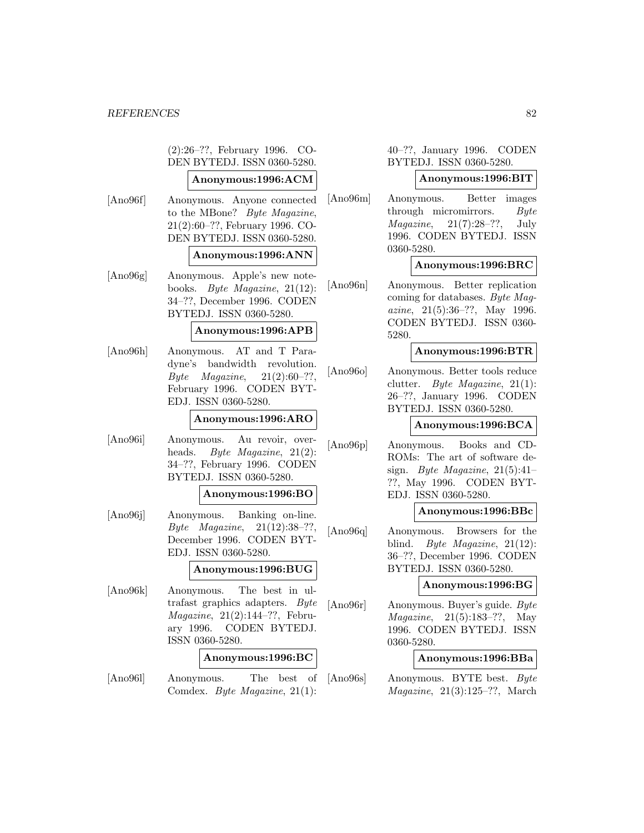(2):26–??, February 1996. CO-DEN BYTEDJ. ISSN 0360-5280.

# **Anonymous:1996:ACM**

[Ano96f] Anonymous. Anyone connected to the MBone? Byte Magazine, 21(2):60–??, February 1996. CO-DEN BYTEDJ. ISSN 0360-5280.

## **Anonymous:1996:ANN**

[Ano96g] Anonymous. Apple's new notebooks. Byte Magazine, 21(12): 34–??, December 1996. CODEN BYTEDJ. ISSN 0360-5280.

## **Anonymous:1996:APB**

[Ano96h] Anonymous. AT and T Paradyne's bandwidth revolution. Byte *Magazine*,  $21(2):60-??$ , February 1996. CODEN BYT-EDJ. ISSN 0360-5280.

# **Anonymous:1996:ARO**

[Ano96i] Anonymous. Au revoir, overheads. *Byte Magazine*, 21(2): 34–??, February 1996. CODEN BYTEDJ. ISSN 0360-5280.

#### **Anonymous:1996:BO**

[Ano96j] Anonymous. Banking on-line. Byte Magazine, 21(12):38–??, December 1996. CODEN BYT-EDJ. ISSN 0360-5280.

## **Anonymous:1996:BUG**

[Ano96k] Anonymous. The best in ultrafast graphics adapters. Byte Magazine, 21(2):144–??, February 1996. CODEN BYTEDJ. ISSN 0360-5280.

#### **Anonymous:1996:BC**

[Ano96l] Anonymous. The best of Comdex. Byte Magazine, 21(1):

40–??, January 1996. CODEN BYTEDJ. ISSN 0360-5280.

### **Anonymous:1996:BIT**

[Ano96m] Anonymous. Better images through micromirrors. Byte  $Magazine, 21(7):28-??, July$ 1996. CODEN BYTEDJ. ISSN 0360-5280.

# **Anonymous:1996:BRC**

[Ano96n] Anonymous. Better replication coming for databases. Byte Magazine, 21(5):36–??, May 1996. CODEN BYTEDJ. ISSN 0360- 5280.

### **Anonymous:1996:BTR**

[Ano96o] Anonymous. Better tools reduce clutter. Byte Magazine, 21(1): 26–??, January 1996. CODEN BYTEDJ. ISSN 0360-5280.

### **Anonymous:1996:BCA**

[Ano96p] Anonymous. Books and CD-ROMs: The art of software design. Byte Magazine,  $21(5):41-$ ??, May 1996. CODEN BYT-EDJ. ISSN 0360-5280.

### **Anonymous:1996:BBc**

[Ano96q] Anonymous. Browsers for the blind. Byte Magazine, 21(12): 36–??, December 1996. CODEN BYTEDJ. ISSN 0360-5280.

### **Anonymous:1996:BG**

[Ano96r] Anonymous. Buyer's guide. Byte Magazine, 21(5):183–??, May 1996. CODEN BYTEDJ. ISSN 0360-5280.

### **Anonymous:1996:BBa**

[Ano96s] Anonymous. BYTE best. Byte *Magazine*,  $21(3):125-??$ , March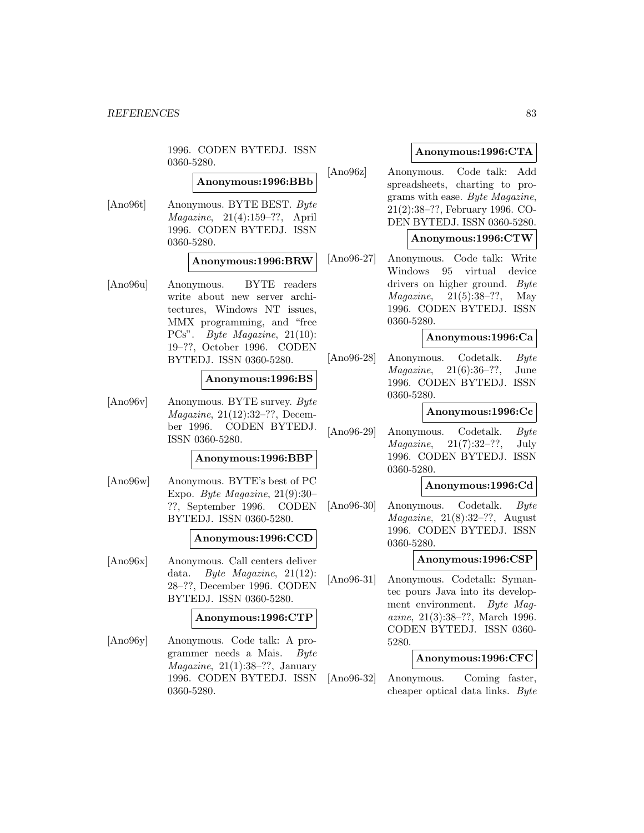1996. CODEN BYTEDJ. ISSN 0360-5280.

# **Anonymous:1996:BBb**

[Ano96t] Anonymous. BYTE BEST. Byte Magazine, 21(4):159–??, April 1996. CODEN BYTEDJ. ISSN 0360-5280.

## **Anonymous:1996:BRW**

[Ano96u] Anonymous. BYTE readers write about new server architectures, Windows NT issues, MMX programming, and "free PCs". Byte Magazine, 21(10): 19–??, October 1996. CODEN BYTEDJ. ISSN 0360-5280.

## **Anonymous:1996:BS**

[Ano96v] Anonymous. BYTE survey. Byte Magazine, 21(12):32–??, December 1996. CODEN BYTEDJ. ISSN 0360-5280.

### **Anonymous:1996:BBP**

[Ano96w] Anonymous. BYTE's best of PC Expo. Byte Magazine, 21(9):30– ??, September 1996. CODEN BYTEDJ. ISSN 0360-5280.

### **Anonymous:1996:CCD**

[Ano96x] Anonymous. Call centers deliver data. Byte Magazine, 21(12): 28–??, December 1996. CODEN BYTEDJ. ISSN 0360-5280.

### **Anonymous:1996:CTP**

[Ano96y] Anonymous. Code talk: A programmer needs a Mais. Byte  $Magazine, 21(1):38-??, January$ 1996. CODEN BYTEDJ. ISSN 0360-5280.

# **Anonymous:1996:CTA**

[Ano96z] Anonymous. Code talk: Add spreadsheets, charting to programs with ease. Byte Magazine, 21(2):38–??, February 1996. CO-DEN BYTEDJ. ISSN 0360-5280.

### **Anonymous:1996:CTW**

[Ano96-27] Anonymous. Code talk: Write Windows 95 virtual device drivers on higher ground. Byte *Magazine*,  $21(5):38-??$ , May 1996. CODEN BYTEDJ. ISSN 0360-5280.

### **Anonymous:1996:Ca**

[Ano96-28] Anonymous. Codetalk. Byte Magazine, 21(6):36–??, June 1996. CODEN BYTEDJ. ISSN 0360-5280.

### **Anonymous:1996:Cc**

[Ano96-29] Anonymous. Codetalk. Byte  $Magazine, 21(7):32-??, July$ 1996. CODEN BYTEDJ. ISSN 0360-5280.

# **Anonymous:1996:Cd**

[Ano96-30] Anonymous. Codetalk. Byte  $Magazine, 21(8):32-??, August$ 1996. CODEN BYTEDJ. ISSN 0360-5280.

### **Anonymous:1996:CSP**

[Ano96-31] Anonymous. Codetalk: Symantec pours Java into its development environment. Byte Magazine, 21(3):38–??, March 1996. CODEN BYTEDJ. ISSN 0360- 5280.

### **Anonymous:1996:CFC**

[Ano96-32] Anonymous. Coming faster, cheaper optical data links. Byte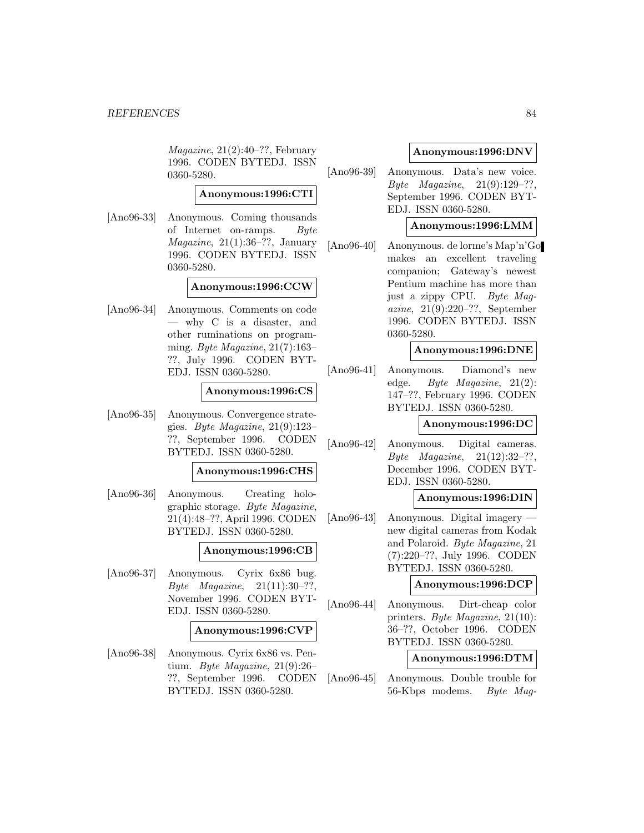Magazine, 21(2):40–??, February 1996. CODEN BYTEDJ. ISSN 0360-5280.

# **Anonymous:1996:CTI**

[Ano96-33] Anonymous. Coming thousands of Internet on-ramps. Byte  $Magazine, 21(1):36-??, January$ 1996. CODEN BYTEDJ. ISSN 0360-5280.

# **Anonymous:1996:CCW**

[Ano96-34] Anonymous. Comments on code — why C is a disaster, and other ruminations on programming. Byte Magazine, 21(7):163– ??, July 1996. CODEN BYT-EDJ. ISSN 0360-5280.

## **Anonymous:1996:CS**

[Ano96-35] Anonymous. Convergence strategies. Byte Magazine, 21(9):123– ??, September 1996. CODEN BYTEDJ. ISSN 0360-5280.

# **Anonymous:1996:CHS**

[Ano96-36] Anonymous. Creating holographic storage. Byte Magazine, 21(4):48–??, April 1996. CODEN BYTEDJ. ISSN 0360-5280.

# **Anonymous:1996:CB**

[Ano96-37] Anonymous. Cyrix 6x86 bug.  $Byte$   $Magazine$ ,  $21(11):30-??$ , November 1996. CODEN BYT-EDJ. ISSN 0360-5280.

### **Anonymous:1996:CVP**

[Ano96-38] Anonymous. Cyrix 6x86 vs. Pentium. Byte Magazine, 21(9):26– ??, September 1996. CODEN BYTEDJ. ISSN 0360-5280.

# **Anonymous:1996:DNV**

[Ano96-39] Anonymous. Data's new voice. Byte Magazine, 21(9):129–??, September 1996. CODEN BYT-EDJ. ISSN 0360-5280.

# **Anonymous:1996:LMM**

[Ano96-40] Anonymous. de lorme's Map'n'Go makes an excellent traveling companion; Gateway's newest Pentium machine has more than just a zippy CPU. Byte Magazine, 21(9):220–??, September 1996. CODEN BYTEDJ. ISSN 0360-5280.

# **Anonymous:1996:DNE**

[Ano96-41] Anonymous. Diamond's new edge. Byte Magazine, 21(2): 147–??, February 1996. CODEN BYTEDJ. ISSN 0360-5280.

### **Anonymous:1996:DC**

[Ano96-42] Anonymous. Digital cameras. Byte Magazine, 21(12):32–??, December 1996. CODEN BYT-EDJ. ISSN 0360-5280.

# **Anonymous:1996:DIN**

[Ano96-43] Anonymous. Digital imagery new digital cameras from Kodak and Polaroid. Byte Magazine, 21 (7):220–??, July 1996. CODEN BYTEDJ. ISSN 0360-5280.

### **Anonymous:1996:DCP**

[Ano96-44] Anonymous. Dirt-cheap color printers. Byte Magazine, 21(10): 36–??, October 1996. CODEN BYTEDJ. ISSN 0360-5280.

### **Anonymous:1996:DTM**

[Ano96-45] Anonymous. Double trouble for 56-Kbps modems. Byte Mag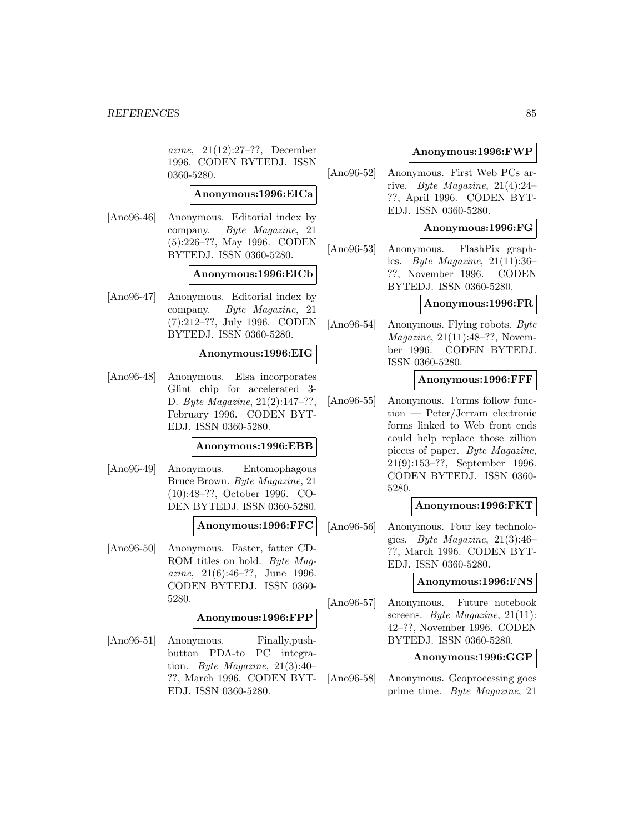azine, 21(12):27–??, December 1996. CODEN BYTEDJ. ISSN 0360-5280.

# **Anonymous:1996:EICa**

[Ano96-46] Anonymous. Editorial index by company. Byte Magazine, 21 (5):226–??, May 1996. CODEN BYTEDJ. ISSN 0360-5280.

### **Anonymous:1996:EICb**

[Ano96-47] Anonymous. Editorial index by company. Byte Magazine, 21 (7):212–??, July 1996. CODEN BYTEDJ. ISSN 0360-5280.

## **Anonymous:1996:EIG**

[Ano96-48] Anonymous. Elsa incorporates Glint chip for accelerated 3- D. Byte Magazine, 21(2):147–??, February 1996. CODEN BYT-EDJ. ISSN 0360-5280.

### **Anonymous:1996:EBB**

[Ano96-49] Anonymous. Entomophagous Bruce Brown. Byte Magazine, 21 (10):48–??, October 1996. CO-DEN BYTEDJ. ISSN 0360-5280.

## **Anonymous:1996:FFC**

[Ano96-50] Anonymous. Faster, fatter CD-ROM titles on hold. Byte Magazine, 21(6):46–??, June 1996. CODEN BYTEDJ. ISSN 0360- 5280.

# **Anonymous:1996:FPP**

[Ano96-51] Anonymous. Finally,pushbutton PDA-to PC integration. Byte Magazine, 21(3):40– ??, March 1996. CODEN BYT-EDJ. ISSN 0360-5280.

## **Anonymous:1996:FWP**

[Ano96-52] Anonymous. First Web PCs arrive. Byte Magazine, 21(4):24– ??, April 1996. CODEN BYT-EDJ. ISSN 0360-5280.

# **Anonymous:1996:FG**

[Ano96-53] Anonymous. FlashPix graphics. Byte Magazine,  $21(11):36$ ??, November 1996. CODEN BYTEDJ. ISSN 0360-5280.

## **Anonymous:1996:FR**

[Ano96-54] Anonymous. Flying robots. Byte Magazine, 21(11):48–??, November 1996. CODEN BYTEDJ. ISSN 0360-5280.

**Anonymous:1996:FFF**

[Ano96-55] Anonymous. Forms follow function — Peter/Jerram electronic forms linked to Web front ends could help replace those zillion pieces of paper. Byte Magazine, 21(9):153–??, September 1996. CODEN BYTEDJ. ISSN 0360- 5280.

## **Anonymous:1996:FKT**

[Ano96-56] Anonymous. Four key technologies. Byte Magazine, 21(3):46– ??, March 1996. CODEN BYT-EDJ. ISSN 0360-5280.

## **Anonymous:1996:FNS**

[Ano96-57] Anonymous. Future notebook screens. *Byte Magazine*, 21(11): 42–??, November 1996. CODEN BYTEDJ. ISSN 0360-5280.

### **Anonymous:1996:GGP**

[Ano96-58] Anonymous. Geoprocessing goes prime time. Byte Magazine, 21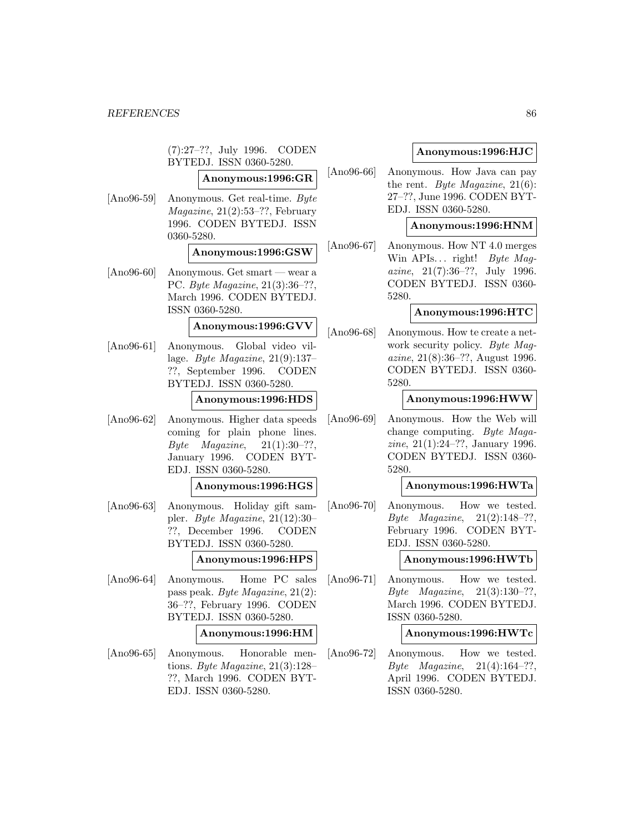(7):27–??, July 1996. CODEN BYTEDJ. ISSN 0360-5280. **Anonymous:1996:GR** [Ano96-59] Anonymous. Get real-time. Byte  $Magazine, 21(2):53-??, February$ 1996. CODEN BYTEDJ. ISSN 0360-5280. **Anonymous:1996:GSW** [Ano96-60] Anonymous. Get smart — wear a PC. Byte Magazine, 21(3):36–??, March 1996. CODEN BYTEDJ. ISSN 0360-5280. **Anonymous:1996:GVV** [Ano96-61] Anonymous. Global video village. Byte Magazine, 21(9):137– ??, September 1996. CODEN BYTEDJ. ISSN 0360-5280. **Anonymous:1996:HDS** [Ano96-62] Anonymous. Higher data speeds coming for plain phone lines. Byte Magazine,  $21(1):30-??$ , January 1996. CODEN BYT-EDJ. ISSN 0360-5280. **Anonymous:1996:HGS** [Ano96-63] Anonymous. Holiday gift sampler. Byte Magazine, 21(12):30– ??, December 1996. CODEN BYTEDJ. ISSN 0360-5280. **Anonymous:1996:HPS** [Ano96-64] Anonymous. Home PC sales pass peak. Byte Magazine, 21(2): 36–??, February 1996. CODEN BYTEDJ. ISSN 0360-5280. **Anonymous:1996:HM** [Ano96-65] Anonymous. Honorable mentions. Byte Magazine,  $21(3):128-$ ??, March 1996. CODEN BYT-EDJ. ISSN 0360-5280.

# **Anonymous:1996:HJC**

[Ano96-66] Anonymous. How Java can pay the rent. Byte Magazine,  $21(6)$ : 27–??, June 1996. CODEN BYT-EDJ. ISSN 0360-5280.

# **Anonymous:1996:HNM**

[Ano96-67] Anonymous. How NT 4.0 merges Win APIs... right! Byte Maqazine, 21(7):36–??, July 1996. CODEN BYTEDJ. ISSN 0360- 5280.

# **Anonymous:1996:HTC**

[Ano96-68] Anonymous. How te create a network security policy. Byte Magazine, 21(8):36–??, August 1996. CODEN BYTEDJ. ISSN 0360- 5280.

## **Anonymous:1996:HWW**

[Ano96-69] Anonymous. How the Web will change computing. Byte Magazine, 21(1):24–??, January 1996. CODEN BYTEDJ. ISSN 0360- 5280.

# **Anonymous:1996:HWTa**

[Ano96-70] Anonymous. How we tested. *Byte Magazine*,  $21(2):148-??$ , February 1996. CODEN BYT-EDJ. ISSN 0360-5280.

### **Anonymous:1996:HWTb**

[Ano96-71] Anonymous. How we tested. Byte Magazine, 21(3):130–??, March 1996. CODEN BYTEDJ. ISSN 0360-5280.

## **Anonymous:1996:HWTc**

[Ano96-72] Anonymous. How we tested. *Byte Magazine*,  $21(4):164-??$ , April 1996. CODEN BYTEDJ. ISSN 0360-5280.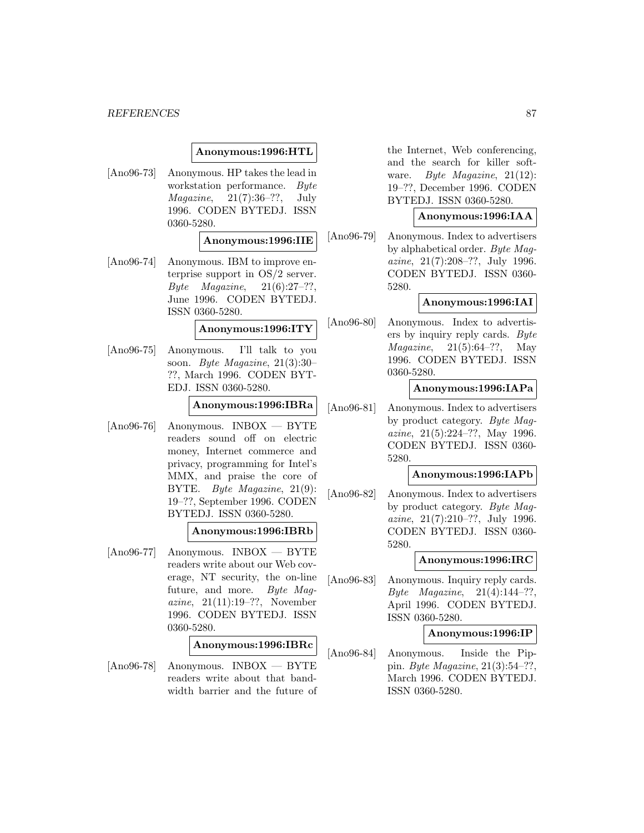# **Anonymous:1996:HTL**

[Ano96-73] Anonymous. HP takes the lead in workstation performance. Byte  $Magazine, 21(7):36-??, July$ 1996. CODEN BYTEDJ. ISSN 0360-5280.

### **Anonymous:1996:IIE**

[Ano96-74] Anonymous. IBM to improve enterprise support in OS/2 server. Byte Magazine,  $21(6):27-??,$ June 1996. CODEN BYTEDJ. ISSN 0360-5280.

# **Anonymous:1996:ITY**

[Ano96-75] Anonymous. I'll talk to you soon. Byte Magazine, 21(3):30– ??, March 1996. CODEN BYT-EDJ. ISSN 0360-5280.

# **Anonymous:1996:IBRa**

[Ano96-76] Anonymous. INBOX — BYTE readers sound off on electric money, Internet commerce and privacy, programming for Intel's MMX, and praise the core of BYTE. Byte Magazine, 21(9): 19–??, September 1996. CODEN BYTEDJ. ISSN 0360-5280.

### **Anonymous:1996:IBRb**

[Ano96-77] Anonymous. INBOX — BYTE readers write about our Web coverage, NT security, the on-line future, and more. Byte Magazine, 21(11):19–??, November 1996. CODEN BYTEDJ. ISSN 0360-5280.

# **Anonymous:1996:IBRc**

[Ano96-78] Anonymous. INBOX — BYTE readers write about that bandwidth barrier and the future of the Internet, Web conferencing, and the search for killer software. Byte Magazine, 21(12): 19–??, December 1996. CODEN BYTEDJ. ISSN 0360-5280.

### **Anonymous:1996:IAA**

[Ano96-79] Anonymous. Index to advertisers by alphabetical order. Byte Magazine, 21(7):208–??, July 1996. CODEN BYTEDJ. ISSN 0360- 5280.

### **Anonymous:1996:IAI**

[Ano96-80] Anonymous. Index to advertisers by inquiry reply cards. Byte *Magazine*,  $21(5):64-??$ , May 1996. CODEN BYTEDJ. ISSN 0360-5280.

## **Anonymous:1996:IAPa**

[Ano96-81] Anonymous. Index to advertisers by product category. Byte Magazine, 21(5):224–??, May 1996. CODEN BYTEDJ. ISSN 0360- 5280.

## **Anonymous:1996:IAPb**

[Ano96-82] Anonymous. Index to advertisers by product category. Byte Magazine, 21(7):210–??, July 1996. CODEN BYTEDJ. ISSN 0360- 5280.

### **Anonymous:1996:IRC**

[Ano96-83] Anonymous. Inquiry reply cards. Byte Magazine, 21(4):144–??, April 1996. CODEN BYTEDJ. ISSN 0360-5280.

### **Anonymous:1996:IP**

[Ano96-84] Anonymous. Inside the Pippin. Byte Magazine, 21(3):54–??, March 1996. CODEN BYTEDJ. ISSN 0360-5280.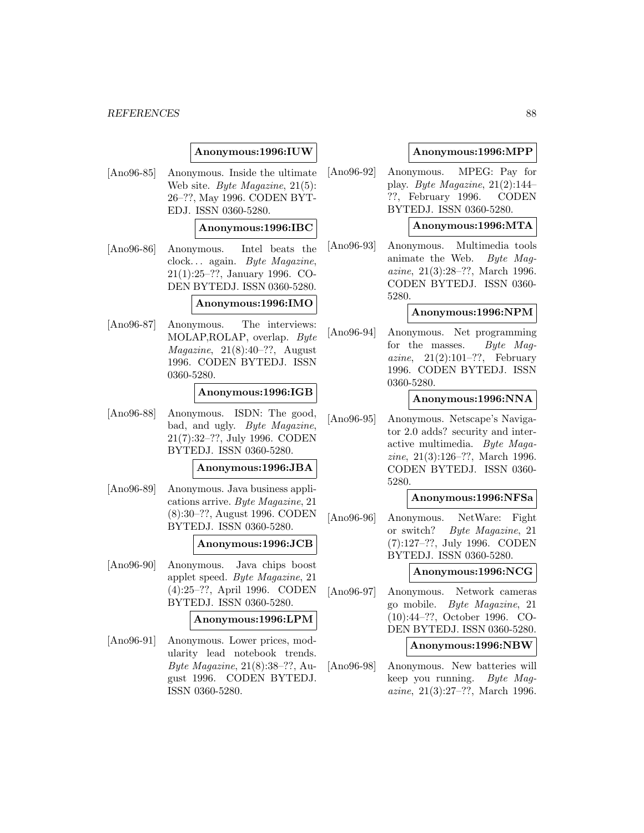# **Anonymous:1996:IUW**

[Ano96-85] Anonymous. Inside the ultimate Web site. *Byte Magazine*, 21(5): 26–??, May 1996. CODEN BYT-EDJ. ISSN 0360-5280.

# **Anonymous:1996:IBC**

[Ano96-86] Anonymous. Intel beats the clock... again. Byte Magazine, 21(1):25–??, January 1996. CO-DEN BYTEDJ. ISSN 0360-5280.

### **Anonymous:1996:IMO**

[Ano96-87] Anonymous. The interviews: MOLAP,ROLAP, overlap. Byte  $Magazine, 21(8):40-??, August$ 1996. CODEN BYTEDJ. ISSN 0360-5280.

### **Anonymous:1996:IGB**

[Ano96-88] Anonymous. ISDN: The good, bad, and ugly. Byte Magazine, 21(7):32–??, July 1996. CODEN BYTEDJ. ISSN 0360-5280.

### **Anonymous:1996:JBA**

[Ano96-89] Anonymous. Java business applications arrive. Byte Magazine, 21 (8):30–??, August 1996. CODEN BYTEDJ. ISSN 0360-5280.

### **Anonymous:1996:JCB**

[Ano96-90] Anonymous. Java chips boost applet speed. Byte Magazine, 21 (4):25–??, April 1996. CODEN BYTEDJ. ISSN 0360-5280.

### **Anonymous:1996:LPM**

[Ano96-91] Anonymous. Lower prices, modularity lead notebook trends. Byte Magazine, 21(8):38–??, August 1996. CODEN BYTEDJ. ISSN 0360-5280.

## **Anonymous:1996:MPP**

[Ano96-92] Anonymous. MPEG: Pay for play. Byte Magazine, 21(2):144– ??, February 1996. CODEN BYTEDJ. ISSN 0360-5280.

# **Anonymous:1996:MTA**

[Ano96-93] Anonymous. Multimedia tools animate the Web. Byte Magazine, 21(3):28–??, March 1996. CODEN BYTEDJ. ISSN 0360- 5280.

# **Anonymous:1996:NPM**

[Ano96-94] Anonymous. Net programming for the masses. Byte Magazine,  $21(2):101-??$ , February 1996. CODEN BYTEDJ. ISSN 0360-5280.

### **Anonymous:1996:NNA**

[Ano96-95] Anonymous. Netscape's Navigator 2.0 adds? security and interactive multimedia. Byte Magazine, 21(3):126–??, March 1996. CODEN BYTEDJ. ISSN 0360- 5280.

### **Anonymous:1996:NFSa**

[Ano96-96] Anonymous. NetWare: Fight or switch? Byte Magazine, 21 (7):127–??, July 1996. CODEN BYTEDJ. ISSN 0360-5280.

### **Anonymous:1996:NCG**

[Ano96-97] Anonymous. Network cameras go mobile. Byte Magazine, 21 (10):44–??, October 1996. CO-DEN BYTEDJ. ISSN 0360-5280.

### **Anonymous:1996:NBW**

[Ano96-98] Anonymous. New batteries will keep you running. Byte Magazine, 21(3):27–??, March 1996.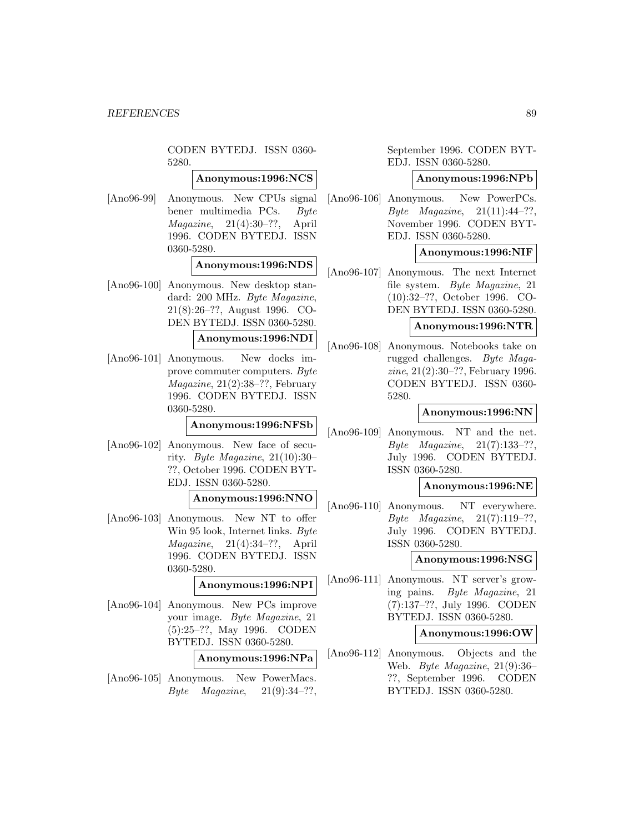CODEN BYTEDJ. ISSN 0360- 5280.

# **Anonymous:1996:NCS**

[Ano96-99] Anonymous. New CPUs signal bener multimedia PCs. Byte  $Magazine, 21(4):30-??,$  April 1996. CODEN BYTEDJ. ISSN 0360-5280.

# **Anonymous:1996:NDS**

[Ano96-100] Anonymous. New desktop standard: 200 MHz. Byte Magazine, 21(8):26–??, August 1996. CO-DEN BYTEDJ. ISSN 0360-5280.

#### **Anonymous:1996:NDI**

[Ano96-101] Anonymous. New docks improve commuter computers. Byte  $Magazine, 21(2):38-??, February$ 1996. CODEN BYTEDJ. ISSN 0360-5280.

### **Anonymous:1996:NFSb**

[Ano96-102] Anonymous. New face of security. Byte Magazine, 21(10):30– ??, October 1996. CODEN BYT-EDJ. ISSN 0360-5280.

#### **Anonymous:1996:NNO**

[Ano96-103] Anonymous. New NT to offer Win 95 look, Internet links. Byte Magazine, 21(4):34–??, April 1996. CODEN BYTEDJ. ISSN 0360-5280.

# **Anonymous:1996:NPI**

[Ano96-104] Anonymous. New PCs improve your image. Byte Magazine, 21 (5):25–??, May 1996. CODEN BYTEDJ. ISSN 0360-5280.

## **Anonymous:1996:NPa**

[Ano96-105] Anonymous. New PowerMacs. Byte Magazine,  $21(9):34-??$ ,

September 1996. CODEN BYT-EDJ. ISSN 0360-5280.

### **Anonymous:1996:NPb**

[Ano96-106] Anonymous. New PowerPCs. Byte Magazine,  $21(11):44-??$ , November 1996. CODEN BYT-EDJ. ISSN 0360-5280.

## **Anonymous:1996:NIF**

[Ano96-107] Anonymous. The next Internet file system. Byte Magazine, 21 (10):32–??, October 1996. CO-DEN BYTEDJ. ISSN 0360-5280.

#### **Anonymous:1996:NTR**

[Ano96-108] Anonymous. Notebooks take on rugged challenges. Byte Magazine, 21(2):30–??, February 1996. CODEN BYTEDJ. ISSN 0360- 5280.

### **Anonymous:1996:NN**

[Ano96-109] Anonymous. NT and the net. Byte Magazine, 21(7):133–??, July 1996. CODEN BYTEDJ. ISSN 0360-5280.

# **Anonymous:1996:NE**

[Ano96-110] Anonymous. NT everywhere. Byte Magazine,  $21(7):119-??$ , July 1996. CODEN BYTEDJ. ISSN 0360-5280.

### **Anonymous:1996:NSG**

[Ano96-111] Anonymous. NT server's growing pains. Byte Magazine, 21 (7):137–??, July 1996. CODEN BYTEDJ. ISSN 0360-5280.

### **Anonymous:1996:OW**

[Ano96-112] Anonymous. Objects and the Web. Byte Magazine, 21(9):36– ??, September 1996. CODEN BYTEDJ. ISSN 0360-5280.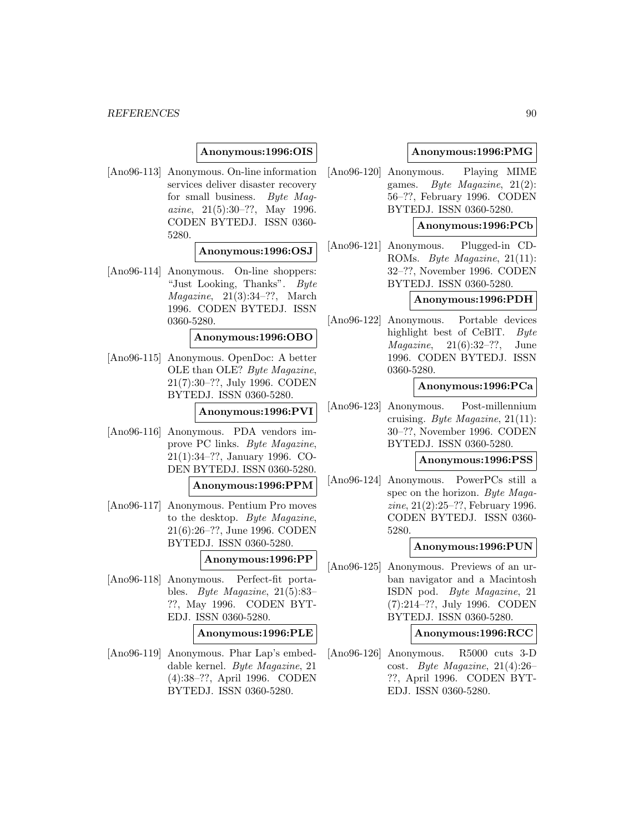# **Anonymous:1996:OIS**

[Ano96-113] Anonymous. On-line information services deliver disaster recovery for small business. Byte Magazine, 21(5):30–??, May 1996. CODEN BYTEDJ. ISSN 0360- 5280.

### **Anonymous:1996:OSJ**

[Ano96-114] Anonymous. On-line shoppers: "Just Looking, Thanks". Byte  $Magazine, 21(3):34-??, March$ 1996. CODEN BYTEDJ. ISSN 0360-5280.

#### **Anonymous:1996:OBO**

[Ano96-115] Anonymous. OpenDoc: A better OLE than OLE? Byte Magazine, 21(7):30–??, July 1996. CODEN BYTEDJ. ISSN 0360-5280.

## **Anonymous:1996:PVI**

[Ano96-116] Anonymous. PDA vendors improve PC links. Byte Magazine, 21(1):34–??, January 1996. CO-DEN BYTEDJ. ISSN 0360-5280.

#### **Anonymous:1996:PPM**

[Ano96-117] Anonymous. Pentium Pro moves to the desktop. Byte Magazine, 21(6):26–??, June 1996. CODEN BYTEDJ. ISSN 0360-5280.

### **Anonymous:1996:PP**

[Ano96-118] Anonymous. Perfect-fit portables. Byte Magazine, 21(5):83– ??, May 1996. CODEN BYT-EDJ. ISSN 0360-5280.

### **Anonymous:1996:PLE**

[Ano96-119] Anonymous. Phar Lap's embeddable kernel. Byte Magazine, 21 (4):38–??, April 1996. CODEN BYTEDJ. ISSN 0360-5280.

### **Anonymous:1996:PMG**

[Ano96-120] Anonymous. Playing MIME games. Byte Magazine, 21(2): 56–??, February 1996. CODEN BYTEDJ. ISSN 0360-5280.

# **Anonymous:1996:PCb**

[Ano96-121] Anonymous. Plugged-in CD-ROMs. Byte Magazine, 21(11): 32–??, November 1996. CODEN BYTEDJ. ISSN 0360-5280.

# **Anonymous:1996:PDH**

[Ano96-122] Anonymous. Portable devices highlight best of CeBIT. Byte  $Magazine, 21(6):32-??, June$ 1996. CODEN BYTEDJ. ISSN 0360-5280.

# **Anonymous:1996:PCa**

[Ano96-123] Anonymous. Post-millennium cruising. Byte Magazine, 21(11): 30–??, November 1996. CODEN BYTEDJ. ISSN 0360-5280.

### **Anonymous:1996:PSS**

[Ano96-124] Anonymous. PowerPCs still a spec on the horizon. Byte Magazine, 21(2):25–??, February 1996. CODEN BYTEDJ. ISSN 0360- 5280.

### **Anonymous:1996:PUN**

[Ano96-125] Anonymous. Previews of an urban navigator and a Macintosh ISDN pod. Byte Magazine, 21 (7):214–??, July 1996. CODEN BYTEDJ. ISSN 0360-5280.

### **Anonymous:1996:RCC**

[Ano96-126] Anonymous. R5000 cuts 3-D cost. Byte Magazine, 21(4):26– ??, April 1996. CODEN BYT-EDJ. ISSN 0360-5280.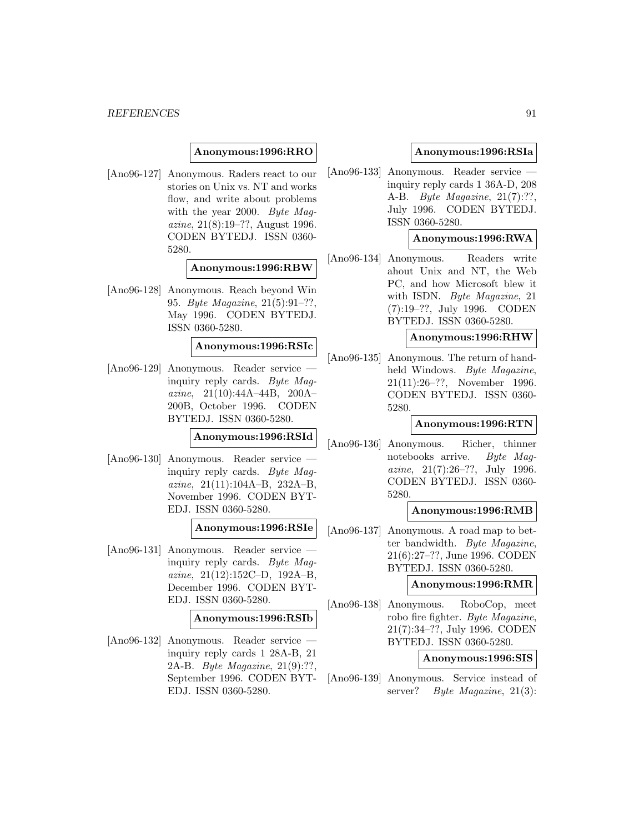# **Anonymous:1996:RRO**

[Ano96-127] Anonymous. Raders react to our stories on Unix vs. NT and works flow, and write about problems with the year 2000. Byte Magazine, 21(8):19–??, August 1996. CODEN BYTEDJ. ISSN 0360- 5280.

# **Anonymous:1996:RBW**

[Ano96-128] Anonymous. Reach beyond Win 95. Byte Magazine, 21(5):91–??, May 1996. CODEN BYTEDJ. ISSN 0360-5280.

# **Anonymous:1996:RSIc**

[Ano96-129] Anonymous. Reader service inquiry reply cards. Byte Magazine, 21(10):44A–44B, 200A– 200B, October 1996. CODEN BYTEDJ. ISSN 0360-5280.

# **Anonymous:1996:RSId**

[Ano96-130] Anonymous. Reader service inquiry reply cards. Byte Magazine, 21(11):104A–B, 232A–B, November 1996. CODEN BYT-EDJ. ISSN 0360-5280.

### **Anonymous:1996:RSIe**

[Ano96-131] Anonymous. Reader service inquiry reply cards. Byte Magazine, 21(12):152C–D, 192A–B, December 1996. CODEN BYT-EDJ. ISSN 0360-5280.

# **Anonymous:1996:RSIb**

[Ano96-132] Anonymous. Reader service inquiry reply cards 1 28A-B, 21 2A-B. Byte Magazine, 21(9):??, September 1996. CODEN BYT-EDJ. ISSN 0360-5280.

## **Anonymous:1996:RSIa**

[Ano96-133] Anonymous. Reader service inquiry reply cards 1 36A-D, 208 A-B. Byte Magazine, 21(7):??, July 1996. CODEN BYTEDJ. ISSN 0360-5280.

## **Anonymous:1996:RWA**

[Ano96-134] Anonymous. Readers write ahout Unix and NT, the Web PC, and how Microsoft blew it with ISDN. *Byte Magazine*, 21 (7):19–??, July 1996. CODEN BYTEDJ. ISSN 0360-5280.

#### **Anonymous:1996:RHW**

[Ano96-135] Anonymous. The return of handheld Windows. Byte Magazine, 21(11):26–??, November 1996. CODEN BYTEDJ. ISSN 0360- 5280.

### **Anonymous:1996:RTN**

[Ano96-136] Anonymous. Richer, thinner notebooks arrive. Byte Magazine, 21(7):26–??, July 1996. CODEN BYTEDJ. ISSN 0360- 5280.

### **Anonymous:1996:RMB**

[Ano96-137] Anonymous. A road map to better bandwidth. Byte Magazine, 21(6):27–??, June 1996. CODEN BYTEDJ. ISSN 0360-5280.

### **Anonymous:1996:RMR**

[Ano96-138] Anonymous. RoboCop, meet robo fire fighter. Byte Magazine, 21(7):34–??, July 1996. CODEN BYTEDJ. ISSN 0360-5280.

## **Anonymous:1996:SIS**

[Ano96-139] Anonymous. Service instead of server? Byte Magazine, 21(3):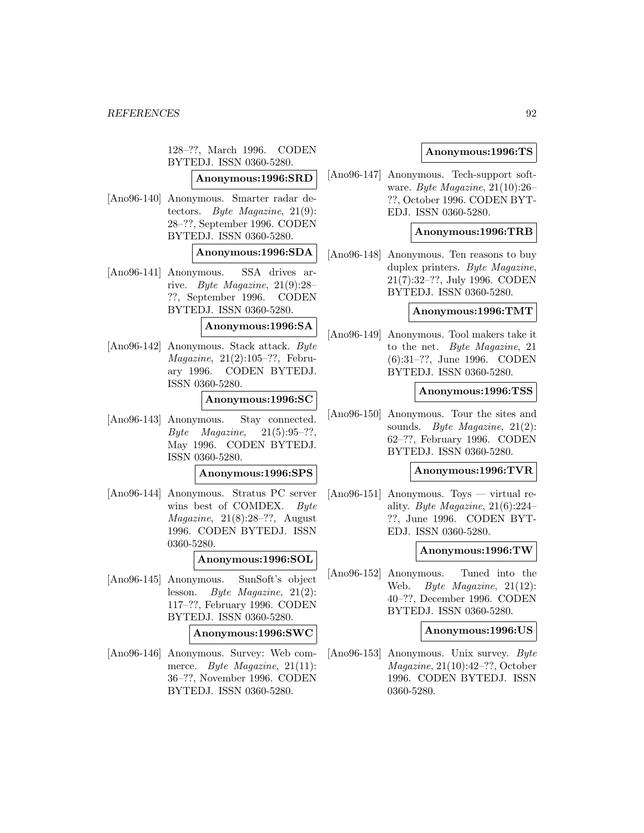128–??, March 1996. CODEN BYTEDJ. ISSN 0360-5280.

**Anonymous:1996:SRD**

[Ano96-140] Anonymous. Smarter radar detectors. Byte Magazine, 21(9): 28–??, September 1996. CODEN BYTEDJ. ISSN 0360-5280.

## **Anonymous:1996:SDA**

[Ano96-141] Anonymous. SSA drives arrive. Byte Magazine, 21(9):28– ??, September 1996. CODEN BYTEDJ. ISSN 0360-5280.

**Anonymous:1996:SA**

[Ano96-142] Anonymous. Stack attack. Byte Magazine, 21(2):105–??, February 1996. CODEN BYTEDJ. ISSN 0360-5280.

# **Anonymous:1996:SC**

[Ano96-143] Anonymous. Stay connected. Byte Magazine,  $21(5):95-??$ . May 1996. CODEN BYTEDJ. ISSN 0360-5280.

### **Anonymous:1996:SPS**

[Ano96-144] Anonymous. Stratus PC server wins best of COMDEX. Byte  $Magazine, 21(8):28-??, August$ 1996. CODEN BYTEDJ. ISSN 0360-5280.

# **Anonymous:1996:SOL**

[Ano96-145] Anonymous. SunSoft's object lesson. Byte Magazine, 21(2): 117–??, February 1996. CODEN BYTEDJ. ISSN 0360-5280.

### **Anonymous:1996:SWC**

[Ano96-146] Anonymous. Survey: Web commerce. *Byte Magazine*, 21(11): 36–??, November 1996. CODEN BYTEDJ. ISSN 0360-5280.

# **Anonymous:1996:TS**

[Ano96-147] Anonymous. Tech-support software. Byte Magazine, 21(10):26– ??, October 1996. CODEN BYT-EDJ. ISSN 0360-5280.

### **Anonymous:1996:TRB**

[Ano96-148] Anonymous. Ten reasons to buy duplex printers. Byte Magazine, 21(7):32–??, July 1996. CODEN BYTEDJ. ISSN 0360-5280.

# **Anonymous:1996:TMT**

[Ano96-149] Anonymous. Tool makers take it to the net. Byte Magazine, 21 (6):31–??, June 1996. CODEN BYTEDJ. ISSN 0360-5280.

### **Anonymous:1996:TSS**

[Ano96-150] Anonymous. Tour the sites and sounds. Byte Magazine, 21(2): 62–??, February 1996. CODEN BYTEDJ. ISSN 0360-5280.

### **Anonymous:1996:TVR**

[Ano96-151] Anonymous. Toys — virtual reality. Byte Magazine, 21(6):224– ??, June 1996. CODEN BYT-EDJ. ISSN 0360-5280.

### **Anonymous:1996:TW**

[Ano96-152] Anonymous. Tuned into the Web. Byte Magazine, 21(12): 40–??, December 1996. CODEN BYTEDJ. ISSN 0360-5280.

### **Anonymous:1996:US**

[Ano96-153] Anonymous. Unix survey. Byte Magazine, 21(10):42–??, October 1996. CODEN BYTEDJ. ISSN 0360-5280.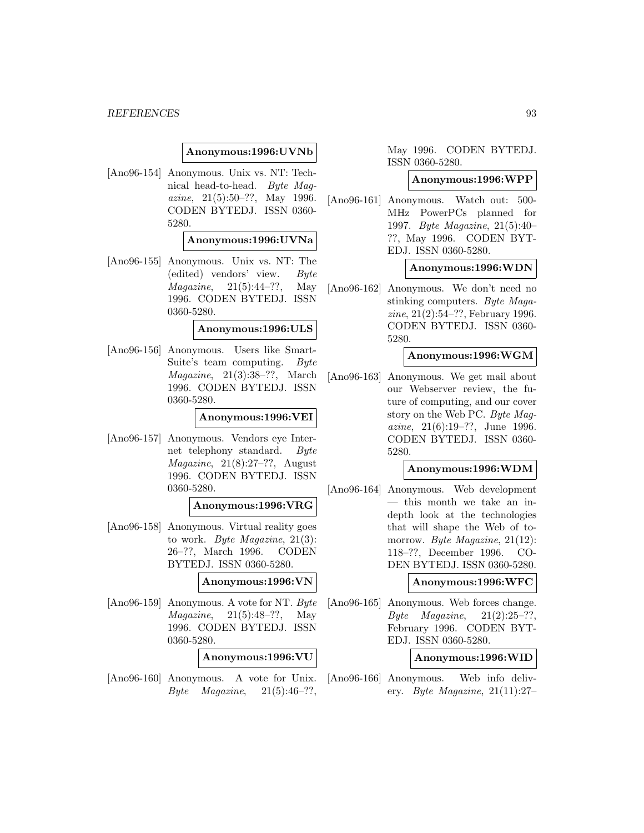## **Anonymous:1996:UVNb**

[Ano96-154] Anonymous. Unix vs. NT: Technical head-to-head. Byte Magazine, 21(5):50–??, May 1996. CODEN BYTEDJ. ISSN 0360- 5280.

### **Anonymous:1996:UVNa**

[Ano96-155] Anonymous. Unix vs. NT: The (edited) vendors' view. Byte *Magazine*,  $21(5):44-??$ , May 1996. CODEN BYTEDJ. ISSN 0360-5280.

# **Anonymous:1996:ULS**

[Ano96-156] Anonymous. Users like Smart-Suite's team computing. Byte Magazine, 21(3):38–??, March 1996. CODEN BYTEDJ. ISSN 0360-5280.

## **Anonymous:1996:VEI**

[Ano96-157] Anonymous. Vendors eye Internet telephony standard. Byte  $Magazine, 21(8):27-??, August$ 1996. CODEN BYTEDJ. ISSN 0360-5280.

### **Anonymous:1996:VRG**

[Ano96-158] Anonymous. Virtual reality goes to work. Byte Magazine, 21(3): 26–??, March 1996. CODEN BYTEDJ. ISSN 0360-5280.

## **Anonymous:1996:VN**

[Ano96-159] Anonymous. A vote for NT. Byte *Magazine*,  $21(5):48-??$ , May 1996. CODEN BYTEDJ. ISSN 0360-5280.

### **Anonymous:1996:VU**

[Ano96-160] Anonymous. A vote for Unix. Byte Magazine,  $21(5):46-??$ ,

May 1996. CODEN BYTEDJ. ISSN 0360-5280.

### **Anonymous:1996:WPP**

[Ano96-161] Anonymous. Watch out: 500- MHz PowerPCs planned for 1997. Byte Magazine, 21(5):40– ??, May 1996. CODEN BYT-EDJ. ISSN 0360-5280.

### **Anonymous:1996:WDN**

[Ano96-162] Anonymous. We don't need no stinking computers. Byte Magazine, 21(2):54–??, February 1996. CODEN BYTEDJ. ISSN 0360- 5280.

### **Anonymous:1996:WGM**

[Ano96-163] Anonymous. We get mail about our Webserver review, the future of computing, and our cover story on the Web PC. Byte Magazine, 21(6):19–??, June 1996. CODEN BYTEDJ. ISSN 0360- 5280.

# **Anonymous:1996:WDM**

[Ano96-164] Anonymous. Web development — this month we take an indepth look at the technologies that will shape the Web of tomorrow. Byte Magazine, 21(12): 118–??, December 1996. CO-DEN BYTEDJ. ISSN 0360-5280.

### **Anonymous:1996:WFC**

[Ano96-165] Anonymous. Web forces change. Byte Magazine,  $21(2):25-??$ , February 1996. CODEN BYT-EDJ. ISSN 0360-5280.

## **Anonymous:1996:WID**

[Ano96-166] Anonymous. Web info delivery. Byte Magazine,  $21(11):27$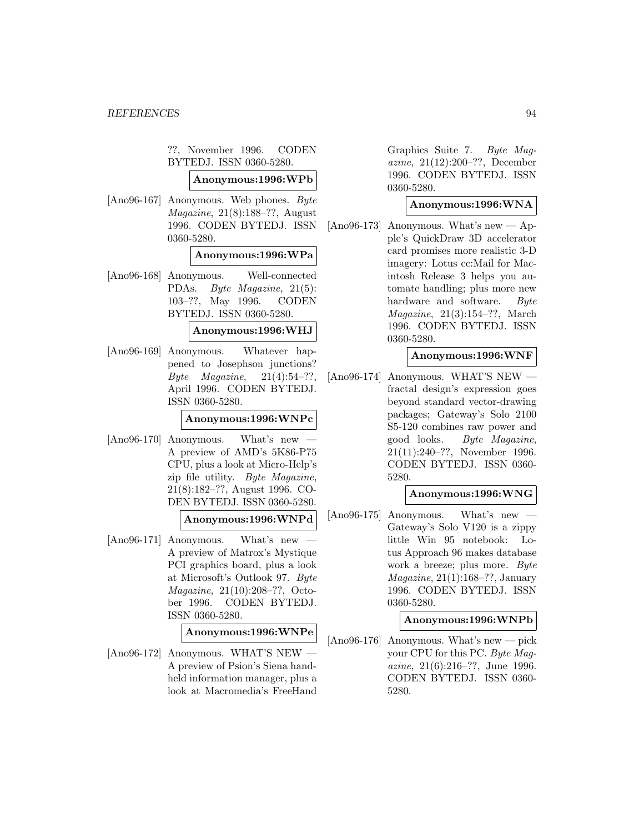??, November 1996. CODEN BYTEDJ. ISSN 0360-5280.

# **Anonymous:1996:WPb**

[Ano96-167] Anonymous. Web phones. Byte Magazine, 21(8):188–??, August 1996. CODEN BYTEDJ. ISSN 0360-5280.

### **Anonymous:1996:WPa**

[Ano96-168] Anonymous. Well-connected PDAs. Byte Magazine, 21(5): 103–??, May 1996. CODEN BYTEDJ. ISSN 0360-5280.

## **Anonymous:1996:WHJ**

[Ano96-169] Anonymous. Whatever happened to Josephson junctions? Byte Magazine,  $21(4):54-??$ , April 1996. CODEN BYTEDJ. ISSN 0360-5280.

### **Anonymous:1996:WNPc**

 $[Ano96-170]$  Anonymous. What's new A preview of AMD's 5K86-P75 CPU, plus a look at Micro-Help's zip file utility. Byte Magazine, 21(8):182–??, August 1996. CO-DEN BYTEDJ. ISSN 0360-5280.

# **Anonymous:1996:WNPd**

[Ano96-171] Anonymous. What's new — A preview of Matrox's Mystique PCI graphics board, plus a look at Microsoft's Outlook 97. Byte Magazine, 21(10):208–??, October 1996. CODEN BYTEDJ. ISSN 0360-5280.

# **Anonymous:1996:WNPe**

[Ano96-172] Anonymous. WHAT'S NEW — A preview of Psion's Siena handheld information manager, plus a look at Macromedia's FreeHand

Graphics Suite 7. Byte Magazine, 21(12):200–??, December 1996. CODEN BYTEDJ. ISSN 0360-5280.

### **Anonymous:1996:WNA**

[Ano96-173] Anonymous. What's new — Apple's QuickDraw 3D accelerator card promises more realistic 3-D imagery: Lotus cc:Mail for Macintosh Release 3 helps you automate handling; plus more new hardware and software. Byte Magazine, 21(3):154–??, March 1996. CODEN BYTEDJ. ISSN 0360-5280.

### **Anonymous:1996:WNF**

[Ano96-174] Anonymous. WHAT'S NEW fractal design's expression goes beyond standard vector-drawing packages; Gateway's Solo 2100 S5-120 combines raw power and good looks. Byte Magazine, 21(11):240–??, November 1996. CODEN BYTEDJ. ISSN 0360- 5280.

# **Anonymous:1996:WNG**

 $[Ano96-175]$  Anonymous. What's new Gateway's Solo V120 is a zippy little Win 95 notebook: Lotus Approach 96 makes database work a breeze; plus more. Byte Magazine, 21(1):168–??, January 1996. CODEN BYTEDJ. ISSN 0360-5280.

### **Anonymous:1996:WNPb**

[Ano96-176] Anonymous. What's new — pick your CPU for this PC. Byte Magazine, 21(6):216–??, June 1996. CODEN BYTEDJ. ISSN 0360- 5280.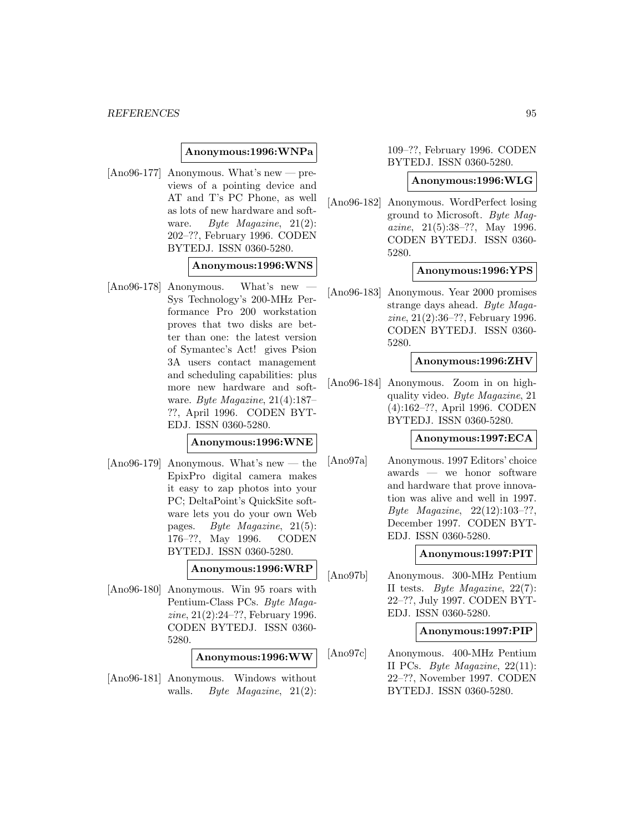### **Anonymous:1996:WNPa**

[Ano96-177] Anonymous. What's new — previews of a pointing device and AT and T's PC Phone, as well as lots of new hardware and software. Byte Magazine, 21(2): 202–??, February 1996. CODEN BYTEDJ. ISSN 0360-5280.

### **Anonymous:1996:WNS**

 $[Ano96-178]$  Anonymous. What's new Sys Technology's 200-MHz Performance Pro 200 workstation proves that two disks are better than one: the latest version of Symantec's Act! gives Psion 3A users contact management and scheduling capabilities: plus more new hardware and software. Byte Magazine, 21(4):187– ??, April 1996. CODEN BYT-EDJ. ISSN 0360-5280.

# **Anonymous:1996:WNE**

 $[Ano96-179]$  Anonymous. What's new — the EpixPro digital camera makes it easy to zap photos into your PC; DeltaPoint's QuickSite software lets you do your own Web pages. Byte Magazine, 21(5): 176–??, May 1996. CODEN BYTEDJ. ISSN 0360-5280.

**Anonymous:1996:WRP**

[Ano96-180] Anonymous. Win 95 roars with Pentium-Class PCs. Byte Magazine, 21(2):24–??, February 1996. CODEN BYTEDJ. ISSN 0360- 5280.

### **Anonymous:1996:WW**

[Ano96-181] Anonymous. Windows without walls. Byte Magazine,  $21(2)$ :

109–??, February 1996. CODEN BYTEDJ. ISSN 0360-5280.

#### **Anonymous:1996:WLG**

[Ano96-182] Anonymous. WordPerfect losing ground to Microsoft. Byte Magazine, 21(5):38–??, May 1996. CODEN BYTEDJ. ISSN 0360- 5280.

### **Anonymous:1996:YPS**

[Ano96-183] Anonymous. Year 2000 promises strange days ahead. Byte Magazine, 21(2):36–??, February 1996. CODEN BYTEDJ. ISSN 0360- 5280.

## **Anonymous:1996:ZHV**

[Ano96-184] Anonymous. Zoom in on highquality video. Byte Magazine, 21 (4):162–??, April 1996. CODEN BYTEDJ. ISSN 0360-5280.

# **Anonymous:1997:ECA**

[Ano97a] Anonymous. 1997 Editors' choice awards — we honor software and hardware that prove innovation was alive and well in 1997. Byte Magazine, 22(12):103–??, December 1997. CODEN BYT-EDJ. ISSN 0360-5280.

## **Anonymous:1997:PIT**

[Ano97b] Anonymous. 300-MHz Pentium II tests. Byte Magazine, 22(7): 22–??, July 1997. CODEN BYT-EDJ. ISSN 0360-5280.

### **Anonymous:1997:PIP**

[Ano97c] Anonymous. 400-MHz Pentium II PCs. Byte Magazine, 22(11): 22–??, November 1997. CODEN BYTEDJ. ISSN 0360-5280.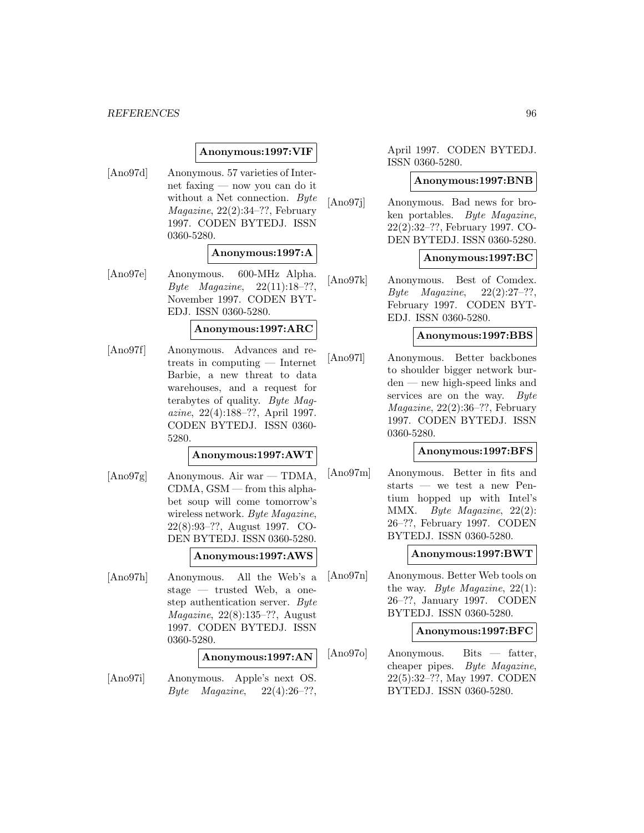# **Anonymous:1997:VIF**

[Ano97d] Anonymous. 57 varieties of Internet faxing — now you can do it without a Net connection. Byte Magazine, 22(2):34–??, February 1997. CODEN BYTEDJ. ISSN 0360-5280.

# **Anonymous:1997:A**

[Ano97e] Anonymous. 600-MHz Alpha. Byte Magazine, 22(11):18–??, November 1997. CODEN BYT-EDJ. ISSN 0360-5280.

# **Anonymous:1997:ARC**

[Ano97f] Anonymous. Advances and retreats in computing — Internet Barbie, a new threat to data warehouses, and a request for terabytes of quality. Byte Magazine, 22(4):188–??, April 1997. CODEN BYTEDJ. ISSN 0360- 5280.

# **Anonymous:1997:AWT**

[Ano97g] Anonymous. Air war — TDMA, CDMA, GSM — from this alphabet soup will come tomorrow's wireless network. Byte Magazine, 22(8):93–??, August 1997. CO-DEN BYTEDJ. ISSN 0360-5280.

# **Anonymous:1997:AWS**

[Ano97h] Anonymous. All the Web's a stage — trusted Web, a onestep authentication server. Byte Magazine, 22(8):135–??, August 1997. CODEN BYTEDJ. ISSN 0360-5280.

### **Anonymous:1997:AN**

[Ano97i] Anonymous. Apple's next OS. Byte Magazine,  $22(4):26-??$ ,

April 1997. CODEN BYTEDJ. ISSN 0360-5280.

### **Anonymous:1997:BNB**

[Ano97j] Anonymous. Bad news for broken portables. Byte Magazine, 22(2):32–??, February 1997. CO-DEN BYTEDJ. ISSN 0360-5280.

# **Anonymous:1997:BC**

[Ano97k] Anonymous. Best of Comdex.  $Byte$   $Magazine$ ,  $22(2):27-??$ , February 1997. CODEN BYT-EDJ. ISSN 0360-5280.

### **Anonymous:1997:BBS**

[Ano97l] Anonymous. Better backbones to shoulder bigger network burden — new high-speed links and services are on the way. Byte Magazine, 22(2):36–??, February 1997. CODEN BYTEDJ. ISSN 0360-5280.

### **Anonymous:1997:BFS**

[Ano97m] Anonymous. Better in fits and starts — we test a new Pentium hopped up with Intel's MMX. Byte Magazine, 22(2): 26–??, February 1997. CODEN BYTEDJ. ISSN 0360-5280.

# **Anonymous:1997:BWT**

[Ano97n] Anonymous. Better Web tools on the way. Byte Magazine,  $22(1)$ : 26–??, January 1997. CODEN BYTEDJ. ISSN 0360-5280.

### **Anonymous:1997:BFC**

[Ano97o] Anonymous. Bits — fatter, cheaper pipes. Byte Magazine, 22(5):32–??, May 1997. CODEN BYTEDJ. ISSN 0360-5280.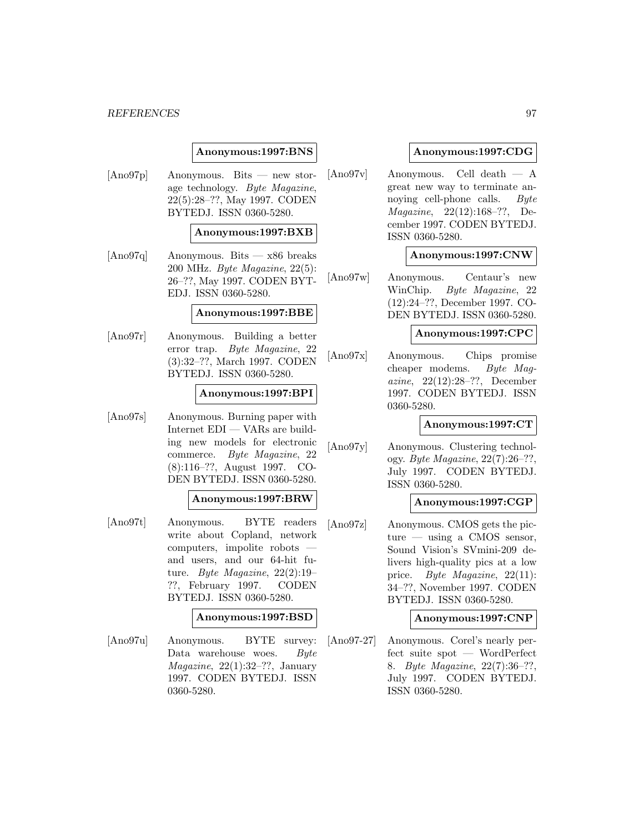# **Anonymous:1997:BNS**

[Ano97p] Anonymous. Bits — new storage technology. Byte Magazine, 22(5):28–??, May 1997. CODEN BYTEDJ. ISSN 0360-5280.

### **Anonymous:1997:BXB**

[Ano97q] Anonymous. Bits — x86 breaks 200 MHz. Byte Magazine, 22(5): 26–??, May 1997. CODEN BYT-EDJ. ISSN 0360-5280.

#### **Anonymous:1997:BBE**

[Ano97r] Anonymous. Building a better error trap. Byte Magazine, 22 (3):32–??, March 1997. CODEN BYTEDJ. ISSN 0360-5280.

### **Anonymous:1997:BPI**

[Ano97s] Anonymous. Burning paper with Internet EDI — VARs are building new models for electronic commerce. Byte Magazine, 22 (8):116–??, August 1997. CO-DEN BYTEDJ. ISSN 0360-5280.

### **Anonymous:1997:BRW**

[Ano97t] Anonymous. BYTE readers write about Copland, network computers, impolite robots and users, and our 64-hit future. Byte Magazine, 22(2):19– ??, February 1997. CODEN BYTEDJ. ISSN 0360-5280.

### **Anonymous:1997:BSD**

[Ano97u] Anonymous. BYTE survey: Data warehouse woes. Byte  $Magazine, 22(1):32-??, January$ 1997. CODEN BYTEDJ. ISSN 0360-5280.

# **Anonymous:1997:CDG**

[Ano97v] Anonymous. Cell death — A great new way to terminate annoying cell-phone calls. Byte Magazine, 22(12):168–??, December 1997. CODEN BYTEDJ. ISSN 0360-5280.

## **Anonymous:1997:CNW**

[Ano97w] Anonymous. Centaur's new WinChip. Byte Magazine, 22 (12):24–??, December 1997. CO-DEN BYTEDJ. ISSN 0360-5280.

# **Anonymous:1997:CPC**

[Ano97x] Anonymous. Chips promise cheaper modems. Byte Magazine, 22(12):28–??, December 1997. CODEN BYTEDJ. ISSN 0360-5280.

### **Anonymous:1997:CT**

[Ano97y] Anonymous. Clustering technology. Byte Magazine, 22(7):26–??, July 1997. CODEN BYTEDJ. ISSN 0360-5280.

# **Anonymous:1997:CGP**

[Ano97z] Anonymous. CMOS gets the picture — using a CMOS sensor, Sound Vision's SVmini-209 delivers high-quality pics at a low price. Byte Magazine, 22(11): 34–??, November 1997. CODEN BYTEDJ. ISSN 0360-5280.

## **Anonymous:1997:CNP**

[Ano97-27] Anonymous. Corel's nearly perfect suite spot — WordPerfect 8. Byte Magazine, 22(7):36–??, July 1997. CODEN BYTEDJ. ISSN 0360-5280.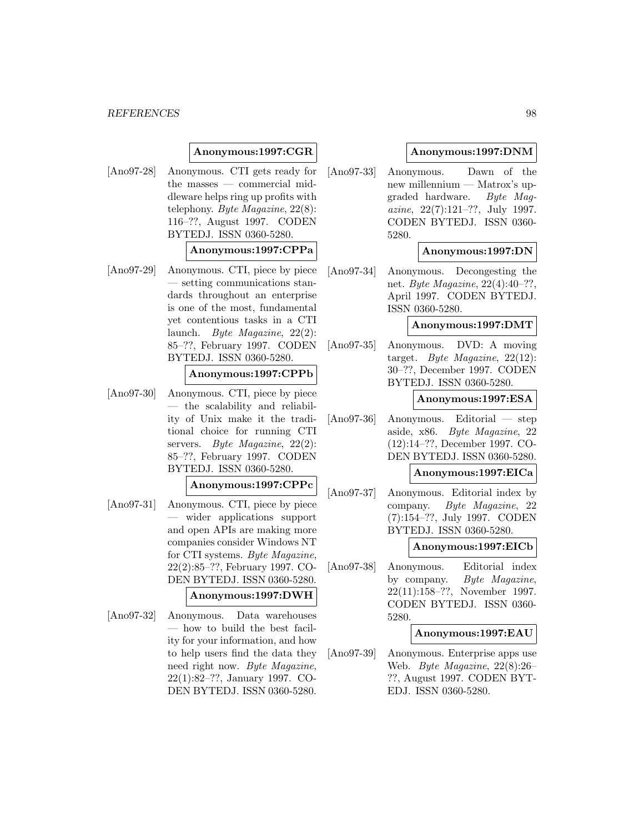# **Anonymous:1997:CGR**

[Ano97-28] Anonymous. CTI gets ready for the masses — commercial middleware helps ring up profits with telephony. Byte Magazine, 22(8): 116–??, August 1997. CODEN BYTEDJ. ISSN 0360-5280.

### **Anonymous:1997:CPPa**

[Ano97-29] Anonymous. CTI, piece by piece — setting communications standards throughout an enterprise is one of the most, fundamental yet contentious tasks in a CTI launch. Byte Magazine, 22(2): 85–??, February 1997. CODEN BYTEDJ. ISSN 0360-5280.

## **Anonymous:1997:CPPb**

[Ano97-30] Anonymous. CTI, piece by piece — the scalability and reliability of Unix make it the traditional choice for running CTI servers. Byte Magazine,  $22(2)$ : 85–??, February 1997. CODEN BYTEDJ. ISSN 0360-5280.

# **Anonymous:1997:CPPc**

[Ano97-31] Anonymous. CTI, piece by piece — wider applications support and open APIs are making more companies consider Windows NT for CTI systems. Byte Magazine, 22(2):85–??, February 1997. CO-DEN BYTEDJ. ISSN 0360-5280.

### **Anonymous:1997:DWH**

[Ano97-32] Anonymous. Data warehouses — how to build the best facility for your information, and how to help users find the data they need right now. Byte Magazine, 22(1):82–??, January 1997. CO-DEN BYTEDJ. ISSN 0360-5280.

## **Anonymous:1997:DNM**

[Ano97-33] Anonymous. Dawn of the new millennium — Matrox's upgraded hardware. Byte Magazine, 22(7):121–??, July 1997. CODEN BYTEDJ. ISSN 0360- 5280.

## **Anonymous:1997:DN**

[Ano97-34] Anonymous. Decongesting the net. Byte Magazine, 22(4):40–??, April 1997. CODEN BYTEDJ. ISSN 0360-5280.

## **Anonymous:1997:DMT**

[Ano97-35] Anonymous. DVD: A moving target. Byte Magazine, 22(12): 30–??, December 1997. CODEN BYTEDJ. ISSN 0360-5280.

### **Anonymous:1997:ESA**

[Ano97-36] Anonymous. Editorial — step aside, x86. Byte Magazine, 22 (12):14–??, December 1997. CO-DEN BYTEDJ. ISSN 0360-5280.

# **Anonymous:1997:EICa**

[Ano97-37] Anonymous. Editorial index by company. Byte Magazine, 22 (7):154–??, July 1997. CODEN BYTEDJ. ISSN 0360-5280.

### **Anonymous:1997:EICb**

[Ano97-38] Anonymous. Editorial index by company. Byte Magazine, 22(11):158–??, November 1997. CODEN BYTEDJ. ISSN 0360- 5280.

## **Anonymous:1997:EAU**

[Ano97-39] Anonymous. Enterprise apps use Web. Byte Magazine, 22(8):26– ??, August 1997. CODEN BYT-EDJ. ISSN 0360-5280.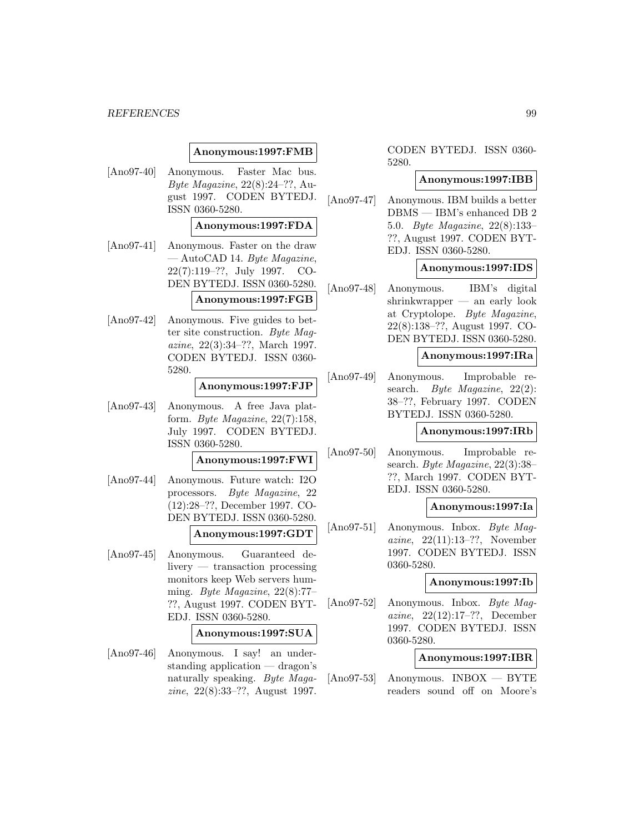# **Anonymous:1997:FMB**

[Ano97-40] Anonymous. Faster Mac bus. Byte Magazine, 22(8):24–??, August 1997. CODEN BYTEDJ. ISSN 0360-5280.

# **Anonymous:1997:FDA**

[Ano97-41] Anonymous. Faster on the draw  $-$  AutoCAD 14. Byte Magazine, 22(7):119–??, July 1997. CO-DEN BYTEDJ. ISSN 0360-5280.

### **Anonymous:1997:FGB**

[Ano97-42] Anonymous. Five guides to better site construction. Byte Magazine, 22(3):34–??, March 1997. CODEN BYTEDJ. ISSN 0360- 5280.

# **Anonymous:1997:FJP**

[Ano97-43] Anonymous. A free Java platform. Byte Magazine,  $22(7)$ :158, July 1997. CODEN BYTEDJ. ISSN 0360-5280.

### **Anonymous:1997:FWI**

[Ano97-44] Anonymous. Future watch: I2O processors. Byte Magazine, 22 (12):28–??, December 1997. CO-DEN BYTEDJ. ISSN 0360-5280.

# **Anonymous:1997:GDT**

[Ano97-45] Anonymous. Guaranteed delivery — transaction processing monitors keep Web servers humming. Byte Magazine, 22(8):77– ??, August 1997. CODEN BYT-EDJ. ISSN 0360-5280.

### **Anonymous:1997:SUA**

[Ano97-46] Anonymous. I say! an understanding application — dragon's naturally speaking. Byte Magazine, 22(8):33–??, August 1997.

CODEN BYTEDJ. ISSN 0360- 5280.

#### **Anonymous:1997:IBB**

[Ano97-47] Anonymous. IBM builds a better DBMS — IBM's enhanced DB 2 5.0. Byte Magazine, 22(8):133– ??, August 1997. CODEN BYT-EDJ. ISSN 0360-5280.

## **Anonymous:1997:IDS**

[Ano97-48] Anonymous. IBM's digital shrinkwrapper — an early look at Cryptolope. Byte Magazine, 22(8):138–??, August 1997. CO-DEN BYTEDJ. ISSN 0360-5280.

### **Anonymous:1997:IRa**

[Ano97-49] Anonymous. Improbable research. Byte Magazine,  $22(2)$ : 38–??, February 1997. CODEN BYTEDJ. ISSN 0360-5280.

#### **Anonymous:1997:IRb**

[Ano97-50] Anonymous. Improbable research. Byte Magazine, 22(3):38– ??, March 1997. CODEN BYT-EDJ. ISSN 0360-5280.

### **Anonymous:1997:Ia**

[Ano97-51] Anonymous. Inbox. Byte Magazine, 22(11):13–??, November 1997. CODEN BYTEDJ. ISSN 0360-5280.

### **Anonymous:1997:Ib**

[Ano97-52] Anonymous. Inbox. Byte Magazine, 22(12):17–??, December 1997. CODEN BYTEDJ. ISSN 0360-5280.

## **Anonymous:1997:IBR**

[Ano97-53] Anonymous. INBOX — BYTE readers sound off on Moore's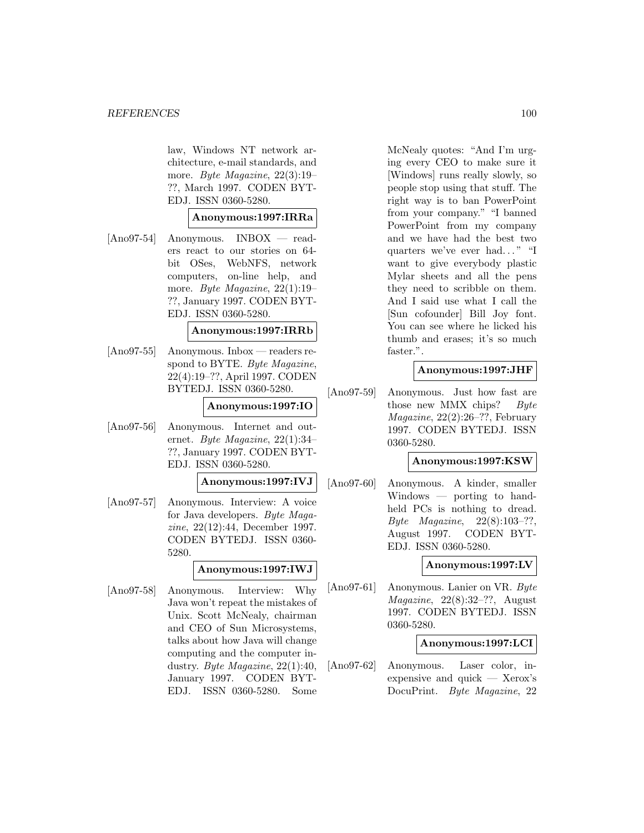law, Windows NT network architecture, e-mail standards, and more. Byte Magazine, 22(3):19– ??, March 1997. CODEN BYT-EDJ. ISSN 0360-5280.

## **Anonymous:1997:IRRa**

[Ano97-54] Anonymous. INBOX — readers react to our stories on 64 bit OSes, WebNFS, network computers, on-line help, and more. Byte Magazine, 22(1):19– ??, January 1997. CODEN BYT-EDJ. ISSN 0360-5280.

# **Anonymous:1997:IRRb**

[Ano97-55] Anonymous. Inbox — readers respond to BYTE. Byte Magazine, 22(4):19–??, April 1997. CODEN BYTEDJ. ISSN 0360-5280.

## **Anonymous:1997:IO**

[Ano97-56] Anonymous. Internet and outernet. Byte Magazine, 22(1):34– ??, January 1997. CODEN BYT-EDJ. ISSN 0360-5280.

**Anonymous:1997:IVJ**

[Ano97-57] Anonymous. Interview: A voice for Java developers. Byte Magazine, 22(12):44, December 1997. CODEN BYTEDJ. ISSN 0360- 5280.

### **Anonymous:1997:IWJ**

[Ano97-58] Anonymous. Interview: Why Java won't repeat the mistakes of Unix. Scott McNealy, chairman and CEO of Sun Microsystems, talks about how Java will change computing and the computer industry. Byte Magazine, 22(1):40, January 1997. CODEN BYT-EDJ. ISSN 0360-5280. Some

McNealy quotes: "And I'm urging every CEO to make sure it [Windows] runs really slowly, so people stop using that stuff. The right way is to ban PowerPoint from your company." "I banned PowerPoint from my company and we have had the best two quarters we've ever had... " "I want to give everybody plastic Mylar sheets and all the pens they need to scribble on them. And I said use what I call the [Sun cofounder] Bill Joy font. You can see where he licked his thumb and erases; it's so much faster.".

## **Anonymous:1997:JHF**

[Ano97-59] Anonymous. Just how fast are those new MMX chips?  $Byte$ Magazine, 22(2):26–??, February 1997. CODEN BYTEDJ. ISSN 0360-5280.

### **Anonymous:1997:KSW**

[Ano97-60] Anonymous. A kinder, smaller Windows — porting to handheld PCs is nothing to dread. Byte Magazine, 22(8):103–??, August 1997. CODEN BYT-EDJ. ISSN 0360-5280.

### **Anonymous:1997:LV**

[Ano97-61] Anonymous. Lanier on VR. Byte Magazine, 22(8):32–??, August 1997. CODEN BYTEDJ. ISSN 0360-5280.

### **Anonymous:1997:LCI**

[Ano97-62] Anonymous. Laser color, inexpensive and quick — Xerox's DocuPrint. Byte Magazine, 22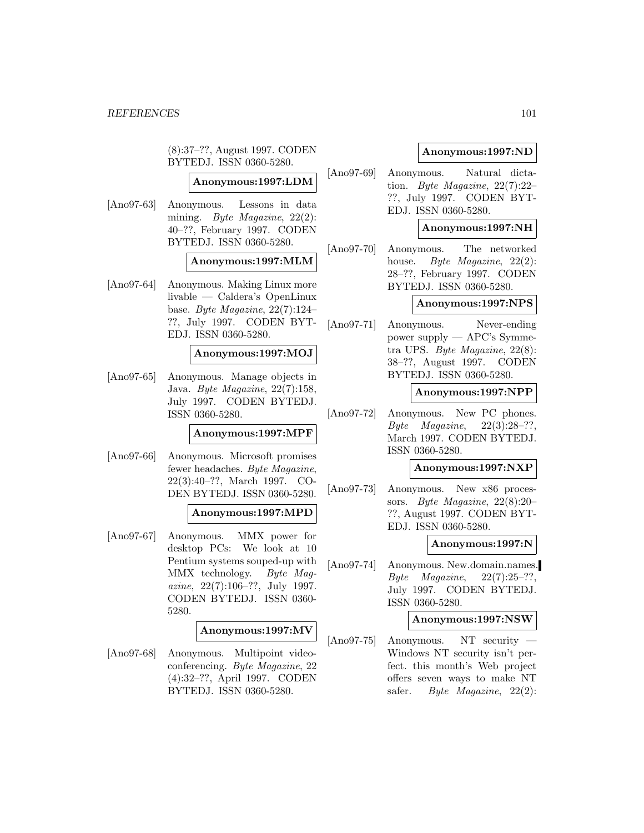(8):37–??, August 1997. CODEN BYTEDJ. ISSN 0360-5280.

# **Anonymous:1997:LDM**

[Ano97-63] Anonymous. Lessons in data mining. *Byte Magazine*, 22(2): 40–??, February 1997. CODEN BYTEDJ. ISSN 0360-5280.

## **Anonymous:1997:MLM**

[Ano97-64] Anonymous. Making Linux more livable — Caldera's OpenLinux base. Byte Magazine, 22(7):124– ??, July 1997. CODEN BYT-EDJ. ISSN 0360-5280.

### **Anonymous:1997:MOJ**

[Ano97-65] Anonymous. Manage objects in Java. Byte Magazine, 22(7):158, July 1997. CODEN BYTEDJ. ISSN 0360-5280.

# **Anonymous:1997:MPF**

[Ano97-66] Anonymous. Microsoft promises fewer headaches. Byte Magazine, 22(3):40–??, March 1997. CO-DEN BYTEDJ. ISSN 0360-5280.

### **Anonymous:1997:MPD**

[Ano97-67] Anonymous. MMX power for desktop PCs: We look at 10 Pentium systems souped-up with MMX technology. Byte Magazine, 22(7):106–??, July 1997. CODEN BYTEDJ. ISSN 0360- 5280.

# **Anonymous:1997:MV**

[Ano97-68] Anonymous. Multipoint videoconferencing. Byte Magazine, 22 (4):32–??, April 1997. CODEN BYTEDJ. ISSN 0360-5280.

# **Anonymous:1997:ND**

[Ano97-69] Anonymous. Natural dictation. Byte Magazine, 22(7):22– ??, July 1997. CODEN BYT-EDJ. ISSN 0360-5280.

# **Anonymous:1997:NH**

[Ano97-70] Anonymous. The networked house. *Byte Magazine*, 22(2): 28–??, February 1997. CODEN BYTEDJ. ISSN 0360-5280.

## **Anonymous:1997:NPS**

[Ano97-71] Anonymous. Never-ending power supply — APC's Symmetra UPS. Byte Magazine, 22(8): 38–??, August 1997. CODEN BYTEDJ. ISSN 0360-5280.

## **Anonymous:1997:NPP**

[Ano97-72] Anonymous. New PC phones. Byte Magazine,  $22(3):28-??$ , March 1997. CODEN BYTEDJ. ISSN 0360-5280.

# **Anonymous:1997:NXP**

[Ano97-73] Anonymous. New x86 processors. Byte Magazine, 22(8):20– ??, August 1997. CODEN BYT-EDJ. ISSN 0360-5280.

### **Anonymous:1997:N**

[Ano97-74] Anonymous. New.domain.names. Byte Magazine,  $22(7):25-??$ , July 1997. CODEN BYTEDJ. ISSN 0360-5280.

### **Anonymous:1997:NSW**

[Ano97-75] Anonymous. NT security — Windows NT security isn't perfect. this month's Web project offers seven ways to make NT safer. *Byte Magazine*, 22(2):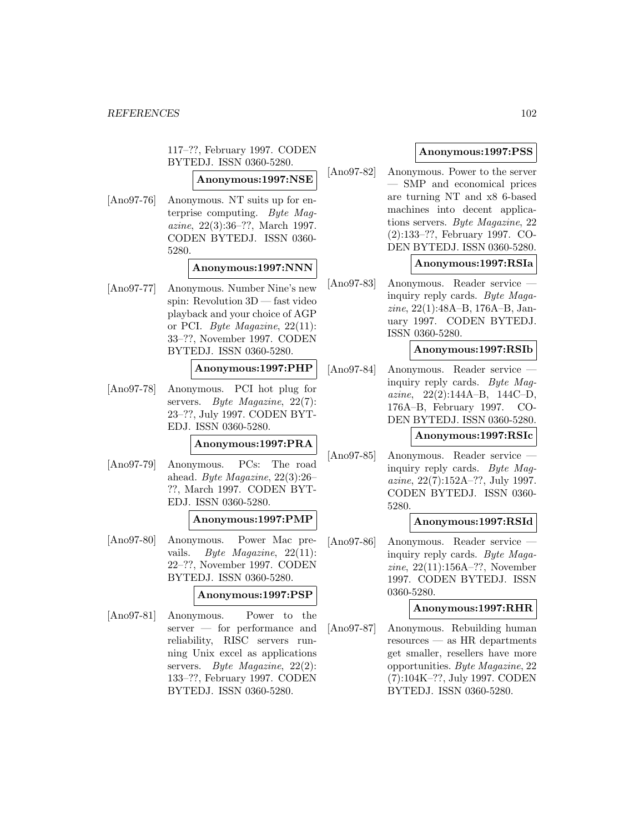117–??, February 1997. CODEN BYTEDJ. ISSN 0360-5280.

**Anonymous:1997:NSE**

[Ano97-76] Anonymous. NT suits up for enterprise computing. Byte Magazine, 22(3):36–??, March 1997. CODEN BYTEDJ. ISSN 0360- 5280.

# **Anonymous:1997:NNN**

[Ano97-77] Anonymous. Number Nine's new spin: Revolution 3D — fast video playback and your choice of AGP or PCI. Byte Magazine,  $22(11)$ : 33–??, November 1997. CODEN BYTEDJ. ISSN 0360-5280.

# **Anonymous:1997:PHP**

[Ano97-78] Anonymous. PCI hot plug for servers. *Byte Magazine*, 22(7): 23–??, July 1997. CODEN BYT-EDJ. ISSN 0360-5280.

# **Anonymous:1997:PRA**

[Ano97-79] Anonymous. PCs: The road ahead. Byte Magazine, 22(3):26– ??, March 1997. CODEN BYT-EDJ. ISSN 0360-5280.

# **Anonymous:1997:PMP**

[Ano97-80] Anonymous. Power Mac prevails. Byte Magazine, 22(11): 22–??, November 1997. CODEN BYTEDJ. ISSN 0360-5280.

# **Anonymous:1997:PSP**

[Ano97-81] Anonymous. Power to the server — for performance and reliability, RISC servers running Unix excel as applications servers. Byte Magazine,  $22(2)$ : 133–??, February 1997. CODEN BYTEDJ. ISSN 0360-5280.

# **Anonymous:1997:PSS**

[Ano97-82] Anonymous. Power to the server — SMP and economical prices are turning NT and x8 6-based machines into decent applications servers. Byte Magazine, 22 (2):133–??, February 1997. CO-DEN BYTEDJ. ISSN 0360-5280.

# **Anonymous:1997:RSIa**

[Ano97-83] Anonymous. Reader service inquiry reply cards. Byte Magazine, 22(1):48A–B, 176A–B, January 1997. CODEN BYTEDJ. ISSN 0360-5280.

## **Anonymous:1997:RSIb**

[Ano97-84] Anonymous. Reader service inquiry reply cards. Byte Magazine, 22(2):144A–B, 144C–D, 176A–B, February 1997. CO-DEN BYTEDJ. ISSN 0360-5280.

## **Anonymous:1997:RSIc**

[Ano97-85] Anonymous. Reader service inquiry reply cards. Byte Magazine, 22(7):152A–??, July 1997. CODEN BYTEDJ. ISSN 0360- 5280.

# **Anonymous:1997:RSId**

[Ano97-86] Anonymous. Reader service inquiry reply cards. Byte Magazine, 22(11):156A–??, November 1997. CODEN BYTEDJ. ISSN 0360-5280.

# **Anonymous:1997:RHR**

[Ano97-87] Anonymous. Rebuilding human resources — as HR departments get smaller, resellers have more opportunities. Byte Magazine, 22 (7):104K–??, July 1997. CODEN BYTEDJ. ISSN 0360-5280.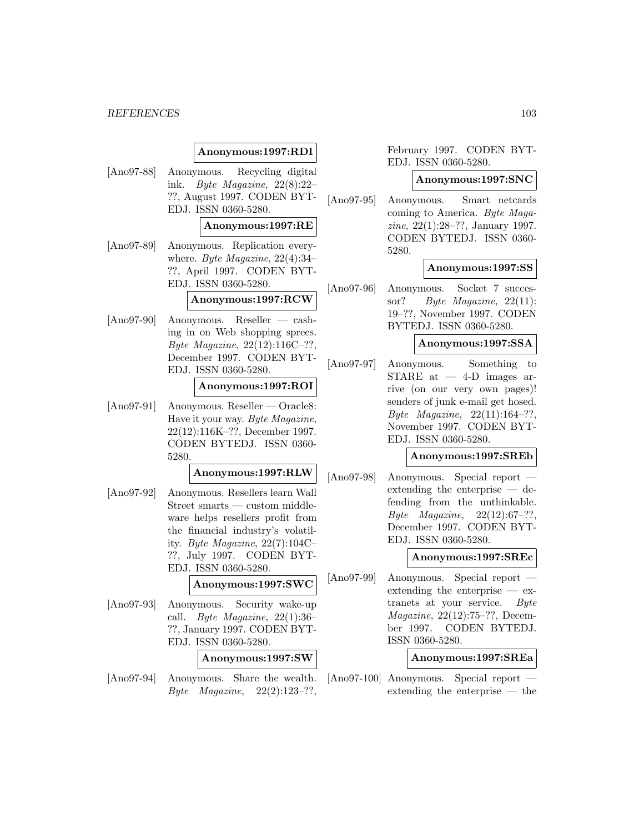# **Anonymous:1997:RDI**

[Ano97-88] Anonymous. Recycling digital ink. Byte Magazine, 22(8):22– ??, August 1997. CODEN BYT-EDJ. ISSN 0360-5280.

# **Anonymous:1997:RE**

[Ano97-89] Anonymous. Replication everywhere. Byte Magazine, 22(4):34– ??, April 1997. CODEN BYT-EDJ. ISSN 0360-5280.

## **Anonymous:1997:RCW**

[Ano97-90] Anonymous. Reseller — cashing in on Web shopping sprees. Byte Magazine, 22(12):116C–??, December 1997. CODEN BYT-EDJ. ISSN 0360-5280.

# **Anonymous:1997:ROI**

[Ano97-91] Anonymous. Reseller — Oracle8: Have it your way. Byte Magazine, 22(12):116K–??, December 1997. CODEN BYTEDJ. ISSN 0360- 5280.

# **Anonymous:1997:RLW**

[Ano97-92] Anonymous. Resellers learn Wall Street smarts — custom middleware helps resellers profit from the financial industry's volatility. Byte Magazine,  $22(7):104C-$ ??, July 1997. CODEN BYT-EDJ. ISSN 0360-5280.

# **Anonymous:1997:SWC**

[Ano97-93] Anonymous. Security wake-up call. Byte Magazine, 22(1):36– ??, January 1997. CODEN BYT-EDJ. ISSN 0360-5280.

## **Anonymous:1997:SW**

[Ano97-94] Anonymous. Share the wealth. Byte Magazine,  $22(2):123-??$ 

# February 1997. CODEN BYT-EDJ. ISSN 0360-5280.

### **Anonymous:1997:SNC**

[Ano97-95] Anonymous. Smart netcards coming to America. Byte Magazine, 22(1):28–??, January 1997. CODEN BYTEDJ. ISSN 0360- 5280.

### **Anonymous:1997:SS**

[Ano97-96] Anonymous. Socket 7 successor? Byte Magazine, 22(11): 19–??, November 1997. CODEN BYTEDJ. ISSN 0360-5280.

### **Anonymous:1997:SSA**

[Ano97-97] Anonymous. Something to  $STARE$  at  $-4-D$  images arrive (on our very own pages)! senders of junk e-mail get hosed. Byte Magazine,  $22(11):164-??$ , November 1997. CODEN BYT-EDJ. ISSN 0360-5280.

### **Anonymous:1997:SREb**

[Ano97-98] Anonymous. Special report extending the enterprise — defending from the unthinkable. Byte Magazine, 22(12):67–??, December 1997. CODEN BYT-EDJ. ISSN 0360-5280.

## **Anonymous:1997:SREc**

[Ano97-99] Anonymous. Special report extending the enterprise — extranets at your service. Byte Magazine, 22(12):75–??, December 1997. CODEN BYTEDJ. ISSN 0360-5280.

# **Anonymous:1997:SREa**

[Ano97-100] Anonymous. Special report extending the enterprise — the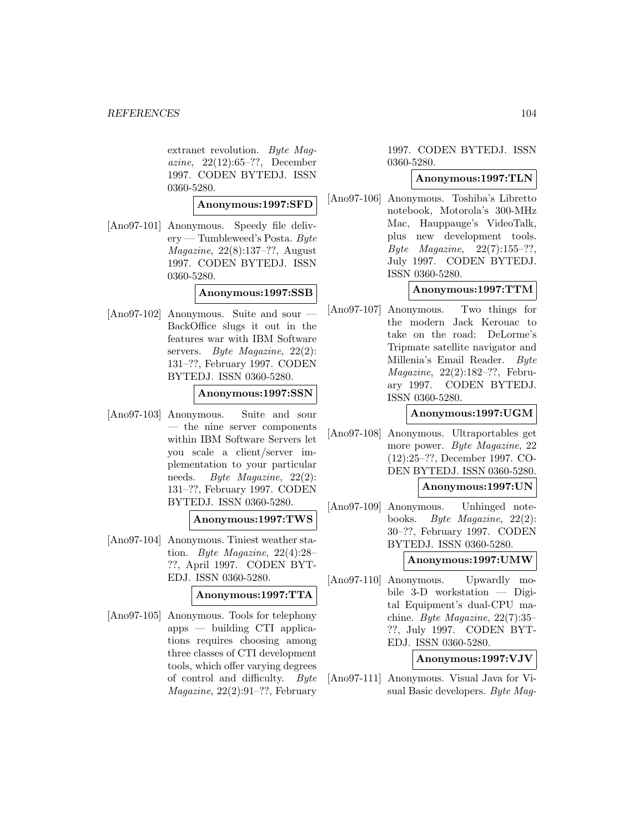extranet revolution. Byte Magazine, 22(12):65–??, December 1997. CODEN BYTEDJ. ISSN 0360-5280.

**Anonymous:1997:SFD**

[Ano97-101] Anonymous. Speedy file deliv $ery$  — Tumbleweed's Posta. Byte Magazine, 22(8):137–??, August 1997. CODEN BYTEDJ. ISSN 0360-5280.

**Anonymous:1997:SSB**

 $[Ano97-102]$  Anonymous. Suite and sour BackOffice slugs it out in the features war with IBM Software servers. Byte Magazine, 22(2): 131–??, February 1997. CODEN BYTEDJ. ISSN 0360-5280.

### **Anonymous:1997:SSN**

[Ano97-103] Anonymous. Suite and sour — the nine server components within IBM Software Servers let you scale a client/server implementation to your particular needs. Byte Magazine, 22(2): 131–??, February 1997. CODEN BYTEDJ. ISSN 0360-5280.

### **Anonymous:1997:TWS**

[Ano97-104] Anonymous. Tiniest weather station. Byte Magazine, 22(4):28– ??, April 1997. CODEN BYT-EDJ. ISSN 0360-5280.

# **Anonymous:1997:TTA**

[Ano97-105] Anonymous. Tools for telephony apps — building CTI applications requires choosing among three classes of CTI development tools, which offer varying degrees of control and difficulty. Byte Magazine, 22(2):91–??, February

1997. CODEN BYTEDJ. ISSN 0360-5280.

### **Anonymous:1997:TLN**

[Ano97-106] Anonymous. Toshiba's Libretto notebook, Motorola's 300-MHz Mac, Hauppauge's VideoTalk, plus new development tools. *Byte Magazine*,  $22(7):155-??$ , July 1997. CODEN BYTEDJ. ISSN 0360-5280.

## **Anonymous:1997:TTM**

[Ano97-107] Anonymous. Two things for the modern Jack Kerouac to take on the road: DeLorme's Tripmate satellite navigator and Millenia's Email Reader. Byte Magazine, 22(2):182–??, February 1997. CODEN BYTEDJ. ISSN 0360-5280.

### **Anonymous:1997:UGM**

[Ano97-108] Anonymous. Ultraportables get more power. Byte Magazine, 22 (12):25–??, December 1997. CO-DEN BYTEDJ. ISSN 0360-5280.

# **Anonymous:1997:UN**

[Ano97-109] Anonymous. Unhinged notebooks. Byte Magazine, 22(2): 30–??, February 1997. CODEN BYTEDJ. ISSN 0360-5280.

### **Anonymous:1997:UMW**

[Ano97-110] Anonymous. Upwardly mobile 3-D workstation — Digital Equipment's dual-CPU machine. Byte Magazine, 22(7):35– ??, July 1997. CODEN BYT-EDJ. ISSN 0360-5280.

## **Anonymous:1997:VJV**

[Ano97-111] Anonymous. Visual Java for Visual Basic developers. Byte Mag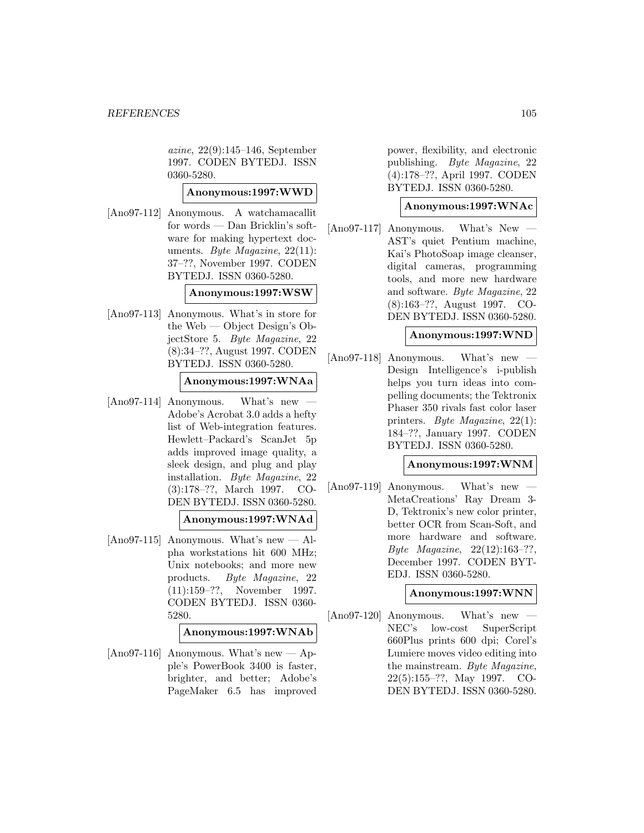azine, 22(9):145–146, September 1997. CODEN BYTEDJ. ISSN 0360-5280.

# **Anonymous:1997:WWD**

[Ano97-112] Anonymous. A watchamacallit for words — Dan Bricklin's software for making hypertext documents. Byte Magazine,  $22(11)$ : 37–??, November 1997. CODEN BYTEDJ. ISSN 0360-5280.

# **Anonymous:1997:WSW**

[Ano97-113] Anonymous. What's in store for the Web — Object Design's ObjectStore 5. Byte Magazine, 22 (8):34–??, August 1997. CODEN BYTEDJ. ISSN 0360-5280.

# **Anonymous:1997:WNAa**

 $[Ano97-114]$  Anonymous. What's new Adobe's Acrobat 3.0 adds a hefty list of Web-integration features. Hewlett–Packard's ScanJet 5p adds improved image quality, a sleek design, and plug and play installation. Byte Magazine, 22 (3):178–??, March 1997. CO-DEN BYTEDJ. ISSN 0360-5280.

# **Anonymous:1997:WNAd**

 $[Ano97-115]$  Anonymous. What's new — Alpha workstations hit 600 MHz; Unix notebooks; and more new products. Byte Magazine, 22 (11):159–??, November 1997. CODEN BYTEDJ. ISSN 0360- 5280.

**Anonymous:1997:WNAb**

[Ano97-116] Anonymous. What's new  $\rightarrow$  Apple's PowerBook 3400 is faster, brighter, and better; Adobe's PageMaker 6.5 has improved

power, flexibility, and electronic publishing. Byte Magazine, 22 (4):178–??, April 1997. CODEN BYTEDJ. ISSN 0360-5280.

# **Anonymous:1997:WNAc**

 $[Ano97-117]$  Anonymous. What's New AST's quiet Pentium machine, Kai's PhotoSoap image cleanser, digital cameras, programming tools, and more new hardware and software. Byte Magazine, 22 (8):163–??, August 1997. CO-DEN BYTEDJ. ISSN 0360-5280.

# **Anonymous:1997:WND**

[Ano97-118] Anonymous. What's new — Design Intelligence's i-publish helps you turn ideas into compelling documents; the Tektronix Phaser 350 rivals fast color laser printers. Byte Magazine, 22(1): 184–??, January 1997. CODEN BYTEDJ. ISSN 0360-5280.

# **Anonymous:1997:WNM**

 $[Ano97-119]$  Anonymous. What's new MetaCreations' Ray Dream 3- D, Tektronix's new color printer, better OCR from Scan-Soft, and more hardware and software. Byte Magazine, 22(12):163–??, December 1997. CODEN BYT-EDJ. ISSN 0360-5280.

# **Anonymous:1997:WNN**

[Ano97-120] Anonymous. What's new — NEC's low-cost SuperScript 660Plus prints 600 dpi; Corel's Lumiere moves video editing into the mainstream. Byte Magazine, 22(5):155–??, May 1997. CO-DEN BYTEDJ. ISSN 0360-5280.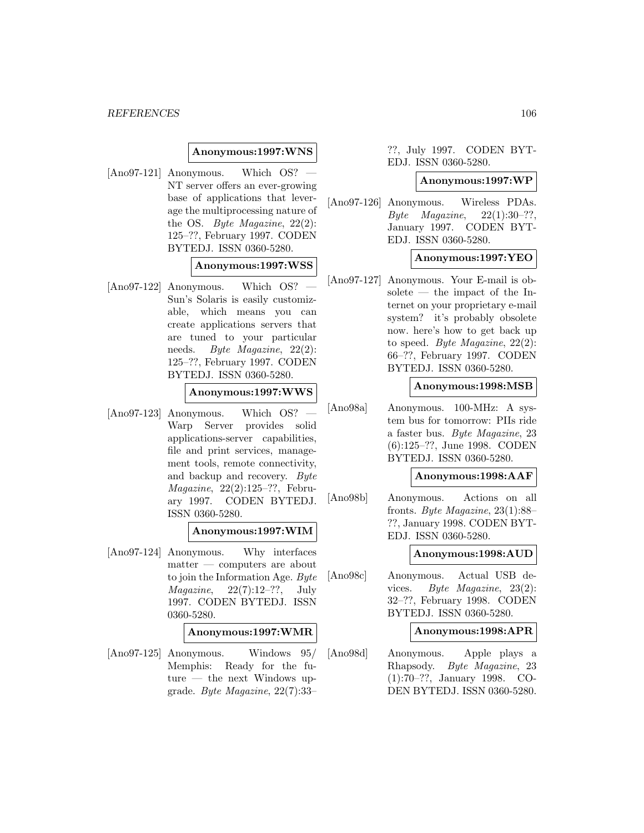## **Anonymous:1997:WNS**

 $[Ano97-121]$  Anonymous. Which OS? NT server offers an ever-growing base of applications that leverage the multiprocessing nature of the OS. Byte Magazine, 22(2): 125–??, February 1997. CODEN BYTEDJ. ISSN 0360-5280.

# **Anonymous:1997:WSS**

 $[Ano97-122]$  Anonymous. Which OS? Sun's Solaris is easily customizable, which means you can create applications servers that are tuned to your particular needs. Byte Magazine, 22(2): 125–??, February 1997. CODEN BYTEDJ. ISSN 0360-5280.

## **Anonymous:1997:WWS**

 $[Ano97-123]$  Anonymous. Which OS? Warp Server provides solid applications-server capabilities, file and print services, management tools, remote connectivity, and backup and recovery. Byte Magazine, 22(2):125–??, February 1997. CODEN BYTEDJ. ISSN 0360-5280.

### **Anonymous:1997:WIM**

[Ano97-124] Anonymous. Why interfaces matter — computers are about to join the Information Age. Byte  $Magazine, 22(7):12-??, July$ 1997. CODEN BYTEDJ. ISSN 0360-5280.

### **Anonymous:1997:WMR**

[Ano97-125] Anonymous. Windows 95/ Memphis: Ready for the future — the next Windows upgrade. Byte Magazine, 22(7):33–

# ??, July 1997. CODEN BYT-EDJ. ISSN 0360-5280.

### **Anonymous:1997:WP**

[Ano97-126] Anonymous. Wireless PDAs.  $Byte$  *Magazine*,  $22(1):30-??$ , January 1997. CODEN BYT-EDJ. ISSN 0360-5280.

# **Anonymous:1997:YEO**

[Ano97-127] Anonymous. Your E-mail is obsolete — the impact of the Internet on your proprietary e-mail system? it's probably obsolete now. here's how to get back up to speed. Byte Magazine,  $22(2)$ : 66–??, February 1997. CODEN BYTEDJ. ISSN 0360-5280.

### **Anonymous:1998:MSB**

[Ano98a] Anonymous. 100-MHz: A system bus for tomorrow: PIIs ride a faster bus. Byte Magazine, 23 (6):125–??, June 1998. CODEN BYTEDJ. ISSN 0360-5280.

#### **Anonymous:1998:AAF**

[Ano98b] Anonymous. Actions on all fronts. Byte Magazine, 23(1):88– ??, January 1998. CODEN BYT-EDJ. ISSN 0360-5280.

# **Anonymous:1998:AUD**

[Ano98c] Anonymous. Actual USB devices. Byte Magazine, 23(2): 32–??, February 1998. CODEN BYTEDJ. ISSN 0360-5280.

### **Anonymous:1998:APR**

[Ano98d] Anonymous. Apple plays a Rhapsody. Byte Magazine, 23 (1):70–??, January 1998. CO-DEN BYTEDJ. ISSN 0360-5280.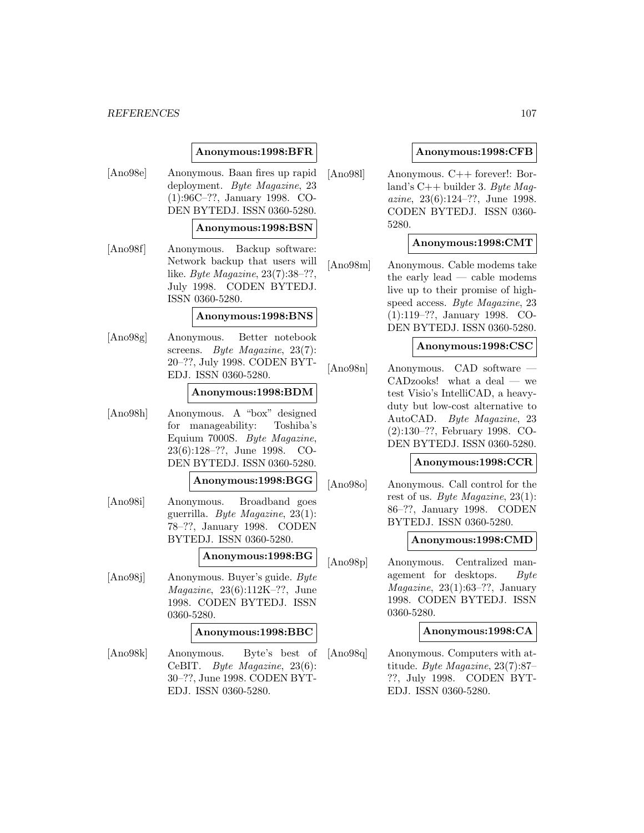# **Anonymous:1998:BFR**

[Ano98e] Anonymous. Baan fires up rapid deployment. Byte Magazine, 23 (1):96C–??, January 1998. CO-DEN BYTEDJ. ISSN 0360-5280.

## **Anonymous:1998:BSN**

[Ano98f] Anonymous. Backup software: Network backup that users will like. Byte Magazine, 23(7):38–??, July 1998. CODEN BYTEDJ. ISSN 0360-5280.

### **Anonymous:1998:BNS**

[Ano98g] Anonymous. Better notebook screens. Byte Magazine, 23(7): 20–??, July 1998. CODEN BYT-EDJ. ISSN 0360-5280.

### **Anonymous:1998:BDM**

[Ano98h] Anonymous. A "box" designed for manageability: Toshiba's Equium 7000S. Byte Magazine, 23(6):128–??, June 1998. CO-DEN BYTEDJ. ISSN 0360-5280.

### **Anonymous:1998:BGG**

[Ano98i] Anonymous. Broadband goes guerrilla. Byte Magazine, 23(1): 78–??, January 1998. CODEN BYTEDJ. ISSN 0360-5280.

### **Anonymous:1998:BG**

[Ano98j] Anonymous. Buyer's guide. Byte Magazine, 23(6):112K–??, June 1998. CODEN BYTEDJ. ISSN 0360-5280.

#### **Anonymous:1998:BBC**

[Ano98k] Anonymous. Byte's best of CeBIT. Byte Magazine, 23(6): 30–??, June 1998. CODEN BYT-EDJ. ISSN 0360-5280.

### **Anonymous:1998:CFB**

[Ano98l] Anonymous. C++ forever!: Borland's  $C++$  builder 3. Byte Maqazine, 23(6):124–??, June 1998. CODEN BYTEDJ. ISSN 0360- 5280.

# **Anonymous:1998:CMT**

[Ano98m] Anonymous. Cable modems take the early lead — cable modems live up to their promise of highspeed access. Byte Magazine, 23 (1):119–??, January 1998. CO-DEN BYTEDJ. ISSN 0360-5280.

# **Anonymous:1998:CSC**

[Ano98n] Anonymous. CAD software — CADzooks! what a deal — we test Visio's IntelliCAD, a heavyduty but low-cost alternative to AutoCAD. Byte Magazine, 23 (2):130–??, February 1998. CO-DEN BYTEDJ. ISSN 0360-5280.

## **Anonymous:1998:CCR**

[Ano98o] Anonymous. Call control for the rest of us. Byte Magazine, 23(1): 86–??, January 1998. CODEN BYTEDJ. ISSN 0360-5280.

#### **Anonymous:1998:CMD**

[Ano98p] Anonymous. Centralized management for desktops. Byte  $Magazine, 23(1):63-??, January$ 1998. CODEN BYTEDJ. ISSN 0360-5280.

# **Anonymous:1998:CA**

[Ano98q] Anonymous. Computers with attitude. Byte Magazine, 23(7):87– ??, July 1998. CODEN BYT-EDJ. ISSN 0360-5280.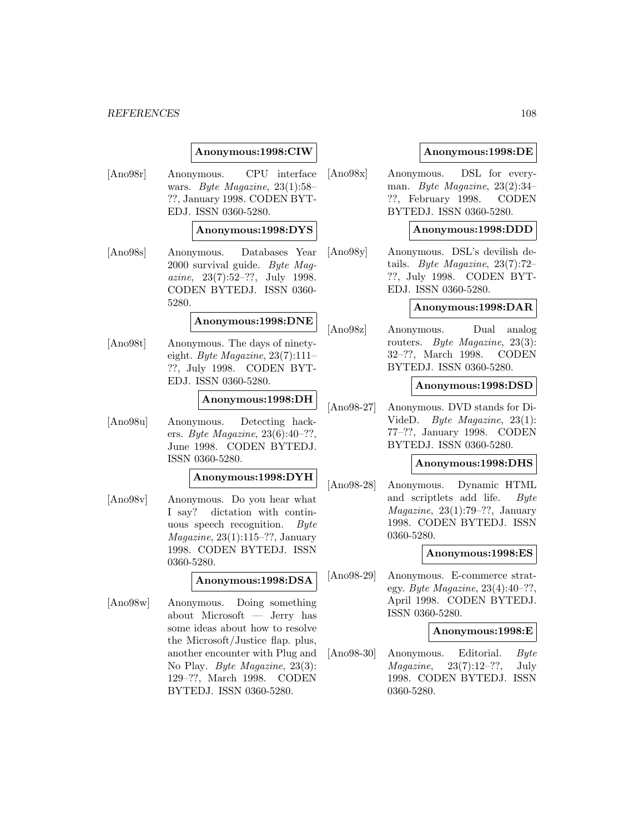# **Anonymous:1998:CIW**

[Ano98r] Anonymous. CPU interface wars. Byte Magazine, 23(1):58– ??, January 1998. CODEN BYT-EDJ. ISSN 0360-5280.

### **Anonymous:1998:DYS**

[Ano98s] Anonymous. Databases Year 2000 survival guide. Byte Magazine, 23(7):52–??, July 1998. CODEN BYTEDJ. ISSN 0360- 5280.

### **Anonymous:1998:DNE**

[Ano98t] Anonymous. The days of ninetyeight. Byte Magazine,  $23(7):111-$ ??, July 1998. CODEN BYT-EDJ. ISSN 0360-5280.

# **Anonymous:1998:DH**

[Ano98u] Anonymous. Detecting hackers. Byte Magazine, 23(6):40–??, June 1998. CODEN BYTEDJ. ISSN 0360-5280.

### **Anonymous:1998:DYH**

[Ano98v] Anonymous. Do you hear what I say? dictation with continuous speech recognition. Byte Magazine, 23(1):115–??, January 1998. CODEN BYTEDJ. ISSN 0360-5280.

### **Anonymous:1998:DSA**

[Ano98w] Anonymous. Doing something about Microsoft — Jerry has some ideas about how to resolve the Microsoft/Justice flap. plus, another encounter with Plug and No Play. Byte Magazine, 23(3): 129–??, March 1998. CODEN BYTEDJ. ISSN 0360-5280.

## **Anonymous:1998:DE**

[Ano98x] Anonymous. DSL for everyman. Byte Magazine, 23(2):34– ??, February 1998. CODEN BYTEDJ. ISSN 0360-5280.

### **Anonymous:1998:DDD**

[Ano98y] Anonymous. DSL's devilish details. Byte Magazine, 23(7):72– ??, July 1998. CODEN BYT-EDJ. ISSN 0360-5280.

## **Anonymous:1998:DAR**

[Ano98z] Anonymous. Dual analog routers. Byte Magazine, 23(3): 32–??, March 1998. CODEN BYTEDJ. ISSN 0360-5280.

# **Anonymous:1998:DSD**

[Ano98-27] Anonymous. DVD stands for Di-VideD. Byte Magazine, 23(1): 77–??, January 1998. CODEN BYTEDJ. ISSN 0360-5280.

## **Anonymous:1998:DHS**

[Ano98-28] Anonymous. Dynamic HTML and scriptlets add life. Byte  $Magazine, 23(1):79-??, January$ 1998. CODEN BYTEDJ. ISSN 0360-5280.

### **Anonymous:1998:ES**

[Ano98-29] Anonymous. E-commerce strategy. Byte Magazine,  $23(4):40-??$ , April 1998. CODEN BYTEDJ. ISSN 0360-5280.

# **Anonymous:1998:E**

[Ano98-30] Anonymous. Editorial. Byte  $Magazine, 23(7):12-??, July$ 1998. CODEN BYTEDJ. ISSN 0360-5280.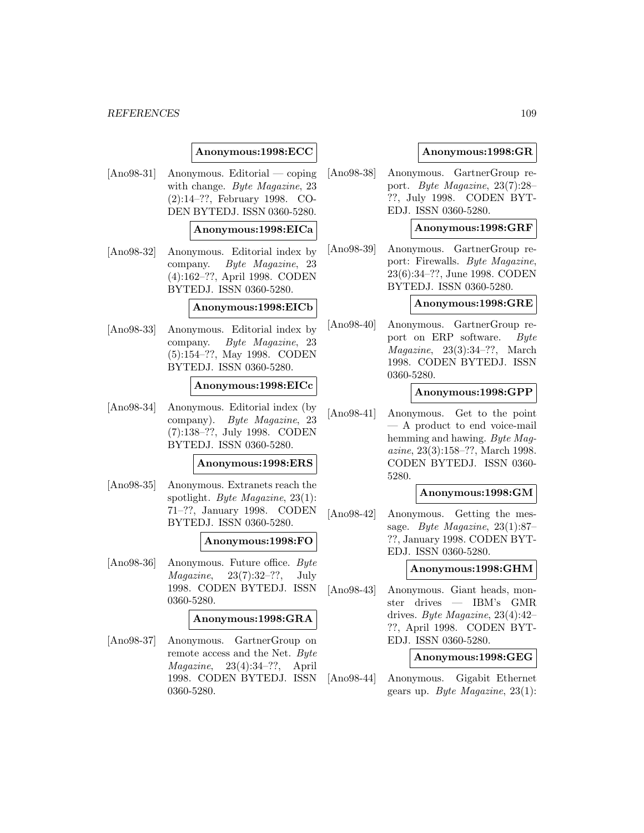#### *REFERENCES* 109

# **Anonymous:1998:ECC**

[Ano98-31] Anonymous. Editorial — coping with change. Byte Magazine, 23 (2):14–??, February 1998. CO-DEN BYTEDJ. ISSN 0360-5280.

### **Anonymous:1998:EICa**

[Ano98-32] Anonymous. Editorial index by company. Byte Magazine, 23 (4):162–??, April 1998. CODEN BYTEDJ. ISSN 0360-5280.

#### **Anonymous:1998:EICb**

[Ano98-33] Anonymous. Editorial index by company. Byte Magazine, 23 (5):154–??, May 1998. CODEN BYTEDJ. ISSN 0360-5280.

#### **Anonymous:1998:EICc**

[Ano98-34] Anonymous. Editorial index (by company). Byte Magazine, 23 (7):138–??, July 1998. CODEN BYTEDJ. ISSN 0360-5280.

#### **Anonymous:1998:ERS**

[Ano98-35] Anonymous. Extranets reach the spotlight. Byte Magazine, 23(1): 71–??, January 1998. CODEN BYTEDJ. ISSN 0360-5280.

#### **Anonymous:1998:FO**

[Ano98-36] Anonymous. Future office. Byte  $Magazine, 23(7):32-??, July$ 1998. CODEN BYTEDJ. ISSN 0360-5280.

# **Anonymous:1998:GRA**

[Ano98-37] Anonymous. GartnerGroup on remote access and the Net. Byte Magazine, 23(4):34–??, April 1998. CODEN BYTEDJ. ISSN 0360-5280.

#### **Anonymous:1998:GR**

[Ano98-38] Anonymous. GartnerGroup report. Byte Magazine, 23(7):28– ??, July 1998. CODEN BYT-EDJ. ISSN 0360-5280.

### **Anonymous:1998:GRF**

[Ano98-39] Anonymous. GartnerGroup report: Firewalls. Byte Magazine, 23(6):34–??, June 1998. CODEN BYTEDJ. ISSN 0360-5280.

#### **Anonymous:1998:GRE**

[Ano98-40] Anonymous. GartnerGroup report on ERP software. Byte  $Magazine, 23(3):34-??, March$ 1998. CODEN BYTEDJ. ISSN 0360-5280.

#### **Anonymous:1998:GPP**

[Ano98-41] Anonymous. Get to the point — A product to end voice-mail hemming and hawing. Byte Magazine, 23(3):158–??, March 1998. CODEN BYTEDJ. ISSN 0360- 5280.

#### **Anonymous:1998:GM**

[Ano98-42] Anonymous. Getting the message. Byte Magazine, 23(1):87– ??, January 1998. CODEN BYT-EDJ. ISSN 0360-5280.

#### **Anonymous:1998:GHM**

[Ano98-43] Anonymous. Giant heads, monster drives — IBM's GMR drives. Byte Magazine, 23(4):42– ??, April 1998. CODEN BYT-EDJ. ISSN 0360-5280.

### **Anonymous:1998:GEG**

[Ano98-44] Anonymous. Gigabit Ethernet gears up. Byte Magazine,  $23(1)$ :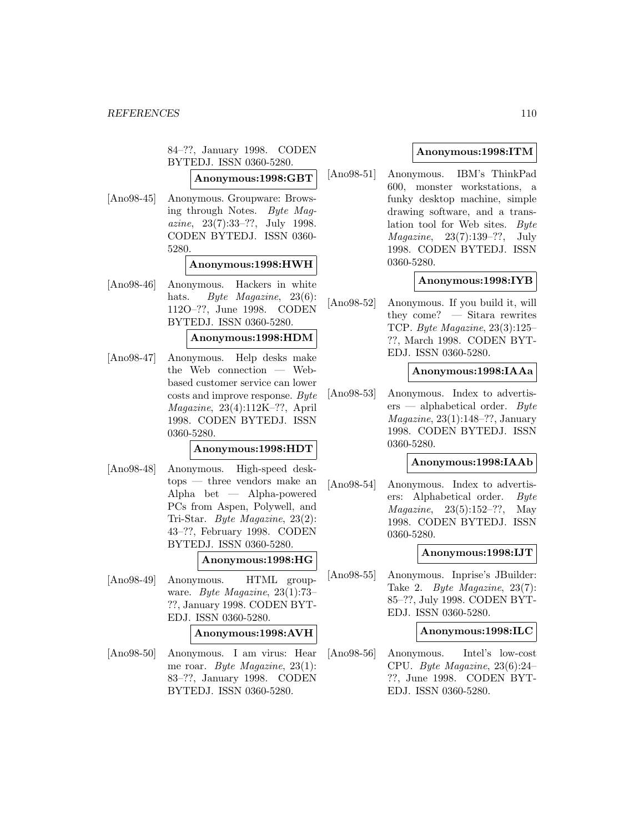84–??, January 1998. CODEN BYTEDJ. ISSN 0360-5280.

**Anonymous:1998:GBT**

[Ano98-45] Anonymous. Groupware: Browsing through Notes. Byte Magazine, 23(7):33–??, July 1998. CODEN BYTEDJ. ISSN 0360- 5280.

#### **Anonymous:1998:HWH**

[Ano98-46] Anonymous. Hackers in white hats. Byte Magazine, 23(6): 112O–??, June 1998. CODEN BYTEDJ. ISSN 0360-5280.

#### **Anonymous:1998:HDM**

[Ano98-47] Anonymous. Help desks make the Web connection — Webbased customer service can lower costs and improve response. Byte Magazine, 23(4):112K–??, April 1998. CODEN BYTEDJ. ISSN 0360-5280.

### **Anonymous:1998:HDT**

[Ano98-48] Anonymous. High-speed desktops — three vendors make an Alpha bet — Alpha-powered PCs from Aspen, Polywell, and Tri-Star. Byte Magazine, 23(2): 43–??, February 1998. CODEN BYTEDJ. ISSN 0360-5280.

# **Anonymous:1998:HG**

[Ano98-49] Anonymous. HTML groupware. Byte Magazine, 23(1):73– ??, January 1998. CODEN BYT-EDJ. ISSN 0360-5280.

#### **Anonymous:1998:AVH**

[Ano98-50] Anonymous. I am virus: Hear me roar. Byte Magazine, 23(1): 83–??, January 1998. CODEN BYTEDJ. ISSN 0360-5280.

# **Anonymous:1998:ITM**

[Ano98-51] Anonymous. IBM's ThinkPad 600, monster workstations, a funky desktop machine, simple drawing software, and a translation tool for Web sites. Byte Magazine, 23(7):139–??, July 1998. CODEN BYTEDJ. ISSN 0360-5280.

# **Anonymous:1998:IYB**

[Ano98-52] Anonymous. If you build it, will they come? — Sitara rewrites TCP. Byte Magazine, 23(3):125– ??, March 1998. CODEN BYT-EDJ. ISSN 0360-5280.

#### **Anonymous:1998:IAAa**

[Ano98-53] Anonymous. Index to advertis $ers$  — alphabetical order. Byte Magazine, 23(1):148–??, January 1998. CODEN BYTEDJ. ISSN 0360-5280.

#### **Anonymous:1998:IAAb**

[Ano98-54] Anonymous. Index to advertisers: Alphabetical order. Byte Magazine, 23(5):152–??, May 1998. CODEN BYTEDJ. ISSN 0360-5280.

# **Anonymous:1998:IJT**

[Ano98-55] Anonymous. Inprise's JBuilder: Take 2. Byte Magazine, 23(7): 85–??, July 1998. CODEN BYT-EDJ. ISSN 0360-5280.

# **Anonymous:1998:ILC**

[Ano98-56] Anonymous. Intel's low-cost CPU. Byte Magazine, 23(6):24– ??, June 1998. CODEN BYT-EDJ. ISSN 0360-5280.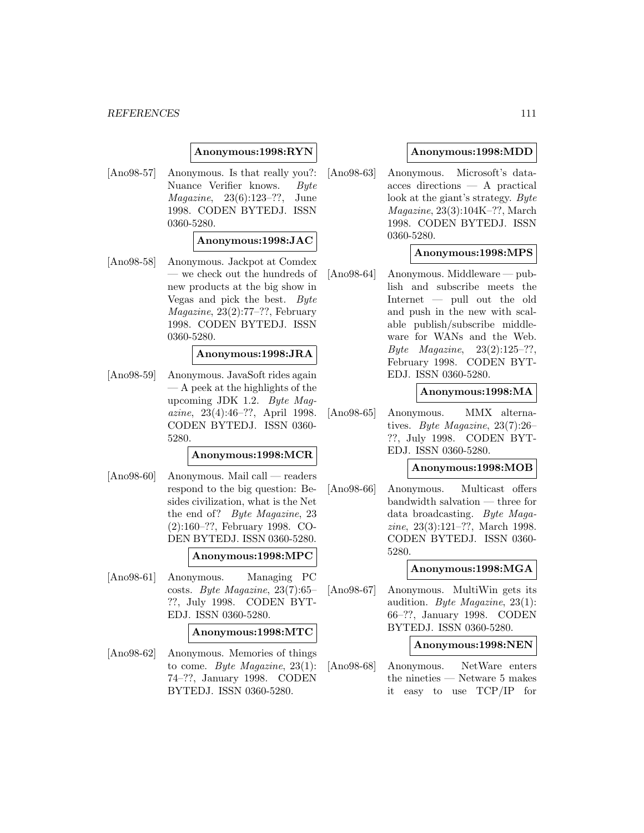# **Anonymous:1998:RYN**

[Ano98-57] Anonymous. Is that really you?: Nuance Verifier knows. Byte Magazine, 23(6):123–??, June 1998. CODEN BYTEDJ. ISSN 0360-5280.

#### **Anonymous:1998:JAC**

[Ano98-58] Anonymous. Jackpot at Comdex — we check out the hundreds of new products at the big show in Vegas and pick the best. Byte Magazine, 23(2):77–??, February 1998. CODEN BYTEDJ. ISSN 0360-5280.

# **Anonymous:1998:JRA**

[Ano98-59] Anonymous. JavaSoft rides again — A peek at the highlights of the upcoming JDK 1.2. Byte Magazine, 23(4):46–??, April 1998. CODEN BYTEDJ. ISSN 0360- 5280.

#### **Anonymous:1998:MCR**

[Ano98-60] Anonymous. Mail call — readers respond to the big question: Besides civilization, what is the Net the end of? Byte Magazine, 23 (2):160–??, February 1998. CO-DEN BYTEDJ. ISSN 0360-5280.

# **Anonymous:1998:MPC**

[Ano98-61] Anonymous. Managing PC costs. Byte Magazine, 23(7):65– ??, July 1998. CODEN BYT-EDJ. ISSN 0360-5280.

#### **Anonymous:1998:MTC**

[Ano98-62] Anonymous. Memories of things to come. Byte Magazine,  $23(1)$ : 74–??, January 1998. CODEN BYTEDJ. ISSN 0360-5280.

### **Anonymous:1998:MDD**

[Ano98-63] Anonymous. Microsoft's dataacces directions — A practical look at the giant's strategy. Byte Magazine, 23(3):104K–??, March 1998. CODEN BYTEDJ. ISSN 0360-5280.

### **Anonymous:1998:MPS**

[Ano98-64] Anonymous. Middleware — publish and subscribe meets the Internet — pull out the old and push in the new with scalable publish/subscribe middleware for WANs and the Web. *Byte Magazine*,  $23(2):125-??$ , February 1998. CODEN BYT-EDJ. ISSN 0360-5280.

### **Anonymous:1998:MA**

[Ano98-65] Anonymous. MMX alternatives. Byte Magazine, 23(7):26– ??, July 1998. CODEN BYT-EDJ. ISSN 0360-5280.

### **Anonymous:1998:MOB**

[Ano98-66] Anonymous. Multicast offers bandwidth salvation — three for data broadcasting. Byte Magazine, 23(3):121–??, March 1998. CODEN BYTEDJ. ISSN 0360- 5280.

#### **Anonymous:1998:MGA**

[Ano98-67] Anonymous. MultiWin gets its audition. Byte Magazine, 23(1): 66–??, January 1998. CODEN BYTEDJ. ISSN 0360-5280.

#### **Anonymous:1998:NEN**

[Ano98-68] Anonymous. NetWare enters the nineties — Netware 5 makes it easy to use TCP/IP for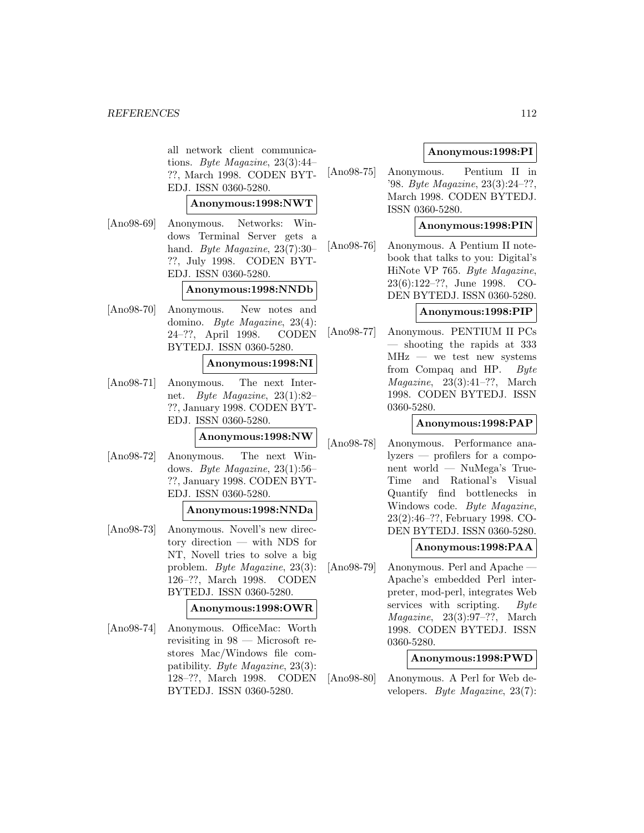all network client communications. Byte Magazine, 23(3):44– ??, March 1998. CODEN BYT-EDJ. ISSN 0360-5280.

# **Anonymous:1998:NWT**

[Ano98-69] Anonymous. Networks: Windows Terminal Server gets a hand. Byte Magazine, 23(7):30– ??, July 1998. CODEN BYT-EDJ. ISSN 0360-5280.

#### **Anonymous:1998:NNDb**

[Ano98-70] Anonymous. New notes and domino. Byte Magazine, 23(4): 24–??, April 1998. CODEN BYTEDJ. ISSN 0360-5280.

#### **Anonymous:1998:NI**

[Ano98-71] Anonymous. The next Internet. Byte Magazine, 23(1):82– ??, January 1998. CODEN BYT-EDJ. ISSN 0360-5280.

# **Anonymous:1998:NW**

[Ano98-72] Anonymous. The next Windows. Byte Magazine, 23(1):56– ??, January 1998. CODEN BYT-EDJ. ISSN 0360-5280.

#### **Anonymous:1998:NNDa**

[Ano98-73] Anonymous. Novell's new directory direction — with NDS for NT, Novell tries to solve a big problem. Byte Magazine, 23(3): 126–??, March 1998. CODEN BYTEDJ. ISSN 0360-5280.

# **Anonymous:1998:OWR**

[Ano98-74] Anonymous. OfficeMac: Worth revisiting in 98 — Microsoft restores Mac/Windows file compatibility. Byte Magazine, 23(3): 128–??, March 1998. CODEN BYTEDJ. ISSN 0360-5280.

# **Anonymous:1998:PI**

[Ano98-75] Anonymous. Pentium II in '98. Byte Magazine, 23(3):24–??, March 1998. CODEN BYTEDJ. ISSN 0360-5280.

# **Anonymous:1998:PIN**

[Ano98-76] Anonymous. A Pentium II notebook that talks to you: Digital's HiNote VP 765. Byte Magazine, 23(6):122–??, June 1998. CO-DEN BYTEDJ. ISSN 0360-5280.

# **Anonymous:1998:PIP**

[Ano98-77] Anonymous. PENTIUM II PCs — shooting the rapids at 333  $MHz$  — we test new systems from Compaq and HP. Byte Magazine, 23(3):41–??, March 1998. CODEN BYTEDJ. ISSN 0360-5280.

# **Anonymous:1998:PAP**

[Ano98-78] Anonymous. Performance analyzers — profilers for a component world — NuMega's True-Time and Rational's Visual Quantify find bottlenecks in Windows code. Byte Magazine, 23(2):46–??, February 1998. CO-DEN BYTEDJ. ISSN 0360-5280.

#### **Anonymous:1998:PAA**

[Ano98-79] Anonymous. Perl and Apache Apache's embedded Perl interpreter, mod-perl, integrates Web services with scripting. Byte Magazine, 23(3):97–??, March 1998. CODEN BYTEDJ. ISSN 0360-5280.

#### **Anonymous:1998:PWD**

[Ano98-80] Anonymous. A Perl for Web developers. Byte Magazine, 23(7):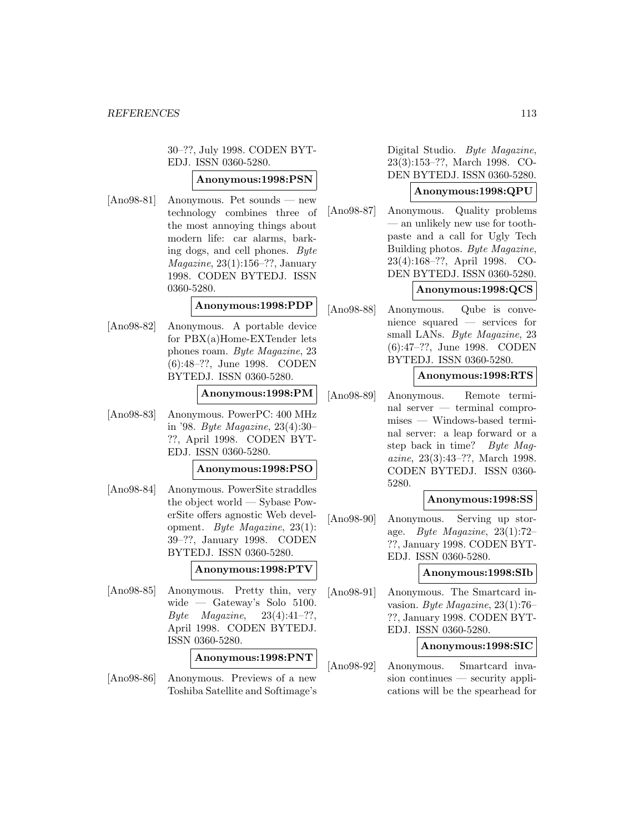30–??, July 1998. CODEN BYT-EDJ. ISSN 0360-5280.

# **Anonymous:1998:PSN**

[Ano98-81] Anonymous. Pet sounds — new technology combines three of the most annoying things about modern life: car alarms, barking dogs, and cell phones. Byte  $Magazine, 23(1):156-??, January$ 1998. CODEN BYTEDJ. ISSN 0360-5280.

# **Anonymous:1998:PDP**

[Ano98-82] Anonymous. A portable device for PBX(a)Home-EXTender lets phones roam. Byte Magazine, 23 (6):48–??, June 1998. CODEN BYTEDJ. ISSN 0360-5280.

#### **Anonymous:1998:PM**

[Ano98-83] Anonymous. PowerPC: 400 MHz in '98. Byte Magazine, 23(4):30– ??, April 1998. CODEN BYT-EDJ. ISSN 0360-5280.

#### **Anonymous:1998:PSO**

[Ano98-84] Anonymous. PowerSite straddles the object world — Sybase PowerSite offers agnostic Web development. Byte Magazine, 23(1): 39–??, January 1998. CODEN BYTEDJ. ISSN 0360-5280.

**Anonymous:1998:PTV**

[Ano98-85] Anonymous. Pretty thin, very wide — Gateway's Solo 5100. Byte Magazine,  $23(4):41-??,$ April 1998. CODEN BYTEDJ. ISSN 0360-5280.

**Anonymous:1998:PNT**

[Ano98-86] Anonymous. Previews of a new Toshiba Satellite and Softimage's

Digital Studio. Byte Magazine, 23(3):153–??, March 1998. CO-DEN BYTEDJ. ISSN 0360-5280.

# **Anonymous:1998:QPU**

[Ano98-87] Anonymous. Quality problems — an unlikely new use for toothpaste and a call for Ugly Tech Building photos. Byte Magazine, 23(4):168–??, April 1998. CO-DEN BYTEDJ. ISSN 0360-5280.

# **Anonymous:1998:QCS**

[Ano98-88] Anonymous. Qube is convenience squared — services for small LANs. Byte Magazine, 23 (6):47–??, June 1998. CODEN BYTEDJ. ISSN 0360-5280.

#### **Anonymous:1998:RTS**

[Ano98-89] Anonymous. Remote terminal server — terminal compromises — Windows-based terminal server: a leap forward or a step back in time? Byte Magazine, 23(3):43–??, March 1998. CODEN BYTEDJ. ISSN 0360- 5280.

#### **Anonymous:1998:SS**

[Ano98-90] Anonymous. Serving up storage. Byte Magazine, 23(1):72– ??, January 1998. CODEN BYT-EDJ. ISSN 0360-5280.

#### **Anonymous:1998:SIb**

[Ano98-91] Anonymous. The Smartcard invasion. Byte Magazine, 23(1):76– ??, January 1998. CODEN BYT-EDJ. ISSN 0360-5280.

# **Anonymous:1998:SIC**

[Ano98-92] Anonymous. Smartcard invasion continues — security applications will be the spearhead for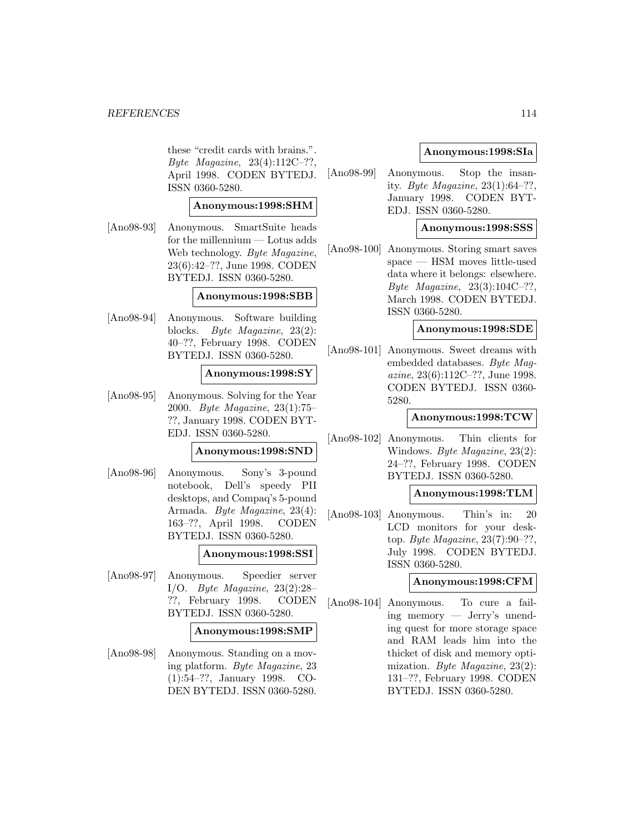these "credit cards with brains.". Byte Magazine, 23(4):112C–??, April 1998. CODEN BYTEDJ. ISSN 0360-5280.

# **Anonymous:1998:SHM**

[Ano98-93] Anonymous. SmartSuite heads for the millennium — Lotus adds Web technology. Byte Magazine, 23(6):42–??, June 1998. CODEN BYTEDJ. ISSN 0360-5280.

#### **Anonymous:1998:SBB**

[Ano98-94] Anonymous. Software building blocks. Byte Magazine, 23(2): 40–??, February 1998. CODEN BYTEDJ. ISSN 0360-5280.

#### **Anonymous:1998:SY**

[Ano98-95] Anonymous. Solving for the Year 2000. Byte Magazine, 23(1):75– ??, January 1998. CODEN BYT-EDJ. ISSN 0360-5280.

# **Anonymous:1998:SND**

[Ano98-96] Anonymous. Sony's 3-pound notebook, Dell's speedy PII desktops, and Compaq's 5-pound Armada. Byte Magazine, 23(4): 163–??, April 1998. CODEN BYTEDJ. ISSN 0360-5280.

#### **Anonymous:1998:SSI**

[Ano98-97] Anonymous. Speedier server I/O. Byte Magazine, 23(2):28– ??, February 1998. CODEN BYTEDJ. ISSN 0360-5280.

#### **Anonymous:1998:SMP**

[Ano98-98] Anonymous. Standing on a moving platform. Byte Magazine, 23 (1):54–??, January 1998. CO-DEN BYTEDJ. ISSN 0360-5280.

### **Anonymous:1998:SIa**

[Ano98-99] Anonymous. Stop the insanity. Byte Magazine,  $23(1):64-??$ . January 1998. CODEN BYT-EDJ. ISSN 0360-5280.

# **Anonymous:1998:SSS**

[Ano98-100] Anonymous. Storing smart saves space — HSM moves little-used data where it belongs: elsewhere. Byte Magazine, 23(3):104C–??, March 1998. CODEN BYTEDJ. ISSN 0360-5280.

# **Anonymous:1998:SDE**

[Ano98-101] Anonymous. Sweet dreams with embedded databases. Byte Magazine, 23(6):112C–??, June 1998. CODEN BYTEDJ. ISSN 0360- 5280.

# **Anonymous:1998:TCW**

[Ano98-102] Anonymous. Thin clients for Windows. Byte Magazine, 23(2): 24–??, February 1998. CODEN BYTEDJ. ISSN 0360-5280.

#### **Anonymous:1998:TLM**

[Ano98-103] Anonymous. Thin's in: 20 LCD monitors for your desktop. Byte Magazine, 23(7):90–??, July 1998. CODEN BYTEDJ. ISSN 0360-5280.

#### **Anonymous:1998:CFM**

[Ano98-104] Anonymous. To cure a failing memory — Jerry's unending quest for more storage space and RAM leads him into the thicket of disk and memory optimization. Byte Magazine, 23(2): 131–??, February 1998. CODEN BYTEDJ. ISSN 0360-5280.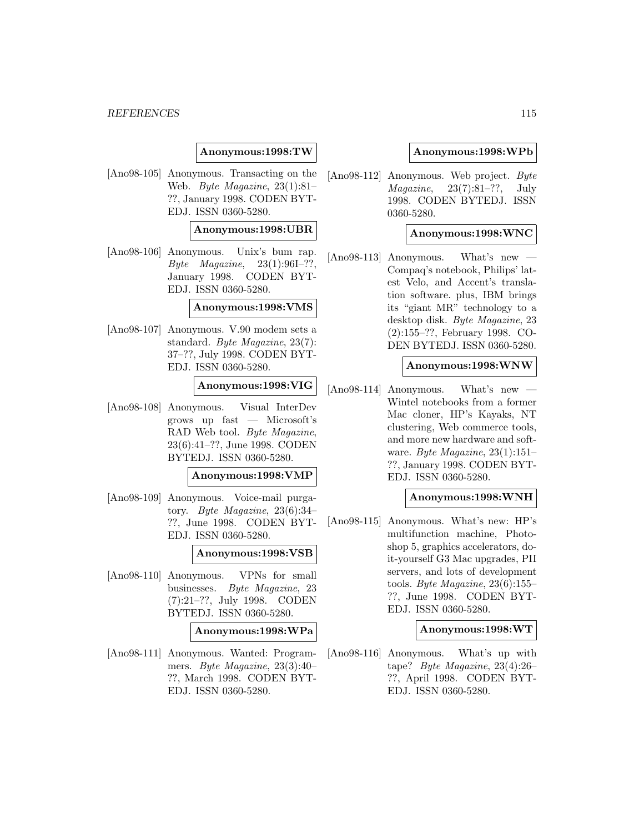### **Anonymous:1998:TW**

[Ano98-105] Anonymous. Transacting on the Web. Byte Magazine, 23(1):81– ??, January 1998. CODEN BYT-EDJ. ISSN 0360-5280.

### **Anonymous:1998:UBR**

[Ano98-106] Anonymous. Unix's bum rap. Byte Magazine,  $23(1):96I-??$ , January 1998. CODEN BYT-EDJ. ISSN 0360-5280.

#### **Anonymous:1998:VMS**

[Ano98-107] Anonymous. V.90 modem sets a standard. Byte Magazine, 23(7): 37–??, July 1998. CODEN BYT-EDJ. ISSN 0360-5280.

#### **Anonymous:1998:VIG**

[Ano98-108] Anonymous. Visual InterDev grows up fast — Microsoft's RAD Web tool. Byte Magazine, 23(6):41–??, June 1998. CODEN BYTEDJ. ISSN 0360-5280.

#### **Anonymous:1998:VMP**

[Ano98-109] Anonymous. Voice-mail purgatory. Byte Magazine, 23(6):34– ??, June 1998. CODEN BYT-EDJ. ISSN 0360-5280.

#### **Anonymous:1998:VSB**

[Ano98-110] Anonymous. VPNs for small businesses. Byte Magazine, 23 (7):21–??, July 1998. CODEN BYTEDJ. ISSN 0360-5280.

### **Anonymous:1998:WPa**

[Ano98-111] Anonymous. Wanted: Programmers. Byte Magazine, 23(3):40– ??, March 1998. CODEN BYT-EDJ. ISSN 0360-5280.

#### **Anonymous:1998:WPb**

[Ano98-112] Anonymous. Web project. Byte  $Magazine, 23(7):81-??, July$ 1998. CODEN BYTEDJ. ISSN 0360-5280.

#### **Anonymous:1998:WNC**

 $[Ano98-113]$  Anonymous. What's new Compaq's notebook, Philips' latest Velo, and Accent's translation software. plus, IBM brings its "giant MR" technology to a desktop disk. Byte Magazine, 23 (2):155–??, February 1998. CO-DEN BYTEDJ. ISSN 0360-5280.

#### **Anonymous:1998:WNW**

 $[Ano98-114]$  Anonymous. What's new Wintel notebooks from a former Mac cloner, HP's Kayaks, NT clustering, Web commerce tools, and more new hardware and software. Byte Magazine, 23(1):151– ??, January 1998. CODEN BYT-EDJ. ISSN 0360-5280.

#### **Anonymous:1998:WNH**

[Ano98-115] Anonymous. What's new: HP's multifunction machine, Photoshop 5, graphics accelerators, doit-yourself G3 Mac upgrades, PII servers, and lots of development tools. Byte Magazine, 23(6):155– ??, June 1998. CODEN BYT-EDJ. ISSN 0360-5280.

#### **Anonymous:1998:WT**

[Ano98-116] Anonymous. What's up with tape? Byte Magazine, 23(4):26– ??, April 1998. CODEN BYT-EDJ. ISSN 0360-5280.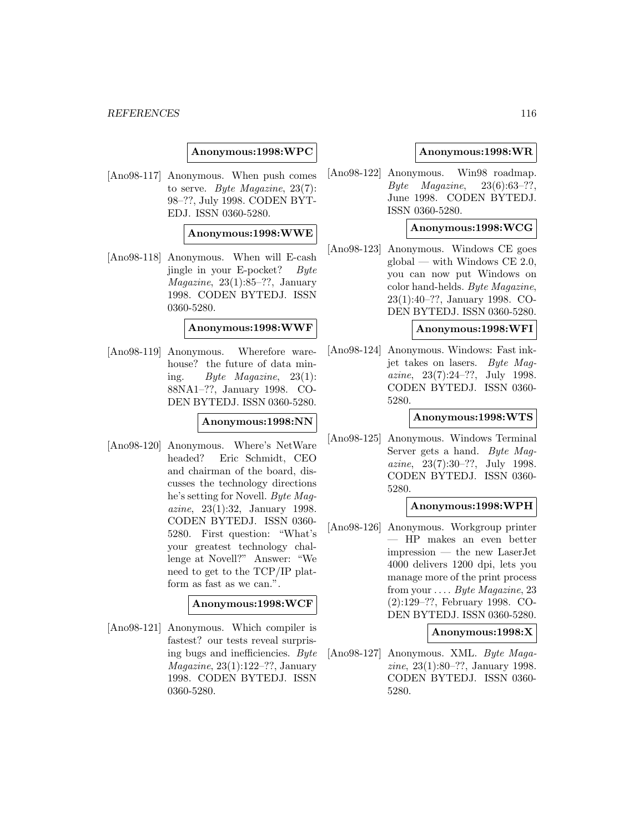#### **Anonymous:1998:WPC**

[Ano98-117] Anonymous. When push comes to serve. Byte Magazine, 23(7): 98–??, July 1998. CODEN BYT-EDJ. ISSN 0360-5280.

#### **Anonymous:1998:WWE**

[Ano98-118] Anonymous. When will E-cash jingle in your E-pocket? Byte  $Magazine, 23(1):85-??, January$ 1998. CODEN BYTEDJ. ISSN 0360-5280.

#### **Anonymous:1998:WWF**

[Ano98-119] Anonymous. Wherefore warehouse? the future of data mining. Byte Magazine,  $23(1)$ : 88NA1–??, January 1998. CO-DEN BYTEDJ. ISSN 0360-5280.

#### **Anonymous:1998:NN**

[Ano98-120] Anonymous. Where's NetWare headed? Eric Schmidt, CEO and chairman of the board, discusses the technology directions he's setting for Novell. Byte Magazine, 23(1):32, January 1998. CODEN BYTEDJ. ISSN 0360- 5280. First question: "What's your greatest technology challenge at Novell?" Answer: "We need to get to the TCP/IP platform as fast as we can.".

#### **Anonymous:1998:WCF**

[Ano98-121] Anonymous. Which compiler is fastest? our tests reveal surprising bugs and inefficiencies. Byte Magazine, 23(1):122–??, January 1998. CODEN BYTEDJ. ISSN 0360-5280.

#### **Anonymous:1998:WR**

[Ano98-122] Anonymous. Win98 roadmap.  $Byte$  *Magazine*,  $23(6):63-??$ , June 1998. CODEN BYTEDJ. ISSN 0360-5280.

# **Anonymous:1998:WCG**

[Ano98-123] Anonymous. Windows CE goes  $global$  — with Windows CE 2.0, you can now put Windows on color hand-helds. Byte Magazine, 23(1):40–??, January 1998. CO-DEN BYTEDJ. ISSN 0360-5280.

# **Anonymous:1998:WFI**

[Ano98-124] Anonymous. Windows: Fast inkjet takes on lasers. Byte Magazine, 23(7):24–??, July 1998. CODEN BYTEDJ. ISSN 0360- 5280.

### **Anonymous:1998:WTS**

[Ano98-125] Anonymous. Windows Terminal Server gets a hand. Byte Magazine, 23(7):30–??, July 1998. CODEN BYTEDJ. ISSN 0360- 5280.

#### **Anonymous:1998:WPH**

[Ano98-126] Anonymous. Workgroup printer — HP makes an even better impression — the new LaserJet 4000 delivers 1200 dpi, lets you manage more of the print process from your ... . Byte Magazine, 23 (2):129–??, February 1998. CO-DEN BYTEDJ. ISSN 0360-5280.

#### **Anonymous:1998:X**

[Ano98-127] Anonymous. XML. Byte Magazine, 23(1):80–??, January 1998. CODEN BYTEDJ. ISSN 0360- 5280.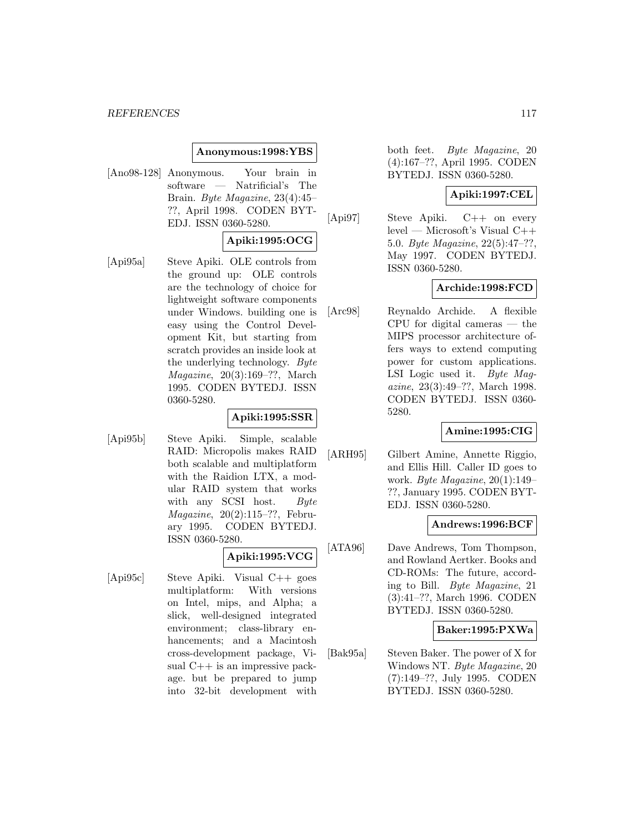### **Anonymous:1998:YBS**

[Ano98-128] Anonymous. Your brain in software — Natrificial's The Brain. Byte Magazine, 23(4):45– ??, April 1998. CODEN BYT-EDJ. ISSN 0360-5280.

### **Apiki:1995:OCG**

[Api95a] Steve Apiki. OLE controls from the ground up: OLE controls are the technology of choice for lightweight software components under Windows. building one is easy using the Control Development Kit, but starting from scratch provides an inside look at the underlying technology. Byte Magazine, 20(3):169–??, March 1995. CODEN BYTEDJ. ISSN 0360-5280.

#### **Apiki:1995:SSR**

[Api95b] Steve Apiki. Simple, scalable RAID: Micropolis makes RAID both scalable and multiplatform with the Raidion LTX, a modular RAID system that works with any SCSI host. Byte Magazine, 20(2):115–??, February 1995. CODEN BYTEDJ. ISSN 0360-5280.

# **Apiki:1995:VCG**

[Api95c] Steve Apiki. Visual C++ goes multiplatform: With versions on Intel, mips, and Alpha; a slick, well-designed integrated environment; class-library enhancements; and a Macintosh cross-development package, Visual C++ is an impressive package. but be prepared to jump into 32-bit development with

both feet. Byte Magazine, 20 (4):167–??, April 1995. CODEN BYTEDJ. ISSN 0360-5280.

# **Apiki:1997:CEL**

[Api97] Steve Apiki. C++ on every level — Microsoft's Visual C++ 5.0. Byte Magazine, 22(5):47–??, May 1997. CODEN BYTEDJ. ISSN 0360-5280.

# **Archide:1998:FCD**

[Arc98] Reynaldo Archide. A flexible CPU for digital cameras — the MIPS processor architecture offers ways to extend computing power for custom applications. LSI Logic used it. Byte Magazine, 23(3):49–??, March 1998. CODEN BYTEDJ. ISSN 0360- 5280.

# **Amine:1995:CIG**

[ARH95] Gilbert Amine, Annette Riggio, and Ellis Hill. Caller ID goes to work. Byte Magazine, 20(1):149– ??, January 1995. CODEN BYT-EDJ. ISSN 0360-5280.

#### **Andrews:1996:BCF**

[ATA96] Dave Andrews, Tom Thompson, and Rowland Aertker. Books and CD-ROMs: The future, according to Bill. Byte Magazine, 21 (3):41–??, March 1996. CODEN BYTEDJ. ISSN 0360-5280.

# **Baker:1995:PXWa**

[Bak95a] Steven Baker. The power of X for Windows NT. Byte Magazine, 20 (7):149–??, July 1995. CODEN BYTEDJ. ISSN 0360-5280.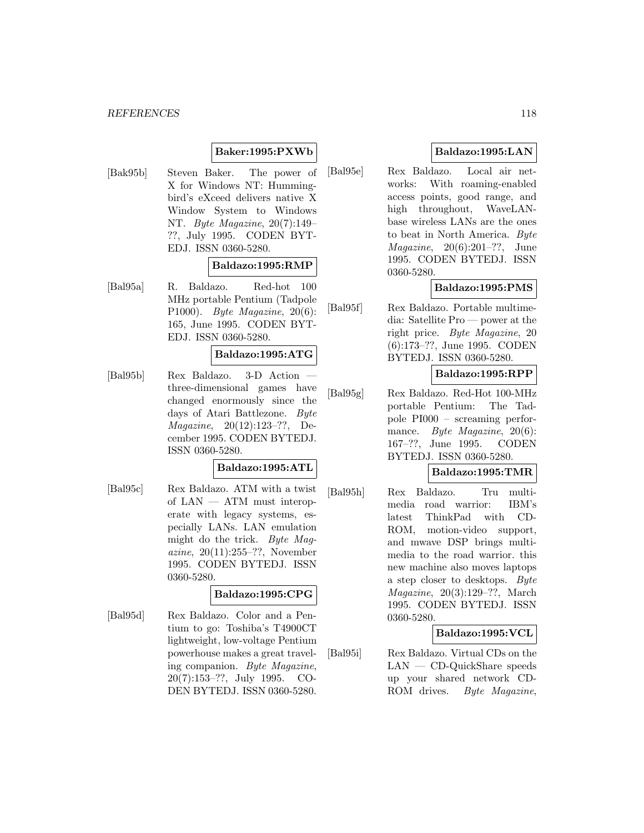#### *REFERENCES* 118

# **Baker:1995:PXWb**

[Bak95b] Steven Baker. The power of X for Windows NT: Hummingbird's eXceed delivers native X Window System to Windows NT. Byte Magazine, 20(7):149– ??, July 1995. CODEN BYT-EDJ. ISSN 0360-5280.

#### **Baldazo:1995:RMP**

[Bal95a] R. Baldazo. Red-hot 100 MHz portable Pentium (Tadpole P1000). Byte Magazine, 20(6): 165, June 1995. CODEN BYT-EDJ. ISSN 0360-5280.

#### **Baldazo:1995:ATG**

[Bal95b] Rex Baldazo. 3-D Action three-dimensional games have changed enormously since the days of Atari Battlezone. Byte Magazine, 20(12):123–??, December 1995. CODEN BYTEDJ. ISSN 0360-5280.

# **Baldazo:1995:ATL**

[Bal95c] Rex Baldazo. ATM with a twist of LAN — ATM must interoperate with legacy systems, especially LANs. LAN emulation might do the trick. Byte Magazine, 20(11):255–??, November 1995. CODEN BYTEDJ. ISSN 0360-5280.

#### **Baldazo:1995:CPG**

[Bal95d] Rex Baldazo. Color and a Pentium to go: Toshiba's T4900CT lightweight, low-voltage Pentium powerhouse makes a great traveling companion. Byte Magazine, 20(7):153–??, July 1995. CO-DEN BYTEDJ. ISSN 0360-5280.

# **Baldazo:1995:LAN**

[Bal95e] Rex Baldazo. Local air networks: With roaming-enabled access points, good range, and high throughout, WaveLANbase wireless LANs are the ones to beat in North America. Byte *Magazine*,  $20(6):201-??$ , June 1995. CODEN BYTEDJ. ISSN 0360-5280.

# **Baldazo:1995:PMS**

[Bal95f] Rex Baldazo. Portable multimedia: Satellite Pro — power at the right price. Byte Magazine, 20 (6):173–??, June 1995. CODEN BYTEDJ. ISSN 0360-5280.

# **Baldazo:1995:RPP**

[Bal95g] Rex Baldazo. Red-Hot 100-MHz portable Pentium: The Tadpole PI000 – screaming performance. *Byte Magazine*, 20(6): 167–??, June 1995. CODEN BYTEDJ. ISSN 0360-5280.

# **Baldazo:1995:TMR**

[Bal95h] Rex Baldazo. Tru multimedia road warrior: IBM's latest ThinkPad with CD-ROM, motion-video support, and mwave DSP brings multimedia to the road warrior. this new machine also moves laptops a step closer to desktops. Byte Magazine, 20(3):129–??, March 1995. CODEN BYTEDJ. ISSN 0360-5280.

# **Baldazo:1995:VCL**

[Bal95i] Rex Baldazo. Virtual CDs on the LAN — CD-QuickShare speeds up your shared network CD-ROM drives. Byte Magazine,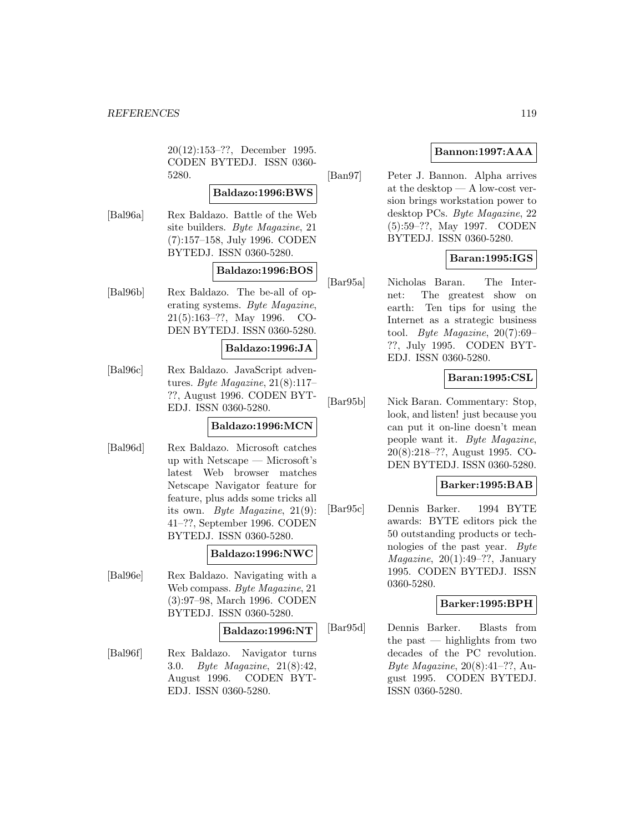20(12):153–??, December 1995. CODEN BYTEDJ. ISSN 0360- 5280.

# **Baldazo:1996:BWS**

[Bal96a] Rex Baldazo. Battle of the Web site builders. Byte Magazine, 21 (7):157–158, July 1996. CODEN BYTEDJ. ISSN 0360-5280.

### **Baldazo:1996:BOS**

[Bal96b] Rex Baldazo. The be-all of operating systems. Byte Magazine, 21(5):163–??, May 1996. CO-DEN BYTEDJ. ISSN 0360-5280.

#### **Baldazo:1996:JA**

[Bal96c] Rex Baldazo. JavaScript adventures. Byte Magazine,  $21(8):117-$ ??, August 1996. CODEN BYT-EDJ. ISSN 0360-5280.

# **Baldazo:1996:MCN**

[Bal96d] Rex Baldazo. Microsoft catches up with Netscape — Microsoft's latest Web browser matches Netscape Navigator feature for feature, plus adds some tricks all its own. Byte Magazine, 21(9): 41–??, September 1996. CODEN BYTEDJ. ISSN 0360-5280.

# **Baldazo:1996:NWC**

[Bal96e] Rex Baldazo. Navigating with a Web compass. Byte Magazine, 21 (3):97–98, March 1996. CODEN BYTEDJ. ISSN 0360-5280.

# **Baldazo:1996:NT**

[Bal96f] Rex Baldazo. Navigator turns 3.0. Byte Magazine, 21(8):42, August 1996. CODEN BYT-EDJ. ISSN 0360-5280.

# **Bannon:1997:AAA**

[Ban97] Peter J. Bannon. Alpha arrives at the desktop — A low-cost version brings workstation power to desktop PCs. Byte Magazine, 22 (5):59–??, May 1997. CODEN BYTEDJ. ISSN 0360-5280.

# **Baran:1995:IGS**

[Bar95a] Nicholas Baran. The Internet: The greatest show on earth: Ten tips for using the Internet as a strategic business tool. Byte Magazine, 20(7):69– ??, July 1995. CODEN BYT-EDJ. ISSN 0360-5280.

# **Baran:1995:CSL**

[Bar95b] Nick Baran. Commentary: Stop, look, and listen! just because you can put it on-line doesn't mean people want it. Byte Magazine, 20(8):218–??, August 1995. CO-DEN BYTEDJ. ISSN 0360-5280.

# **Barker:1995:BAB**

[Bar95c] Dennis Barker. 1994 BYTE awards: BYTE editors pick the 50 outstanding products or technologies of the past year. Byte  $Magazine, 20(1):49-??, January$ 1995. CODEN BYTEDJ. ISSN 0360-5280.

# **Barker:1995:BPH**

[Bar95d] Dennis Barker. Blasts from the past — highlights from two decades of the PC revolution. Byte Magazine, 20(8):41–??, August 1995. CODEN BYTEDJ. ISSN 0360-5280.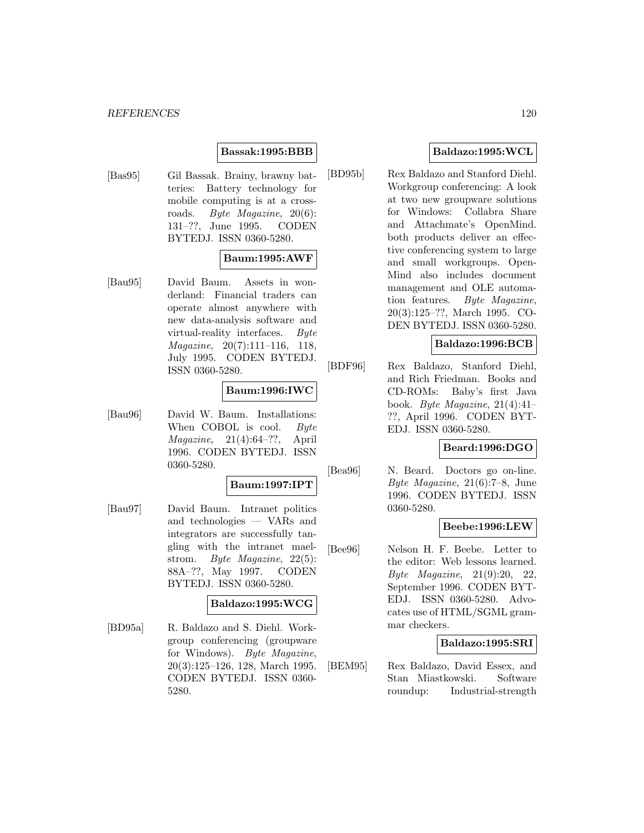# **Bassak:1995:BBB**

[Bas95] Gil Bassak. Brainy, brawny batteries: Battery technology for mobile computing is at a crossroads. Byte Magazine, 20(6): 131–??, June 1995. CODEN BYTEDJ. ISSN 0360-5280.

# **Baum:1995:AWF**

[Bau95] David Baum. Assets in wonderland: Financial traders can operate almost anywhere with new data-analysis software and virtual-reality interfaces. Byte Magazine, 20(7):111–116, 118, July 1995. CODEN BYTEDJ. ISSN 0360-5280.

# **Baum:1996:IWC**

[Bau96] David W. Baum. Installations: When COBOL is cool. Byte Magazine, 21(4):64–??, April 1996. CODEN BYTEDJ. ISSN 0360-5280.

### **Baum:1997:IPT**

[Bau97] David Baum. Intranet politics and technologies — VARs and integrators are successfully tangling with the intranet maelstrom. Byte Magazine, 22(5): 88A–??, May 1997. CODEN BYTEDJ. ISSN 0360-5280.

# **Baldazo:1995:WCG**

[BD95a] R. Baldazo and S. Diehl. Workgroup conferencing (groupware for Windows). Byte Magazine, 20(3):125–126, 128, March 1995. CODEN BYTEDJ. ISSN 0360- 5280.

# **Baldazo:1995:WCL**

[BD95b] Rex Baldazo and Stanford Diehl. Workgroup conferencing: A look at two new groupware solutions for Windows: Collabra Share and Attachmate's OpenMind. both products deliver an effective conferencing system to large and small workgroups. Open-Mind also includes document management and OLE automation features. Byte Magazine, 20(3):125–??, March 1995. CO-DEN BYTEDJ. ISSN 0360-5280.

# **Baldazo:1996:BCB**

[BDF96] Rex Baldazo, Stanford Diehl, and Rich Friedman. Books and CD-ROMs: Baby's first Java book. Byte Magazine, 21(4):41– ??, April 1996. CODEN BYT-EDJ. ISSN 0360-5280.

# **Beard:1996:DGO**

[Bea96] N. Beard. Doctors go on-line. Byte Magazine, 21(6):7–8, June 1996. CODEN BYTEDJ. ISSN 0360-5280.

#### **Beebe:1996:LEW**

[Bee96] Nelson H. F. Beebe. Letter to the editor: Web lessons learned. Byte Magazine, 21(9):20, 22, September 1996. CODEN BYT-EDJ. ISSN 0360-5280. Advocates use of HTML/SGML grammar checkers.

#### **Baldazo:1995:SRI**

[BEM95] Rex Baldazo, David Essex, and Stan Miastkowski. Software roundup: Industrial-strength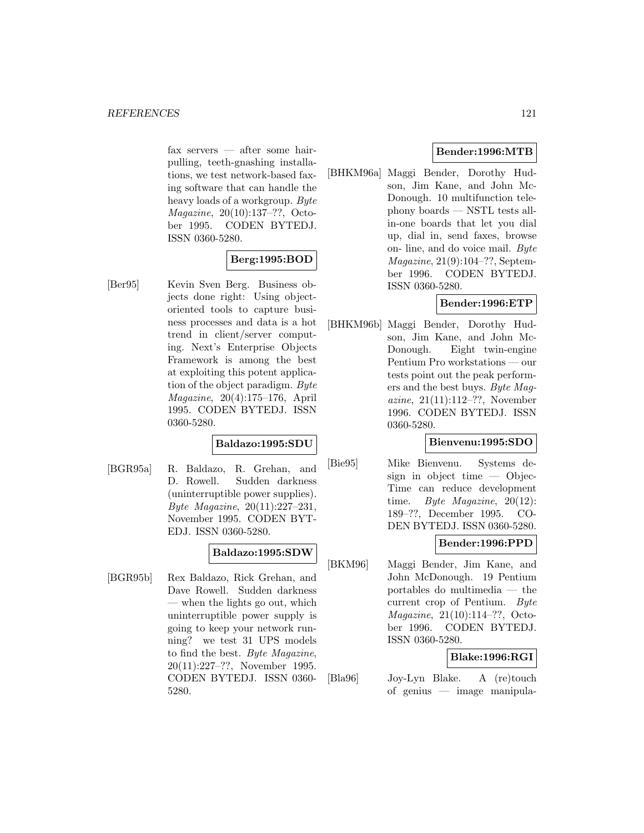fax servers — after some hairpulling, teeth-gnashing installations, we test network-based faxing software that can handle the heavy loads of a workgroup. Byte Magazine, 20(10):137–??, October 1995. CODEN BYTEDJ. ISSN 0360-5280.

# **Berg:1995:BOD**

[Ber95] Kevin Sven Berg. Business objects done right: Using objectoriented tools to capture business processes and data is a hot trend in client/server computing. Next's Enterprise Objects Framework is among the best at exploiting this potent application of the object paradigm. Byte Magazine, 20(4):175–176, April 1995. CODEN BYTEDJ. ISSN 0360-5280.

# **Baldazo:1995:SDU**

[BGR95a] R. Baldazo, R. Grehan, and D. Rowell. Sudden darkness (uninterruptible power supplies). Byte Magazine, 20(11):227–231, November 1995. CODEN BYT-EDJ. ISSN 0360-5280.

# **Baldazo:1995:SDW**

[BGR95b] Rex Baldazo, Rick Grehan, and Dave Rowell. Sudden darkness — when the lights go out, which uninterruptible power supply is going to keep your network running? we test 31 UPS models to find the best. Byte Magazine, 20(11):227–??, November 1995. CODEN BYTEDJ. ISSN 0360- 5280.

# **Bender:1996:MTB**

[BHKM96a] Maggi Bender, Dorothy Hudson, Jim Kane, and John Mc-Donough. 10 multifunction telephony boards — NSTL tests allin-one boards that let you dial up, dial in, send faxes, browse on- line, and do voice mail. Byte Magazine, 21(9):104–??, September 1996. CODEN BYTEDJ. ISSN 0360-5280.

# **Bender:1996:ETP**

[BHKM96b] Maggi Bender, Dorothy Hudson, Jim Kane, and John Mc-Donough. Eight twin-engine Pentium Pro workstations — our tests point out the peak performers and the best buys. Byte Magazine, 21(11):112–??, November 1996. CODEN BYTEDJ. ISSN 0360-5280.

# **Bienvenu:1995:SDO**

[Bie95] Mike Bienvenu. Systems design in object time  $-$  Objec-Time can reduce development time. Byte Magazine, 20(12): 189–??, December 1995. CO-DEN BYTEDJ. ISSN 0360-5280.

# **Bender:1996:PPD**

[BKM96] Maggi Bender, Jim Kane, and John McDonough. 19 Pentium portables do multimedia — the current crop of Pentium. Byte Magazine, 21(10):114–??, October 1996. CODEN BYTEDJ. ISSN 0360-5280.

# **Blake:1996:RGI**

[Bla96] Joy-Lyn Blake. A (re)touch of genius — image manipula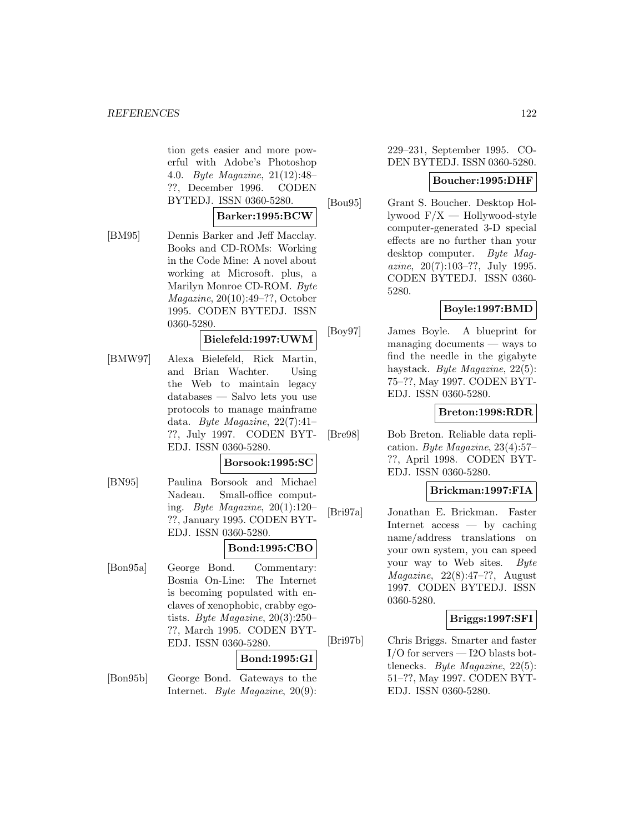tion gets easier and more powerful with Adobe's Photoshop 4.0. Byte Magazine, 21(12):48– ??, December 1996. CODEN BYTEDJ. ISSN 0360-5280.

# **Barker:1995:BCW**

[BM95] Dennis Barker and Jeff Macclay. Books and CD-ROMs: Working in the Code Mine: A novel about working at Microsoft. plus, a Marilyn Monroe CD-ROM. Byte Magazine, 20(10):49–??, October 1995. CODEN BYTEDJ. ISSN 0360-5280.

# **Bielefeld:1997:UWM**

[BMW97] Alexa Bielefeld, Rick Martin, and Brian Wachter. Using the Web to maintain legacy databases — Salvo lets you use protocols to manage mainframe data. Byte Magazine,  $22(7):41-$ ??, July 1997. CODEN BYT-EDJ. ISSN 0360-5280.

# **Borsook:1995:SC**

[BN95] Paulina Borsook and Michael Nadeau. Small-office computing. Byte Magazine,  $20(1):120-$ ??, January 1995. CODEN BYT-EDJ. ISSN 0360-5280.

# **Bond:1995:CBO**

[Bon95a] George Bond. Commentary: Bosnia On-Line: The Internet is becoming populated with enclaves of xenophobic, crabby egotists. Byte Magazine, 20(3):250– ??, March 1995. CODEN BYT-EDJ. ISSN 0360-5280.

#### **Bond:1995:GI**

[Bon95b] George Bond. Gateways to the Internet. Byte Magazine, 20(9):

229–231, September 1995. CO-DEN BYTEDJ. ISSN 0360-5280.

#### **Boucher:1995:DHF**

[Bou95] Grant S. Boucher. Desktop Hollywood  $F/X$  — Hollywood-style computer-generated 3-D special effects are no further than your desktop computer. Byte Magazine, 20(7):103–??, July 1995. CODEN BYTEDJ. ISSN 0360- 5280.

#### **Boyle:1997:BMD**

[Boy97] James Boyle. A blueprint for managing documents — ways to find the needle in the gigabyte haystack. Byte Magazine, 22(5): 75–??, May 1997. CODEN BYT-EDJ. ISSN 0360-5280.

### **Breton:1998:RDR**

[Bre98] Bob Breton. Reliable data replication. Byte Magazine, 23(4):57– ??, April 1998. CODEN BYT-EDJ. ISSN 0360-5280.

# **Brickman:1997:FIA**

[Bri97a] Jonathan E. Brickman. Faster Internet access — by caching name/address translations on your own system, you can speed your way to Web sites. Byte  $Magazine, 22(8):47-??, August$ 1997. CODEN BYTEDJ. ISSN 0360-5280.

# **Briggs:1997:SFI**

[Bri97b] Chris Briggs. Smarter and faster I/O for servers — I2O blasts bottlenecks. Byte Magazine, 22(5): 51–??, May 1997. CODEN BYT-EDJ. ISSN 0360-5280.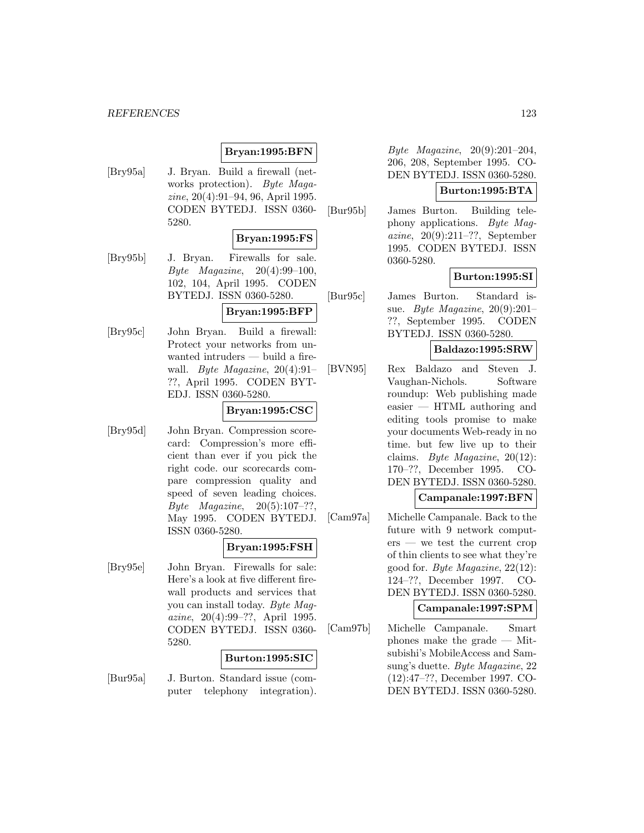# **Bryan:1995:BFN**

[Bry95a] J. Bryan. Build a firewall (networks protection). Byte Magazine, 20(4):91–94, 96, April 1995. CODEN BYTEDJ. ISSN 0360- 5280.

# **Bryan:1995:FS**

[Bry95b] J. Bryan. Firewalls for sale. Byte Magazine,  $20(4):99-100$ . 102, 104, April 1995. CODEN BYTEDJ. ISSN 0360-5280.

# **Bryan:1995:BFP**

[Bry95c] John Bryan. Build a firewall: Protect your networks from unwanted intruders — build a firewall. Byte Magazine, 20(4):91– ??, April 1995. CODEN BYT-EDJ. ISSN 0360-5280.

# **Bryan:1995:CSC**

[Bry95d] John Bryan. Compression scorecard: Compression's more efficient than ever if you pick the right code. our scorecards compare compression quality and speed of seven leading choices. Byte Magazine,  $20(5):107-??$ , May 1995. CODEN BYTEDJ. ISSN 0360-5280.

# **Bryan:1995:FSH**

[Bry95e] John Bryan. Firewalls for sale: Here's a look at five different firewall products and services that you can install today. Byte Magazine, 20(4):99–??, April 1995. CODEN BYTEDJ. ISSN 0360- 5280.

# **Burton:1995:SIC**

[Bur95a] J. Burton. Standard issue (computer telephony integration).

Byte Magazine, 20(9):201–204, 206, 208, September 1995. CO-DEN BYTEDJ. ISSN 0360-5280.

# **Burton:1995:BTA**

[Bur95b] James Burton. Building telephony applications. Byte Magazine, 20(9):211–??, September 1995. CODEN BYTEDJ. ISSN 0360-5280.

# **Burton:1995:SI**

[Bur95c] James Burton. Standard issue. Byte Magazine, 20(9):201– ??, September 1995. CODEN BYTEDJ. ISSN 0360-5280.

# **Baldazo:1995:SRW**

- [BVN95] Rex Baldazo and Steven J. Vaughan-Nichols. Software roundup: Web publishing made easier — HTML authoring and editing tools promise to make your documents Web-ready in no time. but few live up to their claims. Byte Magazine, 20(12): 170–??, December 1995. CO-DEN BYTEDJ. ISSN 0360-5280. **Campanale:1997:BFN**
- [Cam97a] Michelle Campanale. Back to the future with 9 network computers — we test the current crop of thin clients to see what they're good for. Byte Magazine, 22(12): 124–??, December 1997. CO-DEN BYTEDJ. ISSN 0360-5280.

# **Campanale:1997:SPM**

[Cam97b] Michelle Campanale. Smart phones make the grade — Mitsubishi's MobileAccess and Samsung's duette. Byte Magazine, 22 (12):47–??, December 1997. CO-DEN BYTEDJ. ISSN 0360-5280.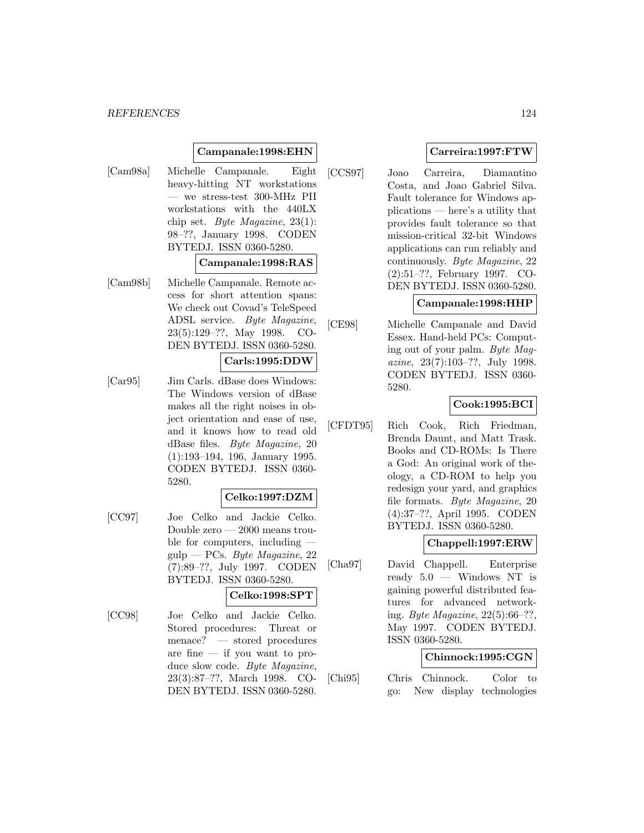#### *REFERENCES* 124

# **Campanale:1998:EHN**

[Cam98a] Michelle Campanale. Eight heavy-hitting NT workstations — we stress-test 300-MHz PII workstations with the 440LX chip set. Byte Magazine,  $23(1)$ : 98–??, January 1998. CODEN BYTEDJ. ISSN 0360-5280.

#### **Campanale:1998:RAS**

[Cam98b] Michelle Campanale. Remote access for short attention spans: We check out Covad's TeleSpeed ADSL service. Byte Magazine, 23(5):129–??, May 1998. CO-DEN BYTEDJ. ISSN 0360-5280.

# **Carls:1995:DDW**

[Car95] Jim Carls. dBase does Windows: The Windows version of dBase makes all the right noises in object orientation and ease of use, and it knows how to read old dBase files. Byte Magazine, 20 (1):193–194, 196, January 1995. CODEN BYTEDJ. ISSN 0360- 5280.

# **Celko:1997:DZM**

[CC97] Joe Celko and Jackie Celko. Double zero — 2000 means trouble for computers, including  $gulp - PCs. Byte Magazine, 22$ (7):89–??, July 1997. CODEN BYTEDJ. ISSN 0360-5280.

# **Celko:1998:SPT**

[CC98] Joe Celko and Jackie Celko. Stored procedures: Threat or menace? — stored procedures are fine — if you want to produce slow code. Byte Magazine, 23(3):87–??, March 1998. CO-DEN BYTEDJ. ISSN 0360-5280.

# **Carreira:1997:FTW**

[CCS97] Joao Carreira, Diamantino Costa, and Joao Gabriel Silva. Fault tolerance for Windows applications — here's a utility that provides fault tolerance so that mission-critical 32-bit Windows applications can run reliably and continuously. Byte Magazine, 22 (2):51–??, February 1997. CO-DEN BYTEDJ. ISSN 0360-5280.

#### **Campanale:1998:HHP**

[CE98] Michelle Campanale and David Essex. Hand-held PCs: Computing out of your palm. Byte Magazine, 23(7):103–??, July 1998. CODEN BYTEDJ. ISSN 0360- 5280.

# **Cook:1995:BCI**

[CFDT95] Rich Cook, Rich Friedman, Brenda Daunt, and Matt Trask. Books and CD-ROMs: Is There a God: An original work of theology, a CD-ROM to help you redesign your yard, and graphics file formats. Byte Magazine, 20 (4):37–??, April 1995. CODEN BYTEDJ. ISSN 0360-5280.

# **Chappell:1997:ERW**

[Cha97] David Chappell. Enterprise ready  $5.0 -$  Windows NT is gaining powerful distributed features for advanced networking. Byte Magazine, 22(5):66–??, May 1997. CODEN BYTEDJ. ISSN 0360-5280.

### **Chinnock:1995:CGN**

[Chi95] Chris Chinnock. Color to go: New display technologies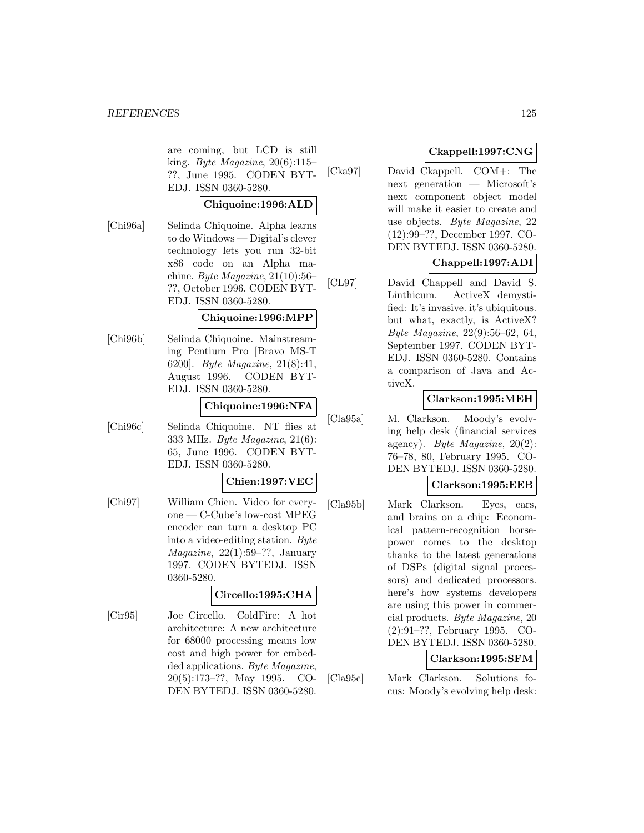are coming, but LCD is still king. Byte Magazine, 20(6):115– ??, June 1995. CODEN BYT-EDJ. ISSN 0360-5280.

### **Chiquoine:1996:ALD**

[Chi96a] Selinda Chiquoine. Alpha learns to do Windows — Digital's clever technology lets you run 32-bit x86 code on an Alpha machine. Byte Magazine, 21(10):56– ??, October 1996. CODEN BYT-EDJ. ISSN 0360-5280.

# **Chiquoine:1996:MPP**

[Chi96b] Selinda Chiquoine. Mainstreaming Pentium Pro [Bravo MS-T 6200]. Byte Magazine, 21(8):41, August 1996. CODEN BYT-EDJ. ISSN 0360-5280.

# **Chiquoine:1996:NFA**

[Chi96c] Selinda Chiquoine. NT flies at 333 MHz. Byte Magazine, 21(6): 65, June 1996. CODEN BYT-EDJ. ISSN 0360-5280.

#### **Chien:1997:VEC**

[Chi97] William Chien. Video for everyone — C-Cube's low-cost MPEG encoder can turn a desktop PC into a video-editing station. Byte  $Magazine, 22(1):59-??, January$ 1997. CODEN BYTEDJ. ISSN 0360-5280.

# **Circello:1995:CHA**

[Cir95] Joe Circello. ColdFire: A hot architecture: A new architecture for 68000 processing means low cost and high power for embedded applications. Byte Magazine, 20(5):173–??, May 1995. CO-DEN BYTEDJ. ISSN 0360-5280.

# **Ckappell:1997:CNG**

[Cka97] David Ckappell. COM+: The next generation — Microsoft's next component object model will make it easier to create and use objects. Byte Magazine, 22 (12):99–??, December 1997. CO-DEN BYTEDJ. ISSN 0360-5280.

# **Chappell:1997:ADI**

[CL97] David Chappell and David S. Linthicum. ActiveX demystified: It's invasive. it's ubiquitous. but what, exactly, is ActiveX? Byte Magazine, 22(9):56–62, 64, September 1997. CODEN BYT-EDJ. ISSN 0360-5280. Contains a comparison of Java and ActiveX.

# **Clarkson:1995:MEH**

[Cla95a] M. Clarkson. Moody's evolving help desk (financial services agency). Byte Magazine,  $20(2)$ : 76–78, 80, February 1995. CO-DEN BYTEDJ. ISSN 0360-5280.

# **Clarkson:1995:EEB**

[Cla95b] Mark Clarkson. Eyes, ears, and brains on a chip: Economical pattern-recognition horsepower comes to the desktop thanks to the latest generations of DSPs (digital signal processors) and dedicated processors. here's how systems developers are using this power in commercial products. Byte Magazine, 20 (2):91–??, February 1995. CO-DEN BYTEDJ. ISSN 0360-5280.

# **Clarkson:1995:SFM**

[Cla95c] Mark Clarkson. Solutions focus: Moody's evolving help desk: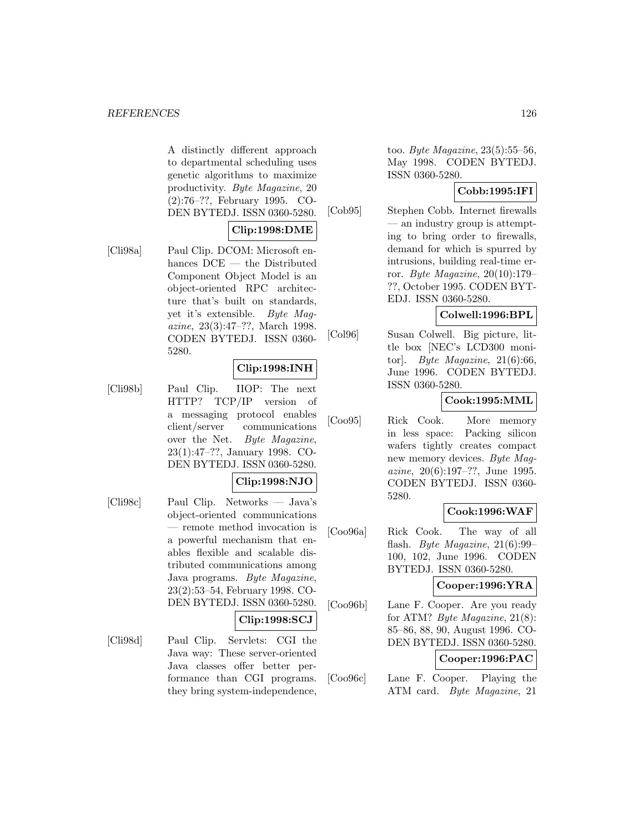A distinctly different approach to departmental scheduling uses genetic algorithms to maximize productivity. Byte Magazine, 20 (2):76–??, February 1995. CO-DEN BYTEDJ. ISSN 0360-5280.

# **Clip:1998:DME**

[Cli98a] Paul Clip. DCOM: Microsoft enhances DCE — the Distributed Component Object Model is an object-oriented RPC architecture that's built on standards, yet it's extensible. Byte Magazine, 23(3):47–??, March 1998. CODEN BYTEDJ. ISSN 0360- 5280.

# **Clip:1998:INH**

[Cli98b] Paul Clip. IIOP: The next HTTP? TCP/IP version of a messaging protocol enables client/server communications over the Net. Byte Magazine, 23(1):47–??, January 1998. CO-DEN BYTEDJ. ISSN 0360-5280.

# **Clip:1998:NJO**

[Cli98c] Paul Clip. Networks — Java's object-oriented communications — remote method invocation is a powerful mechanism that enables flexible and scalable distributed communications among Java programs. Byte Magazine, 23(2):53–54, February 1998. CO-DEN BYTEDJ. ISSN 0360-5280.

### **Clip:1998:SCJ**

[Cli98d] Paul Clip. Servlets: CGI the Java way: These server-oriented Java classes offer better performance than CGI programs. they bring system-independence,

too. Byte Magazine, 23(5):55–56, May 1998. CODEN BYTEDJ. ISSN 0360-5280.

# **Cobb:1995:IFI**

[Cob95] Stephen Cobb. Internet firewalls — an industry group is attempting to bring order to firewalls, demand for which is spurred by intrusions, building real-time error. Byte Magazine, 20(10):179– ??, October 1995. CODEN BYT-EDJ. ISSN 0360-5280.

# **Colwell:1996:BPL**

[Col96] Susan Colwell. Big picture, little box [NEC's LCD300 monitor]. Byte Magazine,  $21(6):66$ , June 1996. CODEN BYTEDJ. ISSN 0360-5280.

# **Cook:1995:MML**

[Coo95] Rick Cook. More memory in less space: Packing silicon wafers tightly creates compact new memory devices. Byte Magazine, 20(6):197–??, June 1995. CODEN BYTEDJ. ISSN 0360- 5280.

# **Cook:1996:WAF**

[Coo96a] Rick Cook. The way of all flash. Byte Magazine, 21(6):99– 100, 102, June 1996. CODEN BYTEDJ. ISSN 0360-5280.

# **Cooper:1996:YRA**

[Coo96b] Lane F. Cooper. Are you ready for ATM? Byte Magazine, 21(8): 85–86, 88, 90, August 1996. CO-DEN BYTEDJ. ISSN 0360-5280.

# **Cooper:1996:PAC**

[Coo96c] Lane F. Cooper. Playing the ATM card. Byte Magazine, 21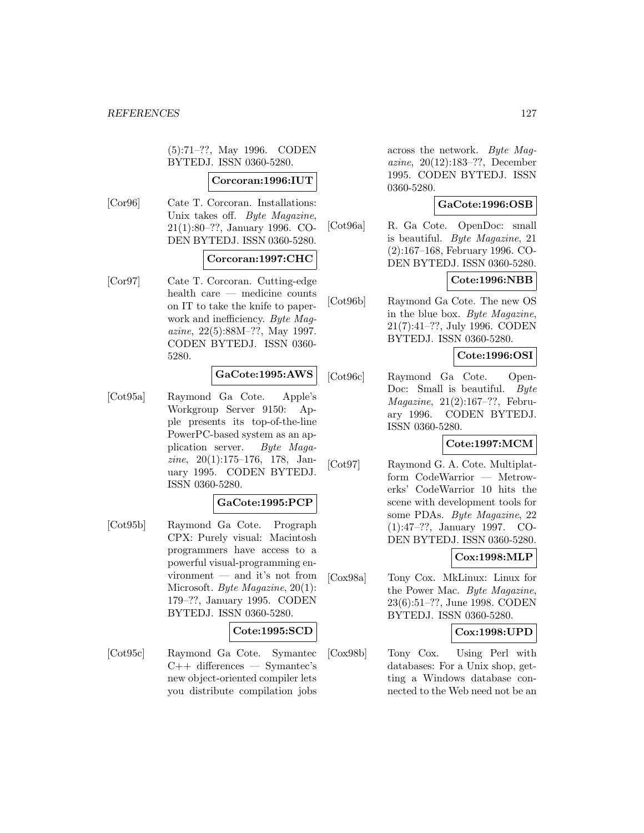(5):71–??, May 1996. CODEN BYTEDJ. ISSN 0360-5280.

#### **Corcoran:1996:IUT**

[Cor96] Cate T. Corcoran. Installations: Unix takes off. Byte Magazine, 21(1):80–??, January 1996. CO-DEN BYTEDJ. ISSN 0360-5280.

# **Corcoran:1997:CHC**

[Cor97] Cate T. Corcoran. Cutting-edge health care — medicine counts on IT to take the knife to paperwork and inefficiency. Byte Magazine, 22(5):88M–??, May 1997. CODEN BYTEDJ. ISSN 0360- 5280.

# **GaCote:1995:AWS**

[Cot95a] Raymond Ga Cote. Apple's Workgroup Server 9150: Apple presents its top-of-the-line PowerPC-based system as an application server. Byte Magazine,  $20(1):175-176$ , 178, January 1995. CODEN BYTEDJ. ISSN 0360-5280.

# **GaCote:1995:PCP**

[Cot95b] Raymond Ga Cote. Prograph CPX: Purely visual: Macintosh programmers have access to a powerful visual-programming environment — and it's not from Microsoft. Byte Magazine, 20(1): 179–??, January 1995. CODEN BYTEDJ. ISSN 0360-5280.

# **Cote:1995:SCD**

[Cot95c] Raymond Ga Cote. Symantec C++ differences — Symantec's new object-oriented compiler lets you distribute compilation jobs

across the network. Byte Magazine, 20(12):183–??, December 1995. CODEN BYTEDJ. ISSN 0360-5280.

### **GaCote:1996:OSB**

[Cot96a] R. Ga Cote. OpenDoc: small is beautiful. Byte Magazine, 21 (2):167–168, February 1996. CO-DEN BYTEDJ. ISSN 0360-5280.

# **Cote:1996:NBB**

[Cot96b] Raymond Ga Cote. The new OS in the blue box. Byte Magazine, 21(7):41–??, July 1996. CODEN BYTEDJ. ISSN 0360-5280.

#### **Cote:1996:OSI**

[Cot96c] Raymond Ga Cote. Open-Doc: Small is beautiful. Byte Magazine, 21(2):167–??, February 1996. CODEN BYTEDJ. ISSN 0360-5280.

### **Cote:1997:MCM**

[Cot97] Raymond G. A. Cote. Multiplatform CodeWarrior — Metrowerks' CodeWarrior 10 hits the scene with development tools for some PDAs. Byte Magazine, 22 (1):47–??, January 1997. CO-DEN BYTEDJ. ISSN 0360-5280.

# **Cox:1998:MLP**

[Cox98a] Tony Cox. MkLinux: Linux for the Power Mac. Byte Magazine, 23(6):51–??, June 1998. CODEN BYTEDJ. ISSN 0360-5280.

# **Cox:1998:UPD**

[Cox98b] Tony Cox. Using Perl with databases: For a Unix shop, getting a Windows database connected to the Web need not be an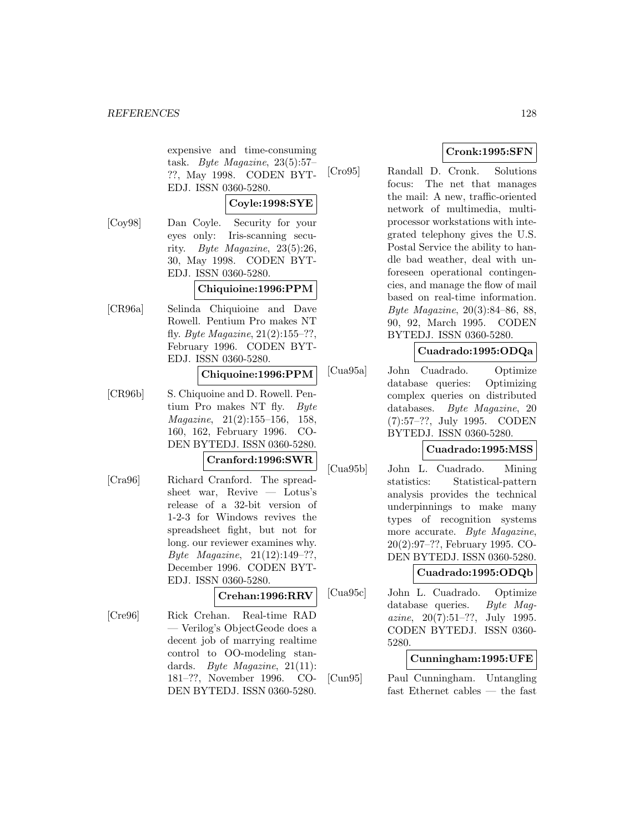expensive and time-consuming task. Byte Magazine, 23(5):57– ??, May 1998. CODEN BYT-EDJ. ISSN 0360-5280.

# **Coyle:1998:SYE**

[Coy98] Dan Coyle. Security for your eyes only: Iris-scanning security. Byte Magazine, 23(5):26, 30, May 1998. CODEN BYT-EDJ. ISSN 0360-5280.

# **Chiquioine:1996:PPM**

[CR96a] Selinda Chiquioine and Dave Rowell. Pentium Pro makes NT fly. Byte Magazine,  $21(2):155-??$ , February 1996. CODEN BYT-EDJ. ISSN 0360-5280.

#### **Chiquoine:1996:PPM**

[CR96b] S. Chiquoine and D. Rowell. Pentium Pro makes NT fly. Byte Magazine, 21(2):155–156, 158, 160, 162, February 1996. CO-DEN BYTEDJ. ISSN 0360-5280.

#### **Cranford:1996:SWR**

[Cra96] Richard Cranford. The spreadsheet war, Revive — Lotus's release of a 32-bit version of 1-2-3 for Windows revives the spreadsheet fight, but not for long. our reviewer examines why. Byte Magazine, 21(12):149–??, December 1996. CODEN BYT-EDJ. ISSN 0360-5280.

# **Crehan:1996:RRV**

[Cre96] Rick Crehan. Real-time RAD — Verilog's ObjectGeode does a decent job of marrying realtime control to OO-modeling standards. Byte Magazine, 21(11): 181–??, November 1996. CO-DEN BYTEDJ. ISSN 0360-5280.

# **Cronk:1995:SFN**

[Cro95] Randall D. Cronk. Solutions focus: The net that manages the mail: A new, traffic-oriented network of multimedia, multiprocessor workstations with integrated telephony gives the U.S. Postal Service the ability to handle bad weather, deal with unforeseen operational contingencies, and manage the flow of mail based on real-time information. Byte Magazine, 20(3):84–86, 88, 90, 92, March 1995. CODEN BYTEDJ. ISSN 0360-5280.

# **Cuadrado:1995:ODQa**

[Cua95a] John Cuadrado. Optimize database queries: Optimizing complex queries on distributed databases. Byte Magazine, 20 (7):57–??, July 1995. CODEN BYTEDJ. ISSN 0360-5280.

# **Cuadrado:1995:MSS**

[Cua95b] John L. Cuadrado. Mining statistics: Statistical-pattern analysis provides the technical underpinnings to make many types of recognition systems more accurate. Byte Magazine, 20(2):97–??, February 1995. CO-DEN BYTEDJ. ISSN 0360-5280.

# **Cuadrado:1995:ODQb**

[Cua95c] John L. Cuadrado. Optimize database queries. Byte Magazine,  $20(7):51-??$ , July 1995. CODEN BYTEDJ. ISSN 0360- 5280.

# **Cunningham:1995:UFE**

[Cun95] Paul Cunningham. Untangling fast Ethernet cables — the fast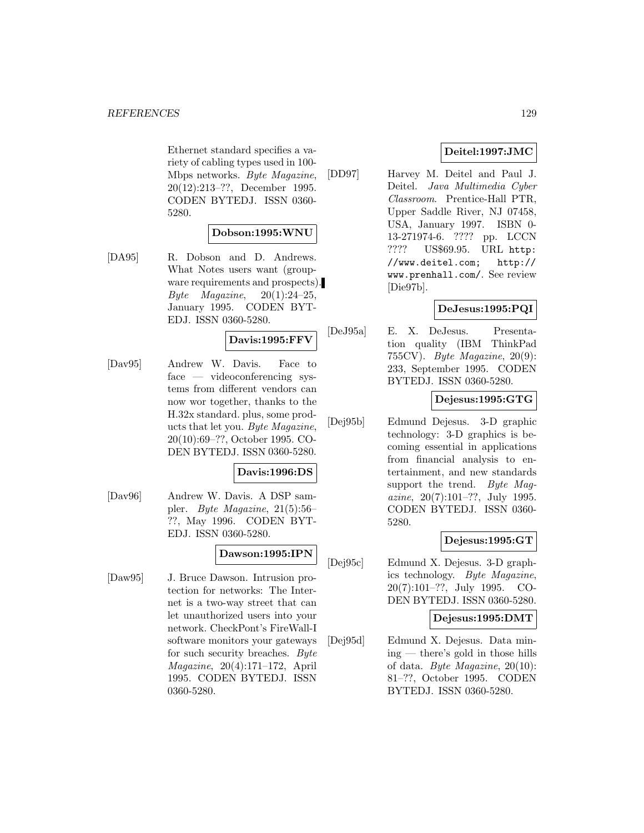Ethernet standard specifies a variety of cabling types used in 100- Mbps networks. Byte Magazine, 20(12):213–??, December 1995. CODEN BYTEDJ. ISSN 0360- 5280.

#### **Dobson:1995:WNU**

[DA95] R. Dobson and D. Andrews. What Notes users want (groupware requirements and prospects). Byte Magazine,  $20(1):24-25$ , January 1995. CODEN BYT-EDJ. ISSN 0360-5280.

# **Davis:1995:FFV**

[Dav95] Andrew W. Davis. Face to face — videoconferencing systems from different vendors can now wor together, thanks to the H.32x standard. plus, some products that let you. Byte Magazine, 20(10):69–??, October 1995. CO-DEN BYTEDJ. ISSN 0360-5280.

# **Davis:1996:DS**

[Dav96] Andrew W. Davis. A DSP sampler. Byte Magazine, 21(5):56– ??, May 1996. CODEN BYT-EDJ. ISSN 0360-5280.

# **Dawson:1995:IPN**

[Daw95] J. Bruce Dawson. Intrusion protection for networks: The Internet is a two-way street that can let unauthorized users into your network. CheckPont's FireWall-I software monitors your gateways for such security breaches. Byte Magazine, 20(4):171–172, April 1995. CODEN BYTEDJ. ISSN 0360-5280.

# **Deitel:1997:JMC**

[DD97] Harvey M. Deitel and Paul J. Deitel. Java Multimedia Cyber Classroom. Prentice-Hall PTR, Upper Saddle River, NJ 07458, USA, January 1997. ISBN 0- 13-271974-6. ???? pp. LCCN ???? US\$69.95. URL http: //www.deitel.com; http:// www.prenhall.com/. See review [Die97b].

# **DeJesus:1995:PQI**

[DeJ95a] E. X. DeJesus. Presentation quality (IBM ThinkPad 755CV). Byte Magazine, 20(9): 233, September 1995. CODEN BYTEDJ. ISSN 0360-5280.

# **Dejesus:1995:GTG**

[Dej95b] Edmund Dejesus. 3-D graphic technology: 3-D graphics is becoming essential in applications from financial analysis to entertainment, and new standards support the trend. Byte Magazine, 20(7):101–??, July 1995. CODEN BYTEDJ. ISSN 0360- 5280.

# **Dejesus:1995:GT**

[Dej95c] Edmund X. Dejesus. 3-D graphics technology. Byte Magazine, 20(7):101–??, July 1995. CO-DEN BYTEDJ. ISSN 0360-5280.

### **Dejesus:1995:DMT**

[Dej95d] Edmund X. Dejesus. Data mining — there's gold in those hills of data. Byte Magazine, 20(10): 81–??, October 1995. CODEN BYTEDJ. ISSN 0360-5280.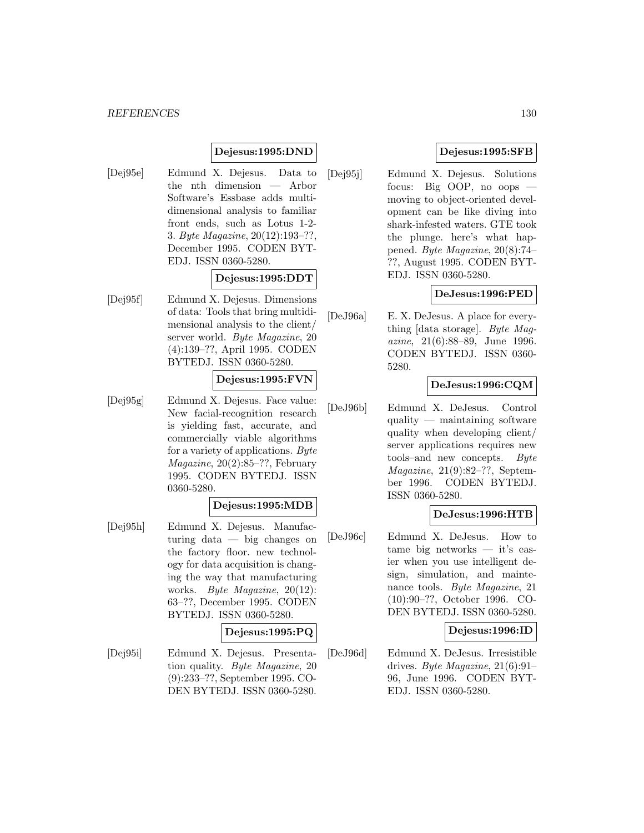# **Dejesus:1995:DND**

[Dej95e] Edmund X. Dejesus. Data to the nth dimension — Arbor Software's Essbase adds multidimensional analysis to familiar front ends, such as Lotus 1-2- 3. Byte Magazine, 20(12):193–??, December 1995. CODEN BYT-EDJ. ISSN 0360-5280.

### **Dejesus:1995:DDT**

[Dej95f] Edmund X. Dejesus. Dimensions of data: Tools that bring multidimensional analysis to the client/ server world. Byte Magazine, 20 (4):139–??, April 1995. CODEN BYTEDJ. ISSN 0360-5280.

#### **Dejesus:1995:FVN**

[Dej95g] Edmund X. Dejesus. Face value: New facial-recognition research is yielding fast, accurate, and commercially viable algorithms for a variety of applications. Byte Magazine, 20(2):85–??, February 1995. CODEN BYTEDJ. ISSN 0360-5280.

### **Dejesus:1995:MDB**

[Dej95h] Edmund X. Dejesus. Manufacturing data — big changes on the factory floor. new technology for data acquisition is changing the way that manufacturing works. Byte Magazine, 20(12): 63–??, December 1995. CODEN BYTEDJ. ISSN 0360-5280.

# **Dejesus:1995:PQ**

[Dej95i] Edmund X. Dejesus. Presentation quality. Byte Magazine, 20 (9):233–??, September 1995. CO-DEN BYTEDJ. ISSN 0360-5280.

# **Dejesus:1995:SFB**

[Dej95j] Edmund X. Dejesus. Solutions focus: Big OOP, no oops moving to object-oriented development can be like diving into shark-infested waters. GTE took the plunge. here's what happened. Byte Magazine, 20(8):74– ??, August 1995. CODEN BYT-EDJ. ISSN 0360-5280.

# **DeJesus:1996:PED**

[DeJ96a] E. X. DeJesus. A place for everything [data storage]. Byte Magazine, 21(6):88–89, June 1996. CODEN BYTEDJ. ISSN 0360- 5280.

# **DeJesus:1996:CQM**

[DeJ96b] Edmund X. DeJesus. Control quality — maintaining software quality when developing client/ server applications requires new tools–and new concepts. Byte Magazine, 21(9):82–??, September 1996. CODEN BYTEDJ. ISSN 0360-5280.

# **DeJesus:1996:HTB**

[DeJ96c] Edmund X. DeJesus. How to tame big networks — it's easier when you use intelligent design, simulation, and maintenance tools. Byte Magazine, 21 (10):90–??, October 1996. CO-DEN BYTEDJ. ISSN 0360-5280.

# **Dejesus:1996:ID**

[DeJ96d] Edmund X. DeJesus. Irresistible drives. Byte Magazine,  $21(6):91-$ 96, June 1996. CODEN BYT-EDJ. ISSN 0360-5280.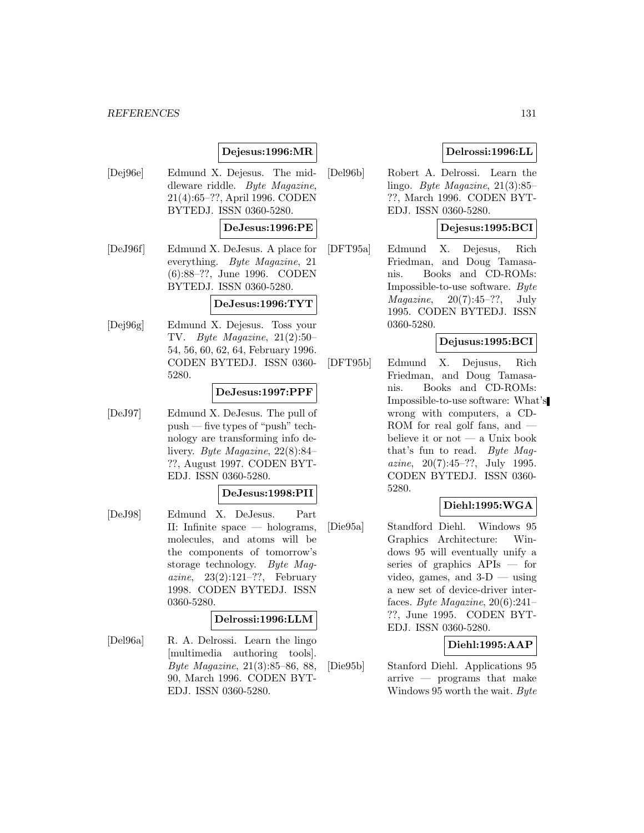#### *REFERENCES* 131

# **Dejesus:1996:MR**

[Dej96e] Edmund X. Dejesus. The middleware riddle. Byte Magazine, 21(4):65–??, April 1996. CODEN BYTEDJ. ISSN 0360-5280.

# **DeJesus:1996:PE**

[DeJ96f] Edmund X. DeJesus. A place for everything. Byte Magazine, 21 (6):88–??, June 1996. CODEN BYTEDJ. ISSN 0360-5280.

#### **DeJesus:1996:TYT**

[Dej96g] Edmund X. Dejesus. Toss your TV. Byte Magazine, 21(2):50– 54, 56, 60, 62, 64, February 1996. CODEN BYTEDJ. ISSN 0360- 5280.

### **DeJesus:1997:PPF**

[DeJ97] Edmund X. DeJesus. The pull of push — five types of "push" technology are transforming info delivery. Byte Magazine, 22(8):84– ??, August 1997. CODEN BYT-EDJ. ISSN 0360-5280.

#### **DeJesus:1998:PII**

[DeJ98] Edmund X. DeJesus. Part II: Infinite space — holograms, molecules, and atoms will be the components of tomorrow's storage technology. Byte Magazine,  $23(2):121-??$ , February 1998. CODEN BYTEDJ. ISSN 0360-5280.

#### **Delrossi:1996:LLM**

[Del96a] R. A. Delrossi. Learn the lingo [multimedia authoring tools]. Byte Magazine, 21(3):85–86, 88, 90, March 1996. CODEN BYT-EDJ. ISSN 0360-5280.

- **Delrossi:1996:LL** [Del96b] Robert A. Delrossi. Learn the
	- lingo. Byte Magazine, 21(3):85– ??, March 1996. CODEN BYT-EDJ. ISSN 0360-5280.

# **Dejesus:1995:BCI**

[DFT95a] Edmund X. Dejesus, Rich Friedman, and Doug Tamasanis. Books and CD-ROMs: Impossible-to-use software. Byte  $Magazine, 20(7):45-??, July$ 1995. CODEN BYTEDJ. ISSN 0360-5280.

# **Dejusus:1995:BCI**

[DFT95b] Edmund X. Dejusus, Rich Friedman, and Doug Tamasanis. Books and CD-ROMs: Impossible-to-use software: What's wrong with computers, a CD-ROM for real golf fans, and believe it or not — a Unix book that's fun to read. Byte Magazine,  $20(7):45-??$ , July 1995. CODEN BYTEDJ. ISSN 0360- 5280.

# **Diehl:1995:WGA**

[Die95a] Standford Diehl. Windows 95 Graphics Architecture: Windows 95 will eventually unify a series of graphics APIs — for video, games, and  $3-D$  — using a new set of device-driver interfaces. Byte Magazine,  $20(6):241-$ ??, June 1995. CODEN BYT-EDJ. ISSN 0360-5280.

# **Diehl:1995:AAP**

[Die95b] Stanford Diehl. Applications 95 arrive — programs that make Windows 95 worth the wait. Byte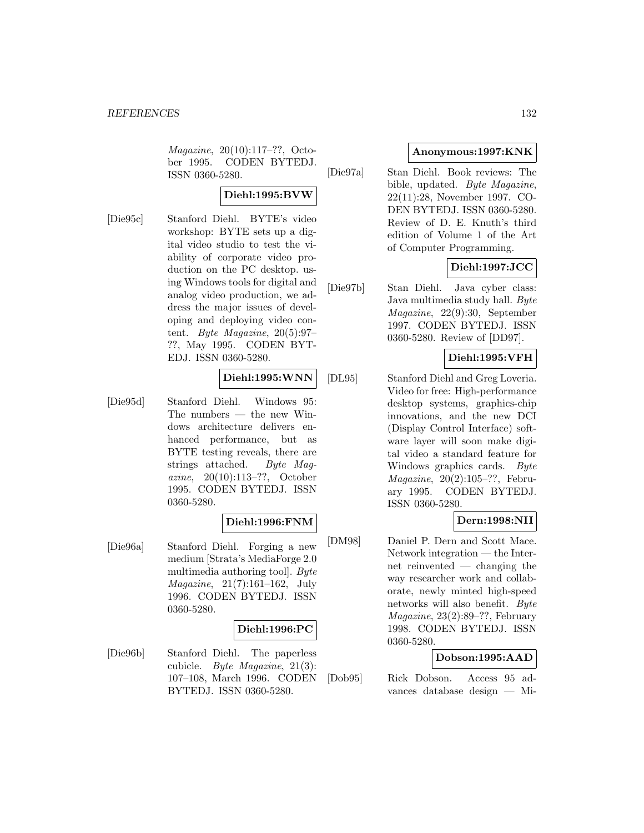Magazine, 20(10):117–??, October 1995. CODEN BYTEDJ. ISSN 0360-5280.

# **Diehl:1995:BVW**

[Die95c] Stanford Diehl. BYTE's video workshop: BYTE sets up a digital video studio to test the viability of corporate video production on the PC desktop. using Windows tools for digital and analog video production, we address the major issues of developing and deploying video content. Byte Magazine, 20(5):97– ??, May 1995. CODEN BYT-EDJ. ISSN 0360-5280.

# **Diehl:1995:WNN**

[Die95d] Stanford Diehl. Windows 95: The numbers — the new Windows architecture delivers enhanced performance, but as BYTE testing reveals, there are strings attached. Byte Magazine, 20(10):113–??, October 1995. CODEN BYTEDJ. ISSN 0360-5280.

# **Diehl:1996:FNM**

[Die96a] Stanford Diehl. Forging a new medium [Strata's MediaForge 2.0 multimedia authoring tool]. Byte Magazine, 21(7):161–162, July 1996. CODEN BYTEDJ. ISSN 0360-5280.

# **Diehl:1996:PC**

[Die96b] Stanford Diehl. The paperless cubicle. Byte Magazine, 21(3): 107–108, March 1996. CODEN BYTEDJ. ISSN 0360-5280.

# **Anonymous:1997:KNK**

[Die97a] Stan Diehl. Book reviews: The bible, updated. Byte Magazine, 22(11):28, November 1997. CO-DEN BYTEDJ. ISSN 0360-5280. Review of D. E. Knuth's third edition of Volume 1 of the Art of Computer Programming.

# **Diehl:1997:JCC**

[Die97b] Stan Diehl. Java cyber class: Java multimedia study hall. Byte Magazine, 22(9):30, September 1997. CODEN BYTEDJ. ISSN 0360-5280. Review of [DD97].

# **Diehl:1995:VFH**

[DL95] Stanford Diehl and Greg Loveria. Video for free: High-performance desktop systems, graphics-chip innovations, and the new DCI (Display Control Interface) software layer will soon make digital video a standard feature for Windows graphics cards. Byte Magazine, 20(2):105–??, February 1995. CODEN BYTEDJ. ISSN 0360-5280.

# **Dern:1998:NII**

[DM98] Daniel P. Dern and Scott Mace. Network integration — the Internet reinvented — changing the way researcher work and collaborate, newly minted high-speed networks will also benefit. Byte Magazine, 23(2):89–??, February 1998. CODEN BYTEDJ. ISSN 0360-5280.

# **Dobson:1995:AAD**

[Dob95] Rick Dobson. Access 95 advances database design — Mi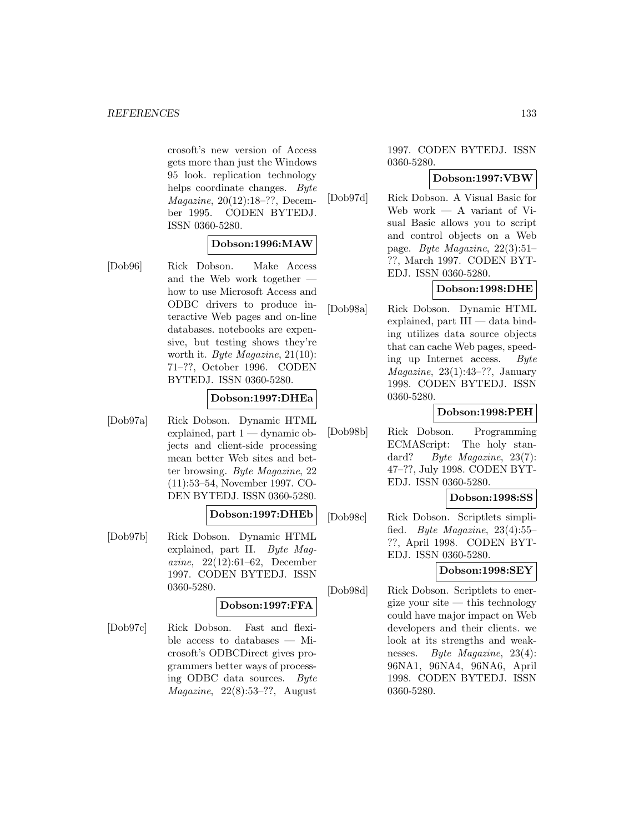crosoft's new version of Access gets more than just the Windows 95 look. replication technology helps coordinate changes. Byte Magazine, 20(12):18–??, December 1995. CODEN BYTEDJ. ISSN 0360-5280.

# **Dobson:1996:MAW**

[Dob96] Rick Dobson. Make Access and the Web work together how to use Microsoft Access and ODBC drivers to produce interactive Web pages and on-line databases. notebooks are expensive, but testing shows they're worth it. Byte Magazine, 21(10): 71–??, October 1996. CODEN BYTEDJ. ISSN 0360-5280.

# **Dobson:1997:DHEa**

[Dob97a] Rick Dobson. Dynamic HTML explained, part  $1 -$  dynamic objects and client-side processing mean better Web sites and better browsing. Byte Magazine, 22 (11):53–54, November 1997. CO-DEN BYTEDJ. ISSN 0360-5280.

# **Dobson:1997:DHEb**

[Dob97b] Rick Dobson. Dynamic HTML explained, part II. Byte Magazine, 22(12):61–62, December 1997. CODEN BYTEDJ. ISSN 0360-5280.

#### **Dobson:1997:FFA**

[Dob97c] Rick Dobson. Fast and flexible access to databases — Microsoft's ODBCDirect gives programmers better ways of processing ODBC data sources. Byte  $Magazine, 22(8):53-??, August$ 

1997. CODEN BYTEDJ. ISSN 0360-5280.

#### **Dobson:1997:VBW**

[Dob97d] Rick Dobson. A Visual Basic for Web work — A variant of Visual Basic allows you to script and control objects on a Web page. Byte Magazine, 22(3):51– ??, March 1997. CODEN BYT-EDJ. ISSN 0360-5280.

# **Dobson:1998:DHE**

[Dob98a] Rick Dobson. Dynamic HTML explained, part  $III$  — data binding utilizes data source objects that can cache Web pages, speeding up Internet access. Byte *Magazine*,  $23(1):43-??$ , January 1998. CODEN BYTEDJ. ISSN 0360-5280.

# **Dobson:1998:PEH**

[Dob98b] Rick Dobson. Programming ECMAScript: The holy standard? *Byte Magazine*, 23(7): 47–??, July 1998. CODEN BYT-EDJ. ISSN 0360-5280.

#### **Dobson:1998:SS**

[Dob98c] Rick Dobson. Scriptlets simplified. *Byte Magazine*,  $23(4):55$ – ??, April 1998. CODEN BYT-EDJ. ISSN 0360-5280.

# **Dobson:1998:SEY**

[Dob98d] Rick Dobson. Scriptlets to energize your site  $-$  this technology could have major impact on Web developers and their clients. we look at its strengths and weaknesses. Byte Magazine, 23(4): 96NA1, 96NA4, 96NA6, April 1998. CODEN BYTEDJ. ISSN 0360-5280.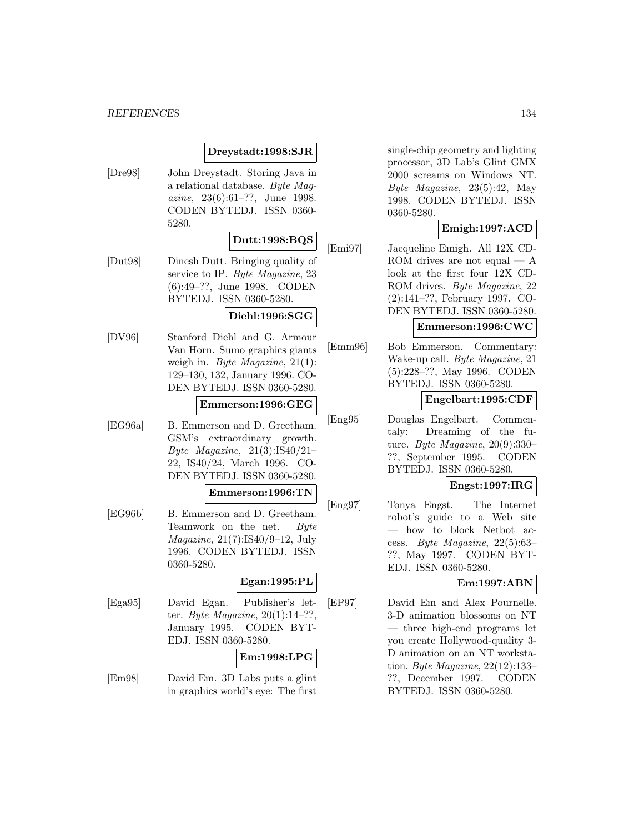# **Dreystadt:1998:SJR**

[Dre98] John Dreystadt. Storing Java in a relational database. Byte Magazine, 23(6):61–??, June 1998. CODEN BYTEDJ. ISSN 0360- 5280.

# **Dutt:1998:BQS**

[Dut98] Dinesh Dutt. Bringing quality of service to IP. Byte Magazine, 23 (6):49–??, June 1998. CODEN BYTEDJ. ISSN 0360-5280.

# **Diehl:1996:SGG**

[DV96] Stanford Diehl and G. Armour Van Horn. Sumo graphics giants weigh in. Byte Magazine, 21(1): 129–130, 132, January 1996. CO-DEN BYTEDJ. ISSN 0360-5280.

#### **Emmerson:1996:GEG**

[EG96a] B. Emmerson and D. Greetham. GSM's extraordinary growth. Byte Magazine,  $21(3):IS40/21-$ 22, IS40/24, March 1996. CO-DEN BYTEDJ. ISSN 0360-5280.

#### **Emmerson:1996:TN**

[EG96b] B. Emmerson and D. Greetham. Teamwork on the net. Byte Magazine, 21(7):IS40/9–12, July 1996. CODEN BYTEDJ. ISSN 0360-5280.

# **Egan:1995:PL**

[Ega95] David Egan. Publisher's letter. *Byte Magazine*,  $20(1):14-??$ . January 1995. CODEN BYT-EDJ. ISSN 0360-5280.

# **Em:1998:LPG**

[Em98] David Em. 3D Labs puts a glint in graphics world's eye: The first single-chip geometry and lighting processor, 3D Lab's Glint GMX 2000 screams on Windows NT. Byte Magazine, 23(5):42, May 1998. CODEN BYTEDJ. ISSN 0360-5280.

# **Emigh:1997:ACD**

[Emi97] Jacqueline Emigh. All 12X CD-ROM drives are not equal  $- A$ look at the first four 12X CD-ROM drives. Byte Magazine, 22 (2):141–??, February 1997. CO-DEN BYTEDJ. ISSN 0360-5280.

# **Emmerson:1996:CWC**

[Emm96] Bob Emmerson. Commentary: Wake-up call. Byte Magazine, 21 (5):228–??, May 1996. CODEN BYTEDJ. ISSN 0360-5280.

### **Engelbart:1995:CDF**

[Eng95] Douglas Engelbart. Commentaly: Dreaming of the future. Byte Magazine, 20(9):330– ??, September 1995. CODEN BYTEDJ. ISSN 0360-5280.

# **Engst:1997:IRG**

[Eng97] Tonya Engst. The Internet robot's guide to a Web site — how to block Netbot access. Byte Magazine, 22(5):63– ??, May 1997. CODEN BYT-EDJ. ISSN 0360-5280.

# **Em:1997:ABN**

[EP97] David Em and Alex Pournelle. 3-D animation blossoms on NT — three high-end programs let you create Hollywood-quality 3- D animation on an NT workstation. Byte Magazine, 22(12):133– ??, December 1997. CODEN BYTEDJ. ISSN 0360-5280.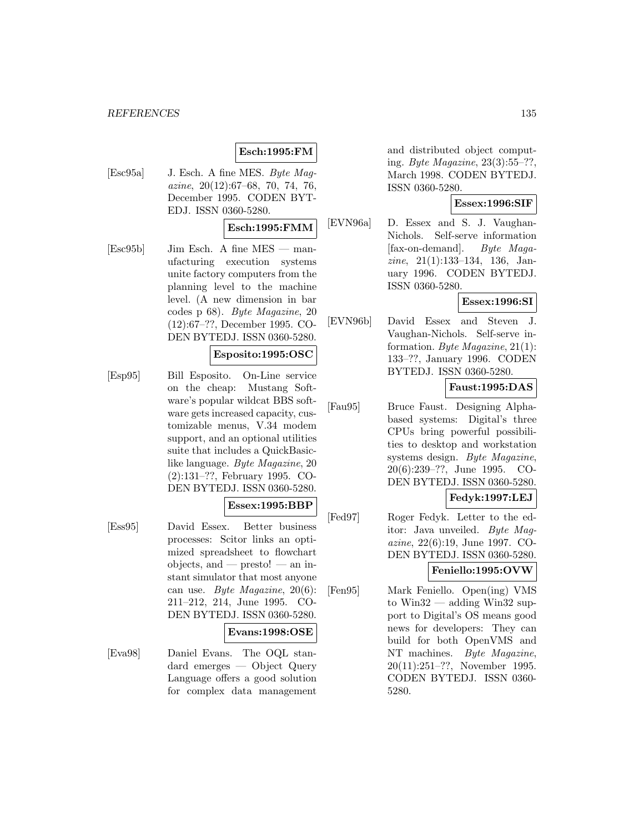# **Esch:1995:FM**

[Esc95a] J. Esch. A fine MES. Byte Magazine, 20(12):67–68, 70, 74, 76, December 1995. CODEN BYT-EDJ. ISSN 0360-5280.

# **Esch:1995:FMM**

[Esc95b] Jim Esch. A fine MES — manufacturing execution systems unite factory computers from the planning level to the machine level. (A new dimension in bar codes p 68). Byte Magazine, 20 (12):67–??, December 1995. CO-DEN BYTEDJ. ISSN 0360-5280.

#### **Esposito:1995:OSC**

[Esp95] Bill Esposito. On-Line service on the cheap: Mustang Software's popular wildcat BBS software gets increased capacity, customizable menus, V.34 modem support, and an optional utilities suite that includes a QuickBasiclike language. Byte Magazine, 20 (2):131–??, February 1995. CO-DEN BYTEDJ. ISSN 0360-5280.

#### **Essex:1995:BBP**

[Ess95] David Essex. Better business processes: Scitor links an optimized spreadsheet to flowchart objects, and  $-$  presto!  $-$  an instant simulator that most anyone can use. Byte Magazine, 20(6): 211–212, 214, June 1995. CO-DEN BYTEDJ. ISSN 0360-5280.

#### **Evans:1998:OSE**

[Eva98] Daniel Evans. The OQL standard emerges — Object Query Language offers a good solution for complex data management

and distributed object computing. Byte Magazine, 23(3):55–??, March 1998. CODEN BYTEDJ. ISSN 0360-5280.

### **Essex:1996:SIF**

[EVN96a] D. Essex and S. J. Vaughan-Nichols. Self-serve information [fax-on-demand]. Byte Magazine, 21(1):133–134, 136, January 1996. CODEN BYTEDJ. ISSN 0360-5280.

# **Essex:1996:SI**

[EVN96b] David Essex and Steven J. Vaughan-Nichols. Self-serve information. Byte Magazine, 21(1): 133–??, January 1996. CODEN BYTEDJ. ISSN 0360-5280.

# **Faust:1995:DAS**

- [Fau95] Bruce Faust. Designing Alphabased systems: Digital's three CPUs bring powerful possibilities to desktop and workstation systems design. Byte Magazine, 20(6):239–??, June 1995. CO-DEN BYTEDJ. ISSN 0360-5280. **Fedyk:1997:LEJ**
- [Fed97] Roger Fedyk. Letter to the editor: Java unveiled. Byte Magazine, 22(6):19, June 1997. CO-DEN BYTEDJ. ISSN 0360-5280.

# **Feniello:1995:OVW**

[Fen95] Mark Feniello. Open(ing) VMS to  $Win32 - adding Win32 sup$ port to Digital's OS means good news for developers: They can build for both OpenVMS and NT machines. Byte Magazine, 20(11):251–??, November 1995. CODEN BYTEDJ. ISSN 0360- 5280.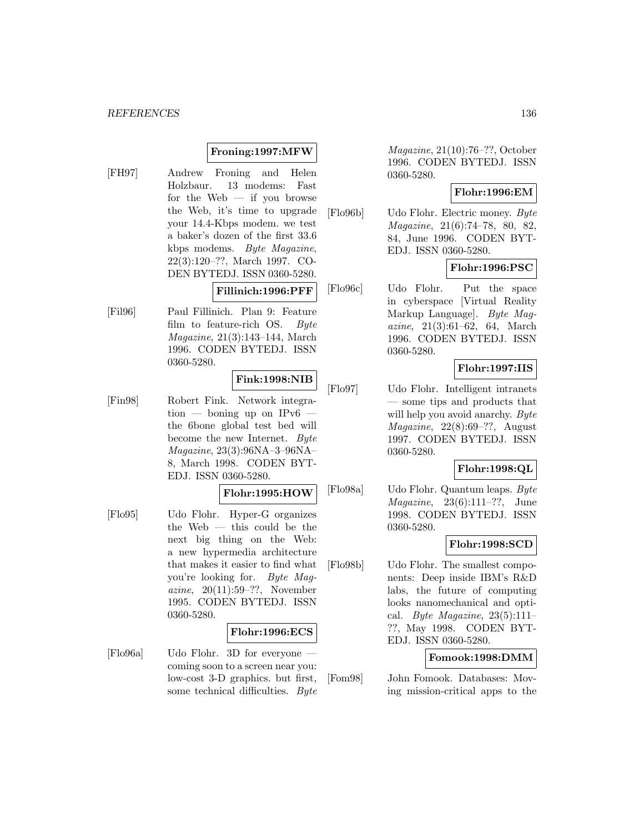# **Froning:1997:MFW**

[FH97] Andrew Froning and Helen Holzbaur. 13 modems: Fast for the Web  $-$  if you browse the Web, it's time to upgrade your 14.4-Kbps modem. we test a baker's dozen of the first 33.6 kbps modems. Byte Magazine, 22(3):120–??, March 1997. CO-DEN BYTEDJ. ISSN 0360-5280.

**Fillinich:1996:PFF**

[Fil96] Paul Fillinich. Plan 9: Feature film to feature-rich OS. Byte Magazine, 21(3):143–144, March 1996. CODEN BYTEDJ. ISSN 0360-5280.

# **Fink:1998:NIB**

[Fin98] Robert Fink. Network integra- $\text{tion}$  — boning up on IPv6 the 6bone global test bed will become the new Internet. Byte Magazine, 23(3):96NA–3–96NA– 8, March 1998. CODEN BYT-EDJ. ISSN 0360-5280.

#### **Flohr:1995:HOW**

[Flo95] Udo Flohr. Hyper-G organizes the Web — this could be the next big thing on the Web: a new hypermedia architecture that makes it easier to find what you're looking for. Byte Magazine, 20(11):59–??, November 1995. CODEN BYTEDJ. ISSN 0360-5280.

#### **Flohr:1996:ECS**

[Flo96a] Udo Flohr. 3D for everyone coming soon to a screen near you: low-cost 3-D graphics. but first, some technical difficulties. Byte

Magazine, 21(10):76–??, October 1996. CODEN BYTEDJ. ISSN 0360-5280.

# **Flohr:1996:EM**

[Flo96b] Udo Flohr. Electric money. Byte Magazine, 21(6):74–78, 80, 82, 84, June 1996. CODEN BYT-EDJ. ISSN 0360-5280.

# **Flohr:1996:PSC**

[Flo96c] Udo Flohr. Put the space in cyberspace [Virtual Reality Markup Language]. Byte Magazine, 21(3):61–62, 64, March 1996. CODEN BYTEDJ. ISSN 0360-5280.

# **Flohr:1997:IIS**

[Flo97] Udo Flohr. Intelligent intranets — some tips and products that will help you avoid anarchy. Byte  $Magazine, 22(8):69-??, August$ 1997. CODEN BYTEDJ. ISSN 0360-5280.

# **Flohr:1998:QL**

[Flo98a] Udo Flohr. Quantum leaps. Byte *Magazine*,  $23(6):111-??$ , June 1998. CODEN BYTEDJ. ISSN 0360-5280.

# **Flohr:1998:SCD**

[Flo98b] Udo Flohr. The smallest components: Deep inside IBM's R&D labs, the future of computing looks nanomechanical and optical. *Byte Magazine*,  $23(5):111-$ ??, May 1998. CODEN BYT-EDJ. ISSN 0360-5280.

### **Fomook:1998:DMM**

[Fom98] John Fomook. Databases: Moving mission-critical apps to the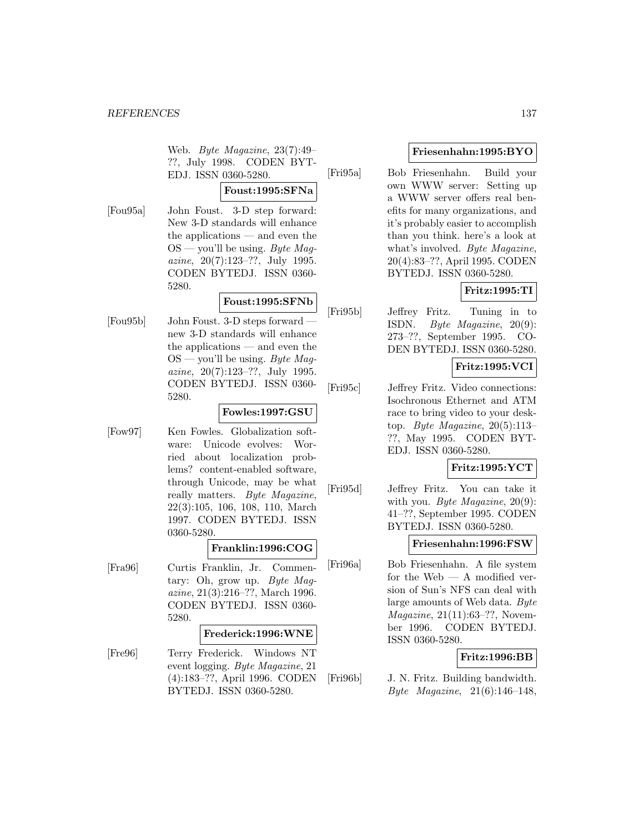Web. Byte Magazine, 23(7):49– ??, July 1998. CODEN BYT-EDJ. ISSN 0360-5280.

# **Foust:1995:SFNa**

[Fou95a] John Foust. 3-D step forward: New 3-D standards will enhance the applications — and even the  $OS$  — you'll be using. Byte Magazine, 20(7):123–??, July 1995. CODEN BYTEDJ. ISSN 0360- 5280.

# **Foust:1995:SFNb**

[Fou95b] John Foust. 3-D steps forward new 3-D standards will enhance the applications — and even the  $OS$  — you'll be using. Byte Magazine, 20(7):123–??, July 1995. CODEN BYTEDJ. ISSN 0360- 5280.

# **Fowles:1997:GSU**

[Fow97] Ken Fowles. Globalization software: Unicode evolves: Worried about localization problems? content-enabled software, through Unicode, may be what really matters. Byte Magazine, 22(3):105, 106, 108, 110, March 1997. CODEN BYTEDJ. ISSN 0360-5280.

# **Franklin:1996:COG**

[Fra96] Curtis Franklin, Jr. Commentary: Oh, grow up. Byte Maqazine, 21(3):216–??, March 1996. CODEN BYTEDJ. ISSN 0360- 5280.

# **Frederick:1996:WNE**

[Fre96] Terry Frederick. Windows NT event logging. Byte Magazine, 21 (4):183–??, April 1996. CODEN BYTEDJ. ISSN 0360-5280.

# **Friesenhahn:1995:BYO**

[Fri95a] Bob Friesenhahn. Build your own WWW server: Setting up a WWW server offers real benefits for many organizations, and it's probably easier to accomplish than you think. here's a look at what's involved. Byte Magazine, 20(4):83–??, April 1995. CODEN BYTEDJ. ISSN 0360-5280.

# **Fritz:1995:TI**

[Fri95b] Jeffrey Fritz. Tuning in to ISDN. Byte Magazine, 20(9): 273–??, September 1995. CO-DEN BYTEDJ. ISSN 0360-5280.

# **Fritz:1995:VCI**

[Fri95c] Jeffrey Fritz. Video connections: Isochronous Ethernet and ATM race to bring video to your desktop. Byte Magazine,  $20(5):113-$ ??, May 1995. CODEN BYT-EDJ. ISSN 0360-5280.

# **Fritz:1995:YCT**

[Fri95d] Jeffrey Fritz. You can take it with you. Byte Magazine, 20(9): 41–??, September 1995. CODEN BYTEDJ. ISSN 0360-5280.

# **Friesenhahn:1996:FSW**

[Fri96a] Bob Friesenhahn. A file system for the Web — A modified version of Sun's NFS can deal with large amounts of Web data. Byte Magazine, 21(11):63–??, November 1996. CODEN BYTEDJ. ISSN 0360-5280.

# **Fritz:1996:BB**

[Fri96b] J. N. Fritz. Building bandwidth. Byte Magazine, 21(6):146–148,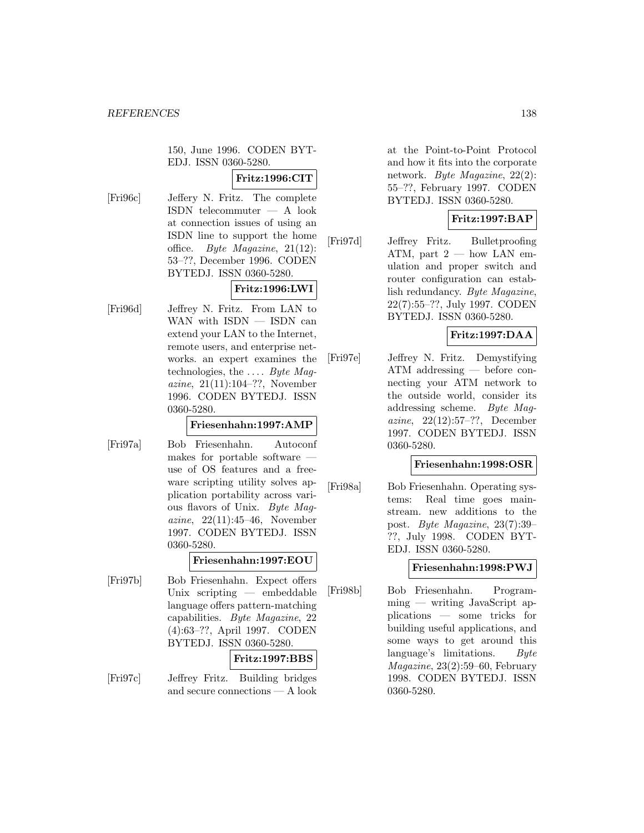150, June 1996. CODEN BYT-EDJ. ISSN 0360-5280.

# **Fritz:1996:CIT**

[Fri96c] Jeffery N. Fritz. The complete ISDN telecommuter — A look at connection issues of using an ISDN line to support the home office. Byte Magazine, 21(12): 53–??, December 1996. CODEN BYTEDJ. ISSN 0360-5280.

# **Fritz:1996:LWI**

[Fri96d] Jeffrey N. Fritz. From LAN to WAN with  $ISBN - ISDN$  can extend your LAN to the Internet, remote users, and enterprise networks. an expert examines the technologies, the  $\dots$  *Bute Maq*azine, 21(11):104–??, November 1996. CODEN BYTEDJ. ISSN 0360-5280.

# **Friesenhahn:1997:AMP**

[Fri97a] Bob Friesenhahn. Autoconf makes for portable software use of OS features and a freeware scripting utility solves application portability across various flavors of Unix. Byte Magazine, 22(11):45–46, November 1997. CODEN BYTEDJ. ISSN 0360-5280.

# **Friesenhahn:1997:EOU**

[Fri97b] Bob Friesenhahn. Expect offers Unix scripting — embeddable language offers pattern-matching capabilities. Byte Magazine, 22 (4):63–??, April 1997. CODEN BYTEDJ. ISSN 0360-5280.

# **Fritz:1997:BBS**

[Fri97c] Jeffrey Fritz. Building bridges and secure connections — A look

at the Point-to-Point Protocol and how it fits into the corporate network. Byte Magazine, 22(2): 55–??, February 1997. CODEN BYTEDJ. ISSN 0360-5280.

# **Fritz:1997:BAP**

[Fri97d] Jeffrey Fritz. Bulletproofing ATM, part  $2 - \text{how LAN em}$ ulation and proper switch and router configuration can establish redundancy. Byte Magazine, 22(7):55–??, July 1997. CODEN BYTEDJ. ISSN 0360-5280.

# **Fritz:1997:DAA**

[Fri97e] Jeffrey N. Fritz. Demystifying ATM addressing — before connecting your ATM network to the outside world, consider its addressing scheme. Byte Magazine, 22(12):57–??, December 1997. CODEN BYTEDJ. ISSN 0360-5280.

# **Friesenhahn:1998:OSR**

[Fri98a] Bob Friesenhahn. Operating systems: Real time goes mainstream. new additions to the post. Byte Magazine, 23(7):39– ??, July 1998. CODEN BYT-EDJ. ISSN 0360-5280.

# **Friesenhahn:1998:PWJ**

[Fri98b] Bob Friesenhahn. Programming — writing JavaScript applications — some tricks for building useful applications, and some ways to get around this language's limitations. Byte Magazine, 23(2):59–60, February 1998. CODEN BYTEDJ. ISSN 0360-5280.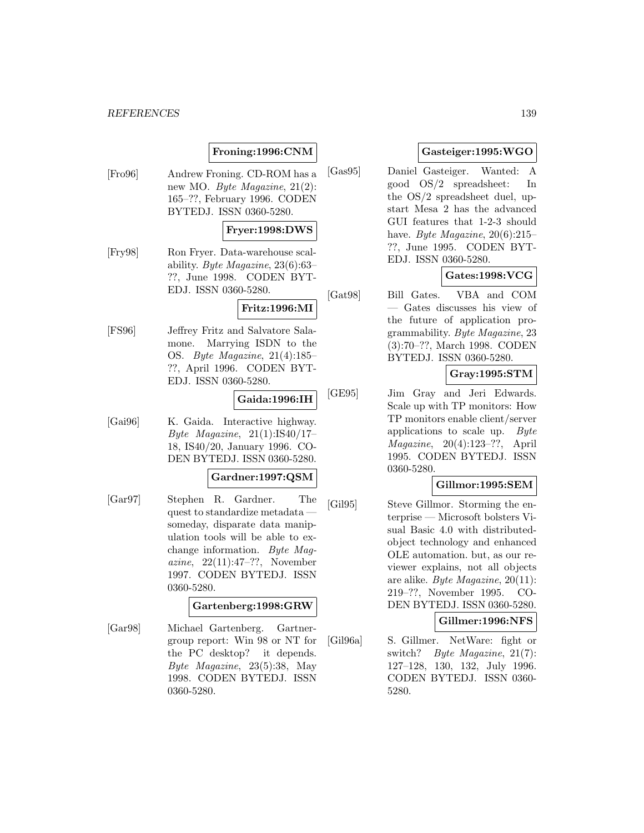# **Froning:1996:CNM**

[Fro96] Andrew Froning. CD-ROM has a new MO. Byte Magazine, 21(2): 165–??, February 1996. CODEN BYTEDJ. ISSN 0360-5280.

# **Fryer:1998:DWS**

[Fry98] Ron Fryer. Data-warehouse scalability. Byte Magazine, 23(6):63– ??, June 1998. CODEN BYT-EDJ. ISSN 0360-5280.

#### **Fritz:1996:MI**

[FS96] Jeffrey Fritz and Salvatore Salamone. Marrying ISDN to the OS. Byte Magazine, 21(4):185– ??, April 1996. CODEN BYT-EDJ. ISSN 0360-5280.

# **Gaida:1996:IH**

[Gai96] K. Gaida. Interactive highway. Byte Magazine, 21(1):IS40/17– 18, IS40/20, January 1996. CO-DEN BYTEDJ. ISSN 0360-5280.

# **Gardner:1997:QSM**

[Gar97] Stephen R. Gardner. The quest to standardize metadata someday, disparate data manipulation tools will be able to exchange information. Byte Magazine, 22(11):47–??, November 1997. CODEN BYTEDJ. ISSN 0360-5280.

# **Gartenberg:1998:GRW**

[Gar98] Michael Gartenberg. Gartnergroup report: Win 98 or NT for the PC desktop? it depends. Byte Magazine, 23(5):38, May 1998. CODEN BYTEDJ. ISSN 0360-5280.

# **Gasteiger:1995:WGO**

[Gas95] Daniel Gasteiger. Wanted: A good OS/2 spreadsheet: In the OS/2 spreadsheet duel, upstart Mesa 2 has the advanced GUI features that 1-2-3 should have. Byte Magazine,  $20(6):215-$ ??, June 1995. CODEN BYT-EDJ. ISSN 0360-5280.

# **Gates:1998:VCG**

[Gat98] Bill Gates. VBA and COM — Gates discusses his view of the future of application programmability. Byte Magazine, 23 (3):70–??, March 1998. CODEN BYTEDJ. ISSN 0360-5280.

# **Gray:1995:STM**

[GE95] Jim Gray and Jeri Edwards. Scale up with TP monitors: How TP monitors enable client/server applications to scale up. Byte Magazine, 20(4):123–??, April 1995. CODEN BYTEDJ. ISSN 0360-5280.

# **Gillmor:1995:SEM**

[Gil95] Steve Gillmor. Storming the enterprise — Microsoft bolsters Visual Basic 4.0 with distributedobject technology and enhanced OLE automation. but, as our reviewer explains, not all objects are alike. Byte Magazine, 20(11): 219–??, November 1995. CO-DEN BYTEDJ. ISSN 0360-5280.

**Gillmer:1996:NFS**

[Gil96a] S. Gillmer. NetWare: fight or switch? Byte Magazine, 21(7): 127–128, 130, 132, July 1996. CODEN BYTEDJ. ISSN 0360- 5280.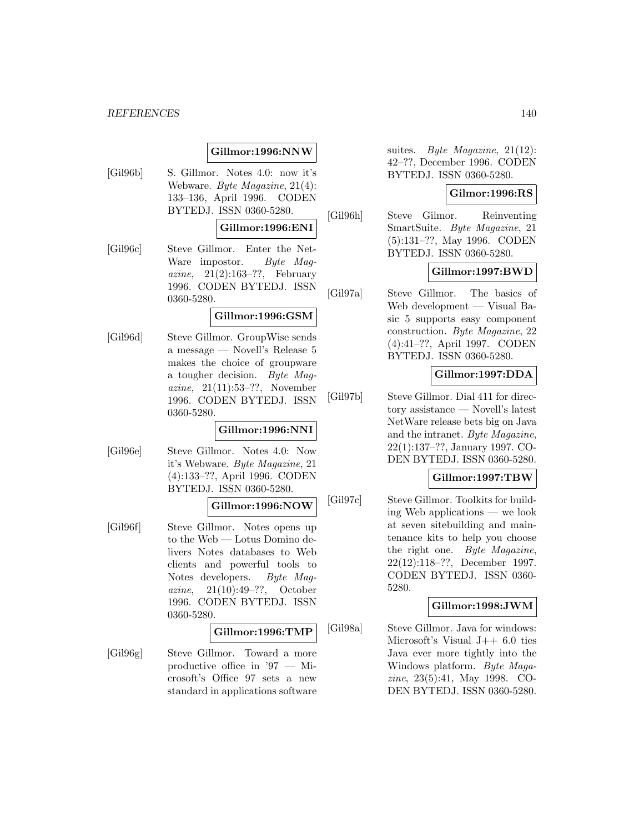# **Gillmor:1996:NNW**

[Gil96b] S. Gillmor. Notes 4.0: now it's Webware. Byte Magazine, 21(4): 133–136, April 1996. CODEN BYTEDJ. ISSN 0360-5280.

#### **Gillmor:1996:ENI**

[Gil96c] Steve Gillmor. Enter the Net-Ware impostor. Byte Magazine,  $21(2):163-??$ , February 1996. CODEN BYTEDJ. ISSN 0360-5280.

#### **Gillmor:1996:GSM**

[Gil96d] Steve Gillmor. GroupWise sends a message — Novell's Release 5 makes the choice of groupware a tougher decision. Byte Magazine, 21(11):53–??, November 1996. CODEN BYTEDJ. ISSN 0360-5280.

#### **Gillmor:1996:NNI**

[Gil96e] Steve Gillmor. Notes 4.0: Now it's Webware. Byte Magazine, 21 (4):133–??, April 1996. CODEN BYTEDJ. ISSN 0360-5280.

# **Gillmor:1996:NOW**

[Gil96f] Steve Gillmor. Notes opens up to the Web — Lotus Domino delivers Notes databases to Web clients and powerful tools to Notes developers. Byte Magazine, 21(10):49–??, October 1996. CODEN BYTEDJ. ISSN 0360-5280.

# **Gillmor:1996:TMP**

[Gil96g] Steve Gillmor. Toward a more productive office in '97 — Microsoft's Office 97 sets a new standard in applications software suites. Byte Magazine, 21(12): 42–??, December 1996. CODEN BYTEDJ. ISSN 0360-5280.

# **Gilmor:1996:RS**

[Gil96h] Steve Gilmor. Reinventing SmartSuite. Byte Magazine, 21 (5):131–??, May 1996. CODEN BYTEDJ. ISSN 0360-5280.

# **Gillmor:1997:BWD**

[Gil97a] Steve Gillmor. The basics of Web development — Visual Basic 5 supports easy component construction. Byte Magazine, 22 (4):41–??, April 1997. CODEN BYTEDJ. ISSN 0360-5280.

# **Gillmor:1997:DDA**

[Gil97b] Steve Gillmor. Dial 411 for directory assistance — Novell's latest NetWare release bets big on Java and the intranet. Byte Magazine, 22(1):137–??, January 1997. CO-DEN BYTEDJ. ISSN 0360-5280.

### **Gillmor:1997:TBW**

[Gil97c] Steve Gillmor. Toolkits for building Web applications — we look at seven sitebuilding and maintenance kits to help you choose the right one. Byte Magazine, 22(12):118–??, December 1997. CODEN BYTEDJ. ISSN 0360- 5280.

#### **Gillmor:1998:JWM**

[Gil98a] Steve Gillmor. Java for windows: Microsoft's Visual  $J++6.0$  ties Java ever more tightly into the Windows platform. Byte Magazine, 23(5):41, May 1998. CO-DEN BYTEDJ. ISSN 0360-5280.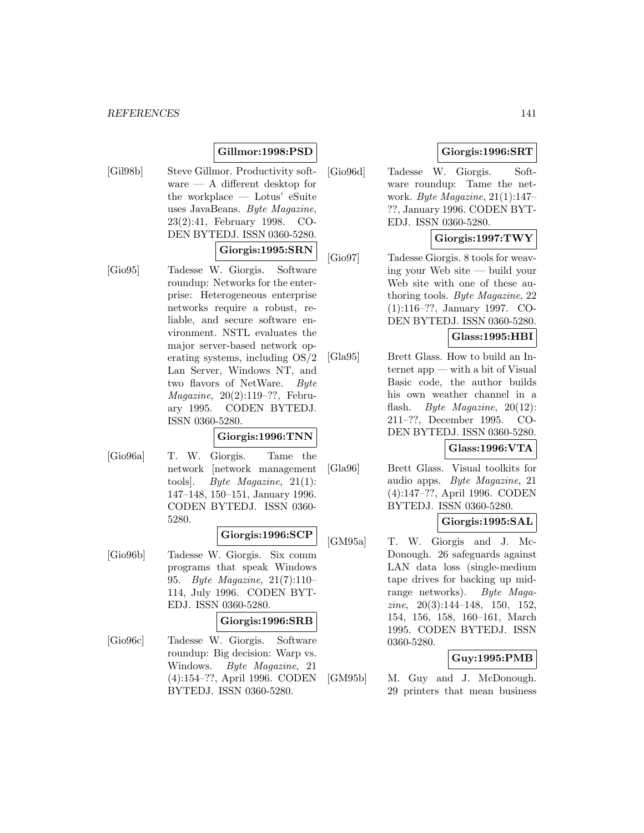#### *REFERENCES* 141

# **Gillmor:1998:PSD**

- [Gil98b] Steve Gillmor. Productivity software — A different desktop for the workplace — Lotus' eSuite uses JavaBeans. Byte Magazine, 23(2):41, February 1998. CO-DEN BYTEDJ. ISSN 0360-5280. **Giorgis:1995:SRN**
- [Gio95] Tadesse W. Giorgis. Software roundup: Networks for the enterprise: Heterogeneous enterprise networks require a robust, reliable, and secure software environment. NSTL evaluates the major server-based network operating systems, including OS/2 Lan Server, Windows NT, and two flavors of NetWare. Byte Magazine, 20(2):119–??, February 1995. CODEN BYTEDJ. ISSN 0360-5280.

### **Giorgis:1996:TNN**

[Gio96a] T. W. Giorgis. Tame the network [network management tools]. Byte Magazine, 21(1): 147–148, 150–151, January 1996. CODEN BYTEDJ. ISSN 0360- 5280.

#### **Giorgis:1996:SCP**

[Gio96b] Tadesse W. Giorgis. Six comm programs that speak Windows 95. Byte Magazine, 21(7):110– 114, July 1996. CODEN BYT-EDJ. ISSN 0360-5280.

#### **Giorgis:1996:SRB**

[Gio96c] Tadesse W. Giorgis. Software roundup: Big decision: Warp vs. Windows. Byte Magazine, 21 (4):154–??, April 1996. CODEN BYTEDJ. ISSN 0360-5280.

# **Giorgis:1996:SRT**

[Gio96d] Tadesse W. Giorgis. Software roundup: Tame the network. Byte Magazine, 21(1):147– ??, January 1996. CODEN BYT-EDJ. ISSN 0360-5280.

# **Giorgis:1997:TWY**

[Gio97] Tadesse Giorgis. 8 tools for weaving your Web site — build your Web site with one of these authoring tools. Byte Magazine, 22 (1):116–??, January 1997. CO-DEN BYTEDJ. ISSN 0360-5280.

### **Glass:1995:HBI**

[Gla95] Brett Glass. How to build an Internet app — with a bit of Visual Basic code, the author builds his own weather channel in a flash. *Byte Magazine*, 20(12): 211–??, December 1995. CO-DEN BYTEDJ. ISSN 0360-5280.

# **Glass:1996:VTA**

[Gla96] Brett Glass. Visual toolkits for audio apps. Byte Magazine, 21 (4):147–??, April 1996. CODEN BYTEDJ. ISSN 0360-5280.

# **Giorgis:1995:SAL**

[GM95a] T. W. Giorgis and J. Mc-Donough. 26 safeguards against LAN data loss (single-medium tape drives for backing up midrange networks). Byte Maga $zine, 20(3):144-148, 150, 152,$ 154, 156, 158, 160–161, March 1995. CODEN BYTEDJ. ISSN 0360-5280.

# **Guy:1995:PMB**

[GM95b] M. Guy and J. McDonough. 29 printers that mean business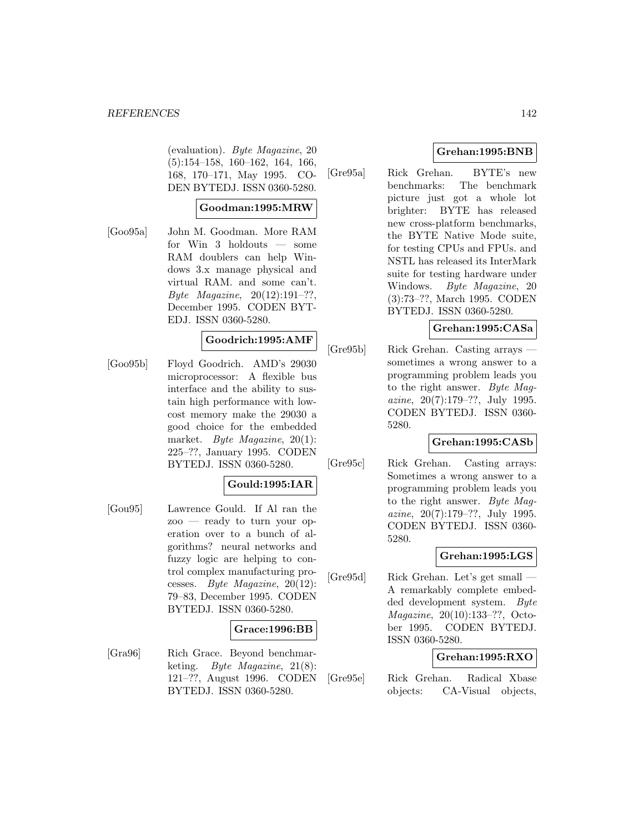#### *REFERENCES* 142

(evaluation). Byte Magazine, 20 (5):154–158, 160–162, 164, 166, 168, 170–171, May 1995. CO-DEN BYTEDJ. ISSN 0360-5280.

# **Goodman:1995:MRW**

[Goo95a] John M. Goodman. More RAM for Win 3 holdouts — some RAM doublers can help Windows 3.x manage physical and virtual RAM. and some can't. Byte Magazine, 20(12):191–??, December 1995. CODEN BYT-EDJ. ISSN 0360-5280.

### **Goodrich:1995:AMF**

[Goo95b] Floyd Goodrich. AMD's 29030 microprocessor: A flexible bus interface and the ability to sustain high performance with lowcost memory make the 29030 a good choice for the embedded market. Byte Magazine, 20(1): 225–??, January 1995. CODEN BYTEDJ. ISSN 0360-5280.

# **Gould:1995:IAR**

[Gou95] Lawrence Gould. If Al ran the zoo — ready to turn your operation over to a bunch of algorithms? neural networks and fuzzy logic are helping to control complex manufacturing processes. Byte Magazine, 20(12): 79–83, December 1995. CODEN BYTEDJ. ISSN 0360-5280.

# **Grace:1996:BB**

[Gra96] Rich Grace. Beyond benchmarketing. Byte Magazine, 21(8): 121–??, August 1996. CODEN BYTEDJ. ISSN 0360-5280.

# **Grehan:1995:BNB**

[Gre95a] Rick Grehan. BYTE's new benchmarks: The benchmark picture just got a whole lot brighter: BYTE has released new cross-platform benchmarks, the BYTE Native Mode suite, for testing CPUs and FPUs. and NSTL has released its InterMark suite for testing hardware under Windows. Byte Magazine, 20 (3):73–??, March 1995. CODEN BYTEDJ. ISSN 0360-5280.

# **Grehan:1995:CASa**

[Gre95b] Rick Grehan. Casting arrays sometimes a wrong answer to a programming problem leads you to the right answer. Byte Magazine, 20(7):179–??, July 1995. CODEN BYTEDJ. ISSN 0360- 5280.

#### **Grehan:1995:CASb**

[Gre95c] Rick Grehan. Casting arrays: Sometimes a wrong answer to a programming problem leads you to the right answer. Byte Magazine, 20(7):179–??, July 1995. CODEN BYTEDJ. ISSN 0360- 5280.

# **Grehan:1995:LGS**

[Gre95d] Rick Grehan. Let's get small — A remarkably complete embedded development system. Byte Magazine, 20(10):133–??, October 1995. CODEN BYTEDJ. ISSN 0360-5280.

# **Grehan:1995:RXO**

[Gre95e] Rick Grehan. Radical Xbase objects: CA-Visual objects,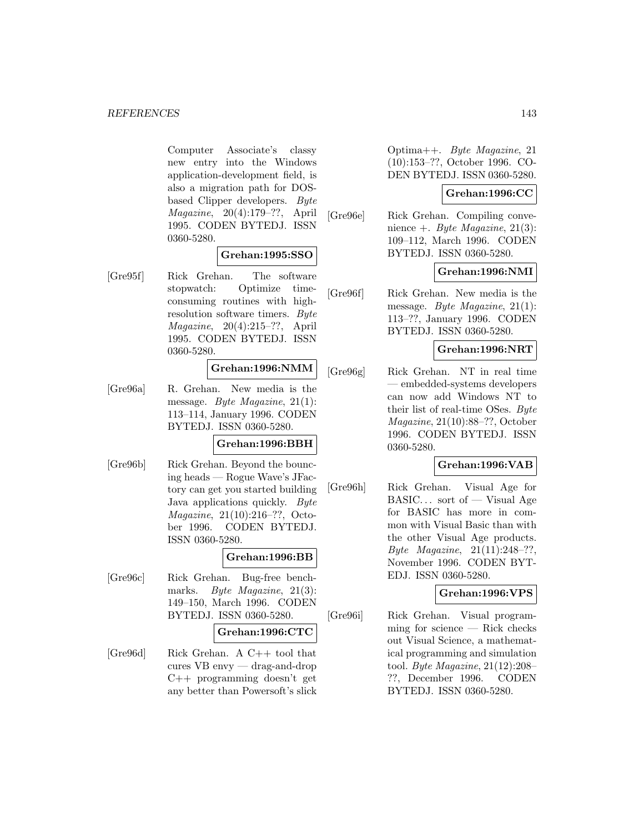Computer Associate's classy new entry into the Windows application-development field, is also a migration path for DOSbased Clipper developers. Byte Magazine, 20(4):179–??, April 1995. CODEN BYTEDJ. ISSN 0360-5280.

# **Grehan:1995:SSO**

[Gre95f] Rick Grehan. The software stopwatch: Optimize timeconsuming routines with highresolution software timers. Byte Magazine, 20(4):215–??, April 1995. CODEN BYTEDJ. ISSN 0360-5280.

# **Grehan:1996:NMM**

[Gre96a] R. Grehan. New media is the message. Byte Magazine, 21(1): 113–114, January 1996. CODEN BYTEDJ. ISSN 0360-5280.

# **Grehan:1996:BBH**

[Gre96b] Rick Grehan. Beyond the bouncing heads — Rogue Wave's JFactory can get you started building Java applications quickly. Byte Magazine, 21(10):216–??, October 1996. CODEN BYTEDJ. ISSN 0360-5280.

#### **Grehan:1996:BB**

[Gre96c] Rick Grehan. Bug-free benchmarks. *Byte Magazine*, 21(3): 149–150, March 1996. CODEN BYTEDJ. ISSN 0360-5280.

### **Grehan:1996:CTC**

[Gre96d] Rick Grehan. A C++ tool that cures VB envy — drag-and-drop C++ programming doesn't get any better than Powersoft's slick

Optima++. Byte Magazine, 21 (10):153–??, October 1996. CO-DEN BYTEDJ. ISSN 0360-5280.

### **Grehan:1996:CC**

[Gre96e] Rick Grehan. Compiling convenience +. Byte Magazine,  $21(3)$ : 109–112, March 1996. CODEN BYTEDJ. ISSN 0360-5280.

# **Grehan:1996:NMI**

[Gre96f] Rick Grehan. New media is the message. Byte Magazine, 21(1): 113–??, January 1996. CODEN BYTEDJ. ISSN 0360-5280.

# **Grehan:1996:NRT**

[Gre96g] Rick Grehan. NT in real time — embedded-systems developers can now add Windows NT to their list of real-time OSes. Byte Magazine, 21(10):88–??, October 1996. CODEN BYTEDJ. ISSN 0360-5280.

# **Grehan:1996:VAB**

[Gre96h] Rick Grehan. Visual Age for BASIC... sort of — Visual Age for BASIC has more in common with Visual Basic than with the other Visual Age products. Byte Magazine, 21(11):248–??, November 1996. CODEN BYT-EDJ. ISSN 0360-5280.

# **Grehan:1996:VPS**

[Gre96i] Rick Grehan. Visual programming for science — Rick checks out Visual Science, a mathematical programming and simulation tool. Byte Magazine, 21(12):208– ??, December 1996. CODEN BYTEDJ. ISSN 0360-5280.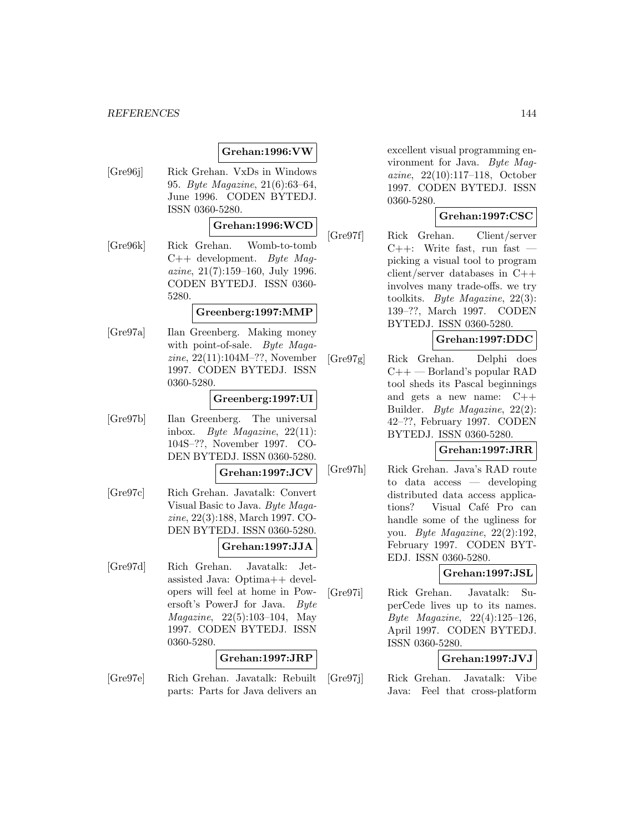# **Grehan:1996:VW**

[Gre96j] Rick Grehan. VxDs in Windows 95. Byte Magazine, 21(6):63–64, June 1996. CODEN BYTEDJ. ISSN 0360-5280.

# **Grehan:1996:WCD**

[Gre96k] Rick Grehan. Womb-to-tomb  $C++$  development. Byte Maqazine, 21(7):159–160, July 1996. CODEN BYTEDJ. ISSN 0360- 5280.

#### **Greenberg:1997:MMP**

[Gre97a] Ilan Greenberg. Making money with point-of-sale. Byte Magazine, 22(11):104M–??, November 1997. CODEN BYTEDJ. ISSN 0360-5280.

### **Greenberg:1997:UI**

[Gre97b] Ilan Greenberg. The universal inbox. Byte Magazine, 22(11): 104S–??, November 1997. CO-DEN BYTEDJ. ISSN 0360-5280.

### **Grehan:1997:JCV**

[Gre97c] Rich Grehan. Javatalk: Convert Visual Basic to Java. Byte Magazine, 22(3):188, March 1997. CO-DEN BYTEDJ. ISSN 0360-5280.

#### **Grehan:1997:JJA**

[Gre97d] Rich Grehan. Javatalk: Jetassisted Java: Optima++ developers will feel at home in Powersoft's PowerJ for Java. Byte Magazine, 22(5):103–104, May 1997. CODEN BYTEDJ. ISSN 0360-5280.

### **Grehan:1997:JRP**

[Gre97e] Rich Grehan. Javatalk: Rebuilt parts: Parts for Java delivers an

excellent visual programming environment for Java. Byte Magazine, 22(10):117–118, October 1997. CODEN BYTEDJ. ISSN 0360-5280.

# **Grehan:1997:CSC**

[Gre97f] Rick Grehan. Client/server  $C++:$  Write fast, run fast  $$ picking a visual tool to program client/server databases in C++ involves many trade-offs. we try toolkits. Byte Magazine, 22(3): 139–??, March 1997. CODEN BYTEDJ. ISSN 0360-5280.

# **Grehan:1997:DDC**

[Gre97g] Rick Grehan. Delphi does  $C++$  — Borland's popular RAD tool sheds its Pascal beginnings and gets a new name: C++ Builder. Byte Magazine, 22(2): 42–??, February 1997. CODEN BYTEDJ. ISSN 0360-5280.

# **Grehan:1997:JRR**

[Gre97h] Rick Grehan. Java's RAD route to data access — developing distributed data access applications? Visual Café Pro can handle some of the ugliness for you. Byte Magazine, 22(2):192, February 1997. CODEN BYT-EDJ. ISSN 0360-5280.

# **Grehan:1997:JSL**

[Gre97i] Rick Grehan. Javatalk: SuperCede lives up to its names. Byte Magazine, 22(4):125–126, April 1997. CODEN BYTEDJ. ISSN 0360-5280.

# **Grehan:1997:JVJ**

[Gre97j] Rick Grehan. Javatalk: Vibe Java: Feel that cross-platform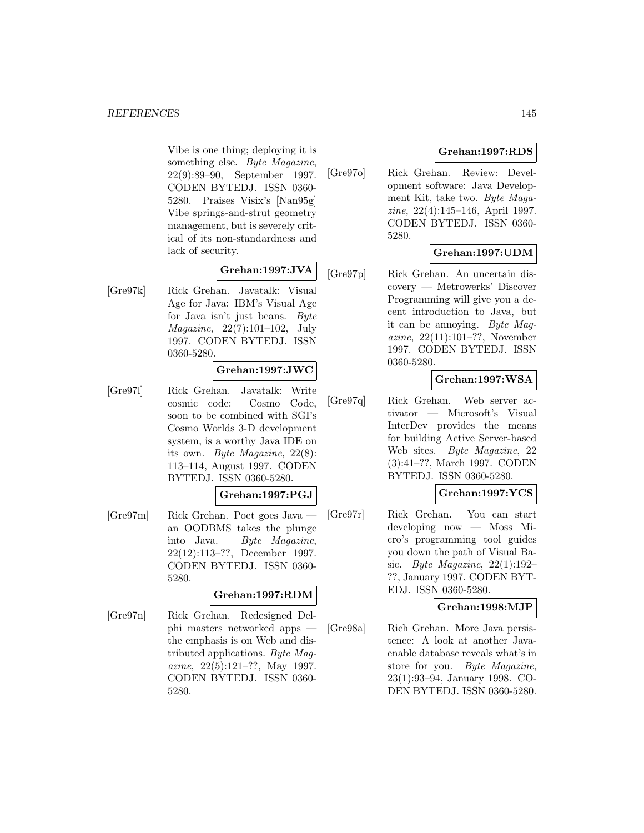Vibe is one thing; deploying it is something else. Byte Magazine, 22(9):89–90, September 1997. CODEN BYTEDJ. ISSN 0360- 5280. Praises Visix's [Nan95g] Vibe springs-and-strut geometry management, but is severely critical of its non-standardness and lack of security.

# **Grehan:1997:JVA**

[Gre97k] Rick Grehan. Javatalk: Visual Age for Java: IBM's Visual Age for Java isn't just beans. Byte Magazine, 22(7):101–102, July 1997. CODEN BYTEDJ. ISSN 0360-5280.

# **Grehan:1997:JWC**

[Gre97l] Rick Grehan. Javatalk: Write cosmic code: Cosmo Code, soon to be combined with SGI's Cosmo Worlds 3-D development system, is a worthy Java IDE on its own. Byte Magazine, 22(8): 113–114, August 1997. CODEN BYTEDJ. ISSN 0360-5280.

# **Grehan:1997:PGJ**

[Gre97m] Rick Grehan. Poet goes Java an OODBMS takes the plunge into Java. Byte Magazine, 22(12):113–??, December 1997. CODEN BYTEDJ. ISSN 0360- 5280.

# **Grehan:1997:RDM**

[Gre97n] Rick Grehan. Redesigned Delphi masters networked apps the emphasis is on Web and distributed applications. Byte Magazine, 22(5):121–??, May 1997. CODEN BYTEDJ. ISSN 0360- 5280.

# **Grehan:1997:RDS**

[Gre97o] Rick Grehan. Review: Development software: Java Development Kit, take two. Byte Magazine, 22(4):145–146, April 1997. CODEN BYTEDJ. ISSN 0360- 5280.

# **Grehan:1997:UDM**

[Gre97p] Rick Grehan. An uncertain discovery — Metrowerks' Discover Programming will give you a decent introduction to Java, but it can be annoying. Byte Magazine, 22(11):101–??, November 1997. CODEN BYTEDJ. ISSN 0360-5280.

# **Grehan:1997:WSA**

[Gre97q] Rick Grehan. Web server activator — Microsoft's Visual InterDev provides the means for building Active Server-based Web sites. Byte Magazine, 22 (3):41–??, March 1997. CODEN BYTEDJ. ISSN 0360-5280.

# **Grehan:1997:YCS**

[Gre97r] Rick Grehan. You can start developing now — Moss Micro's programming tool guides you down the path of Visual Basic. Byte Magazine,  $22(1):192-$ ??, January 1997. CODEN BYT-EDJ. ISSN 0360-5280.

# **Grehan:1998:MJP**

[Gre98a] Rich Grehan. More Java persistence: A look at another Javaenable database reveals what's in store for you. Byte Magazine, 23(1):93–94, January 1998. CO-DEN BYTEDJ. ISSN 0360-5280.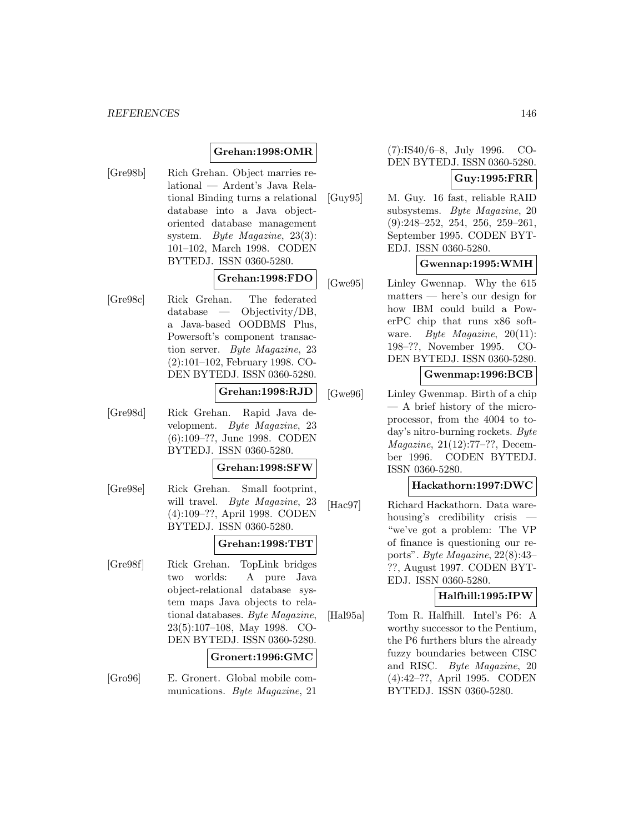# **Grehan:1998:OMR**

[Gre98b] Rich Grehan. Object marries relational — Ardent's Java Relational Binding turns a relational database into a Java objectoriented database management system. Byte Magazine, 23(3): 101–102, March 1998. CODEN BYTEDJ. ISSN 0360-5280.

# **Grehan:1998:FDO**

[Gre98c] Rick Grehan. The federated database — Objectivity/DB, a Java-based OODBMS Plus, Powersoft's component transaction server. Byte Magazine, 23 (2):101–102, February 1998. CO-DEN BYTEDJ. ISSN 0360-5280.

# **Grehan:1998:RJD**

[Gre98d] Rick Grehan. Rapid Java development. Byte Magazine, 23 (6):109–??, June 1998. CODEN BYTEDJ. ISSN 0360-5280.

#### **Grehan:1998:SFW**

[Gre98e] Rick Grehan. Small footprint, will travel. Byte Magazine, 23 (4):109–??, April 1998. CODEN BYTEDJ. ISSN 0360-5280.

# **Grehan:1998:TBT**

[Gre98f] Rick Grehan. TopLink bridges two worlds: A pure Java object-relational database system maps Java objects to relational databases. Byte Magazine, 23(5):107–108, May 1998. CO-DEN BYTEDJ. ISSN 0360-5280.

#### **Gronert:1996:GMC**

[Gro96] E. Gronert. Global mobile communications. Byte Magazine, 21

(7):IS40/6–8, July 1996. CO-DEN BYTEDJ. ISSN 0360-5280.

# **Guy:1995:FRR**

[Guy95] M. Guy. 16 fast, reliable RAID subsystems. Byte Magazine, 20 (9):248–252, 254, 256, 259–261, September 1995. CODEN BYT-EDJ. ISSN 0360-5280.

# **Gwennap:1995:WMH**

[Gwe95] Linley Gwennap. Why the 615 matters — here's our design for how IBM could build a PowerPC chip that runs x86 software. Byte Magazine, 20(11): 198–??, November 1995. CO-DEN BYTEDJ. ISSN 0360-5280.

#### **Gwenmap:1996:BCB**

[Gwe96] Linley Gwenmap. Birth of a chip — A brief history of the microprocessor, from the 4004 to today's nitro-burning rockets. Byte Magazine, 21(12):77–??, December 1996. CODEN BYTEDJ. ISSN 0360-5280.

# **Hackathorn:1997:DWC**

[Hac97] Richard Hackathorn. Data warehousing's credibility crisis — "we've got a problem: The VP of finance is questioning our reports". Byte Magazine, 22(8):43– ??, August 1997. CODEN BYT-EDJ. ISSN 0360-5280.

#### **Halfhill:1995:IPW**

[Hal95a] Tom R. Halfhill. Intel's P6: A worthy successor to the Pentium, the P6 furthers blurs the already fuzzy boundaries between CISC and RISC. Byte Magazine, 20 (4):42–??, April 1995. CODEN BYTEDJ. ISSN 0360-5280.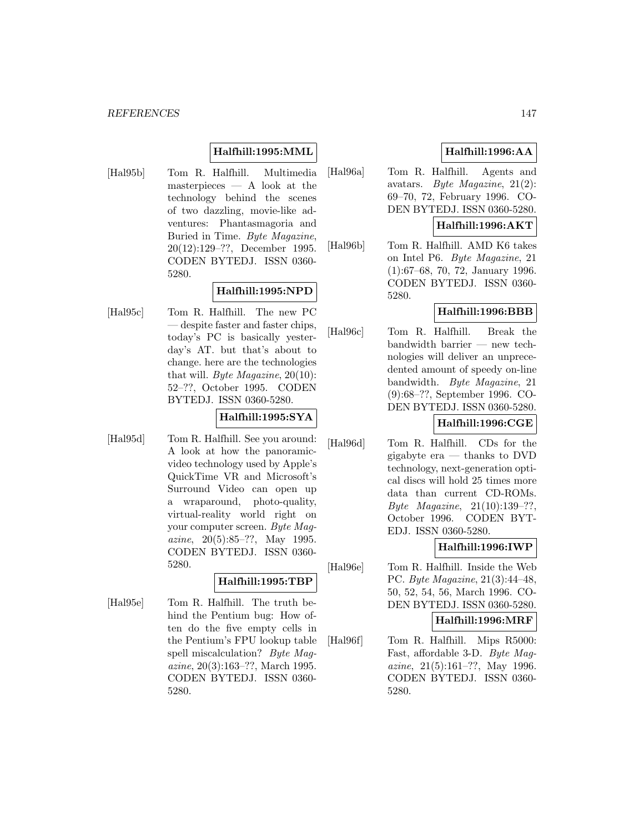# **Halfhill:1995:MML**

[Hal95b] Tom R. Halfhill. Multimedia masterpieces — A look at the technology behind the scenes of two dazzling, movie-like adventures: Phantasmagoria and Buried in Time. Byte Magazine, 20(12):129–??, December 1995. CODEN BYTEDJ. ISSN 0360- 5280.

# **Halfhill:1995:NPD**

[Hal95c] Tom R. Halfhill. The new PC — despite faster and faster chips, today's PC is basically yesterday's AT. but that's about to change. here are the technologies that will. Byte Magazine,  $20(10)$ : 52–??, October 1995. CODEN BYTEDJ. ISSN 0360-5280.

# **Halfhill:1995:SYA**

[Hal95d] Tom R. Halfhill. See you around: A look at how the panoramicvideo technology used by Apple's QuickTime VR and Microsoft's Surround Video can open up a wraparound, photo-quality, virtual-reality world right on your computer screen. Byte Magazine, 20(5):85–??, May 1995. CODEN BYTEDJ. ISSN 0360- 5280.

# **Halfhill:1995:TBP**

[Hal95e] Tom R. Halfhill. The truth behind the Pentium bug: How often do the five empty cells in the Pentium's FPU lookup table spell miscalculation? Byte Magazine, 20(3):163–??, March 1995. CODEN BYTEDJ. ISSN 0360- 5280.

# **Halfhill:1996:AA**

[Hal96a] Tom R. Halfhill. Agents and avatars. Byte Magazine, 21(2): 69–70, 72, February 1996. CO-DEN BYTEDJ. ISSN 0360-5280.

# **Halfhill:1996:AKT**

[Hal96b] Tom R. Halfhill. AMD K6 takes on Intel P6. Byte Magazine, 21 (1):67–68, 70, 72, January 1996. CODEN BYTEDJ. ISSN 0360- 5280.

# **Halfhill:1996:BBB**

[Hal96c] Tom R. Halfhill. Break the bandwidth barrier — new technologies will deliver an unprecedented amount of speedy on-line bandwidth. Byte Magazine, 21 (9):68–??, September 1996. CO-DEN BYTEDJ. ISSN 0360-5280.

# **Halfhill:1996:CGE**

[Hal96d] Tom R. Halfhill. CDs for the gigabyte era — thanks to DVD technology, next-generation optical discs will hold 25 times more data than current CD-ROMs. Byte Magazine, 21(10):139–??, October 1996. CODEN BYT-EDJ. ISSN 0360-5280.

# **Halfhill:1996:IWP**

[Hal96e] Tom R. Halfhill. Inside the Web PC. Byte Magazine, 21(3):44–48, 50, 52, 54, 56, March 1996. CO-DEN BYTEDJ. ISSN 0360-5280.

**Halfhill:1996:MRF**

[Hal96f] Tom R. Halfhill. Mips R5000: Fast, affordable 3-D. Byte Magazine, 21(5):161–??, May 1996. CODEN BYTEDJ. ISSN 0360- 5280.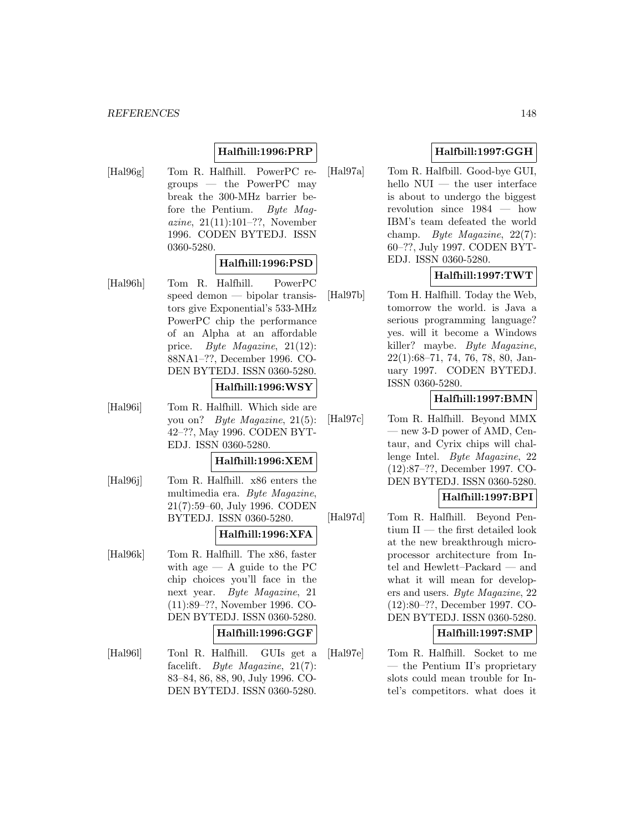# **Halfhill:1996:PRP**

[Hal96g] Tom R. Halfhill. PowerPC regroups — the PowerPC may break the 300-MHz barrier before the Pentium. Byte Magazine, 21(11):101–??, November 1996. CODEN BYTEDJ. ISSN 0360-5280.

# **Halfhill:1996:PSD**

[Hal96h] Tom R. Halfhill. PowerPC speed demon — bipolar transistors give Exponential's 533-MHz PowerPC chip the performance of an Alpha at an affordable price. Byte Magazine, 21(12): 88NA1–??, December 1996. CO-DEN BYTEDJ. ISSN 0360-5280.

# **Halfhill:1996:WSY**

[Hal96i] Tom R. Halfhill. Which side are you on? Byte Magazine, 21(5): 42–??, May 1996. CODEN BYT-EDJ. ISSN 0360-5280.

#### **Halfhill:1996:XEM**

[Hal96j] Tom R. Halfhill. x86 enters the multimedia era. Byte Magazine, 21(7):59–60, July 1996. CODEN BYTEDJ. ISSN 0360-5280.

# **Halfhill:1996:XFA**

[Hal96k] Tom R. Halfhill. The x86, faster with age  $-$  A guide to the PC chip choices you'll face in the next year. Byte Magazine, 21 (11):89–??, November 1996. CO-DEN BYTEDJ. ISSN 0360-5280.

#### **Halfhill:1996:GGF**

[Hal96l] Tonl R. Halfhill. GUIs get a facelift. Byte Magazine, 21(7): 83–84, 86, 88, 90, July 1996. CO-DEN BYTEDJ. ISSN 0360-5280.

# **Halfbill:1997:GGH**

[Hal97a] Tom R. Halfbill. Good-bye GUI, hello NUI — the user interface is about to undergo the biggest revolution since 1984 — how IBM's team defeated the world champ. Byte Magazine, 22(7): 60–??, July 1997. CODEN BYT-EDJ. ISSN 0360-5280.

# **Halfhill:1997:TWT**

[Hal97b] Tom H. Halfhill. Today the Web, tomorrow the world. is Java a serious programming language? yes. will it become a Windows killer? maybe. Byte Magazine, 22(1):68–71, 74, 76, 78, 80, January 1997. CODEN BYTEDJ. ISSN 0360-5280.

# **Halfhill:1997:BMN**

[Hal97c] Tom R. Halfhill. Beyond MMX — new 3-D power of AMD, Centaur, and Cyrix chips will challenge Intel. Byte Magazine, 22 (12):87–??, December 1997. CO-DEN BYTEDJ. ISSN 0360-5280.

# **Halfhill:1997:BPI**

[Hal97d] Tom R. Halfhill. Beyond Pentium II — the first detailed look at the new breakthrough microprocessor architecture from Intel and Hewlett–Packard — and what it will mean for developers and users. Byte Magazine, 22 (12):80–??, December 1997. CO-DEN BYTEDJ. ISSN 0360-5280.

# **Halfhill:1997:SMP**

[Hal97e] Tom R. Halfhill. Socket to me — the Pentium II's proprietary slots could mean trouble for Intel's competitors. what does it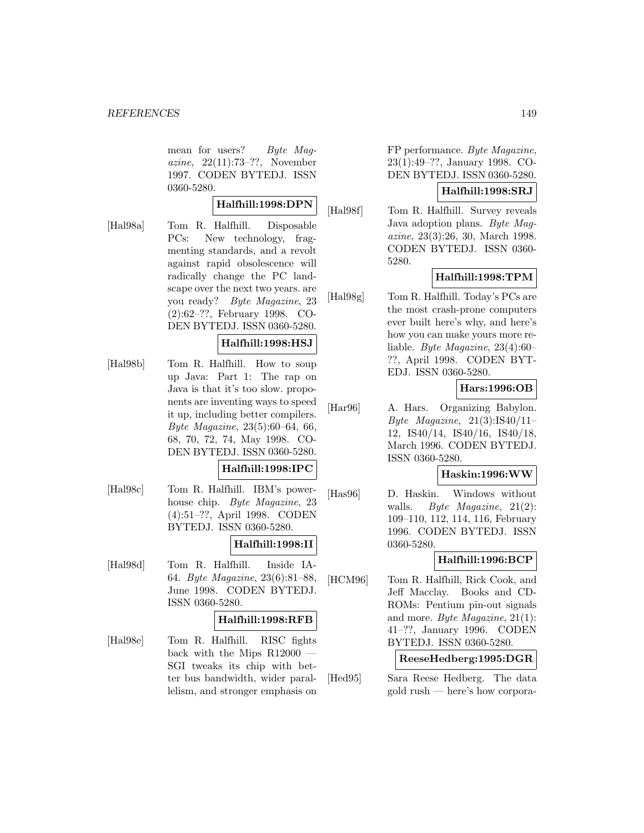mean for users? Byte Maqazine, 22(11):73–??, November 1997. CODEN BYTEDJ. ISSN 0360-5280.

#### **Halfhill:1998:DPN**

- 
- [Hal98a] Tom R. Halfhill. Disposable PCs: New technology, fragmenting standards, and a revolt against rapid obsolescence will radically change the PC landscape over the next two years. are you ready? Byte Magazine, 23 (2):62–??, February 1998. CO-DEN BYTEDJ. ISSN 0360-5280.

# **Halfhill:1998:HSJ**

[Hal98b] Tom R. Halfhill. How to soup up Java: Part 1: The rap on Java is that it's too slow. proponents are inventing ways to speed it up, including better compilers. Byte Magazine, 23(5):60–64, 66, 68, 70, 72, 74, May 1998. CO-DEN BYTEDJ. ISSN 0360-5280.

# **Halfhill:1998:IPC**

[Hal98c] Tom R. Halfhill. IBM's powerhouse chip. Byte Magazine, 23 (4):51–??, April 1998. CODEN BYTEDJ. ISSN 0360-5280.

# **Halfhill:1998:II**

[Hal98d] Tom R. Halfhill. Inside IA-64. Byte Magazine, 23(6):81–88, June 1998. CODEN BYTEDJ. ISSN 0360-5280.

#### **Halfhill:1998:RFB**

[Hal98e] Tom R. Halfhill. RISC fights back with the Mips R12000 — SGI tweaks its chip with better bus bandwidth, wider parallelism, and stronger emphasis on

FP performance. Byte Magazine, 23(1):49–??, January 1998. CO-DEN BYTEDJ. ISSN 0360-5280.

# **Halfhill:1998:SRJ**

[Hal98f] Tom R. Halfhill. Survey reveals Java adoption plans. Byte Magazine, 23(3):26, 30, March 1998. CODEN BYTEDJ. ISSN 0360- 5280.

# **Halfhill:1998:TPM**

[Hal98g] Tom R. Halfhill. Today's PCs are the most crash-prone computers ever built here's why, and here's how you can make yours more reliable. Byte Magazine, 23(4):60– ??, April 1998. CODEN BYT-EDJ. ISSN 0360-5280.

# **Hars:1996:OB**

[Har96] A. Hars. Organizing Babylon. Byte Magazine,  $21(3):IS40/11-$ 12, IS40/14, IS40/16, IS40/18, March 1996. CODEN BYTEDJ. ISSN 0360-5280.

#### **Haskin:1996:WW**

[Has96] D. Haskin. Windows without walls. Byte Magazine,  $21(2)$ : 109–110, 112, 114, 116, February 1996. CODEN BYTEDJ. ISSN 0360-5280.

# **Halfhill:1996:BCP**

[HCM96] Tom R. Halfhill, Rick Cook, and Jeff Macclay. Books and CD-ROMs: Pentium pin-out signals and more. Byte Magazine, 21(1): 41–??, January 1996. CODEN BYTEDJ. ISSN 0360-5280.

#### **ReeseHedberg:1995:DGR**

[Hed95] Sara Reese Hedberg. The data gold rush — here's how corpora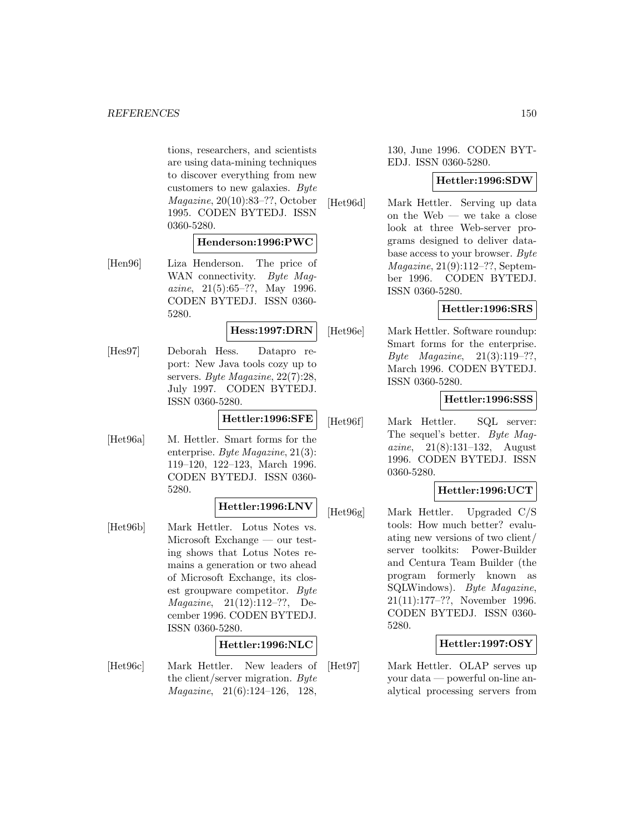tions, researchers, and scientists are using data-mining techniques to discover everything from new customers to new galaxies. Byte Magazine, 20(10):83–??, October 1995. CODEN BYTEDJ. ISSN 0360-5280.

#### **Henderson:1996:PWC**

[Hen96] Liza Henderson. The price of WAN connectivity. Byte Magazine, 21(5):65–??, May 1996. CODEN BYTEDJ. ISSN 0360- 5280.

**Hess:1997:DRN**

[Hes97] Deborah Hess. Datapro report: New Java tools cozy up to servers. Byte Magazine, 22(7):28, July 1997. CODEN BYTEDJ. ISSN 0360-5280.

**Hettler:1996:SFE**

[Het96a] M. Hettler. Smart forms for the enterprise. Byte Magazine, 21(3): 119–120, 122–123, March 1996. CODEN BYTEDJ. ISSN 0360- 5280.

# **Hettler:1996:LNV**

[Het96b] Mark Hettler. Lotus Notes vs. Microsoft Exchange — our testing shows that Lotus Notes remains a generation or two ahead of Microsoft Exchange, its closest groupware competitor. Byte Magazine, 21(12):112–??, December 1996. CODEN BYTEDJ. ISSN 0360-5280.

# **Hettler:1996:NLC**

[Het96c] Mark Hettler. New leaders of the client/server migration. Byte Magazine, 21(6):124–126, 128,

130, June 1996. CODEN BYT-EDJ. ISSN 0360-5280.

#### **Hettler:1996:SDW**

[Het96d] Mark Hettler. Serving up data on the Web — we take a close look at three Web-server programs designed to deliver database access to your browser. Byte Magazine, 21(9):112–??, September 1996. CODEN BYTEDJ. ISSN 0360-5280.

# **Hettler:1996:SRS**

[Het96e] Mark Hettler. Software roundup: Smart forms for the enterprise. Byte Magazine, 21(3):119–??, March 1996. CODEN BYTEDJ. ISSN 0360-5280.

#### **Hettler:1996:SSS**

[Het96f] Mark Hettler. SQL server: The sequel's better. Byte Magazine, 21(8):131–132, August 1996. CODEN BYTEDJ. ISSN 0360-5280.

# **Hettler:1996:UCT**

[Het96g] Mark Hettler. Upgraded C/S tools: How much better? evaluating new versions of two client/ server toolkits: Power-Builder and Centura Team Builder (the program formerly known as SQLWindows). Byte Magazine, 21(11):177–??, November 1996. CODEN BYTEDJ. ISSN 0360- 5280.

# **Hettler:1997:OSY**

[Het97] Mark Hettler. OLAP serves up your data — powerful on-line analytical processing servers from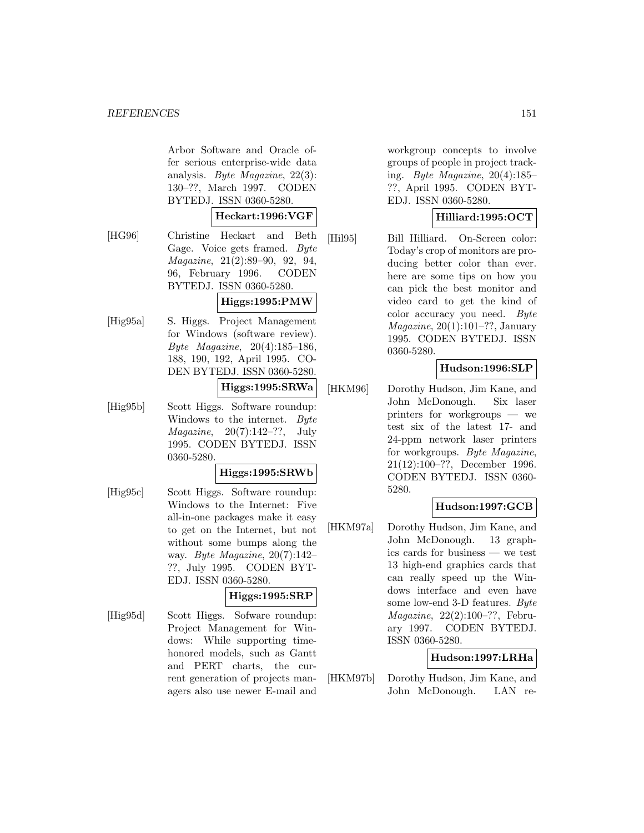Arbor Software and Oracle offer serious enterprise-wide data analysis. Byte Magazine, 22(3): 130–??, March 1997. CODEN BYTEDJ. ISSN 0360-5280.

#### **Heckart:1996:VGF**

[HG96] Christine Heckart and Beth Gage. Voice gets framed. Byte Magazine, 21(2):89–90, 92, 94, 96, February 1996. CODEN BYTEDJ. ISSN 0360-5280.

# **Higgs:1995:PMW**

[Hig95a] S. Higgs. Project Management for Windows (software review). Byte Magazine, 20(4):185–186, 188, 190, 192, April 1995. CO-DEN BYTEDJ. ISSN 0360-5280.

### **Higgs:1995:SRWa**

[Hig95b] Scott Higgs. Software roundup: Windows to the internet. Byte *Magazine*,  $20(7):142-??$ , July 1995. CODEN BYTEDJ. ISSN 0360-5280.

# **Higgs:1995:SRWb**

[Hig95c] Scott Higgs. Software roundup: Windows to the Internet: Five all-in-one packages make it easy to get on the Internet, but not without some bumps along the way. Byte Magazine, 20(7):142– ??, July 1995. CODEN BYT-EDJ. ISSN 0360-5280.

# **Higgs:1995:SRP**

[Hig95d] Scott Higgs. Sofware roundup: Project Management for Windows: While supporting timehonored models, such as Gantt and PERT charts, the current generation of projects managers also use newer E-mail and

workgroup concepts to involve groups of people in project tracking. Byte Magazine, 20(4):185– ??, April 1995. CODEN BYT-EDJ. ISSN 0360-5280.

# **Hilliard:1995:OCT**

[Hil95] Bill Hilliard. On-Screen color: Today's crop of monitors are producing better color than ever. here are some tips on how you can pick the best monitor and video card to get the kind of color accuracy you need. Byte  $Magazine, 20(1):101-??, January$ 1995. CODEN BYTEDJ. ISSN 0360-5280.

# **Hudson:1996:SLP**

[HKM96] Dorothy Hudson, Jim Kane, and John McDonough. Six laser printers for workgroups — we test six of the latest 17- and 24-ppm network laser printers for workgroups. Byte Magazine, 21(12):100–??, December 1996. CODEN BYTEDJ. ISSN 0360- 5280.

# **Hudson:1997:GCB**

[HKM97a] Dorothy Hudson, Jim Kane, and John McDonough. 13 graphics cards for business — we test 13 high-end graphics cards that can really speed up the Windows interface and even have some low-end 3-D features. Byte Magazine, 22(2):100–??, February 1997. CODEN BYTEDJ. ISSN 0360-5280.

# **Hudson:1997:LRHa**

[HKM97b] Dorothy Hudson, Jim Kane, and John McDonough. LAN re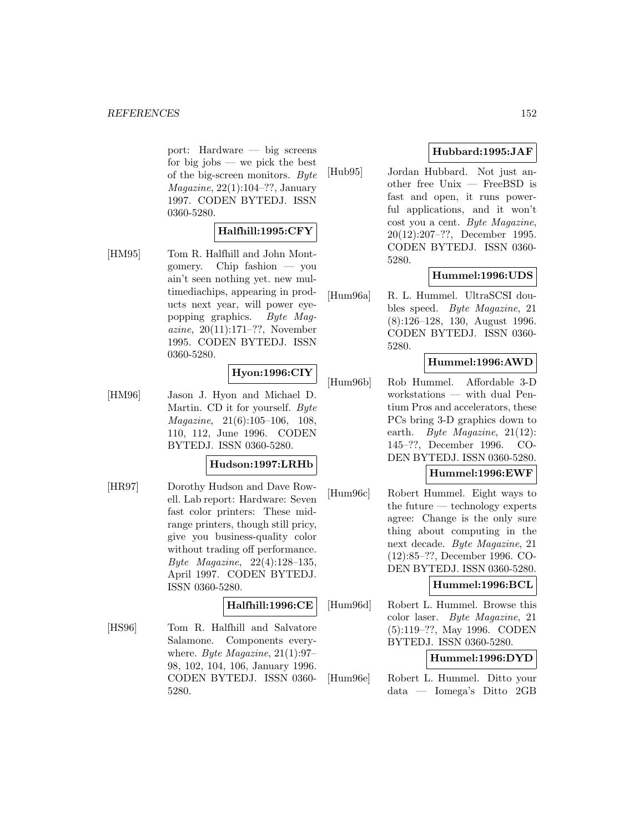port: Hardware — big screens for big jobs — we pick the best of the big-screen monitors. Byte Magazine, 22(1):104–??, January 1997. CODEN BYTEDJ. ISSN 0360-5280.

# **Halfhill:1995:CFY**

[HM95] Tom R. Halfhill and John Montgomery. Chip fashion — you ain't seen nothing yet. new multimediachips, appearing in products next year, will power eyepopping graphics. Byte Magazine, 20(11):171–??, November 1995. CODEN BYTEDJ. ISSN 0360-5280.

# **Hyon:1996:CIY**

[HM96] Jason J. Hyon and Michael D. Martin. CD it for yourself. Byte Magazine, 21(6):105–106, 108, 110, 112, June 1996. CODEN BYTEDJ. ISSN 0360-5280.

# **Hudson:1997:LRHb**

[HR97] Dorothy Hudson and Dave Rowell. Lab report: Hardware: Seven fast color printers: These midrange printers, though still pricy, give you business-quality color without trading off performance. Byte Magazine, 22(4):128–135, April 1997. CODEN BYTEDJ. ISSN 0360-5280.

# **Halfhill:1996:CE**

[HS96] Tom R. Halfhill and Salvatore Salamone. Components everywhere. Byte Magazine,  $21(1):97-$ 98, 102, 104, 106, January 1996. CODEN BYTEDJ. ISSN 0360- 5280.

# **Hubbard:1995:JAF**

[Hub95] Jordan Hubbard. Not just another free Unix — FreeBSD is fast and open, it runs powerful applications, and it won't cost you a cent. Byte Magazine, 20(12):207–??, December 1995. CODEN BYTEDJ. ISSN 0360- 5280.

# **Hummel:1996:UDS**

[Hum96a] R. L. Hummel. UltraSCSI doubles speed. Byte Magazine, 21 (8):126–128, 130, August 1996. CODEN BYTEDJ. ISSN 0360- 5280.

# **Hummel:1996:AWD**

[Hum96b] Rob Hummel. Affordable 3-D workstations — with dual Pentium Pros and accelerators, these PCs bring 3-D graphics down to earth. Byte Magazine, 21(12): 145–??, December 1996. CO-DEN BYTEDJ. ISSN 0360-5280.

# **Hummel:1996:EWF**

[Hum96c] Robert Hummel. Eight ways to the future — technology experts agree: Change is the only sure thing about computing in the next decade. Byte Magazine, 21 (12):85–??, December 1996. CO-DEN BYTEDJ. ISSN 0360-5280.

# **Hummel:1996:BCL**

[Hum96d] Robert L. Hummel. Browse this color laser. Byte Magazine, 21 (5):119–??, May 1996. CODEN BYTEDJ. ISSN 0360-5280.

#### **Hummel:1996:DYD**

[Hum96e] Robert L. Hummel. Ditto your data — Iomega's Ditto 2GB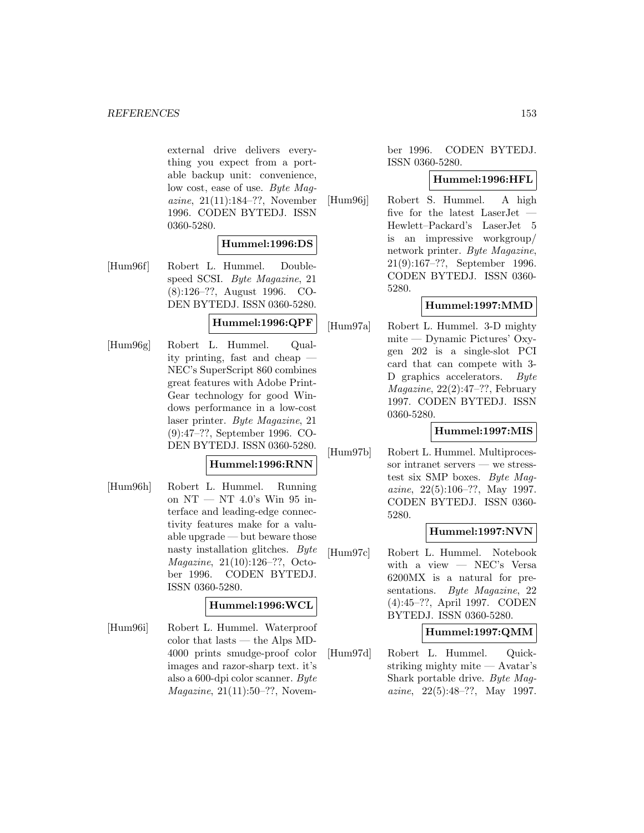external drive delivers everything you expect from a portable backup unit: convenience, low cost, ease of use. Byte Magazine, 21(11):184–??, November 1996. CODEN BYTEDJ. ISSN 0360-5280.

# **Hummel:1996:DS**

[Hum96f] Robert L. Hummel. Doublespeed SCSI. Byte Magazine, 21 (8):126–??, August 1996. CO-DEN BYTEDJ. ISSN 0360-5280.

# **Hummel:1996:QPF**

[Hum96g] Robert L. Hummel. Quality printing, fast and cheap — NEC's SuperScript 860 combines great features with Adobe Print-Gear technology for good Windows performance in a low-cost laser printer. Byte Magazine, 21 (9):47–??, September 1996. CO-DEN BYTEDJ. ISSN 0360-5280.

# **Hummel:1996:RNN**

[Hum96h] Robert L. Hummel. Running on NT — NT 4.0's Win 95 interface and leading-edge connectivity features make for a valuable upgrade — but beware those nasty installation glitches. Byte Magazine, 21(10):126–??, October 1996. CODEN BYTEDJ. ISSN 0360-5280.

# **Hummel:1996:WCL**

[Hum96i] Robert L. Hummel. Waterproof color that lasts — the Alps MD-4000 prints smudge-proof color images and razor-sharp text. it's also a 600-dpi color scanner. Byte *Magazine*,  $21(11):50-??$ , Novem-

ber 1996. CODEN BYTEDJ. ISSN 0360-5280.

# **Hummel:1996:HFL**

[Hum96j] Robert S. Hummel. A high five for the latest LaserJet — Hewlett–Packard's LaserJet 5 is an impressive workgroup/ network printer. Byte Magazine, 21(9):167–??, September 1996. CODEN BYTEDJ. ISSN 0360- 5280.

# **Hummel:1997:MMD**

[Hum97a] Robert L. Hummel. 3-D mighty mite — Dynamic Pictures' Oxygen 202 is a single-slot PCI card that can compete with 3- D graphics accelerators. Byte Magazine, 22(2):47–??, February 1997. CODEN BYTEDJ. ISSN 0360-5280.

# **Hummel:1997:MIS**

[Hum97b] Robert L. Hummel. Multiprocessor intranet servers — we stresstest six SMP boxes. Byte Magazine, 22(5):106–??, May 1997. CODEN BYTEDJ. ISSN 0360- 5280.

# **Hummel:1997:NVN**

[Hum97c] Robert L. Hummel. Notebook with a view — NEC's Versa 6200MX is a natural for presentations. Byte Magazine, 22 (4):45–??, April 1997. CODEN BYTEDJ. ISSN 0360-5280.

# **Hummel:1997:QMM**

[Hum97d] Robert L. Hummel. Quickstriking mighty mite — Avatar's Shark portable drive. Byte Magazine, 22(5):48–??, May 1997.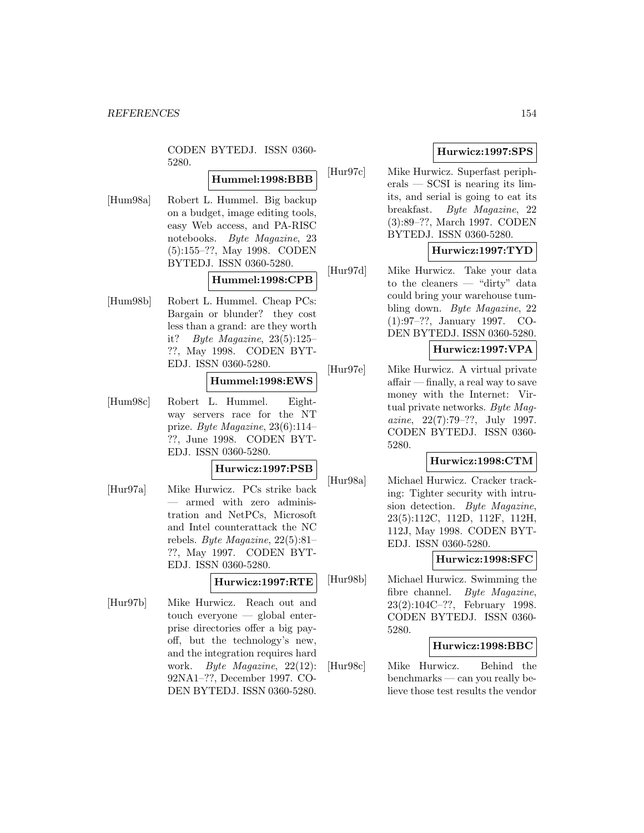CODEN BYTEDJ. ISSN 0360- 5280.

# **Hummel:1998:BBB**

[Hum98a] Robert L. Hummel. Big backup on a budget, image editing tools, easy Web access, and PA-RISC notebooks. Byte Magazine, 23 (5):155–??, May 1998. CODEN BYTEDJ. ISSN 0360-5280.

# **Hummel:1998:CPB**

[Hum98b] Robert L. Hummel. Cheap PCs: Bargain or blunder? they cost less than a grand: are they worth it? Byte Magazine, 23(5):125– ??, May 1998. CODEN BYT-EDJ. ISSN 0360-5280.

# **Hummel:1998:EWS**

[Hum98c] Robert L. Hummel. Eightway servers race for the NT prize. Byte Magazine, 23(6):114– ??, June 1998. CODEN BYT-EDJ. ISSN 0360-5280.

#### **Hurwicz:1997:PSB**

[Hur97a] Mike Hurwicz. PCs strike back — armed with zero administration and NetPCs, Microsoft and Intel counterattack the NC rebels. Byte Magazine, 22(5):81– ??, May 1997. CODEN BYT-EDJ. ISSN 0360-5280.

# **Hurwicz:1997:RTE**

[Hur97b] Mike Hurwicz. Reach out and touch everyone — global enterprise directories offer a big payoff, but the technology's new, and the integration requires hard work. Byte Magazine, 22(12): 92NA1–??, December 1997. CO-DEN BYTEDJ. ISSN 0360-5280.

# **Hurwicz:1997:SPS**

[Hur97c] Mike Hurwicz. Superfast peripherals — SCSI is nearing its limits, and serial is going to eat its breakfast. Byte Magazine, 22 (3):89–??, March 1997. CODEN BYTEDJ. ISSN 0360-5280.

# **Hurwicz:1997:TYD**

[Hur97d] Mike Hurwicz. Take your data to the cleaners — "dirty" data could bring your warehouse tumbling down. Byte Magazine, 22 (1):97–??, January 1997. CO-DEN BYTEDJ. ISSN 0360-5280.

# **Hurwicz:1997:VPA**

[Hur97e] Mike Hurwicz. A virtual private affair — finally, a real way to save money with the Internet: Virtual private networks. Byte Magazine, 22(7):79–??, July 1997. CODEN BYTEDJ. ISSN 0360- 5280.

# **Hurwicz:1998:CTM**

[Hur98a] Michael Hurwicz. Cracker tracking: Tighter security with intrusion detection. Byte Magazine, 23(5):112C, 112D, 112F, 112H, 112J, May 1998. CODEN BYT-EDJ. ISSN 0360-5280.

# **Hurwicz:1998:SFC**

[Hur98b] Michael Hurwicz. Swimming the fibre channel. Byte Magazine, 23(2):104C–??, February 1998. CODEN BYTEDJ. ISSN 0360- 5280.

# **Hurwicz:1998:BBC**

[Hur98c] Mike Hurwicz. Behind the benchmarks — can you really believe those test results the vendor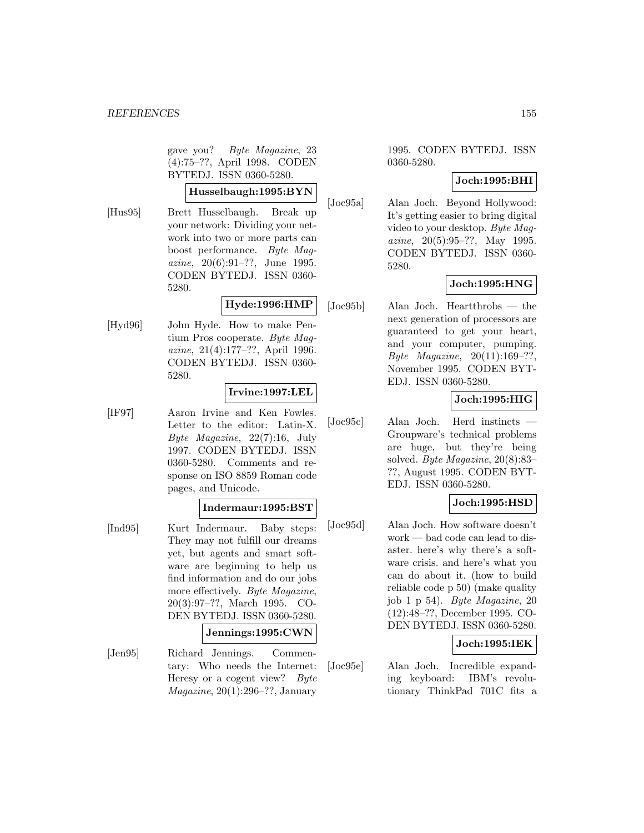gave you? Byte Magazine, 23 (4):75–??, April 1998. CODEN BYTEDJ. ISSN 0360-5280.

# **Husselbaugh:1995:BYN**

[Hus95] Brett Husselbaugh. Break up your network: Dividing your network into two or more parts can boost performance. Byte Magazine, 20(6):91–??, June 1995. CODEN BYTEDJ. ISSN 0360- 5280.

# **Hyde:1996:HMP**

[Hyd96] John Hyde. How to make Pentium Pros cooperate. Byte Magazine, 21(4):177–??, April 1996. CODEN BYTEDJ. ISSN 0360- 5280.

# **Irvine:1997:LEL**

[IF97] Aaron Irvine and Ken Fowles. Letter to the editor: Latin-X. Byte Magazine, 22(7):16, July 1997. CODEN BYTEDJ. ISSN 0360-5280. Comments and response on ISO 8859 Roman code pages, and Unicode.

# **Indermaur:1995:BST**

[Ind95] Kurt Indermaur. Baby steps: They may not fulfill our dreams yet, but agents and smart software are beginning to help us find information and do our jobs more effectively. Byte Magazine, 20(3):97–??, March 1995. CO-DEN BYTEDJ. ISSN 0360-5280.

# **Jennings:1995:CWN**

[Jen95] Richard Jennings. Commentary: Who needs the Internet: Heresy or a cogent view? Byte  $Magazine, 20(1):296-??, January$ 

1995. CODEN BYTEDJ. ISSN 0360-5280.

# **Joch:1995:BHI**

[Joc95a] Alan Joch. Beyond Hollywood: It's getting easier to bring digital video to your desktop. Byte Magazine, 20(5):95–??, May 1995. CODEN BYTEDJ. ISSN 0360- 5280.

# **Joch:1995:HNG**

[Joc95b] Alan Joch. Heartthrobs — the next generation of processors are guaranteed to get your heart, and your computer, pumping. Byte Magazine, 20(11):169–??, November 1995. CODEN BYT-EDJ. ISSN 0360-5280.

# **Joch:1995:HIG**

[Joc95c] Alan Joch. Herd instincts — Groupware's technical problems are huge, but they're being solved. Byte Magazine, 20(8):83– ??, August 1995. CODEN BYT-EDJ. ISSN 0360-5280.

# **Joch:1995:HSD**

[Joc95d] Alan Joch. How software doesn't work — bad code can lead to disaster. here's why there's a software crisis. and here's what you can do about it. (how to build reliable code p 50) (make quality job 1 p 54). Byte Magazine, 20 (12):48–??, December 1995. CO-DEN BYTEDJ. ISSN 0360-5280.

# **Joch:1995:IEK**

[Joc95e] Alan Joch. Incredible expanding keyboard: IBM's revolutionary ThinkPad 701C fits a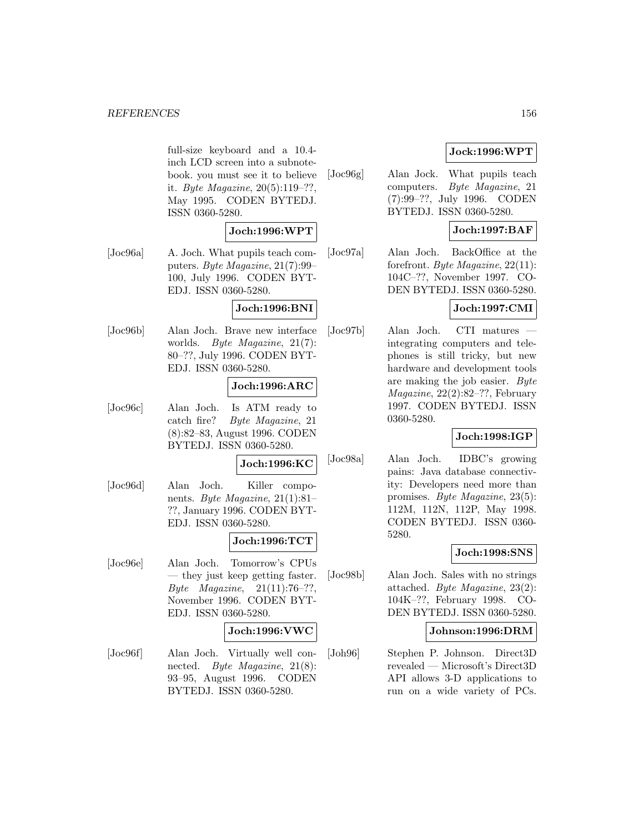#### *REFERENCES* 156

full-size keyboard and a 10.4 inch LCD screen into a subnotebook. you must see it to believe it. Byte Magazine, 20(5):119–??, May 1995. CODEN BYTEDJ. ISSN 0360-5280.

# **Joch:1996:WPT**

[Joc96a] A. Joch. What pupils teach computers. Byte Magazine, 21(7):99– 100, July 1996. CODEN BYT-EDJ. ISSN 0360-5280.

#### **Joch:1996:BNI**

[Joc96b] Alan Joch. Brave new interface worlds. Byte Magazine, 21(7): 80–??, July 1996. CODEN BYT-EDJ. ISSN 0360-5280.

# **Joch:1996:ARC**

[Joc96c] Alan Joch. Is ATM ready to catch fire? Byte Magazine, 21 (8):82–83, August 1996. CODEN BYTEDJ. ISSN 0360-5280.

#### **Joch:1996:KC**

[Joc96d] Alan Joch. Killer components. Byte Magazine, 21(1):81– ??, January 1996. CODEN BYT-EDJ. ISSN 0360-5280.

# **Joch:1996:TCT**

[Joc96e] Alan Joch. Tomorrow's CPUs — they just keep getting faster. Byte Magazine,  $21(11):76-??$ , November 1996. CODEN BYT-EDJ. ISSN 0360-5280.

#### **Joch:1996:VWC**

[Joc96f] Alan Joch. Virtually well connected. Byte Magazine, 21(8): 93–95, August 1996. CODEN BYTEDJ. ISSN 0360-5280.

# **Jock:1996:WPT**

[Joc96g] Alan Jock. What pupils teach computers. Byte Magazine, 21 (7):99–??, July 1996. CODEN BYTEDJ. ISSN 0360-5280.

# **Joch:1997:BAF**

[Joc97a] Alan Joch. BackOffice at the forefront. Byte Magazine, 22(11): 104C–??, November 1997. CO-DEN BYTEDJ. ISSN 0360-5280.

# **Joch:1997:CMI**

[Joc97b] Alan Joch. CTI matures integrating computers and telephones is still tricky, but new hardware and development tools are making the job easier. Byte Magazine, 22(2):82–??, February 1997. CODEN BYTEDJ. ISSN 0360-5280.

# **Joch:1998:IGP**

[Joc98a] Alan Joch. IDBC's growing pains: Java database connectivity: Developers need more than promises. Byte Magazine, 23(5): 112M, 112N, 112P, May 1998. CODEN BYTEDJ. ISSN 0360- 5280.

# **Joch:1998:SNS**

[Joc98b] Alan Joch. Sales with no strings attached. Byte Magazine, 23(2): 104K–??, February 1998. CO-DEN BYTEDJ. ISSN 0360-5280.

# **Johnson:1996:DRM**

[Joh96] Stephen P. Johnson. Direct3D revealed — Microsoft's Direct3D API allows 3-D applications to run on a wide variety of PCs.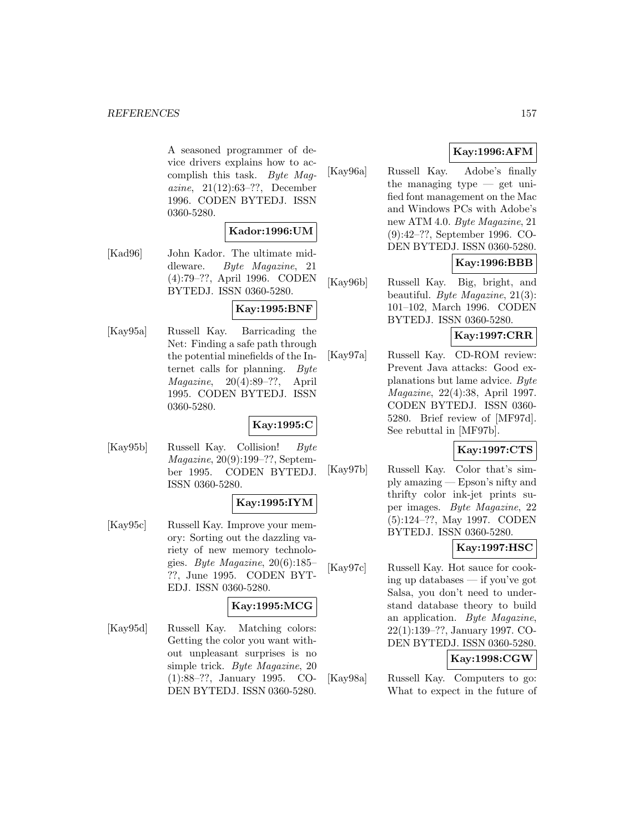A seasoned programmer of device drivers explains how to accomplish this task. Byte Magazine, 21(12):63–??, December 1996. CODEN BYTEDJ. ISSN 0360-5280.

# **Kador:1996:UM**

[Kad96] John Kador. The ultimate middleware. Byte Magazine, 21 (4):79–??, April 1996. CODEN BYTEDJ. ISSN 0360-5280.

# **Kay:1995:BNF**

[Kay95a] Russell Kay. Barricading the Net: Finding a safe path through the potential minefields of the Internet calls for planning. Byte Magazine, 20(4):89–??, April 1995. CODEN BYTEDJ. ISSN 0360-5280.

# **Kay:1995:C**

[Kay95b] Russell Kay. Collision! Byte Magazine, 20(9):199–??, September 1995. CODEN BYTEDJ. ISSN 0360-5280.

# **Kay:1995:IYM**

[Kay95c] Russell Kay. Improve your memory: Sorting out the dazzling variety of new memory technologies. Byte Magazine, 20(6):185– ??, June 1995. CODEN BYT-EDJ. ISSN 0360-5280.

# **Kay:1995:MCG**

[Kay95d] Russell Kay. Matching colors: Getting the color you want without unpleasant surprises is no simple trick. Byte Magazine, 20 (1):88–??, January 1995. CO-DEN BYTEDJ. ISSN 0360-5280.

# **Kay:1996:AFM**

[Kay96a] Russell Kay. Adobe's finally the managing type  $-$  get unified font management on the Mac and Windows PCs with Adobe's new ATM 4.0. Byte Magazine, 21 (9):42–??, September 1996. CO-DEN BYTEDJ. ISSN 0360-5280.

# **Kay:1996:BBB**

[Kay96b] Russell Kay. Big, bright, and beautiful. Byte Magazine, 21(3): 101–102, March 1996. CODEN BYTEDJ. ISSN 0360-5280.

# **Kay:1997:CRR**

[Kay97a] Russell Kay. CD-ROM review: Prevent Java attacks: Good explanations but lame advice. Byte Magazine, 22(4):38, April 1997. CODEN BYTEDJ. ISSN 0360- 5280. Brief review of [MF97d]. See rebuttal in [MF97b].

# **Kay:1997:CTS**

[Kay97b] Russell Kay. Color that's simply amazing — Epson's nifty and thrifty color ink-jet prints super images. Byte Magazine, 22 (5):124–??, May 1997. CODEN BYTEDJ. ISSN 0360-5280.

# **Kay:1997:HSC**

[Kay97c] Russell Kay. Hot sauce for cooking up databases — if you've got Salsa, you don't need to understand database theory to build an application. Byte Magazine, 22(1):139–??, January 1997. CO-DEN BYTEDJ. ISSN 0360-5280.

# **Kay:1998:CGW**

[Kay98a] Russell Kay. Computers to go: What to expect in the future of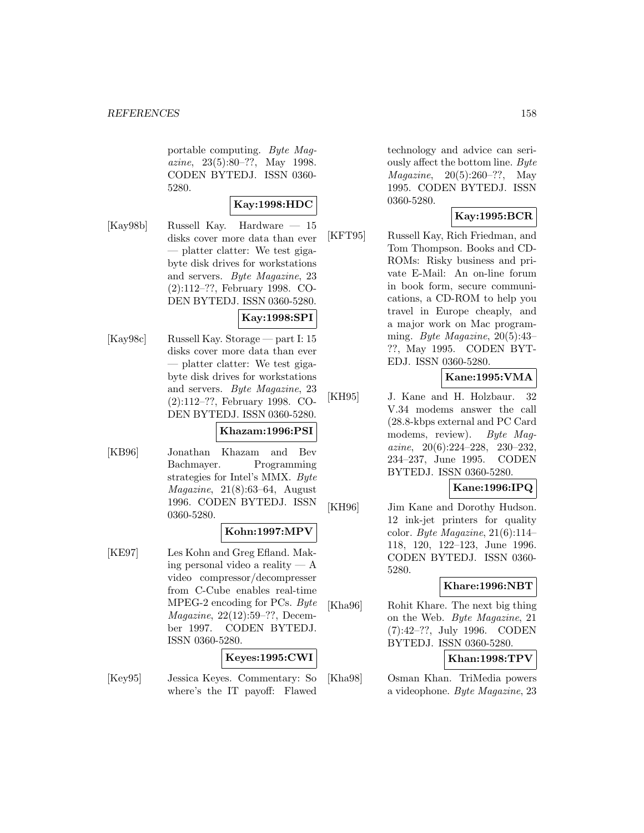portable computing. Byte Magazine, 23(5):80–??, May 1998. CODEN BYTEDJ. ISSN 0360- 5280.

#### **Kay:1998:HDC**

[Kay98b] Russell Kay. Hardware — 15 disks cover more data than ever — platter clatter: We test gigabyte disk drives for workstations and servers. Byte Magazine, 23 (2):112–??, February 1998. CO-DEN BYTEDJ. ISSN 0360-5280.

#### **Kay:1998:SPI**

[Kay98c] Russell Kay. Storage — part I: 15 disks cover more data than ever — platter clatter: We test gigabyte disk drives for workstations and servers. Byte Magazine, 23 (2):112–??, February 1998. CO-DEN BYTEDJ. ISSN 0360-5280.

#### **Khazam:1996:PSI**

[KB96] Jonathan Khazam and Bev Bachmayer. Programming strategies for Intel's MMX. Byte Magazine, 21(8):63–64, August 1996. CODEN BYTEDJ. ISSN 0360-5280.

# **Kohn:1997:MPV**

[KE97] Les Kohn and Greg Efland. Making personal video a reality — A video compressor/decompresser from C-Cube enables real-time MPEG-2 encoding for PCs. Byte Magazine, 22(12):59–??, December 1997. CODEN BYTEDJ. ISSN 0360-5280.

# **Keyes:1995:CWI**

[Key95] Jessica Keyes. Commentary: So where's the IT payoff: Flawed

technology and advice can seriously affect the bottom line. Byte Magazine, 20(5):260–??, May 1995. CODEN BYTEDJ. ISSN 0360-5280.

# **Kay:1995:BCR**

[KFT95] Russell Kay, Rich Friedman, and Tom Thompson. Books and CD-ROMs: Risky business and private E-Mail: An on-line forum in book form, secure communications, a CD-ROM to help you travel in Europe cheaply, and a major work on Mac programming. Byte Magazine, 20(5):43– ??, May 1995. CODEN BYT-EDJ. ISSN 0360-5280.

# **Kane:1995:VMA**

[KH95] J. Kane and H. Holzbaur. 32 V.34 modems answer the call (28.8-kbps external and PC Card modems, review). Byte Magazine, 20(6):224–228, 230–232, 234–237, June 1995. CODEN BYTEDJ. ISSN 0360-5280.

# **Kane:1996:IPQ**

[KH96] Jim Kane and Dorothy Hudson. 12 ink-jet printers for quality color. Byte Magazine,  $21(6):114-$ 118, 120, 122–123, June 1996. CODEN BYTEDJ. ISSN 0360- 5280.

# **Khare:1996:NBT**

[Kha96] Rohit Khare. The next big thing on the Web. Byte Magazine, 21 (7):42–??, July 1996. CODEN BYTEDJ. ISSN 0360-5280.

# **Khan:1998:TPV**

[Kha98] Osman Khan. TriMedia powers a videophone. Byte Magazine, 23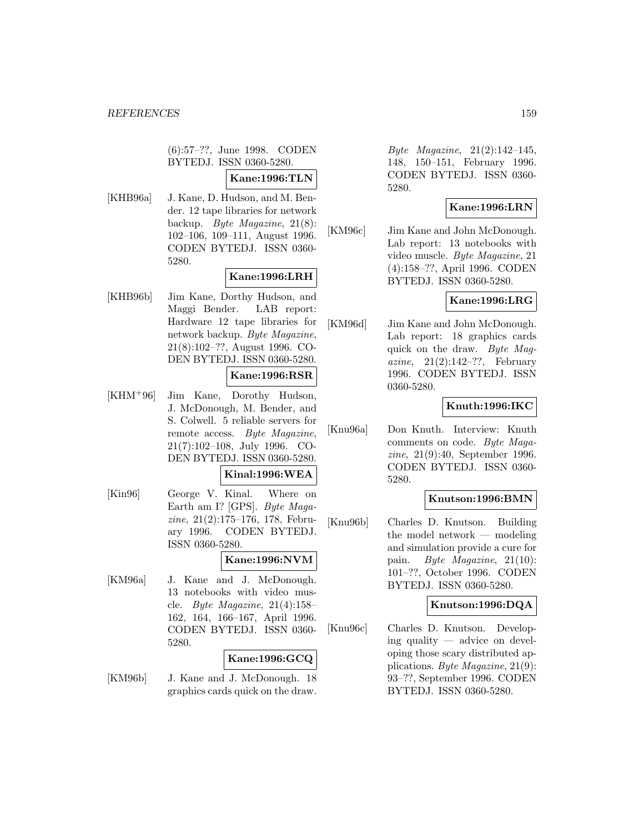(6):57–??, June 1998. CODEN BYTEDJ. ISSN 0360-5280.

#### **Kane:1996:TLN**

[KHB96a] J. Kane, D. Hudson, and M. Bender. 12 tape libraries for network backup. Byte Magazine, 21(8): 102–106, 109–111, August 1996. CODEN BYTEDJ. ISSN 0360- 5280.

# **Kane:1996:LRH**

[KHB96b] Jim Kane, Dorthy Hudson, and Maggi Bender. LAB report: Hardware 12 tape libraries for network backup. Byte Magazine, 21(8):102–??, August 1996. CO-DEN BYTEDJ. ISSN 0360-5280.

#### **Kane:1996:RSR**

[KHM<sup>+</sup>96] Jim Kane, Dorothy Hudson, J. McDonough, M. Bender, and S. Colwell. 5 reliable servers for remote access. Byte Magazine, 21(7):102–108, July 1996. CO-DEN BYTEDJ. ISSN 0360-5280.

#### **Kinal:1996:WEA**

[Kin96] George V. Kinal. Where on Earth am I? [GPS]. Byte Magazine, 21(2):175–176, 178, February 1996. CODEN BYTEDJ. ISSN 0360-5280.

# **Kane:1996:NVM**

[KM96a] J. Kane and J. McDonough. 13 notebooks with video muscle. Byte Magazine,  $21(4):158-$ 162, 164, 166–167, April 1996. CODEN BYTEDJ. ISSN 0360- 5280.

#### **Kane:1996:GCQ**

[KM96b] J. Kane and J. McDonough. 18 graphics cards quick on the draw.

Byte Magazine, 21(2):142–145, 148, 150–151, February 1996. CODEN BYTEDJ. ISSN 0360- 5280.

# **Kane:1996:LRN**

[KM96c] Jim Kane and John McDonough. Lab report: 13 notebooks with video muscle. Byte Magazine, 21 (4):158–??, April 1996. CODEN BYTEDJ. ISSN 0360-5280.

# **Kane:1996:LRG**

[KM96d] Jim Kane and John McDonough. Lab report: 18 graphics cards quick on the draw. Byte Magazine,  $21(2):142-??$ , February 1996. CODEN BYTEDJ. ISSN 0360-5280.

# **Knuth:1996:IKC**

[Knu96a] Don Knuth. Interview: Knuth comments on code. Byte Magazine, 21(9):40, September 1996. CODEN BYTEDJ. ISSN 0360- 5280.

# **Knutson:1996:BMN**

[Knu96b] Charles D. Knutson. Building the model network — modeling and simulation provide a cure for pain. Byte Magazine, 21(10): 101–??, October 1996. CODEN BYTEDJ. ISSN 0360-5280.

# **Knutson:1996:DQA**

[Knu96c] Charles D. Knutson. Developing quality — advice on developing those scary distributed applications. Byte Magazine, 21(9): 93–??, September 1996. CODEN BYTEDJ. ISSN 0360-5280.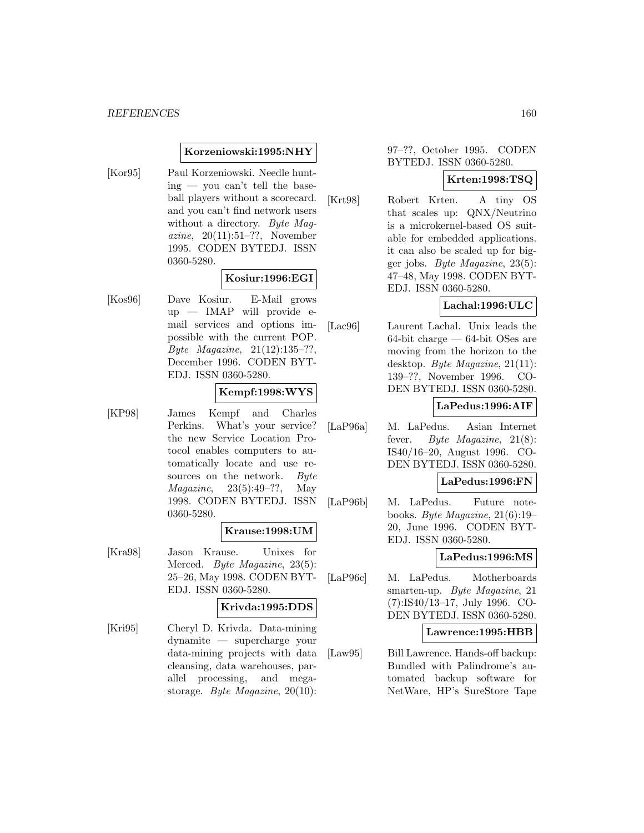#### **Korzeniowski:1995:NHY**

[Kor95] Paul Korzeniowski. Needle hunt $ing - you can't tell the base$ ball players without a scorecard. and you can't find network users without a directory. Byte Magazine, 20(11):51–??, November 1995. CODEN BYTEDJ. ISSN 0360-5280.

# **Kosiur:1996:EGI**

[Kos96] Dave Kosiur. E-Mail grows up — IMAP will provide email services and options impossible with the current POP. Byte Magazine, 21(12):135–??, December 1996. CODEN BYT-EDJ. ISSN 0360-5280.

#### **Kempf:1998:WYS**

[KP98] James Kempf and Charles Perkins. What's your service? the new Service Location Protocol enables computers to automatically locate and use resources on the network. Byte Magazine, 23(5):49–??, May 1998. CODEN BYTEDJ. ISSN 0360-5280.

#### **Krause:1998:UM**

[Kra98] Jason Krause. Unixes for Merced. Byte Magazine, 23(5): 25–26, May 1998. CODEN BYT-EDJ. ISSN 0360-5280.

# **Krivda:1995:DDS**

[Kri95] Cheryl D. Krivda. Data-mining dynamite — supercharge your data-mining projects with data cleansing, data warehouses, parallel processing, and megastorage. Byte Magazine, 20(10):

# 97–??, October 1995. CODEN BYTEDJ. ISSN 0360-5280.

# **Krten:1998:TSQ**

[Krt98] Robert Krten. A tiny OS that scales up: QNX/Neutrino is a microkernel-based OS suitable for embedded applications. it can also be scaled up for bigger jobs. Byte Magazine, 23(5): 47–48, May 1998. CODEN BYT-EDJ. ISSN 0360-5280.

# **Lachal:1996:ULC**

[Lac96] Laurent Lachal. Unix leads the 64-bit charge — 64-bit OSes are moving from the horizon to the desktop. Byte Magazine, 21(11): 139–??, November 1996. CO-DEN BYTEDJ. ISSN 0360-5280.

# **LaPedus:1996:AIF**

[LaP96a] M. LaPedus. Asian Internet fever. Byte Magazine, 21(8): IS40/16–20, August 1996. CO-DEN BYTEDJ. ISSN 0360-5280.

#### **LaPedus:1996:FN**

[LaP96b] M. LaPedus. Future notebooks. Byte Magazine, 21(6):19– 20, June 1996. CODEN BYT-EDJ. ISSN 0360-5280.

# **LaPedus:1996:MS**

[LaP96c] M. LaPedus. Motherboards smarten-up. Byte Magazine, 21 (7):IS40/13–17, July 1996. CO-DEN BYTEDJ. ISSN 0360-5280.

#### **Lawrence:1995:HBB**

[Law95] Bill Lawrence. Hands-off backup: Bundled with Palindrome's automated backup software for NetWare, HP's SureStore Tape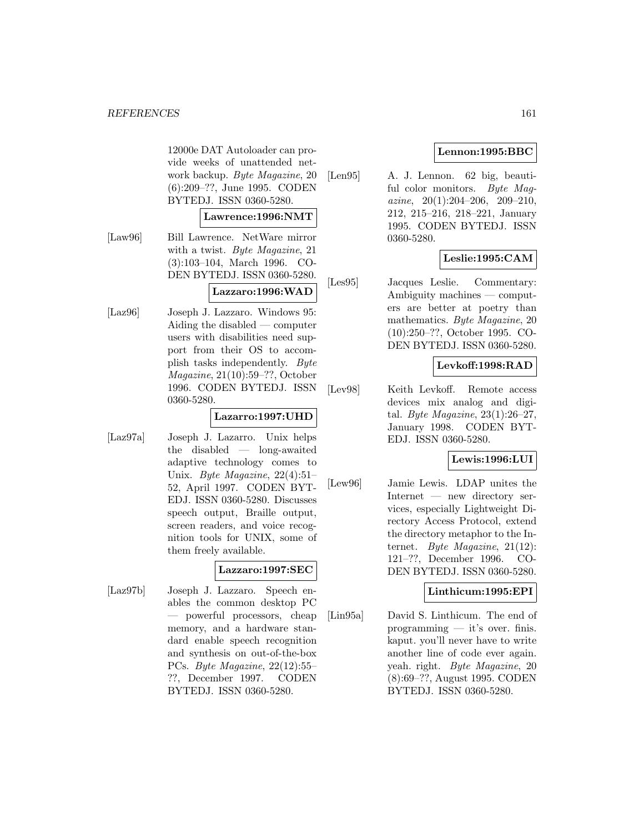12000e DAT Autoloader can provide weeks of unattended network backup. Byte Magazine, 20 (6):209–??, June 1995. CODEN BYTEDJ. ISSN 0360-5280.

#### **Lawrence:1996:NMT**

[Law96] Bill Lawrence. NetWare mirror with a twist. Byte Magazine, 21 (3):103–104, March 1996. CO-DEN BYTEDJ. ISSN 0360-5280.

#### **Lazzaro:1996:WAD**

[Laz96] Joseph J. Lazzaro. Windows 95: Aiding the disabled — computer users with disabilities need support from their OS to accomplish tasks independently. Byte Magazine, 21(10):59–??, October 1996. CODEN BYTEDJ. ISSN 0360-5280.

# **Lazarro:1997:UHD**

[Laz97a] Joseph J. Lazarro. Unix helps the disabled — long-awaited adaptive technology comes to Unix. Byte Magazine, 22(4):51– 52, April 1997. CODEN BYT-EDJ. ISSN 0360-5280. Discusses speech output, Braille output, screen readers, and voice recognition tools for UNIX, some of them freely available.

# **Lazzaro:1997:SEC**

[Laz97b] Joseph J. Lazzaro. Speech enables the common desktop PC — powerful processors, cheap memory, and a hardware standard enable speech recognition and synthesis on out-of-the-box PCs. Byte Magazine, 22(12):55– ??, December 1997. CODEN BYTEDJ. ISSN 0360-5280.

# **Lennon:1995:BBC**

[Len95] A. J. Lennon. 62 big, beautiful color monitors. Byte Maqazine,  $20(1):204-206$ ,  $209-210$ , 212, 215–216, 218–221, January 1995. CODEN BYTEDJ. ISSN 0360-5280.

# **Leslie:1995:CAM**

[Les95] Jacques Leslie. Commentary: Ambiguity machines — computers are better at poetry than mathematics. Byte Magazine, 20 (10):250–??, October 1995. CO-DEN BYTEDJ. ISSN 0360-5280.

# **Levkoff:1998:RAD**

[Lev98] Keith Levkoff. Remote access devices mix analog and digital. Byte Magazine,  $23(1):26-27$ , January 1998. CODEN BYT-EDJ. ISSN 0360-5280.

# **Lewis:1996:LUI**

[Lew96] Jamie Lewis. LDAP unites the Internet — new directory services, especially Lightweight Directory Access Protocol, extend the directory metaphor to the Internet. Byte Magazine, 21(12): 121–??, December 1996. CO-DEN BYTEDJ. ISSN 0360-5280.

# **Linthicum:1995:EPI**

[Lin95a] David S. Linthicum. The end of programming — it's over. finis. kaput. you'll never have to write another line of code ever again. yeah. right. Byte Magazine, 20 (8):69–??, August 1995. CODEN BYTEDJ. ISSN 0360-5280.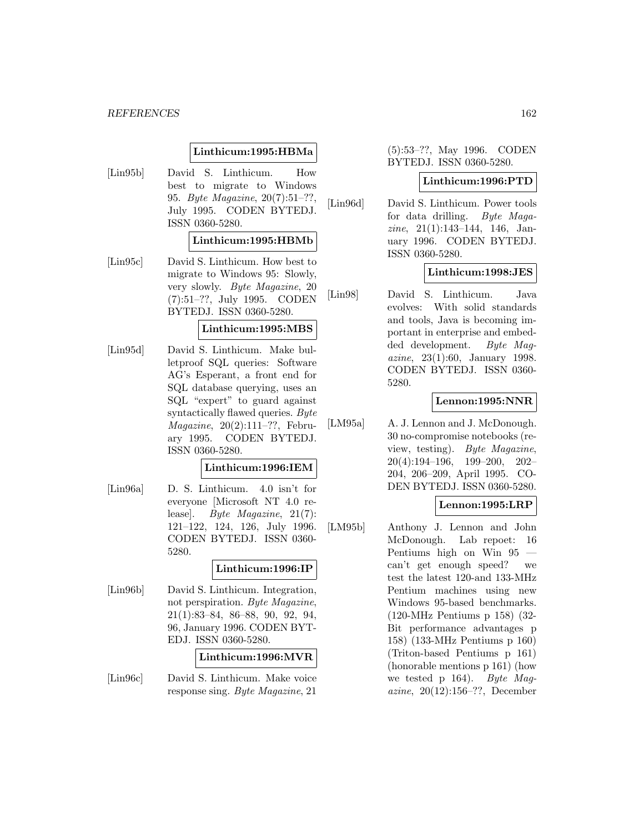#### *REFERENCES* 162

#### **Linthicum:1995:HBMa**

[Lin95b] David S. Linthicum. How best to migrate to Windows 95. Byte Magazine, 20(7):51–??, July 1995. CODEN BYTEDJ. ISSN 0360-5280.

#### **Linthicum:1995:HBMb**

[Lin95c] David S. Linthicum. How best to migrate to Windows 95: Slowly, very slowly. Byte Magazine, 20 (7):51–??, July 1995. CODEN BYTEDJ. ISSN 0360-5280.

#### **Linthicum:1995:MBS**

[Lin95d] David S. Linthicum. Make bulletproof SQL queries: Software AG's Esperant, a front end for SQL database querying, uses an SQL "expert" to guard against syntactically flawed queries. Byte Magazine, 20(2):111–??, February 1995. CODEN BYTEDJ. ISSN 0360-5280.

#### **Linthicum:1996:IEM**

[Lin96a] D. S. Linthicum. 4.0 isn't for everyone [Microsoft NT 4.0 release]. Byte Magazine, 21(7): 121–122, 124, 126, July 1996. CODEN BYTEDJ. ISSN 0360- 5280.

#### **Linthicum:1996:IP**

[Lin96b] David S. Linthicum. Integration, not perspiration. Byte Magazine, 21(1):83–84, 86–88, 90, 92, 94, 96, January 1996. CODEN BYT-EDJ. ISSN 0360-5280.

#### **Linthicum:1996:MVR**

[Lin96c] David S. Linthicum. Make voice response sing. Byte Magazine, 21

# (5):53–??, May 1996. CODEN BYTEDJ. ISSN 0360-5280.

#### **Linthicum:1996:PTD**

[Lin96d] David S. Linthicum. Power tools for data drilling. Byte Magazine, 21(1):143–144, 146, January 1996. CODEN BYTEDJ. ISSN 0360-5280.

#### **Linthicum:1998:JES**

[Lin98] David S. Linthicum. Java evolves: With solid standards and tools, Java is becoming important in enterprise and embedded development. Byte Magazine, 23(1):60, January 1998. CODEN BYTEDJ. ISSN 0360- 5280.

#### **Lennon:1995:NNR**

[LM95a] A. J. Lennon and J. McDonough. 30 no-compromise notebooks (review, testing). Byte Magazine, 20(4):194–196, 199–200, 202– 204, 206–209, April 1995. CO-DEN BYTEDJ. ISSN 0360-5280.

# **Lennon:1995:LRP**

[LM95b] Anthony J. Lennon and John McDonough. Lab repoet: 16 Pentiums high on Win 95 can't get enough speed? we test the latest 120-and 133-MHz Pentium machines using new Windows 95-based benchmarks. (120-MHz Pentiums p 158) (32- Bit performance advantages p 158) (133-MHz Pentiums p 160) (Triton-based Pentiums p 161) (honorable mentions p 161) (how we tested p 164). Byte Magazine, 20(12):156–??, December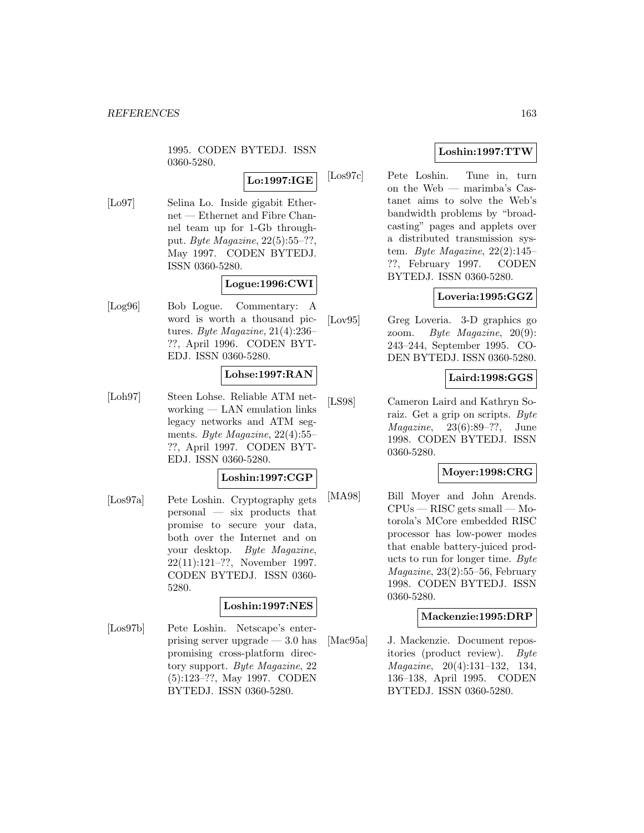1995. CODEN BYTEDJ. ISSN 0360-5280.

# **Lo:1997:IGE**

[Lo97] Selina Lo. Inside gigabit Ethernet — Ethernet and Fibre Channel team up for 1-Gb throughput. Byte Magazine, 22(5):55–??, May 1997. CODEN BYTEDJ. ISSN 0360-5280.

# **Logue:1996:CWI**

[Log96] Bob Logue. Commentary: A word is worth a thousand pictures. Byte Magazine, 21(4):236– ??, April 1996. CODEN BYT-EDJ. ISSN 0360-5280.

# **Lohse:1997:RAN**

[Loh97] Steen Lohse. Reliable ATM networking — LAN emulation links legacy networks and ATM segments. Byte Magazine, 22(4):55– ??, April 1997. CODEN BYT-EDJ. ISSN 0360-5280.

# **Loshin:1997:CGP**

[Los97a] Pete Loshin. Cryptography gets personal — six products that promise to secure your data, both over the Internet and on your desktop. Byte Magazine, 22(11):121–??, November 1997. CODEN BYTEDJ. ISSN 0360- 5280.

# **Loshin:1997:NES**

[Los97b] Pete Loshin. Netscape's enterprising server upgrade — 3.0 has promising cross-platform directory support. Byte Magazine, 22 (5):123–??, May 1997. CODEN BYTEDJ. ISSN 0360-5280.

# **Loshin:1997:TTW**

[Los97c] Pete Loshin. Tune in, turn on the Web — marimba's Castanet aims to solve the Web's bandwidth problems by "broadcasting" pages and applets over a distributed transmission system. Byte Magazine,  $22(2):145-$ ??, February 1997. CODEN BYTEDJ. ISSN 0360-5280.

# **Loveria:1995:GGZ**

[Lov95] Greg Loveria. 3-D graphics go zoom. Byte Magazine, 20(9): 243–244, September 1995. CO-DEN BYTEDJ. ISSN 0360-5280.

# **Laird:1998:GGS**

[LS98] Cameron Laird and Kathryn Soraiz. Get a grip on scripts. Byte Magazine, 23(6):89–??, June 1998. CODEN BYTEDJ. ISSN 0360-5280.

# **Moyer:1998:CRG**

[MA98] Bill Moyer and John Arends. CPUs — RISC gets small — Motorola's MCore embedded RISC processor has low-power modes that enable battery-juiced products to run for longer time. Byte Magazine, 23(2):55–56, February 1998. CODEN BYTEDJ. ISSN 0360-5280.

# **Mackenzie:1995:DRP**

[Mac95a] J. Mackenzie. Document repositories (product review). Byte Magazine, 20(4):131–132, 134, 136–138, April 1995. CODEN BYTEDJ. ISSN 0360-5280.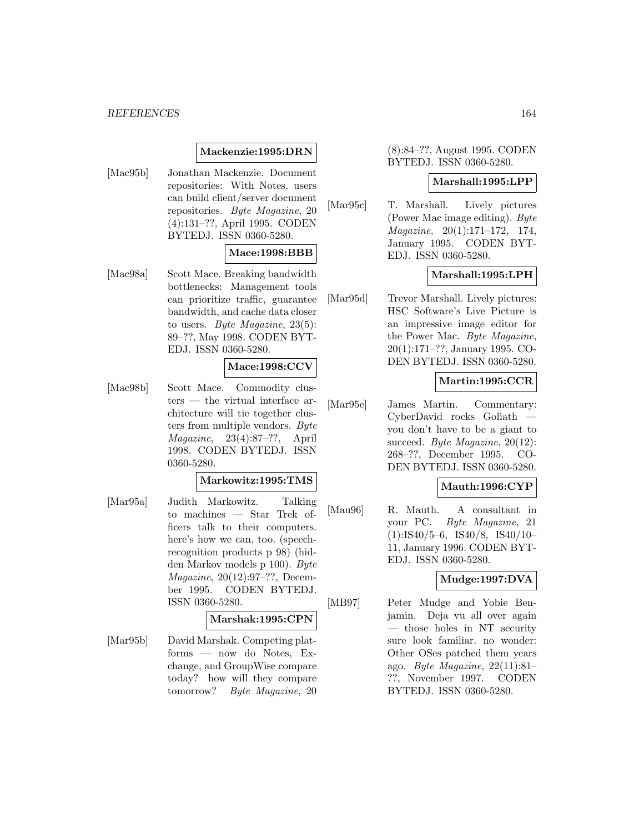#### *REFERENCES* 164

# **Mackenzie:1995:DRN**

[Mac95b] Jonathan Mackenzie. Document repositories: With Notes, users can build client/server document repositories. Byte Magazine, 20 (4):131–??, April 1995. CODEN BYTEDJ. ISSN 0360-5280.

# **Mace:1998:BBB**

[Mac98a] Scott Mace. Breaking bandwidth bottlenecks: Management tools can prioritize traffic, guarantee bandwidth, and cache data closer to users. Byte Magazine,  $23(5)$ : 89–??, May 1998. CODEN BYT-EDJ. ISSN 0360-5280.

# **Mace:1998:CCV**

[Mac98b] Scott Mace. Commodity clusters — the virtual interface architecture will tie together clusters from multiple vendors. Byte Magazine, 23(4):87–??, April 1998. CODEN BYTEDJ. ISSN 0360-5280.

#### **Markowitz:1995:TMS**

[Mar95a] Judith Markowitz. Talking to machines — Star Trek officers talk to their computers. here's how we can, too. (speechrecognition products p 98) (hidden Markov models p 100). Byte Magazine, 20(12):97–??, December 1995. CODEN BYTEDJ. ISSN 0360-5280.

#### **Marshak:1995:CPN**

[Mar95b] David Marshak. Competing platforms — now do Notes, Exchange, and GroupWise compare today? how will they compare tomorrow? Byte Magazine, 20

(8):84–??, August 1995. CODEN BYTEDJ. ISSN 0360-5280.

#### **Marshall:1995:LPP**

[Mar95c] T. Marshall. Lively pictures (Power Mac image editing). Byte Magazine, 20(1):171–172, 174, January 1995. CODEN BYT-EDJ. ISSN 0360-5280.

#### **Marshall:1995:LPH**

[Mar<sub>95d</sub>] Trevor Marshall. Lively pictures: HSC Software's Live Picture is an impressive image editor for the Power Mac. Byte Magazine, 20(1):171–??, January 1995. CO-DEN BYTEDJ. ISSN 0360-5280.

# **Martin:1995:CCR**

[Mar95e] James Martin. Commentary: CyberDavid rocks Goliath you don't have to be a giant to succeed. Byte Magazine, 20(12): 268–??, December 1995. CO-DEN BYTEDJ. ISSN 0360-5280.

# **Mauth:1996:CYP**

[Mau96] R. Mauth. A consultant in your PC. Byte Magazine, 21 (1):IS40/5–6, IS40/8, IS40/10– 11, January 1996. CODEN BYT-EDJ. ISSN 0360-5280.

# **Mudge:1997:DVA**

[MB97] Peter Mudge and Yobie Benjamin. Deja vu all over again those holes in NT security sure look familiar. no wonder: Other OSes patched them years ago. Byte Magazine,  $22(11):81$ ??, November 1997. CODEN BYTEDJ. ISSN 0360-5280.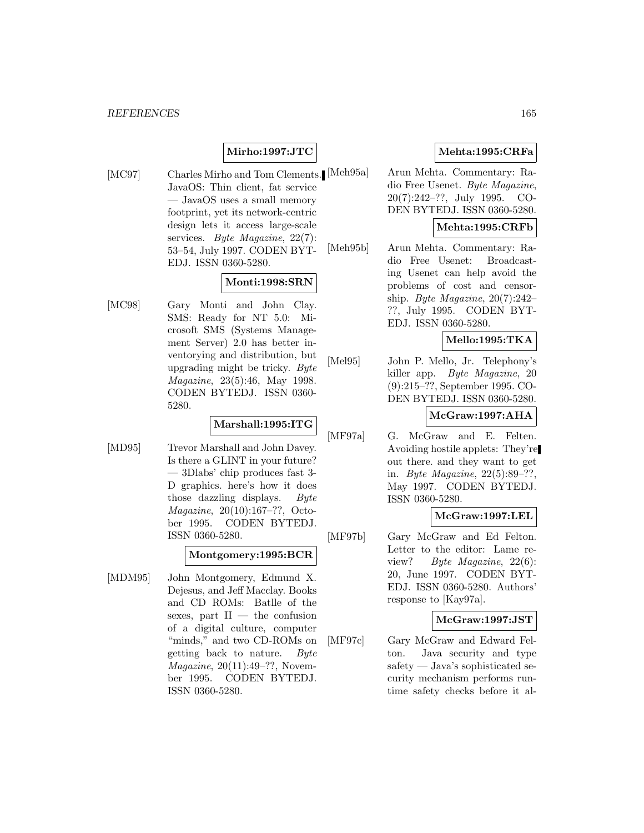# **Mirho:1997:JTC**

[MC97] Charles Mirho and Tom Clements. [Meh95a] JavaOS: Thin client, fat service — JavaOS uses a small memory footprint, yet its network-centric design lets it access large-scale services. Byte Magazine, 22(7): 53–54, July 1997. CODEN BYT-EDJ. ISSN 0360-5280.

# **Monti:1998:SRN**

[MC98] Gary Monti and John Clay. SMS: Ready for NT 5.0: Microsoft SMS (Systems Management Server) 2.0 has better inventorying and distribution, but upgrading might be tricky. Byte Magazine, 23(5):46, May 1998. CODEN BYTEDJ. ISSN 0360- 5280.

# **Marshall:1995:ITG**

[MD95] Trevor Marshall and John Davey. Is there a GLINT in your future? — 3Dlabs' chip produces fast 3- D graphics. here's how it does those dazzling displays. Byte Magazine, 20(10):167–??, October 1995. CODEN BYTEDJ. ISSN 0360-5280.

# **Montgomery:1995:BCR**

[MDM95] John Montgomery, Edmund X. Dejesus, and Jeff Macclay. Books and CD ROMs: Batlle of the sexes, part  $II$  — the confusion of a digital culture, computer "minds," and two CD-ROMs on getting back to nature. Byte Magazine, 20(11):49–??, November 1995. CODEN BYTEDJ. ISSN 0360-5280.

# **Mehta:1995:CRFa**

Arun Mehta. Commentary: Radio Free Usenet. Byte Magazine, 20(7):242–??, July 1995. CO-DEN BYTEDJ. ISSN 0360-5280.

# **Mehta:1995:CRFb**

[Meh95b] Arun Mehta. Commentary: Radio Free Usenet: Broadcasting Usenet can help avoid the problems of cost and censorship. Byte Magazine, 20(7):242– ??, July 1995. CODEN BYT-EDJ. ISSN 0360-5280.

#### **Mello:1995:TKA**

[Mel95] John P. Mello, Jr. Telephony's killer app. Byte Magazine, 20 (9):215–??, September 1995. CO-DEN BYTEDJ. ISSN 0360-5280.

# **McGraw:1997:AHA**

[MF97a] G. McGraw and E. Felten. Avoiding hostile applets: They're out there. and they want to get in. Byte Magazine, 22(5):89–??, May 1997. CODEN BYTEDJ. ISSN 0360-5280.

# **McGraw:1997:LEL**

[MF97b] Gary McGraw and Ed Felton. Letter to the editor: Lame review? Byte Magazine, 22(6): 20, June 1997. CODEN BYT-EDJ. ISSN 0360-5280. Authors' response to [Kay97a].

# **McGraw:1997:JST**

[MF97c] Gary McGraw and Edward Felton. Java security and type safety — Java's sophisticated security mechanism performs runtime safety checks before it al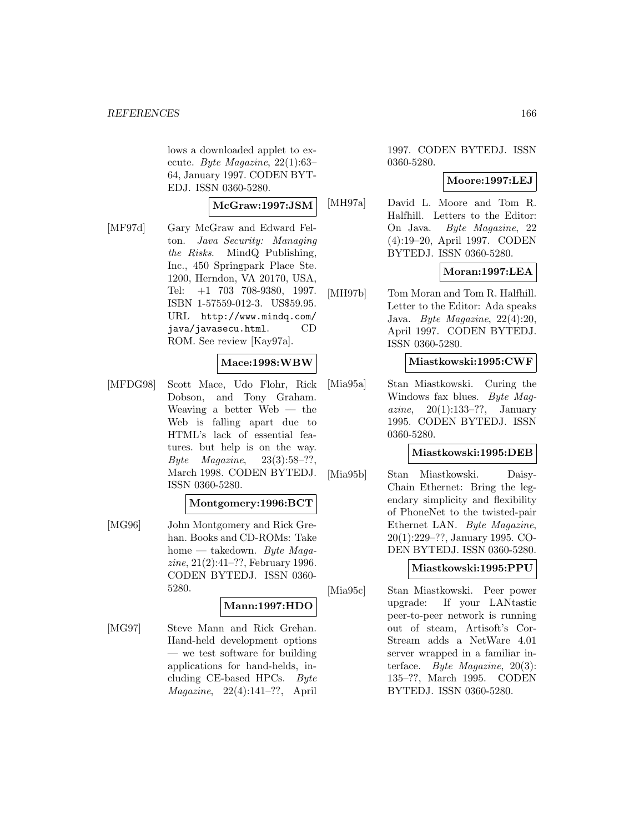lows a downloaded applet to execute. Byte Magazine, 22(1):63– 64, January 1997. CODEN BYT-EDJ. ISSN 0360-5280.

#### **McGraw:1997:JSM**

[MF97d] Gary McGraw and Edward Felton. Java Security: Managing the Risks. MindQ Publishing, Inc., 450 Springpark Place Ste. 1200, Herndon, VA 20170, USA, Tel: +1 703 708-9380, 1997. ISBN 1-57559-012-3. US\$59.95. URL http://www.mindq.com/ java/javasecu.html. CD ROM. See review [Kay97a].

# **Mace:1998:WBW**

[MFDG98] Scott Mace, Udo Flohr, Rick Dobson, and Tony Graham. Weaving a better Web — the Web is falling apart due to HTML's lack of essential features. but help is on the way. Byte Magazine,  $23(3):58-$ ??, March 1998. CODEN BYTEDJ. ISSN 0360-5280.

# **Montgomery:1996:BCT**

[MG96] John Montgomery and Rick Grehan. Books and CD-ROMs: Take home — takedown. Byte Magazine, 21(2):41–??, February 1996. CODEN BYTEDJ. ISSN 0360- 5280.

# **Mann:1997:HDO**

[MG97] Steve Mann and Rick Grehan. Hand-held development options — we test software for building applications for hand-helds, including CE-based HPCs. Byte Magazine, 22(4):141–??, April

1997. CODEN BYTEDJ. ISSN 0360-5280.

#### **Moore:1997:LEJ**

[MH97a] David L. Moore and Tom R. Halfhill. Letters to the Editor: On Java. Byte Magazine, 22 (4):19–20, April 1997. CODEN BYTEDJ. ISSN 0360-5280.

# **Moran:1997:LEA**

[MH97b] Tom Moran and Tom R. Halfhill. Letter to the Editor: Ada speaks Java. Byte Magazine, 22(4):20, April 1997. CODEN BYTEDJ. ISSN 0360-5280.

#### **Miastkowski:1995:CWF**

[Mia95a] Stan Miastkowski. Curing the Windows fax blues. Byte Magazine,  $20(1):133-??$ , January 1995. CODEN BYTEDJ. ISSN 0360-5280.

# **Miastkowski:1995:DEB**

[Mia95b] Stan Miastkowski. Daisy-Chain Ethernet: Bring the legendary simplicity and flexibility of PhoneNet to the twisted-pair Ethernet LAN. Byte Magazine, 20(1):229–??, January 1995. CO-DEN BYTEDJ. ISSN 0360-5280.

# **Miastkowski:1995:PPU**

[Mia95c] Stan Miastkowski. Peer power upgrade: If your LANtastic peer-to-peer network is running out of steam, Artisoft's Cor-Stream adds a NetWare 4.01 server wrapped in a familiar interface. Byte Magazine, 20(3): 135–??, March 1995. CODEN BYTEDJ. ISSN 0360-5280.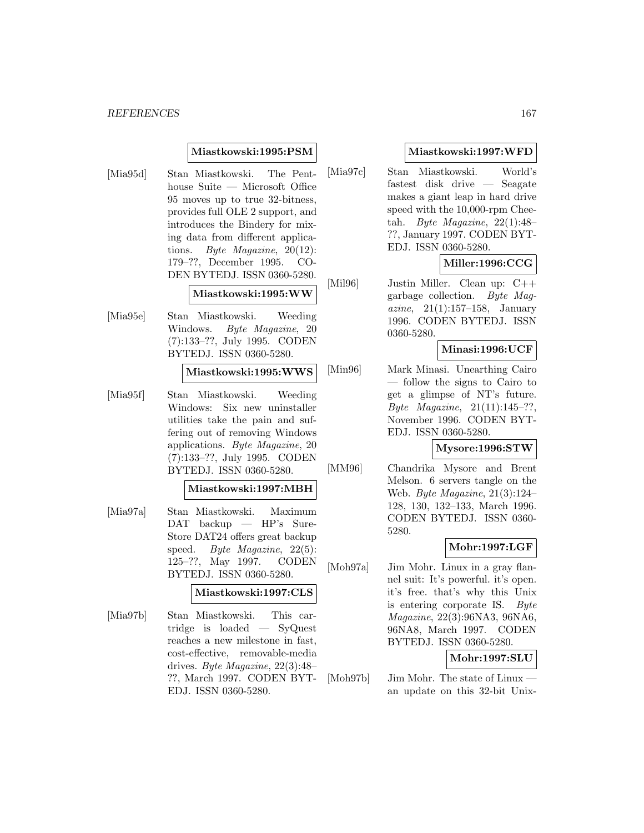#### *REFERENCES* 167

#### **Miastkowski:1995:PSM**

[Mia95d] Stan Miastkowski. The Penthouse Suite — Microsoft Office 95 moves up to true 32-bitness, provides full OLE 2 support, and introduces the Bindery for mixing data from different applications. Byte Magazine, 20(12): 179–??, December 1995. CO-DEN BYTEDJ. ISSN 0360-5280.

#### **Miastkowski:1995:WW**

[Mia95e] Stan Miastkowski. Weeding Windows. Byte Magazine, 20 (7):133–??, July 1995. CODEN BYTEDJ. ISSN 0360-5280.

#### **Miastkowski:1995:WWS**

[Mia95f] Stan Miastkowski. Weeding Windows: Six new uninstaller utilities take the pain and suffering out of removing Windows applications. Byte Magazine, 20 (7):133–??, July 1995. CODEN BYTEDJ. ISSN 0360-5280.

#### **Miastkowski:1997:MBH**

[Mia97a] Stan Miastkowski. Maximum DAT backup — HP's Sure-Store DAT24 offers great backup speed. Byte Magazine,  $22(5)$ : 125–??, May 1997. CODEN BYTEDJ. ISSN 0360-5280.

#### **Miastkowski:1997:CLS**

[Mia97b] Stan Miastkowski. This cartridge is loaded — SyQuest reaches a new milestone in fast, cost-effective, removable-media drives. Byte Magazine, 22(3):48– ??, March 1997. CODEN BYT-EDJ. ISSN 0360-5280.

#### **Miastkowski:1997:WFD**

[Mia97c] Stan Miastkowski. World's fastest disk drive — Seagate makes a giant leap in hard drive speed with the 10,000-rpm Cheetah. Byte Magazine,  $22(1):48-$ ??, January 1997. CODEN BYT-EDJ. ISSN 0360-5280.

# **Miller:1996:CCG**

[Mil96] Justin Miller. Clean up: C++ garbage collection. Byte Mag*azine*,  $21(1):157-158$ , January 1996. CODEN BYTEDJ. ISSN 0360-5280.

# **Minasi:1996:UCF**

[Min96] Mark Minasi. Unearthing Cairo — follow the signs to Cairo to get a glimpse of NT's future. Byte Magazine, 21(11):145–??, November 1996. CODEN BYT-EDJ. ISSN 0360-5280.

#### **Mysore:1996:STW**

[MM96] Chandrika Mysore and Brent Melson. 6 servers tangle on the Web. Byte Magazine, 21(3):124– 128, 130, 132–133, March 1996. CODEN BYTEDJ. ISSN 0360- 5280.

# **Mohr:1997:LGF**

[Moh97a] Jim Mohr. Linux in a gray flannel suit: It's powerful. it's open. it's free. that's why this Unix is entering corporate IS. Byte Magazine, 22(3):96NA3, 96NA6, 96NA8, March 1997. CODEN BYTEDJ. ISSN 0360-5280.

# **Mohr:1997:SLU**

[Moh97b] — Jim Mohr. The state of Linux an update on this 32-bit Unix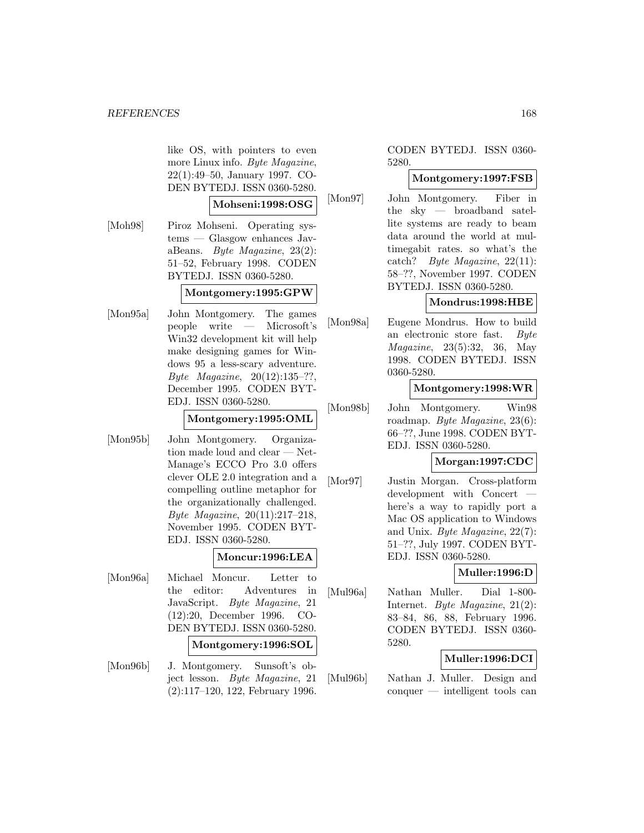like OS, with pointers to even more Linux info. Byte Magazine, 22(1):49–50, January 1997. CO-DEN BYTEDJ. ISSN 0360-5280.

#### **Mohseni:1998:OSG**

[Moh98] Piroz Mohseni. Operating systems — Glasgow enhances JavaBeans. Byte Magazine, 23(2): 51–52, February 1998. CODEN BYTEDJ. ISSN 0360-5280.

# **Montgomery:1995:GPW**

[Mon95a] John Montgomery. The games people write — Microsoft's Win32 development kit will help make designing games for Windows 95 a less-scary adventure. Byte Magazine, 20(12):135–??, December 1995. CODEN BYT-EDJ. ISSN 0360-5280.

# **Montgomery:1995:OML**

[Mon95b] John Montgomery. Organization made loud and clear — Net-Manage's ECCO Pro 3.0 offers clever OLE 2.0 integration and a compelling outline metaphor for the organizationally challenged. Byte Magazine, 20(11):217–218, November 1995. CODEN BYT-EDJ. ISSN 0360-5280.

#### **Moncur:1996:LEA**

- [Mon96a] Michael Moncur. Letter to the editor: Adventures in JavaScript. Byte Magazine, 21 (12):20, December 1996. CO-DEN BYTEDJ. ISSN 0360-5280. **Montgomery:1996:SOL**
- [Mon96b] J. Montgomery. Sunsoft's object lesson. Byte Magazine, 21 (2):117–120, 122, February 1996.

# CODEN BYTEDJ. ISSN 0360- 5280.

# **Montgomery:1997:FSB**

[Mon97] John Montgomery. Fiber in the sky — broadband satellite systems are ready to beam data around the world at multimegabit rates. so what's the catch? Byte Magazine, 22(11): 58–??, November 1997. CODEN BYTEDJ. ISSN 0360-5280.

#### **Mondrus:1998:HBE**

[Mon98a] Eugene Mondrus. How to build an electronic store fast. Byte Magazine, 23(5):32, 36, May 1998. CODEN BYTEDJ. ISSN 0360-5280.

#### **Montgomery:1998:WR**

[Mon98b] John Montgomery. Win98 roadmap. Byte Magazine, 23(6): 66–??, June 1998. CODEN BYT-EDJ. ISSN 0360-5280.

#### **Morgan:1997:CDC**

[Mor97] Justin Morgan. Cross-platform development with Concert here's a way to rapidly port a Mac OS application to Windows and Unix. Byte Magazine, 22(7): 51–??, July 1997. CODEN BYT-EDJ. ISSN 0360-5280.

# **Muller:1996:D**

[Mul96a] Nathan Muller. Dial 1-800- Internet. Byte Magazine, 21(2): 83–84, 86, 88, February 1996. CODEN BYTEDJ. ISSN 0360- 5280.

# **Muller:1996:DCI**

[Mul96b] Nathan J. Muller. Design and conquer — intelligent tools can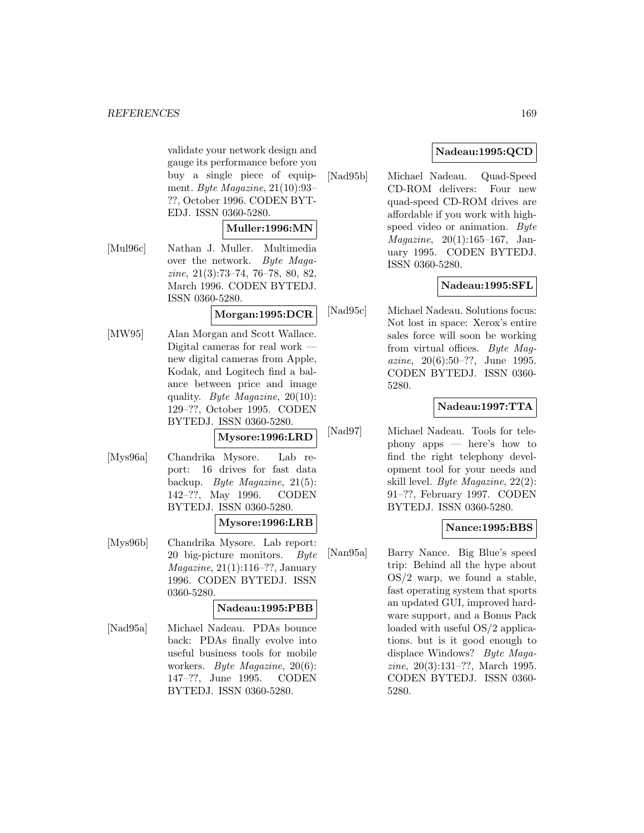validate your network design and gauge its performance before you buy a single piece of equipment. Byte Magazine,  $21(10):93-$ ??, October 1996. CODEN BYT-EDJ. ISSN 0360-5280.

# **Muller:1996:MN**

[Mul96c] Nathan J. Muller. Multimedia over the network. Byte Magazine, 21(3):73–74, 76–78, 80, 82, March 1996. CODEN BYTEDJ. ISSN 0360-5280.

# **Morgan:1995:DCR**

[MW95] Alan Morgan and Scott Wallace. Digital cameras for real work new digital cameras from Apple, Kodak, and Logitech find a balance between price and image quality. Byte Magazine,  $20(10)$ : 129–??, October 1995. CODEN BYTEDJ. ISSN 0360-5280.

#### **Mysore:1996:LRD**

[Mys96a] Chandrika Mysore. Lab report: 16 drives for fast data backup. Byte Magazine, 21(5): 142–??, May 1996. CODEN BYTEDJ. ISSN 0360-5280.

# **Mysore:1996:LRB**

[Mys96b] Chandrika Mysore. Lab report: 20 big-picture monitors. Byte Magazine, 21(1):116–??, January 1996. CODEN BYTEDJ. ISSN 0360-5280.

# **Nadeau:1995:PBB**

[Nad95a] Michael Nadeau. PDAs bounce back: PDAs finally evolve into useful business tools for mobile workers. Byte Magazine, 20(6): 147–??, June 1995. CODEN BYTEDJ. ISSN 0360-5280.

# **Nadeau:1995:QCD**

[Nad95b] Michael Nadeau. Quad-Speed CD-ROM delivers: Four new quad-speed CD-ROM drives are affordable if you work with highspeed video or animation. Byte Magazine, 20(1):165–167, January 1995. CODEN BYTEDJ. ISSN 0360-5280.

# **Nadeau:1995:SFL**

[Nad95c] Michael Nadeau. Solutions focus: Not lost in space: Xerox's entire sales force will soon be working from virtual offices. Byte Magazine, 20(6):50–??, June 1995. CODEN BYTEDJ. ISSN 0360- 5280.

# **Nadeau:1997:TTA**

[Nad97] Michael Nadeau. Tools for telephony apps — here's how to find the right telephony development tool for your needs and skill level. Byte Magazine, 22(2): 91–??, February 1997. CODEN BYTEDJ. ISSN 0360-5280.

# **Nance:1995:BBS**

[Nan95a] Barry Nance. Big Blue's speed trip: Behind all the hype about OS/2 warp, we found a stable, fast operating system that sports an updated GUI, improved hardware support, and a Bonus Pack loaded with useful OS/2 applications. but is it good enough to displace Windows? Byte Magazine, 20(3):131–??, March 1995. CODEN BYTEDJ. ISSN 0360- 5280.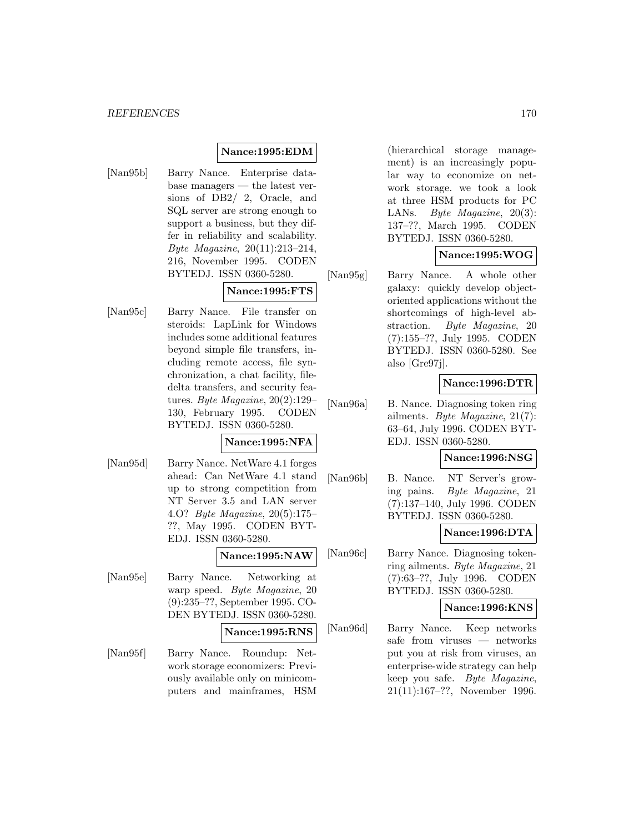# **Nance:1995:EDM**

[Nan95b] Barry Nance. Enterprise database managers — the latest versions of DB2/ 2, Oracle, and SQL server are strong enough to support a business, but they differ in reliability and scalability. Byte Magazine, 20(11):213–214, 216, November 1995. CODEN BYTEDJ. ISSN 0360-5280.

# **Nance:1995:FTS**

[Nan95c] Barry Nance. File transfer on steroids: LapLink for Windows includes some additional features beyond simple file transfers, including remote access, file synchronization, a chat facility, filedelta transfers, and security features. Byte Magazine, 20(2):129– 130, February 1995. CODEN BYTEDJ. ISSN 0360-5280.

# **Nance:1995:NFA**

[Nan95d] Barry Nance. NetWare 4.1 forges ahead: Can NetWare 4.1 stand up to strong competition from NT Server 3.5 and LAN server 4.O? Byte Magazine, 20(5):175– ??, May 1995. CODEN BYT-EDJ. ISSN 0360-5280.

**Nance:1995:NAW**

[Nan95e] Barry Nance. Networking at warp speed. Byte Magazine, 20 (9):235–??, September 1995. CO-DEN BYTEDJ. ISSN 0360-5280.

**Nance:1995:RNS**

[Nan95f] Barry Nance. Roundup: Network storage economizers: Previously available only on minicomputers and mainframes, HSM

(hierarchical storage management) is an increasingly popular way to economize on network storage. we took a look at three HSM products for PC LANs. Byte Magazine, 20(3): 137–??, March 1995. CODEN BYTEDJ. ISSN 0360-5280.

# **Nance:1995:WOG**

[Nan95g] Barry Nance. A whole other galaxy: quickly develop objectoriented applications without the shortcomings of high-level abstraction. Byte Magazine, 20 (7):155–??, July 1995. CODEN BYTEDJ. ISSN 0360-5280. See also [Gre97j].

# **Nance:1996:DTR**

[Nan96a] B. Nance. Diagnosing token ring ailments. Byte Magazine, 21(7): 63–64, July 1996. CODEN BYT-EDJ. ISSN 0360-5280.

### **Nance:1996:NSG**

[Nan96b] B. Nance. NT Server's growing pains. Byte Magazine, 21 (7):137–140, July 1996. CODEN BYTEDJ. ISSN 0360-5280.

# **Nance:1996:DTA**

[Nan96c] Barry Nance. Diagnosing tokenring ailments. Byte Magazine, 21 (7):63–??, July 1996. CODEN BYTEDJ. ISSN 0360-5280.

#### **Nance:1996:KNS**

[Nan96d] Barry Nance. Keep networks safe from viruses — networks put you at risk from viruses, an enterprise-wide strategy can help keep you safe. Byte Magazine, 21(11):167–??, November 1996.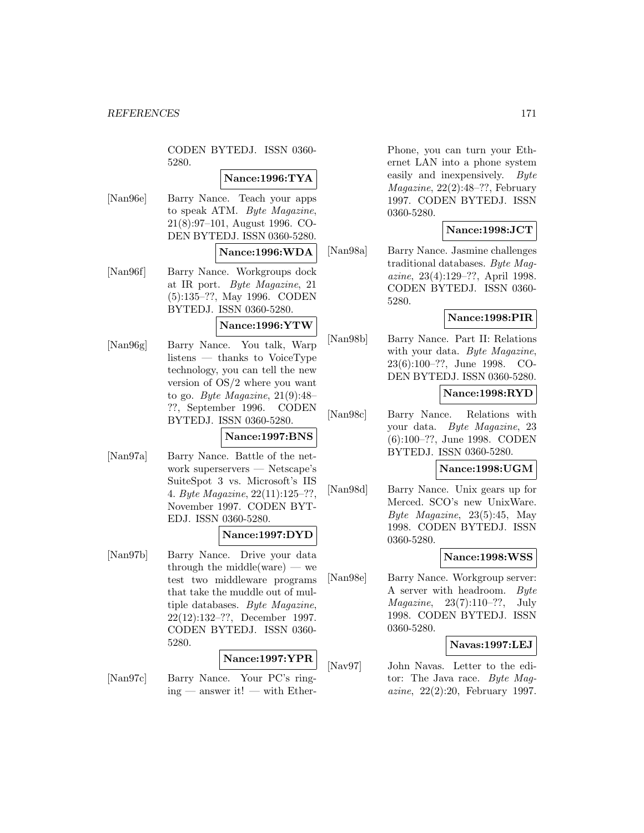CODEN BYTEDJ. ISSN 0360- 5280.

# **Nance:1996:TYA**

[Nan96e] Barry Nance. Teach your apps to speak ATM. Byte Magazine, 21(8):97–101, August 1996. CO-DEN BYTEDJ. ISSN 0360-5280.

#### **Nance:1996:WDA**

[Nan96f] Barry Nance. Workgroups dock at IR port. Byte Magazine, 21 (5):135–??, May 1996. CODEN BYTEDJ. ISSN 0360-5280.

#### **Nance:1996:YTW**

[Nan96g] Barry Nance. You talk, Warp listens — thanks to VoiceType technology, you can tell the new version of OS/2 where you want to go. Byte Magazine,  $21(9):48-$ ??, September 1996. CODEN BYTEDJ. ISSN 0360-5280.

#### **Nance:1997:BNS**

[Nan97a] Barry Nance. Battle of the network superservers — Netscape's SuiteSpot 3 vs. Microsoft's IIS 4. Byte Magazine, 22(11):125–??, November 1997. CODEN BYT-EDJ. ISSN 0360-5280.

# **Nance:1997:DYD**

[Nan97b] Barry Nance. Drive your data through the middle(ware) — we test two middleware programs that take the muddle out of multiple databases. Byte Magazine, 22(12):132–??, December 1997. CODEN BYTEDJ. ISSN 0360- 5280.

# **Nance:1997:YPR**

[Nan97c] Barry Nance. Your PC's ring $ing$  — answer it! — with EtherPhone, you can turn your Ethernet LAN into a phone system easily and inexpensively. Byte Magazine, 22(2):48–??, February 1997. CODEN BYTEDJ. ISSN 0360-5280.

# **Nance:1998:JCT**

[Nan98a] Barry Nance. Jasmine challenges traditional databases. Byte Magazine, 23(4):129–??, April 1998. CODEN BYTEDJ. ISSN 0360- 5280.

# **Nance:1998:PIR**

[Nan98b] Barry Nance. Part II: Relations with your data. Byte Magazine, 23(6):100–??, June 1998. CO-DEN BYTEDJ. ISSN 0360-5280.

# **Nance:1998:RYD**

[Nan98c] Barry Nance. Relations with your data. Byte Magazine, 23 (6):100–??, June 1998. CODEN BYTEDJ. ISSN 0360-5280.

# **Nance:1998:UGM**

[Nan98d] Barry Nance. Unix gears up for Merced. SCO's new UnixWare. Byte Magazine, 23(5):45, May 1998. CODEN BYTEDJ. ISSN 0360-5280.

# **Nance:1998:WSS**

[Nan98e] Barry Nance. Workgroup server: A server with headroom. Byte Magazine, 23(7):110–??, July 1998. CODEN BYTEDJ. ISSN 0360-5280.

# **Navas:1997:LEJ**

[Nav97] John Navas. Letter to the editor: The Java race. Byte Magazine, 22(2):20, February 1997.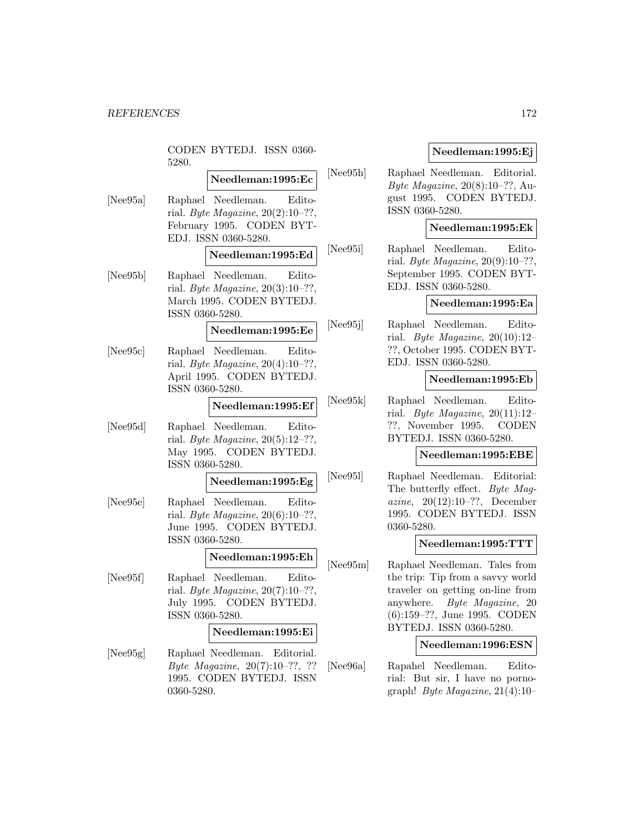CODEN BYTEDJ. ISSN 0360- 5280.

# **Needleman:1995:Ec**

[Nee95a] Raphael Needleman. Editorial. Byte Magazine,  $20(2):10-??$ , February 1995. CODEN BYT-EDJ. ISSN 0360-5280.

# **Needleman:1995:Ed**

[Nee95b] Raphael Needleman. Editorial. Byte Magazine,  $20(3):10-??$ , March 1995. CODEN BYTEDJ. ISSN 0360-5280.

### **Needleman:1995:Ee**

[Nee95c] Raphael Needleman. Editorial. Byte Magazine,  $20(4):10-??$ , April 1995. CODEN BYTEDJ. ISSN 0360-5280.

# **Needleman:1995:Ef**

[Nee95d] Raphael Needleman. Editorial. Byte Magazine,  $20(5):12-??$ , May 1995. CODEN BYTEDJ. ISSN 0360-5280.

# **Needleman:1995:Eg**

[Nee95e] Raphael Needleman. Editorial. Byte Magazine,  $20(6):10-??$ , June 1995. CODEN BYTEDJ. ISSN 0360-5280.

#### **Needleman:1995:Eh**

[Nee95f] Raphael Needleman. Editorial. Byte Magazine,  $20(7):10-??$ , July 1995. CODEN BYTEDJ. ISSN 0360-5280.

# **Needleman:1995:Ei**

[Nee95g] Raphael Needleman. Editorial. Byte Magazine, 20(7):10–??, ?? 1995. CODEN BYTEDJ. ISSN 0360-5280.

#### **Needleman:1995:Ej**

[Nee95h] Raphael Needleman. Editorial. Byte Magazine,  $20(8):10-??$ , August 1995. CODEN BYTEDJ. ISSN 0360-5280.

# **Needleman:1995:Ek**

[Nee95i] Raphael Needleman. Editorial. Byte Magazine,  $20(9):10-??$ , September 1995. CODEN BYT-EDJ. ISSN 0360-5280.

#### **Needleman:1995:Ea**

[Nee95j] Raphael Needleman. Editorial. Byte Magazine,  $20(10):12-$ ??, October 1995. CODEN BYT-EDJ. ISSN 0360-5280.

#### **Needleman:1995:Eb**

[Nee95k] Raphael Needleman. Editorial. Byte Magazine,  $20(11):12-$ ??, November 1995. CODEN BYTEDJ. ISSN 0360-5280.

#### **Needleman:1995:EBE**

[Nee95l] Raphael Needleman. Editorial: The butterfly effect. Byte Magazine, 20(12):10–??, December 1995. CODEN BYTEDJ. ISSN 0360-5280.

#### **Needleman:1995:TTT**

[Nee95m] Raphael Needleman. Tales from the trip: Tip from a savvy world traveler on getting on-line from anywhere. Byte Magazine, 20 (6):159–??, June 1995. CODEN BYTEDJ. ISSN 0360-5280.

#### **Needleman:1996:ESN**

[Nee96a] Rapahel Needleman. Editorial: But sir, I have no pornograph! Byte Magazine,  $21(4):10-$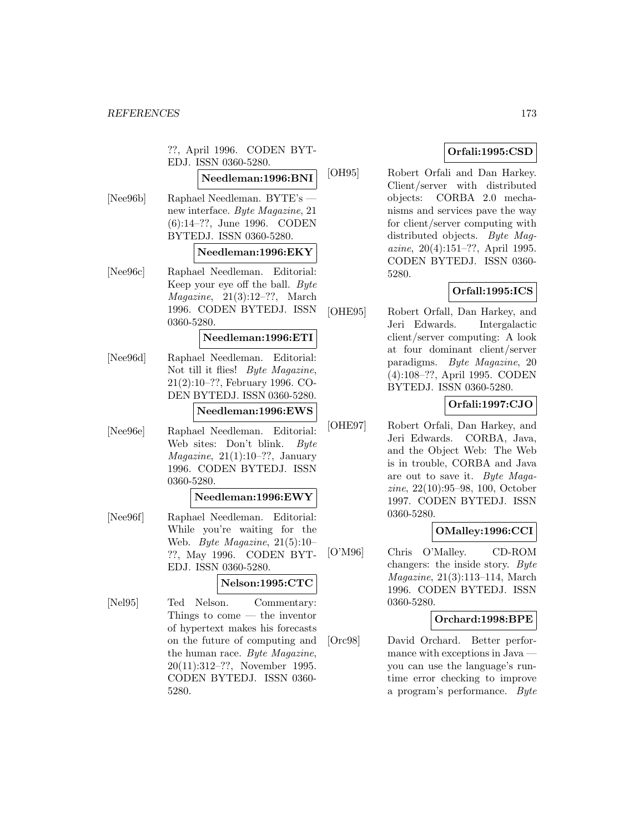??, April 1996. CODEN BYT-EDJ. ISSN 0360-5280.

# **Needleman:1996:BNI**

[Nee96b] Raphael Needleman. BYTE's new interface. Byte Magazine, 21 (6):14–??, June 1996. CODEN BYTEDJ. ISSN 0360-5280.

#### **Needleman:1996:EKY**

[Nee96c] Raphael Needleman. Editorial: Keep your eye off the ball. Byte  $Magazine, 21(3):12-??, March$ 1996. CODEN BYTEDJ. ISSN 0360-5280.

#### **Needleman:1996:ETI**

[Nee96d] Raphael Needleman. Editorial: Not till it flies! Byte Magazine, 21(2):10–??, February 1996. CO-DEN BYTEDJ. ISSN 0360-5280.

**Needleman:1996:EWS**

[Nee96e] Raphael Needleman. Editorial: Web sites: Don't blink. Byte  $Magazine, 21(1):10–??, January$ 1996. CODEN BYTEDJ. ISSN 0360-5280.

#### **Needleman:1996:EWY**

[Nee96f] Raphael Needleman. Editorial: While you're waiting for the Web. Byte Magazine, 21(5):10– ??, May 1996. CODEN BYT-EDJ. ISSN 0360-5280.

# **Nelson:1995:CTC**

[Nel95] Ted Nelson. Commentary: Things to come — the inventor of hypertext makes his forecasts on the future of computing and the human race. Byte Magazine, 20(11):312–??, November 1995. CODEN BYTEDJ. ISSN 0360- 5280.

# **Orfali:1995:CSD**

[OH95] Robert Orfali and Dan Harkey. Client/server with distributed objects: CORBA 2.0 mechanisms and services pave the way for client/server computing with distributed objects. Byte Maqazine, 20(4):151–??, April 1995. CODEN BYTEDJ. ISSN 0360- 5280.

# **Orfall:1995:ICS**

[OHE95] Robert Orfall, Dan Harkey, and Jeri Edwards. Intergalactic client/server computing: A look at four dominant client/server paradigms. Byte Magazine, 20 (4):108–??, April 1995. CODEN BYTEDJ. ISSN 0360-5280.

# **Orfali:1997:CJO**

[OHE97] Robert Orfali, Dan Harkey, and Jeri Edwards. CORBA, Java, and the Object Web: The Web is in trouble, CORBA and Java are out to save it. Byte Magazine, 22(10):95–98, 100, October 1997. CODEN BYTEDJ. ISSN 0360-5280.

# **OMalley:1996:CCI**

[O'M96] Chris O'Malley. CD-ROM changers: the inside story. Byte Magazine, 21(3):113–114, March 1996. CODEN BYTEDJ. ISSN 0360-5280.

# **Orchard:1998:BPE**

[Orc98] David Orchard. Better performance with exceptions in Java you can use the language's runtime error checking to improve a program's performance. Byte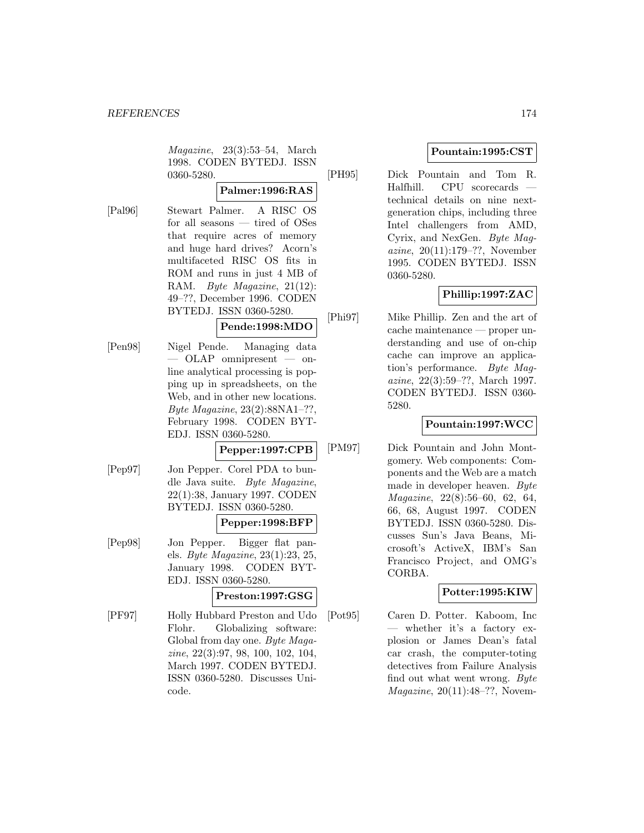Magazine, 23(3):53–54, March 1998. CODEN BYTEDJ. ISSN 0360-5280.

# **Palmer:1996:RAS**

[Pal96] Stewart Palmer. A RISC OS for all seasons — tired of OSes that require acres of memory and huge hard drives? Acorn's multifaceted RISC OS fits in ROM and runs in just 4 MB of RAM. Byte Magazine, 21(12): 49–??, December 1996. CODEN BYTEDJ. ISSN 0360-5280.

# **Pende:1998:MDO**

[Pen98] Nigel Pende. Managing data — OLAP omnipresent — online analytical processing is popping up in spreadsheets, on the Web, and in other new locations. Byte Magazine, 23(2):88NA1–??, February 1998. CODEN BYT-EDJ. ISSN 0360-5280.

# **Pepper:1997:CPB**

[Pep97] Jon Pepper. Corel PDA to bundle Java suite. Byte Magazine, 22(1):38, January 1997. CODEN BYTEDJ. ISSN 0360-5280.

# **Pepper:1998:BFP**

[Pep98] Jon Pepper. Bigger flat panels. Byte Magazine, 23(1):23, 25, January 1998. CODEN BYT-EDJ. ISSN 0360-5280.

# **Preston:1997:GSG**

[PF97] Holly Hubbard Preston and Udo Flohr. Globalizing software: Global from day one. Byte Magazine, 22(3):97, 98, 100, 102, 104, March 1997. CODEN BYTEDJ. ISSN 0360-5280. Discusses Unicode.

# **Pountain:1995:CST**

[PH95] Dick Pountain and Tom R. Halfhill. CPU scorecards technical details on nine nextgeneration chips, including three Intel challengers from AMD, Cyrix, and NexGen. Byte Magazine, 20(11):179–??, November 1995. CODEN BYTEDJ. ISSN 0360-5280.

# **Phillip:1997:ZAC**

[Phi97] Mike Phillip. Zen and the art of cache maintenance — proper understanding and use of on-chip cache can improve an application's performance. Byte Magazine, 22(3):59–??, March 1997. CODEN BYTEDJ. ISSN 0360- 5280.

# **Pountain:1997:WCC**

[PM97] Dick Pountain and John Montgomery. Web components: Components and the Web are a match made in developer heaven. Byte Magazine, 22(8):56–60, 62, 64, 66, 68, August 1997. CODEN BYTEDJ. ISSN 0360-5280. Discusses Sun's Java Beans, Microsoft's ActiveX, IBM's San Francisco Project, and OMG's CORBA.

# **Potter:1995:KIW**

[Pot95] Caren D. Potter. Kaboom, Inc — whether it's a factory explosion or James Dean's fatal car crash, the computer-toting detectives from Failure Analysis find out what went wrong. Byte Magazine, 20(11):48–??, Novem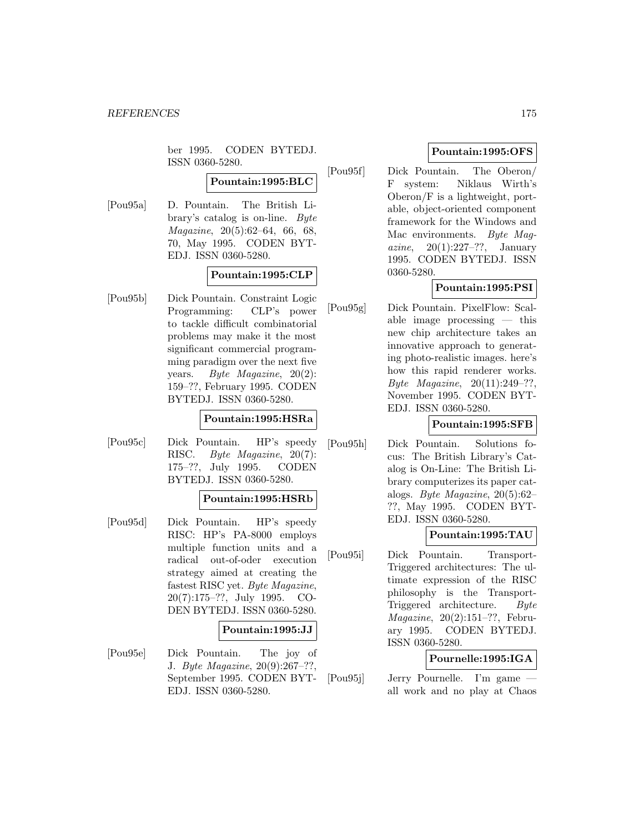ber 1995. CODEN BYTEDJ. ISSN 0360-5280.

# **Pountain:1995:BLC**

[Pou95a] D. Pountain. The British Library's catalog is on-line. Byte Magazine, 20(5):62–64, 66, 68, 70, May 1995. CODEN BYT-EDJ. ISSN 0360-5280.

# **Pountain:1995:CLP**

[Pou95b] Dick Pountain. Constraint Logic Programming: CLP's power to tackle difficult combinatorial problems may make it the most significant commercial programming paradigm over the next five years. Byte Magazine, 20(2): 159–??, February 1995. CODEN BYTEDJ. ISSN 0360-5280.

#### **Pountain:1995:HSRa**

[Pou95c] Dick Pountain. HP's speedy RISC. Byte Magazine, 20(7): 175–??, July 1995. CODEN BYTEDJ. ISSN 0360-5280.

#### **Pountain:1995:HSRb**

[Pou95d] Dick Pountain. HP's speedy RISC: HP's PA-8000 employs multiple function units and a radical out-of-oder execution strategy aimed at creating the fastest RISC yet. Byte Magazine, 20(7):175–??, July 1995. CO-DEN BYTEDJ. ISSN 0360-5280.

#### **Pountain:1995:JJ**

[Pou95e] Dick Pountain. The joy of J. Byte Magazine, 20(9):267–??, September 1995. CODEN BYT-EDJ. ISSN 0360-5280.

# **Pountain:1995:OFS**

[Pou95f] Dick Pountain. The Oberon/ F system: Niklaus Wirth's Oberon/F is a lightweight, portable, object-oriented component framework for the Windows and Mac environments. Byte Magazine,  $20(1):227-??$ , January 1995. CODEN BYTEDJ. ISSN 0360-5280.

# **Pountain:1995:PSI**

[Pou95g] Dick Pountain. PixelFlow: Scalable image processing — this new chip architecture takes an innovative approach to generating photo-realistic images. here's how this rapid renderer works. Byte Magazine, 20(11):249–??, November 1995. CODEN BYT-EDJ. ISSN 0360-5280.

# **Pountain:1995:SFB**

[Pou95h] Dick Pountain. Solutions focus: The British Library's Catalog is On-Line: The British Library computerizes its paper catalogs. Byte Magazine, 20(5):62– ??, May 1995. CODEN BYT-EDJ. ISSN 0360-5280.

# **Pountain:1995:TAU**

[Pou95i] Dick Pountain. Transport-Triggered architectures: The ultimate expression of the RISC philosophy is the Transport-Triggered architecture. Byte Magazine, 20(2):151–??, February 1995. CODEN BYTEDJ. ISSN 0360-5280.

# **Pournelle:1995:IGA**

[Pou95j] Jerry Pournelle. I'm game all work and no play at Chaos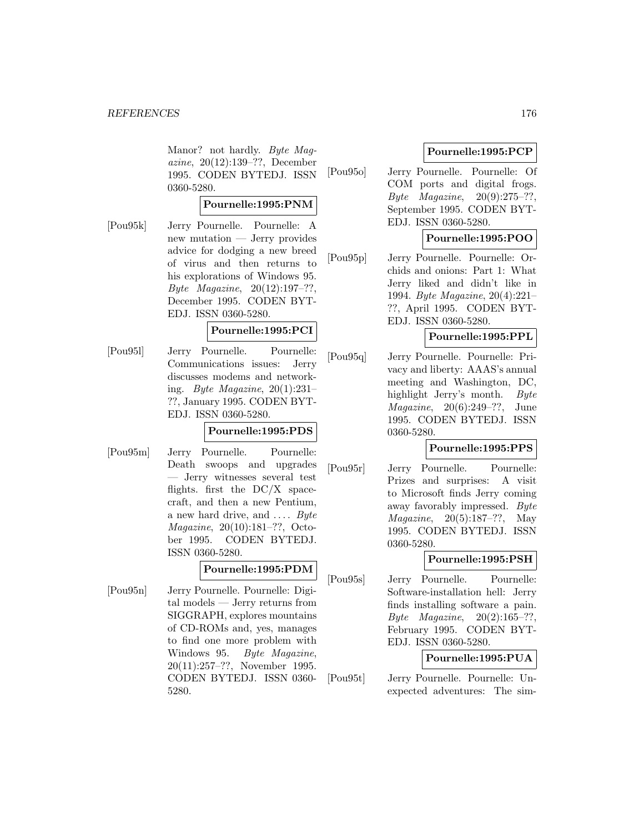Manor? not hardly. Byte Magazine, 20(12):139–??, December 1995. CODEN BYTEDJ. ISSN 0360-5280.

#### **Pournelle:1995:PNM**

[Pou95k] Jerry Pournelle. Pournelle: A new mutation — Jerry provides advice for dodging a new breed of virus and then returns to his explorations of Windows 95. Byte Magazine,  $20(12):197-??$ , December 1995. CODEN BYT-EDJ. ISSN 0360-5280.

# **Pournelle:1995:PCI**

[Pou95l] Jerry Pournelle. Pournelle: Communications issues: Jerry discusses modems and networking. Byte Magazine,  $20(1):231-$ ??, January 1995. CODEN BYT-EDJ. ISSN 0360-5280.

# **Pournelle:1995:PDS**

[Pou95m] Jerry Pournelle. Pournelle: Death swoops and upgrades — Jerry witnesses several test flights. first the  $DC/X$  spacecraft, and then a new Pentium, a new hard drive, and  $\dots$  *Byte* Magazine, 20(10):181–??, October 1995. CODEN BYTEDJ. ISSN 0360-5280.

#### **Pournelle:1995:PDM**

[Pou95n] Jerry Pournelle. Pournelle: Digital models — Jerry returns from SIGGRAPH, explores mountains of CD-ROMs and, yes, manages to find one more problem with Windows 95. Byte Magazine, 20(11):257–??, November 1995. CODEN BYTEDJ. ISSN 0360- 5280.

# **Pournelle:1995:PCP**

[Pou95o] Jerry Pournelle. Pournelle: Of COM ports and digital frogs. Byte Magazine,  $20(9):275-??$ , September 1995. CODEN BYT-EDJ. ISSN 0360-5280.

# **Pournelle:1995:POO**

[Pou95p] Jerry Pournelle. Pournelle: Orchids and onions: Part 1: What Jerry liked and didn't like in 1994. Byte Magazine, 20(4):221– ??, April 1995. CODEN BYT-EDJ. ISSN 0360-5280.

# **Pournelle:1995:PPL**

[Pou95q] Jerry Pournelle. Pournelle: Privacy and liberty: AAAS's annual meeting and Washington, DC, highlight Jerry's month. Byte Magazine, 20(6):249–??, June 1995. CODEN BYTEDJ. ISSN 0360-5280.

# **Pournelle:1995:PPS**

[Pou95r] Jerry Pournelle. Pournelle: Prizes and surprises: A visit to Microsoft finds Jerry coming away favorably impressed. Byte Magazine, 20(5):187–??, May 1995. CODEN BYTEDJ. ISSN 0360-5280.

# **Pournelle:1995:PSH**

[Pou95s] Jerry Pournelle. Pournelle: Software-installation hell: Jerry finds installing software a pain. Byte Magazine, 20(2):165–??, February 1995. CODEN BYT-EDJ. ISSN 0360-5280.

# **Pournelle:1995:PUA**

[Pou95t] Jerry Pournelle. Pournelle: Unexpected adventures: The sim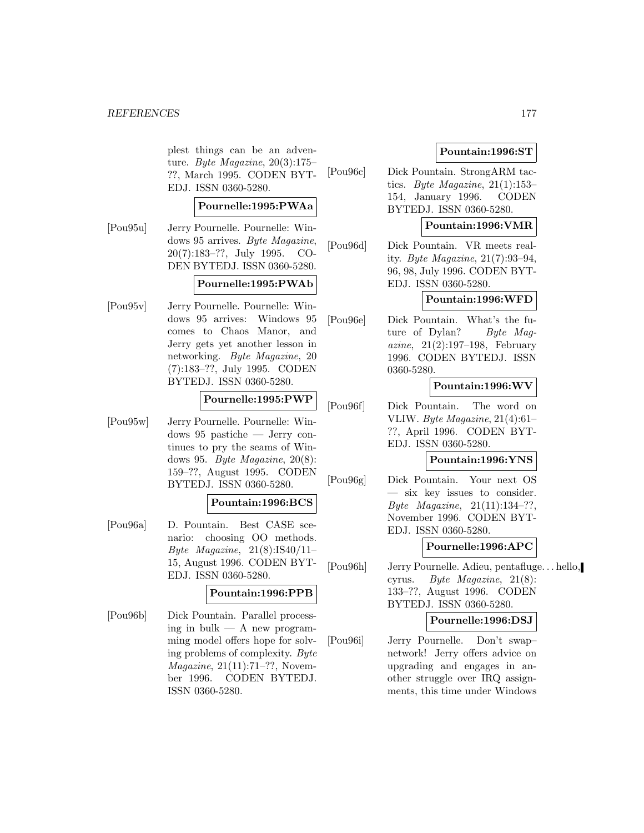plest things can be an adventure. Byte Magazine,  $20(3):175-$ ??, March 1995. CODEN BYT-EDJ. ISSN 0360-5280.

# **Pournelle:1995:PWAa**

[Pou95u] Jerry Pournelle. Pournelle: Windows 95 arrives. Byte Magazine, 20(7):183–??, July 1995. CO-DEN BYTEDJ. ISSN 0360-5280.

#### **Pournelle:1995:PWAb**

[Pou95v] Jerry Pournelle. Pournelle: Windows 95 arrives: Windows 95 comes to Chaos Manor, and Jerry gets yet another lesson in networking. Byte Magazine, 20 (7):183–??, July 1995. CODEN BYTEDJ. ISSN 0360-5280.

# **Pournelle:1995:PWP**

[Pou95w] Jerry Pournelle. Pournelle: Windows 95 pastiche — Jerry continues to pry the seams of Windows 95. Byte Magazine, 20(8): 159–??, August 1995. CODEN BYTEDJ. ISSN 0360-5280.

# **Pountain:1996:BCS**

[Pou96a] D. Pountain. Best CASE scenario: choosing OO methods. Byte Magazine,  $21(8):IS40/11-$ 15, August 1996. CODEN BYT-EDJ. ISSN 0360-5280.

# **Pountain:1996:PPB**

[Pou96b] Dick Pountain. Parallel processing in bulk  $-$  A new programming model offers hope for solving problems of complexity. Byte Magazine, 21(11):71–??, November 1996. CODEN BYTEDJ. ISSN 0360-5280.

# **Pountain:1996:ST**

[Pou96c] Dick Pountain. StrongARM tactics. Byte Magazine,  $21(1):153-$ 154, January 1996. CODEN BYTEDJ. ISSN 0360-5280.

# **Pountain:1996:VMR**

[Pou96d] Dick Pountain. VR meets reality. Byte Magazine, 21(7):93–94, 96, 98, July 1996. CODEN BYT-EDJ. ISSN 0360-5280.

#### **Pountain:1996:WFD**

[Pou96e] Dick Pountain. What's the future of Dylan? Byte Maq*azine*,  $21(2):197-198$ , February 1996. CODEN BYTEDJ. ISSN 0360-5280.

# **Pountain:1996:WV**

[Pou96f] Dick Pountain. The word on VLIW. Byte Magazine, 21(4):61– ??, April 1996. CODEN BYT-EDJ. ISSN 0360-5280.

#### **Pountain:1996:YNS**

[Pou96g] Dick Pountain. Your next OS — six key issues to consider. Byte Magazine, 21(11):134–??, November 1996. CODEN BYT-EDJ. ISSN 0360-5280.

# **Pournelle:1996:APC**

[Pou96h] Jerry Pournelle. Adieu, pentafluge... hello, cyrus. Byte Magazine, 21(8): 133–??, August 1996. CODEN BYTEDJ. ISSN 0360-5280.

#### **Pournelle:1996:DSJ**

[Pou96i] Jerry Pournelle. Don't swap– network! Jerry offers advice on upgrading and engages in another struggle over IRQ assignments, this time under Windows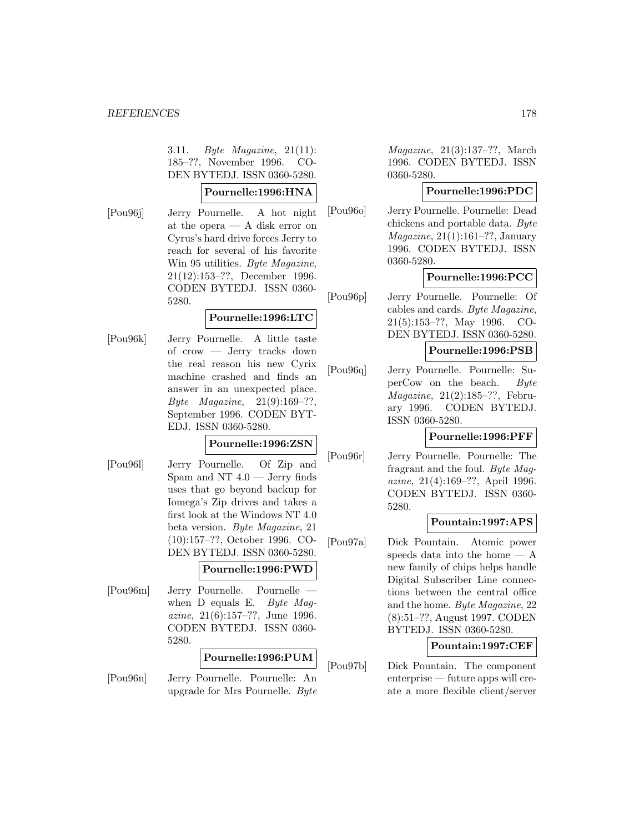3.11. Byte Magazine, 21(11): 185–??, November 1996. CO-DEN BYTEDJ. ISSN 0360-5280.

#### **Pournelle:1996:HNA**

[Pou96j] Jerry Pournelle. A hot night at the opera — A disk error on Cyrus's hard drive forces Jerry to reach for several of his favorite Win 95 utilities. Byte Magazine, 21(12):153–??, December 1996. CODEN BYTEDJ. ISSN 0360- 5280.

# **Pournelle:1996:LTC**

[Pou96k] Jerry Pournelle. A little taste of crow — Jerry tracks down the real reason his new Cyrix machine crashed and finds an answer in an unexpected place. Byte Magazine, 21(9):169–??, September 1996. CODEN BYT-EDJ. ISSN 0360-5280.

# **Pournelle:1996:ZSN**

[Pou96l] Jerry Pournelle. Of Zip and Spam and NT  $4.0$  — Jerry finds uses that go beyond backup for Iomega's Zip drives and takes a first look at the Windows NT 4.0 beta version. Byte Magazine, 21 (10):157–??, October 1996. CO-DEN BYTEDJ. ISSN 0360-5280.

#### **Pournelle:1996:PWD**

[Pou96m] Jerry Pournelle. Pournelle when D equals E. Byte Magazine, 21(6):157–??, June 1996. CODEN BYTEDJ. ISSN 0360- 5280.

#### **Pournelle:1996:PUM**

[Pou96n] Jerry Pournelle. Pournelle: An upgrade for Mrs Pournelle. Byte

Magazine, 21(3):137–??, March 1996. CODEN BYTEDJ. ISSN 0360-5280.

# **Pournelle:1996:PDC**

[Pou96o] Jerry Pournelle. Pournelle: Dead chickens and portable data. Byte Magazine, 21(1):161–??, January 1996. CODEN BYTEDJ. ISSN 0360-5280.

# **Pournelle:1996:PCC**

[Pou96p] Jerry Pournelle. Pournelle: Of cables and cards. Byte Magazine, 21(5):153–??, May 1996. CO-DEN BYTEDJ. ISSN 0360-5280.

# **Pournelle:1996:PSB**

[Pou96q] Jerry Pournelle. Pournelle: SuperCow on the beach. Byte Magazine, 21(2):185–??, February 1996. CODEN BYTEDJ. ISSN 0360-5280.

# **Pournelle:1996:PFF**

[Pou96r] Jerry Pournelle. Pournelle: The fragrant and the foul. Byte Magazine, 21(4):169–??, April 1996. CODEN BYTEDJ. ISSN 0360- 5280.

# **Pountain:1997:APS**

[Pou97a] Dick Pountain. Atomic power speeds data into the home — A new family of chips helps handle Digital Subscriber Line connections between the central office and the home. Byte Magazine, 22 (8):51–??, August 1997. CODEN BYTEDJ. ISSN 0360-5280.

# **Pountain:1997:CEF**

[Pou97b] Dick Pountain. The component enterprise — future apps will create a more flexible client/server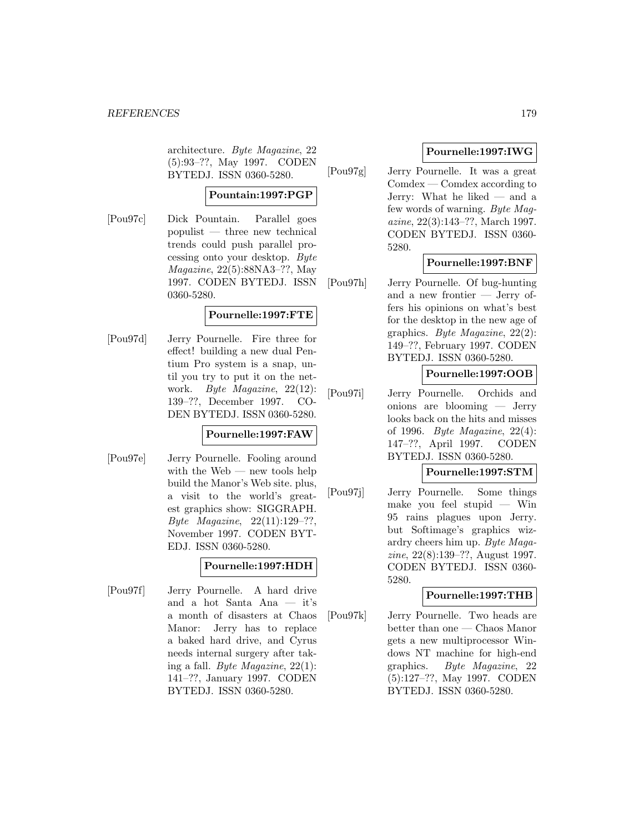architecture. Byte Magazine, 22 (5):93–??, May 1997. CODEN BYTEDJ. ISSN 0360-5280.

# **Pountain:1997:PGP**

[Pou97c] Dick Pountain. Parallel goes populist — three new technical trends could push parallel processing onto your desktop. Byte Magazine, 22(5):88NA3–??, May 1997. CODEN BYTEDJ. ISSN 0360-5280.

# **Pournelle:1997:FTE**

[Pou97d] Jerry Pournelle. Fire three for effect! building a new dual Pentium Pro system is a snap, until you try to put it on the network. Byte Magazine, 22(12): 139–??, December 1997. CO-DEN BYTEDJ. ISSN 0360-5280.

# **Pournelle:1997:FAW**

[Pou97e] Jerry Pournelle. Fooling around with the Web — new tools help build the Manor's Web site. plus, a visit to the world's greatest graphics show: SIGGRAPH. Byte Magazine, 22(11):129–??, November 1997. CODEN BYT-EDJ. ISSN 0360-5280.

# **Pournelle:1997:HDH**

[Pou97f] Jerry Pournelle. A hard drive and a hot Santa Ana — it's a month of disasters at Chaos Manor: Jerry has to replace a baked hard drive, and Cyrus needs internal surgery after taking a fall. Byte Magazine, 22(1): 141–??, January 1997. CODEN BYTEDJ. ISSN 0360-5280.

# **Pournelle:1997:IWG**

[Pou97g] Jerry Pournelle. It was a great Comdex — Comdex according to Jerry: What he liked — and a few words of warning. Byte Magazine, 22(3):143–??, March 1997. CODEN BYTEDJ. ISSN 0360- 5280.

# **Pournelle:1997:BNF**

[Pou97h] Jerry Pournelle. Of bug-hunting and a new frontier — Jerry offers his opinions on what's best for the desktop in the new age of graphics. Byte Magazine, 22(2): 149–??, February 1997. CODEN BYTEDJ. ISSN 0360-5280.

# **Pournelle:1997:OOB**

[Pou97i] Jerry Pournelle. Orchids and onions are blooming — Jerry looks back on the hits and misses of 1996. Byte Magazine, 22(4): 147–??, April 1997. CODEN BYTEDJ. ISSN 0360-5280.

# **Pournelle:1997:STM**

[Pou97j] Jerry Pournelle. Some things make you feel stupid — Win 95 rains plagues upon Jerry. but Softimage's graphics wizardry cheers him up. Byte Magazine, 22(8):139–??, August 1997. CODEN BYTEDJ. ISSN 0360- 5280.

# **Pournelle:1997:THB**

[Pou97k] Jerry Pournelle. Two heads are better than one — Chaos Manor gets a new multiprocessor Windows NT machine for high-end graphics. Byte Magazine, 22 (5):127–??, May 1997. CODEN BYTEDJ. ISSN 0360-5280.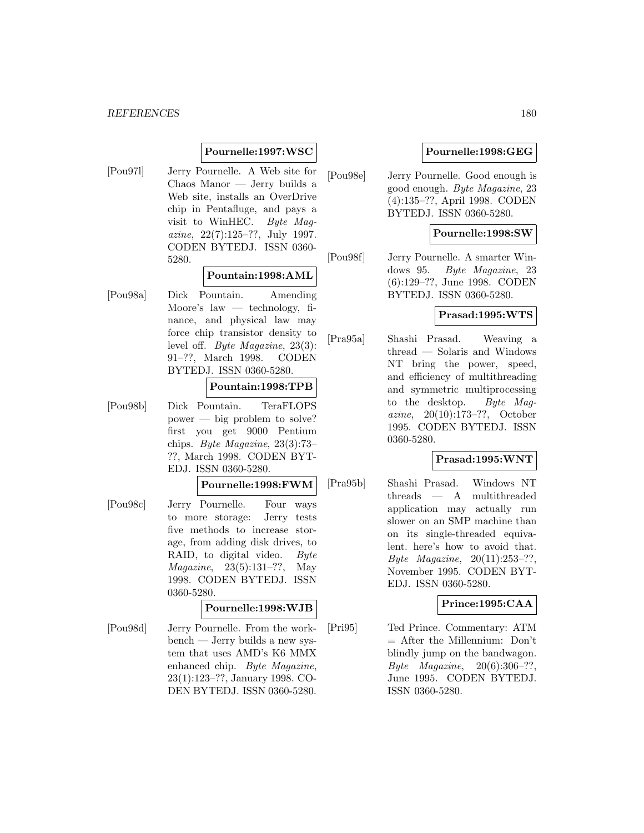#### *REFERENCES* 180

#### **Pournelle:1997:WSC**

[Pou97l] Jerry Pournelle. A Web site for Chaos Manor — Jerry builds a Web site, installs an OverDrive chip in Pentafluge, and pays a visit to WinHEC. Byte Magazine, 22(7):125–??, July 1997. CODEN BYTEDJ. ISSN 0360- 5280.

#### **Pountain:1998:AML**

[Pou98a] Dick Pountain. Amending Moore's law  $-$  technology, finance, and physical law may force chip transistor density to level off. Byte Magazine, 23(3): 91–??, March 1998. CODEN BYTEDJ. ISSN 0360-5280.

#### **Pountain:1998:TPB**

[Pou98b] Dick Pountain. TeraFLOPS power — big problem to solve? first you get 9000 Pentium chips. Byte Magazine, 23(3):73– ??, March 1998. CODEN BYT-EDJ. ISSN 0360-5280.

#### **Pournelle:1998:FWM**

[Pou98c] Jerry Pournelle. Four ways to more storage: Jerry tests five methods to increase storage, from adding disk drives, to RAID, to digital video. Byte Magazine, 23(5):131–??, May 1998. CODEN BYTEDJ. ISSN 0360-5280.

#### **Pournelle:1998:WJB**

[Pou98d] Jerry Pournelle. From the workbench — Jerry builds a new system that uses AMD's K6 MMX enhanced chip. Byte Magazine, 23(1):123–??, January 1998. CO-DEN BYTEDJ. ISSN 0360-5280.

# **Pournelle:1998:GEG**

[Pou98e] Jerry Pournelle. Good enough is good enough. Byte Magazine, 23 (4):135–??, April 1998. CODEN BYTEDJ. ISSN 0360-5280.

#### **Pournelle:1998:SW**

[Pou98f] Jerry Pournelle. A smarter Windows 95. Byte Magazine, 23 (6):129–??, June 1998. CODEN BYTEDJ. ISSN 0360-5280.

# **Prasad:1995:WTS**

[Pra95a] Shashi Prasad. Weaving a thread — Solaris and Windows NT bring the power, speed, and efficiency of multithreading and symmetric multiprocessing to the desktop. Byte Magazine, 20(10):173–??, October 1995. CODEN BYTEDJ. ISSN 0360-5280.

# **Prasad:1995:WNT**

[Pra95b] Shashi Prasad. Windows NT threads — A multithreaded application may actually run slower on an SMP machine than on its single-threaded equivalent. here's how to avoid that. Byte Magazine, 20(11):253–??, November 1995. CODEN BYT-EDJ. ISSN 0360-5280.

# **Prince:1995:CAA**

[Pri95] Ted Prince. Commentary: ATM = After the Millennium: Don't blindly jump on the bandwagon. Byte Magazine, 20(6):306–??, June 1995. CODEN BYTEDJ. ISSN 0360-5280.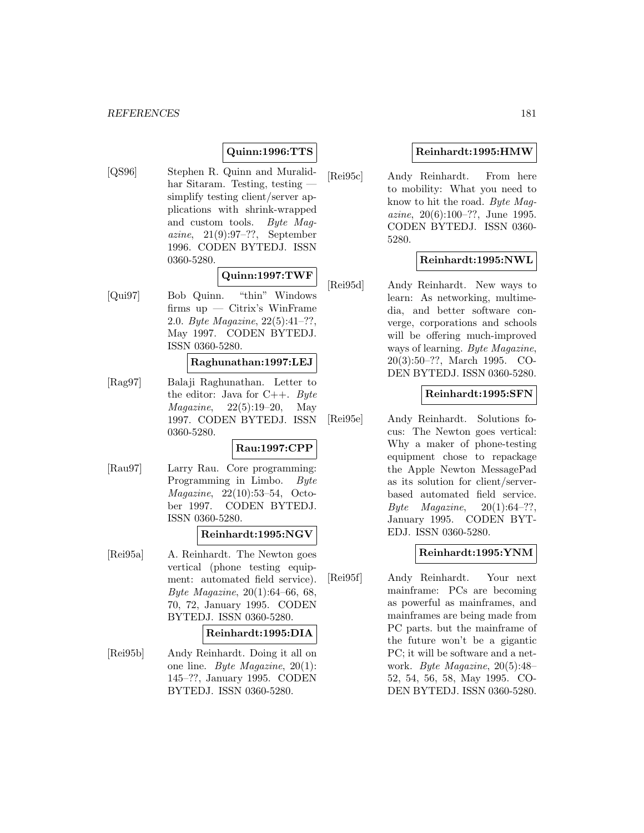# **Quinn:1996:TTS**

[QS96] Stephen R. Quinn and Muralidhar Sitaram. Testing, testing simplify testing client/server applications with shrink-wrapped and custom tools. Byte Magazine, 21(9):97–??, September 1996. CODEN BYTEDJ. ISSN 0360-5280.

## **Quinn:1997:TWF**

[Qui97] Bob Quinn. "thin" Windows firms up — Citrix's WinFrame 2.0. Byte Magazine, 22(5):41–??, May 1997. CODEN BYTEDJ. ISSN 0360-5280.

## **Raghunathan:1997:LEJ**

[Rag97] Balaji Raghunathan. Letter to the editor: Java for  $C++$ . Byte *Magazine*,  $22(5):19-20$ , May 1997. CODEN BYTEDJ. ISSN 0360-5280.

## **Rau:1997:CPP**

[Rau97] Larry Rau. Core programming: Programming in Limbo. Byte Magazine, 22(10):53–54, October 1997. CODEN BYTEDJ. ISSN 0360-5280.

#### **Reinhardt:1995:NGV**

[Rei95a] A. Reinhardt. The Newton goes vertical (phone testing equipment: automated field service). Byte Magazine, 20(1):64–66, 68, 70, 72, January 1995. CODEN BYTEDJ. ISSN 0360-5280.

#### **Reinhardt:1995:DIA**

[Rei95b] Andy Reinhardt. Doing it all on one line. Byte Magazine, 20(1): 145–??, January 1995. CODEN BYTEDJ. ISSN 0360-5280.

## **Reinhardt:1995:HMW**

[Rei95c] Andy Reinhardt. From here to mobility: What you need to know to hit the road. Byte Magazine, 20(6):100–??, June 1995. CODEN BYTEDJ. ISSN 0360- 5280.

## **Reinhardt:1995:NWL**

[Rei95d] Andy Reinhardt. New ways to learn: As networking, multimedia, and better software converge, corporations and schools will be offering much-improved ways of learning. Byte Magazine, 20(3):50–??, March 1995. CO-DEN BYTEDJ. ISSN 0360-5280.

### **Reinhardt:1995:SFN**

[Rei95e] Andy Reinhardt. Solutions focus: The Newton goes vertical: Why a maker of phone-testing equipment chose to repackage the Apple Newton MessagePad as its solution for client/serverbased automated field service. Byte Magazine,  $20(1):64-??$ , January 1995. CODEN BYT-EDJ. ISSN 0360-5280.

### **Reinhardt:1995:YNM**

[Rei95f] Andy Reinhardt. Your next mainframe: PCs are becoming as powerful as mainframes, and mainframes are being made from PC parts. but the mainframe of the future won't be a gigantic PC; it will be software and a network. Byte Magazine, 20(5):48– 52, 54, 56, 58, May 1995. CO-DEN BYTEDJ. ISSN 0360-5280.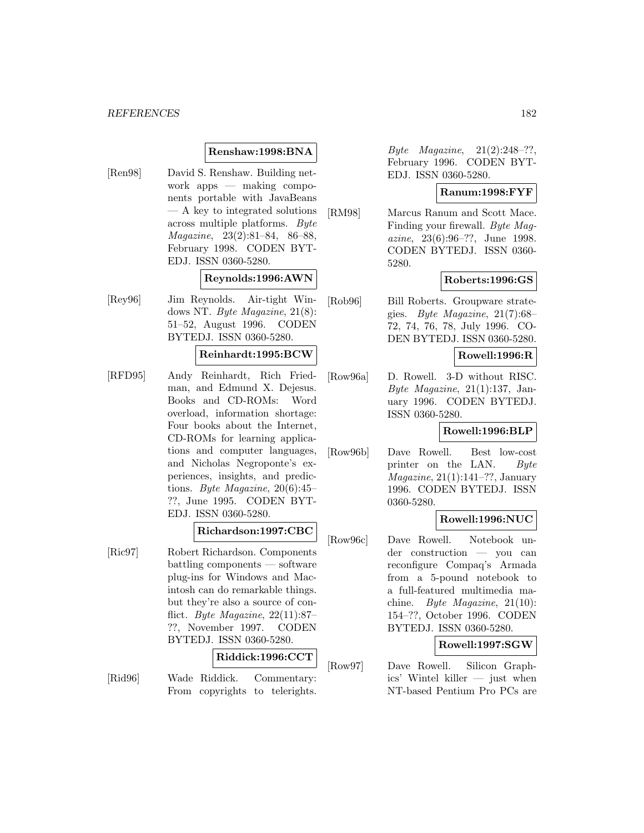### **Renshaw:1998:BNA**

[Ren98] David S. Renshaw. Building network apps — making components portable with JavaBeans — A key to integrated solutions across multiple platforms. Byte Magazine, 23(2):81–84, 86–88, February 1998. CODEN BYT-EDJ. ISSN 0360-5280.

### **Reynolds:1996:AWN**

[Rey96] Jim Reynolds. Air-tight Windows NT. Byte Magazine, 21(8): 51–52, August 1996. CODEN BYTEDJ. ISSN 0360-5280.

### **Reinhardt:1995:BCW**

[RFD95] Andy Reinhardt, Rich Friedman, and Edmund X. Dejesus. Books and CD-ROMs: Word overload, information shortage: Four books about the Internet, CD-ROMs for learning applications and computer languages, and Nicholas Negroponte's experiences, insights, and predictions. Byte Magazine,  $20(6):45$ ??, June 1995. CODEN BYT-EDJ. ISSN 0360-5280.

### **Richardson:1997:CBC**

[Ric97] Robert Richardson. Components battling components — software plug-ins for Windows and Macintosh can do remarkable things. but they're also a source of conflict. Byte Magazine,  $22(11):87-$ ??, November 1997. CODEN BYTEDJ. ISSN 0360-5280.

#### **Riddick:1996:CCT**

[Rid96] Wade Riddick. Commentary: From copyrights to telerights.

Byte Magazine, 21(2):248–??, February 1996. CODEN BYT-EDJ. ISSN 0360-5280.

## **Ranum:1998:FYF**

[RM98] Marcus Ranum and Scott Mace. Finding your firewall. Byte Magazine, 23(6):96–??, June 1998. CODEN BYTEDJ. ISSN 0360- 5280.

## **Roberts:1996:GS**

[Rob96] Bill Roberts. Groupware strategies. Byte Magazine, 21(7):68– 72, 74, 76, 78, July 1996. CO-DEN BYTEDJ. ISSN 0360-5280.

# **Rowell:1996:R**

[Row96a] D. Rowell. 3-D without RISC. Byte Magazine,  $21(1):137$ , January 1996. CODEN BYTEDJ. ISSN 0360-5280.

#### **Rowell:1996:BLP**

[Row96b] Dave Rowell. Best low-cost printer on the LAN. Byte  $Magazine, 21(1):141-??, January$ 1996. CODEN BYTEDJ. ISSN 0360-5280.

# **Rowell:1996:NUC**

[Row96c] Dave Rowell. Notebook under construction — you can reconfigure Compaq's Armada from a 5-pound notebook to a full-featured multimedia machine. Byte Magazine, 21(10): 154–??, October 1996. CODEN BYTEDJ. ISSN 0360-5280.

### **Rowell:1997:SGW**

[Row97] Dave Rowell. Silicon Graphics' Wintel killer — just when NT-based Pentium Pro PCs are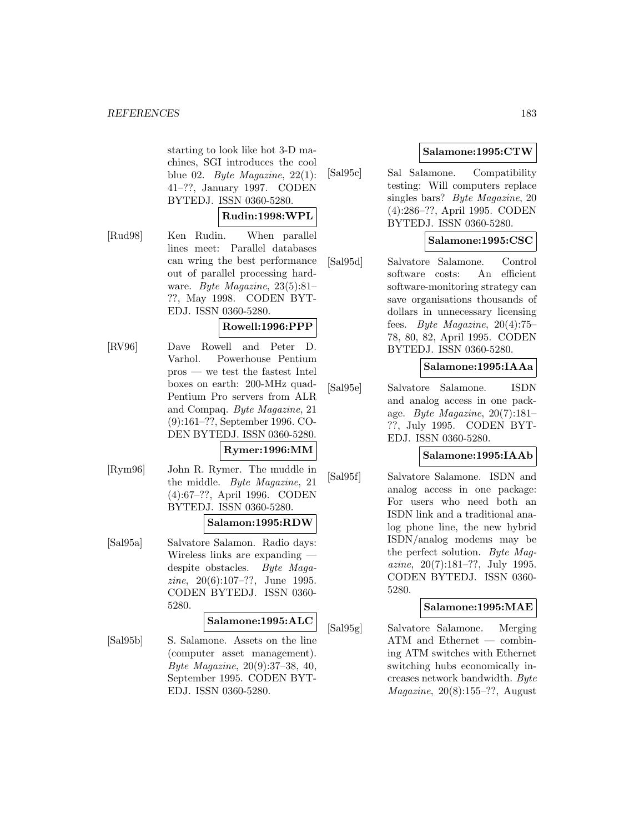starting to look like hot 3-D machines, SGI introduces the cool blue 02. Byte Magazine,  $22(1)$ : 41–??, January 1997. CODEN BYTEDJ. ISSN 0360-5280.

### **Rudin:1998:WPL**

[Rud98] Ken Rudin. When parallel lines meet: Parallel databases can wring the best performance out of parallel processing hardware. Byte Magazine, 23(5):81– ??, May 1998. CODEN BYT-EDJ. ISSN 0360-5280.

## **Rowell:1996:PPP**

[RV96] Dave Rowell and Peter D. Varhol. Powerhouse Pentium pros — we test the fastest Intel boxes on earth: 200-MHz quad-Pentium Pro servers from ALR and Compaq. Byte Magazine, 21 (9):161–??, September 1996. CO-DEN BYTEDJ. ISSN 0360-5280.

# **Rymer:1996:MM**

[Rym96] John R. Rymer. The muddle in the middle. Byte Magazine, 21 (4):67–??, April 1996. CODEN BYTEDJ. ISSN 0360-5280.

## **Salamon:1995:RDW**

[Sal95a] Salvatore Salamon. Radio days: Wireless links are expanding despite obstacles. Byte Magazine, 20(6):107–??, June 1995. CODEN BYTEDJ. ISSN 0360- 5280.

#### **Salamone:1995:ALC**

[Sal95b] S. Salamone. Assets on the line (computer asset management). Byte Magazine, 20(9):37–38, 40, September 1995. CODEN BYT-EDJ. ISSN 0360-5280.

# **Salamone:1995:CTW**

[Sal95c] Sal Salamone. Compatibility testing: Will computers replace singles bars? Byte Magazine, 20 (4):286–??, April 1995. CODEN BYTEDJ. ISSN 0360-5280.

# **Salamone:1995:CSC**

[Sal95d] Salvatore Salamone. Control software costs: An efficient software-monitoring strategy can save organisations thousands of dollars in unnecessary licensing fees. Byte Magazine, 20(4):75– 78, 80, 82, April 1995. CODEN BYTEDJ. ISSN 0360-5280.

## **Salamone:1995:IAAa**

[Sal95e] Salvatore Salamone. ISDN and analog access in one package. Byte Magazine, 20(7):181– ??, July 1995. CODEN BYT-EDJ. ISSN 0360-5280.

### **Salamone:1995:IAAb**

[Sal95f] Salvatore Salamone. ISDN and analog access in one package: For users who need both an ISDN link and a traditional analog phone line, the new hybrid ISDN/analog modems may be the perfect solution. Byte Magazine, 20(7):181–??, July 1995. CODEN BYTEDJ. ISSN 0360- 5280.

### **Salamone:1995:MAE**

[Sal95g] Salvatore Salamone. Merging ATM and Ethernet — combining ATM switches with Ethernet switching hubs economically increases network bandwidth. Byte  $Magazine, 20(8):155-??, August$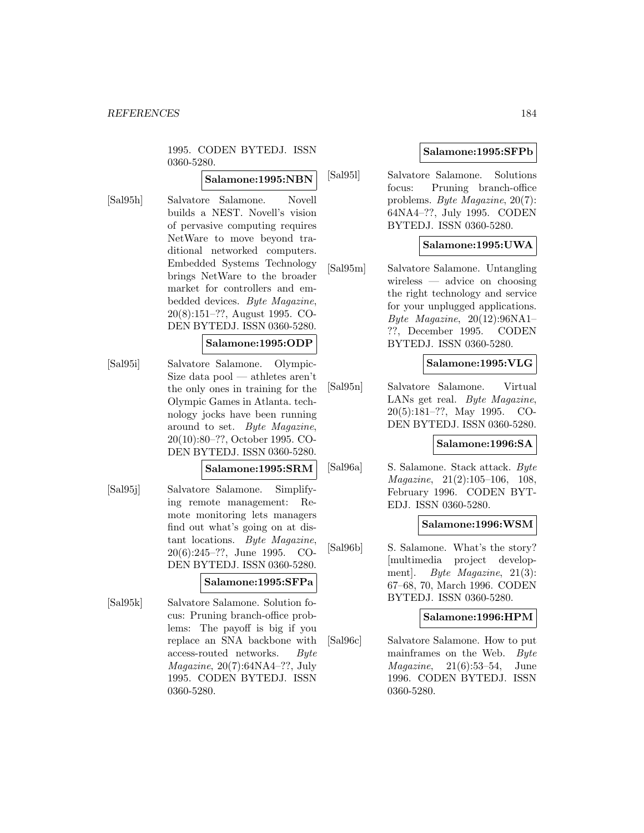1995. CODEN BYTEDJ. ISSN 0360-5280.

# **Salamone:1995:NBN**

[Sal95h] Salvatore Salamone. Novell builds a NEST. Novell's vision of pervasive computing requires NetWare to move beyond traditional networked computers. Embedded Systems Technology brings NetWare to the broader market for controllers and embedded devices. Byte Magazine, 20(8):151–??, August 1995. CO-DEN BYTEDJ. ISSN 0360-5280.

## **Salamone:1995:ODP**

[Sal95i] Salvatore Salamone. Olympic-Size data pool — athletes aren't the only ones in training for the Olympic Games in Atlanta. technology jocks have been running around to set. Byte Magazine, 20(10):80–??, October 1995. CO-DEN BYTEDJ. ISSN 0360-5280.

#### **Salamone:1995:SRM**

[Sal95j] Salvatore Salamone. Simplifying remote management: Remote monitoring lets managers find out what's going on at distant locations. Byte Magazine, 20(6):245–??, June 1995. CO-DEN BYTEDJ. ISSN 0360-5280.

### **Salamone:1995:SFPa**

[Sal95k] Salvatore Salamone. Solution focus: Pruning branch-office problems: The payoff is big if you replace an SNA backbone with access-routed networks. Byte Magazine, 20(7):64NA4–??, July 1995. CODEN BYTEDJ. ISSN 0360-5280.

## **Salamone:1995:SFPb**

[Sal95l] Salvatore Salamone. Solutions focus: Pruning branch-office problems. Byte Magazine, 20(7): 64NA4–??, July 1995. CODEN BYTEDJ. ISSN 0360-5280.

# **Salamone:1995:UWA**

[Sal95m] Salvatore Salamone. Untangling wireless — advice on choosing the right technology and service for your unplugged applications. Byte Magazine,  $20(12):96\text{NA}1 -$ ??, December 1995. CODEN BYTEDJ. ISSN 0360-5280.

## **Salamone:1995:VLG**

[Sal95n] Salvatore Salamone. Virtual LANs get real. Byte Magazine, 20(5):181–??, May 1995. CO-DEN BYTEDJ. ISSN 0360-5280.

### **Salamone:1996:SA**

[Sal96a] S. Salamone. Stack attack. Byte Magazine, 21(2):105–106, 108, February 1996. CODEN BYT-EDJ. ISSN 0360-5280.

### **Salamone:1996:WSM**

[Sal96b] S. Salamone. What's the story? [multimedia project development]. Byte Magazine, 21(3): 67–68, 70, March 1996. CODEN BYTEDJ. ISSN 0360-5280.

### **Salamone:1996:HPM**

[Sal96c] Salvatore Salamone. How to put mainframes on the Web. Byte Magazine, 21(6):53–54, June 1996. CODEN BYTEDJ. ISSN 0360-5280.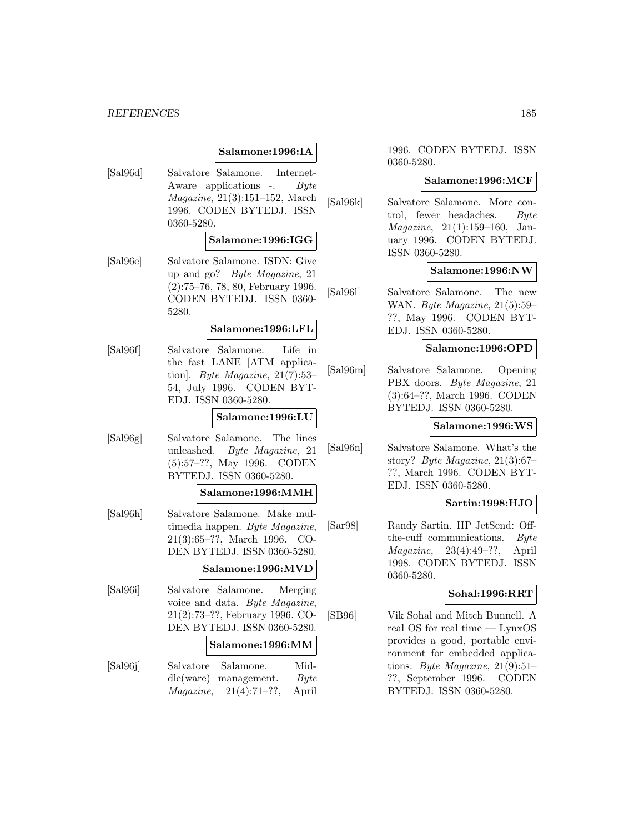#### *REFERENCES* 185

# **Salamone:1996:IA**

[Sal96d] Salvatore Salamone. Internet-Aware applications -. Byte Magazine, 21(3):151–152, March 1996. CODEN BYTEDJ. ISSN 0360-5280.

### **Salamone:1996:IGG**

[Sal96e] Salvatore Salamone. ISDN: Give up and go? Byte Magazine, 21 (2):75–76, 78, 80, February 1996. CODEN BYTEDJ. ISSN 0360- 5280.

# **Salamone:1996:LFL**

[Sal96f] Salvatore Salamone. Life in the fast LANE [ATM application]. Byte Magazine,  $21(7):53-$ 54, July 1996. CODEN BYT-EDJ. ISSN 0360-5280.

### **Salamone:1996:LU**

[Sal96g] Salvatore Salamone. The lines unleashed. Byte Magazine, 21 (5):57–??, May 1996. CODEN BYTEDJ. ISSN 0360-5280.

#### **Salamone:1996:MMH**

[Sal96h] Salvatore Salamone. Make multimedia happen. Byte Magazine, 21(3):65–??, March 1996. CO-DEN BYTEDJ. ISSN 0360-5280.

## **Salamone:1996:MVD**

[Sal96i] Salvatore Salamone. Merging voice and data. Byte Magazine, 21(2):73–??, February 1996. CO-DEN BYTEDJ. ISSN 0360-5280. **Salamone:1996:MM** [Sal96j] Salvatore Salamone. Middle(ware) management.  $Byte$  $Magazine, 21(4):71-??,$  April

1996. CODEN BYTEDJ. ISSN 0360-5280.

#### **Salamone:1996:MCF**

[Sal96k] Salvatore Salamone. More control, fewer headaches. Byte Magazine, 21(1):159–160, January 1996. CODEN BYTEDJ. ISSN 0360-5280.

#### **Salamone:1996:NW**

[Sal96l] Salvatore Salamone. The new WAN. Byte Magazine, 21(5):59– ??, May 1996. CODEN BYT-EDJ. ISSN 0360-5280.

## **Salamone:1996:OPD**

[Sal96m] Salvatore Salamone. Opening PBX doors. Byte Magazine, 21 (3):64–??, March 1996. CODEN BYTEDJ. ISSN 0360-5280.

#### **Salamone:1996:WS**

[Sal96n] Salvatore Salamone. What's the story? Byte Magazine, 21(3):67– ??, March 1996. CODEN BYT-EDJ. ISSN 0360-5280.

# **Sartin:1998:HJO**

[Sar98] Randy Sartin. HP JetSend: Offthe-cuff communications. Byte Magazine, 23(4):49–??, April 1998. CODEN BYTEDJ. ISSN 0360-5280.

#### **Sohal:1996:RRT**

[SB96] Vik Sohal and Mitch Bunnell. A real OS for real time — LynxOS provides a good, portable environment for embedded applications. Byte Magazine, 21(9):51– ??, September 1996. CODEN BYTEDJ. ISSN 0360-5280.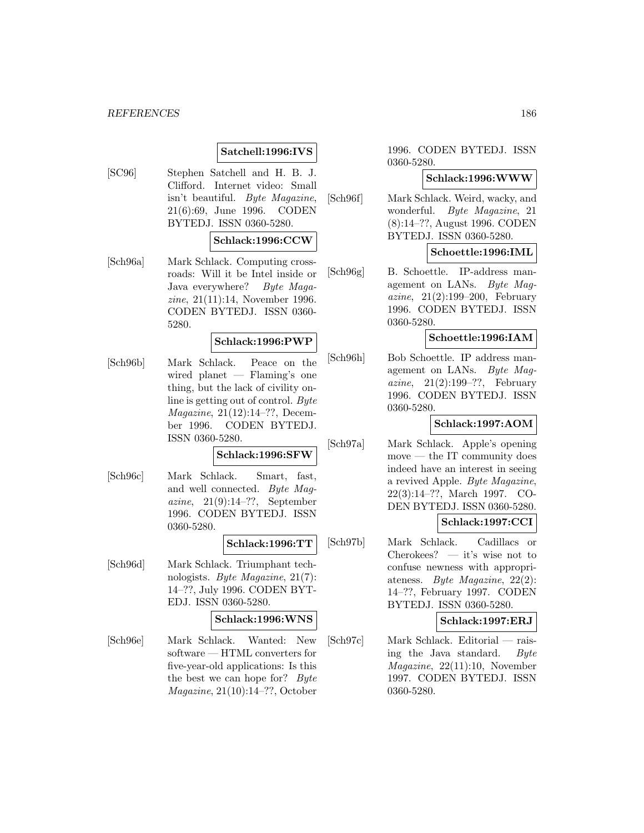#### *REFERENCES* 186

# **Satchell:1996:IVS**

[SC96] Stephen Satchell and H. B. J. Clifford. Internet video: Small isn't beautiful. Byte Magazine, 21(6):69, June 1996. CODEN BYTEDJ. ISSN 0360-5280.

#### **Schlack:1996:CCW**

[Sch96a] Mark Schlack. Computing crossroads: Will it be Intel inside or Java everywhere? Byte Magazine, 21(11):14, November 1996. CODEN BYTEDJ. ISSN 0360- 5280.

#### **Schlack:1996:PWP**

[Sch96b] Mark Schlack. Peace on the wired planet — Flaming's one thing, but the lack of civility online is getting out of control. Byte Magazine, 21(12):14–??, December 1996. CODEN BYTEDJ. ISSN 0360-5280.

#### **Schlack:1996:SFW**

[Sch96c] Mark Schlack. Smart, fast, and well connected. Byte Magazine,  $21(9):14-??$ , September 1996. CODEN BYTEDJ. ISSN 0360-5280.

#### **Schlack:1996:TT**

[Sch96d] Mark Schlack. Triumphant technologists. Byte Magazine, 21(7): 14–??, July 1996. CODEN BYT-EDJ. ISSN 0360-5280.

### **Schlack:1996:WNS**

[Sch96e] Mark Schlack. Wanted: New software — HTML converters for five-year-old applications: Is this the best we can hope for? Byte Magazine, 21(10):14–??, October

1996. CODEN BYTEDJ. ISSN 0360-5280.

### **Schlack:1996:WWW**

[Sch96f] Mark Schlack. Weird, wacky, and wonderful. Byte Magazine, 21 (8):14–??, August 1996. CODEN BYTEDJ. ISSN 0360-5280.

#### **Schoettle:1996:IML**

[Sch96g] B. Schoettle. IP-address management on LANs. Byte Magazine, 21(2):199–200, February 1996. CODEN BYTEDJ. ISSN 0360-5280.

#### **Schoettle:1996:IAM**

[Sch96h] Bob Schoettle. IP address management on LANs. Byte Magazine,  $21(2):199-??$ , February 1996. CODEN BYTEDJ. ISSN 0360-5280.

### **Schlack:1997:AOM**

[Sch97a] Mark Schlack. Apple's opening move — the IT community does indeed have an interest in seeing a revived Apple. Byte Magazine, 22(3):14–??, March 1997. CO-DEN BYTEDJ. ISSN 0360-5280.

## **Schlack:1997:CCI**

[Sch97b] Mark Schlack. Cadillacs or Cherokees? — it's wise not to confuse newness with appropriateness. Byte Magazine, 22(2): 14–??, February 1997. CODEN BYTEDJ. ISSN 0360-5280.

**Schlack:1997:ERJ**

[Sch97c] Mark Schlack. Editorial — raising the Java standard. Byte Magazine, 22(11):10, November 1997. CODEN BYTEDJ. ISSN 0360-5280.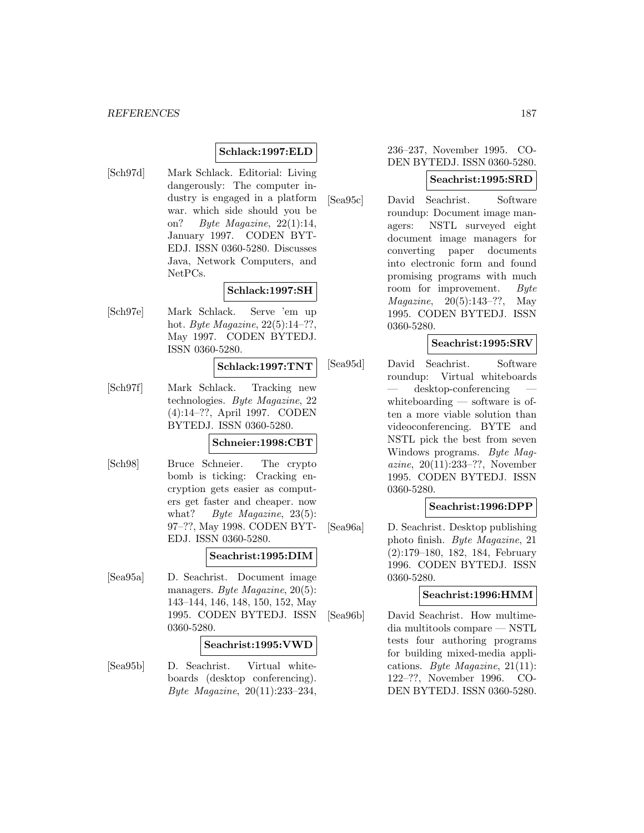## **Schlack:1997:ELD**

[Sch97d] Mark Schlack. Editorial: Living dangerously: The computer industry is engaged in a platform war. which side should you be on? Byte Magazine, 22(1):14, January 1997. CODEN BYT-EDJ. ISSN 0360-5280. Discusses Java, Network Computers, and NetPCs.

### **Schlack:1997:SH**

[Sch97e] Mark Schlack. Serve 'em up hot. Byte Magazine, 22(5):14–??, May 1997. CODEN BYTEDJ. ISSN 0360-5280.

#### **Schlack:1997:TNT**

[Sch97f] Mark Schlack. Tracking new technologies. Byte Magazine, 22 (4):14–??, April 1997. CODEN BYTEDJ. ISSN 0360-5280.

#### **Schneier:1998:CBT**

[Sch98] Bruce Schneier. The crypto bomb is ticking: Cracking encryption gets easier as computers get faster and cheaper. now what? Byte Magazine, 23(5): 97–??, May 1998. CODEN BYT-EDJ. ISSN 0360-5280.

### **Seachrist:1995:DIM**

[Sea95a] D. Seachrist. Document image managers. Byte Magazine, 20(5): 143–144, 146, 148, 150, 152, May 1995. CODEN BYTEDJ. ISSN 0360-5280.

### **Seachrist:1995:VWD**

[Sea95b] D. Seachrist. Virtual whiteboards (desktop conferencing). Byte Magazine, 20(11):233–234,

### 236–237, November 1995. CO-DEN BYTEDJ. ISSN 0360-5280.

### **Seachrist:1995:SRD**

[Sea95c] David Seachrist. Software roundup: Document image managers: NSTL surveyed eight document image managers for converting paper documents into electronic form and found promising programs with much room for improvement. Byte Magazine, 20(5):143–??, May 1995. CODEN BYTEDJ. ISSN 0360-5280.

### **Seachrist:1995:SRV**

[Sea95d] David Seachrist. Software roundup: Virtual whiteboards — desktop-conferencing whiteboarding — software is often a more viable solution than videoconferencing. BYTE and NSTL pick the best from seven Windows programs. Byte Magazine, 20(11):233–??, November 1995. CODEN BYTEDJ. ISSN 0360-5280.

### **Seachrist:1996:DPP**

[Sea96a] D. Seachrist. Desktop publishing photo finish. Byte Magazine, 21 (2):179–180, 182, 184, February 1996. CODEN BYTEDJ. ISSN 0360-5280.

### **Seachrist:1996:HMM**

[Sea96b] David Seachrist. How multimedia multitools compare — NSTL tests four authoring programs for building mixed-media applications. Byte Magazine, 21(11): 122–??, November 1996. CO-DEN BYTEDJ. ISSN 0360-5280.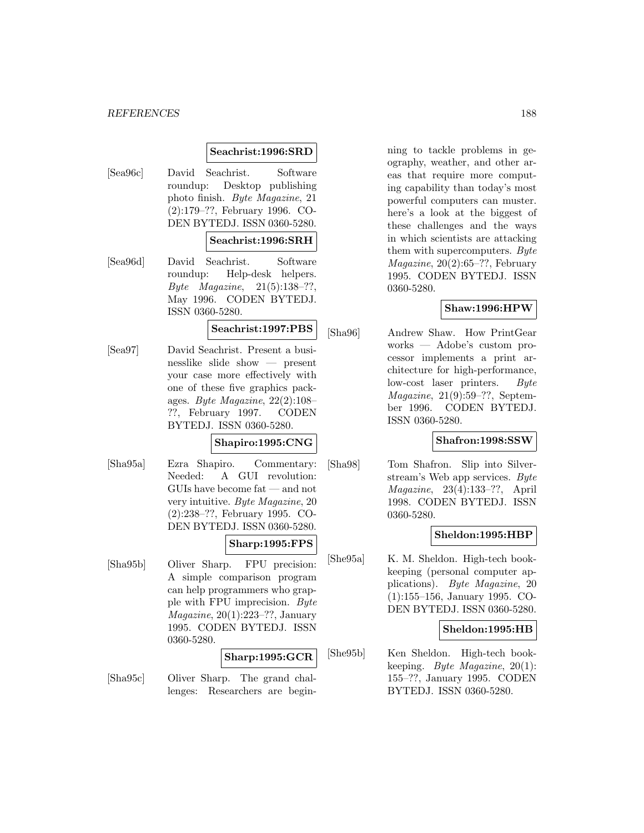#### *REFERENCES* 188

# **Seachrist:1996:SRD**

[Sea96c] David Seachrist. Software roundup: Desktop publishing photo finish. Byte Magazine, 21 (2):179–??, February 1996. CO-DEN BYTEDJ. ISSN 0360-5280.

### **Seachrist:1996:SRH**

[Sea96d] David Seachrist. Software roundup: Help-desk helpers. Byte Magazine, 21(5):138–??, May 1996. CODEN BYTEDJ. ISSN 0360-5280.

# **Seachrist:1997:PBS**

[Sea97] David Seachrist. Present a businesslike slide show — present your case more effectively with one of these five graphics packages. Byte Magazine, 22(2):108– ??, February 1997. CODEN BYTEDJ. ISSN 0360-5280.

### **Shapiro:1995:CNG**

[Sha95a] Ezra Shapiro. Commentary: Needed: A GUI revolution: GUIs have become fat — and not very intuitive. Byte Magazine, 20 (2):238–??, February 1995. CO-DEN BYTEDJ. ISSN 0360-5280.

### **Sharp:1995:FPS**

[Sha95b] Oliver Sharp. FPU precision: A simple comparison program can help programmers who grapple with FPU imprecision. Byte  $Magazine, 20(1):223-??, January$ 1995. CODEN BYTEDJ. ISSN 0360-5280.

### **Sharp:1995:GCR**

[Sha95c] Oliver Sharp. The grand challenges: Researchers are begin-

ning to tackle problems in geography, weather, and other areas that require more computing capability than today's most powerful computers can muster. here's a look at the biggest of these challenges and the ways in which scientists are attacking them with supercomputers. Byte  $Magazine, 20(2):65-??$ , February 1995. CODEN BYTEDJ. ISSN 0360-5280.

### **Shaw:1996:HPW**

[Sha96] Andrew Shaw. How PrintGear works — Adobe's custom processor implements a print architecture for high-performance, low-cost laser printers. Byte  $Magazine, 21(9):59-??, Septem$ ber 1996. CODEN BYTEDJ. ISSN 0360-5280.

### **Shafron:1998:SSW**

[Sha98] Tom Shafron. Slip into Silverstream's Web app services. Byte Magazine, 23(4):133–??, April 1998. CODEN BYTEDJ. ISSN 0360-5280.

### **Sheldon:1995:HBP**

[She95a] K. M. Sheldon. High-tech bookkeeping (personal computer applications). Byte Magazine, 20 (1):155–156, January 1995. CO-DEN BYTEDJ. ISSN 0360-5280.

### **Sheldon:1995:HB**

[She95b] Ken Sheldon. High-tech bookkeeping. Byte Magazine, 20(1): 155–??, January 1995. CODEN BYTEDJ. ISSN 0360-5280.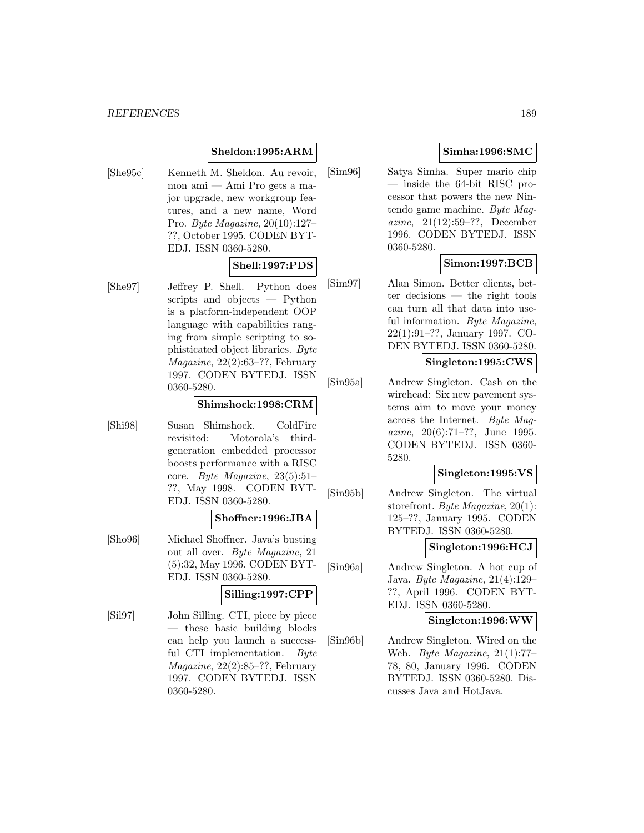# **Sheldon:1995:ARM**

[She95c] Kenneth M. Sheldon. Au revoir, mon ami — Ami Pro gets a major upgrade, new workgroup features, and a new name, Word Pro. Byte Magazine, 20(10):127– ??, October 1995. CODEN BYT-EDJ. ISSN 0360-5280.

### **Shell:1997:PDS**

[She97] Jeffrey P. Shell. Python does scripts and objects — Python is a platform-independent OOP language with capabilities ranging from simple scripting to sophisticated object libraries. Byte Magazine, 22(2):63–??, February 1997. CODEN BYTEDJ. ISSN 0360-5280.

## **Shimshock:1998:CRM**

[Shi98] Susan Shimshock. ColdFire revisited: Motorola's thirdgeneration embedded processor boosts performance with a RISC core. Byte Magazine, 23(5):51– ??, May 1998. CODEN BYT-EDJ. ISSN 0360-5280.

#### **Shoffner:1996:JBA**

[Sho96] Michael Shoffner. Java's busting out all over. Byte Magazine, 21 (5):32, May 1996. CODEN BYT-EDJ. ISSN 0360-5280.

## **Silling:1997:CPP**

[Sil97] John Silling. CTI, piece by piece — these basic building blocks can help you launch a successful CTI implementation. Byte Magazine, 22(2):85–??, February 1997. CODEN BYTEDJ. ISSN 0360-5280.

# **Simha:1996:SMC**

[Sim96] Satya Simha. Super mario chip — inside the 64-bit RISC processor that powers the new Nintendo game machine. Byte Magazine, 21(12):59–??, December 1996. CODEN BYTEDJ. ISSN 0360-5280.

# **Simon:1997:BCB**

[Sim97] Alan Simon. Better clients, better decisions — the right tools can turn all that data into useful information. Byte Magazine, 22(1):91–??, January 1997. CO-DEN BYTEDJ. ISSN 0360-5280.

## **Singleton:1995:CWS**

[Sin95a] Andrew Singleton. Cash on the wirehead: Six new pavement systems aim to move your money across the Internet. Byte Magazine, 20(6):71–??, June 1995. CODEN BYTEDJ. ISSN 0360- 5280.

## **Singleton:1995:VS**

[Sin95b] Andrew Singleton. The virtual storefront. Byte Magazine, 20(1): 125–??, January 1995. CODEN BYTEDJ. ISSN 0360-5280.

#### **Singleton:1996:HCJ**

[Sin96a] Andrew Singleton. A hot cup of Java. Byte Magazine, 21(4):129– ??, April 1996. CODEN BYT-EDJ. ISSN 0360-5280.

### **Singleton:1996:WW**

[Sin96b] Andrew Singleton. Wired on the Web. Byte Magazine, 21(1):77– 78, 80, January 1996. CODEN BYTEDJ. ISSN 0360-5280. Discusses Java and HotJava.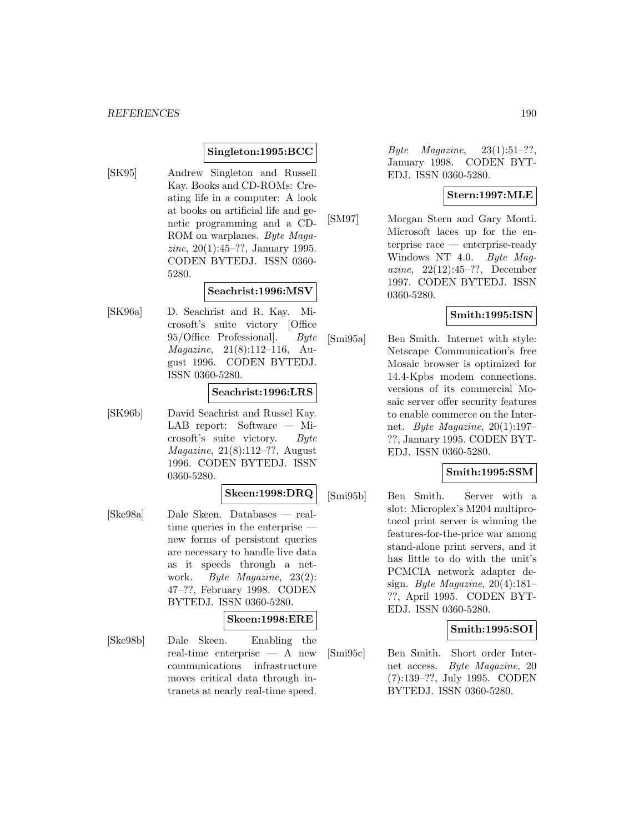## **Singleton:1995:BCC**

[SK95] Andrew Singleton and Russell Kay. Books and CD-ROMs: Creating life in a computer: A look at books on artificial life and genetic programming and a CD-ROM on warplanes. Byte Magazine, 20(1):45–??, January 1995. CODEN BYTEDJ. ISSN 0360- 5280.

### **Seachrist:1996:MSV**

[SK96a] D. Seachrist and R. Kay. Microsoft's suite victory [Office 95/Office Professional]. Byte Magazine, 21(8):112–116, August 1996. CODEN BYTEDJ. ISSN 0360-5280.

### **Seachrist:1996:LRS**

[SK96b] David Seachrist and Russel Kay. LAB report: Software — Microsoft's suite victory. Byte Magazine, 21(8):112–??, August 1996. CODEN BYTEDJ. ISSN 0360-5280.

#### **Skeen:1998:DRQ**

[Ske98a] Dale Skeen. Databases — realtime queries in the enterprise new forms of persistent queries are necessary to handle live data as it speeds through a network. Byte Magazine, 23(2): 47–??, February 1998. CODEN BYTEDJ. ISSN 0360-5280.

# **Skeen:1998:ERE**

[Ske98b] Dale Skeen. Enabling the real-time enterprise — A new communications infrastructure moves critical data through intranets at nearly real-time speed.

Byte Magazine,  $23(1):51-??$ , January 1998. CODEN BYT-EDJ. ISSN 0360-5280.

### **Stern:1997:MLE**

[SM97] Morgan Stern and Gary Monti. Microsoft laces up for the enterprise race — enterprise-ready Windows NT 4.0. Byte Magazine, 22(12):45–??, December 1997. CODEN BYTEDJ. ISSN 0360-5280.

## **Smith:1995:ISN**

[Smi95a] Ben Smith. Internet with style: Netscape Communication's free Mosaic browser is optimized for 14.4-Kpbs modem connections. versions of its commercial Mosaic server offer security features to enable commerce on the Internet. Byte Magazine, 20(1):197– ??, January 1995. CODEN BYT-EDJ. ISSN 0360-5280.

### **Smith:1995:SSM**

[Smi95b] Ben Smith. Server with a slot: Microplex's M204 multiprotocol print server is winning the features-for-the-price war among stand-alone print servers, and it has little to do with the unit's PCMCIA network adapter design. Byte Magazine, 20(4):181– ??, April 1995. CODEN BYT-EDJ. ISSN 0360-5280.

## **Smith:1995:SOI**

[Smi95c] Ben Smith. Short order Internet access. Byte Magazine, 20 (7):139–??, July 1995. CODEN BYTEDJ. ISSN 0360-5280.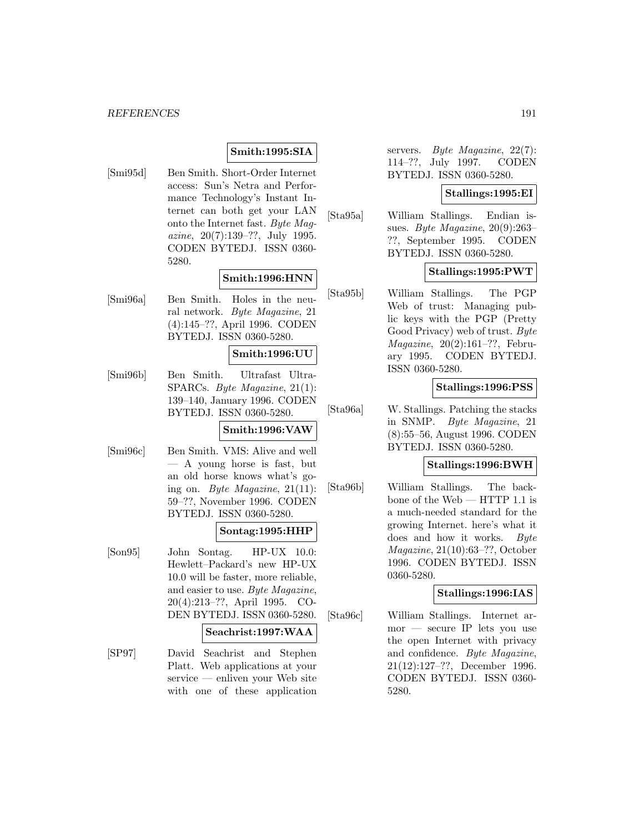## **Smith:1995:SIA**

[Smi95d] Ben Smith. Short-Order Internet access: Sun's Netra and Performance Technology's Instant Internet can both get your LAN onto the Internet fast. Byte Magazine, 20(7):139–??, July 1995. CODEN BYTEDJ. ISSN 0360- 5280.

### **Smith:1996:HNN**

[Smi96a] Ben Smith. Holes in the neural network. Byte Magazine, 21 (4):145–??, April 1996. CODEN BYTEDJ. ISSN 0360-5280.

### **Smith:1996:UU**

[Smi96b] Ben Smith. Ultrafast Ultra-SPARCs. Byte Magazine, 21(1): 139–140, January 1996. CODEN BYTEDJ. ISSN 0360-5280.

# **Smith:1996:VAW**

[Smi96c] Ben Smith. VMS: Alive and well — A young horse is fast, but an old horse knows what's going on. Byte Magazine,  $21(11)$ : 59–??, November 1996. CODEN BYTEDJ. ISSN 0360-5280.

# **Sontag:1995:HHP**

[Son95] John Sontag. HP-UX 10.0: Hewlett–Packard's new HP-UX 10.0 will be faster, more reliable, and easier to use. Byte Magazine, 20(4):213–??, April 1995. CO-DEN BYTEDJ. ISSN 0360-5280.

### **Seachrist:1997:WAA**

[SP97] David Seachrist and Stephen Platt. Web applications at your service — enliven your Web site with one of these application

servers. Byte Magazine, 22(7): 114–??, July 1997. CODEN BYTEDJ. ISSN 0360-5280.

### **Stallings:1995:EI**

[Sta95a] William Stallings. Endian issues. Byte Magazine, 20(9):263– ??, September 1995. CODEN BYTEDJ. ISSN 0360-5280.

## **Stallings:1995:PWT**

[Sta95b] William Stallings. The PGP Web of trust: Managing public keys with the PGP (Pretty Good Privacy) web of trust. Byte Magazine, 20(2):161–??, February 1995. CODEN BYTEDJ. ISSN 0360-5280.

## **Stallings:1996:PSS**

[Sta96a] W. Stallings. Patching the stacks in SNMP. Byte Magazine, 21 (8):55–56, August 1996. CODEN BYTEDJ. ISSN 0360-5280.

### **Stallings:1996:BWH**

[Sta96b] William Stallings. The backbone of the Web — HTTP 1.1 is a much-needed standard for the growing Internet. here's what it does and how it works. Byte Magazine, 21(10):63–??, October 1996. CODEN BYTEDJ. ISSN 0360-5280.

### **Stallings:1996:IAS**

[Sta96c] William Stallings. Internet armor — secure IP lets you use the open Internet with privacy and confidence. Byte Magazine, 21(12):127–??, December 1996. CODEN BYTEDJ. ISSN 0360- 5280.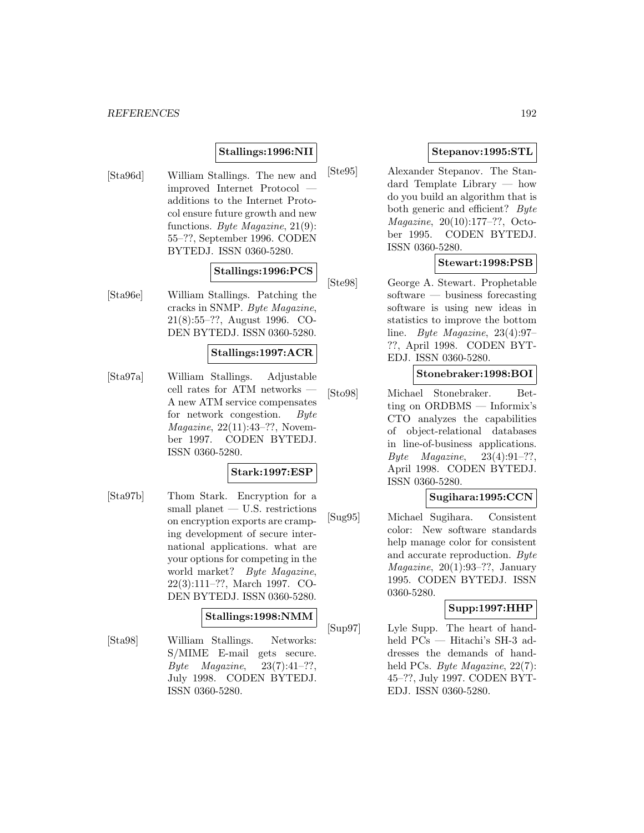# **Stallings:1996:NII**

[Sta96d] William Stallings. The new and improved Internet Protocol additions to the Internet Protocol ensure future growth and new functions. Byte Magazine, 21(9): 55–??, September 1996. CODEN BYTEDJ. ISSN 0360-5280.

## **Stallings:1996:PCS**

[Sta96e] William Stallings. Patching the cracks in SNMP. Byte Magazine, 21(8):55–??, August 1996. CO-DEN BYTEDJ. ISSN 0360-5280.

### **Stallings:1997:ACR**

[Sta97a] William Stallings. Adjustable cell rates for ATM networks — A new ATM service compensates for network congestion. Byte Magazine, 22(11):43–??, November 1997. CODEN BYTEDJ. ISSN 0360-5280.

## **Stark:1997:ESP**

[Sta97b] Thom Stark. Encryption for a small planet — U.S. restrictions on encryption exports are cramping development of secure international applications. what are your options for competing in the world market? Byte Magazine, 22(3):111–??, March 1997. CO-DEN BYTEDJ. ISSN 0360-5280.

#### **Stallings:1998:NMM**

[Sta98] William Stallings. Networks: S/MIME E-mail gets secure. Byte Magazine,  $23(7):41-??$ , July 1998. CODEN BYTEDJ. ISSN 0360-5280.

### **Stepanov:1995:STL**

[Ste95] Alexander Stepanov. The Standard Template Library — how do you build an algorithm that is both generic and efficient? Byte Magazine, 20(10):177–??, October 1995. CODEN BYTEDJ. ISSN 0360-5280.

## **Stewart:1998:PSB**

[Ste98] George A. Stewart. Prophetable software — business forecasting software is using new ideas in statistics to improve the bottom line. Byte Magazine, 23(4):97– ??, April 1998. CODEN BYT-EDJ. ISSN 0360-5280.

### **Stonebraker:1998:BOI**

[Sto98] Michael Stonebraker. Betting on ORDBMS — Informix's CTO analyzes the capabilities of object-relational databases in line-of-business applications. Byte Magazine,  $23(4):91-??$ , April 1998. CODEN BYTEDJ. ISSN 0360-5280.

### **Sugihara:1995:CCN**

[Sug95] Michael Sugihara. Consistent color: New software standards help manage color for consistent and accurate reproduction. Byte Magazine, 20(1):93–??, January 1995. CODEN BYTEDJ. ISSN 0360-5280.

## **Supp:1997:HHP**

[Sup97] Lyle Supp. The heart of handheld PCs — Hitachi's SH-3 addresses the demands of handheld PCs. Byte Magazine, 22(7): 45–??, July 1997. CODEN BYT-EDJ. ISSN 0360-5280.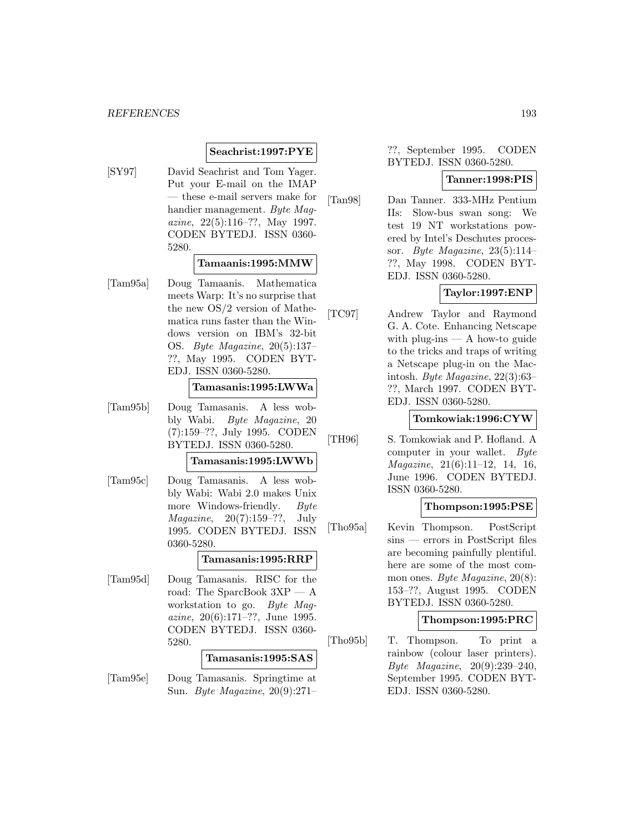## **Seachrist:1997:PYE**

[SY97] David Seachrist and Tom Yager. Put your E-mail on the IMAP — these e-mail servers make for handier management. Byte Magazine, 22(5):116–??, May 1997. CODEN BYTEDJ. ISSN 0360- 5280.

### **Tamaanis:1995:MMW**

[Tam95a] Doug Tamaanis. Mathematica meets Warp: It's no surprise that the new OS/2 version of Mathematica runs faster than the Windows version on IBM's 32-bit OS. Byte Magazine, 20(5):137– ??, May 1995. CODEN BYT-EDJ. ISSN 0360-5280.

### **Tamasanis:1995:LWWa**

[Tam95b] Doug Tamasanis. A less wobbly Wabi. Byte Magazine, 20 (7):159–??, July 1995. CODEN BYTEDJ. ISSN 0360-5280.

#### **Tamasanis:1995:LWWb**

[Tam95c] Doug Tamasanis. A less wobbly Wabi: Wabi 2.0 makes Unix more Windows-friendly. Byte *Magazine*,  $20(7):159-??$ , July 1995. CODEN BYTEDJ. ISSN 0360-5280.

## **Tamasanis:1995:RRP**

[Tam95d] Doug Tamasanis. RISC for the road: The SparcBook 3XP — A workstation to go. Byte Magazine, 20(6):171–??, June 1995. CODEN BYTEDJ. ISSN 0360- 5280.

### **Tamasanis:1995:SAS**

[Tam95e] Doug Tamasanis. Springtime at Sun. Byte Magazine, 20(9):271–

## ??, September 1995. CODEN BYTEDJ. ISSN 0360-5280.

### **Tanner:1998:PIS**

[Tan98] Dan Tanner. 333-MHz Pentium IIs: Slow-bus swan song: We test 19 NT workstations powered by Intel's Deschutes processor. Byte Magazine,  $23(5):114-$ ??, May 1998. CODEN BYT-EDJ. ISSN 0360-5280.

### **Taylor:1997:ENP**

[TC97] Andrew Taylor and Raymond G. A. Cote. Enhancing Netscape with plug-ins  $- A$  how-to guide to the tricks and traps of writing a Netscape plug-in on the Macintosh. Byte Magazine, 22(3):63– ??, March 1997. CODEN BYT-EDJ. ISSN 0360-5280.

### **Tomkowiak:1996:CYW**

[TH96] S. Tomkowiak and P. Hofland. A computer in your wallet. Byte Magazine, 21(6):11–12, 14, 16, June 1996. CODEN BYTEDJ. ISSN 0360-5280.

### **Thompson:1995:PSE**

[Tho95a] Kevin Thompson. PostScript sins — errors in PostScript files are becoming painfully plentiful. here are some of the most common ones. Byte Magazine, 20(8): 153–??, August 1995. CODEN BYTEDJ. ISSN 0360-5280.

#### **Thompson:1995:PRC**

[Tho95b] T. Thompson. To print a rainbow (colour laser printers). Byte Magazine, 20(9):239–240, September 1995. CODEN BYT-EDJ. ISSN 0360-5280.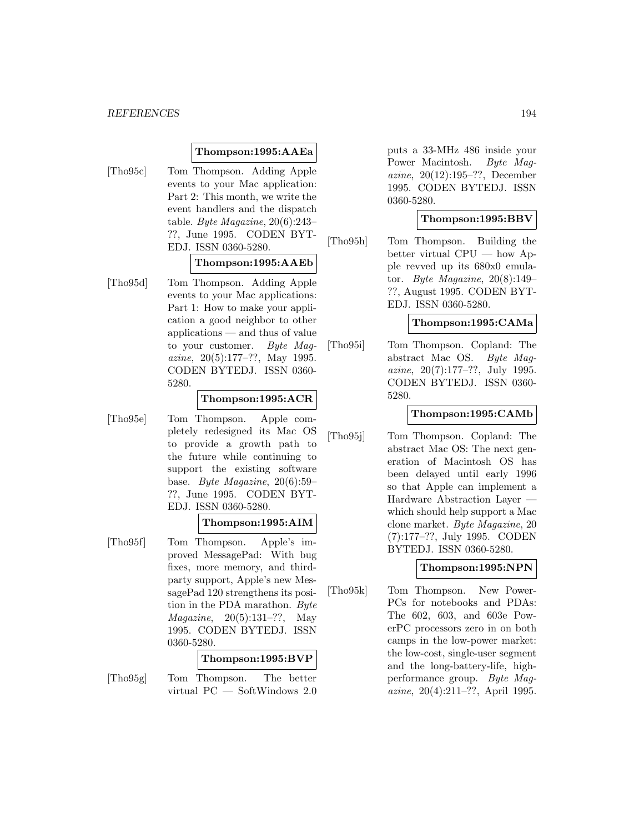#### *REFERENCES* 194

### **Thompson:1995:AAEa**

[Tho95c] Tom Thompson. Adding Apple events to your Mac application: Part 2: This month, we write the event handlers and the dispatch table. Byte Magazine, 20(6):243– ??, June 1995. CODEN BYT-EDJ. ISSN 0360-5280.

## **Thompson:1995:AAEb**

[Tho95d] Tom Thompson. Adding Apple events to your Mac applications: Part 1: How to make your application a good neighbor to other applications — and thus of value to your customer. Byte Magazine, 20(5):177–??, May 1995. CODEN BYTEDJ. ISSN 0360- 5280.

## **Thompson:1995:ACR**

[Tho95e] Tom Thompson. Apple completely redesigned its Mac OS to provide a growth path to the future while continuing to support the existing software base. Byte Magazine, 20(6):59– ??, June 1995. CODEN BYT-EDJ. ISSN 0360-5280.

### **Thompson:1995:AIM**

[Tho95f] Tom Thompson. Apple's improved MessagePad: With bug fixes, more memory, and thirdparty support, Apple's new MessagePad 120 strengthens its position in the PDA marathon. Byte Magazine, 20(5):131–??, May 1995. CODEN BYTEDJ. ISSN 0360-5280.

# **Thompson:1995:BVP**

[Tho95g] Tom Thompson. The better virtual PC — SoftWindows 2.0

puts a 33-MHz 486 inside your Power Macintosh. Byte Magazine, 20(12):195–??, December 1995. CODEN BYTEDJ. ISSN 0360-5280.

### **Thompson:1995:BBV**

[Tho95h] Tom Thompson. Building the better virtual CPU — how Apple revved up its 680x0 emulator. Byte Magazine,  $20(8):149-$ ??, August 1995. CODEN BYT-EDJ. ISSN 0360-5280.

### **Thompson:1995:CAMa**

[Tho95i] Tom Thompson. Copland: The abstract Mac OS. Byte Magazine, 20(7):177–??, July 1995. CODEN BYTEDJ. ISSN 0360- 5280.

# **Thompson:1995:CAMb**

[Tho95j] Tom Thompson. Copland: The abstract Mac OS: The next generation of Macintosh OS has been delayed until early 1996 so that Apple can implement a Hardware Abstraction Layer which should help support a Mac clone market. Byte Magazine, 20 (7):177–??, July 1995. CODEN BYTEDJ. ISSN 0360-5280.

### **Thompson:1995:NPN**

[Tho95k] Tom Thompson. New Power-PCs for notebooks and PDAs: The 602, 603, and 603e PowerPC processors zero in on both camps in the low-power market: the low-cost, single-user segment and the long-battery-life, highperformance group. Byte Magazine, 20(4):211–??, April 1995.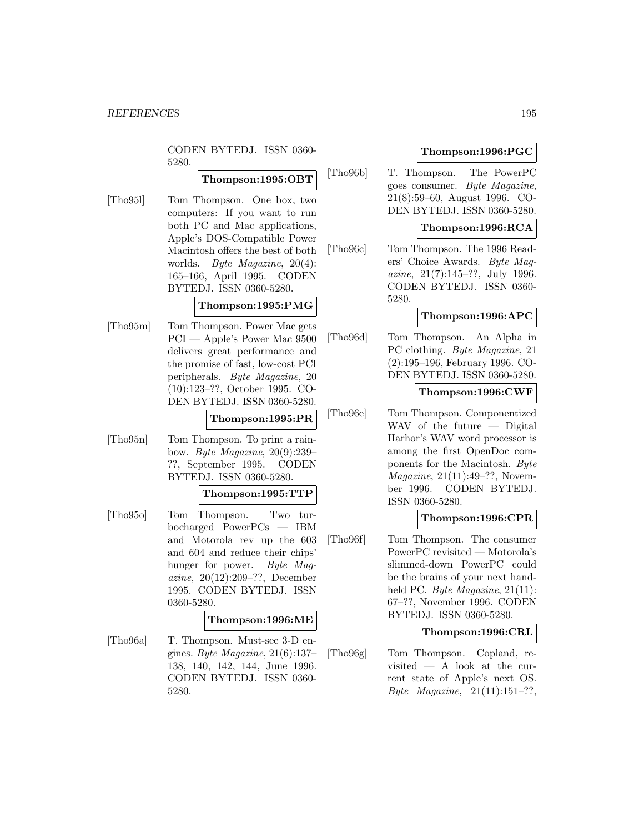CODEN BYTEDJ. ISSN 0360- 5280.

# **Thompson:1995:OBT**

[Tho95l] Tom Thompson. One box, two computers: If you want to run both PC and Mac applications, Apple's DOS-Compatible Power Macintosh offers the best of both worlds. Byte Magazine, 20(4): 165–166, April 1995. CODEN BYTEDJ. ISSN 0360-5280.

## **Thompson:1995:PMG**

[Tho95m] Tom Thompson. Power Mac gets PCI — Apple's Power Mac 9500 delivers great performance and the promise of fast, low-cost PCI peripherals. Byte Magazine, 20 (10):123–??, October 1995. CO-DEN BYTEDJ. ISSN 0360-5280.

**Thompson:1995:PR**

[Tho95n] Tom Thompson. To print a rainbow. Byte Magazine, 20(9):239– ??, September 1995. CODEN BYTEDJ. ISSN 0360-5280.

#### **Thompson:1995:TTP**

[Tho95o] Tom Thompson. Two turbocharged PowerPCs — IBM and Motorola rev up the 603 and 604 and reduce their chips' hunger for power. Byte Maqazine, 20(12):209–??, December 1995. CODEN BYTEDJ. ISSN 0360-5280.

### **Thompson:1996:ME**

[Tho96a] T. Thompson. Must-see 3-D engines. Byte Magazine, 21(6):137– 138, 140, 142, 144, June 1996. CODEN BYTEDJ. ISSN 0360- 5280.

## **Thompson:1996:PGC**

[Tho96b] T. Thompson. The PowerPC goes consumer. Byte Magazine, 21(8):59–60, August 1996. CO-DEN BYTEDJ. ISSN 0360-5280.

## **Thompson:1996:RCA**

[Tho96c] Tom Thompson. The 1996 Readers' Choice Awards. Byte Mag*azine*,  $21(7):145-??$ , July 1996. CODEN BYTEDJ. ISSN 0360- 5280.

### **Thompson:1996:APC**

[Tho96d] Tom Thompson. An Alpha in PC clothing. Byte Magazine, 21 (2):195–196, February 1996. CO-DEN BYTEDJ. ISSN 0360-5280.

## **Thompson:1996:CWF**

[Tho96e] Tom Thompson. Componentized WAV of the future — Digital Harhor's WAV word processor is among the first OpenDoc components for the Macintosh. Byte Magazine, 21(11):49–??, November 1996. CODEN BYTEDJ. ISSN 0360-5280.

## **Thompson:1996:CPR**

[Tho96f] Tom Thompson. The consumer PowerPC revisited — Motorola's slimmed-down PowerPC could be the brains of your next handheld PC. Byte Magazine, 21(11): 67–??, November 1996. CODEN BYTEDJ. ISSN 0360-5280.

### **Thompson:1996:CRL**

[Tho96g] Tom Thompson. Copland, revisited — A look at the current state of Apple's next OS. Byte Magazine,  $21(11):151-?$ ?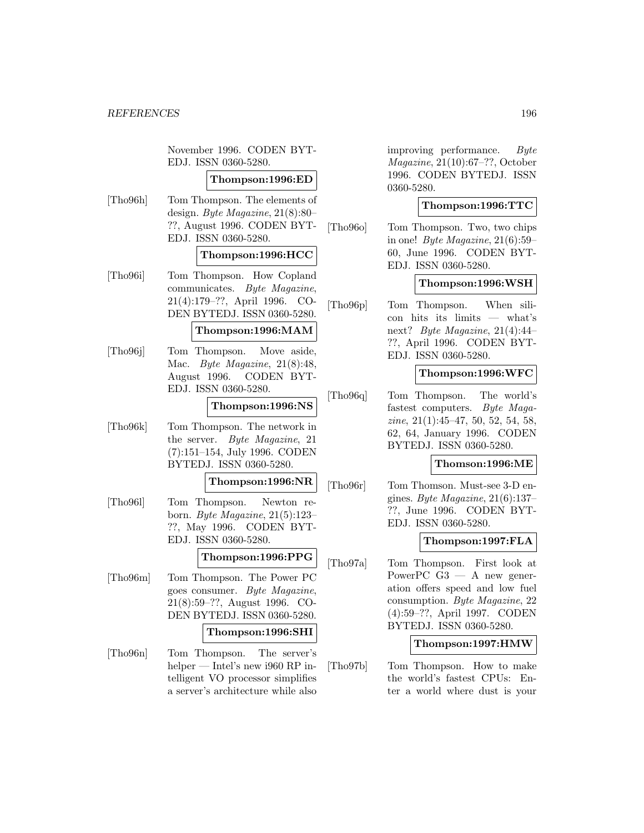November 1996. CODEN BYT-EDJ. ISSN 0360-5280.

### **Thompson:1996:ED**

[Tho96h] Tom Thompson. The elements of design. Byte Magazine, 21(8):80– ??, August 1996. CODEN BYT-EDJ. ISSN 0360-5280.

#### **Thompson:1996:HCC**

[Tho96i] Tom Thompson. How Copland communicates. Byte Magazine, 21(4):179–??, April 1996. CO-DEN BYTEDJ. ISSN 0360-5280.

### **Thompson:1996:MAM**

[Tho96j] Tom Thompson. Move aside, Mac. Byte Magazine, 21(8):48, August 1996. CODEN BYT-EDJ. ISSN 0360-5280.

### **Thompson:1996:NS**

[Tho96k] Tom Thompson. The network in the server. Byte Magazine, 21 (7):151–154, July 1996. CODEN BYTEDJ. ISSN 0360-5280.

**Thompson:1996:NR**

[Tho96l] Tom Thompson. Newton reborn. Byte Magazine, 21(5):123– ??, May 1996. CODEN BYT-EDJ. ISSN 0360-5280.

#### **Thompson:1996:PPG**

[Tho96m] Tom Thompson. The Power PC goes consumer. Byte Magazine, 21(8):59–??, August 1996. CO-DEN BYTEDJ. ISSN 0360-5280.

### **Thompson:1996:SHI**

[Tho96n] Tom Thompson. The server's helper — Intel's new i960 RP intelligent VO processor simplifies a server's architecture while also

improving performance. Byte Magazine, 21(10):67–??, October 1996. CODEN BYTEDJ. ISSN 0360-5280.

## **Thompson:1996:TTC**

[Tho96o] Tom Thompson. Two, two chips in one! Byte Magazine,  $21(6):59-$ 60, June 1996. CODEN BYT-EDJ. ISSN 0360-5280.

#### **Thompson:1996:WSH**

[Tho96p] Tom Thompson. When silicon hits its limits — what's next? Byte Magazine, 21(4):44– ??, April 1996. CODEN BYT-EDJ. ISSN 0360-5280.

### **Thompson:1996:WFC**

[Tho96q] Tom Thompson. The world's fastest computers. Byte Magazine, 21(1):45–47, 50, 52, 54, 58, 62, 64, January 1996. CODEN BYTEDJ. ISSN 0360-5280.

#### **Thomson:1996:ME**

[Tho96r] Tom Thomson. Must-see 3-D engines. Byte Magazine,  $21(6):137-$ ??, June 1996. CODEN BYT-EDJ. ISSN 0360-5280.

#### **Thompson:1997:FLA**

[Tho97a] Tom Thompson. First look at PowerPC  $G3 - A$  new generation offers speed and low fuel consumption. Byte Magazine, 22 (4):59–??, April 1997. CODEN BYTEDJ. ISSN 0360-5280.

### **Thompson:1997:HMW**

[Tho97b] Tom Thompson. How to make the world's fastest CPUs: Enter a world where dust is your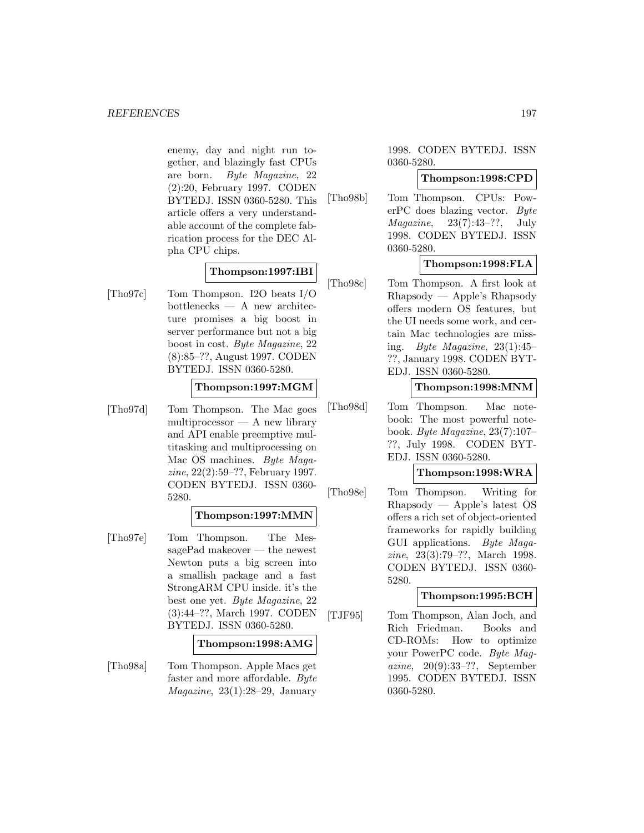enemy, day and night run together, and blazingly fast CPUs are born. Byte Magazine, 22 (2):20, February 1997. CODEN BYTEDJ. ISSN 0360-5280. This article offers a very understandable account of the complete fabrication process for the DEC Alpha CPU chips.

## **Thompson:1997:IBI**

[Tho97c] Tom Thompson. I2O beats I/O bottlenecks — A new architecture promises a big boost in server performance but not a big boost in cost. Byte Magazine, 22 (8):85–??, August 1997. CODEN BYTEDJ. ISSN 0360-5280.

## **Thompson:1997:MGM**

[Tho97d] Tom Thompson. The Mac goes multiprocessor — A new library and API enable preemptive multitasking and multiprocessing on Mac OS machines. Byte Magazine, 22(2):59–??, February 1997. CODEN BYTEDJ. ISSN 0360- 5280.

# **Thompson:1997:MMN**

[Tho97e] Tom Thompson. The MessagePad makeover — the newest Newton puts a big screen into a smallish package and a fast StrongARM CPU inside. it's the best one yet. Byte Magazine, 22 (3):44–??, March 1997. CODEN BYTEDJ. ISSN 0360-5280.

### **Thompson:1998:AMG**

[Tho98a] Tom Thompson. Apple Macs get faster and more affordable. Byte *Magazine*,  $23(1):28-29$ , January

1998. CODEN BYTEDJ. ISSN 0360-5280.

# **Thompson:1998:CPD**

[Tho98b] Tom Thompson. CPUs: PowerPC does blazing vector. Byte Magazine, 23(7):43–??, July 1998. CODEN BYTEDJ. ISSN 0360-5280.

# **Thompson:1998:FLA**

[Tho98c] Tom Thompson. A first look at Rhapsody — Apple's Rhapsody offers modern OS features, but the UI needs some work, and certain Mac technologies are missing. Byte Magazine,  $23(1):45$ ??, January 1998. CODEN BYT-EDJ. ISSN 0360-5280.

### **Thompson:1998:MNM**

[Tho98d] Tom Thompson. Mac notebook: The most powerful notebook. Byte Magazine, 23(7):107– ??, July 1998. CODEN BYT-EDJ. ISSN 0360-5280.

### **Thompson:1998:WRA**

[Tho98e] Tom Thompson. Writing for Rhapsody — Apple's latest OS offers a rich set of object-oriented frameworks for rapidly building GUI applications. Byte Magazine, 23(3):79–??, March 1998. CODEN BYTEDJ. ISSN 0360- 5280.

### **Thompson:1995:BCH**

[TJF95] Tom Thompson, Alan Joch, and Rich Friedman. Books and CD-ROMs: How to optimize your PowerPC code. Byte Magazine, 20(9):33–??, September 1995. CODEN BYTEDJ. ISSN 0360-5280.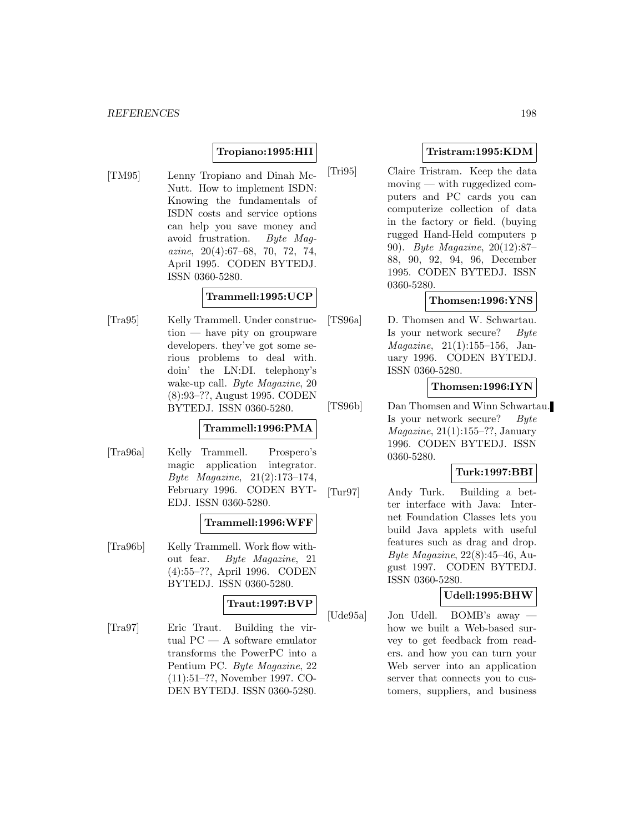# **Tropiano:1995:HII**

[TM95] Lenny Tropiano and Dinah Mc-Nutt. How to implement ISDN: Knowing the fundamentals of ISDN costs and service options can help you save money and avoid frustration. Byte Mag- $\alpha$ *zine*, 20(4):67–68, 70, 72, 74, April 1995. CODEN BYTEDJ. ISSN 0360-5280.

## **Trammell:1995:UCP**

[Tra95] Kelly Trammell. Under construction — have pity on groupware developers. they've got some serious problems to deal with. doin' the LN:DI. telephony's wake-up call. Byte Magazine, 20 (8):93–??, August 1995. CODEN BYTEDJ. ISSN 0360-5280.

# **Trammell:1996:PMA**

[Tra96a] Kelly Trammell. Prospero's magic application integrator. Byte Magazine, 21(2):173–174, February 1996. CODEN BYT-EDJ. ISSN 0360-5280.

### **Trammell:1996:WFF**

[Tra96b] Kelly Trammell. Work flow without fear. Byte Magazine, 21 (4):55–??, April 1996. CODEN BYTEDJ. ISSN 0360-5280.

## **Traut:1997:BVP**

[Tra97] Eric Traut. Building the virtual PC — A software emulator transforms the PowerPC into a Pentium PC. Byte Magazine, 22 (11):51–??, November 1997. CO-DEN BYTEDJ. ISSN 0360-5280.

# **Tristram:1995:KDM**

[Tri95] Claire Tristram. Keep the data moving — with ruggedized computers and PC cards you can computerize collection of data in the factory or field. (buying rugged Hand-Held computers p 90). Byte Magazine, 20(12):87– 88, 90, 92, 94, 96, December 1995. CODEN BYTEDJ. ISSN 0360-5280.

## **Thomsen:1996:YNS**

[TS96a] D. Thomsen and W. Schwartau. Is your network secure? Byte Magazine, 21(1):155–156, January 1996. CODEN BYTEDJ. ISSN 0360-5280.

## **Thomsen:1996:IYN**

[TS96b] Dan Thomsen and Winn Schwartau. Is your network secure? Byte Magazine, 21(1):155–??, January 1996. CODEN BYTEDJ. ISSN 0360-5280.

# **Turk:1997:BBI**

[Tur97] Andy Turk. Building a better interface with Java: Internet Foundation Classes lets you build Java applets with useful features such as drag and drop. Byte Magazine, 22(8):45–46, August 1997. CODEN BYTEDJ. ISSN 0360-5280.

# **Udell:1995:BHW**

[Ude95a] Jon Udell. BOMB's away how we built a Web-based survey to get feedback from readers. and how you can turn your Web server into an application server that connects you to customers, suppliers, and business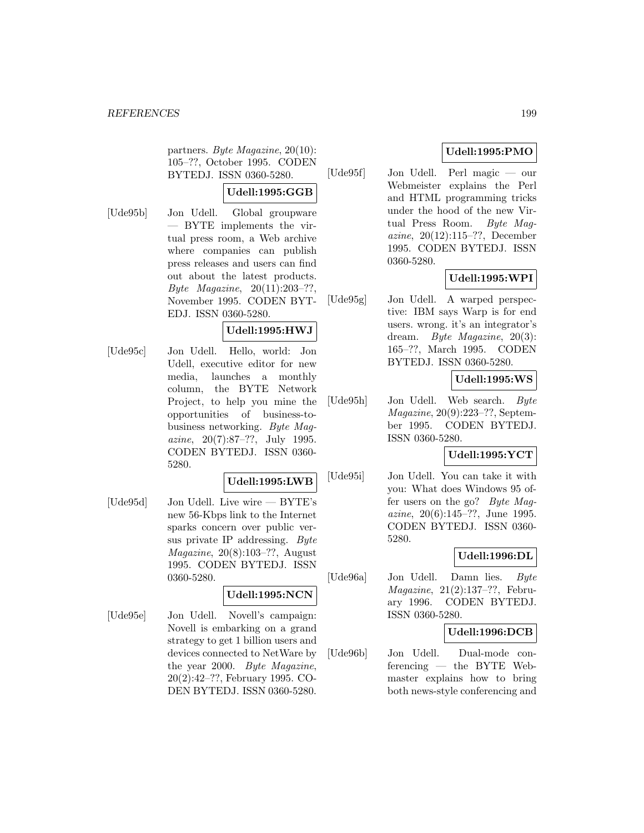partners. Byte Magazine, 20(10): 105–??, October 1995. CODEN BYTEDJ. ISSN 0360-5280.

## **Udell:1995:GGB**

- 
- [Ude95b] Jon Udell. Global groupware — BYTE implements the virtual press room, a Web archive where companies can publish press releases and users can find out about the latest products. Byte Magazine,  $20(11):203-??$ , November 1995. CODEN BYT-EDJ. ISSN 0360-5280.

# **Udell:1995:HWJ**

[Ude95c] Jon Udell. Hello, world: Jon Udell, executive editor for new media, launches a monthly column, the BYTE Network Project, to help you mine the opportunities of business-tobusiness networking. Byte Magazine, 20(7):87–??, July 1995. CODEN BYTEDJ. ISSN 0360- 5280.

### **Udell:1995:LWB**

[Ude95d] Jon Udell. Live wire — BYTE's new 56-Kbps link to the Internet sparks concern over public versus private IP addressing. Byte Magazine, 20(8):103–??, August 1995. CODEN BYTEDJ. ISSN 0360-5280.

### **Udell:1995:NCN**

[Ude95e] Jon Udell. Novell's campaign: Novell is embarking on a grand strategy to get 1 billion users and devices connected to NetWare by the year 2000. Byte Magazine, 20(2):42–??, February 1995. CO-DEN BYTEDJ. ISSN 0360-5280.

# **Udell:1995:PMO**

[Ude95f] Jon Udell. Perl magic — our Webmeister explains the Perl and HTML programming tricks under the hood of the new Virtual Press Room. Byte Magazine, 20(12):115–??, December 1995. CODEN BYTEDJ. ISSN 0360-5280.

# **Udell:1995:WPI**

[Ude95g] Jon Udell. A warped perspective: IBM says Warp is for end users. wrong. it's an integrator's dream. Byte Magazine, 20(3): 165–??, March 1995. CODEN BYTEDJ. ISSN 0360-5280.

# **Udell:1995:WS**

[Ude95h] Jon Udell. Web search. Byte Magazine, 20(9):223–??, September 1995. CODEN BYTEDJ. ISSN 0360-5280.

# **Udell:1995:YCT**

[Ude95i] Jon Udell. You can take it with you: What does Windows 95 offer users on the go? Byte Magazine, 20(6):145–??, June 1995. CODEN BYTEDJ. ISSN 0360- 5280.

# **Udell:1996:DL**

[Ude96a] Jon Udell. Damn lies. Byte Magazine, 21(2):137–??, February 1996. CODEN BYTEDJ. ISSN 0360-5280.

# **Udell:1996:DCB**

[Ude96b] Jon Udell. Dual-mode conferencing — the BYTE Webmaster explains how to bring both news-style conferencing and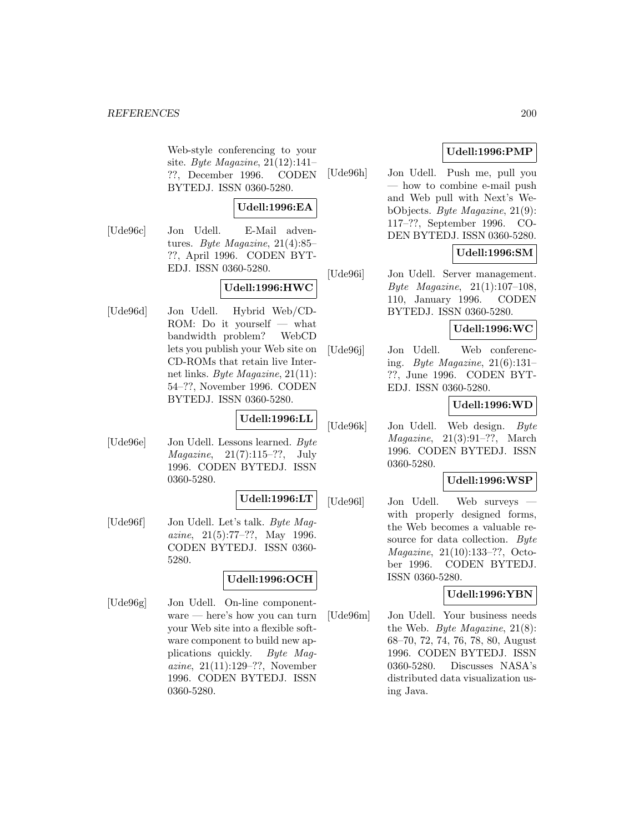Web-style conferencing to your site. Byte Magazine,  $21(12):141-$ ??, December 1996. CODEN BYTEDJ. ISSN 0360-5280.

# **Udell:1996:EA**

[Ude96c] Jon Udell. E-Mail adventures. Byte Magazine, 21(4):85– ??, April 1996. CODEN BYT-EDJ. ISSN 0360-5280.

# **Udell:1996:HWC**

[Ude96d] Jon Udell. Hybrid Web/CD-ROM: Do it yourself — what bandwidth problem? WebCD lets you publish your Web site on CD-ROMs that retain live Internet links. Byte Magazine, 21(11): 54–??, November 1996. CODEN BYTEDJ. ISSN 0360-5280.

### **Udell:1996:LL**

[Ude96e] Jon Udell. Lessons learned. Byte Magazine, 21(7):115–??, July 1996. CODEN BYTEDJ. ISSN 0360-5280.

### **Udell:1996:LT**

[Ude96f] Jon Udell. Let's talk. Byte Mag*azine*,  $21(5):77-??$ , May 1996. CODEN BYTEDJ. ISSN 0360- 5280.

# **Udell:1996:OCH**

[Ude96g] Jon Udell. On-line componentware — here's how you can turn your Web site into a flexible software component to build new applications quickly. Byte Magazine, 21(11):129–??, November 1996. CODEN BYTEDJ. ISSN 0360-5280.

# **Udell:1996:PMP**

[Ude96h] Jon Udell. Push me, pull you how to combine e-mail push and Web pull with Next's WebObjects. Byte Magazine, 21(9): 117–??, September 1996. CO-DEN BYTEDJ. ISSN 0360-5280.

# **Udell:1996:SM**

[Ude96i] Jon Udell. Server management. Byte Magazine, 21(1):107–108, 110, January 1996. CODEN BYTEDJ. ISSN 0360-5280.

# **Udell:1996:WC**

[Ude96j] Jon Udell. Web conferencing. Byte Magazine, 21(6):131– ??, June 1996. CODEN BYT-EDJ. ISSN 0360-5280.

# **Udell:1996:WD**

[Ude96k] Jon Udell. Web design. Byte  $Magazine, 21(3):91-??, March$ 1996. CODEN BYTEDJ. ISSN 0360-5280.

### **Udell:1996:WSP**

[Ude96l] Jon Udell. Web surveys with properly designed forms, the Web becomes a valuable resource for data collection. Byte Magazine, 21(10):133–??, October 1996. CODEN BYTEDJ. ISSN 0360-5280.

### **Udell:1996:YBN**

[Ude96m] Jon Udell. Your business needs the Web. Byte Magazine, 21(8): 68–70, 72, 74, 76, 78, 80, August 1996. CODEN BYTEDJ. ISSN 0360-5280. Discusses NASA's distributed data visualization using Java.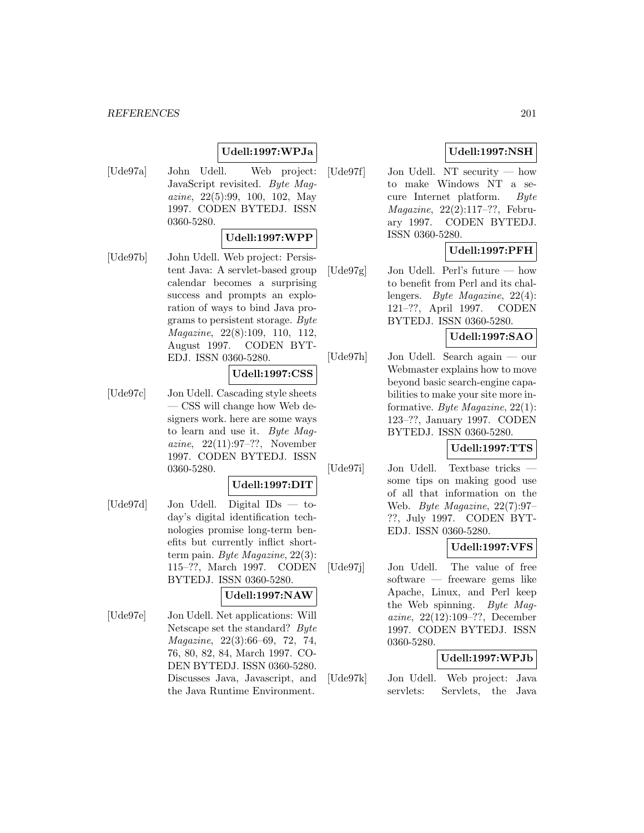#### *REFERENCES* 201

# **Udell:1997:WPJa**

[Ude97a] John Udell. Web project: JavaScript revisited. Byte Magazine, 22(5):99, 100, 102, May 1997. CODEN BYTEDJ. ISSN 0360-5280.

### **Udell:1997:WPP**

[Ude97b] John Udell. Web project: Persistent Java: A servlet-based group calendar becomes a surprising success and prompts an exploration of ways to bind Java programs to persistent storage. Byte Magazine, 22(8):109, 110, 112, August 1997. CODEN BYT-EDJ. ISSN 0360-5280.

## **Udell:1997:CSS**

[Ude97c] Jon Udell. Cascading style sheets — CSS will change how Web designers work. here are some ways to learn and use it. Byte Magazine, 22(11):97–??, November 1997. CODEN BYTEDJ. ISSN 0360-5280.

## **Udell:1997:DIT**

[Ude97d] Jon Udell. Digital IDs — today's digital identification technologies promise long-term benefits but currently inflict shortterm pain. Byte Magazine, 22(3): 115–??, March 1997. CODEN BYTEDJ. ISSN 0360-5280.

# **Udell:1997:NAW**

[Ude97e] Jon Udell. Net applications: Will Netscape set the standard? Byte Magazine, 22(3):66–69, 72, 74, 76, 80, 82, 84, March 1997. CO-DEN BYTEDJ. ISSN 0360-5280. Discusses Java, Javascript, and the Java Runtime Environment.

# **Udell:1997:NSH**

[Ude97f] Jon Udell. NT security — how to make Windows NT a secure Internet platform. Byte Magazine, 22(2):117–??, February 1997. CODEN BYTEDJ. ISSN 0360-5280.

## **Udell:1997:PFH**

[Ude97g] Jon Udell. Perl's future — how to benefit from Perl and its challengers. Byte Magazine, 22(4): 121–??, April 1997. CODEN BYTEDJ. ISSN 0360-5280.

## **Udell:1997:SAO**

[Ude97h] Jon Udell. Search again — our Webmaster explains how to move beyond basic search-engine capabilities to make your site more informative. Byte Magazine, 22(1): 123–??, January 1997. CODEN BYTEDJ. ISSN 0360-5280.

# **Udell:1997:TTS**

[Ude97i] Jon Udell. Textbase tricks some tips on making good use of all that information on the Web. Byte Magazine, 22(7):97– ??, July 1997. CODEN BYT-EDJ. ISSN 0360-5280.

### **Udell:1997:VFS**

[Ude97j] Jon Udell. The value of free software — freeware gems like Apache, Linux, and Perl keep the Web spinning. Byte Magazine, 22(12):109–??, December 1997. CODEN BYTEDJ. ISSN 0360-5280.

## **Udell:1997:WPJb**

[Ude97k] Jon Udell. Web project: Java servlets: Servlets, the Java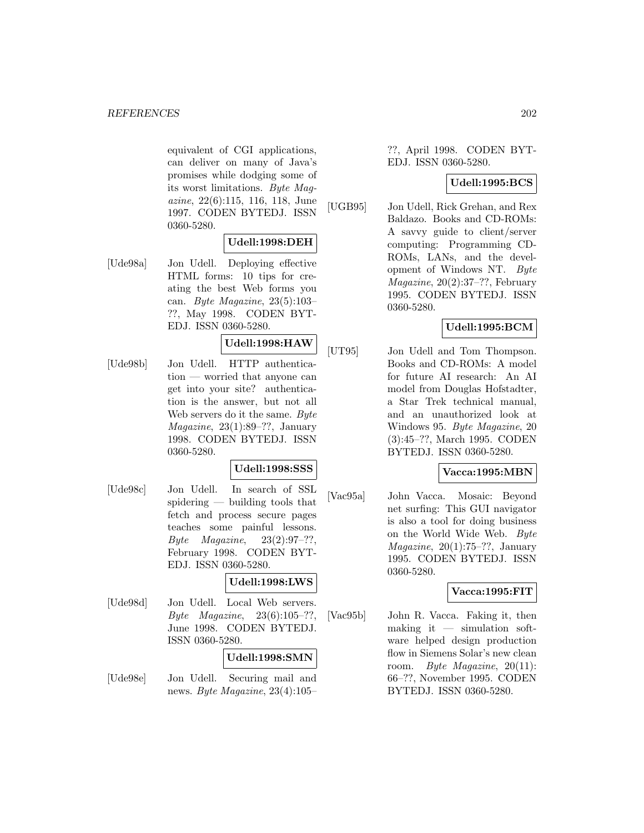equivalent of CGI applications, can deliver on many of Java's promises while dodging some of its worst limitations. Byte Magazine, 22(6):115, 116, 118, June 1997. CODEN BYTEDJ. ISSN 0360-5280.

### **Udell:1998:DEH**

[Ude98a] Jon Udell. Deploying effective HTML forms: 10 tips for creating the best Web forms you can. Byte Magazine, 23(5):103– ??, May 1998. CODEN BYT-EDJ. ISSN 0360-5280.

# **Udell:1998:HAW**

[Ude98b] Jon Udell. HTTP authentication — worried that anyone can get into your site? authentication is the answer, but not all Web servers do it the same. Byte Magazine, 23(1):89–??, January 1998. CODEN BYTEDJ. ISSN 0360-5280.

# **Udell:1998:SSS**

[Ude98c] Jon Udell. In search of SSL spidering — building tools that fetch and process secure pages teaches some painful lessons.  $Byte$   $Magazine$ ,  $23(2):97-??$ , February 1998. CODEN BYT-EDJ. ISSN 0360-5280.

### **Udell:1998:LWS**

[Ude98d] Jon Udell. Local Web servers. Byte *Magazine*,  $23(6):105-??$ , June 1998. CODEN BYTEDJ. ISSN 0360-5280.

| -0360-5280. |                                |
|-------------|--------------------------------|
|             | $\vert$ Udell:1998:SMN $\vert$ |
| TJJ-11      | Socuring moil and              |

[Ude98e] Jon Udell. Securing mail and news. Byte Magazine, 23(4):105– ??, April 1998. CODEN BYT-EDJ. ISSN 0360-5280.

## **Udell:1995:BCS**

[UGB95] Jon Udell, Rick Grehan, and Rex Baldazo. Books and CD-ROMs: A savvy guide to client/server computing: Programming CD-ROMs, LANs, and the development of Windows NT. Byte Magazine, 20(2):37–??, February 1995. CODEN BYTEDJ. ISSN 0360-5280.

## **Udell:1995:BCM**

[UT95] Jon Udell and Tom Thompson. Books and CD-ROMs: A model for future AI research: An AI model from Douglas Hofstadter, a Star Trek technical manual, and an unauthorized look at Windows 95. Byte Magazine, 20 (3):45–??, March 1995. CODEN BYTEDJ. ISSN 0360-5280.

### **Vacca:1995:MBN**

[Vac95a] John Vacca. Mosaic: Beyond net surfing: This GUI navigator is also a tool for doing business on the World Wide Web. Byte *Magazine*,  $20(1):75-??$ , January 1995. CODEN BYTEDJ. ISSN 0360-5280.

### **Vacca:1995:FIT**

[Vac95b] John R. Vacca. Faking it, then making it  $-$  simulation software helped design production flow in Siemens Solar's new clean room. Byte Magazine, 20(11): 66–??, November 1995. CODEN BYTEDJ. ISSN 0360-5280.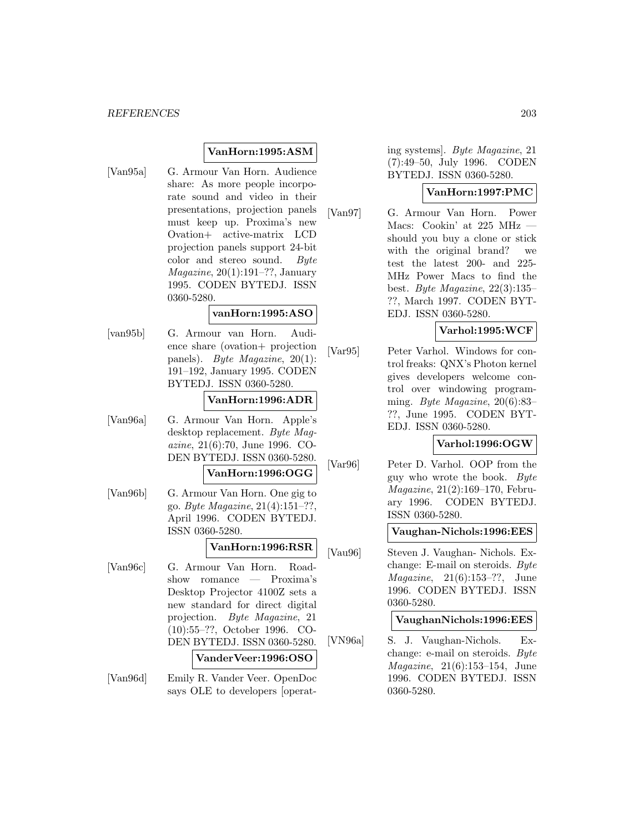# **VanHorn:1995:ASM**

[Van95a] G. Armour Van Horn. Audience share: As more people incorporate sound and video in their presentations, projection panels must keep up. Proxima's new Ovation+ active-matrix LCD projection panels support 24-bit color and stereo sound. Byte Magazine, 20(1):191–??, January 1995. CODEN BYTEDJ. ISSN 0360-5280.

### **vanHorn:1995:ASO**

[van95b] G. Armour van Horn. Audience share (ovation+ projection panels). Byte Magazine, 20(1): 191–192, January 1995. CODEN BYTEDJ. ISSN 0360-5280.

## **VanHorn:1996:ADR**

[Van96a] G. Armour Van Horn. Apple's desktop replacement. Byte Magazine, 21(6):70, June 1996. CO-DEN BYTEDJ. ISSN 0360-5280.

## **VanHorn:1996:OGG**

[Van96b] G. Armour Van Horn. One gig to go. Byte Magazine, 21(4):151–??, April 1996. CODEN BYTEDJ. ISSN 0360-5280.

# **VanHorn:1996:RSR**

[Van96c] G. Armour Van Horn. Roadshow romance — Proxima's Desktop Projector 4100Z sets a new standard for direct digital projection. Byte Magazine, 21 (10):55–??, October 1996. CO-DEN BYTEDJ. ISSN 0360-5280.

### **VanderVeer:1996:OSO**

[Van96d] Emily R. Vander Veer. OpenDoc says OLE to developers [operating systems]. Byte Magazine, 21 (7):49–50, July 1996. CODEN BYTEDJ. ISSN 0360-5280.

## **VanHorn:1997:PMC**

[Van97] G. Armour Van Horn. Power Macs: Cookin' at 225 MHz should you buy a clone or stick with the original brand? we test the latest 200- and 225- MHz Power Macs to find the best. Byte Magazine, 22(3):135– ??, March 1997. CODEN BYT-EDJ. ISSN 0360-5280.

# **Varhol:1995:WCF**

[Var95] Peter Varhol. Windows for control freaks: QNX's Photon kernel gives developers welcome control over windowing programming. Byte Magazine, 20(6):83– ??, June 1995. CODEN BYT-EDJ. ISSN 0360-5280.

### **Varhol:1996:OGW**

[Var96] Peter D. Varhol. OOP from the guy who wrote the book. Byte Magazine, 21(2):169–170, February 1996. CODEN BYTEDJ. ISSN 0360-5280.

## **Vaughan-Nichols:1996:EES**

[Vau96] Steven J. Vaughan- Nichols. Exchange: E-mail on steroids. Byte Magazine, 21(6):153–??, June 1996. CODEN BYTEDJ. ISSN 0360-5280.

#### **VaughanNichols:1996:EES**

[VN96a] S. J. Vaughan-Nichols. Exchange: e-mail on steroids. Byte Magazine, 21(6):153–154, June 1996. CODEN BYTEDJ. ISSN 0360-5280.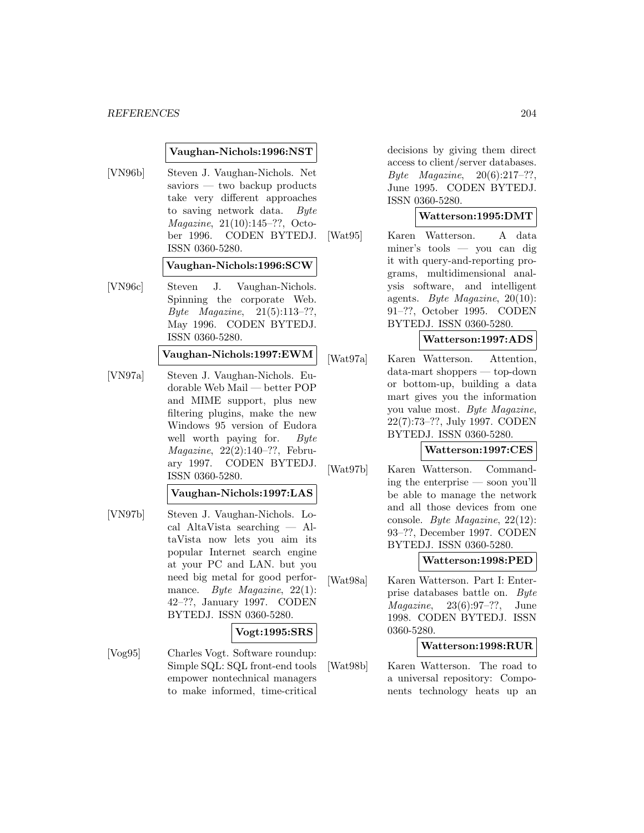#### **Vaughan-Nichols:1996:NST**

[VN96b] Steven J. Vaughan-Nichols. Net saviors — two backup products take very different approaches to saving network data. Byte Magazine, 21(10):145–??, October 1996. CODEN BYTEDJ. ISSN 0360-5280.

#### **Vaughan-Nichols:1996:SCW**

[VN96c] Steven J. Vaughan-Nichols. Spinning the corporate Web. Byte Magazine, 21(5):113–??, May 1996. CODEN BYTEDJ. ISSN 0360-5280.

### **Vaughan-Nichols:1997:EWM**

[VN97a] Steven J. Vaughan-Nichols. Eudorable Web Mail — better POP and MIME support, plus new filtering plugins, make the new Windows 95 version of Eudora well worth paying for. Byte Magazine, 22(2):140–??, February 1997. CODEN BYTEDJ. ISSN 0360-5280.

#### **Vaughan-Nichols:1997:LAS**

[VN97b] Steven J. Vaughan-Nichols. Local AltaVista searching — AltaVista now lets you aim its popular Internet search engine at your PC and LAN. but you need big metal for good performance. Byte Magazine, 22(1): 42–??, January 1997. CODEN BYTEDJ. ISSN 0360-5280.

### **Vogt:1995:SRS**

[Vog95] Charles Vogt. Software roundup: Simple SQL: SQL front-end tools empower nontechnical managers to make informed, time-critical

decisions by giving them direct access to client/server databases. Byte Magazine,  $20(6):217-??$ , June 1995. CODEN BYTEDJ. ISSN 0360-5280.

#### **Watterson:1995:DMT**

[Wat95] Karen Watterson. A data miner's tools — you can dig it with query-and-reporting programs, multidimensional analysis software, and intelligent agents. Byte Magazine,  $20(10)$ : 91–??, October 1995. CODEN BYTEDJ. ISSN 0360-5280.

### **Watterson:1997:ADS**

[Wat97a] Karen Watterson. Attention, data-mart shoppers — top-down or bottom-up, building a data mart gives you the information you value most. Byte Magazine, 22(7):73–??, July 1997. CODEN BYTEDJ. ISSN 0360-5280.

### **Watterson:1997:CES**

[Wat97b] Karen Watterson. Commanding the enterprise — soon you'll be able to manage the network and all those devices from one console. Byte Magazine, 22(12): 93–??, December 1997. CODEN BYTEDJ. ISSN 0360-5280.

#### **Watterson:1998:PED**

[Wat98a] Karen Watterson. Part I: Enterprise databases battle on. Byte Magazine, 23(6):97–??, June 1998. CODEN BYTEDJ. ISSN 0360-5280.

## **Watterson:1998:RUR**

[Wat98b] Karen Watterson. The road to a universal repository: Components technology heats up an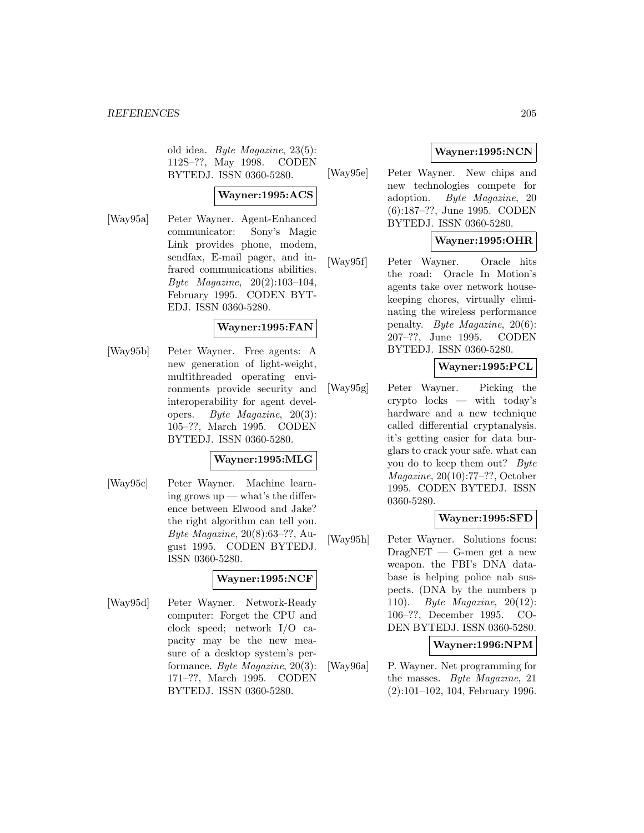old idea. Byte Magazine, 23(5): 112S–??, May 1998. CODEN BYTEDJ. ISSN 0360-5280.

### **Wayner:1995:ACS**

[Way95a] Peter Wayner. Agent-Enhanced communicator: Sony's Magic Link provides phone, modem, sendfax, E-mail pager, and infrared communications abilities. Byte Magazine, 20(2):103–104, February 1995. CODEN BYT-EDJ. ISSN 0360-5280.

### **Wayner:1995:FAN**

[Way95b] Peter Wayner. Free agents: A new generation of light-weight, multithreaded operating environments provide security and interoperability for agent developers. Byte Magazine, 20(3): 105–??, March 1995. CODEN BYTEDJ. ISSN 0360-5280.

### **Wayner:1995:MLG**

[Way95c] Peter Wayner. Machine learning grows  $up - what's$  the difference between Elwood and Jake? the right algorithm can tell you. Byte Magazine, 20(8):63–??, August 1995. CODEN BYTEDJ. ISSN 0360-5280.

## **Wayner:1995:NCF**

[Way95d] Peter Wayner. Network-Ready computer: Forget the CPU and clock speed; network I/O capacity may be the new measure of a desktop system's performance. Byte Magazine, 20(3): 171–??, March 1995. CODEN BYTEDJ. ISSN 0360-5280.

# **Wayner:1995:NCN**

[Way95e] Peter Wayner. New chips and new technologies compete for adoption. Byte Magazine, 20 (6):187–??, June 1995. CODEN BYTEDJ. ISSN 0360-5280.

# **Wayner:1995:OHR**

[Way95f] Peter Wayner. Oracle hits the road: Oracle In Motion's agents take over network housekeeping chores, virtually eliminating the wireless performance penalty. Byte Magazine, 20(6): 207–??, June 1995. CODEN BYTEDJ. ISSN 0360-5280.

## **Wayner:1995:PCL**

[Way95g] Peter Wayner. Picking the crypto locks — with today's hardware and a new technique called differential cryptanalysis. it's getting easier for data burglars to crack your safe. what can you do to keep them out? Byte Magazine, 20(10):77–??, October 1995. CODEN BYTEDJ. ISSN 0360-5280.

## **Wayner:1995:SFD**

[Way95h] Peter Wayner. Solutions focus:  $DragNET - G$ -men get a new weapon. the FBI's DNA database is helping police nab suspects. (DNA by the numbers p 110). Byte Magazine, 20(12): 106–??, December 1995. CO-DEN BYTEDJ. ISSN 0360-5280.

### **Wayner:1996:NPM**

[Way96a] P. Wayner. Net programming for the masses. Byte Magazine, 21 (2):101–102, 104, February 1996.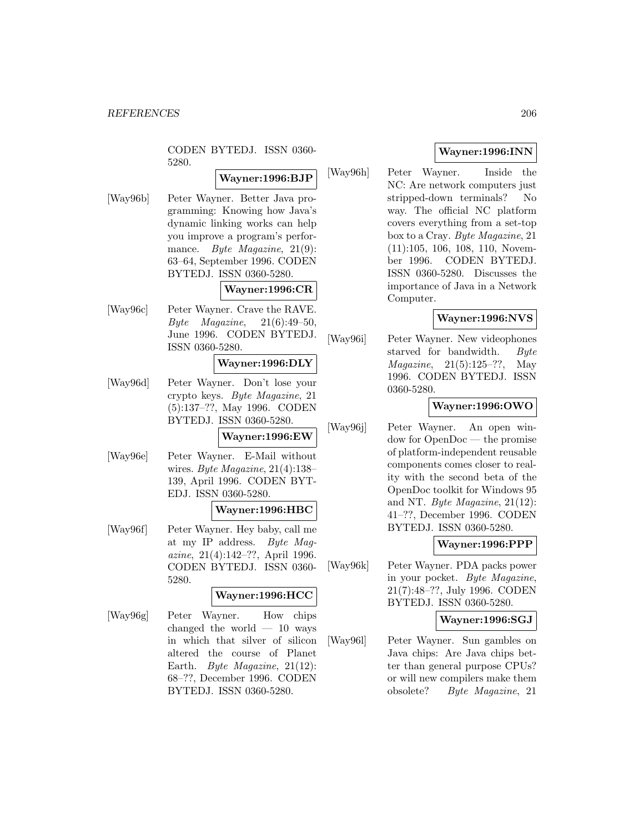CODEN BYTEDJ. ISSN 0360- 5280.

# **Wayner:1996:BJP**

[Way96b] Peter Wayner. Better Java programming: Knowing how Java's dynamic linking works can help you improve a program's performance. Byte Magazine, 21(9): 63–64, September 1996. CODEN BYTEDJ. ISSN 0360-5280.

## **Wayner:1996:CR**

[Way96c] Peter Wayner. Crave the RAVE.  $Byte$  *Magazine*,  $21(6):49-50$ , June 1996. CODEN BYTEDJ. ISSN 0360-5280.

## **Wayner:1996:DLY**

[Way96d] Peter Wayner. Don't lose your crypto keys. Byte Magazine, 21 (5):137–??, May 1996. CODEN BYTEDJ. ISSN 0360-5280.

# **Wayner:1996:EW**

[Way96e] Peter Wayner. E-Mail without wires. Byte Magazine, 21(4):138– 139, April 1996. CODEN BYT-EDJ. ISSN 0360-5280.

#### **Wayner:1996:HBC**

[Way96f] Peter Wayner. Hey baby, call me at my IP address. Byte Magazine, 21(4):142–??, April 1996. CODEN BYTEDJ. ISSN 0360- 5280.

## **Wayner:1996:HCC**

[Way96g] Peter Wayner. How chips changed the world  $-10$  ways in which that silver of silicon altered the course of Planet Earth. Byte Magazine, 21(12): 68–??, December 1996. CODEN BYTEDJ. ISSN 0360-5280.

# **Wayner:1996:INN**

[Way96h] Peter Wayner. Inside the NC: Are network computers just stripped-down terminals? No way. The official NC platform covers everything from a set-top box to a Cray. Byte Magazine, 21 (11):105, 106, 108, 110, November 1996. CODEN BYTEDJ. ISSN 0360-5280. Discusses the importance of Java in a Network Computer.

### **Wayner:1996:NVS**

[Way96i] Peter Wayner. New videophones starved for bandwidth. Byte Magazine, 21(5):125–??, May 1996. CODEN BYTEDJ. ISSN 0360-5280.

### **Wayner:1996:OWO**

[Way96j] Peter Wayner. An open window for OpenDoc — the promise of platform-independent reusable components comes closer to reality with the second beta of the OpenDoc toolkit for Windows 95 and NT. Byte Magazine, 21(12): 41–??, December 1996. CODEN BYTEDJ. ISSN 0360-5280.

### **Wayner:1996:PPP**

[Way96k] Peter Wayner. PDA packs power in your pocket. Byte Magazine, 21(7):48–??, July 1996. CODEN BYTEDJ. ISSN 0360-5280.

### **Wayner:1996:SGJ**

[Way96l] Peter Wayner. Sun gambles on Java chips: Are Java chips better than general purpose CPUs? or will new compilers make them obsolete? Byte Magazine, 21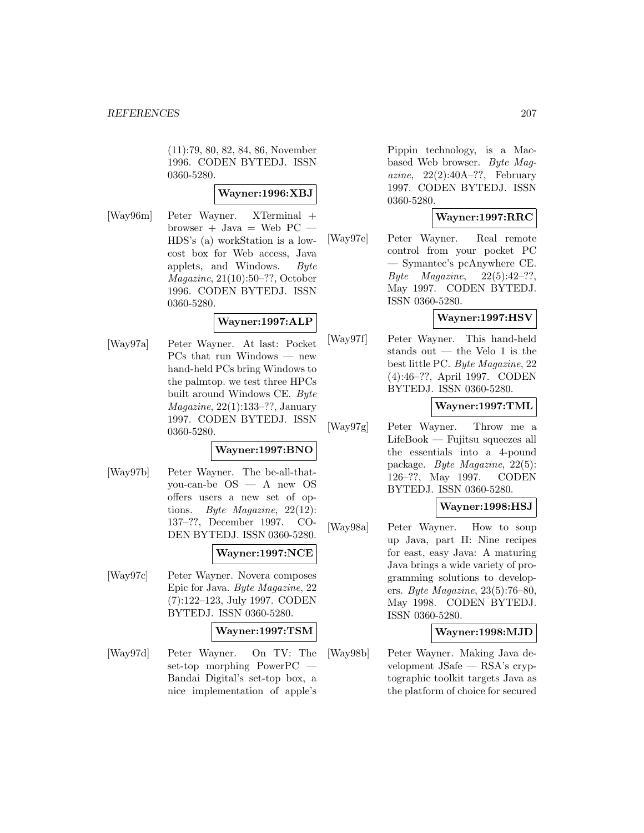(11):79, 80, 82, 84, 86, November 1996. CODEN BYTEDJ. ISSN 0360-5280.

## **Wayner:1996:XBJ**

[Way96m] Peter Wayner. XTerminal + browser + Java = Web  $PC$ HDS's (a) workStation is a lowcost box for Web access, Java applets, and Windows. Byte Magazine, 21(10):50–??, October 1996. CODEN BYTEDJ. ISSN 0360-5280.

## **Wayner:1997:ALP**

[Way97a] Peter Wayner. At last: Pocket PCs that run Windows — new hand-held PCs bring Windows to the palmtop. we test three HPCs built around Windows CE. Byte Magazine, 22(1):133–??, January 1997. CODEN BYTEDJ. ISSN 0360-5280.

# **Wayner:1997:BNO**

[Way97b] Peter Wayner. The be-all-thatyou-can-be OS — A new OS offers users a new set of options. Byte Magazine, 22(12): 137–??, December 1997. CO-DEN BYTEDJ. ISSN 0360-5280.

### **Wayner:1997:NCE**

[Way97c] Peter Wayner. Novera composes Epic for Java. Byte Magazine, 22 (7):122–123, July 1997. CODEN BYTEDJ. ISSN 0360-5280.

### **Wayner:1997:TSM**

[Way97d] Peter Wayner. On TV: The set-top morphing PowerPC — Bandai Digital's set-top box, a nice implementation of apple's

Pippin technology, is a Macbased Web browser. Byte Magazine,  $22(2):40A-??$ , February 1997. CODEN BYTEDJ. ISSN 0360-5280.

## **Wayner:1997:RRC**

[Way97e] Peter Wayner. Real remote control from your pocket PC — Symantec's pcAnywhere CE. Byte Magazine,  $22(5):42-??$ , May 1997. CODEN BYTEDJ. ISSN 0360-5280.

### **Wayner:1997:HSV**

[Way97f] Peter Wayner. This hand-held stands out — the Velo 1 is the best little PC. Byte Magazine, 22 (4):46–??, April 1997. CODEN BYTEDJ. ISSN 0360-5280.

### **Wayner:1997:TML**

[Way97g] Peter Wayner. Throw me a LifeBook — Fujitsu squeezes all the essentials into a 4-pound package. Byte Magazine, 22(5): 126–??, May 1997. CODEN BYTEDJ. ISSN 0360-5280.

# **Wayner:1998:HSJ**

[Way98a] Peter Wayner. How to soup up Java, part II: Nine recipes for east, easy Java: A maturing Java brings a wide variety of programming solutions to developers. Byte Magazine, 23(5):76–80, May 1998. CODEN BYTEDJ. ISSN 0360-5280.

#### **Wayner:1998:MJD**

[Way98b] Peter Wayner. Making Java development JSafe — RSA's cryptographic toolkit targets Java as the platform of choice for secured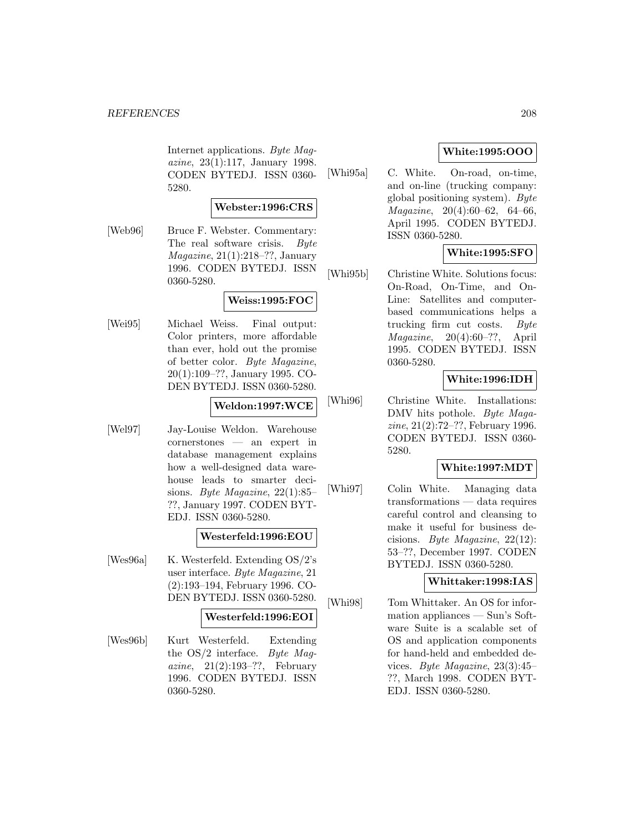Internet applications. Byte Magazine, 23(1):117, January 1998. CODEN BYTEDJ. ISSN 0360- 5280.

### **Webster:1996:CRS**

[Web96] Bruce F. Webster. Commentary: The real software crisis. Byte Magazine, 21(1):218–??, January 1996. CODEN BYTEDJ. ISSN 0360-5280.

### **Weiss:1995:FOC**

[Wei95] Michael Weiss. Final output: Color printers, more affordable than ever, hold out the promise of better color. Byte Magazine, 20(1):109–??, January 1995. CO-DEN BYTEDJ. ISSN 0360-5280.

#### **Weldon:1997:WCE**

[Wel97] Jay-Louise Weldon. Warehouse cornerstones — an expert in database management explains how a well-designed data warehouse leads to smarter decisions. Byte Magazine, 22(1):85– ??, January 1997. CODEN BYT-EDJ. ISSN 0360-5280.

## **Westerfeld:1996:EOU**

[Wes96a] K. Westerfeld. Extending OS/2's user interface. Byte Magazine, 21 (2):193–194, February 1996. CO-DEN BYTEDJ. ISSN 0360-5280.

# **Westerfeld:1996:EOI**

[Wes96b] Kurt Westerfeld. Extending the  $OS/2$  interface. Byte Magazine,  $21(2):193-??$ , February 1996. CODEN BYTEDJ. ISSN 0360-5280.

# **White:1995:OOO**

[Whi95a] C. White. On-road, on-time, and on-line (trucking company: global positioning system).  $Byte$ Magazine, 20(4):60–62, 64–66, April 1995. CODEN BYTEDJ. ISSN 0360-5280.

## **White:1995:SFO**

[Whi95b] Christine White. Solutions focus: On-Road, On-Time, and On-Line: Satellites and computerbased communications helps a trucking firm cut costs. Byte  $Magazine, 20(4):60-??,$  April 1995. CODEN BYTEDJ. ISSN 0360-5280.

## **White:1996:IDH**

[Whi96] Christine White. Installations: DMV hits pothole. *Byte Maga*zine, 21(2):72–??, February 1996. CODEN BYTEDJ. ISSN 0360- 5280.

# **White:1997:MDT**

[Whi97] Colin White. Managing data transformations — data requires careful control and cleansing to make it useful for business decisions. Byte Magazine, 22(12): 53–??, December 1997. CODEN BYTEDJ. ISSN 0360-5280.

### **Whittaker:1998:IAS**

[Whi98] Tom Whittaker. An OS for information appliances — Sun's Software Suite is a scalable set of OS and application components for hand-held and embedded devices. Byte Magazine, 23(3):45– ??, March 1998. CODEN BYT-EDJ. ISSN 0360-5280.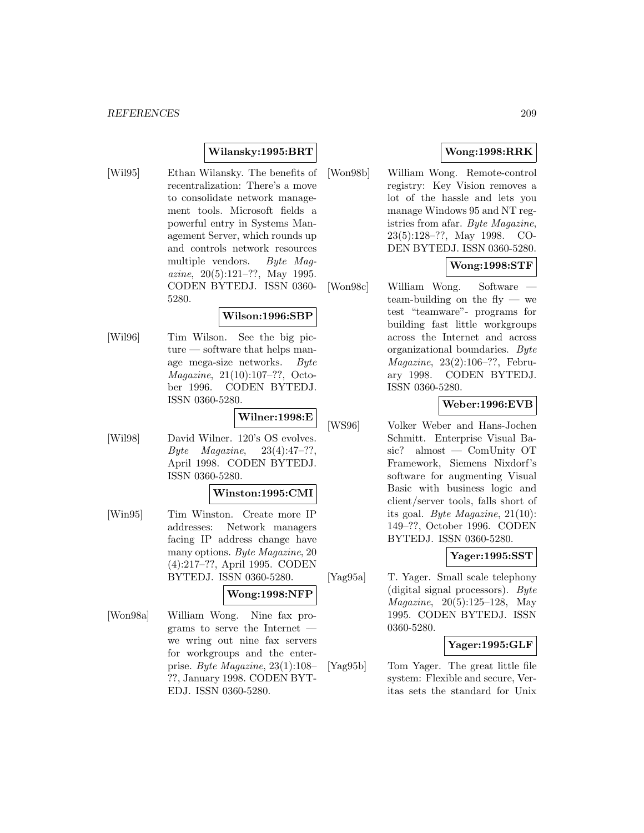# **Wilansky:1995:BRT**

[Wil95] Ethan Wilansky. The benefits of recentralization: There's a move to consolidate network management tools. Microsoft fields a powerful entry in Systems Management Server, which rounds up and controls network resources multiple vendors. Byte Magazine, 20(5):121–??, May 1995. CODEN BYTEDJ. ISSN 0360- 5280.

### **Wilson:1996:SBP**

[Wil96] Tim Wilson. See the big picture — software that helps manage mega-size networks. Byte Magazine, 21(10):107–??, October 1996. CODEN BYTEDJ. ISSN 0360-5280.

**Wilner:1998:E**

[Wil98] David Wilner. 120's OS evolves. Byte Magazine,  $23(4):47-??$ , April 1998. CODEN BYTEDJ. ISSN 0360-5280.

#### **Winston:1995:CMI**

[Win95] Tim Winston. Create more IP addresses: Network managers facing IP address change have many options. Byte Magazine, 20 (4):217–??, April 1995. CODEN BYTEDJ. ISSN 0360-5280.

# **Wong:1998:NFP**

[Won98a] William Wong. Nine fax programs to serve the Internet we wring out nine fax servers for workgroups and the enterprise. Byte Magazine, 23(1):108– ??, January 1998. CODEN BYT-EDJ. ISSN 0360-5280.

# **Wong:1998:RRK**

[Won98b] William Wong. Remote-control registry: Key Vision removes a lot of the hassle and lets you manage Windows 95 and NT registries from afar. Byte Magazine, 23(5):128–??, May 1998. CO-DEN BYTEDJ. ISSN 0360-5280.

## **Wong:1998:STF**

[Won98c] William Wong. Software team-building on the fly  $-$  we test "teamware"- programs for building fast little workgroups across the Internet and across organizational boundaries. Byte Magazine, 23(2):106–??, February 1998. CODEN BYTEDJ. ISSN 0360-5280.

## **Weber:1996:EVB**

[WS96] Volker Weber and Hans-Jochen Schmitt. Enterprise Visual Basic? almost — ComUnity OT Framework, Siemens Nixdorf's software for augmenting Visual Basic with business logic and client/server tools, falls short of its goal. Byte Magazine, 21(10): 149–??, October 1996. CODEN BYTEDJ. ISSN 0360-5280.

## **Yager:1995:SST**

[Yag95a] T. Yager. Small scale telephony (digital signal processors). Byte Magazine, 20(5):125–128, May 1995. CODEN BYTEDJ. ISSN 0360-5280.

# **Yager:1995:GLF**

[Yag95b] Tom Yager. The great little file system: Flexible and secure, Veritas sets the standard for Unix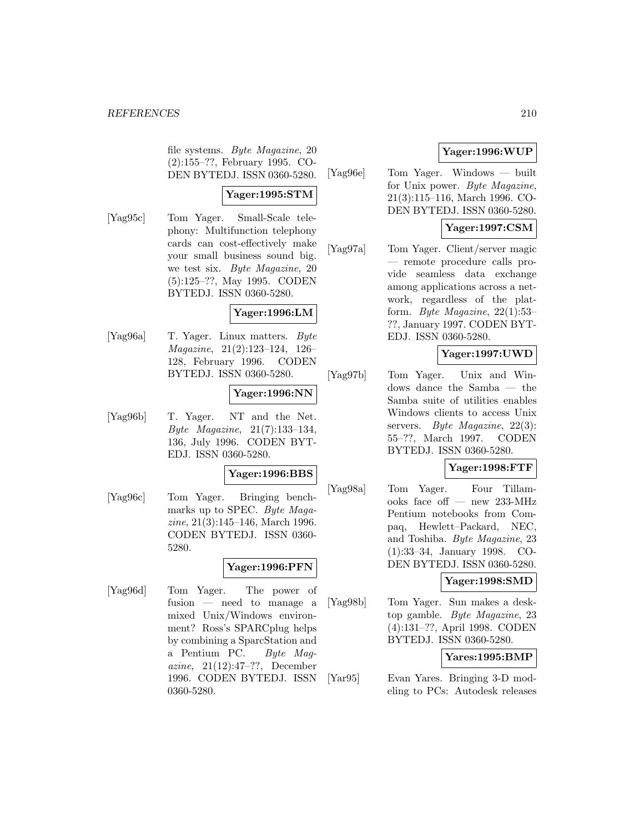file systems. Byte Magazine, 20 (2):155–??, February 1995. CO-DEN BYTEDJ. ISSN 0360-5280.

# **Yager:1995:STM**

[Yag95c] Tom Yager. Small-Scale telephony: Multifunction telephony cards can cost-effectively make your small business sound big. we test six. Byte Magazine, 20 (5):125–??, May 1995. CODEN BYTEDJ. ISSN 0360-5280.

## **Yager:1996:LM**

[Yag96a] T. Yager. Linux matters. Byte Magazine, 21(2):123–124, 126– 128, February 1996. CODEN BYTEDJ. ISSN 0360-5280.

# **Yager:1996:NN**

[Yag96b] T. Yager. NT and the Net. Byte Magazine, 21(7):133–134, 136, July 1996. CODEN BYT-EDJ. ISSN 0360-5280.

## **Yager:1996:BBS**

[Yag96c] Tom Yager. Bringing benchmarks up to SPEC. Byte Magazine, 21(3):145–146, March 1996. CODEN BYTEDJ. ISSN 0360- 5280.

# **Yager:1996:PFN**

[Yag96d] Tom Yager. The power of fusion — need to manage a mixed Unix/Windows environment? Ross's SPARCplug helps by combining a SparcStation and a Pentium PC. Byte Magazine, 21(12):47–??, December 1996. CODEN BYTEDJ. ISSN 0360-5280.

# **Yager:1996:WUP**

[Yag96e] Tom Yager. Windows — built for Unix power. Byte Magazine, 21(3):115–116, March 1996. CO-DEN BYTEDJ. ISSN 0360-5280.

## **Yager:1997:CSM**

[Yag97a] Tom Yager. Client/server magic — remote procedure calls provide seamless data exchange among applications across a network, regardless of the platform. Byte Magazine, 22(1):53– ??, January 1997. CODEN BYT-EDJ. ISSN 0360-5280.

## **Yager:1997:UWD**

[Yag97b] Tom Yager. Unix and Windows dance the Samba — the Samba suite of utilities enables Windows clients to access Unix servers. Byte Magazine, 22(3): 55–??, March 1997. CODEN BYTEDJ. ISSN 0360-5280.

# **Yager:1998:FTF**

[Yag98a] Tom Yager. Four Tillamooks face off — new 233-MHz Pentium notebooks from Compaq, Hewlett–Packard, NEC, and Toshiba. Byte Magazine, 23 (1):33–34, January 1998. CO-DEN BYTEDJ. ISSN 0360-5280.

### **Yager:1998:SMD**

[Yag98b] Tom Yager. Sun makes a desktop gamble. Byte Magazine, 23 (4):131–??, April 1998. CODEN BYTEDJ. ISSN 0360-5280.

### **Yares:1995:BMP**

[Yar95] Evan Yares. Bringing 3-D modeling to PCs: Autodesk releases